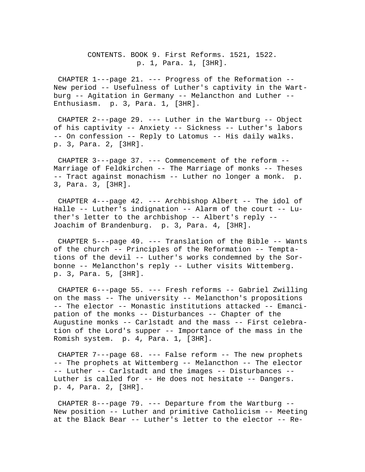CONTENTS. BOOK 9. First Reforms. 1521, 1522. p. 1, Para. 1, [3HR].

 CHAPTER 1---page 21. --- Progress of the Reformation -- New period -- Usefulness of Luther's captivity in the Wartburg -- Agitation in Germany -- Melancthon and Luther -- Enthusiasm. p. 3, Para. 1, [3HR].

 CHAPTER 2---page 29. --- Luther in the Wartburg -- Object of his captivity -- Anxiety -- Sickness -- Luther's labors -- On confession -- Reply to Latomus -- His daily walks. p. 3, Para. 2, [3HR].

 CHAPTER 3---page 37. --- Commencement of the reform -- Marriage of Feldkirchen -- The Marriage of monks -- Theses -- Tract against monachism -- Luther no longer a monk. p. 3, Para. 3, [3HR].

 CHAPTER 4---page 42. --- Archbishop Albert -- The idol of Halle -- Luther's indignation -- Alarm of the court -- Luther's letter to the archbishop -- Albert's reply -- Joachim of Brandenburg. p. 3, Para. 4, [3HR].

 CHAPTER 5---page 49. --- Translation of the Bible -- Wants of the church -- Principles of the Reformation -- Temptations of the devil -- Luther's works condemned by the Sorbonne -- Melancthon's reply -- Luther visits Wittemberg. p. 3, Para. 5, [3HR].

 CHAPTER 6---page 55. --- Fresh reforms -- Gabriel Zwilling on the mass -- The university -- Melancthon's propositions -- The elector -- Monastic institutions attacked -- Emancipation of the monks -- Disturbances -- Chapter of the Augustine monks -- Carlstadt and the mass -- First celebration of the Lord's supper -- Importance of the mass in the Romish system. p. 4, Para. 1, [3HR].

CHAPTER  $7--$ page  $68.$  --- False reform -- The new prophets -- The prophets at Wittemberg -- Melancthon -- The elector -- Luther -- Carlstadt and the images -- Disturbances -- Luther is called for -- He does not hesitate -- Dangers. p. 4, Para. 2, [3HR].

 CHAPTER 8---page 79. --- Departure from the Wartburg -- New position -- Luther and primitive Catholicism -- Meeting at the Black Bear -- Luther's letter to the elector -- Re-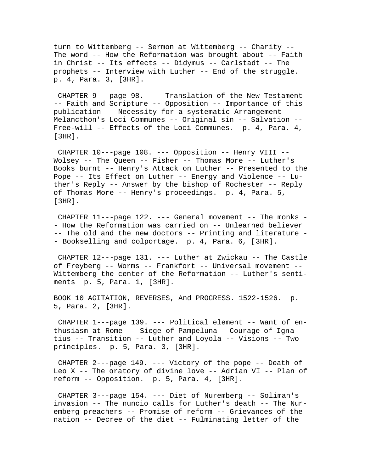turn to Wittemberg -- Sermon at Wittemberg -- Charity -- The word -- How the Reformation was brought about -- Faith in Christ -- Its effects -- Didymus -- Carlstadt -- The prophets -- Interview with Luther -- End of the struggle. p. 4, Para. 3, [3HR].

 CHAPTER 9---page 98. --- Translation of the New Testament -- Faith and Scripture -- Opposition -- Importance of this publication -- Necessity for a systematic Arrangement -- Melancthon's Loci Communes -- Original sin -- Salvation -- Free-will -- Effects of the Loci Communes. p. 4, Para. 4, [3HR].

 CHAPTER 10---page 108. --- Opposition -- Henry VIII -- Wolsey -- The Queen -- Fisher -- Thomas More -- Luther's Books burnt -- Henry's Attack on Luther -- Presented to the Pope -- Its Effect on Luther -- Energy and Violence -- Luther's Reply -- Answer by the bishop of Rochester -- Reply of Thomas More -- Henry's proceedings. p. 4, Para. 5, [3HR].

 CHAPTER 11---page 122. --- General movement -- The monks - - How the Reformation was carried on -- Unlearned believer -- The old and the new doctors -- Printing and literature - - Bookselling and colportage. p. 4, Para. 6, [3HR].

 CHAPTER 12---page 131. --- Luther at Zwickau -- The Castle of Freyberg -- Worms -- Frankfort -- Universal movement -- Wittemberg the center of the Reformation -- Luther's sentiments p. 5, Para. 1, [3HR].

BOOK 10 AGITATION, REVERSES, And PROGRESS. 1522-1526. p. 5, Para. 2, [3HR].

 CHAPTER 1---page 139. --- Political element -- Want of enthusiasm at Rome -- Siege of Pampeluna - Courage of Ignatius -- Transition -- Luther and Loyola -- Visions -- Two principles. p. 5, Para. 3, [3HR].

 CHAPTER 2---page 149. --- Victory of the pope -- Death of Leo X -- The oratory of divine love -- Adrian VI -- Plan of reform -- Opposition. p. 5, Para. 4, [3HR].

 CHAPTER 3---page 154. --- Diet of Nuremberg -- Soliman's invasion -- The nuncio calls for Luther's death -- The Nuremberg preachers -- Promise of reform -- Grievances of the nation -- Decree of the diet -- Fulminating letter of the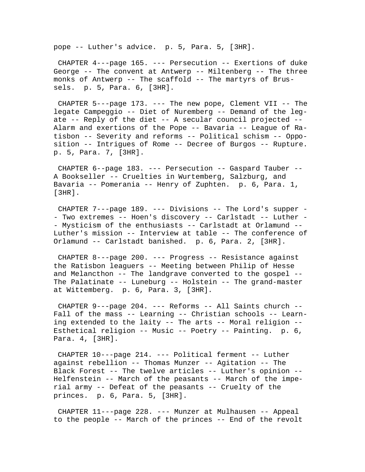pope -- Luther's advice. p. 5, Para. 5, [3HR].

 CHAPTER 4---page 165. --- Persecution -- Exertions of duke George -- The convent at Antwerp -- Miltenberg -- The three monks of Antwerp -- The scaffold -- The martyrs of Brussels. p. 5, Para. 6, [3HR].

 CHAPTER 5---page 173. --- The new pope, Clement VII -- The legate Campeggio -- Diet of Nuremberg -- Demand of the legate -- Reply of the diet -- A secular council projected -- Alarm and exertions of the Pope -- Bavaria -- League of Ratisbon -- Severity and reforms -- Political schism -- Opposition -- Intrigues of Rome -- Decree of Burgos -- Rupture. p. 5, Para. 7, [3HR].

 CHAPTER 6--page 183. --- Persecution -- Gaspard Tauber -- A Bookseller -- Cruelties in Wurtemberg, Salzburg, and Bavaria -- Pomerania -- Henry of Zuphten. p. 6, Para. 1, [3HR].

 CHAPTER 7---page 189. --- Divisions -- The Lord's supper - - Two extremes -- Hoen's discovery -- Carlstadt -- Luther - - Mysticism of the enthusiasts -- Carlstadt at Orlamund -- Luther's mission -- Interview at table -- The conference of Orlamund -- Carlstadt banished. p. 6, Para. 2, [3HR].

 CHAPTER 8---page 200. --- Progress -- Resistance against the Ratisbon leaguers -- Meeting between Philip of Hesse and Melancthon -- The landgrave converted to the gospel -- The Palatinate -- Luneburg -- Holstein -- The grand-master at Wittemberg. p. 6, Para. 3, [3HR].

 CHAPTER 9---page 204. --- Reforms -- All Saints church -- Fall of the mass -- Learning -- Christian schools -- Learning extended to the laity -- The arts -- Moral religion -- Esthetical religion -- Music -- Poetry -- Painting. p. 6, Para. 4, [3HR].

 CHAPTER 10---page 214. --- Political ferment -- Luther against rebellion -- Thomas Munzer -- Agitation -- The Black Forest -- The twelve articles -- Luther's opinion -- Helfenstein -- March of the peasants -- March of the imperial army -- Defeat of the peasants -- Cruelty of the princes. p. 6, Para. 5, [3HR].

 CHAPTER 11---page 228. --- Munzer at Mulhausen -- Appeal to the people -- March of the princes -- End of the revolt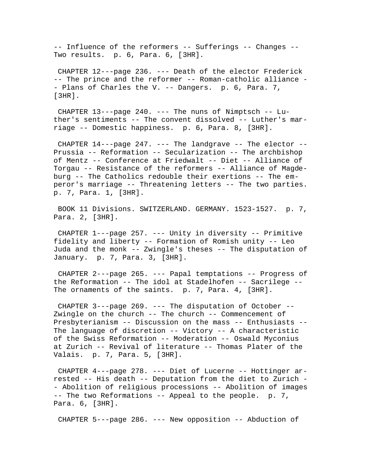-- Influence of the reformers -- Sufferings -- Changes -- Two results. p. 6, Para. 6, [3HR].

 CHAPTER 12---page 236. --- Death of the elector Frederick -- The prince and the reformer -- Roman-catholic alliance - - Plans of Charles the V. -- Dangers. p. 6, Para. 7, [3HR].

CHAPTER  $13$ ---page  $240.$  --- The nuns of Nimptsch -- Luther's sentiments -- The convent dissolved -- Luther's marriage -- Domestic happiness. p. 6, Para. 8, [3HR].

 CHAPTER 14---page 247. --- The landgrave -- The elector -- Prussia -- Reformation -- Secularization -- The archbishop of Mentz -- Conference at Friedwalt -- Diet -- Alliance of Torgau -- Resistance of the reformers -- Alliance of Magdeburg -- The Catholics redouble their exertions -- The emperor's marriage -- Threatening letters -- The two parties. p. 7, Para. 1, [3HR].

 BOOK 11 Divisions. SWITZERLAND. GERMANY. 1523-1527. p. 7, Para. 2, [3HR].

 CHAPTER 1---page 257. --- Unity in diversity -- Primitive fidelity and liberty -- Formation of Romish unity -- Leo Juda and the monk -- Zwingle's theses -- The disputation of January. p. 7, Para. 3, [3HR].

 CHAPTER 2---page 265. --- Papal temptations -- Progress of the Reformation -- The idol at Stadelhofen -- Sacrilege -- The ornaments of the saints. p. 7, Para. 4, [3HR].

 CHAPTER 3---page 269. --- The disputation of October -- Zwingle on the church -- The church -- Commencement of Presbyterianism -- Discussion on the mass -- Enthusiasts -- The language of discretion -- Victory -- A characteristic of the Swiss Reformation -- Moderation -- Oswald Myconius at Zurich -- Revival of literature -- Thomas Plater of the Valais. p. 7, Para. 5, [3HR].

 CHAPTER 4---page 278. --- Diet of Lucerne -- Hottinger arrested -- His death -- Deputation from the diet to Zurich - - Abolition of religious processions -- Abolition of images -- The two Reformations -- Appeal to the people. p. 7, Para. 6, [3HR].

CHAPTER 5---page 286. --- New opposition -- Abduction of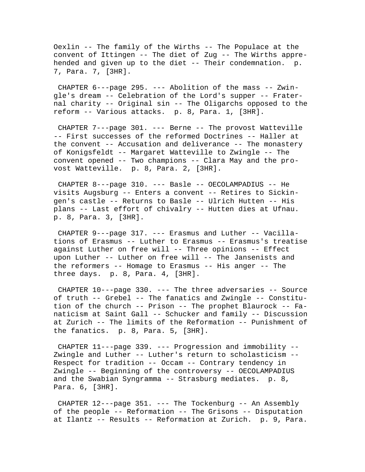Oexlin -- The family of the Wirths -- The Populace at the convent of Ittingen -- The diet of Zug -- The Wirths apprehended and given up to the diet -- Their condemnation. p. 7, Para. 7, [3HR].

 CHAPTER 6---page 295. --- Abolition of the mass -- Zwingle's dream -- Celebration of the Lord's supper -- Fraternal charity -- Original sin -- The Oligarchs opposed to the reform -- Various attacks. p. 8, Para. 1, [3HR].

 CHAPTER 7---page 301. --- Berne -- The provost Watteville -- First successes of the reformed Doctrines -- Haller at the convent -- Accusation and deliverance -- The monastery of Konigsfeldt -- Margaret Watteville to Zwingle -- The convent opened -- Two champions -- Clara May and the provost Watteville. p. 8, Para. 2, [3HR].

 CHAPTER 8---page 310. --- Basle -- OECOLAMPADIUS -- He visits Augsburg -- Enters a convent -- Retires to Sickingen's castle -- Returns to Basle -- Ulrich Hutten -- His plans -- Last effort of chivalry -- Hutten dies at Ufnau. p. 8, Para. 3, [3HR].

 CHAPTER 9---page 317. --- Erasmus and Luther -- Vacillations of Erasmus -- Luther to Erasmus -- Erasmus's treatise against Luther on free will -- Three opinions -- Effect upon Luther -- Luther on free will -- The Jansenists and the reformers -- Homage to Erasmus -- His anger -- The three days. p. 8, Para. 4, [3HR].

 CHAPTER 10---page 330. --- The three adversaries -- Source of truth -- Grebel -- The fanatics and Zwingle -- Constitution of the church -- Prison -- The prophet Blaurock -- Fanaticism at Saint Gall -- Schucker and family -- Discussion at Zurich -- The limits of the Reformation -- Punishment of the fanatics. p. 8, Para. 5, [3HR].

 CHAPTER 11---page 339. --- Progression and immobility -- Zwingle and Luther -- Luther's return to scholasticism -- Respect for tradition -- Occam -- Contrary tendency in Zwingle -- Beginning of the controversy -- OECOLAMPADIUS and the Swabian Syngramma -- Strasburg mediates. p. 8, Para. 6, [3HR].

 CHAPTER 12---page 351. --- The Tockenburg -- An Assembly of the people -- Reformation -- The Grisons -- Disputation at Ilantz -- Results -- Reformation at Zurich. p. 9, Para.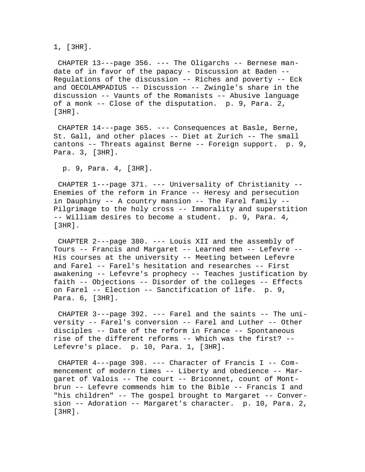1, [3HR].

 CHAPTER 13---page 356. --- The Oligarchs -- Bernese mandate of in favor of the papacy - Discussion at Baden --Regulations of the discussion -- Riches and poverty -- Eck and OECOLAMPADIUS -- Discussion -- Zwingle's share in the discussion -- Vaunts of the Romanists -- Abusive language of a monk -- Close of the disputation. p. 9, Para. 2, [3HR].

 CHAPTER 14---page 365. --- Consequences at Basle, Berne, St. Gall, and other places -- Diet at Zurich -- The small cantons -- Threats against Berne -- Foreign support. p. 9, Para. 3, [3HR].

p. 9, Para. 4, [3HR].

 CHAPTER 1---page 371. --- Universality of Christianity -- Enemies of the reform in France -- Heresy and persecution in Dauphiny -- A country mansion -- The Farel family -- Pilgrimage to the holy cross -- Immorality and superstition -- William desires to become a student. p. 9, Para. 4, [3HR].

 CHAPTER 2---page 380. --- Louis XII and the assembly of Tours -- Francis and Margaret -- Learned men -- Lefevre -- His courses at the university -- Meeting between Lefevre and Farel -- Farel's hesitation and researches -- First awakening -- Lefevre's prophecy -- Teaches justification by faith -- Objections -- Disorder of the colleges -- Effects on Farel -- Election -- Sanctification of life. p. 9, Para. 6, [3HR].

 CHAPTER 3---page 392. --- Farel and the saints -- The university -- Farel's conversion -- Farel and Luther -- Other disciples -- Date of the reform in France -- Spontaneous rise of the different reforms -- Which was the first? -- Lefevre's place. p. 10, Para. 1, [3HR].

 CHAPTER 4---page 398. --- Character of Francis I -- Commencement of modern times -- Liberty and obedience -- Margaret of Valois -- The court -- Briconnet, count of Montbrun -- Lefevre commends him to the Bible -- Francis I and "his children" -- The gospel brought to Margaret -- Conversion -- Adoration -- Margaret's character. p. 10, Para. 2, [3HR].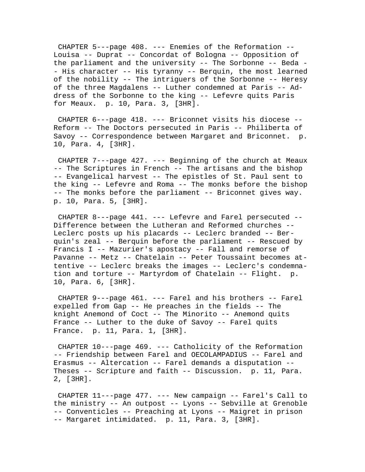CHAPTER 5---page 408. --- Enemies of the Reformation -- Louisa -- Duprat -- Concordat of Bologna -- Opposition of the parliament and the university -- The Sorbonne -- Beda - - His character -- His tyranny -- Berquin, the most learned of the nobility -- The intriguers of the Sorbonne -- Heresy of the three Magdalens -- Luther condemned at Paris -- Address of the Sorbonne to the king -- Lefevre quits Paris for Meaux. p. 10, Para. 3, [3HR].

 CHAPTER 6---page 418. --- Briconnet visits his diocese -- Reform -- The Doctors persecuted in Paris -- Philiberta of Savoy -- Correspondence between Margaret and Briconnet. p. 10, Para. 4, [3HR].

 CHAPTER 7---page 427. --- Beginning of the church at Meaux -- The Scriptures in French -- The artisans and the bishop -- Evangelical harvest -- The epistles of St. Paul sent to the king -- Lefevre and Roma -- The monks before the bishop -- The monks before the parliament -- Briconnet gives way. p. 10, Para. 5, [3HR].

 CHAPTER 8---page 441. --- Lefevre and Farel persecuted -- Difference between the Lutheran and Reformed churches -- Leclerc posts up his placards -- Leclerc branded -- Berquin's zeal -- Berquin before the parliament -- Rescued by Francis I -- Mazurier's apostacy -- Fall and remorse of Pavanne -- Metz -- Chatelain -- Peter Toussaint becomes attentive -- Leclerc breaks the images -- Leclerc's condemnation and torture -- Martyrdom of Chatelain -- Flight. p. 10, Para. 6, [3HR].

 CHAPTER 9---page 461. --- Farel and his brothers -- Farel expelled from Gap -- He preaches in the fields -- The knight Anemond of Coct -- The Minorito -- Anemond quits France -- Luther to the duke of Savoy -- Farel quits France. p. 11, Para. 1, [3HR].

 CHAPTER 10---page 469. --- Catholicity of the Reformation -- Friendship between Farel and OECOLAMPADIUS -- Farel and Erasmus -- Altercation -- Farel demands a disputation -- Theses -- Scripture and faith -- Discussion. p. 11, Para. 2, [3HR].

 CHAPTER 11---page 477. --- New campaign -- Farel's Call to the ministry -- An outpost -- Lyons -- Sebville at Grenoble -- Conventicles -- Preaching at Lyons -- Maigret in prison -- Margaret intimidated. p. 11, Para. 3, [3HR].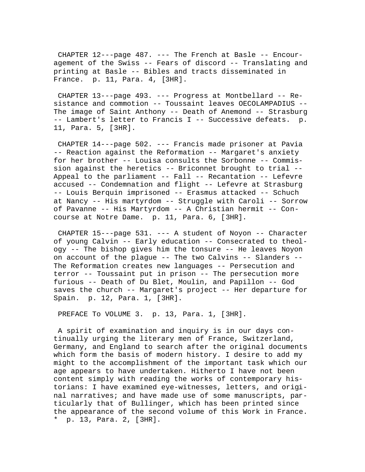CHAPTER 12---page 487. --- The French at Basle -- Encouragement of the Swiss -- Fears of discord -- Translating and printing at Basle -- Bibles and tracts disseminated in France. p. 11, Para. 4, [3HR].

 CHAPTER 13---page 493. --- Progress at Montbellard -- Resistance and commotion -- Toussaint leaves OECOLAMPADIUS -- The image of Saint Anthony -- Death of Anemond -- Strasburg -- Lambert's letter to Francis I -- Successive defeats. p. 11, Para. 5, [3HR].

 CHAPTER 14---page 502. --- Francis made prisoner at Pavia -- Reaction against the Reformation -- Margaret's anxiety for her brother -- Louisa consults the Sorbonne -- Commission against the heretics -- Briconnet brought to trial -- Appeal to the parliament -- Fall -- Recantation -- Lefevre accused -- Condemnation and flight -- Lefevre at Strasburg -- Louis Berquin imprisoned -- Erasmus attacked -- Schuch at Nancy -- His martyrdom -- Struggle with Caroli -- Sorrow of Pavanne -- His Martyrdom -- A Christian hermit -- Concourse at Notre Dame. p. 11, Para. 6, [3HR].

 CHAPTER 15---page 531. --- A student of Noyon -- Character of young Calvin -- Early education -- Consecrated to theology -- The bishop gives him the tonsure -- He leaves Noyon on account of the plague -- The two Calvins -- Slanders -- The Reformation creates new languages -- Persecution and terror -- Toussaint put in prison -- The persecution more furious -- Death of Du Blet, Moulin, and Papillon -- God saves the church -- Margaret's project -- Her departure for Spain. p. 12, Para. 1, [3HR].

PREFACE To VOLUME 3. p. 13, Para. 1, [3HR].

 A spirit of examination and inquiry is in our days continually urging the literary men of France, Switzerland, Germany, and England to search after the original documents which form the basis of modern history. I desire to add my might to the accomplishment of the important task which our age appears to have undertaken. Hitherto I have not been content simply with reading the works of contemporary historians: I have examined eye-witnesses, letters, and original narratives; and have made use of some manuscripts, particularly that of Bullinger, which has been printed since the appearance of the second volume of this Work in France. \* p. 13, Para. 2, [3HR].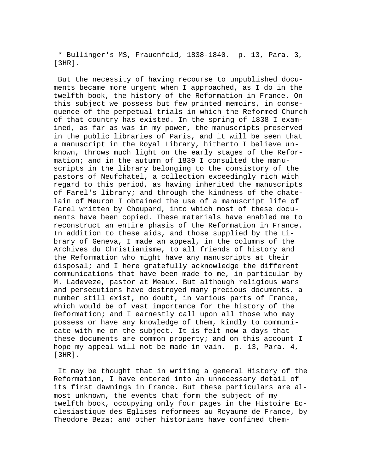\* Bullinger's MS, Frauenfeld, 1838-1840. p. 13, Para. 3, [3HR].

 But the necessity of having recourse to unpublished documents became more urgent when I approached, as I do in the twelfth book, the history of the Reformation in France. On this subject we possess but few printed memoirs, in consequence of the perpetual trials in which the Reformed Church of that country has existed. In the spring of 1838 I examined, as far as was in my power, the manuscripts preserved in the public libraries of Paris, and it will be seen that a manuscript in the Royal Library, hitherto I believe unknown, throws much light on the early stages of the Reformation; and in the autumn of 1839 I consulted the manuscripts in the library belonging to the consistory of the pastors of Neufchatel, a collection exceedingly rich with regard to this period, as having inherited the manuscripts of Farel's library; and through the kindness of the chatelain of Meuron I obtained the use of a manuscript life of Farel written by Choupard, into which most of these documents have been copied. These materials have enabled me to reconstruct an entire phasis of the Reformation in France. In addition to these aids, and those supplied by the Library of Geneva, I made an appeal, in the columns of the Archives du Christianisme, to all friends of history and the Reformation who might have any manuscripts at their disposal; and I here gratefully acknowledge the different communications that have been made to me, in particular by M. Ladeveze, pastor at Meaux. But although religious wars and persecutions have destroyed many precious documents, a number still exist, no doubt, in various parts of France, which would be of vast importance for the history of the Reformation; and I earnestly call upon all those who may possess or have any knowledge of them, kindly to communicate with me on the subject. It is felt now-a-days that these documents are common property; and on this account I hope my appeal will not be made in vain. p. 13, Para. 4, [3HR].

 It may be thought that in writing a general History of the Reformation, I have entered into an unnecessary detail of its first dawnings in France. But these particulars are almost unknown, the events that form the subject of my twelfth book, occupying only four pages in the Histoire Ecclesiastique des Eglises reformees au Royaume de France, by Theodore Beza; and other historians have confined them-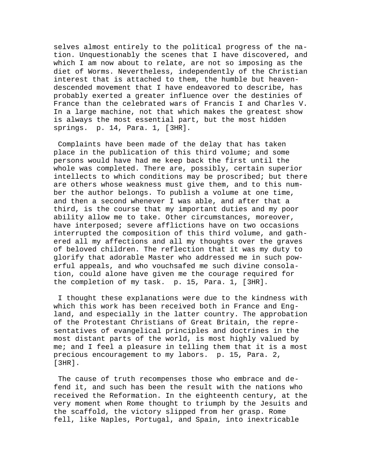selves almost entirely to the political progress of the nation. Unquestionably the scenes that I have discovered, and which I am now about to relate, are not so imposing as the diet of Worms. Nevertheless, independently of the Christian interest that is attached to them, the humble but heavendescended movement that I have endeavored to describe, has probably exerted a greater influence over the destinies of France than the celebrated wars of Francis I and Charles V. In a large machine, not that which makes the greatest show is always the most essential part, but the most hidden springs. p. 14, Para. 1, [3HR].

 Complaints have been made of the delay that has taken place in the publication of this third volume; and some persons would have had me keep back the first until the whole was completed. There are, possibly, certain superior intellects to which conditions may be proscribed; but there are others whose weakness must give them, and to this number the author belongs. To publish a volume at one time, and then a second whenever I was able, and after that a third, is the course that my important duties and my poor ability allow me to take. Other circumstances, moreover, have interposed; severe afflictions have on two occasions interrupted the composition of this third volume, and gathered all my affections and all my thoughts over the graves of beloved children. The reflection that it was my duty to glorify that adorable Master who addressed me in such powerful appeals, and who vouchsafed me such divine consolation, could alone have given me the courage required for the completion of my task. p. 15, Para. 1, [3HR].

 I thought these explanations were due to the kindness with which this work has been received both in France and England, and especially in the latter country. The approbation of the Protestant Christians of Great Britain, the representatives of evangelical principles and doctrines in the most distant parts of the world, is most highly valued by me; and I feel a pleasure in telling them that it is a most precious encouragement to my labors. p. 15, Para. 2, [3HR].

 The cause of truth recompenses those who embrace and defend it, and such has been the result with the nations who received the Reformation. In the eighteenth century, at the very moment when Rome thought to triumph by the Jesuits and the scaffold, the victory slipped from her grasp. Rome fell, like Naples, Portugal, and Spain, into inextricable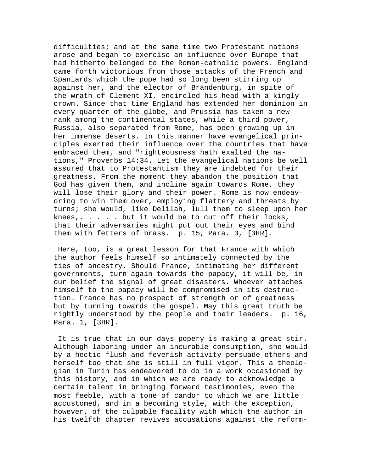difficulties; and at the same time two Protestant nations arose and began to exercise an influence over Europe that had hitherto belonged to the Roman-catholic powers. England came forth victorious from those attacks of the French and Spaniards which the pope had so long been stirring up against her, and the elector of Brandenburg, in spite of the wrath of Clement XI, encircled his head with a kingly crown. Since that time England has extended her dominion in every quarter of the globe, and Prussia has taken a new rank among the continental states, while a third power, Russia, also separated from Rome, has been growing up in her immense deserts. In this manner have evangelical principles exerted their influence over the countries that have embraced them, and "righteousness hath exalted the nations," Proverbs 14:34. Let the evangelical nations be well assured that to Protestantism they are indebted for their greatness. From the moment they abandon the position that God has given them, and incline again towards Rome, they will lose their glory and their power. Rome is now endeavoring to win them over, employing flattery and threats by turns; she would, like Delilah, lull them to sleep upon her knees,. . . . . but it would be to cut off their locks, that their adversaries might put out their eyes and bind them with fetters of brass. p. 15, Para. 3, [3HR].

 Here, too, is a great lesson for that France with which the author feels himself so intimately connected by the ties of ancestry. Should France, intimating her different governments, turn again towards the papacy, it will be, in our belief the signal of great disasters. Whoever attaches himself to the papacy will be compromised in its destruction. France has no prospect of strength or of greatness but by turning towards the gospel. May this great truth be rightly understood by the people and their leaders. p. 16, Para. 1, [3HR].

 It is true that in our days popery is making a great stir. Although laboring under an incurable consumption, she would by a hectic flush and feverish activity persuade others and herself too that she is still in full vigor. This a theologian in Turin has endeavored to do in a work occasioned by this history, and in which we are ready to acknowledge a certain talent in bringing forward testimonies, even the most feeble, with a tone of candor to which we are little accustomed, and in a becoming style, with the exception, however, of the culpable facility with which the author in his twelfth chapter revives accusations against the reform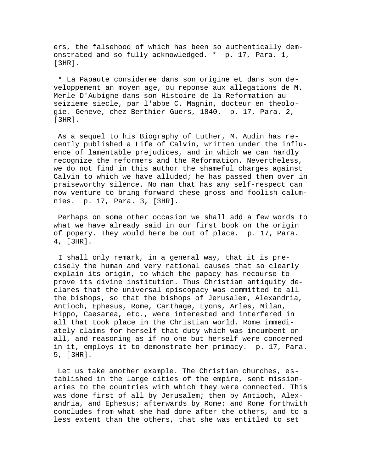ers, the falsehood of which has been so authentically demonstrated and so fully acknowledged. \* p. 17, Para. 1, [3HR].

 \* La Papaute consideree dans son origine et dans son developpement an moyen age, ou reponse aux allegations de M. Merle D'Aubigne dans son Histoire de la Reformation au seizieme siecle, par l'abbe C. Magnin, docteur en theologie. Geneve, chez Berthier-Guers, 1840. p. 17, Para. 2, [3HR].

 As a sequel to his Biography of Luther, M. Audin has recently published a Life of Calvin, written under the influence of lamentable prejudices, and in which we can hardly recognize the reformers and the Reformation. Nevertheless, we do not find in this author the shameful charges against Calvin to which we have alluded; he has passed them over in praiseworthy silence. No man that has any self-respect can now venture to bring forward these gross and foolish calumnies. p. 17, Para. 3, [3HR].

 Perhaps on some other occasion we shall add a few words to what we have already said in our first book on the origin of popery. They would here be out of place. p. 17, Para. 4, [3HR].

 I shall only remark, in a general way, that it is precisely the human and very rational causes that so clearly explain its origin, to which the papacy has recourse to prove its divine institution. Thus Christian antiquity declares that the universal episcopacy was committed to all the bishops, so that the bishops of Jerusalem, Alexandria, Antioch, Ephesus, Rome, Carthage, Lyons, Arles, Milan, Hippo, Caesarea, etc., were interested and interfered in all that took place in the Christian world. Rome immediately claims for herself that duty which was incumbent on all, and reasoning as if no one but herself were concerned in it, employs it to demonstrate her primacy. p. 17, Para. 5, [3HR].

 Let us take another example. The Christian churches, established in the large cities of the empire, sent missionaries to the countries with which they were connected. This was done first of all by Jerusalem; then by Antioch, Alexandria, and Ephesus; afterwards by Rome: and Rome forthwith concludes from what she had done after the others, and to a less extent than the others, that she was entitled to set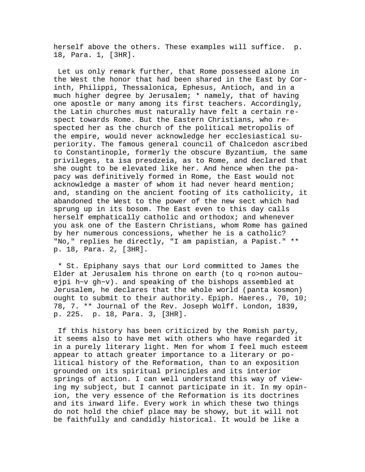herself above the others. These examples will suffice. p. 18, Para. 1, [3HR].

 Let us only remark further, that Rome possessed alone in the West the honor that had been shared in the East by Corinth, Philippi, Thessalonica, Ephesus, Antioch, and in a much higher degree by Jerusalem; \* namely, that of having one apostle or many among its first teachers. Accordingly, the Latin churches must naturally have felt a certain respect towards Rome. But the Eastern Christians, who respected her as the church of the political metropolis of the empire, would never acknowledge her ecclesiastical superiority. The famous general council of Chalcedon ascribed to Constantinople, formerly the obscure Byzantium, the same privileges, ta isa presdzeia, as to Rome, and declared that she ought to be elevated like her. And hence when the papacy was definitively formed in Rome, the East would not acknowledge a master of whom it had never heard mention; and, standing on the ancient footing of its catholicity, it abandoned the West to the power of the new sect which had sprung up in its bosom. The East even to this day calls herself emphatically catholic and orthodox; and whenever you ask one of the Eastern Christians, whom Rome has gained by her numerous concessions, whether he is a catholic? "No," replies he directly, "I am papistian, a Papist." \*\* p. 18, Para. 2, [3HR].

 \* St. Epiphany says that our Lord committed to James the Elder at Jerusalem his throne on earth (to q ro>non autou~ ejpi h~v gh~v). and speaking of the bishops assembled at Jerusalem, he declares that the whole world (panta kosmon) ought to submit to their authority. Epiph. Haeres., 70, 10; 78, 7. \*\* Journal of the Rev. Joseph Wolff. London, 1839, p. 225. p. 18, Para. 3, [3HR].

 If this history has been criticized by the Romish party, it seems also to have met with others who have regarded it in a purely literary light. Men for whom I feel much esteem appear to attach greater importance to a literary or political history of the Reformation, than to an exposition grounded on its spiritual principles and its interior springs of action. I can well understand this way of viewing my subject, but I cannot participate in it. In my opinion, the very essence of the Reformation is its doctrines and its inward life. Every work in which these two things do not hold the chief place may be showy, but it will not be faithfully and candidly historical. It would be like a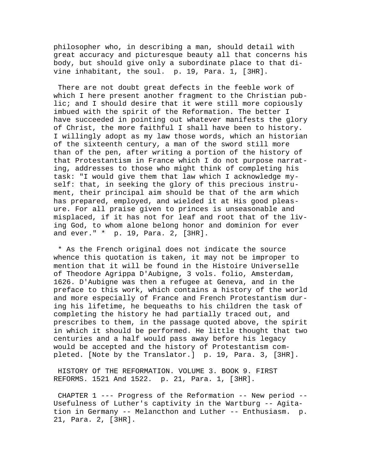philosopher who, in describing a man, should detail with great accuracy and picturesque beauty all that concerns his body, but should give only a subordinate place to that divine inhabitant, the soul. p. 19, Para. 1, [3HR].

 There are not doubt great defects in the feeble work of which I here present another fragment to the Christian public; and I should desire that it were still more copiously imbued with the spirit of the Reformation. The better I have succeeded in pointing out whatever manifests the glory of Christ, the more faithful I shall have been to history. I willingly adopt as my law those words, which an historian of the sixteenth century, a man of the sword still more than of the pen, after writing a portion of the history of that Protestantism in France which I do not purpose narrating, addresses to those who might think of completing his task: "I would give them that law which I acknowledge myself: that, in seeking the glory of this precious instrument, their principal aim should be that of the arm which has prepared, employed, and wielded it at His good pleasure. For all praise given to princes is unseasonable and misplaced, if it has not for leaf and root that of the living God, to whom alone belong honor and dominion for ever and ever." \* p. 19, Para. 2, [3HR].

 \* As the French original does not indicate the source whence this quotation is taken, it may not be improper to mention that it will be found in the Histoire Universelle of Theodore Agrippa D'Aubigne, 3 vols. folio, Amsterdam, 1626. D'Aubigne was then a refugee at Geneva, and in the preface to this work, which contains a history of the world and more especially of France and French Protestantism during his lifetime, he bequeaths to his children the task of completing the history he had partially traced out, and prescribes to them, in the passage quoted above, the spirit in which it should be performed. He little thought that two centuries and a half would pass away before his legacy would be accepted and the history of Protestantism completed. [Note by the Translator.] p. 19, Para. 3, [3HR].

 HISTORY Of THE REFORMATION. VOLUME 3. BOOK 9. FIRST REFORMS. 1521 And 1522. p. 21, Para. 1, [3HR].

 CHAPTER 1 --- Progress of the Reformation -- New period -- Usefulness of Luther's captivity in the Wartburg -- Agitation in Germany -- Melancthon and Luther -- Enthusiasm. p. 21, Para. 2, [3HR].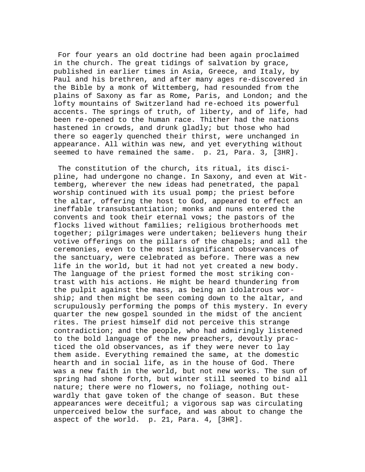For four years an old doctrine had been again proclaimed in the church. The great tidings of salvation by grace, published in earlier times in Asia, Greece, and Italy, by Paul and his brethren, and after many ages re-discovered in the Bible by a monk of Wittemberg, had resounded from the plains of Saxony as far as Rome, Paris, and London; and the lofty mountains of Switzerland had re-echoed its powerful accents. The springs of truth, of liberty, and of life, had been re-opened to the human race. Thither had the nations hastened in crowds, and drunk gladly; but those who had there so eagerly quenched their thirst, were unchanged in appearance. All within was new, and yet everything without seemed to have remained the same. p. 21, Para. 3, [3HR].

 The constitution of the church, its ritual, its discipline, had undergone no change. In Saxony, and even at Wittemberg, wherever the new ideas had penetrated, the papal worship continued with its usual pomp; the priest before the altar, offering the host to God, appeared to effect an ineffable transubstantiation; monks and nuns entered the convents and took their eternal vows; the pastors of the flocks lived without families; religious brotherhoods met together; pilgrimages were undertaken; believers hung their votive offerings on the pillars of the chapels; and all the ceremonies, even to the most insignificant observances of the sanctuary, were celebrated as before. There was a new life in the world, but it had not yet created a new body. The language of the priest formed the most striking contrast with his actions. He might be heard thundering from the pulpit against the mass, as being an idolatrous worship; and then might be seen coming down to the altar, and scrupulously performing the pomps of this mystery. In every quarter the new gospel sounded in the midst of the ancient rites. The priest himself did not perceive this strange contradiction; and the people, who had admiringly listened to the bold language of the new preachers, devoutly practiced the old observances, as if they were never to lay them aside. Everything remained the same, at the domestic hearth and in social life, as in the house of God. There was a new faith in the world, but not new works. The sun of spring had shone forth, but winter still seemed to bind all nature; there were no flowers, no foliage, nothing outwardly that gave token of the change of season. But these appearances were deceitful; a vigorous sap was circulating unperceived below the surface, and was about to change the aspect of the world. p. 21, Para. 4, [3HR].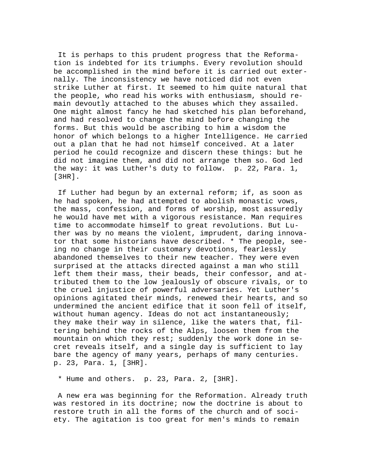It is perhaps to this prudent progress that the Reformation is indebted for its triumphs. Every revolution should be accomplished in the mind before it is carried out externally. The inconsistency we have noticed did not even strike Luther at first. It seemed to him quite natural that the people, who read his works with enthusiasm, should remain devoutly attached to the abuses which they assailed. One might almost fancy he had sketched his plan beforehand, and had resolved to change the mind before changing the forms. But this would be ascribing to him a wisdom the honor of which belongs to a higher Intelligence. He carried out a plan that he had not himself conceived. At a later period he could recognize and discern these things: but he did not imagine them, and did not arrange them so. God led the way: it was Luther's duty to follow. p. 22, Para. 1, [3HR].

 If Luther had begun by an external reform; if, as soon as he had spoken, he had attempted to abolish monastic vows, the mass, confession, and forms of worship, most assuredly he would have met with a vigorous resistance. Man requires time to accommodate himself to great revolutions. But Luther was by no means the violent, imprudent, daring innovator that some historians have described. \* The people, seeing no change in their customary devotions, fearlessly abandoned themselves to their new teacher. They were even surprised at the attacks directed against a man who still left them their mass, their beads, their confessor, and attributed them to the low jealously of obscure rivals, or to the cruel injustice of powerful adversaries. Yet Luther's opinions agitated their minds, renewed their hearts, and so undermined the ancient edifice that it soon fell of itself, without human agency. Ideas do not act instantaneously; they make their way in silence, like the waters that, filtering behind the rocks of the Alps, loosen them from the mountain on which they rest; suddenly the work done in secret reveals itself, and a single day is sufficient to lay bare the agency of many years, perhaps of many centuries. p. 23, Para. 1, [3HR].

\* Hume and others. p. 23, Para. 2, [3HR].

 A new era was beginning for the Reformation. Already truth was restored in its doctrine; now the doctrine is about to restore truth in all the forms of the church and of society. The agitation is too great for men's minds to remain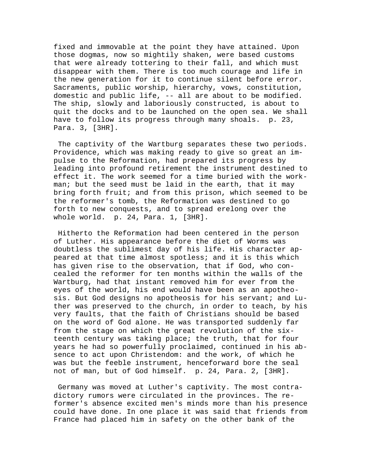fixed and immovable at the point they have attained. Upon those dogmas, now so mightily shaken, were based customs that were already tottering to their fall, and which must disappear with them. There is too much courage and life in the new generation for it to continue silent before error. Sacraments, public worship, hierarchy, vows, constitution, domestic and public life, -- all are about to be modified. The ship, slowly and laboriously constructed, is about to quit the docks and to be launched on the open sea. We shall have to follow its progress through many shoals. p. 23, Para. 3, [3HR].

 The captivity of the Wartburg separates these two periods. Providence, which was making ready to give so great an impulse to the Reformation, had prepared its progress by leading into profound retirement the instrument destined to effect it. The work seemed for a time buried with the workman; but the seed must be laid in the earth, that it may bring forth fruit; and from this prison, which seemed to be the reformer's tomb, the Reformation was destined to go forth to new conquests, and to spread erelong over the whole world. p. 24, Para. 1, [3HR].

 Hitherto the Reformation had been centered in the person of Luther. His appearance before the diet of Worms was doubtless the sublimest day of his life. His character appeared at that time almost spotless; and it is this which has given rise to the observation, that if God, who concealed the reformer for ten months within the walls of the Wartburg, had that instant removed him for ever from the eyes of the world, his end would have been as an apotheosis. But God designs no apotheosis for his servant; and Luther was preserved to the church, in order to teach, by his very faults, that the faith of Christians should be based on the word of God alone. He was transported suddenly far from the stage on which the great revolution of the sixteenth century was taking place; the truth, that for four years he had so powerfully proclaimed, continued in his absence to act upon Christendom: and the work, of which he was but the feeble instrument, henceforward bore the seal not of man, but of God himself. p. 24, Para. 2, [3HR].

 Germany was moved at Luther's captivity. The most contradictory rumors were circulated in the provinces. The reformer's absence excited men's minds more than his presence could have done. In one place it was said that friends from France had placed him in safety on the other bank of the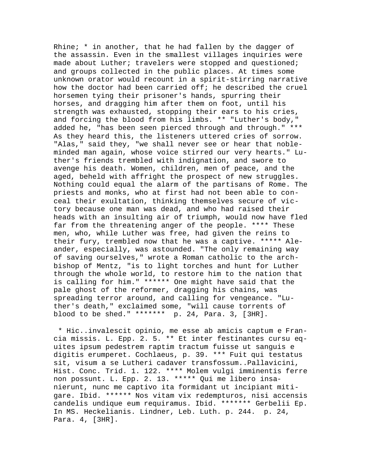Rhine;  $*$  in another, that he had fallen by the dagger of the assassin. Even in the smallest villages inquiries were made about Luther; travelers were stopped and questioned; and groups collected in the public places. At times some unknown orator would recount in a spirit-stirring narrative how the doctor had been carried off; he described the cruel horsemen tying their prisoner's hands, spurring their horses, and dragging him after them on foot, until his strength was exhausted, stopping their ears to his cries, and forcing the blood from his limbs. \*\* "Luther's body," added he, "has been seen pierced through and through." \*\*\* As they heard this, the listeners uttered cries of sorrow. "Alas," said they, "we shall never see or hear that nobleminded man again, whose voice stirred our very hearts." Luther's friends trembled with indignation, and swore to avenge his death. Women, children, men of peace, and the aged, beheld with affright the prospect of new struggles. Nothing could equal the alarm of the partisans of Rome. The priests and monks, who at first had not been able to conceal their exultation, thinking themselves secure of victory because one man was dead, and who had raised their heads with an insulting air of triumph, would now have fled far from the threatening anger of the people. \*\*\*\* These men, who, while Luther was free, had given the reins to their fury, trembled now that he was a captive. \*\*\*\*\* Aleander, especially, was astounded. "The only remaining way of saving ourselves," wrote a Roman catholic to the archbishop of Mentz, "is to light torches and hunt for Luther through the whole world, to restore him to the nation that is calling for him." \*\*\*\*\*\* One might have said that the pale ghost of the reformer, dragging his chains, was spreading terror around, and calling for vengeance. "Luther's death," exclaimed some, "will cause torrents of blood to be shed." \*\*\*\*\*\*\* p. 24, Para. 3, [3HR].

 \* Hic..invalescit opinio, me esse ab amicis captum e Francia missis. L. Epp. 2. 5. \*\* Et inter festinantes cursu equites ipsum pedestrem raptim tractum fuisse ut sanguis e digitis erumperet. Cochlaeus, p. 39. \*\*\* Fuit qui testatus sit, visum a se Lutheri cadaver transfossum..Pallavicini, Hist. Conc. Trid. 1. 122. \*\*\*\* Molem vulgi imminentis ferre non possunt. L. Epp. 2. 13. \*\*\*\*\* Qui me libero insanierunt, nunc me captivo ita formidant ut incipiant mitigare. Ibid. \*\*\*\*\*\* Nos vitam vix redempturos, nisi accensis candelis undique eum requiramus. Ibid. \*\*\*\*\*\*\* Gerbelii Ep. In MS. Heckelianis. Lindner, Leb. Luth. p. 244. p. 24, Para. 4, [3HR].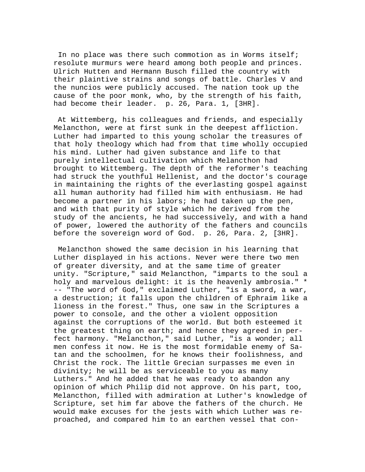In no place was there such commotion as in Worms itself; resolute murmurs were heard among both people and princes. Ulrich Hutten and Hermann Busch filled the country with their plaintive strains and songs of battle. Charles V and the nuncios were publicly accused. The nation took up the cause of the poor monk, who, by the strength of his faith, had become their leader. p. 26, Para. 1, [3HR].

 At Wittemberg, his colleagues and friends, and especially Melancthon, were at first sunk in the deepest affliction. Luther had imparted to this young scholar the treasures of that holy theology which had from that time wholly occupied his mind. Luther had given substance and life to that purely intellectual cultivation which Melancthon had brought to Wittemberg. The depth of the reformer's teaching had struck the youthful Hellenist, and the doctor's courage in maintaining the rights of the everlasting gospel against all human authority had filled him with enthusiasm. He had become a partner in his labors; he had taken up the pen, and with that purity of style which he derived from the study of the ancients, he had successively, and with a hand of power, lowered the authority of the fathers and councils before the sovereign word of God. p. 26, Para. 2, [3HR].

 Melancthon showed the same decision in his learning that Luther displayed in his actions. Never were there two men of greater diversity, and at the same time of greater unity. "Scripture," said Melancthon, "imparts to the soul a holy and marvelous delight: it is the heavenly ambrosia." \* -- "The word of God," exclaimed Luther, "is a sword, a war, a destruction; it falls upon the children of Ephraim like a lioness in the forest." Thus, one saw in the Scriptures a power to console, and the other a violent opposition against the corruptions of the world. But both esteemed it the greatest thing on earth; and hence they agreed in perfect harmony. "Melancthon," said Luther, "is a wonder; all men confess it now. He is the most formidable enemy of Satan and the schoolmen, for he knows their foolishness, and Christ the rock. The little Grecian surpasses me even in divinity; he will be as serviceable to you as many Luthers." And he added that he was ready to abandon any opinion of which Philip did not approve. On his part, too, Melancthon, filled with admiration at Luther's knowledge of Scripture, set him far above the fathers of the church. He would make excuses for the jests with which Luther was reproached, and compared him to an earthen vessel that con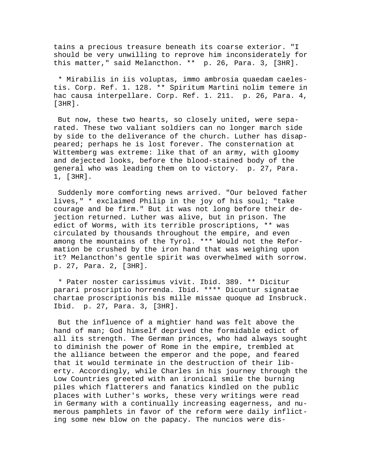tains a precious treasure beneath its coarse exterior. "I should be very unwilling to reprove him inconsiderately for this matter," said Melancthon. \*\* p. 26, Para. 3, [3HR].

 \* Mirabilis in iis voluptas, immo ambrosia quaedam caelestis. Corp. Ref. 1. 128. \*\* Spiritum Martini nolim temere in hac causa interpellare. Corp. Ref. 1. 211. p. 26, Para. 4, [3HR].

 But now, these two hearts, so closely united, were separated. These two valiant soldiers can no longer march side by side to the deliverance of the church. Luther has disappeared; perhaps he is lost forever. The consternation at Wittemberg was extreme: like that of an army, with gloomy and dejected looks, before the blood-stained body of the general who was leading them on to victory. p. 27, Para. 1, [3HR].

 Suddenly more comforting news arrived. "Our beloved father lives," \* exclaimed Philip in the joy of his soul; "take courage and be firm." But it was not long before their dejection returned. Luther was alive, but in prison. The edict of Worms, with its terrible proscriptions, \*\* was circulated by thousands throughout the empire, and even among the mountains of the Tyrol. \*\*\* Would not the Reformation be crushed by the iron hand that was weighing upon it? Melancthon's gentle spirit was overwhelmed with sorrow. p. 27, Para. 2, [3HR].

 \* Pater noster carissimus vivit. Ibid. 389. \*\* Dicitur parari proscriptio horrenda. Ibid. \*\*\*\* Dicuntur signatae chartae proscriptionis bis mille missae quoque ad Insbruck. Ibid. p. 27, Para. 3, [3HR].

 But the influence of a mightier hand was felt above the hand of man; God himself deprived the formidable edict of all its strength. The German princes, who had always sought to diminish the power of Rome in the empire, trembled at the alliance between the emperor and the pope, and feared that it would terminate in the destruction of their liberty. Accordingly, while Charles in his journey through the Low Countries greeted with an ironical smile the burning piles which flatterers and fanatics kindled on the public places with Luther's works, these very writings were read in Germany with a continually increasing eagerness, and numerous pamphlets in favor of the reform were daily inflicting some new blow on the papacy. The nuncios were dis-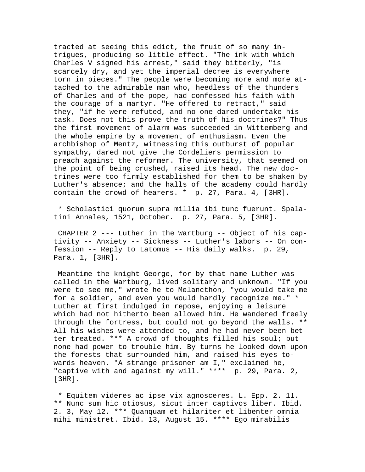tracted at seeing this edict, the fruit of so many intrigues, producing so little effect. "The ink with which Charles V signed his arrest," said they bitterly, "is scarcely dry, and yet the imperial decree is everywhere torn in pieces." The people were becoming more and more attached to the admirable man who, heedless of the thunders of Charles and of the pope, had confessed his faith with the courage of a martyr. "He offered to retract," said they, "if he were refuted, and no one dared undertake his task. Does not this prove the truth of his doctrines?" Thus the first movement of alarm was succeeded in Wittemberg and the whole empire by a movement of enthusiasm. Even the archbishop of Mentz, witnessing this outburst of popular sympathy, dared not give the Cordeliers permission to preach against the reformer. The university, that seemed on the point of being crushed, raised its head. The new doctrines were too firmly established for them to be shaken by Luther's absence; and the halls of the academy could hardly contain the crowd of hearers. \* p. 27, Para. 4, [3HR].

 \* Scholastici quorum supra millia ibi tunc fuerunt. Spalatini Annales, 1521, October. p. 27, Para. 5, [3HR].

 CHAPTER 2 --- Luther in the Wartburg -- Object of his captivity -- Anxiety -- Sickness -- Luther's labors -- On confession -- Reply to Latomus -- His daily walks. p. 29, Para. 1, [3HR].

 Meantime the knight George, for by that name Luther was called in the Wartburg, lived solitary and unknown. "If you were to see me," wrote he to Melancthon, "you would take me for a soldier, and even you would hardly recognize me." \* Luther at first indulged in repose, enjoying a leisure which had not hitherto been allowed him. He wandered freely through the fortress, but could not go beyond the walls. \*\* All his wishes were attended to, and he had never been better treated. \*\*\* A crowd of thoughts filled his soul; but none had power to trouble him. By turns he looked down upon the forests that surrounded him, and raised his eyes towards heaven. "A strange prisoner am I," exclaimed he, "captive with and against my will." \*\*\*\* p. 29, Para. 2, [3HR].

 \* Equitem videres ac ipse vix agnosceres. L. Epp. 2. 11. \*\* Nunc sum hic otiosus, sicut inter captivos liber. Ibid. 2. 3, May 12. \*\*\* Quanquam et hilariter et libenter omnia mihi ministret. Ibid. 13, August 15. \*\*\*\* Ego mirabilis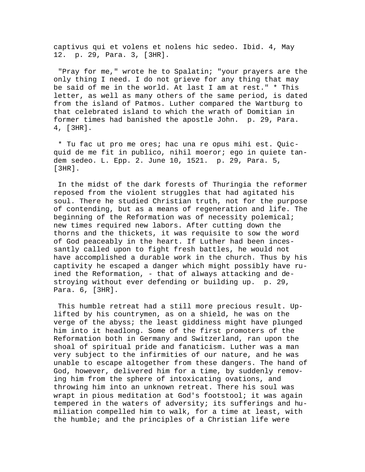captivus qui et volens et nolens hic sedeo. Ibid. 4, May 12. p. 29, Para. 3, [3HR].

 "Pray for me," wrote he to Spalatin; "your prayers are the only thing I need. I do not grieve for any thing that may be said of me in the world. At last I am at rest." \* This letter, as well as many others of the same period, is dated from the island of Patmos. Luther compared the Wartburg to that celebrated island to which the wrath of Domitian in former times had banished the apostle John. p. 29, Para. 4, [3HR].

 \* Tu fac ut pro me ores; hac una re opus mihi est. Quicquid de me fit in publico, nihil moeror; ego in quiete tandem sedeo. L. Epp. 2. June 10, 1521. p. 29, Para. 5, [3HR].

 In the midst of the dark forests of Thuringia the reformer reposed from the violent struggles that had agitated his soul. There he studied Christian truth, not for the purpose of contending, but as a means of regeneration and life. The beginning of the Reformation was of necessity polemical; new times required new labors. After cutting down the thorns and the thickets, it was requisite to sow the word of God peaceably in the heart. If Luther had been incessantly called upon to fight fresh battles, he would not have accomplished a durable work in the church. Thus by his captivity he escaped a danger which might possibly have ruined the Reformation, - that of always attacking and destroying without ever defending or building up. p. 29, Para. 6, [3HR].

 This humble retreat had a still more precious result. Uplifted by his countrymen, as on a shield, he was on the verge of the abyss; the least giddiness might have plunged him into it headlong. Some of the first promoters of the Reformation both in Germany and Switzerland, ran upon the shoal of spiritual pride and fanaticism. Luther was a man very subject to the infirmities of our nature, and he was unable to escape altogether from these dangers. The hand of God, however, delivered him for a time, by suddenly removing him from the sphere of intoxicating ovations, and throwing him into an unknown retreat. There his soul was wrapt in pious meditation at God's footstool; it was again tempered in the waters of adversity; its sufferings and humiliation compelled him to walk, for a time at least, with the humble; and the principles of a Christian life were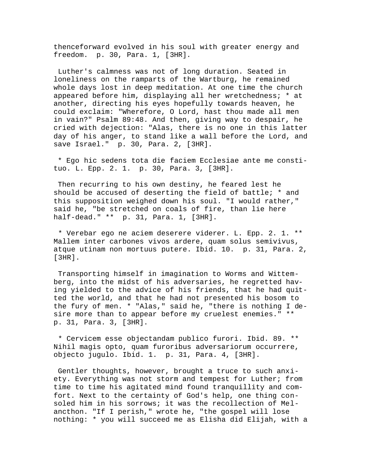thenceforward evolved in his soul with greater energy and freedom. p. 30, Para. 1, [3HR].

 Luther's calmness was not of long duration. Seated in loneliness on the ramparts of the Wartburg, he remained whole days lost in deep meditation. At one time the church appeared before him, displaying all her wretchedness; \* at another, directing his eyes hopefully towards heaven, he could exclaim: "Wherefore, O Lord, hast thou made all men in vain?" Psalm 89:48. And then, giving way to despair, he cried with dejection: "Alas, there is no one in this latter day of his anger, to stand like a wall before the Lord, and save Israel." p. 30, Para. 2, [3HR].

 \* Ego hic sedens tota die faciem Ecclesiae ante me constituo. L. Epp. 2. 1. p. 30, Para. 3, [3HR].

 Then recurring to his own destiny, he feared lest he should be accused of deserting the field of battle; \* and this supposition weighed down his soul. "I would rather," said he, "be stretched on coals of fire, than lie here half-dead." \*\* p. 31, Para. 1, [3HR].

 \* Verebar ego ne aciem deserere viderer. L. Epp. 2. 1. \*\* Mallem inter carbones vivos ardere, quam solus semivivus, atque utinam non mortuus putere. Ibid. 10. p. 31, Para. 2, [3HR].

 Transporting himself in imagination to Worms and Wittemberg, into the midst of his adversaries, he regretted having yielded to the advice of his friends, that he had quitted the world, and that he had not presented his bosom to the fury of men. \* "Alas," said he, "there is nothing I desire more than to appear before my cruelest enemies." \*\* p. 31, Para. 3, [3HR].

 \* Cervicem esse objectandam publico furori. Ibid. 89. \*\* Nihil magis opto, quam furoribus adversariorum occurrere, objecto jugulo. Ibid. 1. p. 31, Para. 4, [3HR].

 Gentler thoughts, however, brought a truce to such anxiety. Everything was not storm and tempest for Luther; from time to time his agitated mind found tranquillity and comfort. Next to the certainty of God's help, one thing consoled him in his sorrows; it was the recollection of Melancthon. "If I perish," wrote he, "the gospel will lose nothing: \* you will succeed me as Elisha did Elijah, with a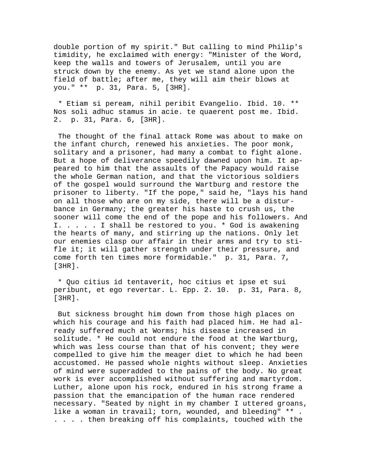double portion of my spirit." But calling to mind Philip's timidity, he exclaimed with energy: "Minister of the Word, keep the walls and towers of Jerusalem, until you are struck down by the enemy. As yet we stand alone upon the field of battle; after me, they will aim their blows at you." \*\* p. 31, Para. 5, [3HR].

 \* Etiam si peream, nihil peribit Evangelio. Ibid. 10. \*\* Nos soli adhuc stamus in acie. te quaerent post me. Ibid. 2. p. 31, Para. 6, [3HR].

 The thought of the final attack Rome was about to make on the infant church, renewed his anxieties. The poor monk, solitary and a prisoner, had many a combat to fight alone. But a hope of deliverance speedily dawned upon him. It appeared to him that the assaults of the Papacy would raise the whole German nation, and that the victorious soldiers of the gospel would surround the Wartburg and restore the prisoner to liberty. "If the pope," said he, "lays his hand on all those who are on my side, there will be a disturbance in Germany; the greater his haste to crush us, the sooner will come the end of the pope and his followers. And I. . . . . I shall be restored to you. \* God is awakening the hearts of many, and stirring up the nations. Only let our enemies clasp our affair in their arms and try to stifle it; it will gather strength under their pressure, and come forth ten times more formidable." p. 31, Para. 7, [3HR].

 \* Quo citius id tentaverit, hoc citius et ipse et sui peribunt, et ego revertar. L. Epp. 2. 10. p. 31, Para. 8, [3HR].

 But sickness brought him down from those high places on which his courage and his faith had placed him. He had already suffered much at Worms; his disease increased in solitude. \* He could not endure the food at the Wartburg, which was less course than that of his convent; they were compelled to give him the meager diet to which he had been accustomed. He passed whole nights without sleep. Anxieties of mind were superadded to the pains of the body. No great work is ever accomplished without suffering and martyrdom. Luther, alone upon his rock, endured in his strong frame a passion that the emancipation of the human race rendered necessary. "Seated by night in my chamber I uttered groans, like a woman in travail; torn, wounded, and bleeding" \*\* . . . . . then breaking off his complaints, touched with the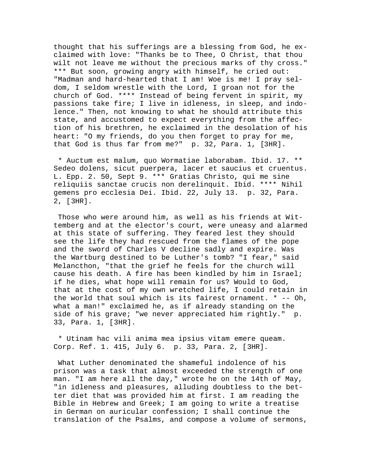thought that his sufferings are a blessing from God, he exclaimed with love: "Thanks be to Thee, O Christ, that thou wilt not leave me without the precious marks of thy cross." \*\*\* But soon, growing angry with himself, he cried out: "Madman and hard-hearted that I am! Woe is me! I pray seldom, I seldom wrestle with the Lord, I groan not for the church of God. \*\*\*\* Instead of being fervent in spirit, my passions take fire; I live in idleness, in sleep, and indolence." Then, not knowing to what he should attribute this state, and accustomed to expect everything from the affection of his brethren, he exclaimed in the desolation of his heart: "O my friends, do you then forget to pray for me, that God is thus far from me?" p. 32, Para. 1, [3HR].

 \* Auctum est malum, quo Wormatiae laborabam. Ibid. 17. \*\* Sedeo dolens, sicut puerpera, lacer et saucius et cruentus. L. Epp. 2. 50, Sept 9. \*\*\* Gratias Christo, qui me sine reliquiis sanctae crucis non derelinquit. Ibid. \*\*\*\* Nihil gemens pro ecclesia Dei. Ibid. 22, July 13. p. 32, Para. 2, [3HR].

 Those who were around him, as well as his friends at Wittemberg and at the elector's court, were uneasy and alarmed at this state of suffering. They feared lest they should see the life they had rescued from the flames of the pope and the sword of Charles V decline sadly and expire. Was the Wartburg destined to be Luther's tomb? "I fear," said Melancthon, "that the grief he feels for the church will cause his death. A fire has been kindled by him in Israel; if he dies, what hope will remain for us? Would to God, that at the cost of my own wretched life, I could retain in the world that soul which is its fairest ornament. \* -- Oh, what a man!" exclaimed he, as if already standing on the side of his grave; "we never appreciated him rightly." p. 33, Para. 1, [3HR].

 \* Utinam hac vili anima mea ipsius vitam emere queam. Corp. Ref. 1. 415, July 6. p. 33, Para. 2, [3HR].

 What Luther denominated the shameful indolence of his prison was a task that almost exceeded the strength of one man. "I am here all the day," wrote he on the 14th of May, "in idleness and pleasures, alluding doubtless to the better diet that was provided him at first. I am reading the Bible in Hebrew and Greek; I am going to write a treatise in German on auricular confession; I shall continue the translation of the Psalms, and compose a volume of sermons,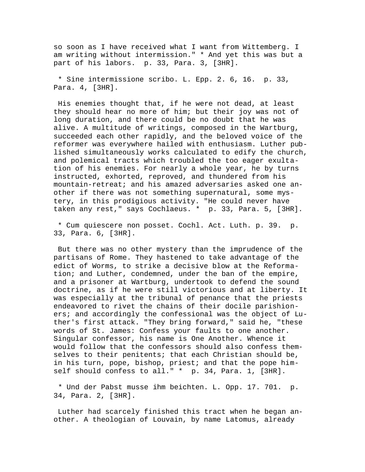so soon as I have received what I want from Wittemberg. I am writing without intermission." \* And yet this was but a part of his labors. p. 33, Para. 3, [3HR].

 \* Sine intermissione scribo. L. Epp. 2. 6, 16. p. 33, Para. 4, [3HR].

 His enemies thought that, if he were not dead, at least they should hear no more of him; but their joy was not of long duration, and there could be no doubt that he was alive. A multitude of writings, composed in the Wartburg, succeeded each other rapidly, and the beloved voice of the reformer was everywhere hailed with enthusiasm. Luther published simultaneously works calculated to edify the church, and polemical tracts which troubled the too eager exultation of his enemies. For nearly a whole year, he by turns instructed, exhorted, reproved, and thundered from his mountain-retreat; and his amazed adversaries asked one another if there was not something supernatural, some mystery, in this prodigious activity. "He could never have taken any rest," says Cochlaeus. \* p. 33, Para. 5, [3HR].

 \* Cum quiescere non posset. Cochl. Act. Luth. p. 39. p. 33, Para. 6, [3HR].

 But there was no other mystery than the imprudence of the partisans of Rome. They hastened to take advantage of the edict of Worms, to strike a decisive blow at the Reformation; and Luther, condemned, under the ban of the empire, and a prisoner at Wartburg, undertook to defend the sound doctrine, as if he were still victorious and at liberty. It was especially at the tribunal of penance that the priests endeavored to rivet the chains of their docile parishioners; and accordingly the confessional was the object of Luther's first attack. "They bring forward," said he, "these words of St. James: Confess your faults to one another. Singular confessor, his name is One Another. Whence it would follow that the confessors should also confess themselves to their penitents; that each Christian should be, in his turn, pope, bishop, priest; and that the pope himself should confess to all." \* p. 34, Para. 1, [3HR].

 \* Und der Pabst musse ihm beichten. L. Opp. 17. 701. p. 34, Para. 2, [3HR].

 Luther had scarcely finished this tract when he began another. A theologian of Louvain, by name Latomus, already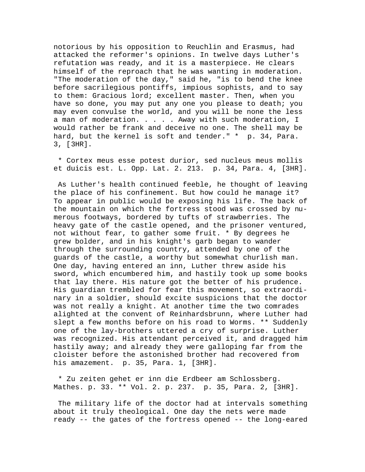notorious by his opposition to Reuchlin and Erasmus, had attacked the reformer's opinions. In twelve days Luther's refutation was ready, and it is a masterpiece. He clears himself of the reproach that he was wanting in moderation. "The moderation of the day," said he, "is to bend the knee before sacrilegious pontiffs, impious sophists, and to say to them: Gracious lord; excellent master. Then, when you have so done, you may put any one you please to death; you may even convulse the world, and you will be none the less a man of moderation. . . . . Away with such moderation, I would rather be frank and deceive no one. The shell may be hard, but the kernel is soft and tender." \* p. 34, Para. 3, [3HR].

 \* Cortex meus esse potest durior, sed nucleus meus mollis et duicis est. L. Opp. Lat. 2. 213. p. 34, Para. 4, [3HR].

 As Luther's health continued feeble, he thought of leaving the place of his confinement. But how could he manage it? To appear in public would be exposing his life. The back of the mountain on which the fortress stood was crossed by numerous footways, bordered by tufts of strawberries. The heavy gate of the castle opened, and the prisoner ventured, not without fear, to gather some fruit. \* By degrees he grew bolder, and in his knight's garb began to wander through the surrounding country, attended by one of the guards of the castle, a worthy but somewhat churlish man. One day, having entered an inn, Luther threw aside his sword, which encumbered him, and hastily took up some books that lay there. His nature got the better of his prudence. His guardian trembled for fear this movement, so extraordinary in a soldier, should excite suspicions that the doctor was not really a knight. At another time the two comrades alighted at the convent of Reinhardsbrunn, where Luther had slept a few months before on his road to Worms. \*\* Suddenly one of the lay-brothers uttered a cry of surprise. Luther was recognized. His attendant perceived it, and dragged him hastily away; and already they were galloping far from the cloister before the astonished brother had recovered from his amazement. p. 35, Para. 1, [3HR].

 \* Zu zeiten gehet er inn die Erdbeer am Schlossberg. Mathes. p. 33. \*\* Vol. 2. p. 237. p. 35, Para. 2, [3HR].

 The military life of the doctor had at intervals something about it truly theological. One day the nets were made ready -- the gates of the fortress opened -- the long-eared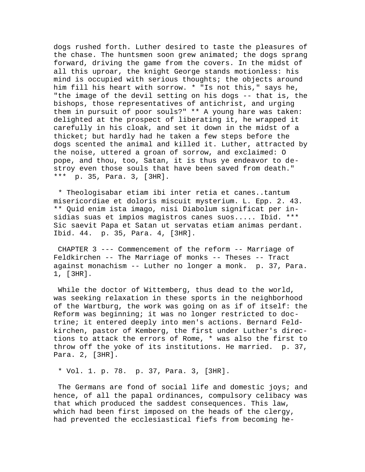dogs rushed forth. Luther desired to taste the pleasures of the chase. The huntsmen soon grew animated; the dogs sprang forward, driving the game from the covers. In the midst of all this uproar, the knight George stands motionless: his mind is occupied with serious thoughts; the objects around him fill his heart with sorrow. \* "Is not this," says he, "the image of the devil setting on his dogs -- that is, the bishops, those representatives of antichrist, and urging them in pursuit of poor souls?" \*\* A young hare was taken: delighted at the prospect of liberating it, he wrapped it carefully in his cloak, and set it down in the midst of a thicket; but hardly had he taken a few steps before the dogs scented the animal and killed it. Luther, attracted by the noise, uttered a groan of sorrow, and exclaimed: O pope, and thou, too, Satan, it is thus ye endeavor to destroy even those souls that have been saved from death." \*\*\* p. 35, Para. 3, [3HR].

 \* Theologisabar etiam ibi inter retia et canes..tantum misericordiae et doloris miscuit mysterium. L. Epp. 2. 43. \*\* Quid enim ista imago, nisi Diabolum significat per insidias suas et impios magistros canes suos..... Ibid. \*\*\* Sic saevit Papa et Satan ut servatas etiam animas perdant. Ibid. 44. p. 35, Para. 4, [3HR].

 CHAPTER 3 --- Commencement of the reform -- Marriage of Feldkirchen -- The Marriage of monks -- Theses -- Tract against monachism -- Luther no longer a monk. p. 37, Para. 1, [3HR].

 While the doctor of Wittemberg, thus dead to the world, was seeking relaxation in these sports in the neighborhood of the Wartburg, the work was going on as if of itself: the Reform was beginning; it was no longer restricted to doctrine; it entered deeply into men's actions. Bernard Feldkirchen, pastor of Kemberg, the first under Luther's directions to attack the errors of Rome, \* was also the first to throw off the yoke of its institutions. He married. p. 37, Para. 2, [3HR].

\* Vol. 1. p. 78. p. 37, Para. 3, [3HR].

The Germans are fond of social life and domestic joys; and hence, of all the papal ordinances, compulsory celibacy was that which produced the saddest consequences. This law, which had been first imposed on the heads of the clergy, had prevented the ecclesiastical fiefs from becoming he-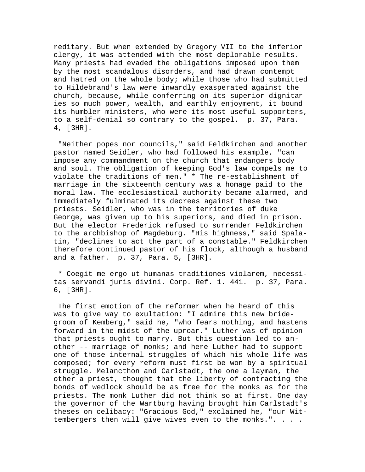reditary. But when extended by Gregory VII to the inferior clergy, it was attended with the most deplorable results. Many priests had evaded the obligations imposed upon them by the most scandalous disorders, and had drawn contempt and hatred on the whole body; while those who had submitted to Hildebrand's law were inwardly exasperated against the church, because, while conferring on its superior dignitaries so much power, wealth, and earthly enjoyment, it bound its humbler ministers, who were its most useful supporters, to a self-denial so contrary to the gospel. p. 37, Para. 4, [3HR].

 "Neither popes nor councils," said Feldkirchen and another pastor named Seidler, who had followed his example, "can impose any commandment on the church that endangers body and soul. The obligation of keeping God's law compels me to violate the traditions of men." \* The re-establishment of marriage in the sixteenth century was a homage paid to the moral law. The ecclesiastical authority became alarmed, and immediately fulminated its decrees against these two priests. Seidler, who was in the territories of duke George, was given up to his superiors, and died in prison. But the elector Frederick refused to surrender Feldkirchen to the archbishop of Magdeburg. "His highness," said Spalatin, "declines to act the part of a constable." Feldkirchen therefore continued pastor of his flock, although a husband and a father. p. 37, Para. 5, [3HR].

 \* Coegit me ergo ut humanas traditiones violarem, necessitas servandi juris divini. Corp. Ref. 1. 441. p. 37, Para. 6, [3HR].

 The first emotion of the reformer when he heard of this was to give way to exultation: "I admire this new bridegroom of Kemberg," said he, "who fears nothing, and hastens forward in the midst of the uproar." Luther was of opinion that priests ought to marry. But this question led to another -- marriage of monks; and here Luther had to support one of those internal struggles of which his whole life was composed; for every reform must first be won by a spiritual struggle. Melancthon and Carlstadt, the one a layman, the other a priest, thought that the liberty of contracting the bonds of wedlock should be as free for the monks as for the priests. The monk Luther did not think so at first. One day the governor of the Wartburg having brought him Carlstadt's theses on celibacy: "Gracious God," exclaimed he, "our Wittembergers then will give wives even to the monks.". . . .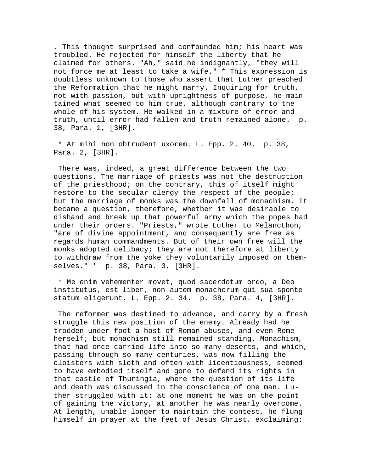. This thought surprised and confounded him; his heart was troubled. He rejected for himself the liberty that he claimed for others. "Ah," said he indignantly, "they will not force me at least to take a wife." \* This expression is doubtless unknown to those who assert that Luther preached the Reformation that he might marry. Inquiring for truth, not with passion, but with uprightness of purpose, he maintained what seemed to him true, although contrary to the whole of his system. He walked in a mixture of error and truth, until error had fallen and truth remained alone. p. 38, Para. 1, [3HR].

 \* At mihi non obtrudent uxorem. L. Epp. 2. 40. p. 38, Para. 2, [3HR].

 There was, indeed, a great difference between the two questions. The marriage of priests was not the destruction of the priesthood; on the contrary, this of itself might restore to the secular clergy the respect of the people; but the marriage of monks was the downfall of monachism. It became a question, therefore, whether it was desirable to disband and break up that powerful army which the popes had under their orders. "Priests," wrote Luther to Melancthon, "are of divine appointment, and consequently are free as regards human commandments. But of their own free will the monks adopted celibacy; they are not therefore at liberty to withdraw from the yoke they voluntarily imposed on themselves." \* p. 38, Para. 3, [3HR].

 \* Me enim vehementer movet, quod sacerdotum ordo, a Deo institutus, est liber, non autem monachorum qui sua sponte statum eligerunt. L. Epp. 2. 34. p. 38, Para. 4, [3HR].

 The reformer was destined to advance, and carry by a fresh struggle this new position of the enemy. Already had he trodden under foot a host of Roman abuses, and even Rome herself; but monachism still remained standing. Monachism, that had once carried life into so many deserts, and which, passing through so many centuries, was now filling the cloisters with sloth and often with licentiousness, seemed to have embodied itself and gone to defend its rights in that castle of Thuringia, where the question of its life and death was discussed in the conscience of one man. Luther struggled with it: at one moment he was on the point of gaining the victory, at another he was nearly overcome. At length, unable longer to maintain the contest, he flung himself in prayer at the feet of Jesus Christ, exclaiming: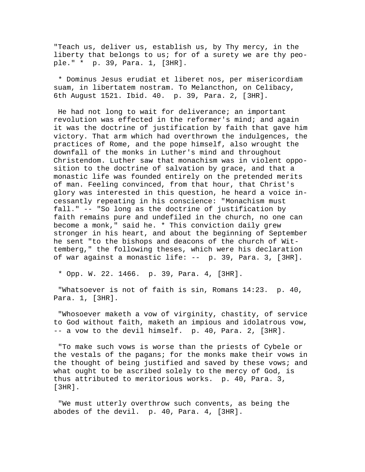"Teach us, deliver us, establish us, by Thy mercy, in the liberty that belongs to us; for of a surety we are thy people." \* p. 39, Para. 1, [3HR].

 \* Dominus Jesus erudiat et liberet nos, per misericordiam suam, in libertatem nostram. To Melancthon, on Celibacy, 6th August 1521. Ibid. 40. p. 39, Para. 2, [3HR].

 He had not long to wait for deliverance; an important revolution was effected in the reformer's mind; and again it was the doctrine of justification by faith that gave him victory. That arm which had overthrown the indulgences, the practices of Rome, and the pope himself, also wrought the downfall of the monks in Luther's mind and throughout Christendom. Luther saw that monachism was in violent opposition to the doctrine of salvation by grace, and that a monastic life was founded entirely on the pretended merits of man. Feeling convinced, from that hour, that Christ's glory was interested in this question, he heard a voice incessantly repeating in his conscience: "Monachism must fall." -- "So long as the doctrine of justification by faith remains pure and undefiled in the church, no one can become a monk," said he. \* This conviction daily grew stronger in his heart, and about the beginning of September he sent "to the bishops and deacons of the church of Wittemberg," the following theses, which were his declaration of war against a monastic life: -- p. 39, Para. 3, [3HR].

\* Opp. W. 22. 1466. p. 39, Para. 4, [3HR].

 "Whatsoever is not of faith is sin, Romans 14:23. p. 40, Para. 1, [3HR].

 "Whosoever maketh a vow of virginity, chastity, of service to God without faith, maketh an impious and idolatrous vow, -- a vow to the devil himself. p. 40, Para. 2, [3HR].

 "To make such vows is worse than the priests of Cybele or the vestals of the pagans; for the monks make their vows in the thought of being justified and saved by these vows; and what ought to be ascribed solely to the mercy of God, is thus attributed to meritorious works. p. 40, Para. 3, [3HR].

 "We must utterly overthrow such convents, as being the abodes of the devil. p. 40, Para. 4, [3HR].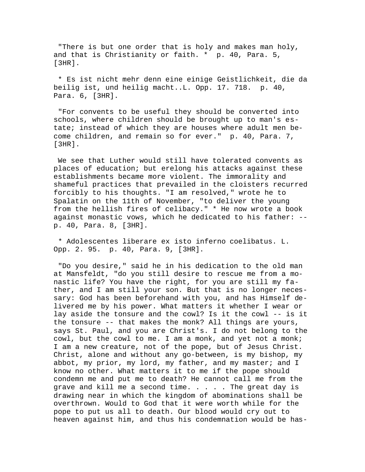"There is but one order that is holy and makes man holy, and that is Christianity or faith. \* p. 40, Para. 5, [3HR].

 \* Es ist nicht mehr denn eine einige Geistlichkeit, die da beilig ist, und heilig macht..L. Opp. 17. 718. p. 40, Para. 6, [3HR].

 "For convents to be useful they should be converted into schools, where children should be brought up to man's estate; instead of which they are houses where adult men become children, and remain so for ever." p. 40, Para. 7, [3HR].

 We see that Luther would still have tolerated convents as places of education; but erelong his attacks against these establishments became more violent. The immorality and shameful practices that prevailed in the cloisters recurred forcibly to his thoughts. "I am resolved," wrote he to Spalatin on the 11th of November, "to deliver the young from the hellish fires of celibacy." \* He now wrote a book against monastic vows, which he dedicated to his father: - p. 40, Para. 8, [3HR].

 \* Adolescentes liberare ex isto inferno coelibatus. L. Opp. 2. 95. p. 40, Para. 9, [3HR].

 "Do you desire," said he in his dedication to the old man at Mansfeldt, "do you still desire to rescue me from a monastic life? You have the right, for you are still my father, and I am still your son. But that is no longer necessary: God has been beforehand with you, and has Himself delivered me by his power. What matters it whether I wear or lay aside the tonsure and the cowl? Is it the cowl -- is it the tonsure -- that makes the monk? All things are yours, says St. Paul, and you are Christ's. I do not belong to the cowl, but the cowl to me. I am a monk, and yet not a monk; I am a new creature, not of the pope, but of Jesus Christ. Christ, alone and without any go-between, is my bishop, my abbot, my prior, my lord, my father, and my master; and I know no other. What matters it to me if the pope should condemn me and put me to death? He cannot call me from the grave and kill me a second time. . . . . The great day is drawing near in which the kingdom of abominations shall be overthrown. Would to God that it were worth while for the pope to put us all to death. Our blood would cry out to heaven against him, and thus his condemnation would be has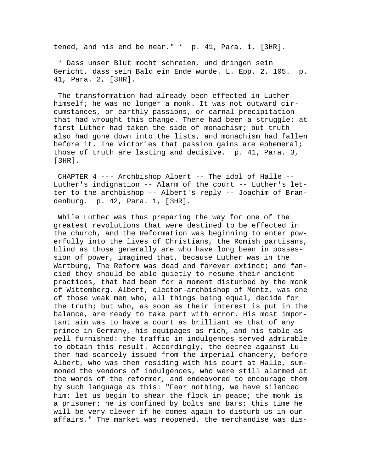tened, and his end be near." \* p. 41, Para. 1, [3HR].

 \* Dass unser Blut mocht schreien, und dringen sein Gericht, dass sein Bald ein Ende wurde. L. Epp. 2. 105. p. 41, Para. 2, [3HR].

 The transformation had already been effected in Luther himself; he was no longer a monk. It was not outward circumstances, or earthly passions, or carnal precipitation that had wrought this change. There had been a struggle: at first Luther had taken the side of monachism; but truth also had gone down into the lists, and monachism had fallen before it. The victories that passion gains are ephemeral; those of truth are lasting and decisive. p. 41, Para. 3, [3HR].

 CHAPTER 4 --- Archbishop Albert -- The idol of Halle -- Luther's indignation -- Alarm of the court -- Luther's letter to the archbishop -- Albert's reply -- Joachim of Brandenburg. p. 42, Para. 1, [3HR].

 While Luther was thus preparing the way for one of the greatest revolutions that were destined to be effected in the church, and the Reformation was beginning to enter powerfully into the lives of Christians, the Romish partisans, blind as those generally are who have long been in possession of power, imagined that, because Luther was in the Wartburg, The Reform was dead and forever extinct; and fancied they should be able quietly to resume their ancient practices, that had been for a moment disturbed by the monk of Wittemberg. Albert, elector-archbishop of Mentz, was one of those weak men who, all things being equal, decide for the truth; but who, as soon as their interest is put in the balance, are ready to take part with error. His most important aim was to have a court as brilliant as that of any prince in Germany, his equipages as rich, and his table as well furnished: the traffic in indulgences served admirable to obtain this result. Accordingly, the decree against Luther had scarcely issued from the imperial chancery, before Albert, who was then residing with his court at Halle, summoned the vendors of indulgences, who were still alarmed at the words of the reformer, and endeavored to encourage them by such language as this: "Fear nothing, we have silenced him; let us begin to shear the flock in peace; the monk is a prisoner; he is confined by bolts and bars; this time he will be very clever if he comes again to disturb us in our affairs." The market was reopened, the merchandise was dis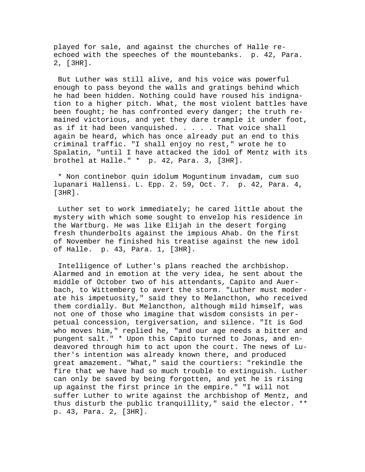played for sale, and against the churches of Halle reechoed with the speeches of the mountebanks. p. 42, Para. 2, [3HR].

 But Luther was still alive, and his voice was powerful enough to pass beyond the walls and gratings behind which he had been hidden. Nothing could have roused his indignation to a higher pitch. What, the most violent battles have been fought; he has confronted every danger; the truth remained victorious, and yet they dare trample it under foot, as if it had been vanquished. . . . . That voice shall again be heard, which has once already put an end to this criminal traffic. "I shall enjoy no rest," wrote he to Spalatin, "until I have attacked the idol of Mentz with its brothel at Halle." \* p. 42, Para. 3, [3HR].

 \* Non continebor quin idolum Moguntinum invadam, cum suo lupanari Hallensi. L. Epp. 2. 59, Oct. 7. p. 42, Para. 4, [3HR].

 Luther set to work immediately; he cared little about the mystery with which some sought to envelop his residence in the Wartburg. He was like Elijah in the desert forging fresh thunderbolts against the impious Ahab. On the first of November he finished his treatise against the new idol of Halle. p. 43, Para. 1, [3HR].

 Intelligence of Luther's plans reached the archbishop. Alarmed and in emotion at the very idea, he sent about the middle of October two of his attendants, Capito and Auerbach, to Wittemberg to avert the storm. "Luther must moderate his impetuosity," said they to Melancthon, who received them cordially. But Melancthon, although mild himself, was not one of those who imagine that wisdom consists in perpetual concession, tergiversation, and silence. "It is God who moves him," replied he, "and our age needs a bitter and pungent salt." \* Upon this Capito turned to Jonas, and endeavored through him to act upon the court. The news of Luther's intention was already known there, and produced great amazement. "What," said the courtiers: "rekindle the fire that we have had so much trouble to extinguish. Luther can only be saved by being forgotten, and yet he is rising up against the first prince in the empire." "I will not suffer Luther to write against the archbishop of Mentz, and thus disturb the public tranquillity," said the elector. \*\* p. 43, Para. 2, [3HR].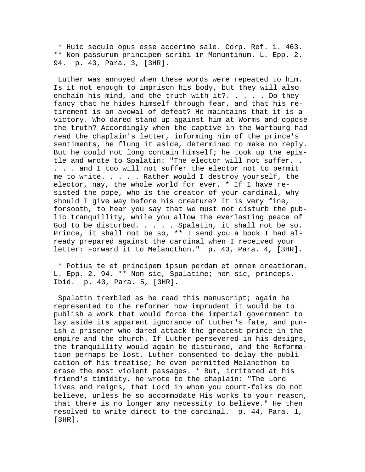\* Huic seculo opus esse accerimo sale. Corp. Ref. 1. 463. \*\* Non passurum principem scribi in Monuntinum. L. Epp. 2. 94. p. 43, Para. 3, [3HR].

 Luther was annoyed when these words were repeated to him. Is it not enough to imprison his body, but they will also enchain his mind, and the truth with it?.  $\ldots$  . . Do they fancy that he hides himself through fear, and that his retirement is an avowal of defeat? He maintains that it is a victory. Who dared stand up against him at Worms and oppose the truth? Accordingly when the captive in the Wartburg had read the chaplain's letter, informing him of the prince's sentiments, he flung it aside, determined to make no reply. But he could not long contain himself; he took up the epistle and wrote to Spalatin: "The elector will not suffer. . . . . and I too will not suffer the elector not to permit me to write. . . . . Rather would I destroy yourself, the elector, nay, the whole world for ever. \* If I have resisted the pope, who is the creator of your cardinal, why should I give way before his creature? It is very fine, forsooth, to hear you say that we must not disturb the public tranquillity, while you allow the everlasting peace of God to be disturbed. . . . . Spalatin, it shall not be so. Prince, it shall not be so, \*\* I send you a book I had already prepared against the cardinal when I received your letter: Forward it to Melancthon." p. 43, Para. 4, [3HR].

 \* Potius te et principem ipsum perdam et omnem creatioram. L. Epp. 2. 94. \*\* Non sic, Spalatine; non sic, princeps. Ibid. p. 43, Para. 5, [3HR].

 Spalatin trembled as he read this manuscript; again he represented to the reformer how imprudent it would be to publish a work that would force the imperial government to lay aside its apparent ignorance of Luther's fate, and punish a prisoner who dared attack the greatest prince in the empire and the church. If Luther persevered in his designs, the tranquillity would again be disturbed, and the Reformation perhaps be lost. Luther consented to delay the publication of his treatise; he even permitted Melancthon to erase the most violent passages. \* But, irritated at his friend's timidity, he wrote to the chaplain: "The Lord lives and reigns, that Lord in whom you court-folks do not believe, unless he so accommodate His works to your reason, that there is no longer any necessity to believe." He then resolved to write direct to the cardinal. p. 44, Para. 1, [3HR].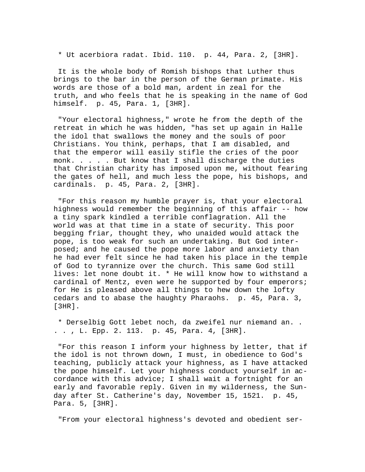\* Ut acerbiora radat. Ibid. 110. p. 44, Para. 2, [3HR].

 It is the whole body of Romish bishops that Luther thus brings to the bar in the person of the German primate. His words are those of a bold man, ardent in zeal for the truth, and who feels that he is speaking in the name of God himself. p. 45, Para. 1, [3HR].

 "Your electoral highness," wrote he from the depth of the retreat in which he was hidden, "has set up again in Halle the idol that swallows the money and the souls of poor Christians. You think, perhaps, that I am disabled, and that the emperor will easily stifle the cries of the poor monk. . . . . But know that I shall discharge the duties that Christian charity has imposed upon me, without fearing the gates of hell, and much less the pope, his bishops, and cardinals. p. 45, Para. 2, [3HR].

 "For this reason my humble prayer is, that your electoral highness would remember the beginning of this affair -- how a tiny spark kindled a terrible conflagration. All the world was at that time in a state of security. This poor begging friar, thought they, who unaided would attack the pope, is too weak for such an undertaking. But God interposed; and he caused the pope more labor and anxiety than he had ever felt since he had taken his place in the temple of God to tyrannize over the church. This same God still lives: let none doubt it. \* He will know how to withstand a cardinal of Mentz, even were he supported by four emperors; for He is pleased above all things to hew down the lofty cedars and to abase the haughty Pharaohs. p. 45, Para. 3, [3HR].

 \* Derselbig Gott lebet noch, da zweifel nur niemand an. . . . , L. Epp. 2. 113. p. 45, Para. 4, [3HR].

 "For this reason I inform your highness by letter, that if the idol is not thrown down, I must, in obedience to God's teaching, publicly attack your highness, as I have attacked the pope himself. Let your highness conduct yourself in accordance with this advice; I shall wait a fortnight for an early and favorable reply. Given in my wilderness, the Sunday after St. Catherine's day, November 15, 1521. p. 45, Para. 5, [3HR].

"From your electoral highness's devoted and obedient ser-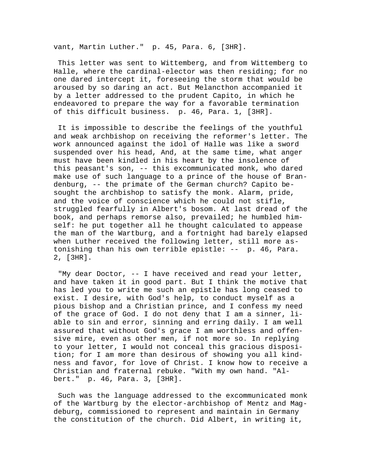vant, Martin Luther." p. 45, Para. 6, [3HR].

 This letter was sent to Wittemberg, and from Wittemberg to Halle, where the cardinal-elector was then residing; for no one dared intercept it, foreseeing the storm that would be aroused by so daring an act. But Melancthon accompanied it by a letter addressed to the prudent Capito, in which he endeavored to prepare the way for a favorable termination of this difficult business. p. 46, Para. 1, [3HR].

 It is impossible to describe the feelings of the youthful and weak archbishop on receiving the reformer's letter. The work announced against the idol of Halle was like a sword suspended over his head, And, at the same time, what anger must have been kindled in his heart by the insolence of this peasant's son, -- this excommunicated monk, who dared make use of such language to a prince of the house of Brandenburg, -- the primate of the German church? Capito besought the archbishop to satisfy the monk. Alarm, pride, and the voice of conscience which he could not stifle, struggled fearfully in Albert's bosom. At last dread of the book, and perhaps remorse also, prevailed; he humbled himself: he put together all he thought calculated to appease the man of the Wartburg, and a fortnight had barely elapsed when Luther received the following letter, still more astonishing than his own terrible epistle: -- p. 46, Para. 2, [3HR].

 "My dear Doctor, -- I have received and read your letter, and have taken it in good part. But I think the motive that has led you to write me such an epistle has long ceased to exist. I desire, with God's help, to conduct myself as a pious bishop and a Christian prince, and I confess my need of the grace of God. I do not deny that I am a sinner, liable to sin and error, sinning and erring daily. I am well assured that without God's grace I am worthless and offensive mire, even as other men, if not more so. In replying to your letter, I would not conceal this gracious disposition; for I am more than desirous of showing you all kindness and favor, for love of Christ. I know how to receive a Christian and fraternal rebuke. "With my own hand. "Albert." p. 46, Para. 3, [3HR].

 Such was the language addressed to the excommunicated monk of the Wartburg by the elector-archbishop of Mentz and Magdeburg, commissioned to represent and maintain in Germany the constitution of the church. Did Albert, in writing it,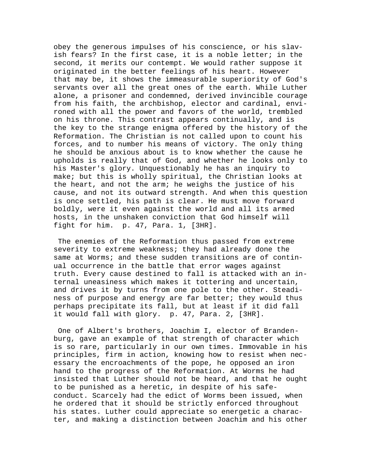obey the generous impulses of his conscience, or his slavish fears? In the first case, it is a noble letter; in the second, it merits our contempt. We would rather suppose it originated in the better feelings of his heart. However that may be, it shows the immeasurable superiority of God's servants over all the great ones of the earth. While Luther alone, a prisoner and condemned, derived invincible courage from his faith, the archbishop, elector and cardinal, environed with all the power and favors of the world, trembled on his throne. This contrast appears continually, and is the key to the strange enigma offered by the history of the Reformation. The Christian is not called upon to count his forces, and to number his means of victory. The only thing he should be anxious about is to know whether the cause he upholds is really that of God, and whether he looks only to his Master's glory. Unquestionably he has an inquiry to make; but this is wholly spiritual, the Christian looks at the heart, and not the arm; he weighs the justice of his cause, and not its outward strength. And when this question is once settled, his path is clear. He must move forward boldly, were it even against the world and all its armed hosts, in the unshaken conviction that God himself will fight for him. p. 47, Para. 1, [3HR].

 The enemies of the Reformation thus passed from extreme severity to extreme weakness; they had already done the same at Worms; and these sudden transitions are of continual occurrence in the battle that error wages against truth. Every cause destined to fall is attacked with an internal uneasiness which makes it tottering and uncertain, and drives it by turns from one pole to the other. Steadiness of purpose and energy are far better; they would thus perhaps precipitate its fall, but at least if it did fall it would fall with glory. p. 47, Para. 2, [3HR].

 One of Albert's brothers, Joachim I, elector of Brandenburg, gave an example of that strength of character which is so rare, particularly in our own times. Immovable in his principles, firm in action, knowing how to resist when necessary the encroachments of the pope, he opposed an iron hand to the progress of the Reformation. At Worms he had insisted that Luther should not be heard, and that he ought to be punished as a heretic, in despite of his safeconduct. Scarcely had the edict of Worms been issued, when he ordered that it should be strictly enforced throughout his states. Luther could appreciate so energetic a character, and making a distinction between Joachim and his other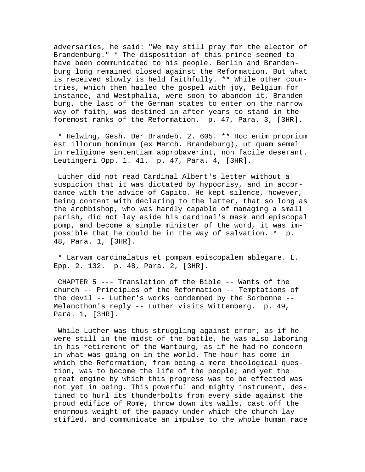adversaries, he said: "We may still pray for the elector of Brandenburg." \* The disposition of this prince seemed to have been communicated to his people. Berlin and Brandenburg long remained closed against the Reformation. But what is received slowly is held faithfully. \*\* While other countries, which then hailed the gospel with joy, Belgium for instance, and Westphalia, were soon to abandon it, Brandenburg, the last of the German states to enter on the narrow way of faith, was destined in after-years to stand in the foremost ranks of the Reformation. p. 47, Para. 3, [3HR].

 \* Helwing, Gesh. Der Brandeb. 2. 605. \*\* Hoc enim proprium est illorum hominum (ex March. Brandeburg), ut quam semel in religione sententiam approbaverint, non facile deserant. Leutingeri Opp. 1. 41. p. 47, Para. 4, [3HR].

 Luther did not read Cardinal Albert's letter without a suspicion that it was dictated by hypocrisy, and in accordance with the advice of Capito. He kept silence, however, being content with declaring to the latter, that so long as the archbishop, who was hardly capable of managing a small parish, did not lay aside his cardinal's mask and episcopal pomp, and become a simple minister of the word, it was impossible that he could be in the way of salvation. \* p. 48, Para. 1, [3HR].

 \* Larvam cardinalatus et pompam episcopalem ablegare. L. Epp. 2. 132. p. 48, Para. 2, [3HR].

 CHAPTER 5 --- Translation of the Bible -- Wants of the church -- Principles of the Reformation -- Temptations of the devil -- Luther's works condemned by the Sorbonne -- Melancthon's reply -- Luther visits Wittemberg. p. 49, Para. 1, [3HR].

 While Luther was thus struggling against error, as if he were still in the midst of the battle, he was also laboring in his retirement of the Wartburg, as if he had no concern in what was going on in the world. The hour has come in which the Reformation, from being a mere theological question, was to become the life of the people; and yet the great engine by which this progress was to be effected was not yet in being. This powerful and mighty instrument, destined to hurl its thunderbolts from every side against the proud edifice of Rome, throw down its walls, cast off the enormous weight of the papacy under which the church lay stifled, and communicate an impulse to the whole human race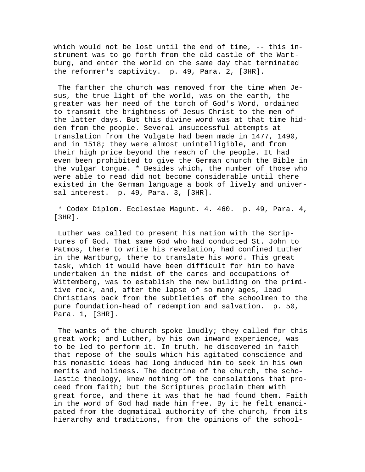which would not be lost until the end of time, -- this instrument was to go forth from the old castle of the Wartburg, and enter the world on the same day that terminated the reformer's captivity. p. 49, Para. 2, [3HR].

 The farther the church was removed from the time when Jesus, the true light of the world, was on the earth, the greater was her need of the torch of God's Word, ordained to transmit the brightness of Jesus Christ to the men of the latter days. But this divine word was at that time hidden from the people. Several unsuccessful attempts at translation from the Vulgate had been made in 1477, 1490, and in 1518; they were almost unintelligible, and from their high price beyond the reach of the people. It had even been prohibited to give the German church the Bible in the vulgar tongue. \* Besides which, the number of those who were able to read did not become considerable until there existed in the German language a book of lively and universal interest. p. 49, Para. 3, [3HR].

 \* Codex Diplom. Ecclesiae Magunt. 4. 460. p. 49, Para. 4, [3HR].

 Luther was called to present his nation with the Scriptures of God. That same God who had conducted St. John to Patmos, there to write his revelation, had confined Luther in the Wartburg, there to translate his word. This great task, which it would have been difficult for him to have undertaken in the midst of the cares and occupations of Wittemberg, was to establish the new building on the primitive rock, and, after the lapse of so many ages, lead Christians back from the subtleties of the schoolmen to the pure foundation-head of redemption and salvation. p. 50, Para. 1, [3HR].

The wants of the church spoke loudly; they called for this great work; and Luther, by his own inward experience, was to be led to perform it. In truth, he discovered in faith that repose of the souls which his agitated conscience and his monastic ideas had long induced him to seek in his own merits and holiness. The doctrine of the church, the scholastic theology, knew nothing of the consolations that proceed from faith; but the Scriptures proclaim them with great force, and there it was that he had found them. Faith in the word of God had made him free. By it he felt emancipated from the dogmatical authority of the church, from its hierarchy and traditions, from the opinions of the school-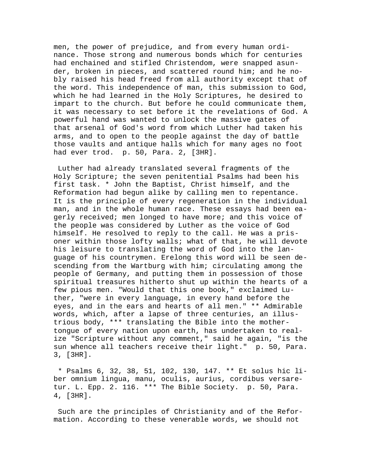men, the power of prejudice, and from every human ordinance. Those strong and numerous bonds which for centuries had enchained and stifled Christendom, were snapped asunder, broken in pieces, and scattered round him; and he nobly raised his head freed from all authority except that of the word. This independence of man, this submission to God, which he had learned in the Holy Scriptures, he desired to impart to the church. But before he could communicate them, it was necessary to set before it the revelations of God. A powerful hand was wanted to unlock the massive gates of that arsenal of God's word from which Luther had taken his arms, and to open to the people against the day of battle those vaults and antique halls which for many ages no foot had ever trod. p. 50, Para. 2, [3HR].

 Luther had already translated several fragments of the Holy Scripture; the seven penitential Psalms had been his first task. \* John the Baptist, Christ himself, and the Reformation had begun alike by calling men to repentance. It is the principle of every regeneration in the individual man, and in the whole human race. These essays had been eagerly received; men longed to have more; and this voice of the people was considered by Luther as the voice of God himself. He resolved to reply to the call. He was a prisoner within those lofty walls; what of that, he will devote his leisure to translating the word of God into the language of his countrymen. Erelong this word will be seen descending from the Wartburg with him; circulating among the people of Germany, and putting them in possession of those spiritual treasures hitherto shut up within the hearts of a few pious men. "Would that this one book," exclaimed Luther, "were in every language, in every hand before the eyes, and in the ears and hearts of all men." \*\* Admirable words, which, after a lapse of three centuries, an illustrious body, \*\*\* translating the Bible into the mothertongue of every nation upon earth, has undertaken to realize "Scripture without any comment," said he again, "is the sun whence all teachers receive their light." p. 50, Para. 3, [3HR].

 \* Psalms 6, 32, 38, 51, 102, 130, 147. \*\* Et solus hic liber omnium lingua, manu, oculis, aurius, cordibus versaretur. L. Epp. 2. 116. \*\*\* The Bible Society. p. 50, Para. 4, [3HR].

 Such are the principles of Christianity and of the Reformation. According to these venerable words, we should not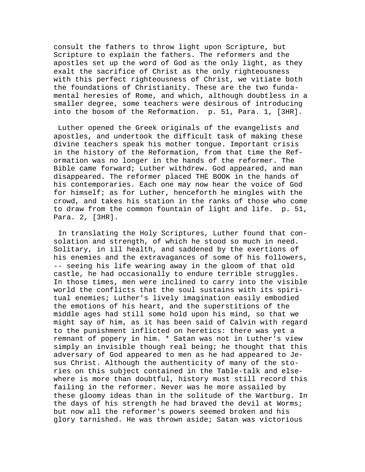consult the fathers to throw light upon Scripture, but Scripture to explain the fathers. The reformers and the apostles set up the word of God as the only light, as they exalt the sacrifice of Christ as the only righteousness with this perfect righteousness of Christ, we vitiate both the foundations of Christianity. These are the two fundamental heresies of Rome, and which, although doubtless in a smaller degree, some teachers were desirous of introducing into the bosom of the Reformation. p. 51, Para. 1, [3HR].

 Luther opened the Greek originals of the evangelists and apostles, and undertook the difficult task of making these divine teachers speak his mother tongue. Important crisis in the history of the Reformation, from that time the Reformation was no longer in the hands of the reformer. The Bible came forward; Luther withdrew. God appeared, and man disappeared. The reformer placed THE BOOK in the hands of his contemporaries. Each one may now hear the voice of God for himself; as for Luther, henceforth he mingles with the crowd, and takes his station in the ranks of those who come to draw from the common fountain of light and life. p. 51, Para. 2, [3HR].

 In translating the Holy Scriptures, Luther found that consolation and strength, of which he stood so much in need. Solitary, in ill health, and saddened by the exertions of his enemies and the extravagances of some of his followers, -- seeing his life wearing away in the gloom of that old castle, he had occasionally to endure terrible struggles. In those times, men were inclined to carry into the visible world the conflicts that the soul sustains with its spiritual enemies; Luther's lively imagination easily embodied the emotions of his heart, and the superstitions of the middle ages had still some hold upon his mind, so that we might say of him, as it has been said of Calvin with regard to the punishment inflicted on heretics: there was yet a remnant of popery in him. \* Satan was not in Luther's view simply an invisible though real being; he thought that this adversary of God appeared to men as he had appeared to Jesus Christ. Although the authenticity of many of the stories on this subject contained in the Table-talk and elsewhere is more than doubtful, history must still record this failing in the reformer. Never was he more assailed by these gloomy ideas than in the solitude of the Wartburg. In the days of his strength he had braved the devil at Worms; but now all the reformer's powers seemed broken and his glory tarnished. He was thrown aside; Satan was victorious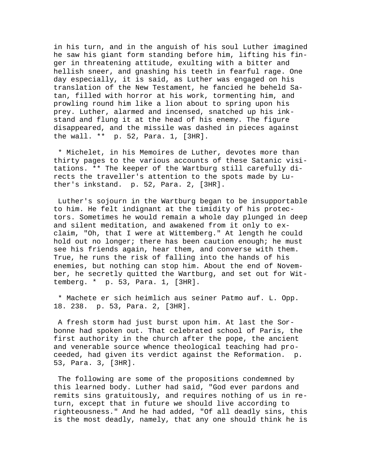in his turn, and in the anguish of his soul Luther imagined he saw his giant form standing before him, lifting his finger in threatening attitude, exulting with a bitter and hellish sneer, and gnashing his teeth in fearful rage. One day especially, it is said, as Luther was engaged on his translation of the New Testament, he fancied he beheld Satan, filled with horror at his work, tormenting him, and prowling round him like a lion about to spring upon his prey. Luther, alarmed and incensed, snatched up his inkstand and flung it at the head of his enemy. The figure disappeared, and the missile was dashed in pieces against the wall. \*\* p. 52, Para. 1, [3HR].

 \* Michelet, in his Memoires de Luther, devotes more than thirty pages to the various accounts of these Satanic visitations. \*\* The keeper of the Wartburg still carefully directs the traveller's attention to the spots made by Luther's inkstand. p. 52, Para. 2, [3HR].

 Luther's sojourn in the Wartburg began to be insupportable to him. He felt indignant at the timidity of his protectors. Sometimes he would remain a whole day plunged in deep and silent meditation, and awakened from it only to exclaim, "Oh, that I were at Wittemberg." At length he could hold out no longer; there has been caution enough; he must see his friends again, hear them, and converse with them. True, he runs the risk of falling into the hands of his enemies, but nothing can stop him. About the end of November, he secretly quitted the Wartburg, and set out for Wittemberg. \* p. 53, Para. 1, [3HR].

 \* Machete er sich heimlich aus seiner Patmo auf. L. Opp. 18. 238. p. 53, Para. 2, [3HR].

 A fresh storm had just burst upon him. At last the Sorbonne had spoken out. That celebrated school of Paris, the first authority in the church after the pope, the ancient and venerable source whence theological teaching had proceeded, had given its verdict against the Reformation. p. 53, Para. 3, [3HR].

 The following are some of the propositions condemned by this learned body. Luther had said, "God ever pardons and remits sins gratuitously, and requires nothing of us in return, except that in future we should live according to righteousness." And he had added, "Of all deadly sins, this is the most deadly, namely, that any one should think he is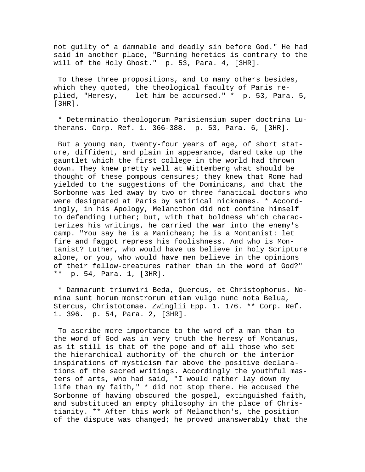not guilty of a damnable and deadly sin before God." He had said in another place, "Burning heretics is contrary to the will of the Holy Ghost." p. 53, Para. 4, [3HR].

 To these three propositions, and to many others besides, which they quoted, the theological faculty of Paris replied, "Heresy, -- let him be accursed." \* p. 53, Para. 5, [3HR].

 \* Determinatio theologorum Parisiensium super doctrina Lutherans. Corp. Ref. 1. 366-388. p. 53, Para. 6, [3HR].

 But a young man, twenty-four years of age, of short stature, diffident, and plain in appearance, dared take up the gauntlet which the first college in the world had thrown down. They knew pretty well at Wittemberg what should be thought of these pompous censures; they knew that Rome had yielded to the suggestions of the Dominicans, and that the Sorbonne was led away by two or three fanatical doctors who were designated at Paris by satirical nicknames. \* Accordingly, in his Apology, Melancthon did not confine himself to defending Luther; but, with that boldness which characterizes his writings, he carried the war into the enemy's camp. "You say he is a Manichean; he is a Montanist: let fire and faggot repress his foolishness. And who is Montanist? Luther, who would have us believe in holy Scripture alone, or you, who would have men believe in the opinions of their fellow-creatures rather than in the word of God?" \*\* p. 54, Para. 1, [3HR].

 \* Damnarunt triumviri Beda, Quercus, et Christophorus. Nomina sunt horum monstrorum etiam vulgo nunc nota Belua, Stercus, Christotomae. Zwinglii Epp. 1. 176. \*\* Corp. Ref. 1. 396. p. 54, Para. 2, [3HR].

 To ascribe more importance to the word of a man than to the word of God was in very truth the heresy of Montanus, as it still is that of the pope and of all those who set the hierarchical authority of the church or the interior inspirations of mysticism far above the positive declarations of the sacred writings. Accordingly the youthful masters of arts, who had said, "I would rather lay down my life than my faith," \* did not stop there. He accused the Sorbonne of having obscured the gospel, extinguished faith, and substituted an empty philosophy in the place of Christianity. \*\* After this work of Melancthon's, the position of the dispute was changed; he proved unanswerably that the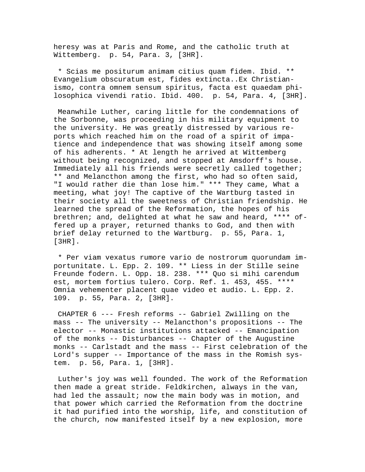heresy was at Paris and Rome, and the catholic truth at Wittemberg. p. 54, Para. 3, [3HR].

 \* Scias me positurum animam citius quam fidem. Ibid. \*\* Evangelium obscuratum est, fides extincta..Ex Christianismo, contra omnem sensum spiritus, facta est quaedam philosophica vivendi ratio. Ibid. 400. p. 54, Para. 4, [3HR].

 Meanwhile Luther, caring little for the condemnations of the Sorbonne, was proceeding in his military equipment to the university. He was greatly distressed by various reports which reached him on the road of a spirit of impatience and independence that was showing itself among some of his adherents. \* At length he arrived at Wittemberg without being recognized, and stopped at Amsdorff's house. Immediately all his friends were secretly called together; \*\* and Melancthon among the first, who had so often said, "I would rather die than lose him." \*\*\* They came, What a meeting, what joy! The captive of the Wartburg tasted in their society all the sweetness of Christian friendship. He learned the spread of the Reformation, the hopes of his brethren; and, delighted at what he saw and heard, \*\*\*\* offered up a prayer, returned thanks to God, and then with brief delay returned to the Wartburg. p. 55, Para. 1, [3HR].

 \* Per viam vexatus rumore vario de nostrorum quorundam importunitate. L. Epp. 2. 109. \*\* Liess in der Stille seine Freunde fodern. L. Opp. 18. 238. \*\*\* Quo si mihi carendum est, mortem fortius tulero. Corp. Ref. 1. 453, 455. \*\*\*\* Omnia vehementer placent quae video et audio. L. Epp. 2. 109. p. 55, Para. 2, [3HR].

 CHAPTER 6 --- Fresh reforms -- Gabriel Zwilling on the mass -- The university -- Melancthon's propositions -- The elector -- Monastic institutions attacked -- Emancipation of the monks -- Disturbances -- Chapter of the Augustine monks -- Carlstadt and the mass -- First celebration of the Lord's supper -- Importance of the mass in the Romish system. p. 56, Para. 1, [3HR].

 Luther's joy was well founded. The work of the Reformation then made a great stride. Feldkirchen, always in the van, had led the assault; now the main body was in motion, and that power which carried the Reformation from the doctrine it had purified into the worship, life, and constitution of the church, now manifested itself by a new explosion, more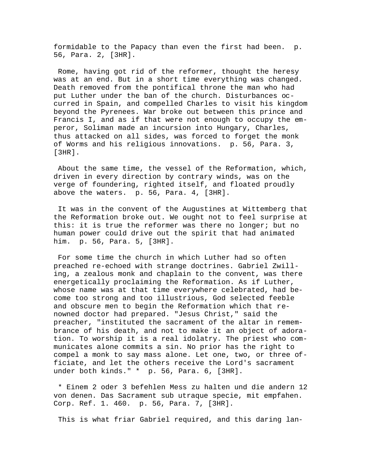formidable to the Papacy than even the first had been. p. 56, Para. 2, [3HR].

 Rome, having got rid of the reformer, thought the heresy was at an end. But in a short time everything was changed. Death removed from the pontifical throne the man who had put Luther under the ban of the church. Disturbances occurred in Spain, and compelled Charles to visit his kingdom beyond the Pyrenees. War broke out between this prince and Francis I, and as if that were not enough to occupy the emperor, Soliman made an incursion into Hungary, Charles, thus attacked on all sides, was forced to forget the monk of Worms and his religious innovations. p. 56, Para. 3, [3HR].

 About the same time, the vessel of the Reformation, which, driven in every direction by contrary winds, was on the verge of foundering, righted itself, and floated proudly above the waters. p. 56, Para. 4, [3HR].

 It was in the convent of the Augustines at Wittemberg that the Reformation broke out. We ought not to feel surprise at this: it is true the reformer was there no longer; but no human power could drive out the spirit that had animated him. p. 56, Para. 5, [3HR].

 For some time the church in which Luther had so often preached re-echoed with strange doctrines. Gabriel Zwilling, a zealous monk and chaplain to the convent, was there energetically proclaiming the Reformation. As if Luther, whose name was at that time everywhere celebrated, had become too strong and too illustrious, God selected feeble and obscure men to begin the Reformation which that renowned doctor had prepared. "Jesus Christ," said the preacher, "instituted the sacrament of the altar in remembrance of his death, and not to make it an object of adoration. To worship it is a real idolatry. The priest who communicates alone commits a sin. No prior has the right to compel a monk to say mass alone. Let one, two, or three officiate, and let the others receive the Lord's sacrament under both kinds." \* p. 56, Para. 6, [3HR].

 \* Einem 2 oder 3 befehlen Mess zu halten und die andern 12 von denen. Das Sacrament sub utraque specie, mit empfahen. Corp. Ref. 1. 460. p. 56, Para. 7, [3HR].

This is what friar Gabriel required, and this daring lan-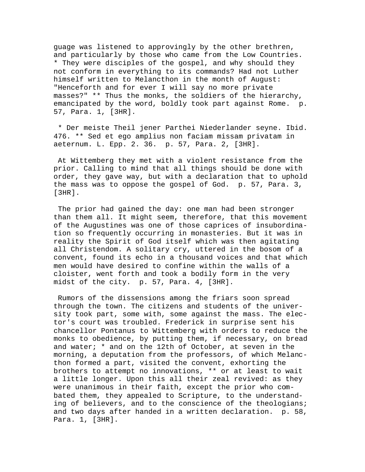guage was listened to approvingly by the other brethren, and particularly by those who came from the Low Countries. \* They were disciples of the gospel, and why should they not conform in everything to its commands? Had not Luther himself written to Melancthon in the month of August: "Henceforth and for ever I will say no more private masses?" \*\* Thus the monks, the soldiers of the hierarchy, emancipated by the word, boldly took part against Rome. p. 57, Para. 1, [3HR].

 \* Der meiste Theil jener Parthei Niederlander seyne. Ibid. 476. \*\* Sed et ego amplius non faciam missam privatam in aeternum. L. Epp. 2. 36. p. 57, Para. 2, [3HR].

 At Wittemberg they met with a violent resistance from the prior. Calling to mind that all things should be done with order, they gave way, but with a declaration that to uphold the mass was to oppose the gospel of God. p. 57, Para. 3, [3HR].

 The prior had gained the day: one man had been stronger than them all. It might seem, therefore, that this movement of the Augustines was one of those caprices of insubordination so frequently occurring in monasteries. But it was in reality the Spirit of God itself which was then agitating all Christendom. A solitary cry, uttered in the bosom of a convent, found its echo in a thousand voices and that which men would have desired to confine within the walls of a cloister, went forth and took a bodily form in the very midst of the city. p. 57, Para. 4, [3HR].

 Rumors of the dissensions among the friars soon spread through the town. The citizens and students of the university took part, some with, some against the mass. The elector's court was troubled. Frederick in surprise sent his chancellor Pontanus to Wittemberg with orders to reduce the monks to obedience, by putting them, if necessary, on bread and water;  $*$  and on the 12th of October, at seven in the morning, a deputation from the professors, of which Melancthon formed a part, visited the convent, exhorting the brothers to attempt no innovations, \*\* or at least to wait a little longer. Upon this all their zeal revived: as they were unanimous in their faith, except the prior who combated them, they appealed to Scripture, to the understanding of believers, and to the conscience of the theologians; and two days after handed in a written declaration. p. 58, Para. 1, [3HR].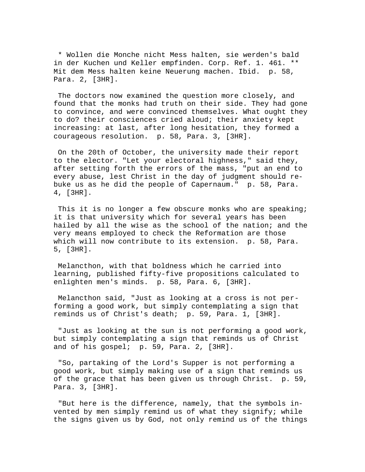\* Wollen die Monche nicht Mess halten, sie werden's bald in der Kuchen und Keller empfinden. Corp. Ref. 1. 461. \*\* Mit dem Mess halten keine Neuerung machen. Ibid. p. 58, Para. 2, [3HR].

 The doctors now examined the question more closely, and found that the monks had truth on their side. They had gone to convince, and were convinced themselves. What ought they to do? their consciences cried aloud; their anxiety kept increasing: at last, after long hesitation, they formed a courageous resolution. p. 58, Para. 3, [3HR].

 On the 20th of October, the university made their report to the elector. "Let your electoral highness," said they, after setting forth the errors of the mass, "put an end to every abuse, lest Christ in the day of judgment should rebuke us as he did the people of Capernaum." p. 58, Para. 4, [3HR].

 This it is no longer a few obscure monks who are speaking; it is that university which for several years has been hailed by all the wise as the school of the nation; and the very means employed to check the Reformation are those which will now contribute to its extension. p. 58, Para. 5, [3HR].

 Melancthon, with that boldness which he carried into learning, published fifty-five propositions calculated to enlighten men's minds. p. 58, Para. 6, [3HR].

 Melancthon said, "Just as looking at a cross is not performing a good work, but simply contemplating a sign that reminds us of Christ's death; p. 59, Para. 1, [3HR].

 "Just as looking at the sun is not performing a good work, but simply contemplating a sign that reminds us of Christ and of his gospel; p. 59, Para. 2, [3HR].

 "So, partaking of the Lord's Supper is not performing a good work, but simply making use of a sign that reminds us of the grace that has been given us through Christ. p. 59, Para. 3, [3HR].

 "But here is the difference, namely, that the symbols invented by men simply remind us of what they signify; while the signs given us by God, not only remind us of the things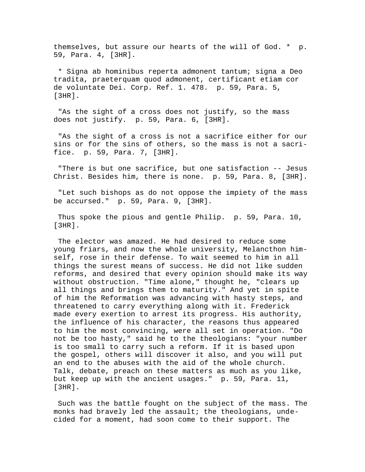themselves, but assure our hearts of the will of God. \* p. 59, Para. 4, [3HR].

 \* Signa ab hominibus reperta admonent tantum; signa a Deo tradita, praeterquam quod admonent, certificant etiam cor de voluntate Dei. Corp. Ref. 1. 478. p. 59, Para. 5, [3HR].

 "As the sight of a cross does not justify, so the mass does not justify. p. 59, Para. 6, [3HR].

 "As the sight of a cross is not a sacrifice either for our sins or for the sins of others, so the mass is not a sacrifice. p. 59, Para. 7, [3HR].

 "There is but one sacrifice, but one satisfaction -- Jesus Christ. Besides him, there is none. p. 59, Para. 8, [3HR].

 "Let such bishops as do not oppose the impiety of the mass be accursed." p. 59, Para. 9, [3HR].

 Thus spoke the pious and gentle Philip. p. 59, Para. 10, [3HR].

 The elector was amazed. He had desired to reduce some young friars, and now the whole university, Melancthon himself, rose in their defense. To wait seemed to him in all things the surest means of success. He did not like sudden reforms, and desired that every opinion should make its way without obstruction. "Time alone," thought he, "clears up all things and brings them to maturity." And yet in spite of him the Reformation was advancing with hasty steps, and threatened to carry everything along with it. Frederick made every exertion to arrest its progress. His authority, the influence of his character, the reasons thus appeared to him the most convincing, were all set in operation. "Do not be too hasty," said he to the theologians: "your number is too small to carry such a reform. If it is based upon the gospel, others will discover it also, and you will put an end to the abuses with the aid of the whole church. Talk, debate, preach on these matters as much as you like, but keep up with the ancient usages." p. 59, Para. 11, [3HR].

 Such was the battle fought on the subject of the mass. The monks had bravely led the assault; the theologians, undecided for a moment, had soon come to their support. The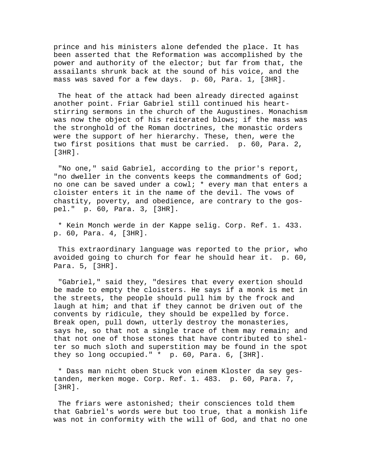prince and his ministers alone defended the place. It has been asserted that the Reformation was accomplished by the power and authority of the elector; but far from that, the assailants shrunk back at the sound of his voice, and the mass was saved for a few days. p. 60, Para. 1, [3HR].

 The heat of the attack had been already directed against another point. Friar Gabriel still continued his heartstirring sermons in the church of the Augustines. Monachism was now the object of his reiterated blows; if the mass was the stronghold of the Roman doctrines, the monastic orders were the support of her hierarchy. These, then, were the two first positions that must be carried. p. 60, Para. 2, [3HR].

 "No one," said Gabriel, according to the prior's report, "no dweller in the convents keeps the commandments of God; no one can be saved under a cowl; \* every man that enters a cloister enters it in the name of the devil. The vows of chastity, poverty, and obedience, are contrary to the gospel." p. 60, Para. 3, [3HR].

 \* Kein Monch werde in der Kappe selig. Corp. Ref. 1. 433. p. 60, Para. 4, [3HR].

 This extraordinary language was reported to the prior, who avoided going to church for fear he should hear it. p. 60, Para. 5, [3HR].

 "Gabriel," said they, "desires that every exertion should be made to empty the cloisters. He says if a monk is met in the streets, the people should pull him by the frock and laugh at him; and that if they cannot be driven out of the convents by ridicule, they should be expelled by force. Break open, pull down, utterly destroy the monasteries, says he, so that not a single trace of them may remain; and that not one of those stones that have contributed to shelter so much sloth and superstition may be found in the spot they so long occupied." \* p. 60, Para. 6, [3HR].

 \* Dass man nicht oben Stuck von einem Kloster da sey gestanden, merken moge. Corp. Ref. 1. 483. p. 60, Para. 7, [3HR].

 The friars were astonished; their consciences told them that Gabriel's words were but too true, that a monkish life was not in conformity with the will of God, and that no one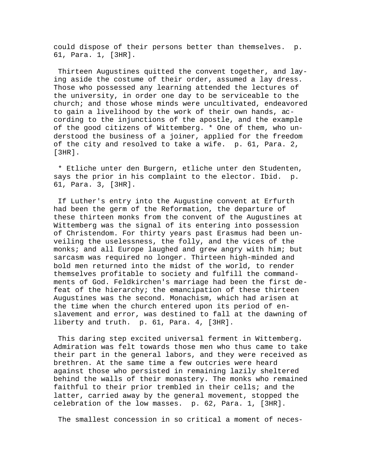could dispose of their persons better than themselves. p. 61, Para. 1, [3HR].

 Thirteen Augustines quitted the convent together, and laying aside the costume of their order, assumed a lay dress. Those who possessed any learning attended the lectures of the university, in order one day to be serviceable to the church; and those whose minds were uncultivated, endeavored to gain a livelihood by the work of their own hands, according to the injunctions of the apostle, and the example of the good citizens of Wittemberg. \* One of them, who understood the business of a joiner, applied for the freedom of the city and resolved to take a wife. p. 61, Para. 2, [3HR].

 \* Etliche unter den Burgern, etliche unter den Studenten, says the prior in his complaint to the elector. Ibid. p. 61, Para. 3, [3HR].

 If Luther's entry into the Augustine convent at Erfurth had been the germ of the Reformation, the departure of these thirteen monks from the convent of the Augustines at Wittemberg was the signal of its entering into possession of Christendom. For thirty years past Erasmus had been unveiling the uselessness, the folly, and the vices of the monks; and all Europe laughed and grew angry with him; but sarcasm was required no longer. Thirteen high-minded and bold men returned into the midst of the world, to render themselves profitable to society and fulfill the commandments of God. Feldkirchen's marriage had been the first defeat of the hierarchy; the emancipation of these thirteen Augustines was the second. Monachism, which had arisen at the time when the church entered upon its period of enslavement and error, was destined to fall at the dawning of liberty and truth. p. 61, Para. 4, [3HR].

 This daring step excited universal ferment in Wittemberg. Admiration was felt towards those men who thus came to take their part in the general labors, and they were received as brethren. At the same time a few outcries were heard against those who persisted in remaining lazily sheltered behind the walls of their monastery. The monks who remained faithful to their prior trembled in their cells; and the latter, carried away by the general movement, stopped the celebration of the low masses. p. 62, Para. 1, [3HR].

The smallest concession in so critical a moment of neces-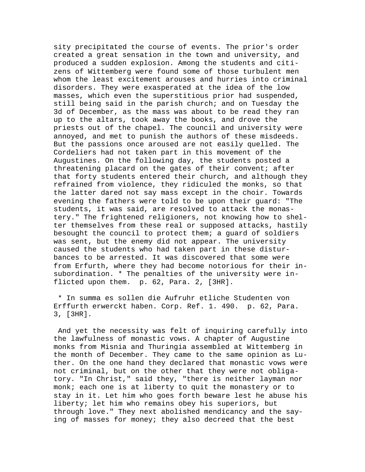sity precipitated the course of events. The prior's order created a great sensation in the town and university, and produced a sudden explosion. Among the students and citizens of Wittemberg were found some of those turbulent men whom the least excitement arouses and hurries into criminal disorders. They were exasperated at the idea of the low masses, which even the superstitious prior had suspended, still being said in the parish church; and on Tuesday the 3d of December, as the mass was about to be read they ran up to the altars, took away the books, and drove the priests out of the chapel. The council and university were annoyed, and met to punish the authors of these misdeeds. But the passions once aroused are not easily quelled. The Cordeliers had not taken part in this movement of the Augustines. On the following day, the students posted a threatening placard on the gates of their convent; after that forty students entered their church, and although they refrained from violence, they ridiculed the monks, so that the latter dared not say mass except in the choir. Towards evening the fathers were told to be upon their guard: "The students, it was said, are resolved to attack the monastery." The frightened religioners, not knowing how to shelter themselves from these real or supposed attacks, hastily besought the council to protect them; a guard of soldiers was sent, but the enemy did not appear. The university caused the students who had taken part in these disturbances to be arrested. It was discovered that some were from Erfurth, where they had become notorious for their insubordination. \* The penalties of the university were inflicted upon them. p. 62, Para. 2, [3HR].

 \* In summa es sollen die Aufruhr etliche Studenten von Erffurth erwerckt haben. Corp. Ref. 1. 490. p. 62, Para. 3, [3HR].

 And yet the necessity was felt of inquiring carefully into the lawfulness of monastic vows. A chapter of Augustine monks from Misnia and Thuringia assembled at Wittemberg in the month of December. They came to the same opinion as Luther. On the one hand they declared that monastic vows were not criminal, but on the other that they were not obligatory. "In Christ," said they, "there is neither layman nor monk; each one is at liberty to quit the monastery or to stay in it. Let him who goes forth beware lest he abuse his liberty; let him who remains obey his superiors, but through love." They next abolished mendicancy and the saying of masses for money; they also decreed that the best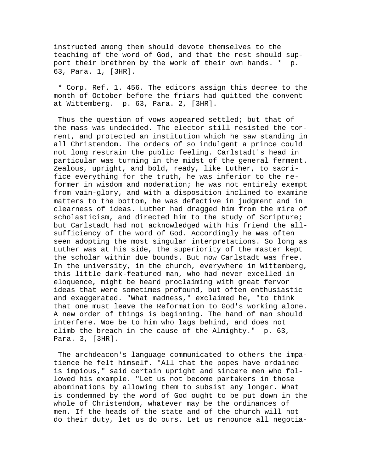instructed among them should devote themselves to the teaching of the word of God, and that the rest should support their brethren by the work of their own hands. \* p. 63, Para. 1, [3HR].

 \* Corp. Ref. 1. 456. The editors assign this decree to the month of October before the friars had quitted the convent at Wittemberg. p. 63, Para. 2, [3HR].

Thus the question of vows appeared settled; but that of the mass was undecided. The elector still resisted the torrent, and protected an institution which he saw standing in all Christendom. The orders of so indulgent a prince could not long restrain the public feeling. Carlstadt's head in particular was turning in the midst of the general ferment. Zealous, upright, and bold, ready, like Luther, to sacrifice everything for the truth, he was inferior to the reformer in wisdom and moderation; he was not entirely exempt from vain-glory, and with a disposition inclined to examine matters to the bottom, he was defective in judgment and in clearness of ideas. Luther had dragged him from the mire of scholasticism, and directed him to the study of Scripture; but Carlstadt had not acknowledged with his friend the allsufficiency of the word of God. Accordingly he was often seen adopting the most singular interpretations. So long as Luther was at his side, the superiority of the master kept the scholar within due bounds. But now Carlstadt was free. In the university, in the church, everywhere in Wittemberg, this little dark-featured man, who had never excelled in eloquence, might be heard proclaiming with great fervor ideas that were sometimes profound, but often enthusiastic and exaggerated. "What madness," exclaimed he, "to think that one must leave the Reformation to God's working alone. A new order of things is beginning. The hand of man should interfere. Woe be to him who lags behind, and does not climb the breach in the cause of the Almighty." p. 63, Para. 3, [3HR].

 The archdeacon's language communicated to others the impatience he felt himself. "All that the popes have ordained is impious," said certain upright and sincere men who followed his example. "Let us not become partakers in those abominations by allowing them to subsist any longer. What is condemned by the word of God ought to be put down in the whole of Christendom, whatever may be the ordinances of men. If the heads of the state and of the church will not do their duty, let us do ours. Let us renounce all negotia-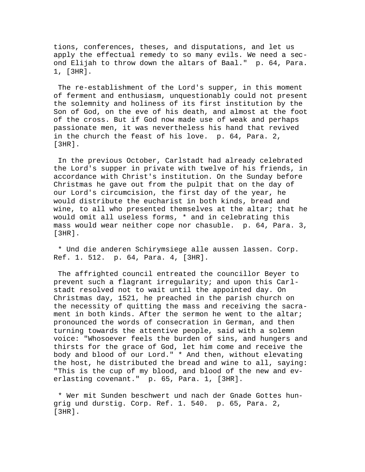tions, conferences, theses, and disputations, and let us apply the effectual remedy to so many evils. We need a second Elijah to throw down the altars of Baal." p. 64, Para. 1, [3HR].

 The re-establishment of the Lord's supper, in this moment of ferment and enthusiasm, unquestionably could not present the solemnity and holiness of its first institution by the Son of God, on the eve of his death, and almost at the foot of the cross. But if God now made use of weak and perhaps passionate men, it was nevertheless his hand that revived in the church the feast of his love. p. 64, Para. 2, [3HR].

 In the previous October, Carlstadt had already celebrated the Lord's supper in private with twelve of his friends, in accordance with Christ's institution. On the Sunday before Christmas he gave out from the pulpit that on the day of our Lord's circumcision, the first day of the year, he would distribute the eucharist in both kinds, bread and wine, to all who presented themselves at the altar; that he would omit all useless forms, \* and in celebrating this mass would wear neither cope nor chasuble. p. 64, Para. 3, [3HR].

 \* Und die anderen Schirymsiege alle aussen lassen. Corp. Ref. 1. 512. p. 64, Para. 4, [3HR].

 The affrighted council entreated the councillor Beyer to prevent such a flagrant irregularity; and upon this Carlstadt resolved not to wait until the appointed day. On Christmas day, 1521, he preached in the parish church on the necessity of quitting the mass and receiving the sacrament in both kinds. After the sermon he went to the altar; pronounced the words of consecration in German, and then turning towards the attentive people, said with a solemn voice: "Whosoever feels the burden of sins, and hungers and thirsts for the grace of God, let him come and receive the body and blood of our Lord." \* And then, without elevating the host, he distributed the bread and wine to all, saying: "This is the cup of my blood, and blood of the new and everlasting covenant." p. 65, Para. 1, [3HR].

 \* Wer mit Sunden beschwert und nach der Gnade Gottes hungrig und durstig. Corp. Ref. 1. 540. p. 65, Para. 2, [3HR].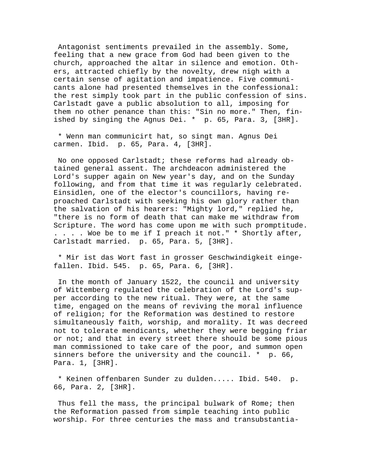Antagonist sentiments prevailed in the assembly. Some, feeling that a new grace from God had been given to the church, approached the altar in silence and emotion. Others, attracted chiefly by the novelty, drew nigh with a certain sense of agitation and impatience. Five communicants alone had presented themselves in the confessional: the rest simply took part in the public confession of sins. Carlstadt gave a public absolution to all, imposing for them no other penance than this: "Sin no more." Then, finished by singing the Agnus Dei. \* p. 65, Para. 3, [3HR].

 \* Wenn man communicirt hat, so singt man. Agnus Dei carmen. Ibid. p. 65, Para. 4, [3HR].

 No one opposed Carlstadt; these reforms had already obtained general assent. The archdeacon administered the Lord's supper again on New year's day, and on the Sunday following, and from that time it was regularly celebrated. Einsidlen, one of the elector's councillors, having reproached Carlstadt with seeking his own glory rather than the salvation of his hearers: "Mighty lord," replied he, "there is no form of death that can make me withdraw from Scripture. The word has come upon me with such promptitude. . . . . Woe be to me if I preach it not." \* Shortly after, Carlstadt married. p. 65, Para. 5, [3HR].

 \* Mir ist das Wort fast in grosser Geschwindigkeit eingefallen. Ibid. 545. p. 65, Para. 6, [3HR].

 In the month of January 1522, the council and university of Wittemberg regulated the celebration of the Lord's supper according to the new ritual. They were, at the same time, engaged on the means of reviving the moral influence of religion; for the Reformation was destined to restore simultaneously faith, worship, and morality. It was decreed not to tolerate mendicants, whether they were begging friar or not; and that in every street there should be some pious man commissioned to take care of the poor, and summon open sinners before the university and the council. \* p. 66, Para. 1, [3HR].

 \* Keinen offenbaren Sunder zu dulden..... Ibid. 540. p. 66, Para. 2, [3HR].

 Thus fell the mass, the principal bulwark of Rome; then the Reformation passed from simple teaching into public worship. For three centuries the mass and transubstantia-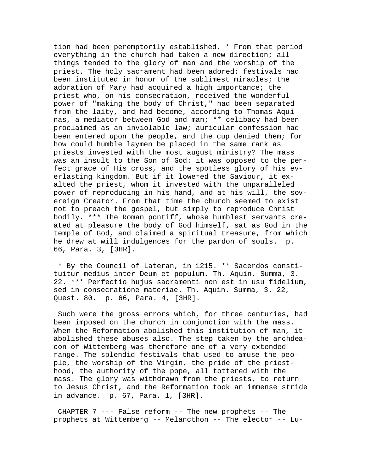tion had been peremptorily established. \* From that period everything in the church had taken a new direction; all things tended to the glory of man and the worship of the priest. The holy sacrament had been adored; festivals had been instituted in honor of the sublimest miracles; the adoration of Mary had acquired a high importance; the priest who, on his consecration, received the wonderful power of "making the body of Christ," had been separated from the laity, and had become, according to Thomas Aquinas, a mediator between God and man; \*\* celibacy had been proclaimed as an inviolable law; auricular confession had been entered upon the people, and the cup denied them; for how could humble laymen be placed in the same rank as priests invested with the most august ministry? The mass was an insult to the Son of God: it was opposed to the perfect grace of His cross, and the spotless glory of his everlasting kingdom. But if it lowered the Saviour, it exalted the priest, whom it invested with the unparalleled power of reproducing in his hand, and at his will, the sovereign Creator. From that time the church seemed to exist not to preach the gospel, but simply to reproduce Christ bodily. \*\*\* The Roman pontiff, whose humblest servants created at pleasure the body of God himself, sat as God in the temple of God, and claimed a spiritual treasure, from which he drew at will indulgences for the pardon of souls. p. 66, Para. 3, [3HR].

 \* By the Council of Lateran, in 1215. \*\* Sacerdos constituitur medius inter Deum et populum. Th. Aquin. Summa, 3. 22. \*\*\* Perfectio hujus sacramenti non est in usu fidelium, sed in consecratione materiae. Th. Aquin. Summa, 3. 22, Quest. 80. p. 66, Para. 4, [3HR].

 Such were the gross errors which, for three centuries, had been imposed on the church in conjunction with the mass. When the Reformation abolished this institution of man, it abolished these abuses also. The step taken by the archdeacon of Wittemberg was therefore one of a very extended range. The splendid festivals that used to amuse the people, the worship of the Virgin, the pride of the priesthood, the authority of the pope, all tottered with the mass. The glory was withdrawn from the priests, to return to Jesus Christ, and the Reformation took an immense stride in advance. p. 67, Para. 1, [3HR].

 CHAPTER 7 --- False reform -- The new prophets -- The prophets at Wittemberg -- Melancthon -- The elector -- Lu-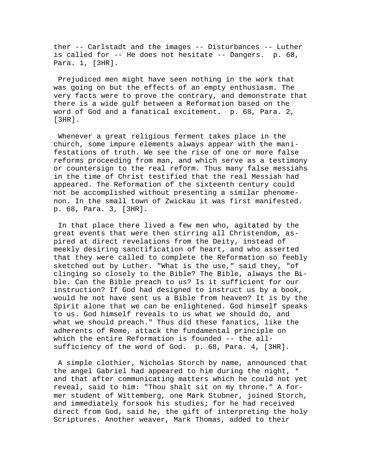ther -- Carlstadt and the images -- Disturbances -- Luther is called for -- He does not hesitate -- Dangers. p. 68, Para. 1, [3HR].

 Prejudiced men might have seen nothing in the work that was going on but the effects of an empty enthusiasm. The very facts were to prove the contrary, and demonstrate that there is a wide gulf between a Reformation based on the word of God and a fanatical excitement. p. 68, Para. 2, [3HR].

 Whenever a great religious ferment takes place in the church, some impure elements always appear with the manifestations of truth. We see the rise of one or more false reforms proceeding from man, and which serve as a testimony or countersign to the real reform. Thus many false messiahs in the time of Christ testified that the real Messiah had appeared. The Reformation of the sixteenth century could not be accomplished without presenting a similar phenomenon. In the small town of Zwickau it was first manifested. p. 68, Para. 3, [3HR].

 In that place there lived a few men who, agitated by the great events that were then stirring all Christendom, aspired at direct revelations from the Deity, instead of meekly desiring sanctification of heart, and who asserted that they were called to complete the Reformation so feebly sketched out by Luther. "What is the use," said they, "of clinging so closely to the Bible? The Bible, always the Bible. Can the Bible preach to us? Is it sufficient for our instruction? If God had designed to instruct us by a book, would he not have sent us a Bible from heaven? It is by the Spirit alone that we can be enlightened. God himself speaks to us. God himself reveals to us what we should do, and what we should preach." Thus did these fanatics, like the adherents of Rome, attack the fundamental principle on which the entire Reformation is founded -- the allsufficiency of the word of God. p. 68, Para. 4, [3HR].

 A simple clothier, Nicholas Storch by name, announced that the angel Gabriel had appeared to him during the night, \* and that after communicating matters which he could not yet reveal, said to him: "Thou shalt sit on my throne." A former student of Wittemberg, one Mark Stubner, joined Storch, and immediately forsook his studies; for he had received direct from God, said he, the gift of interpreting the holy Scriptures. Another weaver, Mark Thomas, added to their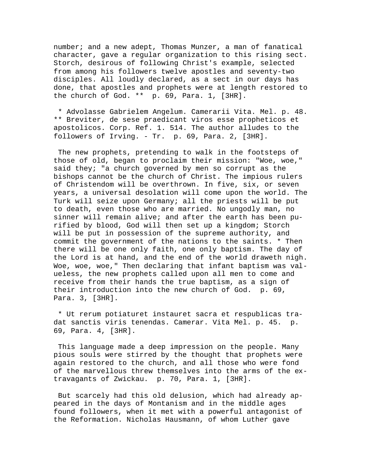number; and a new adept, Thomas Munzer, a man of fanatical character, gave a regular organization to this rising sect. Storch, desirous of following Christ's example, selected from among his followers twelve apostles and seventy-two disciples. All loudly declared, as a sect in our days has done, that apostles and prophets were at length restored to the church of God. \*\* p. 69, Para. 1, [3HR].

 \* Advolasse Gabrielem Angelum. Camerarii Vita. Mel. p. 48. \*\* Breviter, de sese praedicant viros esse propheticos et apostolicos. Corp. Ref. 1. 514. The author alludes to the followers of Irving. - Tr. p. 69, Para. 2, [3HR].

 The new prophets, pretending to walk in the footsteps of those of old, began to proclaim their mission: "Woe, woe," said they; "a church governed by men so corrupt as the bishops cannot be the church of Christ. The impious rulers of Christendom will be overthrown. In five, six, or seven years, a universal desolation will come upon the world. The Turk will seize upon Germany; all the priests will be put to death, even those who are married. No ungodly man, no sinner will remain alive; and after the earth has been purified by blood, God will then set up a kingdom; Storch will be put in possession of the supreme authority, and commit the government of the nations to the saints. \* Then there will be one only faith, one only baptism. The day of the Lord is at hand, and the end of the world draweth nigh. Woe, woe, woe," Then declaring that infant baptism was valueless, the new prophets called upon all men to come and receive from their hands the true baptism, as a sign of their introduction into the new church of God. p. 69, Para. 3, [3HR].

 \* Ut rerum potiaturet instauret sacra et respublicas tradat sanctis viris tenendas. Camerar. Vita Mel. p. 45. p. 69, Para. 4, [3HR].

 This language made a deep impression on the people. Many pious souls were stirred by the thought that prophets were again restored to the church, and all those who were fond of the marvellous threw themselves into the arms of the extravagants of Zwickau. p. 70, Para. 1, [3HR].

 But scarcely had this old delusion, which had already appeared in the days of Montanism and in the middle ages found followers, when it met with a powerful antagonist of the Reformation. Nicholas Hausmann, of whom Luther gave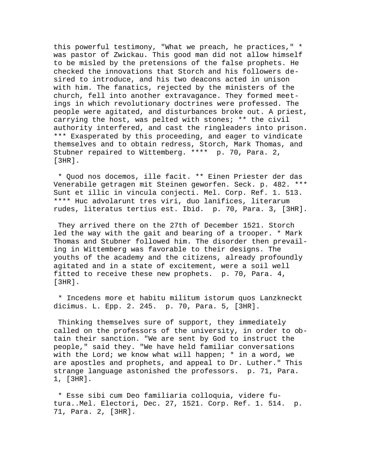this powerful testimony, "What we preach, he practices," \* was pastor of Zwickau. This good man did not allow himself to be misled by the pretensions of the false prophets. He checked the innovations that Storch and his followers desired to introduce, and his two deacons acted in unison with him. The fanatics, rejected by the ministers of the church, fell into another extravagance. They formed meetings in which revolutionary doctrines were professed. The people were agitated, and disturbances broke out. A priest, carrying the host, was pelted with stones; \*\* the civil authority interfered, and cast the ringleaders into prison. \*\*\* Exasperated by this proceeding, and eager to vindicate themselves and to obtain redress, Storch, Mark Thomas, and Stubner repaired to Wittemberg. \*\*\*\* p. 70, Para. 2, [3HR].

 \* Quod nos docemos, ille facit. \*\* Einen Priester der das Venerabile getragen mit Steinen geworfen. Seck. p. 482. \*\*\* Sunt et illic in vincula conjecti. Mel. Corp. Ref. 1. 513. \*\*\*\* Huc advolarunt tres viri, duo lanifices, literarum rudes, literatus tertius est. Ibid. p. 70, Para. 3, [3HR].

 They arrived there on the 27th of December 1521. Storch led the way with the gait and bearing of a trooper. \* Mark Thomas and Stubner followed him. The disorder then prevailing in Wittemberg was favorable to their designs. The youths of the academy and the citizens, already profoundly agitated and in a state of excitement, were a soil well fitted to receive these new prophets. p. 70, Para. 4, [3HR].

 \* Incedens more et habitu militum istorum quos Lanzkneckt dicimus. L. Epp. 2. 245. p. 70, Para. 5, [3HR].

 Thinking themselves sure of support, they immediately called on the professors of the university, in order to obtain their sanction. "We are sent by God to instruct the people," said they. "We have held familiar conversations with the Lord; we know what will happen;  $*$  in a word, we are apostles and prophets, and appeal to Dr. Luther." This strange language astonished the professors. p. 71, Para. 1, [3HR].

 \* Esse sibi cum Deo familiaria colloquia, videre futura..Mel. Electori, Dec. 27, 1521. Corp. Ref. 1. 514. p. 71, Para. 2, [3HR].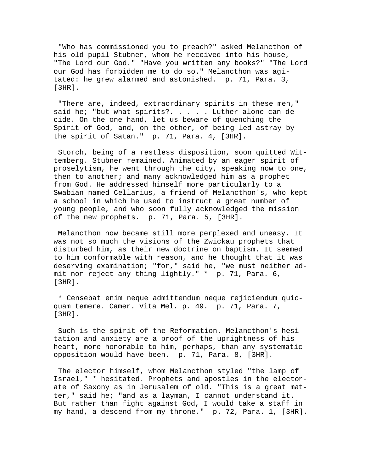"Who has commissioned you to preach?" asked Melancthon of his old pupil Stubner, whom he received into his house, "The Lord our God." "Have you written any books?" "The Lord our God has forbidden me to do so." Melancthon was agitated: he grew alarmed and astonished. p. 71, Para. 3, [3HR].

 "There are, indeed, extraordinary spirits in these men," said he; "but what spirits?. . . . . Luther alone can decide. On the one hand, let us beware of quenching the Spirit of God, and, on the other, of being led astray by the spirit of Satan." p. 71, Para. 4, [3HR].

 Storch, being of a restless disposition, soon quitted Wittemberg. Stubner remained. Animated by an eager spirit of proselytism, he went through the city, speaking now to one, then to another; and many acknowledged him as a prophet from God. He addressed himself more particularly to a Swabian named Cellarius, a friend of Melancthon's, who kept a school in which he used to instruct a great number of young people, and who soon fully acknowledged the mission of the new prophets. p. 71, Para. 5, [3HR].

 Melancthon now became still more perplexed and uneasy. It was not so much the visions of the Zwickau prophets that disturbed him, as their new doctrine on baptism. It seemed to him conformable with reason, and he thought that it was deserving examination; "for," said he, "we must neither admit nor reject any thing lightly." \* p. 71, Para. 6, [3HR].

 \* Censebat enim neque admittendum neque rejiciendum quicquam temere. Camer. Vita Mel. p. 49. p. 71, Para. 7, [3HR].

 Such is the spirit of the Reformation. Melancthon's hesitation and anxiety are a proof of the uprightness of his heart, more honorable to him, perhaps, than any systematic opposition would have been. p. 71, Para. 8, [3HR].

 The elector himself, whom Melancthon styled "the lamp of Israel," \* hesitated. Prophets and apostles in the electorate of Saxony as in Jerusalem of old. "This is a great matter," said he; "and as a layman, I cannot understand it. But rather than fight against God, I would take a staff in my hand, a descend from my throne." p. 72, Para. 1, [3HR].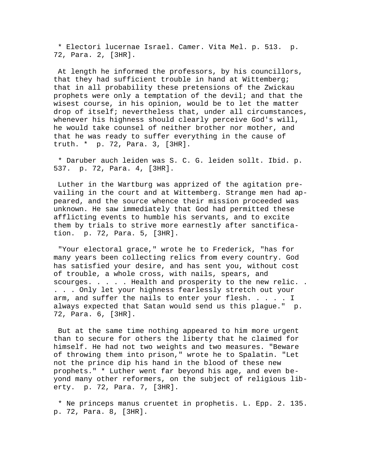\* Electori lucernae Israel. Camer. Vita Mel. p. 513. p. 72, Para. 2, [3HR].

 At length he informed the professors, by his councillors, that they had sufficient trouble in hand at Wittemberg; that in all probability these pretensions of the Zwickau prophets were only a temptation of the devil; and that the wisest course, in his opinion, would be to let the matter drop of itself; nevertheless that, under all circumstances, whenever his highness should clearly perceive God's will, he would take counsel of neither brother nor mother, and that he was ready to suffer everything in the cause of truth. \* p. 72, Para. 3, [3HR].

 \* Daruber auch leiden was S. C. G. leiden sollt. Ibid. p. 537. p. 72, Para. 4, [3HR].

 Luther in the Wartburg was apprized of the agitation prevailing in the court and at Wittemberg. Strange men had appeared, and the source whence their mission proceeded was unknown. He saw immediately that God had permitted these afflicting events to humble his servants, and to excite them by trials to strive more earnestly after sanctification. p. 72, Para. 5, [3HR].

 "Your electoral grace," wrote he to Frederick, "has for many years been collecting relics from every country. God has satisfied your desire, and has sent you, without cost of trouble, a whole cross, with nails, spears, and scourges. . . . . Health and prosperity to the new relic. . . . . Only let your highness fearlessly stretch out your arm, and suffer the nails to enter your flesh.  $\ldots$ . I always expected that Satan would send us this plague." p. 72, Para. 6, [3HR].

 But at the same time nothing appeared to him more urgent than to secure for others the liberty that he claimed for himself. He had not two weights and two measures. "Beware of throwing them into prison," wrote he to Spalatin. "Let not the prince dip his hand in the blood of these new prophets." \* Luther went far beyond his age, and even beyond many other reformers, on the subject of religious liberty. p. 72, Para. 7, [3HR].

 \* Ne princeps manus cruentet in prophetis. L. Epp. 2. 135. p. 72, Para. 8, [3HR].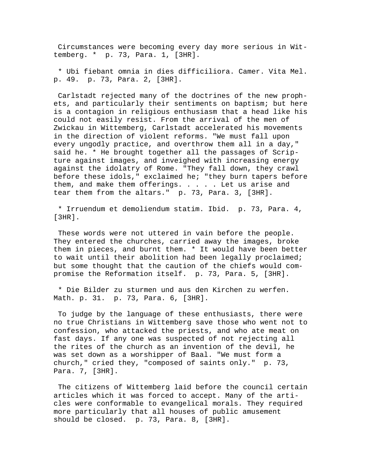Circumstances were becoming every day more serious in Wittemberg. \* p. 73, Para. 1, [3HR].

 \* Ubi fiebant omnia in dies difficiliora. Camer. Vita Mel. p. 49. p. 73, Para. 2, [3HR].

 Carlstadt rejected many of the doctrines of the new prophets, and particularly their sentiments on baptism; but here is a contagion in religious enthusiasm that a head like his could not easily resist. From the arrival of the men of Zwickau in Wittemberg, Carlstadt accelerated his movements in the direction of violent reforms. "We must fall upon every ungodly practice, and overthrow them all in a day," said he. \* He brought together all the passages of Scripture against images, and inveighed with increasing energy against the idolatry of Rome. "They fall down, they crawl before these idols," exclaimed he; "they burn tapers before them, and make them offerings. . . . . Let us arise and tear them from the altars." p. 73, Para. 3, [3HR].

 \* Irruendum et demoliendum statim. Ibid. p. 73, Para. 4, [3HR].

 These words were not uttered in vain before the people. They entered the churches, carried away the images, broke them in pieces, and burnt them. \* It would have been better to wait until their abolition had been legally proclaimed; but some thought that the caution of the chiefs would compromise the Reformation itself. p. 73, Para. 5, [3HR].

 \* Die Bilder zu sturmen und aus den Kirchen zu werfen. Math. p. 31. p. 73, Para. 6, [3HR].

 To judge by the language of these enthusiasts, there were no true Christians in Wittemberg save those who went not to confession, who attacked the priests, and who ate meat on fast days. If any one was suspected of not rejecting all the rites of the church as an invention of the devil, he was set down as a worshipper of Baal. "We must form a church," cried they, "composed of saints only." p. 73, Para. 7, [3HR].

 The citizens of Wittemberg laid before the council certain articles which it was forced to accept. Many of the articles were conformable to evangelical morals. They required more particularly that all houses of public amusement should be closed. p. 73, Para. 8, [3HR].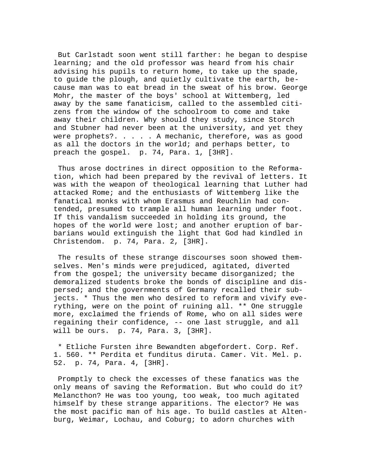But Carlstadt soon went still farther: he began to despise learning; and the old professor was heard from his chair advising his pupils to return home, to take up the spade, to guide the plough, and quietly cultivate the earth, because man was to eat bread in the sweat of his brow. George Mohr, the master of the boys' school at Wittemberg, led away by the same fanaticism, called to the assembled citizens from the window of the schoolroom to come and take away their children. Why should they study, since Storch and Stubner had never been at the university, and yet they were prophets?. . . . . A mechanic, therefore, was as good as all the doctors in the world; and perhaps better, to preach the gospel. p. 74, Para. 1, [3HR].

 Thus arose doctrines in direct opposition to the Reformation, which had been prepared by the revival of letters. It was with the weapon of theological learning that Luther had attacked Rome; and the enthusiasts of Wittemberg like the fanatical monks with whom Erasmus and Reuchlin had contended, presumed to trample all human learning under foot. If this vandalism succeeded in holding its ground, the hopes of the world were lost; and another eruption of barbarians would extinguish the light that God had kindled in Christendom. p. 74, Para. 2, [3HR].

 The results of these strange discourses soon showed themselves. Men's minds were prejudiced, agitated, diverted from the gospel; the university became disorganized; the demoralized students broke the bonds of discipline and dispersed; and the governments of Germany recalled their subjects. \* Thus the men who desired to reform and vivify everything, were on the point of ruining all. \*\* One struggle more, exclaimed the friends of Rome, who on all sides were regaining their confidence, -- one last struggle, and all will be ours. p. 74, Para. 3, [3HR].

 \* Etliche Fursten ihre Bewandten abgefordert. Corp. Ref. 1. 560. \*\* Perdita et funditus diruta. Camer. Vit. Mel. p. 52. p. 74, Para. 4, [3HR].

 Promptly to check the excesses of these fanatics was the only means of saving the Reformation. But who could do it? Melancthon? He was too young, too weak, too much agitated himself by these strange apparitions. The elector? He was the most pacific man of his age. To build castles at Altenburg, Weimar, Lochau, and Coburg; to adorn churches with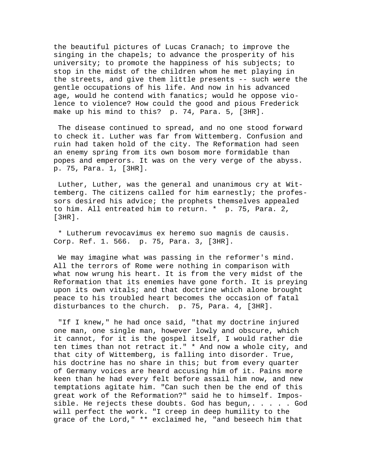the beautiful pictures of Lucas Cranach; to improve the singing in the chapels; to advance the prosperity of his university; to promote the happiness of his subjects; to stop in the midst of the children whom he met playing in the streets, and give them little presents -- such were the gentle occupations of his life. And now in his advanced age, would he contend with fanatics; would he oppose violence to violence? How could the good and pious Frederick make up his mind to this? p. 74, Para. 5, [3HR].

 The disease continued to spread, and no one stood forward to check it. Luther was far from Wittemberg. Confusion and ruin had taken hold of the city. The Reformation had seen an enemy spring from its own bosom more formidable than popes and emperors. It was on the very verge of the abyss. p. 75, Para. 1, [3HR].

 Luther, Luther, was the general and unanimous cry at Wittemberg. The citizens called for him earnestly; the professors desired his advice; the prophets themselves appealed to him. All entreated him to return. \* p. 75, Para. 2, [3HR].

 \* Lutherum revocavimus ex heremo suo magnis de causis. Corp. Ref. 1. 566. p. 75, Para. 3, [3HR].

 We may imagine what was passing in the reformer's mind. All the terrors of Rome were nothing in comparison with what now wrung his heart. It is from the very midst of the Reformation that its enemies have gone forth. It is preying upon its own vitals; and that doctrine which alone brought peace to his troubled heart becomes the occasion of fatal disturbances to the church. p. 75, Para. 4, [3HR].

 "If I knew," he had once said, "that my doctrine injured one man, one single man, however lowly and obscure, which it cannot, for it is the gospel itself, I would rather die ten times than not retract it." \* And now a whole city, and that city of Wittemberg, is falling into disorder. True, his doctrine has no share in this; but from every quarter of Germany voices are heard accusing him of it. Pains more keen than he had every felt before assail him now, and new temptations agitate him. "Can such then be the end of this great work of the Reformation?" said he to himself. Impossible. He rejects these doubts. God has begun,. . . . . God will perfect the work. "I creep in deep humility to the grace of the Lord," \*\* exclaimed he, "and beseech him that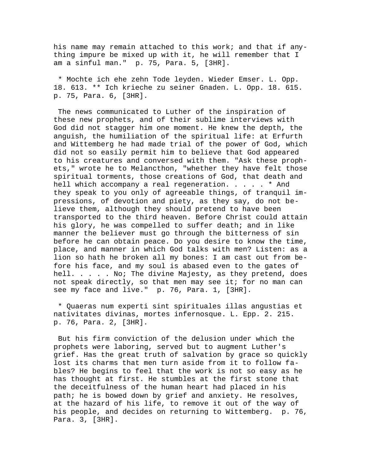his name may remain attached to this work; and that if anything impure be mixed up with it, he will remember that I am a sinful man." p. 75, Para. 5, [3HR].

 \* Mochte ich ehe zehn Tode leyden. Wieder Emser. L. Opp. 18. 613. \*\* Ich krieche zu seiner Gnaden. L. Opp. 18. 615. p. 75, Para. 6, [3HR].

 The news communicated to Luther of the inspiration of these new prophets, and of their sublime interviews with God did not stagger him one moment. He knew the depth, the anguish, the humiliation of the spiritual life: at Erfurth and Wittemberg he had made trial of the power of God, which did not so easily permit him to believe that God appeared to his creatures and conversed with them. "Ask these prophets," wrote he to Melancthon, "whether they have felt those spiritual torments, those creations of God, that death and hell which accompany a real regeneration. . . . . \* And they speak to you only of agreeable things, of tranquil impressions, of devotion and piety, as they say, do not believe them, although they should pretend to have been transported to the third heaven. Before Christ could attain his glory, he was compelled to suffer death; and in like manner the believer must go through the bitterness of sin before he can obtain peace. Do you desire to know the time, place, and manner in which God talks with men? Listen: as a lion so hath he broken all my bones: I am cast out from before his face, and my soul is abased even to the gates of hell. . . . . No; The divine Majesty, as they pretend, does not speak directly, so that men may see it; for no man can see my face and live." p. 76, Para. 1, [3HR].

 \* Quaeras num experti sint spirituales illas angustias et nativitates divinas, mortes infernosque. L. Epp. 2. 215. p. 76, Para. 2, [3HR].

 But his firm conviction of the delusion under which the prophets were laboring, served but to augment Luther's grief. Has the great truth of salvation by grace so quickly lost its charms that men turn aside from it to follow fables? He begins to feel that the work is not so easy as he has thought at first. He stumbles at the first stone that the deceitfulness of the human heart had placed in his path; he is bowed down by grief and anxiety. He resolves, at the hazard of his life, to remove it out of the way of his people, and decides on returning to Wittemberg. p. 76, Para. 3, [3HR].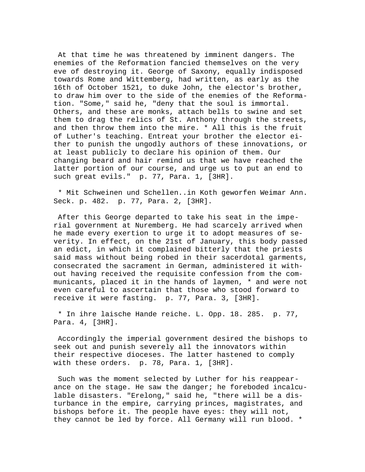At that time he was threatened by imminent dangers. The enemies of the Reformation fancied themselves on the very eve of destroying it. George of Saxony, equally indisposed towards Rome and Wittemberg, had written, as early as the 16th of October 1521, to duke John, the elector's brother, to draw him over to the side of the enemies of the Reformation. "Some," said he, "deny that the soul is immortal. Others, and these are monks, attach bells to swine and set them to drag the relics of St. Anthony through the streets, and then throw them into the mire. \* All this is the fruit of Luther's teaching. Entreat your brother the elector either to punish the ungodly authors of these innovations, or at least publicly to declare his opinion of them. Our changing beard and hair remind us that we have reached the latter portion of our course, and urge us to put an end to such great evils." p. 77, Para. 1, [3HR].

 \* Mit Schweinen und Schellen..in Koth geworfen Weimar Ann. Seck. p. 482. p. 77, Para. 2, [3HR].

 After this George departed to take his seat in the imperial government at Nuremberg. He had scarcely arrived when he made every exertion to urge it to adopt measures of severity. In effect, on the 21st of January, this body passed an edict, in which it complained bitterly that the priests said mass without being robed in their sacerdotal garments, consecrated the sacrament in German, administered it without having received the requisite confession from the communicants, placed it in the hands of laymen, \* and were not even careful to ascertain that those who stood forward to receive it were fasting. p. 77, Para. 3, [3HR].

 \* In ihre laische Hande reiche. L. Opp. 18. 285. p. 77, Para. 4, [3HR].

 Accordingly the imperial government desired the bishops to seek out and punish severely all the innovators within their respective dioceses. The latter hastened to comply with these orders. p. 78, Para. 1, [3HR].

 Such was the moment selected by Luther for his reappearance on the stage. He saw the danger; he foreboded incalculable disasters. "Erelong," said he, "there will be a disturbance in the empire, carrying princes, magistrates, and bishops before it. The people have eyes: they will not, they cannot be led by force. All Germany will run blood. \*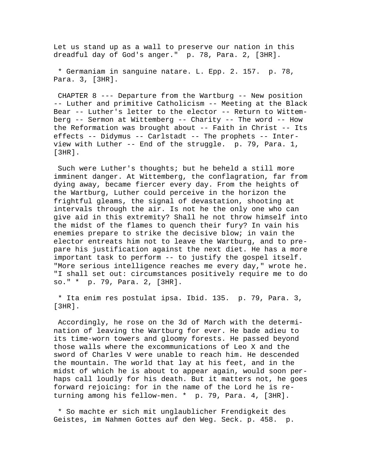Let us stand up as a wall to preserve our nation in this dreadful day of God's anger." p. 78, Para. 2, [3HR].

 \* Germaniam in sanguine natare. L. Epp. 2. 157. p. 78, Para. 3, [3HR].

 CHAPTER 8 --- Departure from the Wartburg -- New position -- Luther and primitive Catholicism -- Meeting at the Black Bear -- Luther's letter to the elector -- Return to Wittemberg -- Sermon at Wittemberg -- Charity -- The word -- How the Reformation was brought about -- Faith in Christ -- Its effects -- Didymus -- Carlstadt -- The prophets -- Interview with Luther -- End of the struggle. p. 79, Para. 1, [3HR].

 Such were Luther's thoughts; but he beheld a still more imminent danger. At Wittemberg, the conflagration, far from dying away, became fiercer every day. From the heights of the Wartburg, Luther could perceive in the horizon the frightful gleams, the signal of devastation, shooting at intervals through the air. Is not he the only one who can give aid in this extremity? Shall he not throw himself into the midst of the flames to quench their fury? In vain his enemies prepare to strike the decisive blow; in vain the elector entreats him not to leave the Wartburg, and to prepare his justification against the next diet. He has a more important task to perform -- to justify the gospel itself. "More serious intelligence reaches me every day," wrote he. "I shall set out: circumstances positively require me to do so." \* p. 79, Para. 2, [3HR].

 \* Ita enim res postulat ipsa. Ibid. 135. p. 79, Para. 3, [3HR].

 Accordingly, he rose on the 3d of March with the determination of leaving the Wartburg for ever. He bade adieu to its time-worn towers and gloomy forests. He passed beyond those walls where the excommunications of Leo X and the sword of Charles V were unable to reach him. He descended the mountain. The world that lay at his feet, and in the midst of which he is about to appear again, would soon perhaps call loudly for his death. But it matters not, he goes forward rejoicing: for in the name of the Lord he is returning among his fellow-men. \* p. 79, Para. 4, [3HR].

 \* So machte er sich mit unglaublicher Frendigkeit des Geistes, im Nahmen Gottes auf den Weg. Seck. p. 458. p.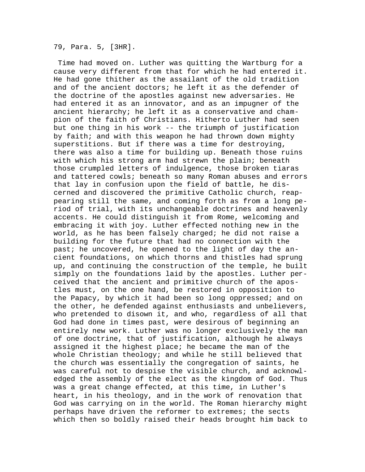79, Para. 5, [3HR].

 Time had moved on. Luther was quitting the Wartburg for a cause very different from that for which he had entered it. He had gone thither as the assailant of the old tradition and of the ancient doctors; he left it as the defender of the doctrine of the apostles against new adversaries. He had entered it as an innovator, and as an impugner of the ancient hierarchy; he left it as a conservative and champion of the faith of Christians. Hitherto Luther had seen but one thing in his work -- the triumph of justification by faith; and with this weapon he had thrown down mighty superstitions. But if there was a time for destroying, there was also a time for building up. Beneath those ruins with which his strong arm had strewn the plain; beneath those crumpled letters of indulgence, those broken tiaras and tattered cowls; beneath so many Roman abuses and errors that lay in confusion upon the field of battle, he discerned and discovered the primitive Catholic church, reappearing still the same, and coming forth as from a long period of trial, with its unchangeable doctrines and heavenly accents. He could distinguish it from Rome, welcoming and embracing it with joy. Luther effected nothing new in the world, as he has been falsely charged; he did not raise a building for the future that had no connection with the past; he uncovered, he opened to the light of day the ancient foundations, on which thorns and thistles had sprung up, and continuing the construction of the temple, he built simply on the foundations laid by the apostles. Luther perceived that the ancient and primitive church of the apostles must, on the one hand, be restored in opposition to the Papacy, by which it had been so long oppressed; and on the other, he defended against enthusiasts and unbelievers, who pretended to disown it, and who, regardless of all that God had done in times past, were desirous of beginning an entirely new work. Luther was no longer exclusively the man of one doctrine, that of justification, although he always assigned it the highest place; he became the man of the whole Christian theology; and while he still believed that the church was essentially the congregation of saints, he was careful not to despise the visible church, and acknowledged the assembly of the elect as the kingdom of God. Thus was a great change effected, at this time, in Luther's heart, in his theology, and in the work of renovation that God was carrying on in the world. The Roman hierarchy might perhaps have driven the reformer to extremes; the sects which then so boldly raised their heads brought him back to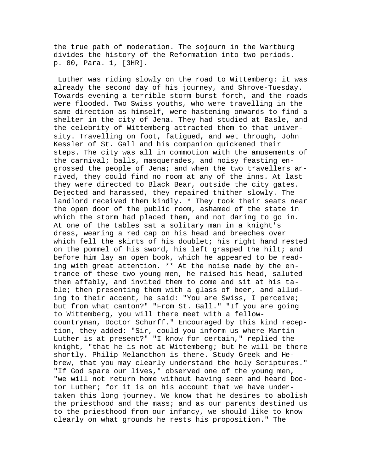the true path of moderation. The sojourn in the Wartburg divides the history of the Reformation into two periods. p. 80, Para. 1, [3HR].

 Luther was riding slowly on the road to Wittemberg: it was already the second day of his journey, and Shrove-Tuesday. Towards evening a terrible storm burst forth, and the roads were flooded. Two Swiss youths, who were travelling in the same direction as himself, were hastening onwards to find a shelter in the city of Jena. They had studied at Basle, and the celebrity of Wittemberg attracted them to that university. Travelling on foot, fatigued, and wet through, John Kessler of St. Gall and his companion quickened their steps. The city was all in commotion with the amusements of the carnival; balls, masquerades, and noisy feasting engrossed the people of Jena; and when the two travellers arrived, they could find no room at any of the inns. At last they were directed to Black Bear, outside the city gates. Dejected and harassed, they repaired thither slowly. The landlord received them kindly. \* They took their seats near the open door of the public room, ashamed of the state in which the storm had placed them, and not daring to go in. At one of the tables sat a solitary man in a knight's dress, wearing a red cap on his head and breeches over which fell the skirts of his doublet; his right hand rested on the pommel of his sword, his left grasped the hilt; and before him lay an open book, which he appeared to be reading with great attention. \*\* At the noise made by the entrance of these two young men, he raised his head, saluted them affably, and invited them to come and sit at his table; then presenting them with a glass of beer, and alluding to their accent, he said: "You are Swiss, I perceive; but from what canton?" "From St. Gall." "If you are going to Wittemberg, you will there meet with a fellowcountryman, Doctor Schurff." Encouraged by this kind reception, they added: "Sir, could you inform us where Martin Luther is at present?" "I know for certain," replied the knight, "that he is not at Wittemberg; but he will be there shortly. Philip Melancthon is there. Study Greek and Hebrew, that you may clearly understand the holy Scriptures." "If God spare our lives," observed one of the young men, "we will not return home without having seen and heard Doctor Luther; for it is on his account that we have undertaken this long journey. We know that he desires to abolish the priesthood and the mass; and as our parents destined us to the priesthood from our infancy, we should like to know clearly on what grounds he rests his proposition." The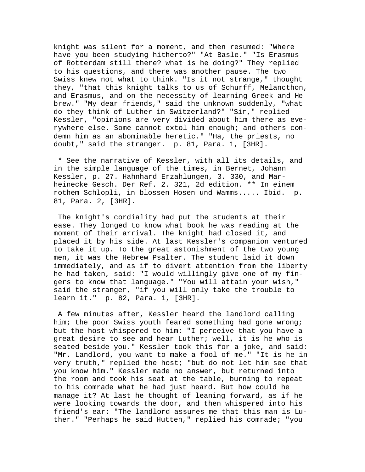knight was silent for a moment, and then resumed: "Where have you been studying hitherto?" "At Basle." "Is Erasmus of Rotterdam still there? what is he doing?" They replied to his questions, and there was another pause. The two Swiss knew not what to think. "Is it not strange," thought they, "that this knight talks to us of Schurff, Melancthon, and Erasmus, and on the necessity of learning Greek and Hebrew." "My dear friends," said the unknown suddenly, "what do they think of Luther in Switzerland?" "Sir," replied Kessler, "opinions are very divided about him there as everywhere else. Some cannot extol him enough; and others condemn him as an abominable heretic." "Ha, the priests, no doubt," said the stranger. p. 81, Para. 1, [3HR].

 \* See the narrative of Kessler, with all its details, and in the simple language of the times, in Bernet, Johann Kessler, p. 27. Hahnhard Erzahlungen, 3. 330, and Marheinecke Gesch. Der Ref. 2. 321, 2d edition. \*\* In einem rothem Schlopli, in blossen Hosen und Wamms..... Ibid. p. 81, Para. 2, [3HR].

 The knight's cordiality had put the students at their ease. They longed to know what book he was reading at the moment of their arrival. The knight had closed it, and placed it by his side. At last Kessler's companion ventured to take it up. To the great astonishment of the two young men, it was the Hebrew Psalter. The student laid it down immediately, and as if to divert attention from the liberty he had taken, said: "I would willingly give one of my fingers to know that language." "You will attain your wish," said the stranger, "if you will only take the trouble to learn it." p. 82, Para. 1, [3HR].

 A few minutes after, Kessler heard the landlord calling him; the poor Swiss youth feared something had gone wrong; but the host whispered to him: "I perceive that you have a great desire to see and hear Luther; well, it is he who is seated beside you." Kessler took this for a joke, and said: "Mr. Landlord, you want to make a fool of me." "It is he in very truth," replied the host; "but do not let him see that you know him." Kessler made no answer, but returned into the room and took his seat at the table, burning to repeat to his comrade what he had just heard. But how could he manage it? At last he thought of leaning forward, as if he were looking towards the door, and then whispered into his friend's ear: "The landlord assures me that this man is Luther." "Perhaps he said Hutten," replied his comrade; "you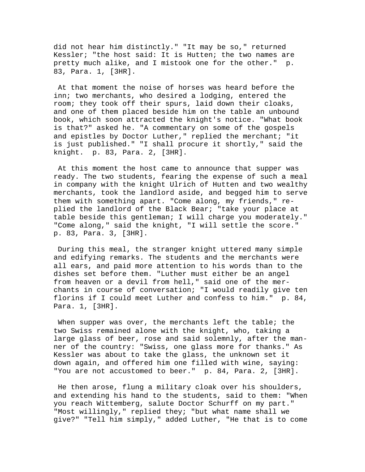did not hear him distinctly." "It may be so," returned Kessler; "the host said: It is Hutten; the two names are pretty much alike, and I mistook one for the other." p. 83, Para. 1, [3HR].

 At that moment the noise of horses was heard before the inn; two merchants, who desired a lodging, entered the room; they took off their spurs, laid down their cloaks, and one of them placed beside him on the table an unbound book, which soon attracted the knight's notice. "What book is that?" asked he. "A commentary on some of the gospels and epistles by Doctor Luther," replied the merchant; "it is just published." "I shall procure it shortly," said the knight. p. 83, Para. 2, [3HR].

 At this moment the host came to announce that supper was ready. The two students, fearing the expense of such a meal in company with the knight Ulrich of Hutten and two wealthy merchants, took the landlord aside, and begged him to serve them with something apart. "Come along, my friends," replied the landlord of the Black Bear; "take your place at table beside this gentleman; I will charge you moderately." "Come along," said the knight, "I will settle the score." p. 83, Para. 3, [3HR].

 During this meal, the stranger knight uttered many simple and edifying remarks. The students and the merchants were all ears, and paid more attention to his words than to the dishes set before them. "Luther must either be an angel from heaven or a devil from hell," said one of the merchants in course of conversation; "I would readily give ten florins if I could meet Luther and confess to him." p. 84, Para. 1, [3HR].

When supper was over, the merchants left the table; the two Swiss remained alone with the knight, who, taking a large glass of beer, rose and said solemnly, after the manner of the country: "Swiss, one glass more for thanks." As Kessler was about to take the glass, the unknown set it down again, and offered him one filled with wine, saying: "You are not accustomed to beer." p. 84, Para. 2, [3HR].

 He then arose, flung a military cloak over his shoulders, and extending his hand to the students, said to them: "When you reach Wittemberg, salute Doctor Schurff on my part." "Most willingly," replied they; "but what name shall we give?" "Tell him simply," added Luther, "He that is to come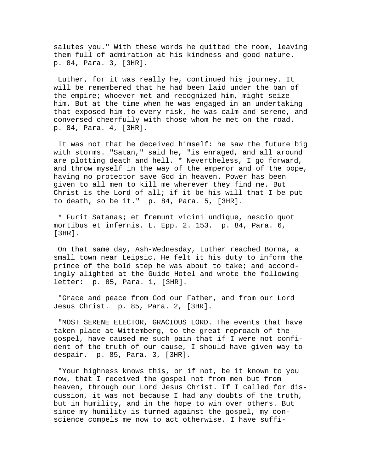salutes you." With these words he quitted the room, leaving them full of admiration at his kindness and good nature. p. 84, Para. 3, [3HR].

 Luther, for it was really he, continued his journey. It will be remembered that he had been laid under the ban of the empire; whoever met and recognized him, might seize him. But at the time when he was engaged in an undertaking that exposed him to every risk, he was calm and serene, and conversed cheerfully with those whom he met on the road. p. 84, Para. 4, [3HR].

 It was not that he deceived himself: he saw the future big with storms. "Satan," said he, "is enraged, and all around are plotting death and hell. \* Nevertheless, I go forward, and throw myself in the way of the emperor and of the pope, having no protector save God in heaven. Power has been given to all men to kill me wherever they find me. But Christ is the Lord of all; if it be his will that I be put to death, so be it." p. 84, Para. 5, [3HR].

 \* Furit Satanas; et fremunt vicini undique, nescio quot mortibus et infernis. L. Epp. 2. 153. p. 84, Para. 6, [3HR].

 On that same day, Ash-Wednesday, Luther reached Borna, a small town near Leipsic. He felt it his duty to inform the prince of the bold step he was about to take; and accordingly alighted at the Guide Hotel and wrote the following letter: p. 85, Para. 1, [3HR].

 "Grace and peace from God our Father, and from our Lord Jesus Christ. p. 85, Para. 2, [3HR].

 "MOST SERENE ELECTOR, GRACIOUS LORD. The events that have taken place at Wittemberg, to the great reproach of the gospel, have caused me such pain that if I were not confident of the truth of our cause, I should have given way to despair. p. 85, Para. 3, [3HR].

 "Your highness knows this, or if not, be it known to you now, that I received the gospel not from men but from heaven, through our Lord Jesus Christ. If I called for discussion, it was not because I had any doubts of the truth, but in humility, and in the hope to win over others. But since my humility is turned against the gospel, my conscience compels me now to act otherwise. I have suffi-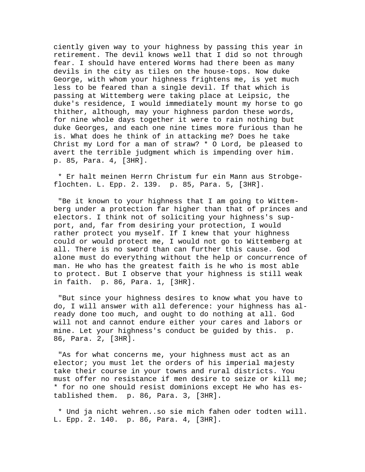ciently given way to your highness by passing this year in retirement. The devil knows well that I did so not through fear. I should have entered Worms had there been as many devils in the city as tiles on the house-tops. Now duke George, with whom your highness frightens me, is yet much less to be feared than a single devil. If that which is passing at Wittemberg were taking place at Leipsic, the duke's residence, I would immediately mount my horse to go thither, although, may your highness pardon these words, for nine whole days together it were to rain nothing but duke Georges, and each one nine times more furious than he is. What does he think of in attacking me? Does he take Christ my Lord for a man of straw? \* O Lord, be pleased to avert the terrible judgment which is impending over him. p. 85, Para. 4, [3HR].

 \* Er halt meinen Herrn Christum fur ein Mann aus Strobgeflochten. L. Epp. 2. 139. p. 85, Para. 5, [3HR].

 "Be it known to your highness that I am going to Wittemberg under a protection far higher than that of princes and electors. I think not of soliciting your highness's support, and, far from desiring your protection, I would rather protect you myself. If I knew that your highness could or would protect me, I would not go to Wittemberg at all. There is no sword than can further this cause. God alone must do everything without the help or concurrence of man. He who has the greatest faith is he who is most able to protect. But I observe that your highness is still weak in faith. p. 86, Para. 1, [3HR].

 "But since your highness desires to know what you have to do, I will answer with all deference: your highness has already done too much, and ought to do nothing at all. God will not and cannot endure either your cares and labors or mine. Let your highness's conduct be guided by this. p. 86, Para. 2, [3HR].

 "As for what concerns me, your highness must act as an elector; you must let the orders of his imperial majesty take their course in your towns and rural districts. You must offer no resistance if men desire to seize or kill me; \* for no one should resist dominions except He who has established them. p. 86, Para. 3, [3HR].

 \* Und ja nicht wehren..so sie mich fahen oder todten will. L. Epp. 2. 140. p. 86, Para. 4, [3HR].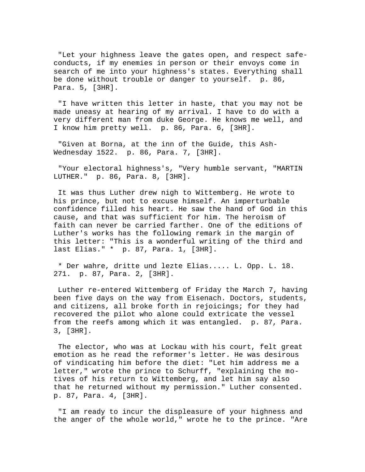"Let your highness leave the gates open, and respect safeconducts, if my enemies in person or their envoys come in search of me into your highness's states. Everything shall be done without trouble or danger to yourself. p. 86, Para. 5, [3HR].

 "I have written this letter in haste, that you may not be made uneasy at hearing of my arrival. I have to do with a very different man from duke George. He knows me well, and I know him pretty well. p. 86, Para. 6, [3HR].

 "Given at Borna, at the inn of the Guide, this Ash-Wednesday 1522. p. 86, Para. 7, [3HR].

 "Your electoral highness's, "Very humble servant, "MARTIN LUTHER." p. 86, Para. 8, [3HR].

 It was thus Luther drew nigh to Wittemberg. He wrote to his prince, but not to excuse himself. An imperturbable confidence filled his heart. He saw the hand of God in this cause, and that was sufficient for him. The heroism of faith can never be carried farther. One of the editions of Luther's works has the following remark in the margin of this letter: "This is a wonderful writing of the third and last Elias." \* p. 87, Para. 1, [3HR].

 \* Der wahre, dritte und lezte Elias..... L. Opp. L. 18. 271. p. 87, Para. 2, [3HR].

 Luther re-entered Wittemberg of Friday the March 7, having been five days on the way from Eisenach. Doctors, students, and citizens, all broke forth in rejoicings; for they had recovered the pilot who alone could extricate the vessel from the reefs among which it was entangled. p. 87, Para. 3, [3HR].

 The elector, who was at Lockau with his court, felt great emotion as he read the reformer's letter. He was desirous of vindicating him before the diet: "Let him address me a letter," wrote the prince to Schurff, "explaining the motives of his return to Wittemberg, and let him say also that he returned without my permission." Luther consented. p. 87, Para. 4, [3HR].

 "I am ready to incur the displeasure of your highness and the anger of the whole world," wrote he to the prince. "Are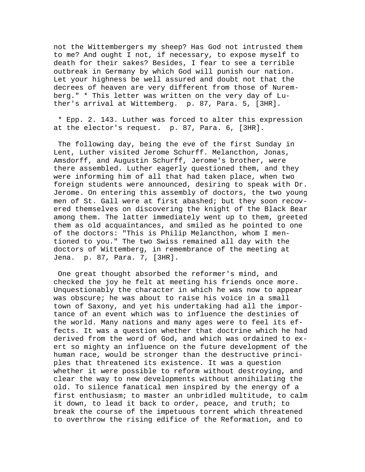not the Wittembergers my sheep? Has God not intrusted them to me? And ought I not, if necessary, to expose myself to death for their sakes? Besides, I fear to see a terrible outbreak in Germany by which God will punish our nation. Let your highness be well assured and doubt not that the decrees of heaven are very different from those of Nuremberg." \* This letter was written on the very day of Luther's arrival at Wittemberg. p. 87, Para. 5, [3HR].

 \* Epp. 2. 143. Luther was forced to alter this expression at the elector's request. p. 87, Para. 6, [3HR].

 The following day, being the eve of the first Sunday in Lent, Luther visited Jerome Schurff. Melancthon, Jonas, Amsdorff, and Augustin Schurff, Jerome's brother, were there assembled. Luther eagerly questioned them, and they were informing him of all that had taken place, when two foreign students were announced, desiring to speak with Dr. Jerome. On entering this assembly of doctors, the two young men of St. Gall were at first abashed; but they soon recovered themselves on discovering the knight of the Black Bear among them. The latter immediately went up to them, greeted them as old acquaintances, and smiled as he pointed to one of the doctors: "This is Philip Melancthon, whom I mentioned to you." The two Swiss remained all day with the doctors of Wittemberg, in remembrance of the meeting at Jena. p. 87, Para. 7, [3HR].

 One great thought absorbed the reformer's mind, and checked the joy he felt at meeting his friends once more. Unquestionably the character in which he was now to appear was obscure; he was about to raise his voice in a small town of Saxony, and yet his undertaking had all the importance of an event which was to influence the destinies of the world. Many nations and many ages were to feel its effects. It was a question whether that doctrine which he had derived from the word of God, and which was ordained to exert so mighty an influence on the future development of the human race, would be stronger than the destructive principles that threatened its existence. It was a question whether it were possible to reform without destroying, and clear the way to new developments without annihilating the old. To silence fanatical men inspired by the energy of a first enthusiasm; to master an unbridled multitude, to calm it down, to lead it back to order, peace, and truth; to break the course of the impetuous torrent which threatened to overthrow the rising edifice of the Reformation, and to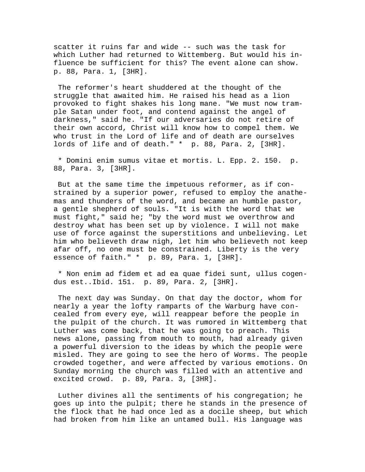scatter it ruins far and wide -- such was the task for which Luther had returned to Wittemberg. But would his influence be sufficient for this? The event alone can show. p. 88, Para. 1, [3HR].

 The reformer's heart shuddered at the thought of the struggle that awaited him. He raised his head as a lion provoked to fight shakes his long mane. "We must now trample Satan under foot, and contend against the angel of darkness," said he. "If our adversaries do not retire of their own accord, Christ will know how to compel them. We who trust in the Lord of life and of death are ourselves lords of life and of death." \* p. 88, Para. 2, [3HR].

 \* Domini enim sumus vitae et mortis. L. Epp. 2. 150. p. 88, Para. 3, [3HR].

 But at the same time the impetuous reformer, as if constrained by a superior power, refused to employ the anathemas and thunders of the word, and became an humble pastor, a gentle shepherd of souls. "It is with the word that we must fight," said he; "by the word must we overthrow and destroy what has been set up by violence. I will not make use of force against the superstitions and unbelieving. Let him who believeth draw nigh, let him who believeth not keep afar off, no one must be constrained. Liberty is the very essence of faith." \* p. 89, Para. 1, [3HR].

 \* Non enim ad fidem et ad ea quae fidei sunt, ullus cogendus est..Ibid. 151. p. 89, Para. 2, [3HR].

 The next day was Sunday. On that day the doctor, whom for nearly a year the lofty ramparts of the Warburg have concealed from every eye, will reappear before the people in the pulpit of the church. It was rumored in Wittemberg that Luther was come back, that he was going to preach. This news alone, passing from mouth to mouth, had already given a powerful diversion to the ideas by which the people were misled. They are going to see the hero of Worms. The people crowded together, and were affected by various emotions. On Sunday morning the church was filled with an attentive and excited crowd. p. 89, Para. 3, [3HR].

 Luther divines all the sentiments of his congregation; he goes up into the pulpit; there he stands in the presence of the flock that he had once led as a docile sheep, but which had broken from him like an untamed bull. His language was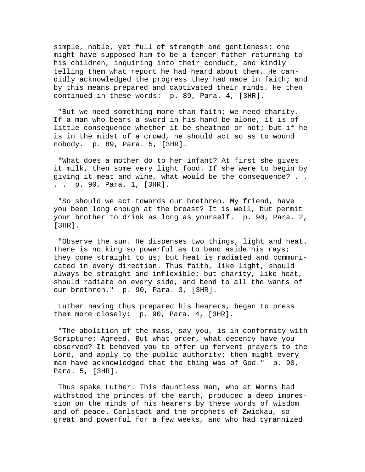simple, noble, yet full of strength and gentleness: one might have supposed him to be a tender father returning to his children, inquiring into their conduct, and kindly telling them what report he had heard about them. He candidly acknowledged the progress they had made in faith; and by this means prepared and captivated their minds. He then continued in these words: p. 89, Para. 4, [3HR].

 "But we need something more than faith; we need charity. If a man who bears a sword in his hand be alone, it is of little consequence whether it be sheathed or not; but if he is in the midst of a crowd, he should act so as to wound nobody. p. 89, Para. 5, [3HR].

 "What does a mother do to her infant? At first she gives it milk, then some very light food. If she were to begin by giving it meat and wine, what would be the consequence? . . . . p. 90, Para. 1, [3HR].

 "So should we act towards our brethren. My friend, have you been long enough at the breast? It is well, but permit your brother to drink as long as yourself. p. 90, Para. 2, [3HR].

 "Observe the sun. He dispenses two things, light and heat. There is no king so powerful as to bend aside his rays; they come straight to us; but heat is radiated and communicated in every direction. Thus faith, like light, should always be straight and inflexible; but charity, like heat, should radiate on every side, and bend to all the wants of our brethren." p. 90, Para. 3, [3HR].

 Luther having thus prepared his hearers, began to press them more closely: p. 90, Para. 4, [3HR].

 "The abolition of the mass, say you, is in conformity with Scripture: Agreed. But what order, what decency have you observed? It behoved you to offer up fervent prayers to the Lord, and apply to the public authority; then might every man have acknowledged that the thing was of God." p. 90, Para. 5, [3HR].

 Thus spake Luther. This dauntless man, who at Worms had withstood the princes of the earth, produced a deep impression on the minds of his hearers by these words of wisdom and of peace. Carlstadt and the prophets of Zwickau, so great and powerful for a few weeks, and who had tyrannized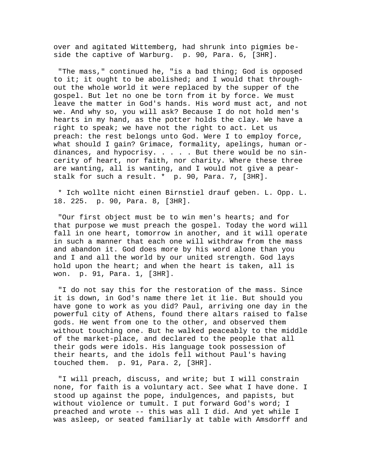over and agitated Wittemberg, had shrunk into pigmies beside the captive of Warburg. p. 90, Para. 6, [3HR].

 "The mass," continued he, "is a bad thing; God is opposed to it; it ought to be abolished; and I would that throughout the whole world it were replaced by the supper of the gospel. But let no one be torn from it by force. We must leave the matter in God's hands. His word must act, and not we. And why so, you will ask? Because I do not hold men's hearts in my hand, as the potter holds the clay. We have a right to speak; we have not the right to act. Let us preach: the rest belongs unto God. Were I to employ force, what should I gain? Grimace, formality, apelings, human ordinances, and hypocrisy.  $\ldots$  . . But there would be no sincerity of heart, nor faith, nor charity. Where these three are wanting, all is wanting, and I would not give a pearstalk for such a result. \* p. 90, Para. 7, [3HR].

 \* Ich wollte nicht einen Birnstiel drauf geben. L. Opp. L. 18. 225. p. 90, Para. 8, [3HR].

 "Our first object must be to win men's hearts; and for that purpose we must preach the gospel. Today the word will fall in one heart, tomorrow in another, and it will operate in such a manner that each one will withdraw from the mass and abandon it. God does more by his word alone than you and I and all the world by our united strength. God lays hold upon the heart; and when the heart is taken, all is won. p. 91, Para. 1, [3HR].

 "I do not say this for the restoration of the mass. Since it is down, in God's name there let it lie. But should you have gone to work as you did? Paul, arriving one day in the powerful city of Athens, found there altars raised to false gods. He went from one to the other, and observed them without touching one. But he walked peaceably to the middle of the market-place, and declared to the people that all their gods were idols. His language took possession of their hearts, and the idols fell without Paul's having touched them. p. 91, Para. 2, [3HR].

 "I will preach, discuss, and write; but I will constrain none, for faith is a voluntary act. See what I have done. I stood up against the pope, indulgences, and papists, but without violence or tumult. I put forward God's word; I preached and wrote -- this was all I did. And yet while I was asleep, or seated familiarly at table with Amsdorff and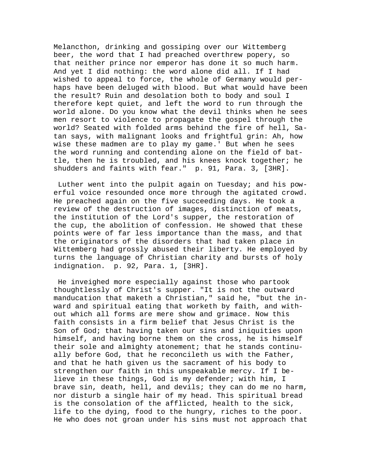Melancthon, drinking and gossiping over our Wittemberg beer, the word that I had preached overthrew popery, so that neither prince nor emperor has done it so much harm. And yet I did nothing: the word alone did all. If I had wished to appeal to force, the whole of Germany would perhaps have been deluged with blood. But what would have been the result? Ruin and desolation both to body and soul I therefore kept quiet, and left the word to run through the world alone. Do you know what the devil thinks when he sees men resort to violence to propagate the gospel through the world? Seated with folded arms behind the fire of hell, Satan says, with malignant looks and frightful grin: Ah, how wise these madmen are to play my game.' But when he sees the word running and contending alone on the field of battle, then he is troubled, and his knees knock together; he shudders and faints with fear." p. 91, Para. 3, [3HR].

 Luther went into the pulpit again on Tuesday; and his powerful voice resounded once more through the agitated crowd. He preached again on the five succeeding days. He took a review of the destruction of images, distinction of meats, the institution of the Lord's supper, the restoration of the cup, the abolition of confession. He showed that these points were of far less importance than the mass, and that the originators of the disorders that had taken place in Wittemberg had grossly abused their liberty. He employed by turns the language of Christian charity and bursts of holy indignation. p. 92, Para. 1, [3HR].

 He inveighed more especially against those who partook thoughtlessly of Christ's supper. "It is not the outward manducation that maketh a Christian," said he, "but the inward and spiritual eating that worketh by faith, and without which all forms are mere show and grimace. Now this faith consists in a firm belief that Jesus Christ is the Son of God; that having taken our sins and iniquities upon himself, and having borne them on the cross, he is himself their sole and almighty atonement; that he stands continually before God, that he reconcileth us with the Father, and that he hath given us the sacrament of his body to strengthen our faith in this unspeakable mercy. If I believe in these things, God is my defender; with him, I brave sin, death, hell, and devils; they can do me no harm, nor disturb a single hair of my head. This spiritual bread is the consolation of the afflicted, health to the sick, life to the dying, food to the hungry, riches to the poor. He who does not groan under his sins must not approach that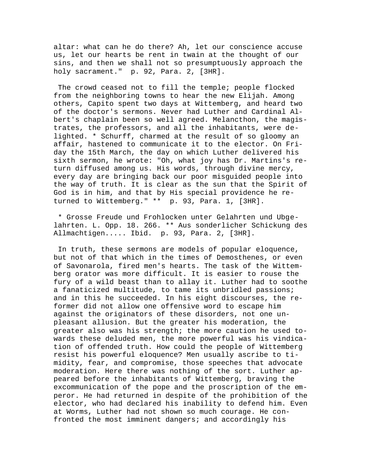altar: what can he do there? Ah, let our conscience accuse us, let our hearts be rent in twain at the thought of our sins, and then we shall not so presumptuously approach the holy sacrament." p. 92, Para. 2, [3HR].

 The crowd ceased not to fill the temple; people flocked from the neighboring towns to hear the new Elijah. Among others, Capito spent two days at Wittemberg, and heard two of the doctor's sermons. Never had Luther and Cardinal Albert's chaplain been so well agreed. Melancthon, the magistrates, the professors, and all the inhabitants, were delighted. \* Schurff, charmed at the result of so gloomy an affair, hastened to communicate it to the elector. On Friday the 15th March, the day on which Luther delivered his sixth sermon, he wrote: "Oh, what joy has Dr. Martins's return diffused among us. His words, through divine mercy, every day are bringing back our poor misguided people into the way of truth. It is clear as the sun that the Spirit of God is in him, and that by His special providence he returned to Wittemberg." \*\* p. 93, Para. 1, [3HR].

 \* Grosse Freude und Frohlocken unter Gelahrten und Ubgelahrten. L. Opp. 18. 266. \*\* Aus sonderlicher Schickung des Allmachtigen..... Ibid. p. 93, Para. 2, [3HR].

 In truth, these sermons are models of popular eloquence, but not of that which in the times of Demosthenes, or even of Savonarola, fired men's hearts. The task of the Wittemberg orator was more difficult. It is easier to rouse the fury of a wild beast than to allay it. Luther had to soothe a fanaticized multitude, to tame its unbridled passions; and in this he succeeded. In his eight discourses, the reformer did not allow one offensive word to escape him against the originators of these disorders, not one unpleasant allusion. But the greater his moderation, the greater also was his strength; the more caution he used towards these deluded men, the more powerful was his vindication of offended truth. How could the people of Wittemberg resist his powerful eloquence? Men usually ascribe to timidity, fear, and compromise, those speeches that advocate moderation. Here there was nothing of the sort. Luther appeared before the inhabitants of Wittemberg, braving the excommunication of the pope and the proscription of the emperor. He had returned in despite of the prohibition of the elector, who had declared his inability to defend him. Even at Worms, Luther had not shown so much courage. He confronted the most imminent dangers; and accordingly his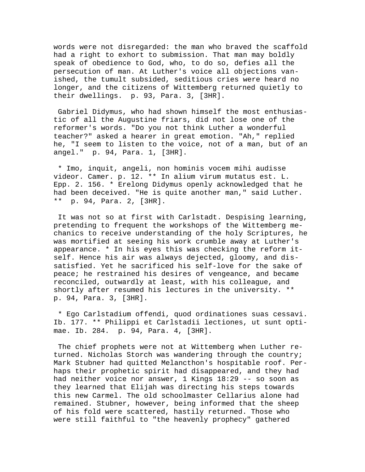words were not disregarded: the man who braved the scaffold had a right to exhort to submission. That man may boldly speak of obedience to God, who, to do so, defies all the persecution of man. At Luther's voice all objections vanished, the tumult subsided, seditious cries were heard no longer, and the citizens of Wittemberg returned quietly to their dwellings. p. 93, Para. 3, [3HR].

 Gabriel Didymus, who had shown himself the most enthusiastic of all the Augustine friars, did not lose one of the reformer's words. "Do you not think Luther a wonderful teacher?" asked a hearer in great emotion. "Ah," replied he, "I seem to listen to the voice, not of a man, but of an angel." p. 94, Para. 1, [3HR].

 \* Imo, inquit, angeli, non hominis vocem mihi audisse videor. Camer. p. 12. \*\* In alium virum mutatus est. L. Epp. 2. 156. \* Erelong Didymus openly acknowledged that he had been deceived. "He is quite another man," said Luther. \*\* p. 94, Para. 2, [3HR].

 It was not so at first with Carlstadt. Despising learning, pretending to frequent the workshops of the Wittemberg mechanics to receive understanding of the holy Scriptures, he was mortified at seeing his work crumble away at Luther's appearance. \* In his eyes this was checking the reform itself. Hence his air was always dejected, gloomy, and dissatisfied. Yet he sacrificed his self-love for the sake of peace; he restrained his desires of vengeance, and became reconciled, outwardly at least, with his colleague, and shortly after resumed his lectures in the university. \*\* p. 94, Para. 3, [3HR].

 \* Ego Carlstadium offendi, quod ordinationes suas cessavi. Ib. 177. \*\* Philippi et Carlstadii lectiones, ut sunt optimae. Ib. 284. p. 94, Para. 4, [3HR].

 The chief prophets were not at Wittemberg when Luther returned. Nicholas Storch was wandering through the country; Mark Stubner had quitted Melancthon's hospitable roof. Perhaps their prophetic spirit had disappeared, and they had had neither voice nor answer, 1 Kings 18:29 -- so soon as they learned that Elijah was directing his steps towards this new Carmel. The old schoolmaster Cellarius alone had remained. Stubner, however, being informed that the sheep of his fold were scattered, hastily returned. Those who were still faithful to "the heavenly prophecy" gathered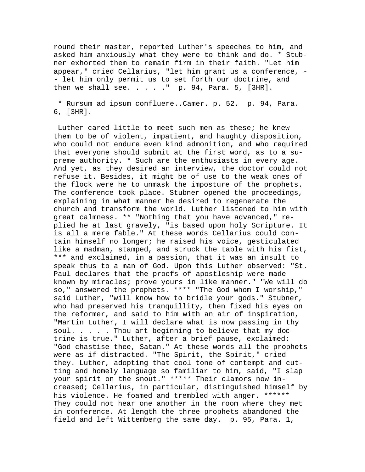round their master, reported Luther's speeches to him, and asked him anxiously what they were to think and do. \* Stubner exhorted them to remain firm in their faith. "Let him appear," cried Cellarius, "let him grant us a conference, - - let him only permit us to set forth our doctrine, and then we shall see.  $\ldots$  . . " p. 94, Para. 5, [3HR].

 \* Rursum ad ipsum confluere..Camer. p. 52. p. 94, Para. 6, [3HR].

 Luther cared little to meet such men as these; he knew them to be of violent, impatient, and haughty disposition, who could not endure even kind admonition, and who required that everyone should submit at the first word, as to a supreme authority. \* Such are the enthusiasts in every age. And yet, as they desired an interview, the doctor could not refuse it. Besides, it might be of use to the weak ones of the flock were he to unmask the imposture of the prophets. The conference took place. Stubner opened the proceedings, explaining in what manner he desired to regenerate the church and transform the world. Luther listened to him with great calmness. \*\* "Nothing that you have advanced," replied he at last gravely, "is based upon holy Scripture. It is all a mere fable." At these words Cellarius could contain himself no longer; he raised his voice, gesticulated like a madman, stamped, and struck the table with his fist, \*\*\* and exclaimed, in a passion, that it was an insult to speak thus to a man of God. Upon this Luther observed: "St. Paul declares that the proofs of apostleship were made known by miracles; prove yours in like manner." "We will do so," answered the prophets. \*\*\*\* "The God whom I worship," said Luther, "will know how to bridle your gods." Stubner, who had preserved his tranquillity, then fixed his eyes on the reformer, and said to him with an air of inspiration, "Martin Luther, I will declare what is now passing in thy soul. . . . . Thou art beginning to believe that my doctrine is true." Luther, after a brief pause, exclaimed: "God chastise thee, Satan." At these words all the prophets were as if distracted. "The Spirit, the Spirit," cried they. Luther, adopting that cool tone of contempt and cutting and homely language so familiar to him, said, "I slap your spirit on the snout." \*\*\*\*\* Their clamors now increased; Cellarius, in particular, distinguished himself by his violence. He foamed and trembled with anger. \*\*\*\*\*\* They could not hear one another in the room where they met in conference. At length the three prophets abandoned the field and left Wittemberg the same day. p. 95, Para. 1,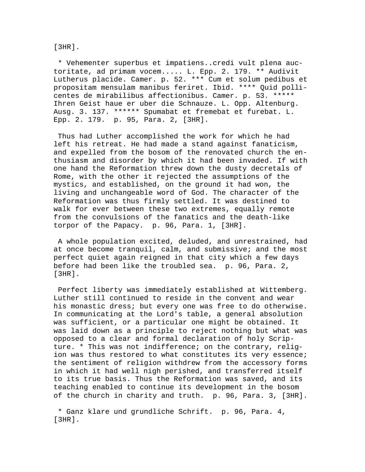[3HR].

 \* Vehementer superbus et impatiens..credi vult plena auctoritate, ad primam vocem..... L. Epp. 2. 179. \*\* Audivit Lutherus placide. Camer. p. 52. \*\*\* Cum et solum pedibus et propositam mensulam manibus feriret. Ibid. \*\*\*\* Quid pollicentes de mirabilibus affectionibus. Camer. p. 53. \*\*\*\*\* Ihren Geist haue er uber die Schnauze. L. Opp. Altenburg. Ausg. 3. 137. \*\*\*\*\*\* Spumabat et fremebat et furebat. L. Epp. 2. 179. p. 95, Para. 2, [3HR].

 Thus had Luther accomplished the work for which he had left his retreat. He had made a stand against fanaticism, and expelled from the bosom of the renovated church the enthusiasm and disorder by which it had been invaded. If with one hand the Reformation threw down the dusty decretals of Rome, with the other it rejected the assumptions of the mystics, and established, on the ground it had won, the living and unchangeable word of God. The character of the Reformation was thus firmly settled. It was destined to walk for ever between these two extremes, equally remote from the convulsions of the fanatics and the death-like torpor of the Papacy. p. 96, Para. 1, [3HR].

 A whole population excited, deluded, and unrestrained, had at once become tranquil, calm, and submissive; and the most perfect quiet again reigned in that city which a few days before had been like the troubled sea. p. 96, Para. 2, [3HR].

 Perfect liberty was immediately established at Wittemberg. Luther still continued to reside in the convent and wear his monastic dress; but every one was free to do otherwise. In communicating at the Lord's table, a general absolution was sufficient, or a particular one might be obtained. It was laid down as a principle to reject nothing but what was opposed to a clear and formal declaration of holy Scripture. \* This was not indifference; on the contrary, religion was thus restored to what constitutes its very essence; the sentiment of religion withdrew from the accessory forms in which it had well nigh perished, and transferred itself to its true basis. Thus the Reformation was saved, and its teaching enabled to continue its development in the bosom of the church in charity and truth. p. 96, Para. 3, [3HR].

 \* Ganz klare und grundliche Schrift. p. 96, Para. 4, [3HR].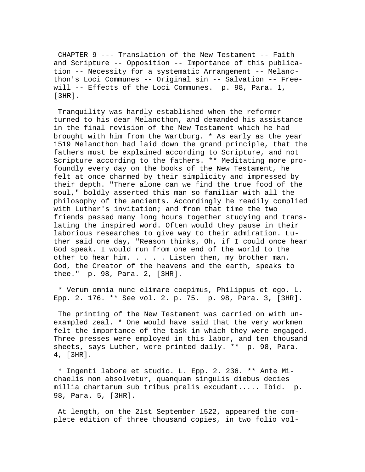CHAPTER 9 --- Translation of the New Testament -- Faith and Scripture -- Opposition -- Importance of this publication -- Necessity for a systematic Arrangement -- Melancthon's Loci Communes -- Original sin -- Salvation -- Freewill -- Effects of the Loci Communes. p. 98, Para. 1, [3HR].

 Tranquility was hardly established when the reformer turned to his dear Melancthon, and demanded his assistance in the final revision of the New Testament which he had brought with him from the Wartburg. \* As early as the year 1519 Melancthon had laid down the grand principle, that the fathers must be explained according to Scripture, and not Scripture according to the fathers. \*\* Meditating more profoundly every day on the books of the New Testament, he felt at once charmed by their simplicity and impressed by their depth. "There alone can we find the true food of the soul," boldly asserted this man so familiar with all the philosophy of the ancients. Accordingly he readily complied with Luther's invitation; and from that time the two friends passed many long hours together studying and translating the inspired word. Often would they pause in their laborious researches to give way to their admiration. Luther said one day, "Reason thinks, Oh, if I could once hear God speak. I would run from one end of the world to the other to hear him. . . . . Listen then, my brother man. God, the Creator of the heavens and the earth, speaks to thee." p. 98, Para. 2, [3HR].

 \* Verum omnia nunc elimare coepimus, Philippus et ego. L. Epp. 2. 176. \*\* See vol. 2. p. 75. p. 98, Para. 3, [3HR].

 The printing of the New Testament was carried on with unexampled zeal. \* One would have said that the very workmen felt the importance of the task in which they were engaged. Three presses were employed in this labor, and ten thousand sheets, says Luther, were printed daily. \*\* p. 98, Para. 4, [3HR].

 \* Ingenti labore et studio. L. Epp. 2. 236. \*\* Ante Michaelis non absolvetur, quanquam singulis diebus decies millia chartarum sub tribus prelis excudant..... Ibid. p. 98, Para. 5, [3HR].

 At length, on the 21st September 1522, appeared the complete edition of three thousand copies, in two folio vol-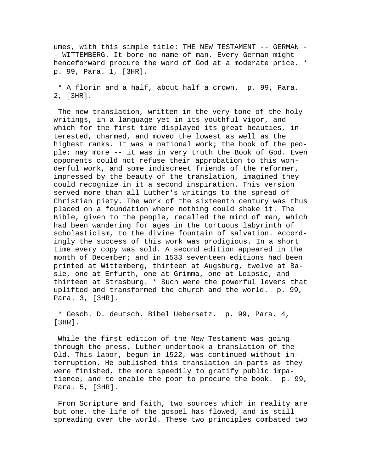umes, with this simple title: THE NEW TESTAMENT -- GERMAN - - WITTEMBERG. It bore no name of man. Every German might henceforward procure the word of God at a moderate price. \* p. 99, Para. 1, [3HR].

 \* A florin and a half, about half a crown. p. 99, Para. 2, [3HR].

 The new translation, written in the very tone of the holy writings, in a language yet in its youthful vigor, and which for the first time displayed its great beauties, interested, charmed, and moved the lowest as well as the highest ranks. It was a national work; the book of the people; nay more -- it was in very truth the Book of God. Even opponents could not refuse their approbation to this wonderful work, and some indiscreet friends of the reformer, impressed by the beauty of the translation, imagined they could recognize in it a second inspiration. This version served more than all Luther's writings to the spread of Christian piety. The work of the sixteenth century was thus placed on a foundation where nothing could shake it. The Bible, given to the people, recalled the mind of man, which had been wandering for ages in the tortuous labyrinth of scholasticism, to the divine fountain of salvation. Accordingly the success of this work was prodigious. In a short time every copy was sold. A second edition appeared in the month of December; and in 1533 seventeen editions had been printed at Wittemberg, thirteen at Augsburg, twelve at Basle, one at Erfurth, one at Grimma, one at Leipsic, and thirteen at Strasburg. \* Such were the powerful levers that uplifted and transformed the church and the world. p. 99, Para. 3, [3HR].

 \* Gesch. D. deutsch. Bibel Uebersetz. p. 99, Para. 4, [3HR].

 While the first edition of the New Testament was going through the press, Luther undertook a translation of the Old. This labor, begun in 1522, was continued without interruption. He published this translation in parts as they were finished, the more speedily to gratify public impatience, and to enable the poor to procure the book. p. 99, Para. 5, [3HR].

 From Scripture and faith, two sources which in reality are but one, the life of the gospel has flowed, and is still spreading over the world. These two principles combated two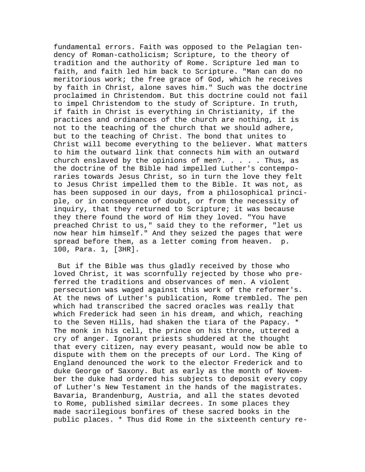fundamental errors. Faith was opposed to the Pelagian tendency of Roman-catholicism; Scripture, to the theory of tradition and the authority of Rome. Scripture led man to faith, and faith led him back to Scripture. "Man can do no meritorious work; the free grace of God, which he receives by faith in Christ, alone saves him." Such was the doctrine proclaimed in Christendom. But this doctrine could not fail to impel Christendom to the study of Scripture. In truth, if faith in Christ is everything in Christianity, if the practices and ordinances of the church are nothing, it is not to the teaching of the church that we should adhere, but to the teaching of Christ. The bond that unites to Christ will become everything to the believer. What matters to him the outward link that connects him with an outward church enslaved by the opinions of men?.  $\ldots$  . Thus, as the doctrine of the Bible had impelled Luther's contemporaries towards Jesus Christ, so in turn the love they felt to Jesus Christ impelled them to the Bible. It was not, as has been supposed in our days, from a philosophical principle, or in consequence of doubt, or from the necessity of inquiry, that they returned to Scripture; it was because they there found the word of Him they loved. "You have preached Christ to us," said they to the reformer, "let us now hear him himself." And they seized the pages that were spread before them, as a letter coming from heaven. p. 100, Para. 1, [3HR].

 But if the Bible was thus gladly received by those who loved Christ, it was scornfully rejected by those who preferred the traditions and observances of men. A violent persecution was waged against this work of the reformer's. At the news of Luther's publication, Rome trembled. The pen which had transcribed the sacred oracles was really that which Frederick had seen in his dream, and which, reaching to the Seven Hills, had shaken the tiara of the Papacy. \* The monk in his cell, the prince on his throne, uttered a cry of anger. Ignorant priests shuddered at the thought that every citizen, nay every peasant, would now be able to dispute with them on the precepts of our Lord. The King of England denounced the work to the elector Frederick and to duke George of Saxony. But as early as the month of November the duke had ordered his subjects to deposit every copy of Luther's New Testament in the hands of the magistrates. Bavaria, Brandenburg, Austria, and all the states devoted to Rome, published similar decrees. In some places they made sacrilegious bonfires of these sacred books in the public places. \* Thus did Rome in the sixteenth century re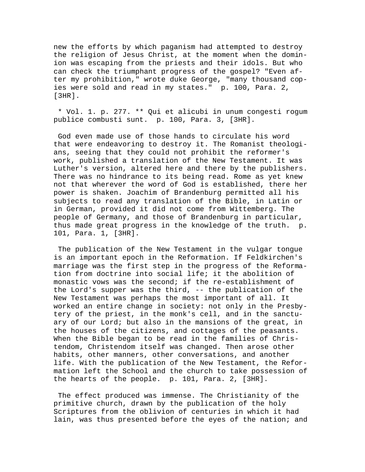new the efforts by which paganism had attempted to destroy the religion of Jesus Christ, at the moment when the dominion was escaping from the priests and their idols. But who can check the triumphant progress of the gospel? "Even after my prohibition," wrote duke George, "many thousand copies were sold and read in my states." p. 100, Para. 2, [3HR].

 \* Vol. 1. p. 277. \*\* Qui et alicubi in unum congesti rogum publice combusti sunt. p. 100, Para. 3, [3HR].

 God even made use of those hands to circulate his word that were endeavoring to destroy it. The Romanist theologians, seeing that they could not prohibit the reformer's work, published a translation of the New Testament. It was Luther's version, altered here and there by the publishers. There was no hindrance to its being read. Rome as yet knew not that wherever the word of God is established, there her power is shaken. Joachim of Brandenburg permitted all his subjects to read any translation of the Bible, in Latin or in German, provided it did not come from Wittemberg. The people of Germany, and those of Brandenburg in particular, thus made great progress in the knowledge of the truth. p. 101, Para. 1, [3HR].

 The publication of the New Testament in the vulgar tongue is an important epoch in the Reformation. If Feldkirchen's marriage was the first step in the progress of the Reformation from doctrine into social life; it the abolition of monastic vows was the second; if the re-establishment of the Lord's supper was the third, -- the publication of the New Testament was perhaps the most important of all. It worked an entire change in society: not only in the Presbytery of the priest, in the monk's cell, and in the sanctuary of our Lord; but also in the mansions of the great, in the houses of the citizens, and cottages of the peasants. When the Bible began to be read in the families of Christendom, Christendom itself was changed. Then arose other habits, other manners, other conversations, and another life. With the publication of the New Testament, the Reformation left the School and the church to take possession of the hearts of the people. p. 101, Para. 2, [3HR].

 The effect produced was immense. The Christianity of the primitive church, drawn by the publication of the holy Scriptures from the oblivion of centuries in which it had lain, was thus presented before the eyes of the nation; and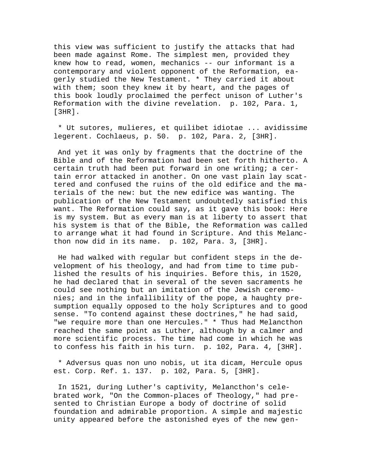this view was sufficient to justify the attacks that had been made against Rome. The simplest men, provided they knew how to read, women, mechanics -- our informant is a contemporary and violent opponent of the Reformation, eagerly studied the New Testament. \* They carried it about with them; soon they knew it by heart, and the pages of this book loudly proclaimed the perfect unison of Luther's Reformation with the divine revelation. p. 102, Para. 1, [3HR].

 \* Ut sutores, mulieres, et quilibet idiotae ... avidissime legerent. Cochlaeus, p. 50. p. 102, Para. 2, [3HR].

 And yet it was only by fragments that the doctrine of the Bible and of the Reformation had been set forth hitherto. A certain truth had been put forward in one writing; a certain error attacked in another. On one vast plain lay scattered and confused the ruins of the old edifice and the materials of the new: but the new edifice was wanting. The publication of the New Testament undoubtedly satisfied this want. The Reformation could say, as it gave this book: Here is my system. But as every man is at liberty to assert that his system is that of the Bible, the Reformation was called to arrange what it had found in Scripture. And this Melancthon now did in its name. p. 102, Para. 3, [3HR].

 He had walked with regular but confident steps in the development of his theology, and had from time to time published the results of his inquiries. Before this, in 1520, he had declared that in several of the seven sacraments he could see nothing but an imitation of the Jewish ceremonies; and in the infallibility of the pope, a haughty presumption equally opposed to the holy Scriptures and to good sense. "To contend against these doctrines," he had said, "we require more than one Hercules." \* Thus had Melancthon reached the same point as Luther, although by a calmer and more scientific process. The time had come in which he was to confess his faith in his turn. p. 102, Para. 4, [3HR].

 \* Adversus quas non uno nobis, ut ita dicam, Hercule opus est. Corp. Ref. 1. 137. p. 102, Para. 5, [3HR].

 In 1521, during Luther's captivity, Melancthon's celebrated work, "On the Common-places of Theology," had presented to Christian Europe a body of doctrine of solid foundation and admirable proportion. A simple and majestic unity appeared before the astonished eyes of the new gen-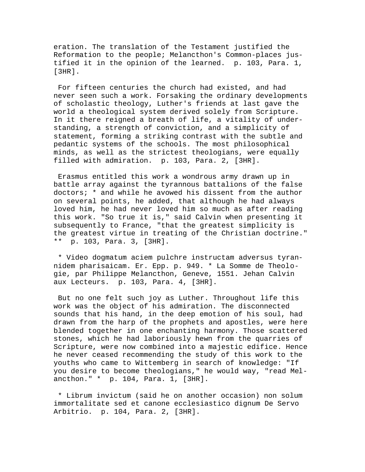eration. The translation of the Testament justified the Reformation to the people; Melancthon's Common-places justified it in the opinion of the learned. p. 103, Para. 1, [3HR].

 For fifteen centuries the church had existed, and had never seen such a work. Forsaking the ordinary developments of scholastic theology, Luther's friends at last gave the world a theological system derived solely from Scripture. In it there reigned a breath of life, a vitality of understanding, a strength of conviction, and a simplicity of statement, forming a striking contrast with the subtle and pedantic systems of the schools. The most philosophical minds, as well as the strictest theologians, were equally filled with admiration. p. 103, Para. 2, [3HR].

 Erasmus entitled this work a wondrous army drawn up in battle array against the tyrannous battalions of the false doctors; \* and while he avowed his dissent from the author on several points, he added, that although he had always loved him, he had never loved him so much as after reading this work. "So true it is," said Calvin when presenting it subsequently to France, "that the greatest simplicity is the greatest virtue in treating of the Christian doctrine." \*\* p. 103, Para. 3, [3HR].

 \* Video dogmatum aciem pulchre instructam adversus tyrannidem pharisaicam. Er. Epp. p. 949. \* La Somme de Theologie, par Philippe Melancthon, Geneve, 1551. Jehan Calvin aux Lecteurs. p. 103, Para. 4, [3HR].

 But no one felt such joy as Luther. Throughout life this work was the object of his admiration. The disconnected sounds that his hand, in the deep emotion of his soul, had drawn from the harp of the prophets and apostles, were here blended together in one enchanting harmony. Those scattered stones, which he had laboriously hewn from the quarries of Scripture, were now combined into a majestic edifice. Hence he never ceased recommending the study of this work to the youths who came to Wittemberg in search of knowledge: "If you desire to become theologians," he would way, "read Melancthon." \* p. 104, Para. 1, [3HR].

 \* Librum invictum (said he on another occasion) non solum immortalitate sed et canone ecclesiastico dignum De Servo Arbitrio. p. 104, Para. 2, [3HR].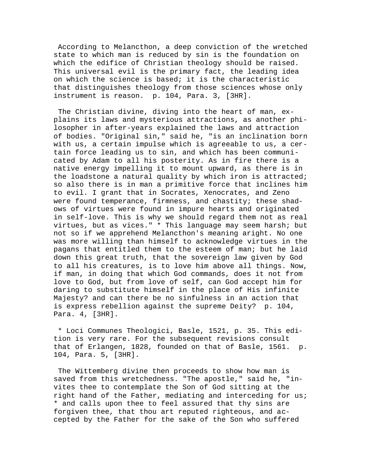According to Melancthon, a deep conviction of the wretched state to which man is reduced by sin is the foundation on which the edifice of Christian theology should be raised. This universal evil is the primary fact, the leading idea on which the science is based; it is the characteristic that distinguishes theology from those sciences whose only instrument is reason. p. 104, Para. 3, [3HR].

 The Christian divine, diving into the heart of man, explains its laws and mysterious attractions, as another philosopher in after-years explained the laws and attraction of bodies. "Original sin," said he, "is an inclination born with us, a certain impulse which is agreeable to us, a certain force leading us to sin, and which has been communicated by Adam to all his posterity. As in fire there is a native energy impelling it to mount upward, as there is in the loadstone a natural quality by which iron is attracted; so also there is in man a primitive force that inclines him to evil. I grant that in Socrates, Xenocrates, and Zeno were found temperance, firmness, and chastity; these shadows of virtues were found in impure hearts and originated in self-love. This is why we should regard them not as real virtues, but as vices." \* This language may seem harsh; but not so if we apprehend Melancthon's meaning aright. No one was more willing than himself to acknowledge virtues in the pagans that entitled them to the esteem of man; but he laid down this great truth, that the sovereign law given by God to all his creatures, is to love him above all things. Now, if man, in doing that which God commands, does it not from love to God, but from love of self, can God accept him for daring to substitute himself in the place of His infinite Majesty? and can there be no sinfulness in an action that is express rebellion against the supreme Deity? p. 104, Para. 4, [3HR].

 \* Loci Communes Theologici, Basle, 1521, p. 35. This edition is very rare. For the subsequent revisions consult that of Erlangen, 1828, founded on that of Basle, 1561. p. 104, Para. 5, [3HR].

 The Wittemberg divine then proceeds to show how man is saved from this wretchedness. "The apostle," said he, "invites thee to contemplate the Son of God sitting at the right hand of the Father, mediating and interceding for us; \* and calls upon thee to feel assured that thy sins are forgiven thee, that thou art reputed righteous, and accepted by the Father for the sake of the Son who suffered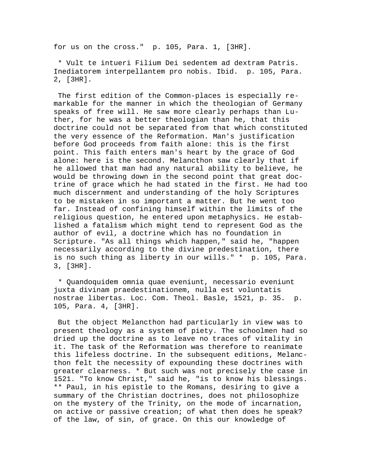for us on the cross." p. 105, Para. 1, [3HR].

 \* Vult te intueri Filium Dei sedentem ad dextram Patris. Inediatorem interpellantem pro nobis. Ibid. p. 105, Para. 2, [3HR].

 The first edition of the Common-places is especially remarkable for the manner in which the theologian of Germany speaks of free will. He saw more clearly perhaps than Luther, for he was a better theologian than he, that this doctrine could not be separated from that which constituted the very essence of the Reformation. Man's justification before God proceeds from faith alone: this is the first point. This faith enters man's heart by the grace of God alone: here is the second. Melancthon saw clearly that if he allowed that man had any natural ability to believe, he would be throwing down in the second point that great doctrine of grace which he had stated in the first. He had too much discernment and understanding of the holy Scriptures to be mistaken in so important a matter. But he went too far. Instead of confining himself within the limits of the religious question, he entered upon metaphysics. He established a fatalism which might tend to represent God as the author of evil, a doctrine which has no foundation in Scripture. "As all things which happen," said he, "happen necessarily according to the divine predestination, there is no such thing as liberty in our wills." \* p. 105, Para. 3, [3HR].

 \* Quandoquidem omnia quae eveniunt, necessario eveniunt juxta divinam praedestinationem, nulla est voluntatis nostrae libertas. Loc. Com. Theol. Basle, 1521, p. 35. p. 105, Para. 4, [3HR].

 But the object Melancthon had particularly in view was to present theology as a system of piety. The schoolmen had so dried up the doctrine as to leave no traces of vitality in it. The task of the Reformation was therefore to reanimate this lifeless doctrine. In the subsequent editions, Melancthon felt the necessity of expounding these doctrines with greater clearness. \* But such was not precisely the case in 1521. "To know Christ," said he, "is to know his blessings. \*\* Paul, in his epistle to the Romans, desiring to give a summary of the Christian doctrines, does not philosophize on the mystery of the Trinity, on the mode of incarnation, on active or passive creation; of what then does he speak? of the law, of sin, of grace. On this our knowledge of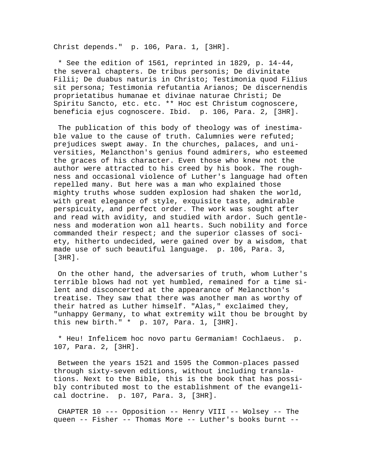Christ depends." p. 106, Para. 1, [3HR].

 \* See the edition of 1561, reprinted in 1829, p. 14-44, the several chapters. De tribus personis; De divinitate Filii; De duabus naturis in Christo; Testimonia quod Filius sit persona; Testimonia refutantia Arianos; De discernendis proprietatibus humanae et divinae naturae Christi; De Spiritu Sancto, etc. etc. \*\* Hoc est Christum cognoscere, beneficia ejus cognoscere. Ibid. p. 106, Para. 2, [3HR].

 The publication of this body of theology was of inestimable value to the cause of truth. Calumnies were refuted; prejudices swept away. In the churches, palaces, and universities, Melancthon's genius found admirers, who esteemed the graces of his character. Even those who knew not the author were attracted to his creed by his book. The roughness and occasional violence of Luther's language had often repelled many. But here was a man who explained those mighty truths whose sudden explosion had shaken the world, with great elegance of style, exquisite taste, admirable perspicuity, and perfect order. The work was sought after and read with avidity, and studied with ardor. Such gentleness and moderation won all hearts. Such nobility and force commanded their respect; and the superior classes of society, hitherto undecided, were gained over by a wisdom, that made use of such beautiful language. p. 106, Para. 3, [3HR].

 On the other hand, the adversaries of truth, whom Luther's terrible blows had not yet humbled, remained for a time silent and disconcerted at the appearance of Melancthon's treatise. They saw that there was another man as worthy of their hatred as Luther himself. "Alas," exclaimed they, "unhappy Germany, to what extremity wilt thou be brought by this new birth." \* p. 107, Para. 1, [3HR].

 \* Heu! Infelicem hoc novo partu Germaniam! Cochlaeus. p. 107, Para. 2, [3HR].

 Between the years 1521 and 1595 the Common-places passed through sixty-seven editions, without including translations. Next to the Bible, this is the book that has possibly contributed most to the establishment of the evangelical doctrine. p. 107, Para. 3, [3HR].

 CHAPTER 10 --- Opposition -- Henry VIII -- Wolsey -- The queen -- Fisher -- Thomas More -- Luther's books burnt --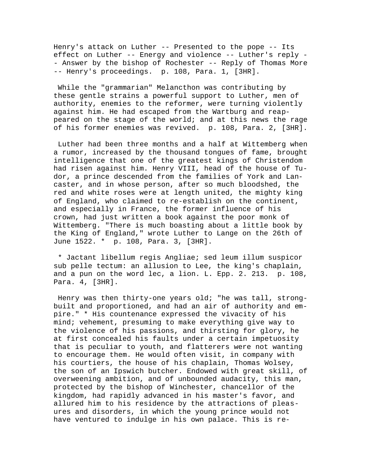Henry's attack on Luther -- Presented to the pope -- Its effect on Luther -- Energy and violence -- Luther's reply - - Answer by the bishop of Rochester -- Reply of Thomas More -- Henry's proceedings. p. 108, Para. 1, [3HR].

 While the "grammarian" Melancthon was contributing by these gentle strains a powerful support to Luther, men of authority, enemies to the reformer, were turning violently against him. He had escaped from the Wartburg and reappeared on the stage of the world; and at this news the rage of his former enemies was revived. p. 108, Para. 2, [3HR].

 Luther had been three months and a half at Wittemberg when a rumor, increased by the thousand tongues of fame, brought intelligence that one of the greatest kings of Christendom had risen against him. Henry VIII, head of the house of Tudor, a prince descended from the families of York and Lancaster, and in whose person, after so much bloodshed, the red and white roses were at length united, the mighty king of England, who claimed to re-establish on the continent, and especially in France, the former influence of his crown, had just written a book against the poor monk of Wittemberg. "There is much boasting about a little book by the King of England," wrote Luther to Lange on the 26th of June 1522. \* p. 108, Para. 3, [3HR].

 \* Jactant libellum regis Angliae; sed leum illum suspicor sub pelle tectum: an allusion to Lee, the king's chaplain, and a pun on the word lec, a lion. L. Epp. 2. 213. p. 108, Para. 4, [3HR].

 Henry was then thirty-one years old; "he was tall, strongbuilt and proportioned, and had an air of authority and empire." \* His countenance expressed the vivacity of his mind; vehement, presuming to make everything give way to the violence of his passions, and thirsting for glory, he at first concealed his faults under a certain impetuosity that is peculiar to youth, and flatterers were not wanting to encourage them. He would often visit, in company with his courtiers, the house of his chaplain, Thomas Wolsey, the son of an Ipswich butcher. Endowed with great skill, of overweening ambition, and of unbounded audacity, this man, protected by the bishop of Winchester, chancellor of the kingdom, had rapidly advanced in his master's favor, and allured him to his residence by the attractions of pleasures and disorders, in which the young prince would not have ventured to indulge in his own palace. This is re-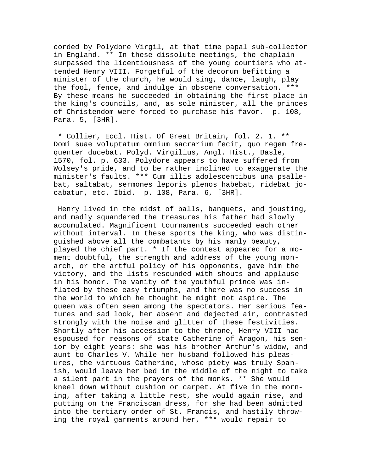corded by Polydore Virgil, at that time papal sub-collector in England. \*\* In these dissolute meetings, the chaplain surpassed the licentiousness of the young courtiers who attended Henry VIII. Forgetful of the decorum befitting a minister of the church, he would sing, dance, laugh, play the fool, fence, and indulge in obscene conversation. \*\*\* By these means he succeeded in obtaining the first place in the king's councils, and, as sole minister, all the princes of Christendom were forced to purchase his favor. p. 108, Para. 5, [3HR].

 \* Collier, Eccl. Hist. Of Great Britain, fol. 2. 1. \*\* Domi suae voluptatum omnium sacrarium fecit, quo regem frequenter ducebat. Polyd. Virgilius, Angl. Hist., Basle, 1570, fol. p. 633. Polydore appears to have suffered from Wolsey's pride, and to be rather inclined to exaggerate the minister's faults. \*\*\* Cum illis adolescentibus una psallebat, saltabat, sermones leporis plenos habebat, ridebat jocabatur, etc. Ibid. p. 108, Para. 6, [3HR].

 Henry lived in the midst of balls, banquets, and jousting, and madly squandered the treasures his father had slowly accumulated. Magnificent tournaments succeeded each other without interval. In these sports the king, who was distinguished above all the combatants by his manly beauty, played the chief part. \* If the contest appeared for a moment doubtful, the strength and address of the young monarch, or the artful policy of his opponents, gave him the victory, and the lists resounded with shouts and applause in his honor. The vanity of the youthful prince was inflated by these easy triumphs, and there was no success in the world to which he thought he might not aspire. The queen was often seen among the spectators. Her serious features and sad look, her absent and dejected air, contrasted strongly with the noise and glitter of these festivities. Shortly after his accession to the throne, Henry VIII had espoused for reasons of state Catherine of Aragon, his senior by eight years: she was his brother Arthur's widow, and aunt to Charles V. While her husband followed his pleasures, the virtuous Catherine, whose piety was truly Spanish, would leave her bed in the middle of the night to take a silent part in the prayers of the monks. \*\* She would kneel down without cushion or carpet. At five in the morning, after taking a little rest, she would again rise, and putting on the Franciscan dress, for she had been admitted into the tertiary order of St. Francis, and hastily throwing the royal garments around her, \*\*\* would repair to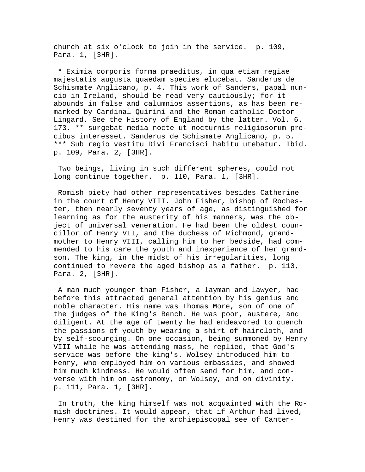church at six o'clock to join in the service. p. 109, Para. 1, [3HR].

 \* Eximia corporis forma praeditus, in qua etiam regiae majestatis augusta quaedam species elucebat. Sanderus de Schismate Anglicano, p. 4. This work of Sanders, papal nuncio in Ireland, should be read very cautiously; for it abounds in false and calumnios assertions, as has been remarked by Cardinal Quirini and the Roman-catholic Doctor Lingard. See the History of England by the latter. Vol. 6. 173. \*\* surgebat media nocte ut nocturnis religiosorum precibus interesset. Sanderus de Schismate Anglicano, p. 5. \*\*\* Sub regio vestitu Divi Francisci habitu utebatur. Ibid. p. 109, Para. 2, [3HR].

 Two beings, living in such different spheres, could not long continue together. p. 110, Para. 1, [3HR].

 Romish piety had other representatives besides Catherine in the court of Henry VIII. John Fisher, bishop of Rochester, then nearly seventy years of age, as distinguished for learning as for the austerity of his manners, was the object of universal veneration. He had been the oldest councillor of Henry VII, and the duchess of Richmond, grandmother to Henry VIII, calling him to her bedside, had commended to his care the youth and inexperience of her grandson. The king, in the midst of his irregularities, long continued to revere the aged bishop as a father. p. 110, Para. 2, [3HR].

 A man much younger than Fisher, a layman and lawyer, had before this attracted general attention by his genius and noble character. His name was Thomas More, son of one of the judges of the King's Bench. He was poor, austere, and diligent. At the age of twenty he had endeavored to quench the passions of youth by wearing a shirt of haircloth, and by self-scourging. On one occasion, being summoned by Henry VIII while he was attending mass, he replied, that God's service was before the king's. Wolsey introduced him to Henry, who employed him on various embassies, and showed him much kindness. He would often send for him, and converse with him on astronomy, on Wolsey, and on divinity. p. 111, Para. 1, [3HR].

 In truth, the king himself was not acquainted with the Romish doctrines. It would appear, that if Arthur had lived, Henry was destined for the archiepiscopal see of Canter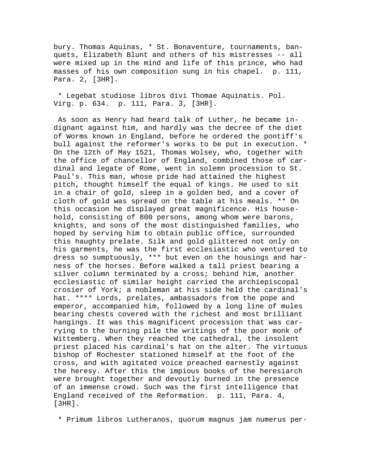bury. Thomas Aquinas, \* St. Bonaventure, tournaments, banquets, Elizabeth Blunt and others of his mistresses -- all were mixed up in the mind and life of this prince, who had masses of his own composition sung in his chapel. p. 111, Para. 2, [3HR].

 \* Legebat studiose libros divi Thomae Aquinatis. Pol. Virg. p. 634. p. 111, Para. 3, [3HR].

 As soon as Henry had heard talk of Luther, he became indignant against him, and hardly was the decree of the diet of Worms known in England, before he ordered the pontiff's bull against the reformer's works to be put in execution. \* On the 12th of May 1521, Thomas Wolsey, who, together with the office of chancellor of England, combined those of cardinal and legate of Rome, went in solemn procession to St. Paul's. This man, whose pride had attained the highest pitch, thought himself the equal of kings. He used to sit in a chair of gold, sleep in a golden bed, and a cover of cloth of gold was spread on the table at his meals. \*\* On this occasion he displayed great magnificence. His household, consisting of 800 persons, among whom were barons, knights, and sons of the most distinguished families, who hoped by serving him to obtain public office, surrounded this haughty prelate. Silk and gold glittered not only on his garments, he was the first ecclesiastic who ventured to dress so sumptuously, \*\*\* but even on the housings and harness of the horses. Before walked a tall priest bearing a silver column terminated by a cross; behind him, another ecclesiastic of similar height carried the archiepiscopal crosier of York; a nobleman at his side held the cardinal's hat. \*\*\*\* Lords, prelates, ambassadors from the pope and emperor, accompanied him, followed by a long line of mules bearing chests covered with the richest and most brilliant hangings. It was this magnificent procession that was carrying to the burning pile the writings of the poor monk of Wittemberg. When they reached the cathedral, the insolent priest placed his cardinal's hat on the alter. The virtuous bishop of Rochester stationed himself at the foot of the cross, and with agitated voice preached earnestly against the heresy. After this the impious books of the heresiarch were brought together and devoutly burned in the presence of an immense crowd. Such was the first intelligence that England received of the Reformation. p. 111, Para. 4, [3HR].

\* Primum libros Lutheranos, quorum magnus jam numerus per-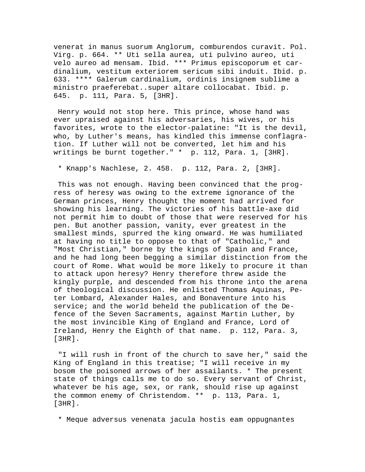venerat in manus suorum Anglorum, comburendos curavit. Pol. Virg. p. 664. \*\* Uti sella aurea, uti pulvino aureo, uti velo aureo ad mensam. Ibid. \*\*\* Primus episcoporum et cardinalium, vestitum exteriorem sericum sibi induit. Ibid. p. 633. \*\*\*\* Galerum cardinalium, ordinis insignem sublime a ministro praeferebat..super altare collocabat. Ibid. p. 645. p. 111, Para. 5, [3HR].

 Henry would not stop here. This prince, whose hand was ever upraised against his adversaries, his wives, or his favorites, wrote to the elector-palatine: "It is the devil, who, by Luther's means, has kindled this immense conflagration. If Luther will not be converted, let him and his writings be burnt together." \* p. 112, Para. 1, [3HR].

\* Knapp's Nachlese, 2. 458. p. 112, Para. 2, [3HR].

 This was not enough. Having been convinced that the progress of heresy was owing to the extreme ignorance of the German princes, Henry thought the moment had arrived for showing his learning. The victories of his battle-axe did not permit him to doubt of those that were reserved for his pen. But another passion, vanity, ever greatest in the smallest minds, spurred the king onward. He was humiliated at having no title to oppose to that of "Catholic," and "Most Christian," borne by the kings of Spain and France, and he had long been begging a similar distinction from the court of Rome. What would be more likely to procure it than to attack upon heresy? Henry therefore threw aside the kingly purple, and descended from his throne into the arena of theological discussion. He enlisted Thomas Aquinas, Peter Lombard, Alexander Hales, and Bonaventure into his service; and the world beheld the publication of the Defence of the Seven Sacraments, against Martin Luther, by the most invincible King of England and France, Lord of Ireland, Henry the Eighth of that name. p. 112, Para. 3, [3HR].

 "I will rush in front of the church to save her," said the King of England in this treatise; "I will receive in my bosom the poisoned arrows of her assailants. \* The present state of things calls me to do so. Every servant of Christ, whatever be his age, sex, or rank, should rise up against the common enemy of Christendom. \*\* p. 113, Para. 1, [3HR].

\* Meque adversus venenata jacula hostis eam oppugnantes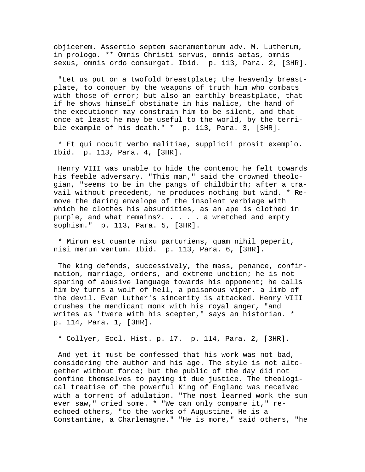objicerem. Assertio septem sacramentorum adv. M. Lutherum, in prologo. \*\* Omnis Christi servus, omnis aetas, omnis sexus, omnis ordo consurgat. Ibid. p. 113, Para. 2, [3HR].

 "Let us put on a twofold breastplate; the heavenly breastplate, to conquer by the weapons of truth him who combats with those of error; but also an earthly breastplate, that if he shows himself obstinate in his malice, the hand of the executioner may constrain him to be silent, and that once at least he may be useful to the world, by the terrible example of his death." \* p. 113, Para. 3, [3HR].

 \* Et qui nocuit verbo malitiae, supplicii prosit exemplo. Ibid. p. 113, Para. 4, [3HR].

 Henry VIII was unable to hide the contempt he felt towards his feeble adversary. "This man," said the crowned theologian, "seems to be in the pangs of childbirth; after a travail without precedent, he produces nothing but wind. \* Remove the daring envelope of the insolent verbiage with which he clothes his absurdities, as an ape is clothed in purple, and what remains?. . . . . a wretched and empty sophism." p. 113, Para. 5, [3HR].

 \* Mirum est quante nixu parturiens, quam nihil peperit, nisi merum ventum. Ibid. p. 113, Para. 6, [3HR].

 The king defends, successively, the mass, penance, confirmation, marriage, orders, and extreme unction; he is not sparing of abusive language towards his opponent; he calls him by turns a wolf of hell, a poisonous viper, a limb of the devil. Even Luther's sincerity is attacked. Henry VIII crushes the mendicant monk with his royal anger, "and writes as 'twere with his scepter," says an historian. \* p. 114, Para. 1, [3HR].

\* Collyer, Eccl. Hist. p. 17. p. 114, Para. 2, [3HR].

 And yet it must be confessed that his work was not bad, considering the author and his age. The style is not altogether without force; but the public of the day did not confine themselves to paying it due justice. The theological treatise of the powerful King of England was received with a torrent of adulation. "The most learned work the sun ever saw," cried some. \* "We can only compare it," reechoed others, "to the works of Augustine. He is a Constantine, a Charlemagne." "He is more," said others, "he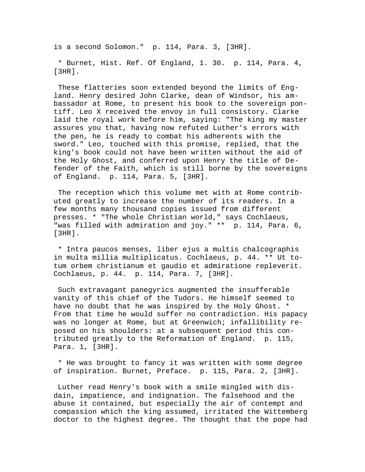is a second Solomon." p. 114, Para. 3, [3HR].

 \* Burnet, Hist. Ref. Of England, 1. 30. p. 114, Para. 4, [3HR].

 These flatteries soon extended beyond the limits of England. Henry desired John Clarke, dean of Windsor, his ambassador at Rome, to present his book to the sovereign pontiff. Leo X received the envoy in full consistory. Clarke laid the royal work before him, saying: "The king my master assures you that, having now refuted Luther's errors with the pen, he is ready to combat his adherents with the sword." Leo, touched with this promise, replied, that the king's book could not have been written without the aid of the Holy Ghost, and conferred upon Henry the title of Defender of the Faith, which is still borne by the sovereigns of England. p. 114, Para. 5, [3HR].

 The reception which this volume met with at Rome contributed greatly to increase the number of its readers. In a few months many thousand copies issued from different presses. \* "The whole Christian world," says Cochlaeus, "was filled with admiration and joy." \*\* p. 114, Para. 6, [3HR].

 \* Intra paucos menses, liber ejus a multis chalcographis in multa millia multiplicatus. Cochlaeus, p. 44. \*\* Ut totum orbem christianum et gaudio et admiratione repleverit. Cochlaeus, p. 44. p. 114, Para. 7, [3HR].

 Such extravagant panegyrics augmented the insufferable vanity of this chief of the Tudors. He himself seemed to have no doubt that he was inspired by the Holy Ghost. \* From that time he would suffer no contradiction. His papacy was no longer at Rome, but at Greenwich; infallibility reposed on his shoulders: at a subsequent period this contributed greatly to the Reformation of England. p. 115, Para. 1, [3HR].

 \* He was brought to fancy it was written with some degree of inspiration. Burnet, Preface. p. 115, Para. 2, [3HR].

 Luther read Henry's book with a smile mingled with disdain, impatience, and indignation. The falsehood and the abuse it contained, but especially the air of contempt and compassion which the king assumed, irritated the Wittemberg doctor to the highest degree. The thought that the pope had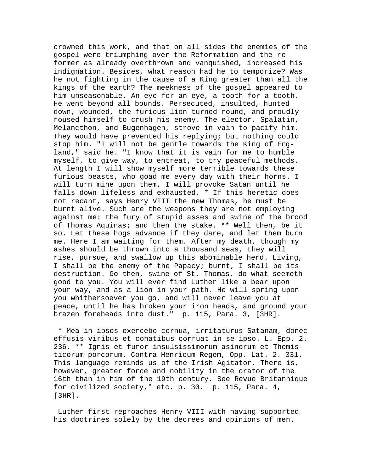crowned this work, and that on all sides the enemies of the gospel were triumphing over the Reformation and the reformer as already overthrown and vanquished, increased his indignation. Besides, what reason had he to temporize? Was he not fighting in the cause of a King greater than all the kings of the earth? The meekness of the gospel appeared to him unseasonable. An eye for an eye, a tooth for a tooth. He went beyond all bounds. Persecuted, insulted, hunted down, wounded, the furious lion turned round, and proudly roused himself to crush his enemy. The elector, Spalatin, Melancthon, and Bugenhagen, strove in vain to pacify him. They would have prevented his replying; but nothing could stop him. "I will not be gentle towards the King of England," said he. "I know that it is vain for me to humble myself, to give way, to entreat, to try peaceful methods. At length I will show myself more terrible towards these furious beasts, who goad me every day with their horns. I will turn mine upon them. I will provoke Satan until he falls down lifeless and exhausted. \* If this heretic does not recant, says Henry VIII the new Thomas, he must be burnt alive. Such are the weapons they are not employing against me: the fury of stupid asses and swine of the brood of Thomas Aquinas; and then the stake. \*\* Well then, be it so. Let these hogs advance if they dare, and let them burn me. Here I am waiting for them. After my death, though my ashes should be thrown into a thousand seas, they will rise, pursue, and swallow up this abominable herd. Living, I shall be the enemy of the Papacy; burnt, I shall be its destruction. Go then, swine of St. Thomas, do what seemeth good to you. You will ever find Luther like a bear upon your way, and as a lion in your path. He will spring upon you whithersoever you go, and will never leave you at peace, until he has broken your iron heads, and ground your brazen foreheads into dust." p. 115, Para. 3, [3HR].

 \* Mea in ipsos exercebo cornua, irritaturus Satanam, donec effusis viribus et conatibus corruat in se ipso. L. Epp. 2. 236. \*\* Ignis et furor insulsissimorum asinorum et Thomisticorum porcorum. Contra Henricum Regem, Opp. Lat. 2. 331. This language reminds us of the Irish Agitator. There is, however, greater force and nobility in the orator of the 16th than in him of the 19th century. See Revue Britannique for civilized society," etc. p. 30. p. 115, Para. 4, [3HR].

 Luther first reproaches Henry VIII with having supported his doctrines solely by the decrees and opinions of men.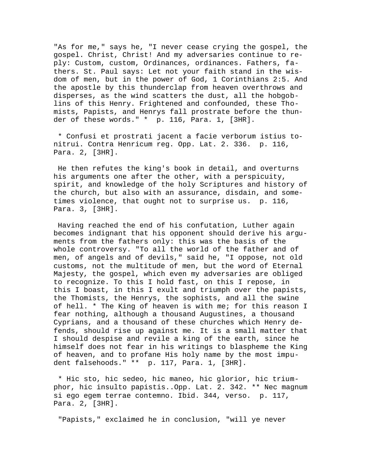"As for me," says he, "I never cease crying the gospel, the gospel. Christ, Christ! And my adversaries continue to reply: Custom, custom, Ordinances, ordinances. Fathers, fathers. St. Paul says: Let not your faith stand in the wisdom of men, but in the power of God, 1 Corinthians 2:5. And the apostle by this thunderclap from heaven overthrows and disperses, as the wind scatters the dust, all the hobgoblins of this Henry. Frightened and confounded, these Thomists, Papists, and Henrys fall prostrate before the thunder of these words." \* p. 116, Para. 1, [3HR].

 \* Confusi et prostrati jacent a facie verborum istius tonitrui. Contra Henricum reg. Opp. Lat. 2. 336. p. 116, Para. 2, [3HR].

 He then refutes the king's book in detail, and overturns his arguments one after the other, with a perspicuity, spirit, and knowledge of the holy Scriptures and history of the church, but also with an assurance, disdain, and sometimes violence, that ought not to surprise us. p. 116, Para. 3, [3HR].

 Having reached the end of his confutation, Luther again becomes indignant that his opponent should derive his arguments from the fathers only: this was the basis of the whole controversy. "To all the world of the father and of men, of angels and of devils," said he, "I oppose, not old customs, not the multitude of men, but the word of Eternal Majesty, the gospel, which even my adversaries are obliged to recognize. To this I hold fast, on this I repose, in this I boast, in this I exult and triumph over the papists, the Thomists, the Henrys, the sophists, and all the swine of hell. \* The King of heaven is with me; for this reason I fear nothing, although a thousand Augustines, a thousand Cyprians, and a thousand of these churches which Henry defends, should rise up against me. It is a small matter that I should despise and revile a king of the earth, since he himself does not fear in his writings to blaspheme the King of heaven, and to profane His holy name by the most impudent falsehoods." \*\* p. 117, Para. 1, [3HR].

 \* Hic sto, hic sedeo, hic maneo, hic glorior, hic triumphor, hic insulto papistis..Opp. Lat. 2. 342. \*\* Nec magnum si ego egem terrae contemno. Ibid. 344, verso. p. 117, Para. 2, [3HR].

"Papists," exclaimed he in conclusion, "will ye never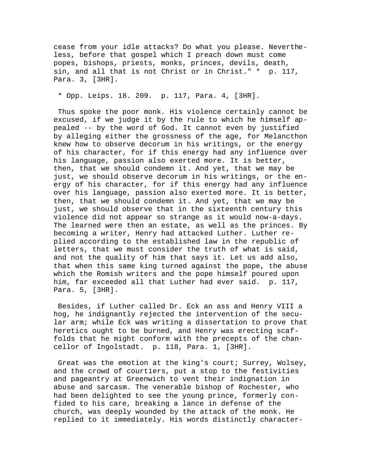cease from your idle attacks? Do what you please. Nevertheless, before that gospel which I preach down must come popes, bishops, priests, monks, princes, devils, death, sin, and all that is not Christ or in Christ." \* p. 117, Para. 3, [3HR].

\* Opp. Leips. 18. 209. p. 117, Para. 4, [3HR].

 Thus spoke the poor monk. His violence certainly cannot be excused, if we judge it by the rule to which he himself appealed -- by the word of God. It cannot even by justified by alleging either the grossness of the age, for Melancthon knew how to observe decorum in his writings, or the energy of his character, for if this energy had any influence over his language, passion also exerted more. It is better, then, that we should condemn it. And yet, that we may be just, we should observe decorum in his writings, or the energy of his character, for if this energy had any influence over his language, passion also exerted more. It is better, then, that we should condemn it. And yet, that we may be just, we should observe that in the sixteenth century this violence did not appear so strange as it would now-a-days. The learned were then an estate, as well as the princes. By becoming a writer, Henry had attacked Luther. Luther replied according to the established law in the republic of letters, that we must consider the truth of what is said, and not the quality of him that says it. Let us add also, that when this same king turned against the pope, the abuse which the Romish writers and the pope himself poured upon him, far exceeded all that Luther had ever said. p. 117, Para. 5, [3HR].

 Besides, if Luther called Dr. Eck an ass and Henry VIII a hog, he indignantly rejected the intervention of the secular arm; while Eck was writing a dissertation to prove that heretics ought to be burned, and Henry was erecting scaffolds that he might conform with the precepts of the chancellor of Ingolstadt. p. 118, Para. 1, [3HR].

 Great was the emotion at the king's court; Surrey, Wolsey, and the crowd of courtiers, put a stop to the festivities and pageantry at Greenwich to vent their indignation in abuse and sarcasm. The venerable bishop of Rochester, who had been delighted to see the young prince, formerly confided to his care, breaking a lance in defense of the church, was deeply wounded by the attack of the monk. He replied to it immediately. His words distinctly character-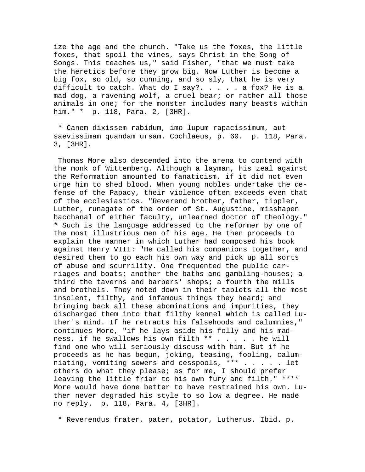ize the age and the church. "Take us the foxes, the little foxes, that spoil the vines, says Christ in the Song of Songs. This teaches us," said Fisher, "that we must take the heretics before they grow big. Now Luther is become a big fox, so old, so cunning, and so sly, that he is very difficult to catch. What do I say?. . . . . a fox? He is a mad dog, a ravening wolf, a cruel bear; or rather all those animals in one; for the monster includes many beasts within him." \* p. 118, Para. 2, [3HR].

 \* Canem dixissem rabidum, imo lupum rapacissimum, aut saevissimam quandam ursam. Cochlaeus, p. 60. p. 118, Para. 3, [3HR].

 Thomas More also descended into the arena to contend with the monk of Wittemberg. Although a layman, his zeal against the Reformation amounted to fanaticism, if it did not even urge him to shed blood. When young nobles undertake the defense of the Papacy, their violence often exceeds even that of the ecclesiastics. "Reverend brother, father, tippler, Luther, runagate of the order of St. Augustine, misshapen bacchanal of either faculty, unlearned doctor of theology." \* Such is the language addressed to the reformer by one of the most illustrious men of his age. He then proceeds to explain the manner in which Luther had composed his book against Henry VIII: "He called his companions together, and desired them to go each his own way and pick up all sorts of abuse and scurrility. One frequented the public carriages and boats; another the baths and gambling-houses; a third the taverns and barbers' shops; a fourth the mills and brothels. They noted down in their tablets all the most insolent, filthy, and infamous things they heard; and bringing back all these abominations and impurities, they discharged them into that filthy kennel which is called Luther's mind. If he retracts his falsehoods and calumnies," continues More, "if he lays aside his folly and his madness, if he swallows his own filth \*\* . . . . . he will find one who will seriously discuss with him. But if he proceeds as he has begun, joking, teasing, fooling, calumniating, vomiting sewers and cesspools, \*\*\* . . . . . let others do what they please; as for me, I should prefer leaving the little friar to his own fury and filth." \*\*\*\* More would have done better to have restrained his own. Luther never degraded his style to so low a degree. He made no reply. p. 118, Para. 4, [3HR].

\* Reverendus frater, pater, potator, Lutherus. Ibid. p.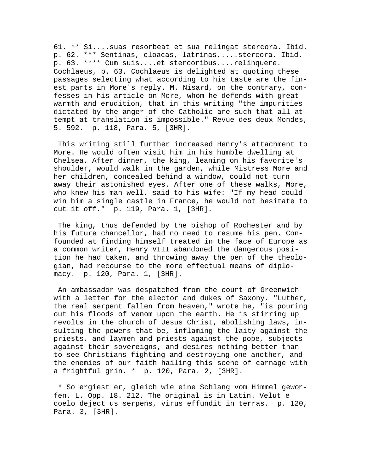61. \*\* Si....suas resorbeat et sua relingat stercora. Ibid. p. 62. \*\*\* Sentinas, cloacas, latrinas,....stercora. Ibid. p. 63. \*\*\*\* Cum suis....et stercoribus....relinquere. Cochlaeus, p. 63. Cochlaeus is delighted at quoting these passages selecting what according to his taste are the finest parts in More's reply. M. Nisard, on the contrary, confesses in his article on More, whom he defends with great warmth and erudition, that in this writing "the impurities dictated by the anger of the Catholic are such that all attempt at translation is impossible." Revue des deux Mondes, 5. 592. p. 118, Para. 5, [3HR].

 This writing still further increased Henry's attachment to More. He would often visit him in his humble dwelling at Chelsea. After dinner, the king, leaning on his favorite's shoulder, would walk in the garden, while Mistress More and her children, concealed behind a window, could not turn away their astonished eyes. After one of these walks, More, who knew his man well, said to his wife: "If my head could win him a single castle in France, he would not hesitate to cut it off." p. 119, Para. 1, [3HR].

 The king, thus defended by the bishop of Rochester and by his future chancellor, had no need to resume his pen. Confounded at finding himself treated in the face of Europe as a common writer, Henry VIII abandoned the dangerous position he had taken, and throwing away the pen of the theologian, had recourse to the more effectual means of diplomacy. p. 120, Para. 1, [3HR].

 An ambassador was despatched from the court of Greenwich with a letter for the elector and dukes of Saxony. "Luther, the real serpent fallen from heaven," wrote he, "is pouring out his floods of venom upon the earth. He is stirring up revolts in the church of Jesus Christ, abolishing laws, insulting the powers that be, inflaming the laity against the priests, and laymen and priests against the pope, subjects against their sovereigns, and desires nothing better than to see Christians fighting and destroying one another, and the enemies of our faith hailing this scene of carnage with a frightful grin. \* p. 120, Para. 2, [3HR].

 \* So ergiest er, gleich wie eine Schlang vom Himmel geworfen. L. Opp. 18. 212. The original is in Latin. Velut e coelo deject us serpens, virus effundit in terras. p. 120, Para. 3, [3HR].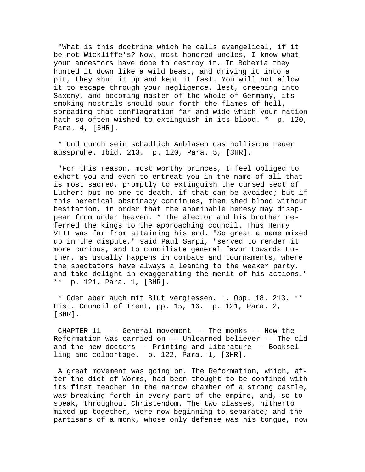"What is this doctrine which he calls evangelical, if it be not Wickliffe's? Now, most honored uncles, I know what your ancestors have done to destroy it. In Bohemia they hunted it down like a wild beast, and driving it into a pit, they shut it up and kept it fast. You will not allow it to escape through your negligence, lest, creeping into Saxony, and becoming master of the whole of Germany, its smoking nostrils should pour forth the flames of hell, spreading that conflagration far and wide which your nation hath so often wished to extinguish in its blood. \* p. 120, Para. 4, [3HR].

 \* Und durch sein schadlich Anblasen das hollische Feuer ausspruhe. Ibid. 213. p. 120, Para. 5, [3HR].

 "For this reason, most worthy princes, I feel obliged to exhort you and even to entreat you in the name of all that is most sacred, promptly to extinguish the cursed sect of Luther: put no one to death, if that can be avoided; but if this heretical obstinacy continues, then shed blood without hesitation, in order that the abominable heresy may disappear from under heaven. \* The elector and his brother referred the kings to the approaching council. Thus Henry VIII was far from attaining his end. "So great a name mixed up in the dispute," said Paul Sarpi, "served to render it more curious, and to conciliate general favor towards Luther, as usually happens in combats and tournaments, where the spectators have always a leaning to the weaker party, and take delight in exaggerating the merit of his actions." \*\* p. 121, Para. 1, [3HR].

 \* Oder aber auch mit Blut vergiessen. L. Opp. 18. 213. \*\* Hist. Council of Trent, pp. 15, 16. p. 121, Para. 2, [3HR].

 CHAPTER 11 --- General movement -- The monks -- How the Reformation was carried on -- Unlearned believer -- The old and the new doctors -- Printing and literature -- Bookselling and colportage. p. 122, Para. 1, [3HR].

 A great movement was going on. The Reformation, which, after the diet of Worms, had been thought to be confined with its first teacher in the narrow chamber of a strong castle, was breaking forth in every part of the empire, and, so to speak, throughout Christendom. The two classes, hitherto mixed up together, were now beginning to separate; and the partisans of a monk, whose only defense was his tongue, now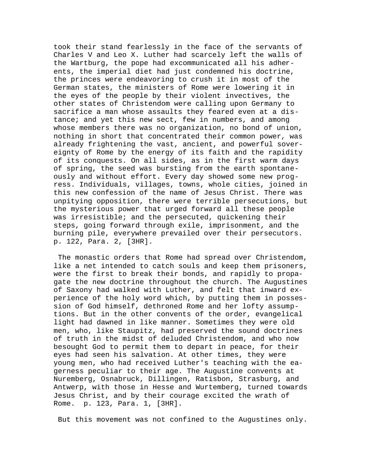took their stand fearlessly in the face of the servants of Charles V and Leo X. Luther had scarcely left the walls of the Wartburg, the pope had excommunicated all his adherents, the imperial diet had just condemned his doctrine, the princes were endeavoring to crush it in most of the German states, the ministers of Rome were lowering it in the eyes of the people by their violent invectives, the other states of Christendom were calling upon Germany to sacrifice a man whose assaults they feared even at a distance; and yet this new sect, few in numbers, and among whose members there was no organization, no bond of union, nothing in short that concentrated their common power, was already frightening the vast, ancient, and powerful sovereignty of Rome by the energy of its faith and the rapidity of its conquests. On all sides, as in the first warm days of spring, the seed was bursting from the earth spontaneously and without effort. Every day showed some new progress. Individuals, villages, towns, whole cities, joined in this new confession of the name of Jesus Christ. There was unpitying opposition, there were terrible persecutions, but the mysterious power that urged forward all these people was irresistible; and the persecuted, quickening their steps, going forward through exile, imprisonment, and the burning pile, everywhere prevailed over their persecutors. p. 122, Para. 2, [3HR].

 The monastic orders that Rome had spread over Christendom, like a net intended to catch souls and keep them prisoners, were the first to break their bonds, and rapidly to propagate the new doctrine throughout the church. The Augustines of Saxony had walked with Luther, and felt that inward experience of the holy word which, by putting them in possession of God himself, dethroned Rome and her lofty assumptions. But in the other convents of the order, evangelical light had dawned in like manner. Sometimes they were old men, who, like Staupitz, had preserved the sound doctrines of truth in the midst of deluded Christendom, and who now besought God to permit them to depart in peace, for their eyes had seen his salvation. At other times, they were young men, who had received Luther's teaching with the eagerness peculiar to their age. The Augustine convents at Nuremberg, Osnabruck, Dillingen, Ratisbon, Strasburg, and Antwerp, with those in Hesse and Wurtemberg, turned towards Jesus Christ, and by their courage excited the wrath of Rome. p. 123, Para. 1, [3HR].

But this movement was not confined to the Augustines only.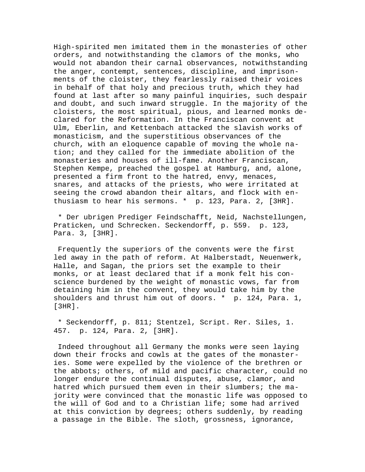High-spirited men imitated them in the monasteries of other orders, and notwithstanding the clamors of the monks, who would not abandon their carnal observances, notwithstanding the anger, contempt, sentences, discipline, and imprisonments of the cloister, they fearlessly raised their voices in behalf of that holy and precious truth, which they had found at last after so many painful inquiries, such despair and doubt, and such inward struggle. In the majority of the cloisters, the most spiritual, pious, and learned monks declared for the Reformation. In the Franciscan convent at Ulm, Eberlin, and Kettenbach attacked the slavish works of monasticism, and the superstitious observances of the church, with an eloquence capable of moving the whole nation; and they called for the immediate abolition of the monasteries and houses of ill-fame. Another Franciscan, Stephen Kempe, preached the gospel at Hamburg, and, alone, presented a firm front to the hatred, envy, menaces, snares, and attacks of the priests, who were irritated at seeing the crowd abandon their altars, and flock with enthusiasm to hear his sermons. \* p. 123, Para. 2, [3HR].

 \* Der ubrigen Prediger Feindschafft, Neid, Nachstellungen, Praticken, und Schrecken. Seckendorff, p. 559. p. 123, Para. 3, [3HR].

 Frequently the superiors of the convents were the first led away in the path of reform. At Halberstadt, Neuenwerk, Halle, and Sagan, the priors set the example to their monks, or at least declared that if a monk felt his conscience burdened by the weight of monastic vows, far from detaining him in the convent, they would take him by the shoulders and thrust him out of doors. \* p. 124, Para. 1, [3HR].

 \* Seckendorff, p. 811; Stentzel, Script. Rer. Siles, 1. 457. p. 124, Para. 2, [3HR].

 Indeed throughout all Germany the monks were seen laying down their frocks and cowls at the gates of the monasteries. Some were expelled by the violence of the brethren or the abbots; others, of mild and pacific character, could no longer endure the continual disputes, abuse, clamor, and hatred which pursued them even in their slumbers; the majority were convinced that the monastic life was opposed to the will of God and to a Christian life; some had arrived at this conviction by degrees; others suddenly, by reading a passage in the Bible. The sloth, grossness, ignorance,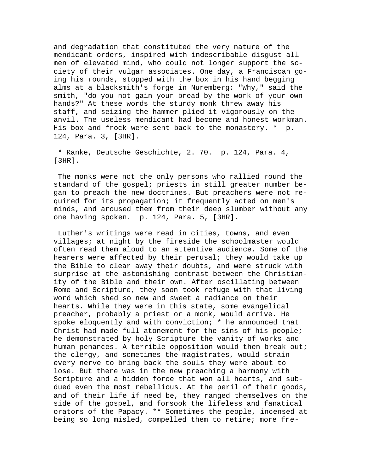and degradation that constituted the very nature of the mendicant orders, inspired with indescribable disgust all men of elevated mind, who could not longer support the society of their vulgar associates. One day, a Franciscan going his rounds, stopped with the box in his hand begging alms at a blacksmith's forge in Nuremberg: "Why," said the smith, "do you not gain your bread by the work of your own hands?" At these words the sturdy monk threw away his staff, and seizing the hammer plied it vigorously on the anvil. The useless mendicant had become and honest workman. His box and frock were sent back to the monastery. \* p. 124, Para. 3, [3HR].

 \* Ranke, Deutsche Geschichte, 2. 70. p. 124, Para. 4, [3HR].

 The monks were not the only persons who rallied round the standard of the gospel; priests in still greater number began to preach the new doctrines. But preachers were not required for its propagation; it frequently acted on men's minds, and aroused them from their deep slumber without any one having spoken. p. 124, Para. 5, [3HR].

 Luther's writings were read in cities, towns, and even villages; at night by the fireside the schoolmaster would often read them aloud to an attentive audience. Some of the hearers were affected by their perusal; they would take up the Bible to clear away their doubts, and were struck with surprise at the astonishing contrast between the Christianity of the Bible and their own. After oscillating between Rome and Scripture, they soon took refuge with that living word which shed so new and sweet a radiance on their hearts. While they were in this state, some evangelical preacher, probably a priest or a monk, would arrive. He spoke eloquently and with conviction; \* he announced that Christ had made full atonement for the sins of his people; he demonstrated by holy Scripture the vanity of works and human penances. A terrible opposition would then break out; the clergy, and sometimes the magistrates, would strain every nerve to bring back the souls they were about to lose. But there was in the new preaching a harmony with Scripture and a hidden force that won all hearts, and subdued even the most rebellious. At the peril of their goods, and of their life if need be, they ranged themselves on the side of the gospel, and forsook the lifeless and fanatical orators of the Papacy. \*\* Sometimes the people, incensed at being so long misled, compelled them to retire; more fre-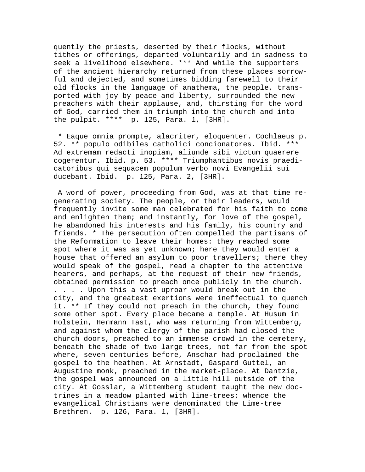quently the priests, deserted by their flocks, without tithes or offerings, departed voluntarily and in sadness to seek a livelihood elsewhere. \*\*\* And while the supporters of the ancient hierarchy returned from these places sorrowful and dejected, and sometimes bidding farewell to their old flocks in the language of anathema, the people, transported with joy by peace and liberty, surrounded the new preachers with their applause, and, thirsting for the word of God, carried them in triumph into the church and into the pulpit. \*\*\*\* p. 125, Para. 1, [3HR].

 \* Eaque omnia prompte, alacriter, eloquenter. Cochlaeus p. 52. \*\* populo odibiles catholici concionatores. Ibid. \*\*\* Ad extremam redacti inopiam, aliunde sibi victum quaerere cogerentur. Ibid. p. 53. \*\*\*\* Triumphantibus novis praedicatoribus qui sequacem populum verbo novi Evangelii sui ducebant. Ibid. p. 125, Para. 2, [3HR].

 A word of power, proceeding from God, was at that time regenerating society. The people, or their leaders, would frequently invite some man celebrated for his faith to come and enlighten them; and instantly, for love of the gospel, he abandoned his interests and his family, his country and friends. \* The persecution often compelled the partisans of the Reformation to leave their homes: they reached some spot where it was as yet unknown; here they would enter a house that offered an asylum to poor travellers; there they would speak of the gospel, read a chapter to the attentive hearers, and perhaps, at the request of their new friends, obtained permission to preach once publicly in the church. . . . . Upon this a vast uproar would break out in the city, and the greatest exertions were ineffectual to quench it. \*\* If they could not preach in the church, they found some other spot. Every place became a temple. At Husum in Holstein, Hermann Tast, who was returning from Wittemberg, and against whom the clergy of the parish had closed the church doors, preached to an immense crowd in the cemetery, beneath the shade of two large trees, not far from the spot where, seven centuries before, Anschar had proclaimed the gospel to the heathen. At Arnstadt, Gaspard Guttel, an Augustine monk, preached in the market-place. At Dantzie, the gospel was announced on a little hill outside of the city. At Gosslar, a Wittemberg student taught the new doctrines in a meadow planted with lime-trees; whence the evangelical Christians were denominated the Lime-tree Brethren. p. 126, Para. 1, [3HR].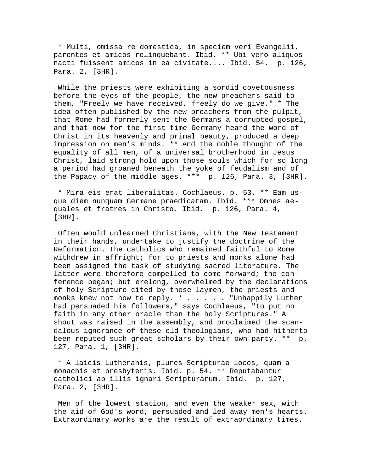\* Multi, omissa re domestica, in speciem veri Evangelii, parentes et amicos relinquebant. Ibid. \*\* Ubi vero aliquos nacti fuissent amicos in ea civitate.... Ibid. 54. p. 126, Para. 2, [3HR].

 While the priests were exhibiting a sordid covetousness before the eyes of the people, the new preachers said to them, "Freely we have received, freely do we give." \* The idea often published by the new preachers from the pulpit, that Rome had formerly sent the Germans a corrupted gospel, and that now for the first time Germany heard the word of Christ in its heavenly and primal beauty, produced a deep impression on men's minds. \*\* And the noble thought of the equality of all men, of a universal brotherhood in Jesus Christ, laid strong hold upon those souls which for so long a period had groaned beneath the yoke of feudalism and of the Papacy of the middle ages. \*\*\* p. 126, Para. 3, [3HR].

 \* Mira eis erat liberalitas. Cochlaeus. p. 53. \*\* Eam usque diem nunquam Germane praedicatam. Ibid. \*\*\* Omnes aequales et fratres in Christo. Ibid. p. 126, Para. 4, [3HR].

 Often would unlearned Christians, with the New Testament in their hands, undertake to justify the doctrine of the Reformation. The catholics who remained faithful to Rome withdrew in affright; for to priests and monks alone had been assigned the task of studying sacred literature. The latter were therefore compelled to come forward; the conference began; but erelong, overwhelmed by the declarations of holy Scripture cited by these laymen, the priests and monks knew not how to reply. \* . . . . . "Unhappily Luther had persuaded his followers," says Cochlaeus, "to put no faith in any other oracle than the holy Scriptures." A shout was raised in the assembly, and proclaimed the scandalous ignorance of these old theologians, who had hitherto been reputed such great scholars by their own party. \*\* p. 127, Para. 1, [3HR].

 \* A laicis Lutheranis, plures Scripturae locos, quam a monachis et presbyteris. Ibid. p. 54. \*\* Reputabantur catholici ab illis ignari Scripturarum. Ibid. p. 127, Para. 2, [3HR].

 Men of the lowest station, and even the weaker sex, with the aid of God's word, persuaded and led away men's hearts. Extraordinary works are the result of extraordinary times.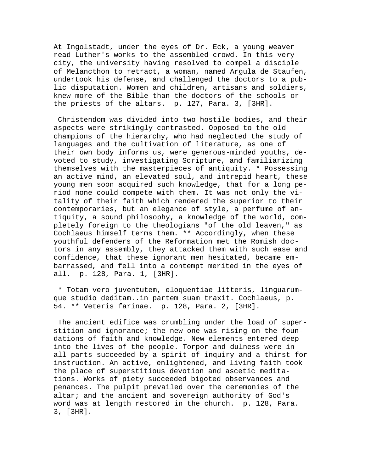At Ingolstadt, under the eyes of Dr. Eck, a young weaver read Luther's works to the assembled crowd. In this very city, the university having resolved to compel a disciple of Melancthon to retract, a woman, named Argula de Staufen, undertook his defense, and challenged the doctors to a public disputation. Women and children, artisans and soldiers, knew more of the Bible than the doctors of the schools or the priests of the altars. p. 127, Para. 3, [3HR].

 Christendom was divided into two hostile bodies, and their aspects were strikingly contrasted. Opposed to the old champions of the hierarchy, who had neglected the study of languages and the cultivation of literature, as one of their own body informs us, were generous-minded youths, devoted to study, investigating Scripture, and familiarizing themselves with the masterpieces of antiquity. \* Possessing an active mind, an elevated soul, and intrepid heart, these young men soon acquired such knowledge, that for a long period none could compete with them. It was not only the vitality of their faith which rendered the superior to their contemporaries, but an elegance of style, a perfume of antiquity, a sound philosophy, a knowledge of the world, completely foreign to the theologians "of the old leaven," as Cochlaeus himself terms them. \*\* Accordingly, when these youthful defenders of the Reformation met the Romish doctors in any assembly, they attacked them with such ease and confidence, that these ignorant men hesitated, became embarrassed, and fell into a contempt merited in the eyes of all. p. 128, Para. 1, [3HR].

 \* Totam vero juventutem, eloquentiae litteris, linguarumque studio deditam..in partem suam traxit. Cochlaeus, p. 54. \*\* Veteris farinae. p. 128, Para. 2, [3HR].

 The ancient edifice was crumbling under the load of superstition and ignorance; the new one was rising on the foundations of faith and knowledge. New elements entered deep into the lives of the people. Torpor and dulness were in all parts succeeded by a spirit of inquiry and a thirst for instruction. An active, enlightened, and living faith took the place of superstitious devotion and ascetic meditations. Works of piety succeeded bigoted observances and penances. The pulpit prevailed over the ceremonies of the altar; and the ancient and sovereign authority of God's word was at length restored in the church. p. 128, Para. 3, [3HR].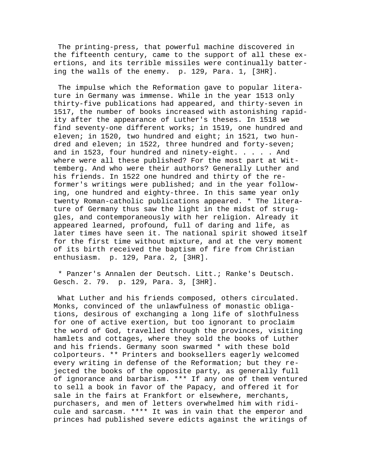The printing-press, that powerful machine discovered in the fifteenth century, came to the support of all these exertions, and its terrible missiles were continually battering the walls of the enemy. p. 129, Para. 1, [3HR].

 The impulse which the Reformation gave to popular literature in Germany was immense. While in the year 1513 only thirty-five publications had appeared, and thirty-seven in 1517, the number of books increased with astonishing rapidity after the appearance of Luther's theses. In 1518 we find seventy-one different works; in 1519, one hundred and eleven; in 1520, two hundred and eight; in 1521, two hundred and eleven; in 1522, three hundred and forty-seven; and in 1523, four hundred and ninety-eight. . . . . And where were all these published? For the most part at Wittemberg. And who were their authors? Generally Luther and his friends. In 1522 one hundred and thirty of the reformer's writings were published; and in the year following, one hundred and eighty-three. In this same year only twenty Roman-catholic publications appeared. \* The literature of Germany thus saw the light in the midst of struggles, and contemporaneously with her religion. Already it appeared learned, profound, full of daring and life, as later times have seen it. The national spirit showed itself for the first time without mixture, and at the very moment of its birth received the baptism of fire from Christian enthusiasm. p. 129, Para. 2, [3HR].

 \* Panzer's Annalen der Deutsch. Litt.; Ranke's Deutsch. Gesch. 2. 79. p. 129, Para. 3, [3HR].

 What Luther and his friends composed, others circulated. Monks, convinced of the unlawfulness of monastic obligations, desirous of exchanging a long life of slothfulness for one of active exertion, but too ignorant to proclaim the word of God, travelled through the provinces, visiting hamlets and cottages, where they sold the books of Luther and his friends. Germany soon swarmed \* with these bold colporteurs. \*\* Printers and booksellers eagerly welcomed every writing in defense of the Reformation; but they rejected the books of the opposite party, as generally full of ignorance and barbarism. \*\*\* If any one of them ventured to sell a book in favor of the Papacy, and offered it for sale in the fairs at Frankfort or elsewhere, merchants, purchasers, and men of letters overwhelmed him with ridicule and sarcasm. \*\*\*\* It was in vain that the emperor and princes had published severe edicts against the writings of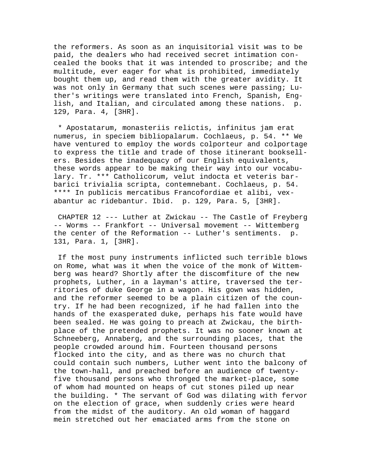the reformers. As soon as an inquisitorial visit was to be paid, the dealers who had received secret intimation concealed the books that it was intended to proscribe; and the multitude, ever eager for what is prohibited, immediately bought them up, and read them with the greater avidity. It was not only in Germany that such scenes were passing; Luther's writings were translated into French, Spanish, English, and Italian, and circulated among these nations. p. 129, Para. 4, [3HR].

 \* Apostatarum, monasteriis relictis, infinitus jam erat numerus, in speciem bibliopalarum. Cochlaeus, p. 54. \*\* We have ventured to employ the words colporteur and colportage to express the title and trade of those itinerant booksellers. Besides the inadequacy of our English equivalents, these words appear to be making their way into our vocabulary. Tr. \*\*\* Catholicorum, velut indocta et veteris barbarici trivialia scripta, contemnebant. Cochlaeus, p. 54. \*\*\*\* In publicis mercatibus Francofordiae et alibi, vexabantur ac ridebantur. Ibid. p. 129, Para. 5, [3HR].

 CHAPTER 12 --- Luther at Zwickau -- The Castle of Freyberg -- Worms -- Frankfort -- Universal movement -- Wittemberg the center of the Reformation -- Luther's sentiments. p. 131, Para. 1, [3HR].

 If the most puny instruments inflicted such terrible blows on Rome, what was it when the voice of the monk of Wittemberg was heard? Shortly after the discomfiture of the new prophets, Luther, in a layman's attire, traversed the territories of duke George in a wagon. His gown was hidden, and the reformer seemed to be a plain citizen of the country. If he had been recognized, if he had fallen into the hands of the exasperated duke, perhaps his fate would have been sealed. He was going to preach at Zwickau, the birthplace of the pretended prophets. It was no sooner known at Schneeberg, Annaberg, and the surrounding places, that the people crowded around him. Fourteen thousand persons flocked into the city, and as there was no church that could contain such numbers, Luther went into the balcony of the town-hall, and preached before an audience of twentyfive thousand persons who thronged the market-place, some of whom had mounted on heaps of cut stones piled up near the building. \* The servant of God was dilating with fervor on the election of grace, when suddenly cries were heard from the midst of the auditory. An old woman of haggard mein stretched out her emaciated arms from the stone on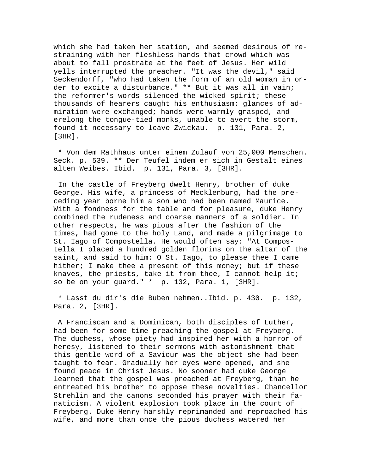which she had taken her station, and seemed desirous of restraining with her fleshless hands that crowd which was about to fall prostrate at the feet of Jesus. Her wild yells interrupted the preacher. "It was the devil," said Seckendorff, "who had taken the form of an old woman in order to excite a disturbance." \*\* But it was all in vain; the reformer's words silenced the wicked spirit; these thousands of hearers caught his enthusiasm; glances of admiration were exchanged; hands were warmly grasped, and erelong the tongue-tied monks, unable to avert the storm, found it necessary to leave Zwickau. p. 131, Para. 2, [3HR].

 \* Von dem Rathhaus unter einem Zulauf von 25,000 Menschen. Seck. p. 539. \*\* Der Teufel indem er sich in Gestalt eines alten Weibes. Ibid. p. 131, Para. 3, [3HR].

 In the castle of Freyberg dwelt Henry, brother of duke George. His wife, a princess of Mecklenburg, had the preceding year borne him a son who had been named Maurice. With a fondness for the table and for pleasure, duke Henry combined the rudeness and coarse manners of a soldier. In other respects, he was pious after the fashion of the times, had gone to the holy Land, and made a pilgrimage to St. Iago of Compostella. He would often say: "At Compostella I placed a hundred golden florins on the altar of the saint, and said to him: O St. Iago, to please thee I came hither; I make thee a present of this money; but if these knaves, the priests, take it from thee, I cannot help it; so be on your guard." \* p. 132, Para. 1, [3HR].

 \* Lasst du dir's die Buben nehmen..Ibid. p. 430. p. 132, Para. 2, [3HR].

 A Franciscan and a Dominican, both disciples of Luther, had been for some time preaching the gospel at Freyberg. The duchess, whose piety had inspired her with a horror of heresy, listened to their sermons with astonishment that this gentle word of a Saviour was the object she had been taught to fear. Gradually her eyes were opened, and she found peace in Christ Jesus. No sooner had duke George learned that the gospel was preached at Freyberg, than he entreated his brother to oppose these novelties. Chancellor Strehlin and the canons seconded his prayer with their fanaticism. A violent explosion took place in the court of Freyberg. Duke Henry harshly reprimanded and reproached his wife, and more than once the pious duchess watered her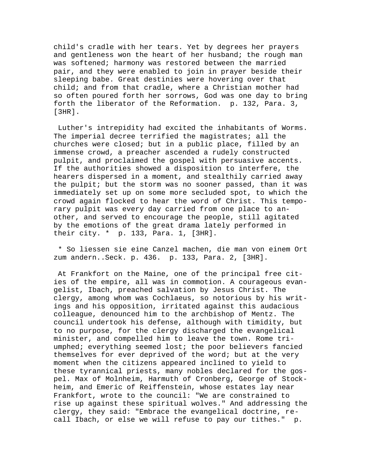child's cradle with her tears. Yet by degrees her prayers and gentleness won the heart of her husband; the rough man was softened; harmony was restored between the married pair, and they were enabled to join in prayer beside their sleeping babe. Great destinies were hovering over that child; and from that cradle, where a Christian mother had so often poured forth her sorrows, God was one day to bring forth the liberator of the Reformation. p. 132, Para. 3, [3HR].

 Luther's intrepidity had excited the inhabitants of Worms. The imperial decree terrified the magistrates; all the churches were closed; but in a public place, filled by an immense crowd, a preacher ascended a rudely constructed pulpit, and proclaimed the gospel with persuasive accents. If the authorities showed a disposition to interfere, the hearers dispersed in a moment, and stealthily carried away the pulpit; but the storm was no sooner passed, than it was immediately set up on some more secluded spot, to which the crowd again flocked to hear the word of Christ. This temporary pulpit was every day carried from one place to another, and served to encourage the people, still agitated by the emotions of the great drama lately performed in their city. \* p. 133, Para. 1, [3HR].

 \* So liessen sie eine Canzel machen, die man von einem Ort zum andern..Seck. p. 436. p. 133, Para. 2, [3HR].

 At Frankfort on the Maine, one of the principal free cities of the empire, all was in commotion. A courageous evangelist, Ibach, preached salvation by Jesus Christ. The clergy, among whom was Cochlaeus, so notorious by his writings and his opposition, irritated against this audacious colleague, denounced him to the archbishop of Mentz. The council undertook his defense, although with timidity, but to no purpose, for the clergy discharged the evangelical minister, and compelled him to leave the town. Rome triumphed; everything seemed lost; the poor believers fancied themselves for ever deprived of the word; but at the very moment when the citizens appeared inclined to yield to these tyrannical priests, many nobles declared for the gospel. Max of Molnheim, Harmuth of Cronberg, George of Stockheim, and Emeric of Reiffenstein, whose estates lay near Frankfort, wrote to the council: "We are constrained to rise up against these spiritual wolves." And addressing the clergy, they said: "Embrace the evangelical doctrine, recall Ibach, or else we will refuse to pay our tithes." p.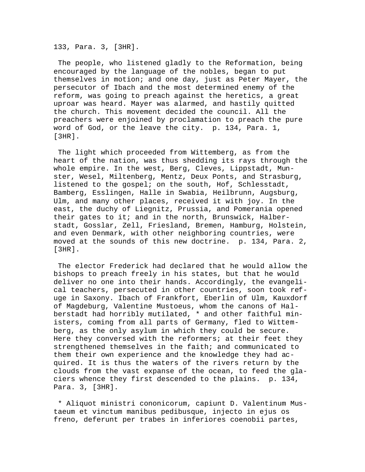133, Para. 3, [3HR].

 The people, who listened gladly to the Reformation, being encouraged by the language of the nobles, began to put themselves in motion; and one day, just as Peter Mayer, the persecutor of Ibach and the most determined enemy of the reform, was going to preach against the heretics, a great uproar was heard. Mayer was alarmed, and hastily quitted the church. This movement decided the council. All the preachers were enjoined by proclamation to preach the pure word of God, or the leave the city. p. 134, Para. 1, [3HR].

 The light which proceeded from Wittemberg, as from the heart of the nation, was thus shedding its rays through the whole empire. In the west, Berg, Cleves, Lippstadt, Munster, Wesel, Miltenberg, Mentz, Deux Ponts, and Strasburg, listened to the gospel; on the south, Hof, Schlesstadt, Bamberg, Esslingen, Halle in Swabia, Heilbrunn, Augsburg, Ulm, and many other places, received it with joy. In the east, the duchy of Liegnitz, Prussia, and Pomerania opened their gates to it; and in the north, Brunswick, Halberstadt, Gosslar, Zell, Friesland, Bremen, Hamburg, Holstein, and even Denmark, with other neighboring countries, were moved at the sounds of this new doctrine. p. 134, Para. 2, [3HR].

 The elector Frederick had declared that he would allow the bishops to preach freely in his states, but that he would deliver no one into their hands. Accordingly, the evangelical teachers, persecuted in other countries, soon took refuge in Saxony. Ibach of Frankfort, Eberlin of Ulm, Kauxdorf of Magdeburg, Valentine Mustoeus, whom the canons of Halberstadt had horribly mutilated, \* and other faithful ministers, coming from all parts of Germany, fled to Wittemberg, as the only asylum in which they could be secure. Here they conversed with the reformers; at their feet they strengthened themselves in the faith; and communicated to them their own experience and the knowledge they had acquired. It is thus the waters of the rivers return by the clouds from the vast expanse of the ocean, to feed the glaciers whence they first descended to the plains. p. 134, Para. 3, [3HR].

 \* Aliquot ministri cononicorum, capiunt D. Valentinum Mustaeum et vinctum manibus pedibusque, injecto in ejus os freno, deferunt per trabes in inferiores coenobii partes,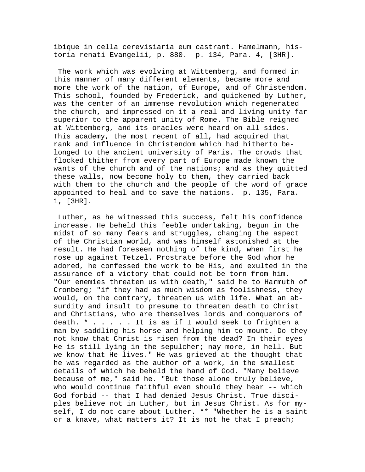ibique in cella cerevisiaria eum castrant. Hamelmann, historia renati Evangelii, p. 880. p. 134, Para. 4, [3HR].

 The work which was evolving at Wittemberg, and formed in this manner of many different elements, became more and more the work of the nation, of Europe, and of Christendom. This school, founded by Frederick, and quickened by Luther, was the center of an immense revolution which regenerated the church, and impressed on it a real and living unity far superior to the apparent unity of Rome. The Bible reigned at Wittemberg, and its oracles were heard on all sides. This academy, the most recent of all, had acquired that rank and influence in Christendom which had hitherto belonged to the ancient university of Paris. The crowds that flocked thither from every part of Europe made known the wants of the church and of the nations; and as they quitted these walls, now become holy to them, they carried back with them to the church and the people of the word of grace appointed to heal and to save the nations. p. 135, Para. 1, [3HR].

 Luther, as he witnessed this success, felt his confidence increase. He beheld this feeble undertaking, begun in the midst of so many fears and struggles, changing the aspect of the Christian world, and was himself astonished at the result. He had foreseen nothing of the kind, when first he rose up against Tetzel. Prostrate before the God whom he adored, he confessed the work to be His, and exulted in the assurance of a victory that could not be torn from him. "Our enemies threaten us with death," said he to Harmuth of Cronberg; "if they had as much wisdom as foolishness, they would, on the contrary, threaten us with life. What an absurdity and insult to presume to threaten death to Christ and Christians, who are themselves lords and conquerors of death. \* . . . . . It is as if I would seek to frighten a man by saddling his horse and helping him to mount. Do they not know that Christ is risen from the dead? In their eyes He is still lying in the sepulcher; nay more, in hell. But we know that He lives." He was grieved at the thought that he was regarded as the author of a work, in the smallest details of which he beheld the hand of God. "Many believe because of me," said he. "But those alone truly believe, who would continue faithful even should they hear -- which God forbid -- that I had denied Jesus Christ. True disciples believe not in Luther, but in Jesus Christ. As for myself, I do not care about Luther. \*\* "Whether he is a saint or a knave, what matters it? It is not he that I preach;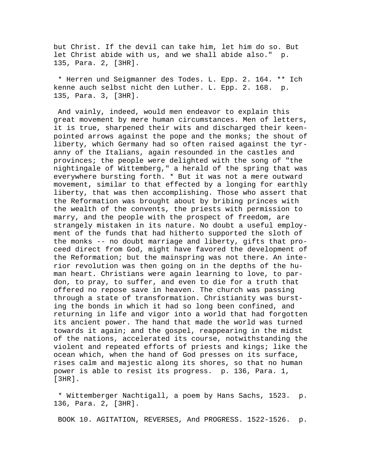but Christ. If the devil can take him, let him do so. But let Christ abide with us, and we shall abide also." p. 135, Para. 2, [3HR].

 \* Herren und Seigmanner des Todes. L. Epp. 2. 164. \*\* Ich kenne auch selbst nicht den Luther. L. Epp. 2. 168. p. 135, Para. 3, [3HR].

 And vainly, indeed, would men endeavor to explain this great movement by mere human circumstances. Men of letters, it is true, sharpened their wits and discharged their keenpointed arrows against the pope and the monks; the shout of liberty, which Germany had so often raised against the tyranny of the Italians, again resounded in the castles and provinces; the people were delighted with the song of "the nightingale of Wittemberg," a herald of the spring that was everywhere bursting forth. \* But it was not a mere outward movement, similar to that effected by a longing for earthly liberty, that was then accomplishing. Those who assert that the Reformation was brought about by bribing princes with the wealth of the convents, the priests with permission to marry, and the people with the prospect of freedom, are strangely mistaken in its nature. No doubt a useful employment of the funds that had hitherto supported the sloth of the monks -- no doubt marriage and liberty, gifts that proceed direct from God, might have favored the development of the Reformation; but the mainspring was not there. An interior revolution was then going on in the depths of the human heart. Christians were again learning to love, to pardon, to pray, to suffer, and even to die for a truth that offered no repose save in heaven. The church was passing through a state of transformation. Christianity was bursting the bonds in which it had so long been confined, and returning in life and vigor into a world that had forgotten its ancient power. The hand that made the world was turned towards it again; and the gospel, reappearing in the midst of the nations, accelerated its course, notwithstanding the violent and repeated efforts of priests and kings; like the ocean which, when the hand of God presses on its surface, rises calm and majestic along its shores, so that no human power is able to resist its progress. p. 136, Para. 1, [3HR].

 \* Wittemberger Nachtigall, a poem by Hans Sachs, 1523. p. 136, Para. 2, [3HR].

BOOK 10. AGITATION, REVERSES, And PROGRESS. 1522-1526. p.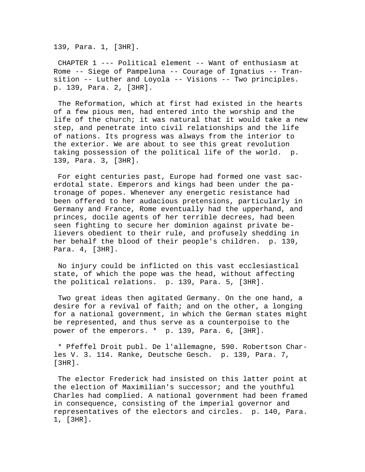139, Para. 1, [3HR].

 CHAPTER 1 --- Political element -- Want of enthusiasm at Rome -- Siege of Pampeluna -- Courage of Ignatius -- Transition -- Luther and Loyola -- Visions -- Two principles. p. 139, Para. 2, [3HR].

 The Reformation, which at first had existed in the hearts of a few pious men, had entered into the worship and the life of the church; it was natural that it would take a new step, and penetrate into civil relationships and the life of nations. Its progress was always from the interior to the exterior. We are about to see this great revolution taking possession of the political life of the world. p. 139, Para. 3, [3HR].

 For eight centuries past, Europe had formed one vast sacerdotal state. Emperors and kings had been under the patronage of popes. Whenever any energetic resistance had been offered to her audacious pretensions, particularly in Germany and France, Rome eventually had the upperhand, and princes, docile agents of her terrible decrees, had been seen fighting to secure her dominion against private believers obedient to their rule, and profusely shedding in her behalf the blood of their people's children. p. 139, Para. 4, [3HR].

 No injury could be inflicted on this vast ecclesiastical state, of which the pope was the head, without affecting the political relations. p. 139, Para. 5, [3HR].

 Two great ideas then agitated Germany. On the one hand, a desire for a revival of faith; and on the other, a longing for a national government, in which the German states might be represented, and thus serve as a counterpoise to the power of the emperors. \* p. 139, Para. 6, [3HR].

 \* Pfeffel Droit publ. De l'allemagne, 590. Robertson Charles V. 3. 114. Ranke, Deutsche Gesch. p. 139, Para. 7, [3HR].

 The elector Frederick had insisted on this latter point at the election of Maximilian's successor; and the youthful Charles had complied. A national government had been framed in consequence, consisting of the imperial governor and representatives of the electors and circles. p. 140, Para. 1, [3HR].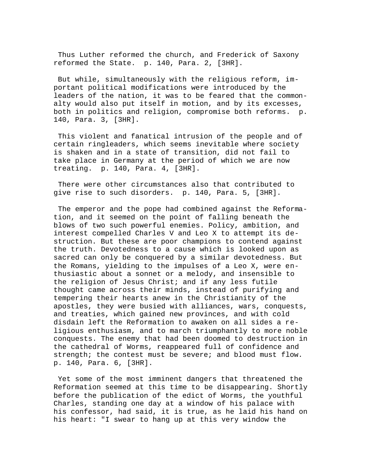Thus Luther reformed the church, and Frederick of Saxony reformed the State. p. 140, Para. 2, [3HR].

 But while, simultaneously with the religious reform, important political modifications were introduced by the leaders of the nation, it was to be feared that the commonalty would also put itself in motion, and by its excesses, both in politics and religion, compromise both reforms. p. 140, Para. 3, [3HR].

 This violent and fanatical intrusion of the people and of certain ringleaders, which seems inevitable where society is shaken and in a state of transition, did not fail to take place in Germany at the period of which we are now treating. p. 140, Para. 4, [3HR].

 There were other circumstances also that contributed to give rise to such disorders. p. 140, Para. 5, [3HR].

 The emperor and the pope had combined against the Reformation, and it seemed on the point of falling beneath the blows of two such powerful enemies. Policy, ambition, and interest compelled Charles V and Leo X to attempt its destruction. But these are poor champions to contend against the truth. Devotedness to a cause which is looked upon as sacred can only be conquered by a similar devotedness. But the Romans, yielding to the impulses of a Leo X, were enthusiastic about a sonnet or a melody, and insensible to the religion of Jesus Christ; and if any less futile thought came across their minds, instead of purifying and tempering their hearts anew in the Christianity of the apostles, they were busied with alliances, wars, conquests, and treaties, which gained new provinces, and with cold disdain left the Reformation to awaken on all sides a religious enthusiasm, and to march triumphantly to more noble conquests. The enemy that had been doomed to destruction in the cathedral of Worms, reappeared full of confidence and strength; the contest must be severe; and blood must flow. p. 140, Para. 6, [3HR].

 Yet some of the most imminent dangers that threatened the Reformation seemed at this time to be disappearing. Shortly before the publication of the edict of Worms, the youthful Charles, standing one day at a window of his palace with his confessor, had said, it is true, as he laid his hand on his heart: "I swear to hang up at this very window the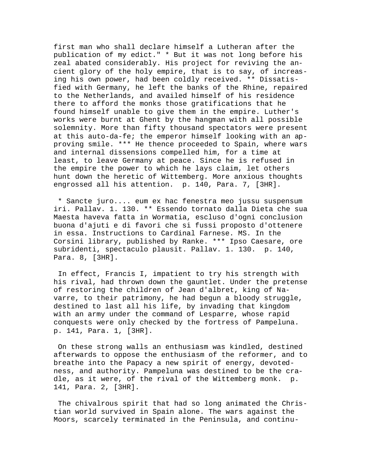first man who shall declare himself a Lutheran after the publication of my edict." \* But it was not long before his zeal abated considerably. His project for reviving the ancient glory of the holy empire, that is to say, of increasing his own power, had been coldly received. \*\* Dissatisfied with Germany, he left the banks of the Rhine, repaired to the Netherlands, and availed himself of his residence there to afford the monks those gratifications that he found himself unable to give them in the empire. Luther's works were burnt at Ghent by the hangman with all possible solemnity. More than fifty thousand spectators were present at this auto-da-fe; the emperor himself looking with an approving smile. \*\*\* He thence proceeded to Spain, where wars and internal dissensions compelled him, for a time at least, to leave Germany at peace. Since he is refused in the empire the power to which he lays claim, let others hunt down the heretic of Wittemberg. More anxious thoughts engrossed all his attention. p. 140, Para. 7, [3HR].

 \* Sancte juro.... eum ex hac fenestra meo jussu suspensum iri. Pallav. 1. 130. \*\* Essendo tornato dalla Dieta che sua Maesta haveva fatta in Wormatia, escluso d'ogni conclusion buona d'ajuti e di favori che si fussi proposto d'ottenere in essa. Instructions to Cardinal Farnese. MS. In the Corsini library, published by Ranke. \*\*\* Ipso Caesare, ore subridenti, spectaculo plausit. Pallav. 1. 130. p. 140, Para. 8, [3HR].

 In effect, Francis I, impatient to try his strength with his rival, had thrown down the gauntlet. Under the pretense of restoring the children of Jean d'albret, king of Navarre, to their patrimony, he had begun a bloody struggle, destined to last all his life, by invading that kingdom with an army under the command of Lesparre, whose rapid conquests were only checked by the fortress of Pampeluna. p. 141, Para. 1, [3HR].

 On these strong walls an enthusiasm was kindled, destined afterwards to oppose the enthusiasm of the reformer, and to breathe into the Papacy a new spirit of energy, devotedness, and authority. Pampeluna was destined to be the cradle, as it were, of the rival of the Wittemberg monk. p. 141, Para. 2, [3HR].

 The chivalrous spirit that had so long animated the Christian world survived in Spain alone. The wars against the Moors, scarcely terminated in the Peninsula, and continu-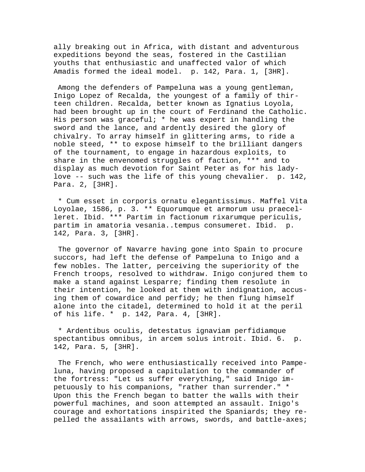ally breaking out in Africa, with distant and adventurous expeditions beyond the seas, fostered in the Castilian youths that enthusiastic and unaffected valor of which Amadis formed the ideal model. p. 142, Para. 1, [3HR].

 Among the defenders of Pampeluna was a young gentleman, Inigo Lopez of Recalda, the youngest of a family of thirteen children. Recalda, better known as Ignatius Loyola, had been brought up in the court of Ferdinand the Catholic. His person was graceful; \* he was expert in handling the sword and the lance, and ardently desired the glory of chivalry. To array himself in glittering arms, to ride a noble steed, \*\* to expose himself to the brilliant dangers of the tournament, to engage in hazardous exploits, to share in the envenomed struggles of faction, \*\*\* and to display as much devotion for Saint Peter as for his ladylove -- such was the life of this young chevalier. p. 142, Para. 2, [3HR].

 \* Cum esset in corporis ornatu elegantissimus. Maffel Vita Loyolae, 1586, p. 3. \*\* Equorumque et armorum usu praecelleret. Ibid. \*\*\* Partim in factionum rixarumque periculis, partim in amatoria vesania..tempus consumeret. Ibid. p. 142, Para. 3, [3HR].

 The governor of Navarre having gone into Spain to procure succors, had left the defense of Pampeluna to Inigo and a few nobles. The latter, perceiving the superiority of the French troops, resolved to withdraw. Inigo conjured them to make a stand against Lesparre; finding them resolute in their intention, he looked at them with indignation, accusing them of cowardice and perfidy; he then flung himself alone into the citadel, determined to hold it at the peril of his life. \* p. 142, Para. 4, [3HR].

 \* Ardentibus oculis, detestatus ignaviam perfidiamque spectantibus omnibus, in arcem solus introit. Ibid. 6. p. 142, Para. 5, [3HR].

 The French, who were enthusiastically received into Pampeluna, having proposed a capitulation to the commander of the fortress: "Let us suffer everything," said Inigo impetuously to his companions, "rather than surrender." \* Upon this the French began to batter the walls with their powerful machines, and soon attempted an assault. Inigo's courage and exhortations inspirited the Spaniards; they repelled the assailants with arrows, swords, and battle-axes;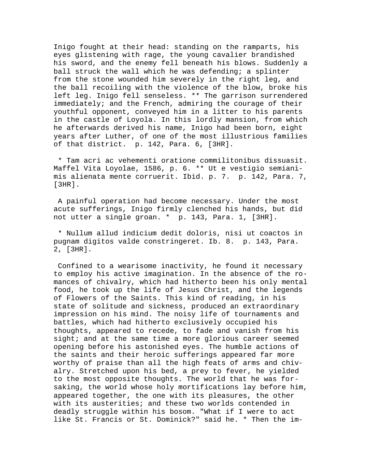Inigo fought at their head: standing on the ramparts, his eyes glistening with rage, the young cavalier brandished his sword, and the enemy fell beneath his blows. Suddenly a ball struck the wall which he was defending; a splinter from the stone wounded him severely in the right leg, and the ball recoiling with the violence of the blow, broke his left leg. Inigo fell senseless. \*\* The garrison surrendered immediately; and the French, admiring the courage of their youthful opponent, conveyed him in a litter to his parents in the castle of Loyola. In this lordly mansion, from which he afterwards derived his name, Inigo had been born, eight years after Luther, of one of the most illustrious families of that district. p. 142, Para. 6, [3HR].

 \* Tam acri ac vehementi oratione commilitonibus dissuasit. Maffel Vita Loyolae, 1586, p. 6. \*\* Ut e vestigio semianimis alienata mente corruerit. Ibid. p. 7. p. 142, Para. 7, [3HR].

 A painful operation had become necessary. Under the most acute sufferings, Inigo firmly clenched his hands, but did not utter a single groan. \* p. 143, Para. 1, [3HR].

 \* Nullum allud indicium dedit doloris, nisi ut coactos in pugnam digitos valde constringeret. Ib. 8. p. 143, Para. 2, [3HR].

 Confined to a wearisome inactivity, he found it necessary to employ his active imagination. In the absence of the romances of chivalry, which had hitherto been his only mental food, he took up the life of Jesus Christ, and the legends of Flowers of the Saints. This kind of reading, in his state of solitude and sickness, produced an extraordinary impression on his mind. The noisy life of tournaments and battles, which had hitherto exclusively occupied his thoughts, appeared to recede, to fade and vanish from his sight; and at the same time a more glorious career seemed opening before his astonished eyes. The humble actions of the saints and their heroic sufferings appeared far more worthy of praise than all the high feats of arms and chivalry. Stretched upon his bed, a prey to fever, he yielded to the most opposite thoughts. The world that he was forsaking, the world whose holy mortifications lay before him, appeared together, the one with its pleasures, the other with its austerities; and these two worlds contended in deadly struggle within his bosom. "What if I were to act like St. Francis or St. Dominick?" said he. \* Then the im-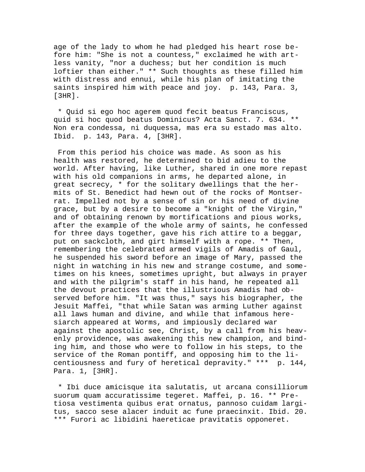age of the lady to whom he had pledged his heart rose before him: "She is not a countess," exclaimed he with artless vanity, "nor a duchess; but her condition is much loftier than either." \*\* Such thoughts as these filled him with distress and ennui, while his plan of imitating the saints inspired him with peace and joy. p. 143, Para. 3, [3HR].

 \* Quid si ego hoc agerem quod fecit beatus Franciscus, quid si hoc quod beatus Dominicus? Acta Sanct. 7. 634. \*\* Non era condessa, ni duquessa, mas era su estado mas alto. Ibid. p. 143, Para. 4, [3HR].

 From this period his choice was made. As soon as his health was restored, he determined to bid adieu to the world. After having, like Luther, shared in one more repast with his old companions in arms, he departed alone, in great secrecy, \* for the solitary dwellings that the hermits of St. Benedict had hewn out of the rocks of Montserrat. Impelled not by a sense of sin or his need of divine grace, but by a desire to become a "knight of the Virgin," and of obtaining renown by mortifications and pious works, after the example of the whole army of saints, he confessed for three days together, gave his rich attire to a beggar, put on sackcloth, and girt himself with a rope. \*\* Then, remembering the celebrated armed vigils of Amadis of Gaul, he suspended his sword before an image of Mary, passed the night in watching in his new and strange costume, and sometimes on his knees, sometimes upright, but always in prayer and with the pilgrim's staff in his hand, he repeated all the devout practices that the illustrious Amadis had observed before him. "It was thus," says his biographer, the Jesuit Maffei, "that while Satan was arming Luther against all laws human and divine, and while that infamous heresiarch appeared at Worms, and impiously declared war against the apostolic see, Christ, by a call from his heavenly providence, was awakening this new champion, and binding him, and those who were to follow in his steps, to the service of the Roman pontiff, and opposing him to the licentiousness and fury of heretical depravity." \*\*\* p. 144, Para. 1, [3HR].

 \* Ibi duce amicisque ita salutatis, ut arcana consilliorum suorum quam accuratissime tegeret. Maffei, p. 16. \*\* Pretiosa vestimenta quibus erat ornatus, pannoso cuidam largitus, sacco sese alacer induit ac fune praecinxit. Ibid. 20. \*\*\* Furori ac libidini haereticae pravitatis opponeret.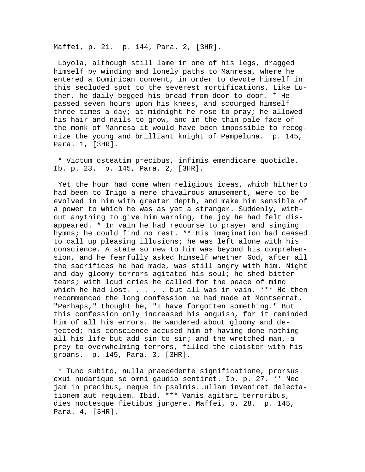Maffei, p. 21. p. 144, Para. 2, [3HR].

 Loyola, although still lame in one of his legs, dragged himself by winding and lonely paths to Manresa, where he entered a Dominican convent, in order to devote himself in this secluded spot to the severest mortifications. Like Luther, he daily begged his bread from door to door. \* He passed seven hours upon his knees, and scourged himself three times a day; at midnight he rose to pray; he allowed his hair and nails to grow, and in the thin pale face of the monk of Manresa it would have been impossible to recognize the young and brilliant knight of Pampeluna. p. 145, Para. 1, [3HR].

 \* Victum osteatim precibus, infimis emendicare quotidle. Ib. p. 23. p. 145, Para. 2, [3HR].

 Yet the hour had come when religious ideas, which hitherto had been to Inigo a mere chivalrous amusement, were to be evolved in him with greater depth, and make him sensible of a power to which he was as yet a stranger. Suddenly, without anything to give him warning, the joy he had felt disappeared. \* In vain he had recourse to prayer and singing hymns; he could find no rest. \*\* His imagination had ceased to call up pleasing illusions; he was left alone with his conscience. A state so new to him was beyond his comprehension, and he fearfully asked himself whether God, after all the sacrifices he had made, was still angry with him. Night and day gloomy terrors agitated his soul; he shed bitter tears; with loud cries he called for the peace of mind which he had lost. . . . . but all was in vain. \*\*\* He then recommenced the long confession he had made at Montserrat. "Perhaps," thought he, "I have forgotten something." But this confession only increased his anguish, for it reminded him of all his errors. He wandered about gloomy and dejected; his conscience accused him of having done nothing all his life but add sin to sin; and the wretched man, a prey to overwhelming terrors, filled the cloister with his groans. p. 145, Para. 3, [3HR].

 \* Tunc subito, nulla praecedente significatione, prorsus exui nudarique se omni gaudio sentiret. Ib. p. 27. \*\* Nec jam in precibus, neque in psalmis..ullam inveniret delectationem aut requiem. Ibid. \*\*\* Vanis agitari terroribus, dies noctesque fietibus jungere. Maffei, p. 28. p. 145, Para. 4, [3HR].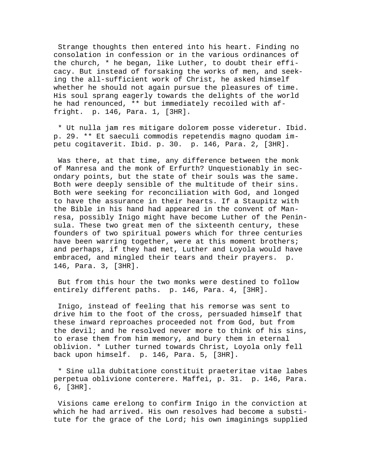Strange thoughts then entered into his heart. Finding no consolation in confession or in the various ordinances of the church, \* he began, like Luther, to doubt their efficacy. But instead of forsaking the works of men, and seeking the all-sufficient work of Christ, he asked himself whether he should not again pursue the pleasures of time. His soul sprang eagerly towards the delights of the world he had renounced, \*\* but immediately recoiled with affright. p. 146, Para. 1, [3HR].

 \* Ut nulla jam res mitigare dolorem posse videretur. Ibid. p. 29. \*\* Et saeculi commodis repetendis magno quodam impetu cogitaverit. Ibid. p. 30. p. 146, Para. 2, [3HR].

 Was there, at that time, any difference between the monk of Manresa and the monk of Erfurth? Unquestionably in secondary points, but the state of their souls was the same. Both were deeply sensible of the multitude of their sins. Both were seeking for reconciliation with God, and longed to have the assurance in their hearts. If a Staupitz with the Bible in his hand had appeared in the convent of Manresa, possibly Inigo might have become Luther of the Peninsula. These two great men of the sixteenth century, these founders of two spiritual powers which for three centuries have been warring together, were at this moment brothers; and perhaps, if they had met, Luther and Loyola would have embraced, and mingled their tears and their prayers. p. 146, Para. 3, [3HR].

 But from this hour the two monks were destined to follow entirely different paths. p. 146, Para. 4, [3HR].

 Inigo, instead of feeling that his remorse was sent to drive him to the foot of the cross, persuaded himself that these inward reproaches proceeded not from God, but from the devil; and he resolved never more to think of his sins, to erase them from him memory, and bury them in eternal oblivion. \* Luther turned towards Christ, Loyola only fell back upon himself. p. 146, Para. 5, [3HR].

 \* Sine ulla dubitatione constituit praeteritae vitae labes perpetua oblivione conterere. Maffei, p. 31. p. 146, Para. 6, [3HR].

 Visions came erelong to confirm Inigo in the conviction at which he had arrived. His own resolves had become a substitute for the grace of the Lord; his own imaginings supplied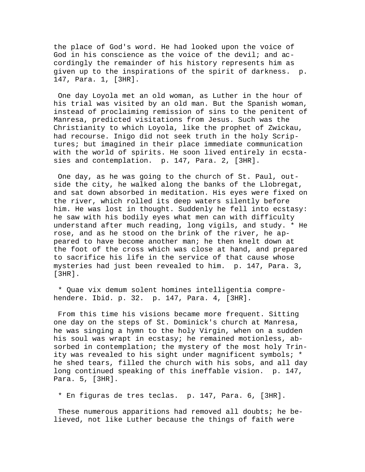the place of God's word. He had looked upon the voice of God in his conscience as the voice of the devil; and accordingly the remainder of his history represents him as given up to the inspirations of the spirit of darkness. p. 147, Para. 1, [3HR].

 One day Loyola met an old woman, as Luther in the hour of his trial was visited by an old man. But the Spanish woman, instead of proclaiming remission of sins to the penitent of Manresa, predicted visitations from Jesus. Such was the Christianity to which Loyola, like the prophet of Zwickau, had recourse. Inigo did not seek truth in the holy Scriptures; but imagined in their place immediate communication with the world of spirits. He soon lived entirely in ecstasies and contemplation. p. 147, Para. 2, [3HR].

 One day, as he was going to the church of St. Paul, outside the city, he walked along the banks of the Llobregat, and sat down absorbed in meditation. His eyes were fixed on the river, which rolled its deep waters silently before him. He was lost in thought. Suddenly he fell into ecstasy: he saw with his bodily eyes what men can with difficulty understand after much reading, long vigils, and study. \* He rose, and as he stood on the brink of the river, he appeared to have become another man; he then knelt down at the foot of the cross which was close at hand, and prepared to sacrifice his life in the service of that cause whose mysteries had just been revealed to him. p. 147, Para. 3, [3HR].

 \* Quae vix demum solent homines intelligentia comprehendere. Ibid. p. 32. p. 147, Para. 4, [3HR].

 From this time his visions became more frequent. Sitting one day on the steps of St. Dominick's church at Manresa, he was singing a hymn to the holy Virgin, when on a sudden his soul was wrapt in ecstasy; he remained motionless, absorbed in contemplation; the mystery of the most holy Trinity was revealed to his sight under magnificent symbols; \* he shed tears, filled the church with his sobs, and all day long continued speaking of this ineffable vision. p. 147, Para. 5, [3HR].

\* En figuras de tres teclas. p. 147, Para. 6, [3HR].

 These numerous apparitions had removed all doubts; he believed, not like Luther because the things of faith were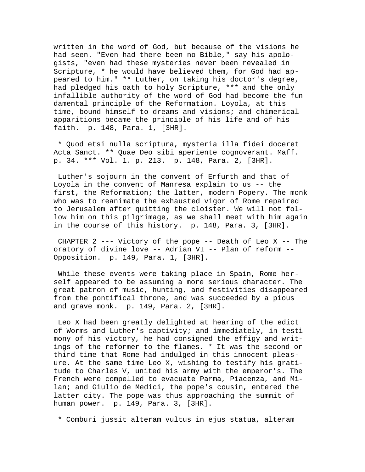written in the word of God, but because of the visions he had seen. "Even had there been no Bible," say his apologists, "even had these mysteries never been revealed in Scripture, \* he would have believed them, for God had appeared to him." \*\* Luther, on taking his doctor's degree, had pledged his oath to holy Scripture, \*\*\* and the only infallible authority of the word of God had become the fundamental principle of the Reformation. Loyola, at this time, bound himself to dreams and visions; and chimerical apparitions became the principle of his life and of his faith. p. 148, Para. 1, [3HR].

 \* Quod etsi nulla scriptura, mysteria illa fidei doceret Acta Sanct. \*\* Quae Deo sibi aperiente cognoverant. Maff. p. 34. \*\*\* Vol. 1. p. 213. p. 148, Para. 2, [3HR].

 Luther's sojourn in the convent of Erfurth and that of Loyola in the convent of Manresa explain to us -- the first, the Reformation; the latter, modern Popery. The monk who was to reanimate the exhausted vigor of Rome repaired to Jerusalem after quitting the cloister. We will not follow him on this pilgrimage, as we shall meet with him again in the course of this history. p. 148, Para. 3, [3HR].

 CHAPTER 2 --- Victory of the pope -- Death of Leo X -- The oratory of divine love -- Adrian VI -- Plan of reform -- Opposition. p. 149, Para. 1, [3HR].

 While these events were taking place in Spain, Rome herself appeared to be assuming a more serious character. The great patron of music, hunting, and festivities disappeared from the pontifical throne, and was succeeded by a pious and grave monk. p. 149, Para. 2, [3HR].

 Leo X had been greatly delighted at hearing of the edict of Worms and Luther's captivity; and immediately, in testimony of his victory, he had consigned the effigy and writings of the reformer to the flames. \* It was the second or third time that Rome had indulged in this innocent pleasure. At the same time Leo X, wishing to testify his gratitude to Charles V, united his army with the emperor's. The French were compelled to evacuate Parma, Piacenza, and Milan; and Giulio de Medici, the pope's cousin, entered the latter city. The pope was thus approaching the summit of human power. p. 149, Para. 3, [3HR].

\* Comburi jussit alteram vultus in ejus statua, alteram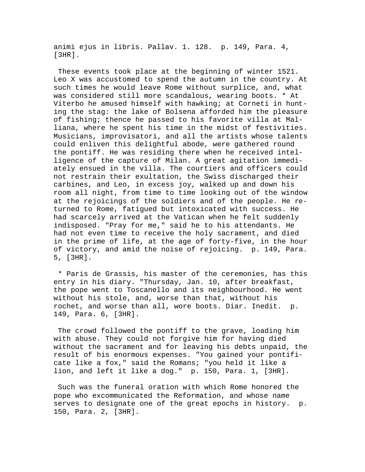animi ejus in libris. Pallav. 1. 128. p. 149, Para. 4,  $[3HR]$ .

 These events took place at the beginning of winter 1521. Leo X was accustomed to spend the autumn in the country. At such times he would leave Rome without surplice, and, what was considered still more scandalous, wearing boots. \* At Viterbo he amused himself with hawking; at Corneti in hunting the stag: the lake of Bolsena afforded him the pleasure of fishing; thence he passed to his favorite villa at Malliana, where he spent his time in the midst of festivities. Musicians, improvisatori, and all the artists whose talents could enliven this delightful abode, were gathered round the pontiff. He was residing there when he received intelligence of the capture of Milan. A great agitation immediately ensued in the villa. The courtiers and officers could not restrain their exultation, the Swiss discharged their carbines, and Leo, in excess joy, walked up and down his room all night, from time to time looking out of the window at the rejoicings of the soldiers and of the people. He returned to Rome, fatigued but intoxicated with success. He had scarcely arrived at the Vatican when he felt suddenly indisposed. "Pray for me," said he to his attendants. He had not even time to receive the holy sacrament, and died in the prime of life, at the age of forty-five, in the hour of victory, and amid the noise of rejoicing. p. 149, Para. 5, [3HR].

 \* Paris de Grassis, his master of the ceremonies, has this entry in his diary. "Thursday, Jan. 10, after breakfast, the pope went to Toscanello and its neighbourhood. He went without his stole, and, worse than that, without his rochet, and worse than all, wore boots. Diar. Inedit. p. 149, Para. 6, [3HR].

 The crowd followed the pontiff to the grave, loading him with abuse. They could not forgive him for having died without the sacrament and for leaving his debts unpaid, the result of his enormous expenses. "You gained your pontificate like a fox," said the Romans; "you held it like a lion, and left it like a dog." p. 150, Para. 1, [3HR].

 Such was the funeral oration with which Rome honored the pope who excommunicated the Reformation, and whose name serves to designate one of the great epochs in history. p. 150, Para. 2, [3HR].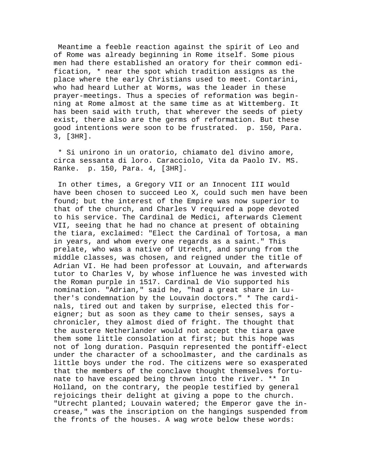Meantime a feeble reaction against the spirit of Leo and of Rome was already beginning in Rome itself. Some pious men had there established an oratory for their common edification, \* near the spot which tradition assigns as the place where the early Christians used to meet. Contarini, who had heard Luther at Worms, was the leader in these prayer-meetings. Thus a species of reformation was beginning at Rome almost at the same time as at Wittemberg. It has been said with truth, that wherever the seeds of piety exist, there also are the germs of reformation. But these good intentions were soon to be frustrated. p. 150, Para. 3, [3HR].

 \* Si unirono in un oratorio, chiamato del divino amore, circa sessanta di loro. Caracciolo, Vita da Paolo IV. MS. Ranke. p. 150, Para. 4, [3HR].

 In other times, a Gregory VII or an Innocent III would have been chosen to succeed Leo X, could such men have been found; but the interest of the Empire was now superior to that of the church, and Charles V required a pope devoted to his service. The Cardinal de Medici, afterwards Clement VII, seeing that he had no chance at present of obtaining the tiara, exclaimed: "Elect the Cardinal of Tortosa, a man in years, and whom every one regards as a saint." This prelate, who was a native of Utrecht, and sprung from the middle classes, was chosen, and reigned under the title of Adrian VI. He had been professor at Louvain, and afterwards tutor to Charles V, by whose influence he was invested with the Roman purple in 1517. Cardinal de Vio supported his nomination. "Adrian," said he, "had a great share in Luther's condemnation by the Louvain doctors." \* The cardinals, tired out and taken by surprise, elected this foreigner; but as soon as they came to their senses, says a chronicler, they almost died of fright. The thought that the austere Netherlander would not accept the tiara gave them some little consolation at first; but this hope was not of long duration. Pasquin represented the pontiff-elect under the character of a schoolmaster, and the cardinals as little boys under the rod. The citizens were so exasperated that the members of the conclave thought themselves fortunate to have escaped being thrown into the river. \*\* In Holland, on the contrary, the people testified by general rejoicings their delight at giving a pope to the church. "Utrecht planted; Louvain watered; the Emperor gave the increase," was the inscription on the hangings suspended from the fronts of the houses. A wag wrote below these words: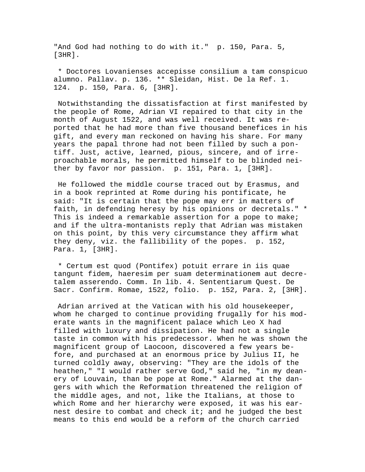"And God had nothing to do with it." p. 150, Para. 5, [3HR].

 \* Doctores Lovanienses accepisse consilium a tam conspicuo alumno. Pallav. p. 136. \*\* Sleidan, Hist. De la Ref. 1. 124. p. 150, Para. 6, [3HR].

 Notwithstanding the dissatisfaction at first manifested by the people of Rome, Adrian VI repaired to that city in the month of August 1522, and was well received. It was reported that he had more than five thousand benefices in his gift, and every man reckoned on having his share. For many years the papal throne had not been filled by such a pontiff. Just, active, learned, pious, sincere, and of irreproachable morals, he permitted himself to be blinded neither by favor nor passion. p. 151, Para. 1, [3HR].

 He followed the middle course traced out by Erasmus, and in a book reprinted at Rome during his pontificate, he said: "It is certain that the pope may err in matters of faith, in defending heresy by his opinions or decretals." \* This is indeed a remarkable assertion for a pope to make; and if the ultra-montanists reply that Adrian was mistaken on this point, by this very circumstance they affirm what they deny, viz. the fallibility of the popes. p. 152, Para. 1, [3HR].

 \* Certum est quod (Pontifex) potuit errare in iis quae tangunt fidem, haeresim per suam determinationem aut decretalem asserendo. Comm. In lib. 4. Sententiarum Quest. De Sacr. Confirm. Romae, 1522, folio. p. 152, Para. 2, [3HR].

 Adrian arrived at the Vatican with his old housekeeper, whom he charged to continue providing frugally for his moderate wants in the magnificent palace which Leo X had filled with luxury and dissipation. He had not a single taste in common with his predecessor. When he was shown the magnificent group of Laocoon, discovered a few years before, and purchased at an enormous price by Julius II, he turned coldly away, observing: "They are the idols of the heathen," "I would rather serve God," said he, "in my deanery of Louvain, than be pope at Rome." Alarmed at the dangers with which the Reformation threatened the religion of the middle ages, and not, like the Italians, at those to which Rome and her hierarchy were exposed, it was his earnest desire to combat and check it; and he judged the best means to this end would be a reform of the church carried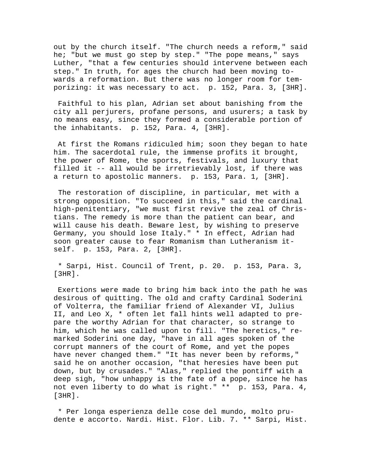out by the church itself. "The church needs a reform," said he; "but we must go step by step." "The pope means," says Luther, "that a few centuries should intervene between each step." In truth, for ages the church had been moving towards a reformation. But there was no longer room for temporizing: it was necessary to act. p. 152, Para. 3, [3HR].

 Faithful to his plan, Adrian set about banishing from the city all perjurers, profane persons, and usurers; a task by no means easy, since they formed a considerable portion of the inhabitants. p. 152, Para. 4, [3HR].

 At first the Romans ridiculed him; soon they began to hate him. The sacerdotal rule, the immense profits it brought, the power of Rome, the sports, festivals, and luxury that filled it -- all would be irretrievably lost, if there was a return to apostolic manners. p. 153, Para. 1, [3HR].

 The restoration of discipline, in particular, met with a strong opposition. "To succeed in this," said the cardinal high-penitentiary, "we must first revive the zeal of Christians. The remedy is more than the patient can bear, and will cause his death. Beware lest, by wishing to preserve Germany, you should lose Italy." \* In effect, Adrian had soon greater cause to fear Romanism than Lutheranism itself. p. 153, Para. 2, [3HR].

 \* Sarpi, Hist. Council of Trent, p. 20. p. 153, Para. 3, [3HR].

 Exertions were made to bring him back into the path he was desirous of quitting. The old and crafty Cardinal Soderini of Volterra, the familiar friend of Alexander VI, Julius II, and Leo X, \* often let fall hints well adapted to prepare the worthy Adrian for that character, so strange to him, which he was called upon to fill. "The heretics," remarked Soderini one day, "have in all ages spoken of the corrupt manners of the court of Rome, and yet the popes have never changed them." "It has never been by reforms," said he on another occasion, "that heresies have been put down, but by crusades." "Alas," replied the pontiff with a deep sigh, "how unhappy is the fate of a pope, since he has not even liberty to do what is right." \*\* p. 153, Para. 4, [3HR].

 \* Per longa esperienza delle cose del mundo, molto prudente e accorto. Nardi. Hist. Flor. Lib. 7. \*\* Sarpi, Hist.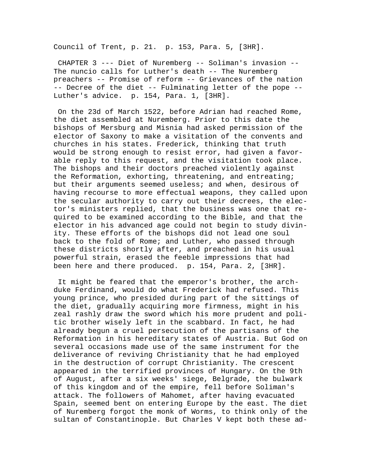Council of Trent, p. 21. p. 153, Para. 5, [3HR].

 CHAPTER 3 --- Diet of Nuremberg -- Soliman's invasion -- The nuncio calls for Luther's death -- The Nuremberg preachers -- Promise of reform -- Grievances of the nation -- Decree of the diet -- Fulminating letter of the pope -- Luther's advice. p. 154, Para. 1, [3HR].

 On the 23d of March 1522, before Adrian had reached Rome, the diet assembled at Nuremberg. Prior to this date the bishops of Mersburg and Misnia had asked permission of the elector of Saxony to make a visitation of the convents and churches in his states. Frederick, thinking that truth would be strong enough to resist error, had given a favorable reply to this request, and the visitation took place. The bishops and their doctors preached violently against the Reformation, exhorting, threatening, and entreating; but their arguments seemed useless; and when, desirous of having recourse to more effectual weapons, they called upon the secular authority to carry out their decrees, the elector's ministers replied, that the business was one that required to be examined according to the Bible, and that the elector in his advanced age could not begin to study divinity. These efforts of the bishops did not lead one soul back to the fold of Rome; and Luther, who passed through these districts shortly after, and preached in his usual powerful strain, erased the feeble impressions that had been here and there produced. p. 154, Para. 2, [3HR].

 It might be feared that the emperor's brother, the archduke Ferdinand, would do what Frederick had refused. This young prince, who presided during part of the sittings of the diet, gradually acquiring more firmness, might in his zeal rashly draw the sword which his more prudent and politic brother wisely left in the scabbard. In fact, he had already begun a cruel persecution of the partisans of the Reformation in his hereditary states of Austria. But God on several occasions made use of the same instrument for the deliverance of reviving Christianity that he had employed in the destruction of corrupt Christianity. The crescent appeared in the terrified provinces of Hungary. On the 9th of August, after a six weeks' siege, Belgrade, the bulwark of this kingdom and of the empire, fell before Soliman's attack. The followers of Mahomet, after having evacuated Spain, seemed bent on entering Europe by the east. The diet of Nuremberg forgot the monk of Worms, to think only of the sultan of Constantinople. But Charles V kept both these ad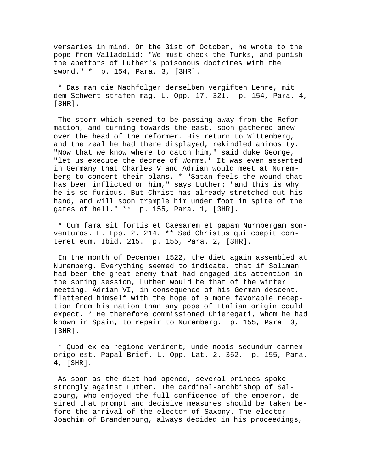versaries in mind. On the 31st of October, he wrote to the pope from Valladolid: "We must check the Turks, and punish the abettors of Luther's poisonous doctrines with the sword." \* p. 154, Para. 3, [3HR].

 \* Das man die Nachfolger derselben vergiften Lehre, mit dem Schwert strafen mag. L. Opp. 17. 321. p. 154, Para. 4, [3HR].

 The storm which seemed to be passing away from the Reformation, and turning towards the east, soon gathered anew over the head of the reformer. His return to Wittemberg, and the zeal he had there displayed, rekindled animosity. "Now that we know where to catch him," said duke George, "let us execute the decree of Worms." It was even asserted in Germany that Charles V and Adrian would meet at Nuremberg to concert their plans. \* "Satan feels the wound that has been inflicted on him," says Luther; "and this is why he is so furious. But Christ has already stretched out his hand, and will soon trample him under foot in spite of the gates of hell." \*\* p. 155, Para. 1, [3HR].

 \* Cum fama sit fortis et Caesarem et papam Nurnbergam sonventuros. L. Epp. 2. 214. \*\* Sed Christus qui coepit conteret eum. Ibid. 215. p. 155, Para. 2, [3HR].

 In the month of December 1522, the diet again assembled at Nuremberg. Everything seemed to indicate, that if Soliman had been the great enemy that had engaged its attention in the spring session, Luther would be that of the winter meeting. Adrian VI, in consequence of his German descent, flattered himself with the hope of a more favorable reception from his nation than any pope of Italian origin could expect. \* He therefore commissioned Chieregati, whom he had known in Spain, to repair to Nuremberg. p. 155, Para. 3, [3HR].

 \* Quod ex ea regione venirent, unde nobis secundum carnem origo est. Papal Brief. L. Opp. Lat. 2. 352. p. 155, Para. 4, [3HR].

 As soon as the diet had opened, several princes spoke strongly against Luther. The cardinal-archbishop of Salzburg, who enjoyed the full confidence of the emperor, desired that prompt and decisive measures should be taken before the arrival of the elector of Saxony. The elector Joachim of Brandenburg, always decided in his proceedings,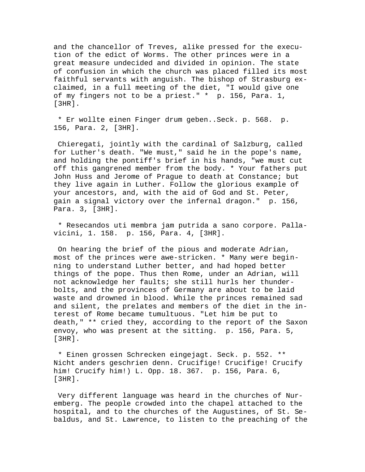and the chancellor of Treves, alike pressed for the execution of the edict of Worms. The other princes were in a great measure undecided and divided in opinion. The state of confusion in which the church was placed filled its most faithful servants with anguish. The bishop of Strasburg exclaimed, in a full meeting of the diet, "I would give one of my fingers not to be a priest." \* p. 156, Para. 1, [3HR].

 \* Er wollte einen Finger drum geben..Seck. p. 568. p. 156, Para. 2, [3HR].

 Chieregati, jointly with the cardinal of Salzburg, called for Luther's death. "We must," said he in the pope's name, and holding the pontiff's brief in his hands, "we must cut off this gangrened member from the body. \* Your fathers put John Huss and Jerome of Prague to death at Constance; but they live again in Luther. Follow the glorious example of your ancestors, and, with the aid of God and St. Peter, gain a signal victory over the infernal dragon." p. 156, Para. 3, [3HR].

 \* Resecandos uti membra jam putrida a sano corpore. Pallavicini, 1. 158. p. 156, Para. 4, [3HR].

 On hearing the brief of the pious and moderate Adrian, most of the princes were awe-stricken. \* Many were beginning to understand Luther better, and had hoped better things of the pope. Thus then Rome, under an Adrian, will not acknowledge her faults; she still hurls her thunderbolts, and the provinces of Germany are about to be laid waste and drowned in blood. While the princes remained sad and silent, the prelates and members of the diet in the interest of Rome became tumultuous. "Let him be put to death," \*\* cried they, according to the report of the Saxon envoy, who was present at the sitting. p. 156, Para. 5, [3HR].

 \* Einen grossen Schrecken eingejagt. Seck. p. 552. \*\* Nicht anders geschrien denn. Crucifige! Crucifige! Crucify him! Crucify him!) L. Opp. 18. 367. p. 156, Para. 6, [3HR].

 Very different language was heard in the churches of Nuremberg. The people crowded into the chapel attached to the hospital, and to the churches of the Augustines, of St. Sebaldus, and St. Lawrence, to listen to the preaching of the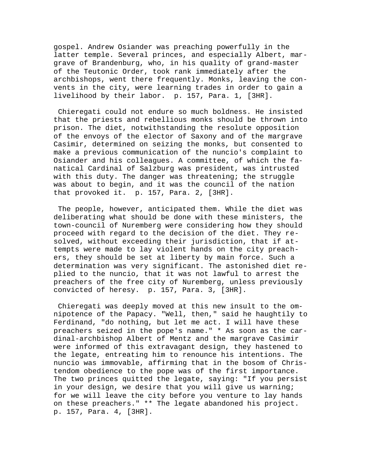gospel. Andrew Osiander was preaching powerfully in the latter temple. Several princes, and especially Albert, margrave of Brandenburg, who, in his quality of grand-master of the Teutonic Order, took rank immediately after the archbishops, went there frequently. Monks, leaving the convents in the city, were learning trades in order to gain a livelihood by their labor. p. 157, Para. 1, [3HR].

 Chieregati could not endure so much boldness. He insisted that the priests and rebellious monks should be thrown into prison. The diet, notwithstanding the resolute opposition of the envoys of the elector of Saxony and of the margrave Casimir, determined on seizing the monks, but consented to make a previous communication of the nuncio's complaint to Osiander and his colleagues. A committee, of which the fanatical Cardinal of Salzburg was president, was intrusted with this duty. The danger was threatening; the struggle was about to begin, and it was the council of the nation that provoked it. p. 157, Para. 2, [3HR].

 The people, however, anticipated them. While the diet was deliberating what should be done with these ministers, the town-council of Nuremberg were considering how they should proceed with regard to the decision of the diet. They resolved, without exceeding their jurisdiction, that if attempts were made to lay violent hands on the city preachers, they should be set at liberty by main force. Such a determination was very significant. The astonished diet replied to the nuncio, that it was not lawful to arrest the preachers of the free city of Nuremberg, unless previously convicted of heresy. p. 157, Para. 3, [3HR].

 Chieregati was deeply moved at this new insult to the omnipotence of the Papacy. "Well, then," said he haughtily to Ferdinand, "do nothing, but let me act. I will have these preachers seized in the pope's name." \* As soon as the cardinal-archbishop Albert of Mentz and the margrave Casimir were informed of this extravagant design, they hastened to the legate, entreating him to renounce his intentions. The nuncio was immovable, affirming that in the bosom of Christendom obedience to the pope was of the first importance. The two princes quitted the legate, saying: "If you persist in your design, we desire that you will give us warning; for we will leave the city before you venture to lay hands on these preachers." \*\* The legate abandoned his project. p. 157, Para. 4, [3HR].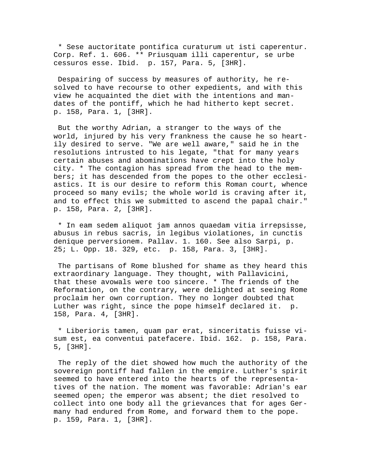\* Sese auctoritate pontifica curaturum ut isti caperentur. Corp. Ref. 1. 606. \*\* Priusquam illi caperentur, se urbe cessuros esse. Ibid. p. 157, Para. 5, [3HR].

 Despairing of success by measures of authority, he resolved to have recourse to other expedients, and with this view he acquainted the diet with the intentions and mandates of the pontiff, which he had hitherto kept secret. p. 158, Para. 1, [3HR].

 But the worthy Adrian, a stranger to the ways of the world, injured by his very frankness the cause he so heartily desired to serve. "We are well aware," said he in the resolutions intrusted to his legate, "that for many years certain abuses and abominations have crept into the holy city. \* The contagion has spread from the head to the members; it has descended from the popes to the other ecclesiastics. It is our desire to reform this Roman court, whence proceed so many evils; the whole world is craving after it, and to effect this we submitted to ascend the papal chair." p. 158, Para. 2, [3HR].

 \* In eam sedem aliquot jam annos quaedam vitia irrepsisse, abusus in rebus sacris, in legibus violationes, in cunctis denique perversionem. Pallav. 1. 160. See also Sarpi, p. 25; L. Opp. 18. 329, etc. p. 158, Para. 3, [3HR].

 The partisans of Rome blushed for shame as they heard this extraordinary language. They thought, with Pallavicini, that these avowals were too sincere. \* The friends of the Reformation, on the contrary, were delighted at seeing Rome proclaim her own corruption. They no longer doubted that Luther was right, since the pope himself declared it. p. 158, Para. 4, [3HR].

 \* Liberioris tamen, quam par erat, sinceritatis fuisse visum est, ea conventui patefacere. Ibid. 162. p. 158, Para. 5, [3HR].

 The reply of the diet showed how much the authority of the sovereign pontiff had fallen in the empire. Luther's spirit seemed to have entered into the hearts of the representatives of the nation. The moment was favorable: Adrian's ear seemed open; the emperor was absent; the diet resolved to collect into one body all the grievances that for ages Germany had endured from Rome, and forward them to the pope. p. 159, Para. 1, [3HR].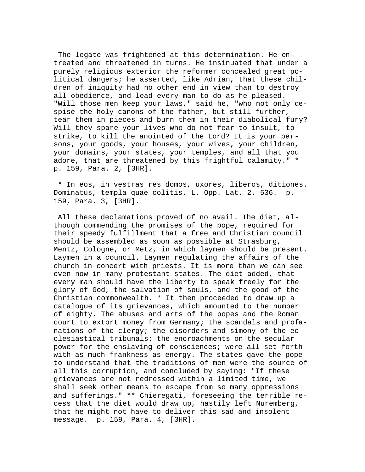The legate was frightened at this determination. He entreated and threatened in turns. He insinuated that under a purely religious exterior the reformer concealed great political dangers; he asserted, like Adrian, that these children of iniquity had no other end in view than to destroy all obedience, and lead every man to do as he pleased. "Will those men keep your laws," said he, "who not only despise the holy canons of the father, but still further, tear them in pieces and burn them in their diabolical fury? Will they spare your lives who do not fear to insult, to strike, to kill the anointed of the Lord? It is your persons, your goods, your houses, your wives, your children, your domains, your states, your temples, and all that you adore, that are threatened by this frightful calamity." \* p. 159, Para. 2, [3HR].

 \* In eos, in vestras res domos, uxores, liberos, ditiones. Dominatus, templa quae colitis. L. Opp. Lat. 2. 536. p. 159, Para. 3, [3HR].

 All these declamations proved of no avail. The diet, although commending the promises of the pope, required for their speedy fulfillment that a free and Christian council should be assembled as soon as possible at Strasburg, Mentz, Cologne, or Metz, in which laymen should be present. Laymen in a council. Laymen regulating the affairs of the church in concert with priests. It is more than we can see even now in many protestant states. The diet added, that every man should have the liberty to speak freely for the glory of God, the salvation of souls, and the good of the Christian commonwealth. \* It then proceeded to draw up a catalogue of its grievances, which amounted to the number of eighty. The abuses and arts of the popes and the Roman court to extort money from Germany; the scandals and profanations of the clergy; the disorders and simony of the ecclesiastical tribunals; the encroachments on the secular power for the enslaving of consciences; were all set forth with as much frankness as energy. The states gave the pope to understand that the traditions of men were the source of all this corruption, and concluded by saying: "If these grievances are not redressed within a limited time, we shall seek other means to escape from so many oppressions and sufferings." \*\* Chieregati, foreseeing the terrible recess that the diet would draw up, hastily left Nuremberg, that he might not have to deliver this sad and insolent message. p. 159, Para. 4, [3HR].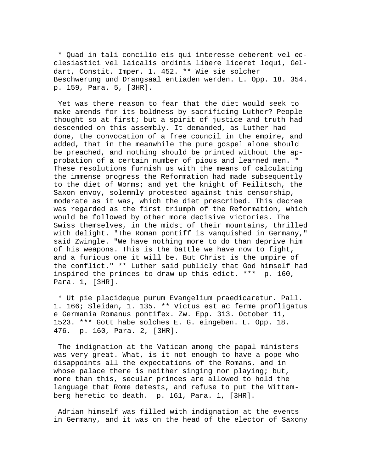\* Quad in tali concilio eis qui interesse deberent vel ecclesiastici vel laicalis ordinis libere liceret loqui, Geldart, Constit. Imper. 1. 452. \*\* Wie sie solcher Beschwerung und Drangsaal entiaden werden. L. Opp. 18. 354. p. 159, Para. 5, [3HR].

 Yet was there reason to fear that the diet would seek to make amends for its boldness by sacrificing Luther? People thought so at first; but a spirit of justice and truth had descended on this assembly. It demanded, as Luther had done, the convocation of a free council in the empire, and added, that in the meanwhile the pure gospel alone should be preached, and nothing should be printed without the approbation of a certain number of pious and learned men. \* These resolutions furnish us with the means of calculating the immense progress the Reformation had made subsequently to the diet of Worms; and yet the knight of Feilitsch, the Saxon envoy, solemnly protested against this censorship, moderate as it was, which the diet prescribed. This decree was regarded as the first triumph of the Reformation, which would be followed by other more decisive victories. The Swiss themselves, in the midst of their mountains, thrilled with delight. "The Roman pontiff is vanquished in Germany," said Zwingle. "We have nothing more to do than deprive him of his weapons. This is the battle we have now to fight, and a furious one it will be. But Christ is the umpire of the conflict." \*\* Luther said publicly that God himself had inspired the princes to draw up this edict. \*\*\* p. 160, Para. 1, [3HR].

 \* Ut pie placideque purum Evangelium praedicaretur. Pall. 1. 166; Sleidan, 1. 135. \*\* Victus est ac ferme profligatus e Germania Romanus pontifex. Zw. Epp. 313. October 11, 1523. \*\*\* Gott habe solches E. G. eingeben. L. Opp. 18. 476. p. 160, Para. 2, [3HR].

 The indignation at the Vatican among the papal ministers was very great. What, is it not enough to have a pope who disappoints all the expectations of the Romans, and in whose palace there is neither singing nor playing; but, more than this, secular princes are allowed to hold the language that Rome detests, and refuse to put the Wittemberg heretic to death. p. 161, Para. 1, [3HR].

 Adrian himself was filled with indignation at the events in Germany, and it was on the head of the elector of Saxony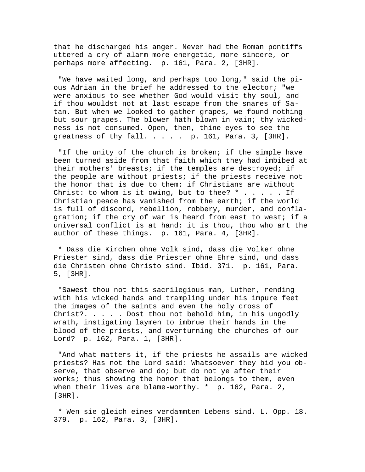that he discharged his anger. Never had the Roman pontiffs uttered a cry of alarm more energetic, more sincere, or perhaps more affecting. p. 161, Para. 2, [3HR].

 "We have waited long, and perhaps too long," said the pious Adrian in the brief he addressed to the elector; "we were anxious to see whether God would visit thy soul, and if thou wouldst not at last escape from the snares of Satan. But when we looked to gather grapes, we found nothing but sour grapes. The blower hath blown in vain; thy wickedness is not consumed. Open, then, thine eyes to see the greatness of thy fall.  $\ldots$  . . . p. 161, Para. 3, [3HR].

 "If the unity of the church is broken; if the simple have been turned aside from that faith which they had imbibed at their mothers' breasts; if the temples are destroyed; if the people are without priests; if the priests receive not the honor that is due to them; if Christians are without Christ: to whom is it owing, but to thee?  $*$  . . . . . If Christian peace has vanished from the earth; if the world is full of discord, rebellion, robbery, murder, and conflagration; if the cry of war is heard from east to west; if a universal conflict is at hand: it is thou, thou who art the author of these things. p. 161, Para. 4, [3HR].

 \* Dass die Kirchen ohne Volk sind, dass die Volker ohne Priester sind, dass die Priester ohne Ehre sind, und dass die Christen ohne Christo sind. Ibid. 371. p. 161, Para. 5, [3HR].

 "Sawest thou not this sacrilegious man, Luther, rending with his wicked hands and trampling under his impure feet the images of the saints and even the holy cross of Christ?. . . . . Dost thou not behold him, in his ungodly wrath, instigating laymen to imbrue their hands in the blood of the priests, and overturning the churches of our Lord? p. 162, Para. 1, [3HR].

 "And what matters it, if the priests he assails are wicked priests? Has not the Lord said: Whatsoever they bid you observe, that observe and do; but do not ye after their works; thus showing the honor that belongs to them, even when their lives are blame-worthy. \* p. 162, Para. 2, [3HR].

 \* Wen sie gleich eines verdammten Lebens sind. L. Opp. 18. 379. p. 162, Para. 3, [3HR].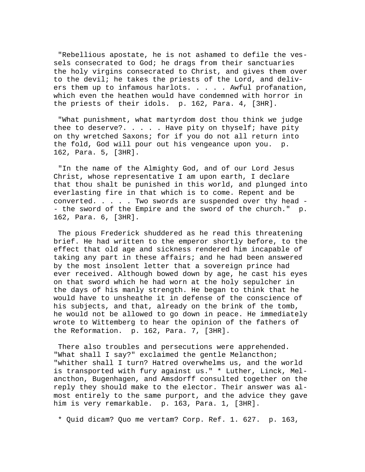"Rebellious apostate, he is not ashamed to defile the vessels consecrated to God; he drags from their sanctuaries the holy virgins consecrated to Christ, and gives them over to the devil; he takes the priests of the Lord, and delivers them up to infamous harlots. . . . . Awful profanation, which even the heathen would have condemned with horror in the priests of their idols. p. 162, Para. 4, [3HR].

 "What punishment, what martyrdom dost thou think we judge thee to deserve?. . . . . Have pity on thyself; have pity on thy wretched Saxons; for if you do not all return into the fold, God will pour out his vengeance upon you. p. 162, Para. 5, [3HR].

 "In the name of the Almighty God, and of our Lord Jesus Christ, whose representative I am upon earth, I declare that thou shalt be punished in this world, and plunged into everlasting fire in that which is to come. Repent and be converted. . . . . Two swords are suspended over thy head - - the sword of the Empire and the sword of the church." p. 162, Para. 6, [3HR].

 The pious Frederick shuddered as he read this threatening brief. He had written to the emperor shortly before, to the effect that old age and sickness rendered him incapable of taking any part in these affairs; and he had been answered by the most insolent letter that a sovereign prince had ever received. Although bowed down by age, he cast his eyes on that sword which he had worn at the holy sepulcher in the days of his manly strength. He began to think that he would have to unsheathe it in defense of the conscience of his subjects, and that, already on the brink of the tomb, he would not be allowed to go down in peace. He immediately wrote to Wittemberg to hear the opinion of the fathers of the Reformation. p. 162, Para. 7, [3HR].

 There also troubles and persecutions were apprehended. "What shall I say?" exclaimed the gentle Melancthon; "whither shall I turn? Hatred overwhelms us, and the world is transported with fury against us." \* Luther, Linck, Melancthon, Bugenhagen, and Amsdorff consulted together on the reply they should make to the elector. Their answer was almost entirely to the same purport, and the advice they gave him is very remarkable. p. 163, Para. 1, [3HR].

\* Quid dicam? Quo me vertam? Corp. Ref. 1. 627. p. 163,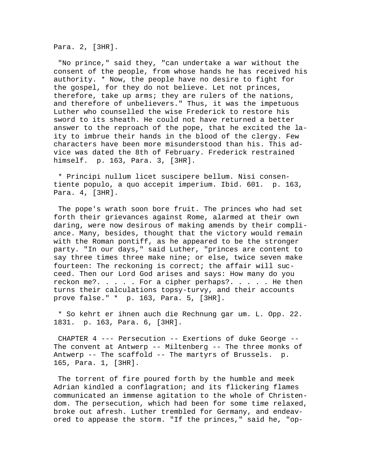Para. 2, [3HR].

 "No prince," said they, "can undertake a war without the consent of the people, from whose hands he has received his authority. \* Now, the people have no desire to fight for the gospel, for they do not believe. Let not princes, therefore, take up arms; they are rulers of the nations, and therefore of unbelievers." Thus, it was the impetuous Luther who counselled the wise Frederick to restore his sword to its sheath. He could not have returned a better answer to the reproach of the pope, that he excited the laity to imbrue their hands in the blood of the clergy. Few characters have been more misunderstood than his. This advice was dated the 8th of February. Frederick restrained himself. p. 163, Para. 3, [3HR].

 \* Principi nullum licet suscipere bellum. Nisi consentiente populo, a quo accepit imperium. Ibid. 601. p. 163, Para. 4, [3HR].

 The pope's wrath soon bore fruit. The princes who had set forth their grievances against Rome, alarmed at their own daring, were now desirous of making amends by their compliance. Many, besides, thought that the victory would remain with the Roman pontiff, as he appeared to be the stronger party. "In our days," said Luther, "princes are content to say three times three make nine; or else, twice seven make fourteen: The reckoning is correct; the affair will succeed. Then our Lord God arises and says: How many do you reckon me?. . . . . For a cipher perhaps?. . . . . He then turns their calculations topsy-turvy, and their accounts prove false." \* p. 163, Para. 5, [3HR].

 \* So kehrt er ihnen auch die Rechnung gar um. L. Opp. 22. 1831. p. 163, Para. 6, [3HR].

 CHAPTER 4 --- Persecution -- Exertions of duke George -- The convent at Antwerp -- Miltenberg -- The three monks of Antwerp -- The scaffold -- The martyrs of Brussels. p. 165, Para. 1, [3HR].

 The torrent of fire poured forth by the humble and meek Adrian kindled a conflagration; and its flickering flames communicated an immense agitation to the whole of Christendom. The persecution, which had been for some time relaxed, broke out afresh. Luther trembled for Germany, and endeavored to appease the storm. "If the princes," said he, "op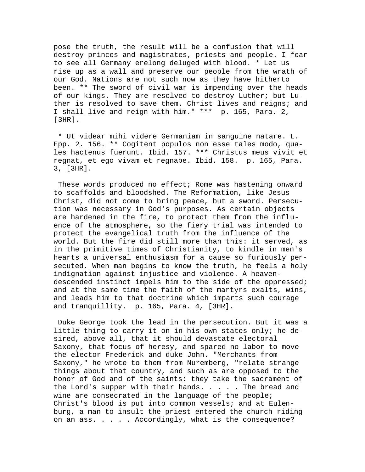pose the truth, the result will be a confusion that will destroy princes and magistrates, priests and people. I fear to see all Germany erelong deluged with blood. \* Let us rise up as a wall and preserve our people from the wrath of our God. Nations are not such now as they have hitherto been. \*\* The sword of civil war is impending over the heads of our kings. They are resolved to destroy Luther; but Luther is resolved to save them. Christ lives and reigns; and I shall live and reign with him." \*\*\* p. 165, Para. 2, [3HR].

 \* Ut videar mihi videre Germaniam in sanguine natare. L. Epp. 2. 156. \*\* Cogitent populos non esse tales modo, quales hactenus fuerunt. Ibid. 157. \*\*\* Christus meus vivit et regnat, et ego vivam et regnabe. Ibid. 158. p. 165, Para. 3, [3HR].

 These words produced no effect; Rome was hastening onward to scaffolds and bloodshed. The Reformation, like Jesus Christ, did not come to bring peace, but a sword. Persecution was necessary in God's purposes. As certain objects are hardened in the fire, to protect them from the influence of the atmosphere, so the fiery trial was intended to protect the evangelical truth from the influence of the world. But the fire did still more than this: it served, as in the primitive times of Christianity, to kindle in men's hearts a universal enthusiasm for a cause so furiously persecuted. When man begins to know the truth, he feels a holy indignation against injustice and violence. A heavendescended instinct impels him to the side of the oppressed; and at the same time the faith of the martyrs exalts, wins, and leads him to that doctrine which imparts such courage and tranquillity. p. 165, Para. 4, [3HR].

 Duke George took the lead in the persecution. But it was a little thing to carry it on in his own states only; he desired, above all, that it should devastate electoral Saxony, that focus of heresy, and spared no labor to move the elector Frederick and duke John. "Merchants from Saxony," he wrote to them from Nuremberg, "relate strange things about that country, and such as are opposed to the honor of God and of the saints: they take the sacrament of the Lord's supper with their hands. . . . . The bread and wine are consecrated in the language of the people; Christ's blood is put into common vessels; and at Eulenburg, a man to insult the priest entered the church riding on an ass. . . . . Accordingly, what is the consequence?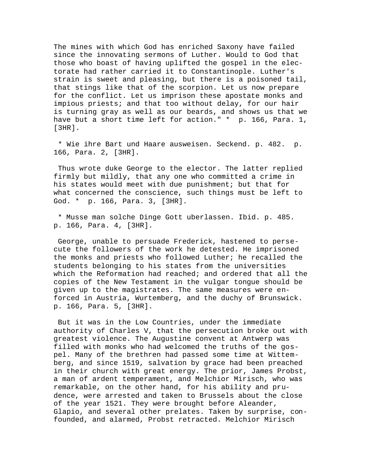The mines with which God has enriched Saxony have failed since the innovating sermons of Luther. Would to God that those who boast of having uplifted the gospel in the electorate had rather carried it to Constantinople. Luther's strain is sweet and pleasing, but there is a poisoned tail, that stings like that of the scorpion. Let us now prepare for the conflict. Let us imprison these apostate monks and impious priests; and that too without delay, for our hair is turning gray as well as our beards, and shows us that we have but a short time left for action." \* p. 166, Para. 1, [3HR].

 \* Wie ihre Bart und Haare ausweisen. Seckend. p. 482. p. 166, Para. 2, [3HR].

 Thus wrote duke George to the elector. The latter replied firmly but mildly, that any one who committed a crime in his states would meet with due punishment; but that for what concerned the conscience, such things must be left to God. \* p. 166, Para. 3, [3HR].

 \* Musse man solche Dinge Gott uberlassen. Ibid. p. 485. p. 166, Para. 4, [3HR].

 George, unable to persuade Frederick, hastened to persecute the followers of the work he detested. He imprisoned the monks and priests who followed Luther; he recalled the students belonging to his states from the universities which the Reformation had reached; and ordered that all the copies of the New Testament in the vulgar tongue should be given up to the magistrates. The same measures were enforced in Austria, Wurtemberg, and the duchy of Brunswick. p. 166, Para. 5, [3HR].

 But it was in the Low Countries, under the immediate authority of Charles V, that the persecution broke out with greatest violence. The Augustine convent at Antwerp was filled with monks who had welcomed the truths of the gospel. Many of the brethren had passed some time at Wittemberg, and since 1519, salvation by grace had been preached in their church with great energy. The prior, James Probst, a man of ardent temperament, and Melchior Mirisch, who was remarkable, on the other hand, for his ability and prudence, were arrested and taken to Brussels about the close of the year 1521. They were brought before Aleander, Glapio, and several other prelates. Taken by surprise, confounded, and alarmed, Probst retracted. Melchior Mirisch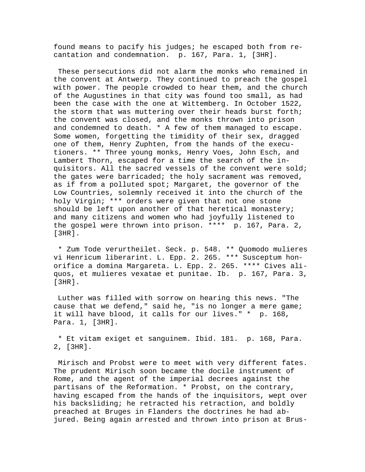found means to pacify his judges; he escaped both from recantation and condemnation. p. 167, Para. 1, [3HR].

 These persecutions did not alarm the monks who remained in the convent at Antwerp. They continued to preach the gospel with power. The people crowded to hear them, and the church of the Augustines in that city was found too small, as had been the case with the one at Wittemberg. In October 1522, the storm that was muttering over their heads burst forth; the convent was closed, and the monks thrown into prison and condemned to death. \* A few of them managed to escape. Some women, forgetting the timidity of their sex, dragged one of them, Henry Zuphten, from the hands of the executioners. \*\* Three young monks, Henry Voes, John Esch, and Lambert Thorn, escaped for a time the search of the inquisitors. All the sacred vessels of the convent were sold; the gates were barricaded; the holy sacrament was removed, as if from a polluted spot; Margaret, the governor of the Low Countries, solemnly received it into the church of the holy Virgin; \*\*\* orders were given that not one stone should be left upon another of that heretical monastery; and many citizens and women who had joyfully listened to the gospel were thrown into prison. \*\*\*\* p. 167, Para. 2, [3HR].

 \* Zum Tode verurtheilet. Seck. p. 548. \*\* Quomodo mulieres vi Henricum liberarint. L. Epp. 2. 265. \*\*\* Susceptum honorifice a domina Margareta. L. Epp. 2. 265. \*\*\*\* Cives aliquos, et mulieres vexatae et punitae. Ib. p. 167, Para. 3, [3HR].

 Luther was filled with sorrow on hearing this news. "The cause that we defend," said he, "is no longer a mere game; it will have blood, it calls for our lives." \* p. 168, Para. 1, [3HR].

 \* Et vitam exiget et sanguinem. Ibid. 181. p. 168, Para. 2, [3HR].

 Mirisch and Probst were to meet with very different fates. The prudent Mirisch soon became the docile instrument of Rome, and the agent of the imperial decrees against the partisans of the Reformation. \* Probst, on the contrary, having escaped from the hands of the inquisitors, wept over his backsliding; he retracted his retraction, and boldly preached at Bruges in Flanders the doctrines he had abjured. Being again arrested and thrown into prison at Brus-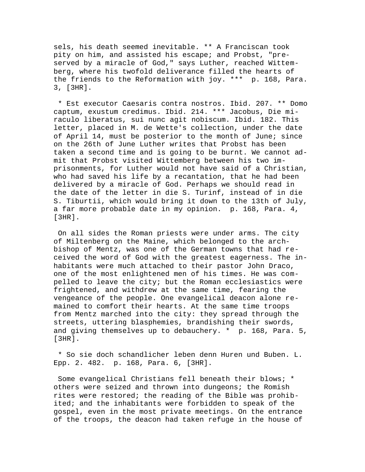sels, his death seemed inevitable. \*\* A Franciscan took pity on him, and assisted his escape; and Probst, "preserved by a miracle of God," says Luther, reached Wittemberg, where his twofold deliverance filled the hearts of the friends to the Reformation with joy. \*\*\* p. 168, Para. 3, [3HR].

 \* Est executor Caesaris contra nostros. Ibid. 207. \*\* Domo captum, exustum credimus. Ibid. 214. \*\*\* Jacobus, Die miraculo liberatus, sui nunc agit nobiscum. Ibid. 182. This letter, placed in M. de Wette's collection, under the date of April 14, must be posterior to the month of June; since on the 26th of June Luther writes that Probst has been taken a second time and is going to be burnt. We cannot admit that Probst visited Wittemberg between his two imprisonments, for Luther would not have said of a Christian, who had saved his life by a recantation, that he had been delivered by a miracle of God. Perhaps we should read in the date of the letter in die S. Turinf, instead of in die S. Tiburtii, which would bring it down to the 13th of July, a far more probable date in my opinion. p. 168, Para. 4, [3HR].

 On all sides the Roman priests were under arms. The city of Miltenberg on the Maine, which belonged to the archbishop of Mentz, was one of the German towns that had received the word of God with the greatest eagerness. The inhabitants were much attached to their pastor John Draco, one of the most enlightened men of his times. He was compelled to leave the city; but the Roman ecclesiastics were frightened, and withdrew at the same time, fearing the vengeance of the people. One evangelical deacon alone remained to comfort their hearts. At the same time troops from Mentz marched into the city: they spread through the streets, uttering blasphemies, brandishing their swords, and giving themselves up to debauchery. \* p. 168, Para. 5, [3HR].

 \* So sie doch schandlicher leben denn Huren und Buben. L. Epp. 2. 482. p. 168, Para. 6, [3HR].

 Some evangelical Christians fell beneath their blows; \* others were seized and thrown into dungeons; the Romish rites were restored; the reading of the Bible was prohibited; and the inhabitants were forbidden to speak of the gospel, even in the most private meetings. On the entrance of the troops, the deacon had taken refuge in the house of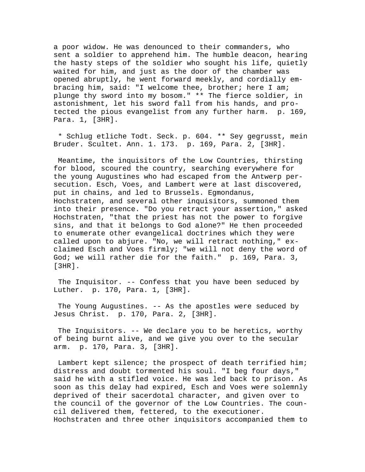a poor widow. He was denounced to their commanders, who sent a soldier to apprehend him. The humble deacon, hearing the hasty steps of the soldier who sought his life, quietly waited for him, and just as the door of the chamber was opened abruptly, he went forward meekly, and cordially embracing him, said: "I welcome thee, brother; here I am; plunge thy sword into my bosom." \*\* The fierce soldier, in astonishment, let his sword fall from his hands, and protected the pious evangelist from any further harm. p. 169, Para. 1, [3HR].

 \* Schlug etliche Todt. Seck. p. 604. \*\* Sey gegrusst, mein Bruder. Scultet. Ann. 1. 173. p. 169, Para. 2, [3HR].

 Meantime, the inquisitors of the Low Countries, thirsting for blood, scoured the country, searching everywhere for the young Augustines who had escaped from the Antwerp persecution. Esch, Voes, and Lambert were at last discovered, put in chains, and led to Brussels. Egmondanus, Hochstraten, and several other inquisitors, summoned them into their presence. "Do you retract your assertion," asked Hochstraten, "that the priest has not the power to forgive sins, and that it belongs to God alone?" He then proceeded to enumerate other evangelical doctrines which they were called upon to abjure. "No, we will retract nothing," exclaimed Esch and Voes firmly; "we will not deny the word of God; we will rather die for the faith." p. 169, Para. 3, [3HR].

 The Inquisitor. -- Confess that you have been seduced by Luther. p. 170, Para. 1, [3HR].

 The Young Augustines. -- As the apostles were seduced by Jesus Christ. p. 170, Para. 2, [3HR].

 The Inquisitors. -- We declare you to be heretics, worthy of being burnt alive, and we give you over to the secular arm. p. 170, Para. 3, [3HR].

 Lambert kept silence; the prospect of death terrified him; distress and doubt tormented his soul. "I beg four days," said he with a stifled voice. He was led back to prison. As soon as this delay had expired, Esch and Voes were solemnly deprived of their sacerdotal character, and given over to the council of the governor of the Low Countries. The council delivered them, fettered, to the executioner. Hochstraten and three other inquisitors accompanied them to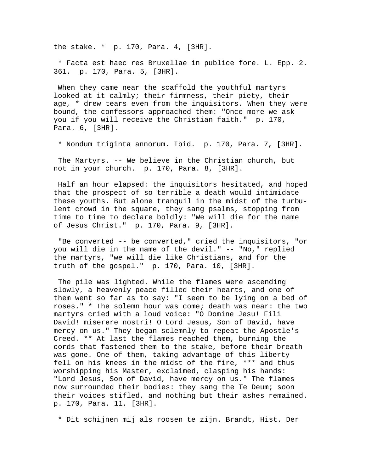the stake. \* p. 170, Para. 4, [3HR].

 \* Facta est haec res Bruxellae in publice fore. L. Epp. 2. 361. p. 170, Para. 5, [3HR].

 When they came near the scaffold the youthful martyrs looked at it calmly; their firmness, their piety, their age, \* drew tears even from the inquisitors. When they were bound, the confessors approached them: "Once more we ask you if you will receive the Christian faith." p. 170, Para. 6, [3HR].

\* Nondum triginta annorum. Ibid. p. 170, Para. 7, [3HR].

 The Martyrs. -- We believe in the Christian church, but not in your church. p. 170, Para. 8, [3HR].

 Half an hour elapsed: the inquisitors hesitated, and hoped that the prospect of so terrible a death would intimidate these youths. But alone tranquil in the midst of the turbulent crowd in the square, they sang psalms, stopping from time to time to declare boldly: "We will die for the name of Jesus Christ." p. 170, Para. 9, [3HR].

 "Be converted -- be converted," cried the inquisitors, "or you will die in the name of the devil." -- "No," replied the martyrs, "we will die like Christians, and for the truth of the gospel." p. 170, Para. 10, [3HR].

 The pile was lighted. While the flames were ascending slowly, a heavenly peace filled their hearts, and one of them went so far as to say: "I seem to be lying on a bed of roses." \* The solemn hour was come; death was near: the two martyrs cried with a loud voice: "O Domine Jesu! Fili David! miserere nostri! O Lord Jesus, Son of David, have mercy on us." They began solemnly to repeat the Apostle's Creed. \*\* At last the flames reached them, burning the cords that fastened them to the stake, before their breath was gone. One of them, taking advantage of this liberty fell on his knees in the midst of the fire, \*\*\* and thus worshipping his Master, exclaimed, clasping his hands: "Lord Jesus, Son of David, have mercy on us." The flames now surrounded their bodies: they sang the Te Deum; soon their voices stifled, and nothing but their ashes remained. p. 170, Para. 11, [3HR].

\* Dit schijnen mij als roosen te zijn. Brandt, Hist. Der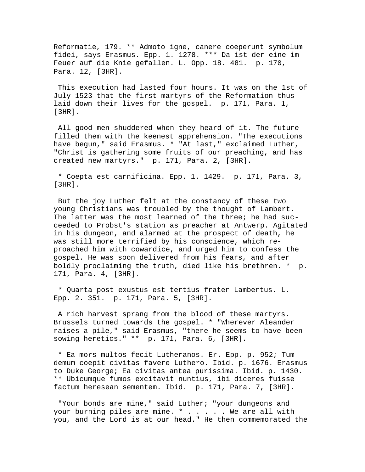Reformatie, 179. \*\* Admoto igne, canere coeperunt symbolum fidei, says Erasmus. Epp. 1. 1278. \*\*\* Da ist der eine im Feuer auf die Knie gefallen. L. Opp. 18. 481. p. 170, Para. 12, [3HR].

 This execution had lasted four hours. It was on the 1st of July 1523 that the first martyrs of the Reformation thus laid down their lives for the gospel. p. 171, Para. 1, [3HR].

 All good men shuddered when they heard of it. The future filled them with the keenest apprehension. "The executions have begun," said Erasmus. \* "At last," exclaimed Luther, "Christ is gathering some fruits of our preaching, and has created new martyrs." p. 171, Para. 2, [3HR].

 \* Coepta est carnificina. Epp. 1. 1429. p. 171, Para. 3, [3HR].

 But the joy Luther felt at the constancy of these two young Christians was troubled by the thought of Lambert. The latter was the most learned of the three; he had succeeded to Probst's station as preacher at Antwerp. Agitated in his dungeon, and alarmed at the prospect of death, he was still more terrified by his conscience, which reproached him with cowardice, and urged him to confess the gospel. He was soon delivered from his fears, and after boldly proclaiming the truth, died like his brethren. \* p. 171, Para. 4, [3HR].

 \* Quarta post exustus est tertius frater Lambertus. L. Epp. 2. 351. p. 171, Para. 5, [3HR].

 A rich harvest sprang from the blood of these martyrs. Brussels turned towards the gospel. \* "Wherever Aleander raises a pile," said Erasmus, "there he seems to have been sowing heretics." \*\* p. 171, Para. 6, [3HR].

 \* Ea mors multos fecit Lutheranos. Er. Epp. p. 952; Tum demum coepit civitas favere Luthero. Ibid. p. 1676. Erasmus to Duke George; Ea civitas antea purissima. Ibid. p. 1430. \*\* Ubicumque fumos excitavit nuntius, ibi diceres fuisse factum heresean sementem. Ibid. p. 171, Para. 7, [3HR].

 "Your bonds are mine," said Luther; "your dungeons and your burning piles are mine. \* . . . . . We are all with you, and the Lord is at our head." He then commemorated the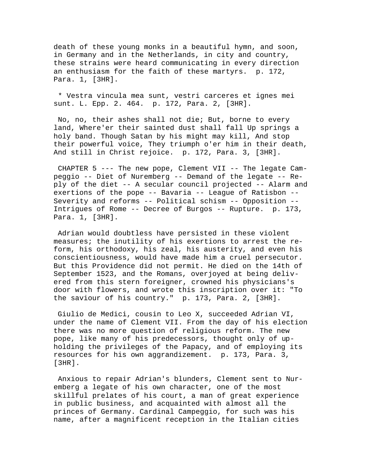death of these young monks in a beautiful hymn, and soon, in Germany and in the Netherlands, in city and country, these strains were heard communicating in every direction an enthusiasm for the faith of these martyrs. p. 172, Para. 1, [3HR].

 \* Vestra vincula mea sunt, vestri carceres et ignes mei sunt. L. Epp. 2. 464. p. 172, Para. 2, [3HR].

 No, no, their ashes shall not die; But, borne to every land, Where'er their sainted dust shall fall Up springs a holy band. Though Satan by his might may kill, And stop their powerful voice, They triumph o'er him in their death, And still in Christ rejoice. p. 172, Para. 3, [3HR].

 CHAPTER 5 --- The new pope, Clement VII -- The legate Campeggio -- Diet of Nuremberg -- Demand of the legate -- Reply of the diet -- A secular council projected -- Alarm and exertions of the pope -- Bavaria -- League of Ratisbon -- Severity and reforms -- Political schism -- Opposition -- Intrigues of Rome -- Decree of Burgos -- Rupture. p. 173, Para. 1, [3HR].

 Adrian would doubtless have persisted in these violent measures; the inutility of his exertions to arrest the reform, his orthodoxy, his zeal, his austerity, and even his conscientiousness, would have made him a cruel persecutor. But this Providence did not permit. He died on the 14th of September 1523, and the Romans, overjoyed at being delivered from this stern foreigner, crowned his physicians's door with flowers, and wrote this inscription over it: "To the saviour of his country." p. 173, Para. 2, [3HR].

 Giulio de Medici, cousin to Leo X, succeeded Adrian VI, under the name of Clement VII. From the day of his election there was no more question of religious reform. The new pope, like many of his predecessors, thought only of upholding the privileges of the Papacy, and of employing its resources for his own aggrandizement. p. 173, Para. 3, [3HR].

 Anxious to repair Adrian's blunders, Clement sent to Nuremberg a legate of his own character, one of the most skillful prelates of his court, a man of great experience in public business, and acquainted with almost all the princes of Germany. Cardinal Campeggio, for such was his name, after a magnificent reception in the Italian cities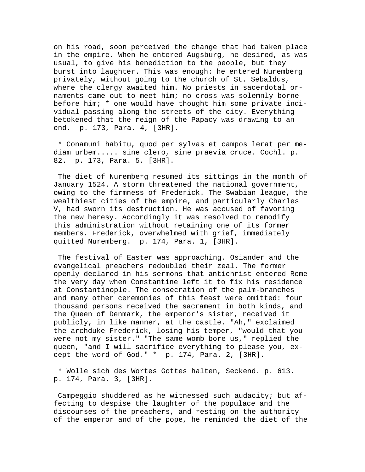on his road, soon perceived the change that had taken place in the empire. When he entered Augsburg, he desired, as was usual, to give his benediction to the people, but they burst into laughter. This was enough: he entered Nuremberg privately, without going to the church of St. Sebaldus, where the clergy awaited him. No priests in sacerdotal ornaments came out to meet him; no cross was solemnly borne before him; \* one would have thought him some private individual passing along the streets of the city. Everything betokened that the reign of the Papacy was drawing to an end. p. 173, Para. 4, [3HR].

 \* Conamuni habitu, quod per sylvas et campos lerat per mediam urbem..... sine clero, sine praevia cruce. Cochl. p. 82. p. 173, Para. 5, [3HR].

 The diet of Nuremberg resumed its sittings in the month of January 1524. A storm threatened the national government, owing to the firmness of Frederick. The Swabian league, the wealthiest cities of the empire, and particularly Charles V, had sworn its destruction. He was accused of favoring the new heresy. Accordingly it was resolved to remodify this administration without retaining one of its former members. Frederick, overwhelmed with grief, immediately quitted Nuremberg. p. 174, Para. 1, [3HR].

 The festival of Easter was approaching. Osiander and the evangelical preachers redoubled their zeal. The former openly declared in his sermons that antichrist entered Rome the very day when Constantine left it to fix his residence at Constantinople. The consecration of the palm-branches and many other ceremonies of this feast were omitted: four thousand persons received the sacrament in both kinds, and the Queen of Denmark, the emperor's sister, received it publicly, in like manner, at the castle. "Ah," exclaimed the archduke Frederick, losing his temper, "would that you were not my sister." "The same womb bore us," replied the queen, "and I will sacrifice everything to please you, except the word of God." \* p. 174, Para. 2, [3HR].

 \* Wolle sich des Wortes Gottes halten, Seckend. p. 613. p. 174, Para. 3, [3HR].

 Campeggio shuddered as he witnessed such audacity; but affecting to despise the laughter of the populace and the discourses of the preachers, and resting on the authority of the emperor and of the pope, he reminded the diet of the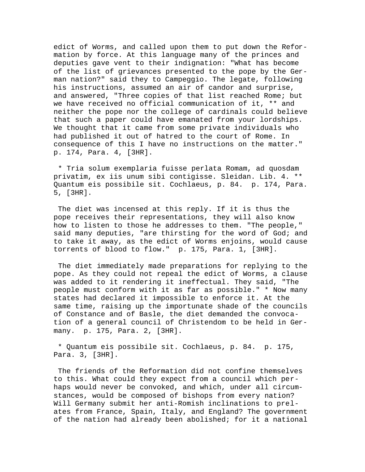edict of Worms, and called upon them to put down the Reformation by force. At this language many of the princes and deputies gave vent to their indignation: "What has become of the list of grievances presented to the pope by the German nation?" said they to Campeggio. The legate, following his instructions, assumed an air of candor and surprise, and answered, "Three copies of that list reached Rome; but we have received no official communication of it, \*\* and neither the pope nor the college of cardinals could believe that such a paper could have emanated from your lordships. We thought that it came from some private individuals who had published it out of hatred to the court of Rome. In consequence of this I have no instructions on the matter." p. 174, Para. 4, [3HR].

 \* Tria solum exemplaria fuisse perlata Romam, ad quosdam privatim, ex iis unum sibi contigisse. Sleidan. Lib. 4. \*\* Quantum eis possibile sit. Cochlaeus, p. 84. p. 174, Para. 5, [3HR].

 The diet was incensed at this reply. If it is thus the pope receives their representations, they will also know how to listen to those he addresses to them. "The people," said many deputies, "are thirsting for the word of God; and to take it away, as the edict of Worms enjoins, would cause torrents of blood to flow." p. 175, Para. 1, [3HR].

 The diet immediately made preparations for replying to the pope. As they could not repeal the edict of Worms, a clause was added to it rendering it ineffectual. They said, "The people must conform with it as far as possible." \* Now many states had declared it impossible to enforce it. At the same time, raising up the importunate shade of the councils of Constance and of Basle, the diet demanded the convocation of a general council of Christendom to be held in Germany. p. 175, Para. 2, [3HR].

 \* Quantum eis possibile sit. Cochlaeus, p. 84. p. 175, Para. 3, [3HR].

 The friends of the Reformation did not confine themselves to this. What could they expect from a council which perhaps would never be convoked, and which, under all circumstances, would be composed of bishops from every nation? Will Germany submit her anti-Romish inclinations to prelates from France, Spain, Italy, and England? The government of the nation had already been abolished; for it a national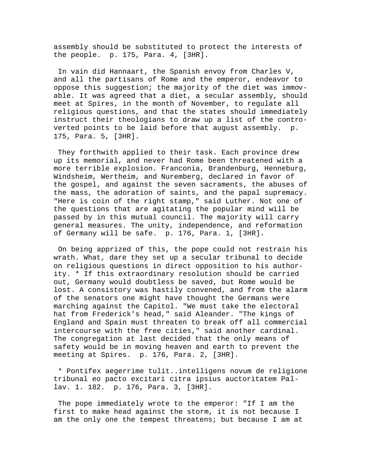assembly should be substituted to protect the interests of the people. p. 175, Para. 4, [3HR].

 In vain did Hannaart, the Spanish envoy from Charles V, and all the partisans of Rome and the emperor, endeavor to oppose this suggestion; the majority of the diet was immovable. It was agreed that a diet, a secular assembly, should meet at Spires, in the month of November, to regulate all religious questions, and that the states should immediately instruct their theologians to draw up a list of the controverted points to be laid before that august assembly. p. 175, Para. 5, [3HR].

 They forthwith applied to their task. Each province drew up its memorial, and never had Rome been threatened with a more terrible explosion. Franconia, Brandenburg, Henneburg, Windsheim, Wertheim, and Nuremberg, declared in favor of the gospel, and against the seven sacraments, the abuses of the mass, the adoration of saints, and the papal supremacy. "Here is coin of the right stamp," said Luther. Not one of the questions that are agitating the popular mind will be passed by in this mutual council. The majority will carry general measures. The unity, independence, and reformation of Germany will be safe. p. 176, Para. 1, [3HR].

 On being apprized of this, the pope could not restrain his wrath. What, dare they set up a secular tribunal to decide on religious questions in direct opposition to his authority. \* If this extraordinary resolution should be carried out, Germany would doubtless be saved, but Rome would be lost. A consistory was hastily convened, and from the alarm of the senators one might have thought the Germans were marching against the Capitol. "We must take the electoral hat from Frederick's head," said Aleander. "The kings of England and Spain must threaten to break off all commercial intercourse with the free cities," said another cardinal. The congregation at last decided that the only means of safety would be in moving heaven and earth to prevent the meeting at Spires. p. 176, Para. 2, [3HR].

 \* Pontifex aegerrime tulit..intelligens novum de religione tribunal eo pacto excitari citra ipsius auctoritatem Pallav. 1. 182. p. 176, Para. 3, [3HR].

 The pope immediately wrote to the emperor: "If I am the first to make head against the storm, it is not because I am the only one the tempest threatens; but because I am at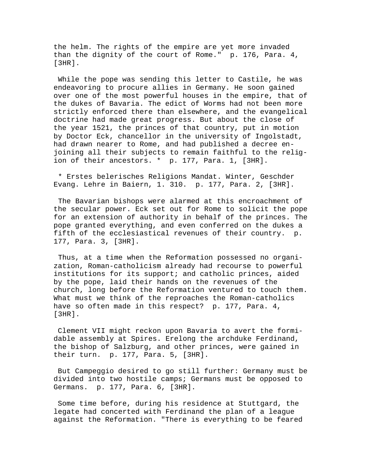the helm. The rights of the empire are yet more invaded than the dignity of the court of Rome." p. 176, Para. 4, [3HR].

 While the pope was sending this letter to Castile, he was endeavoring to procure allies in Germany. He soon gained over one of the most powerful houses in the empire, that of the dukes of Bavaria. The edict of Worms had not been more strictly enforced there than elsewhere, and the evangelical doctrine had made great progress. But about the close of the year 1521, the princes of that country, put in motion by Doctor Eck, chancellor in the university of Ingolstadt, had drawn nearer to Rome, and had published a decree enjoining all their subjects to remain faithful to the religion of their ancestors. \* p. 177, Para. 1, [3HR].

 \* Erstes belerisches Religions Mandat. Winter, Geschder Evang. Lehre in Baiern, 1. 310. p. 177, Para. 2, [3HR].

 The Bavarian bishops were alarmed at this encroachment of the secular power. Eck set out for Rome to solicit the pope for an extension of authority in behalf of the princes. The pope granted everything, and even conferred on the dukes a fifth of the ecclesiastical revenues of their country. p. 177, Para. 3, [3HR].

 Thus, at a time when the Reformation possessed no organization, Roman-catholicism already had recourse to powerful institutions for its support; and catholic princes, aided by the pope, laid their hands on the revenues of the church, long before the Reformation ventured to touch them. What must we think of the reproaches the Roman-catholics have so often made in this respect? p. 177, Para. 4, [3HR].

 Clement VII might reckon upon Bavaria to avert the formidable assembly at Spires. Erelong the archduke Ferdinand, the bishop of Salzburg, and other princes, were gained in their turn. p. 177, Para. 5, [3HR].

 But Campeggio desired to go still further: Germany must be divided into two hostile camps; Germans must be opposed to Germans. p. 177, Para. 6, [3HR].

 Some time before, during his residence at Stuttgard, the legate had concerted with Ferdinand the plan of a league against the Reformation. "There is everything to be feared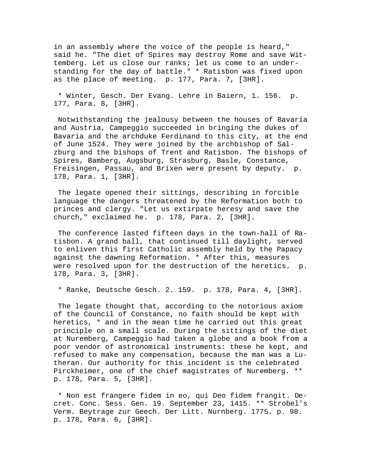in an assembly where the voice of the people is heard," said he. "The diet of Spires may destroy Rome and save Wittemberg. Let us close our ranks; let us come to an understanding for the day of battle." \* Ratisbon was fixed upon as the place of meeting. p. 177, Para. 7, [3HR].

 \* Winter, Gesch. Der Evang. Lehre in Baiern, 1. 156. p. 177, Para. 8, [3HR].

 Notwithstanding the jealousy between the houses of Bavaria and Austria, Campeggio succeeded in bringing the dukes of Bavaria and the archduke Ferdinand to this city, at the end of June 1524. They were joined by the archbishop of Salzburg and the bishops of Trent and Ratisbon. The bishops of Spires, Bamberg, Augsburg, Strasburg, Basle, Constance, Freisingen, Passau, and Brixen were present by deputy. p. 178, Para. 1, [3HR].

 The legate opened their sittings, describing in forcible language the dangers threatened by the Reformation both to princes and clergy. "Let us extirpate heresy and save the church," exclaimed he. p. 178, Para. 2, [3HR].

 The conference lasted fifteen days in the town-hall of Ratisbon. A grand ball, that continued till daylight, served to enliven this first Catholic assembly held by the Papacy against the dawning Reformation. \* After this, measures were resolved upon for the destruction of the heretics. p. 178, Para. 3, [3HR].

\* Ranke, Deutsche Gesch. 2. 159. p. 178, Para. 4, [3HR].

 The legate thought that, according to the notorious axiom of the Council of Constance, no faith should be kept with heretics, \* and in the mean time he carried out this great principle on a small scale. During the sittings of the diet at Nuremberg, Campeggio had taken a globe and a book from a poor vendor of astronomical instruments: these he kept, and refused to make any compensation, because the man was a Lutheran. Our authority for this incident is the celebrated Pirckheimer, one of the chief magistrates of Nuremberg. \*\* p. 178, Para. 5, [3HR].

 \* Non est frangere fidem in eo, qui Deo fidem frangit. Decret. Conc. Sess. Gen. 19. September 23, 1415. \*\* Strobel's Verm. Beytrage zur Geech. Der Litt. Nurnberg. 1775. p. 98. p. 178, Para. 6, [3HR].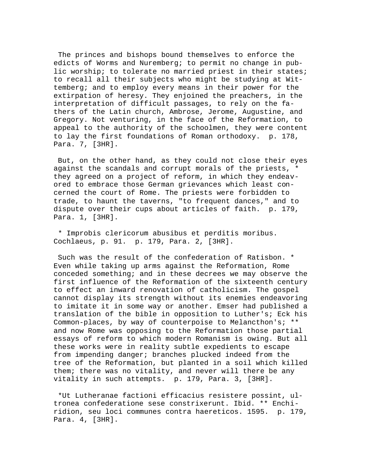The princes and bishops bound themselves to enforce the edicts of Worms and Nuremberg; to permit no change in public worship; to tolerate no married priest in their states; to recall all their subjects who might be studying at Wittemberg; and to employ every means in their power for the extirpation of heresy. They enjoined the preachers, in the interpretation of difficult passages, to rely on the fathers of the Latin church, Ambrose, Jerome, Augustine, and Gregory. Not venturing, in the face of the Reformation, to appeal to the authority of the schoolmen, they were content to lay the first foundations of Roman orthodoxy. p. 178, Para. 7, [3HR].

 But, on the other hand, as they could not close their eyes against the scandals and corrupt morals of the priests, \* they agreed on a project of reform, in which they endeavored to embrace those German grievances which least concerned the court of Rome. The priests were forbidden to trade, to haunt the taverns, "to frequent dances," and to dispute over their cups about articles of faith. p. 179, Para. 1, [3HR].

 \* Improbis clericorum abusibus et perditis moribus. Cochlaeus, p. 91. p. 179, Para. 2, [3HR].

 Such was the result of the confederation of Ratisbon. \* Even while taking up arms against the Reformation, Rome conceded something; and in these decrees we may observe the first influence of the Reformation of the sixteenth century to effect an inward renovation of catholicism. The gospel cannot display its strength without its enemies endeavoring to imitate it in some way or another. Emser had published a translation of the bible in opposition to Luther's; Eck his Common-places, by way of counterpoise to Melancthon's; \*\* and now Rome was opposing to the Reformation those partial essays of reform to which modern Romanism is owing. But all these works were in reality subtle expedients to escape from impending danger; branches plucked indeed from the tree of the Reformation, but planted in a soil which killed them; there was no vitality, and never will there be any vitality in such attempts. p. 179, Para. 3, [3HR].

 \*Ut Lutheranae factioni efficacius resistere possint, ultronea confederatione sese constrixerunt. Ibid. \*\* Enchiridion, seu loci communes contra haereticos. 1595. p. 179, Para. 4, [3HR].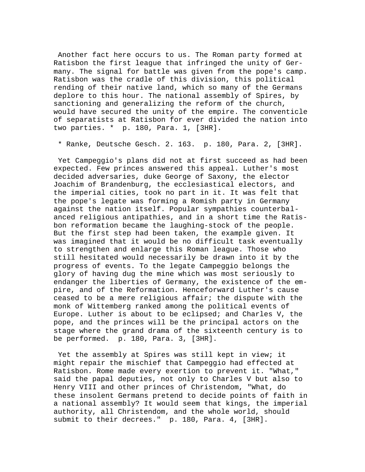Another fact here occurs to us. The Roman party formed at Ratisbon the first league that infringed the unity of Germany. The signal for battle was given from the pope's camp. Ratisbon was the cradle of this division, this political rending of their native land, which so many of the Germans deplore to this hour. The national assembly of Spires, by sanctioning and generalizing the reform of the church, would have secured the unity of the empire. The conventicle of separatists at Ratisbon for ever divided the nation into two parties. \* p. 180, Para. 1, [3HR].

\* Ranke, Deutsche Gesch. 2. 163. p. 180, Para. 2, [3HR].

 Yet Campeggio's plans did not at first succeed as had been expected. Few princes answered this appeal. Luther's most decided adversaries, duke George of Saxony, the elector Joachim of Brandenburg, the ecclesiastical electors, and the imperial cities, took no part in it. It was felt that the pope's legate was forming a Romish party in Germany against the nation itself. Popular sympathies counterbalanced religious antipathies, and in a short time the Ratisbon reformation became the laughing-stock of the people. But the first step had been taken, the example given. It was imagined that it would be no difficult task eventually to strengthen and enlarge this Roman league. Those who still hesitated would necessarily be drawn into it by the progress of events. To the legate Campeggio belongs the glory of having dug the mine which was most seriously to endanger the liberties of Germany, the existence of the empire, and of the Reformation. Henceforward Luther's cause ceased to be a mere religious affair; the dispute with the monk of Wittemberg ranked among the political events of Europe. Luther is about to be eclipsed; and Charles V, the pope, and the princes will be the principal actors on the stage where the grand drama of the sixteenth century is to be performed. p. 180, Para. 3, [3HR].

 Yet the assembly at Spires was still kept in view; it might repair the mischief that Campeggio had effected at Ratisbon. Rome made every exertion to prevent it. "What," said the papal deputies, not only to Charles V but also to Henry VIII and other princes of Christendom, "What, do these insolent Germans pretend to decide points of faith in a national assembly? It would seem that kings, the imperial authority, all Christendom, and the whole world, should submit to their decrees." p. 180, Para. 4, [3HR].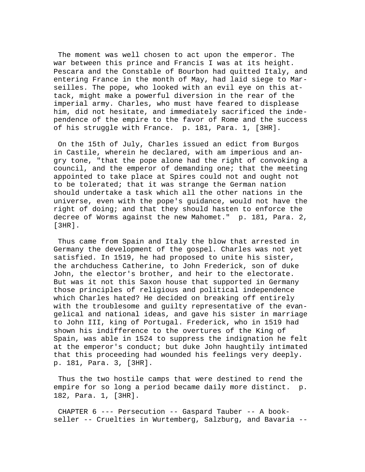The moment was well chosen to act upon the emperor. The war between this prince and Francis I was at its height. Pescara and the Constable of Bourbon had quitted Italy, and entering France in the month of May, had laid siege to Marseilles. The pope, who looked with an evil eye on this attack, might make a powerful diversion in the rear of the imperial army. Charles, who must have feared to displease him, did not hesitate, and immediately sacrificed the independence of the empire to the favor of Rome and the success of his struggle with France. p. 181, Para. 1, [3HR].

 On the 15th of July, Charles issued an edict from Burgos in Castile, wherein he declared, with am imperious and angry tone, "that the pope alone had the right of convoking a council, and the emperor of demanding one; that the meeting appointed to take place at Spires could not and ought not to be tolerated; that it was strange the German nation should undertake a task which all the other nations in the universe, even with the pope's guidance, would not have the right of doing; and that they should hasten to enforce the decree of Worms against the new Mahomet." p. 181, Para. 2, [3HR].

 Thus came from Spain and Italy the blow that arrested in Germany the development of the gospel. Charles was not yet satisfied. In 1519, he had proposed to unite his sister, the archduchess Catherine, to John Frederick, son of duke John, the elector's brother, and heir to the electorate. But was it not this Saxon house that supported in Germany those principles of religious and political independence which Charles hated? He decided on breaking off entirely with the troublesome and guilty representative of the evangelical and national ideas, and gave his sister in marriage to John III, king of Portugal. Frederick, who in 1519 had shown his indifference to the overtures of the King of Spain, was able in 1524 to suppress the indignation he felt at the emperor's conduct; but duke John haughtily intimated that this proceeding had wounded his feelings very deeply. p. 181, Para. 3, [3HR].

 Thus the two hostile camps that were destined to rend the empire for so long a period became daily more distinct. p. 182, Para. 1, [3HR].

 CHAPTER 6 --- Persecution -- Gaspard Tauber -- A bookseller -- Cruelties in Wurtemberg, Salzburg, and Bavaria --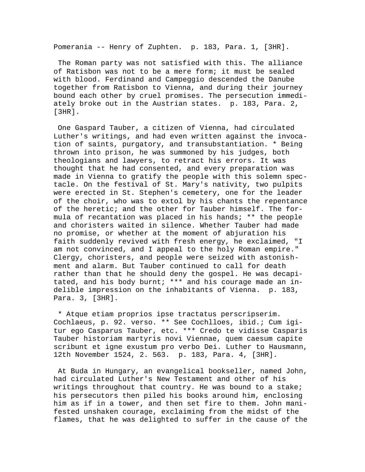Pomerania -- Henry of Zuphten. p. 183, Para. 1, [3HR].

 The Roman party was not satisfied with this. The alliance of Ratisbon was not to be a mere form; it must be sealed with blood. Ferdinand and Campeggio descended the Danube together from Ratisbon to Vienna, and during their journey bound each other by cruel promises. The persecution immediately broke out in the Austrian states. p. 183, Para. 2, [3HR].

 One Gaspard Tauber, a citizen of Vienna, had circulated Luther's writings, and had even written against the invocation of saints, purgatory, and transubstantiation. \* Being thrown into prison, he was summoned by his judges, both theologians and lawyers, to retract his errors. It was thought that he had consented, and every preparation was made in Vienna to gratify the people with this solemn spectacle. On the festival of St. Mary's nativity, two pulpits were erected in St. Stephen's cemetery, one for the leader of the choir, who was to extol by his chants the repentance of the heretic; and the other for Tauber himself. The formula of recantation was placed in his hands; \*\* the people and choristers waited in silence. Whether Tauber had made no promise, or whether at the moment of abjuration his faith suddenly revived with fresh energy, he exclaimed, "I am not convinced, and I appeal to the holy Roman empire." Clergy, choristers, and people were seized with astonishment and alarm. But Tauber continued to call for death rather than that he should deny the gospel. He was decapitated, and his body burnt; \*\*\* and his courage made an indelible impression on the inhabitants of Vienna. p. 183, Para. 3, [3HR].

 \* Atque etiam proprios ipse tractatus perscripserim. Cochlaeus, p. 92. verso. \*\* See Cochlloes, ibid.; Cum igitur ego Casparus Tauber, etc. \*\*\* Credo te vidisse Casparis Tauber historiam martyris novi Viennae, quem caesum capite scribunt et igne exustum pro verbo Dei. Luther to Hausmann, 12th November 1524, 2. 563. p. 183, Para. 4, [3HR].

 At Buda in Hungary, an evangelical bookseller, named John, had circulated Luther's New Testament and other of his writings throughout that country. He was bound to a stake; his persecutors then piled his books around him, enclosing him as if in a tower, and then set fire to them. John manifested unshaken courage, exclaiming from the midst of the flames, that he was delighted to suffer in the cause of the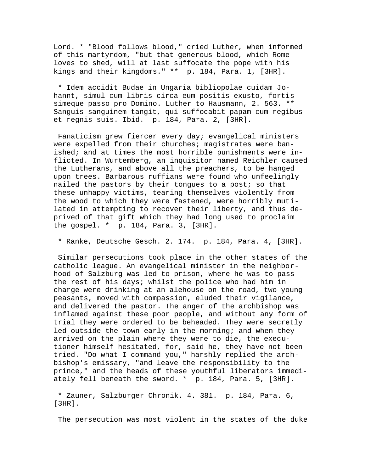Lord. \* "Blood follows blood," cried Luther, when informed of this martyrdom, "but that generous blood, which Rome loves to shed, will at last suffocate the pope with his kings and their kingdoms." \*\* p. 184, Para. 1, [3HR].

 \* Idem accidit Budae in Ungaria bibliopolae cuidam Johannt, simul cum libris circa eum positis exusto, fortissimeque passo pro Domino. Luther to Hausmann, 2. 563. \*\* Sanguis sanguinem tangit, qui suffocabit papam cum regibus et regnis suis. Ibid. p. 184, Para. 2, [3HR].

 Fanaticism grew fiercer every day; evangelical ministers were expelled from their churches; magistrates were banished; and at times the most horrible punishments were inflicted. In Wurtemberg, an inquisitor named Reichler caused the Lutherans, and above all the preachers, to be hanged upon trees. Barbarous ruffians were found who unfeelingly nailed the pastors by their tongues to a post; so that these unhappy victims, tearing themselves violently from the wood to which they were fastened, were horribly mutilated in attempting to recover their liberty, and thus deprived of that gift which they had long used to proclaim the gospel. \* p. 184, Para. 3, [3HR].

\* Ranke, Deutsche Gesch. 2. 174. p. 184, Para. 4, [3HR].

 Similar persecutions took place in the other states of the catholic league. An evangelical minister in the neighborhood of Salzburg was led to prison, where he was to pass the rest of his days; whilst the police who had him in charge were drinking at an alehouse on the road, two young peasants, moved with compassion, eluded their vigilance, and delivered the pastor. The anger of the archbishop was inflamed against these poor people, and without any form of trial they were ordered to be beheaded. They were secretly led outside the town early in the morning; and when they arrived on the plain where they were to die, the executioner himself hesitated, for, said he, they have not been tried. "Do what I command you," harshly replied the archbishop's emissary, "and leave the responsibility to the prince," and the heads of these youthful liberators immediately fell beneath the sword. \* p. 184, Para. 5, [3HR].

 \* Zauner, Salzburger Chronik. 4. 381. p. 184, Para. 6, [3HR].

The persecution was most violent in the states of the duke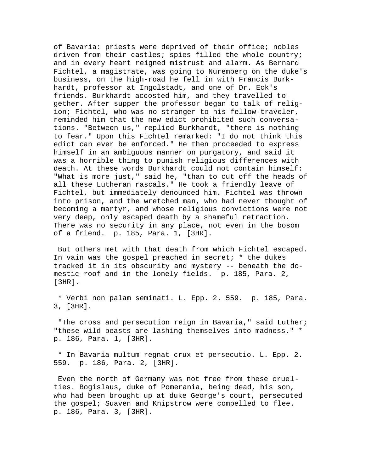of Bavaria: priests were deprived of their office; nobles driven from their castles; spies filled the whole country; and in every heart reigned mistrust and alarm. As Bernard Fichtel, a magistrate, was going to Nuremberg on the duke's business, on the high-road he fell in with Francis Burkhardt, professor at Ingolstadt, and one of Dr. Eck's friends. Burkhardt accosted him, and they travelled together. After supper the professor began to talk of religion; Fichtel, who was no stranger to his fellow-traveler, reminded him that the new edict prohibited such conversations. "Between us," replied Burkhardt, "there is nothing to fear." Upon this Fichtel remarked: "I do not think this edict can ever be enforced." He then proceeded to express himself in an ambiguous manner on purgatory, and said it was a horrible thing to punish religious differences with death. At these words Burkhardt could not contain himself: "What is more just," said he, "than to cut off the heads of all these Lutheran rascals." He took a friendly leave of Fichtel, but immediately denounced him. Fichtel was thrown into prison, and the wretched man, who had never thought of becoming a martyr, and whose religious convictions were not very deep, only escaped death by a shameful retraction. There was no security in any place, not even in the bosom of a friend. p. 185, Para. 1, [3HR].

 But others met with that death from which Fichtel escaped. In vain was the gospel preached in secret; \* the dukes tracked it in its obscurity and mystery -- beneath the domestic roof and in the lonely fields. p. 185, Para. 2, [3HR].

 \* Verbi non palam seminati. L. Epp. 2. 559. p. 185, Para. 3, [3HR].

"The cross and persecution reign in Bavaria," said Luther; "these wild beasts are lashing themselves into madness." \* p. 186, Para. 1, [3HR].

 \* In Bavaria multum regnat crux et persecutio. L. Epp. 2. 559. p. 186, Para. 2, [3HR].

 Even the north of Germany was not free from these cruelties. Bogislaus, duke of Pomerania, being dead, his son, who had been brought up at duke George's court, persecuted the gospel; Suaven and Knipstrow were compelled to flee. p. 186, Para. 3, [3HR].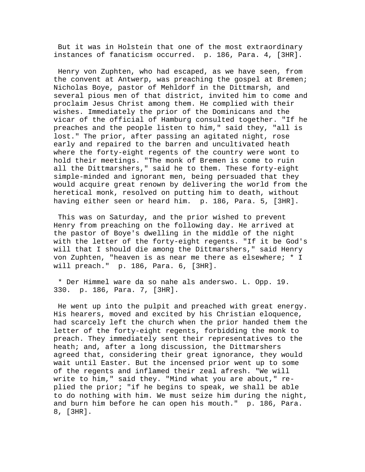But it was in Holstein that one of the most extraordinary instances of fanaticism occurred. p. 186, Para. 4, [3HR].

 Henry von Zuphten, who had escaped, as we have seen, from the convent at Antwerp, was preaching the gospel at Bremen; Nicholas Boye, pastor of Mehldorf in the Dittmarsh, and several pious men of that district, invited him to come and proclaim Jesus Christ among them. He complied with their wishes. Immediately the prior of the Dominicans and the vicar of the official of Hamburg consulted together. "If he preaches and the people listen to him," said they, "all is lost." The prior, after passing an agitated night, rose early and repaired to the barren and uncultivated heath where the forty-eight regents of the country were wont to hold their meetings. "The monk of Bremen is come to ruin all the Dittmarshers," said he to them. These forty-eight simple-minded and ignorant men, being persuaded that they would acquire great renown by delivering the world from the heretical monk, resolved on putting him to death, without having either seen or heard him. p. 186, Para. 5, [3HR].

 This was on Saturday, and the prior wished to prevent Henry from preaching on the following day. He arrived at the pastor of Boye's dwelling in the middle of the night with the letter of the forty-eight regents. "If it be God's will that I should die among the Dittmarshers," said Henry von Zuphten, "heaven is as near me there as elsewhere; \* I will preach." p. 186, Para. 6, [3HR].

 \* Der Himmel ware da so nahe als anderswo. L. Opp. 19. 330. p. 186, Para. 7, [3HR].

 He went up into the pulpit and preached with great energy. His hearers, moved and excited by his Christian eloquence, had scarcely left the church when the prior handed them the letter of the forty-eight regents, forbidding the monk to preach. They immediately sent their representatives to the heath; and, after a long discussion, the Dittmarshers agreed that, considering their great ignorance, they would wait until Easter. But the incensed prior went up to some of the regents and inflamed their zeal afresh. "We will write to him," said they. "Mind what you are about," replied the prior; "if he begins to speak, we shall be able to do nothing with him. We must seize him during the night, and burn him before he can open his mouth." p. 186, Para. 8, [3HR].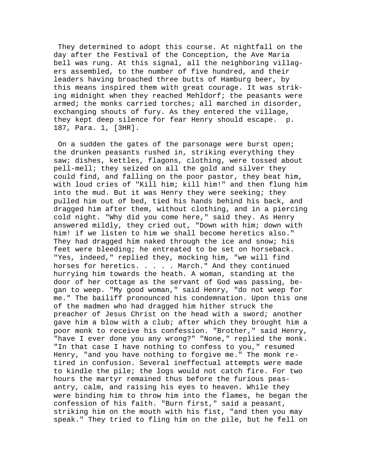They determined to adopt this course. At nightfall on the day after the Festival of the Conception, the Ave Maria bell was rung. At this signal, all the neighboring villagers assembled, to the number of five hundred, and their leaders having broached three butts of Hamburg beer, by this means inspired them with great courage. It was striking midnight when they reached Mehldorf; the peasants were armed; the monks carried torches; all marched in disorder, exchanging shouts of fury. As they entered the village, they kept deep silence for fear Henry should escape. p. 187, Para. 1, [3HR].

 On a sudden the gates of the parsonage were burst open; the drunken peasants rushed in, striking everything they saw; dishes, kettles, flagons, clothing, were tossed about pell-mell; they seized on all the gold and silver they could find, and falling on the poor pastor, they beat him, with loud cries of "Kill him; kill him!" and then flung him into the mud. But it was Henry they were seeking; they pulled him out of bed, tied his hands behind his back, and dragged him after them, without clothing, and in a piercing cold night. "Why did you come here," said they. As Henry answered mildly, they cried out, "Down with him; down with him! if we listen to him we shall become heretics also." They had dragged him naked through the ice and snow; his feet were bleeding; he entreated to be set on horseback. "Yes, indeed," replied they, mocking him, "we will find horses for heretics. . . . . March." And they continued hurrying him towards the heath. A woman, standing at the door of her cottage as the servant of God was passing, began to weep. "My good woman," said Henry, "do not weep for me." The bailiff pronounced his condemnation. Upon this one of the madmen who had dragged him hither struck the preacher of Jesus Christ on the head with a sword; another gave him a blow with a club; after which they brought him a poor monk to receive his confession. "Brother," said Henry, "have I ever done you any wrong?" "None," replied the monk. "In that case I have nothing to confess to you," resumed Henry, "and you have nothing to forgive me." The monk retired in confusion. Several ineffectual attempts were made to kindle the pile; the logs would not catch fire. For two hours the martyr remained thus before the furious peasantry, calm, and raising his eyes to heaven. While they were binding him to throw him into the flames, he began the confession of his faith. "Burn first," said a peasant, striking him on the mouth with his fist, "and then you may speak." They tried to fling him on the pile, but he fell on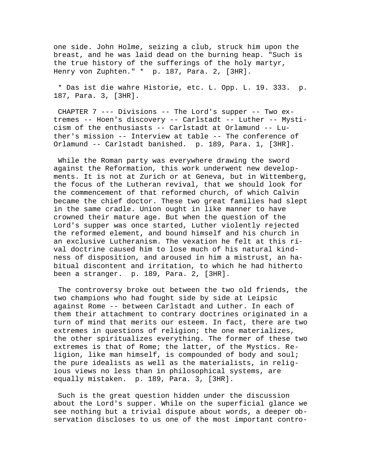one side. John Holme, seizing a club, struck him upon the breast, and he was laid dead on the burning heap. "Such is the true history of the sufferings of the holy martyr, Henry von Zuphten." \* p. 187, Para. 2, [3HR].

 \* Das ist die wahre Historie, etc. L. Opp. L. 19. 333. p. 187, Para. 3, [3HR].

 CHAPTER 7 --- Divisions -- The Lord's supper -- Two extremes -- Hoen's discovery -- Carlstadt -- Luther -- Mysticism of the enthusiasts -- Carlstadt at Orlamund -- Luther's mission -- Interview at table -- The conference of Orlamund -- Carlstadt banished. p. 189, Para. 1, [3HR].

 While the Roman party was everywhere drawing the sword against the Reformation, this work underwent new developments. It is not at Zurich or at Geneva, but in Wittemberg, the focus of the Lutheran revival, that we should look for the commencement of that reformed church, of which Calvin became the chief doctor. These two great families had slept in the same cradle. Union ought in like manner to have crowned their mature age. But when the question of the Lord's supper was once started, Luther violently rejected the reformed element, and bound himself and his church in an exclusive Lutheranism. The vexation he felt at this rival doctrine caused him to lose much of his natural kindness of disposition, and aroused in him a mistrust, an habitual discontent and irritation, to which he had hitherto been a stranger. p. 189, Para. 2, [3HR].

 The controversy broke out between the two old friends, the two champions who had fought side by side at Leipsic against Rome -- between Carlstadt and Luther. In each of them their attachment to contrary doctrines originated in a turn of mind that merits our esteem. In fact, there are two extremes in questions of religion; the one materializes, the other spiritualizes everything. The former of these two extremes is that of Rome; the latter, of the Mystics. Religion, like man himself, is compounded of body and soul; the pure idealists as well as the materialists, in religious views no less than in philosophical systems, are equally mistaken. p. 189, Para. 3, [3HR].

 Such is the great question hidden under the discussion about the Lord's supper. While on the superficial glance we see nothing but a trivial dispute about words, a deeper observation discloses to us one of the most important contro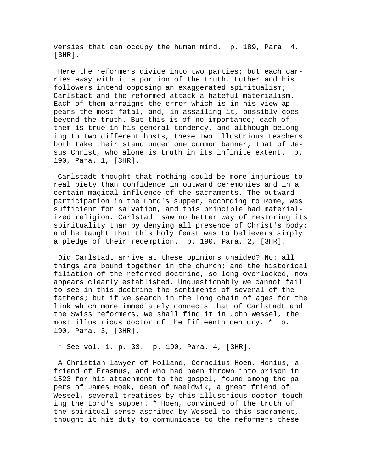versies that can occupy the human mind. p. 189, Para. 4, [3HR].

 Here the reformers divide into two parties; but each carries away with it a portion of the truth. Luther and his followers intend opposing an exaggerated spiritualism; Carlstadt and the reformed attack a hateful materialism. Each of them arraigns the error which is in his view appears the most fatal, and, in assailing it, possibly goes beyond the truth. But this is of no importance; each of them is true in his general tendency, and although belonging to two different hosts, these two illustrious teachers both take their stand under one common banner, that of Jesus Christ, who alone is truth in its infinite extent. p. 190, Para. 1, [3HR].

 Carlstadt thought that nothing could be more injurious to real piety than confidence in outward ceremonies and in a certain magical influence of the sacraments. The outward participation in the Lord's supper, according to Rome, was sufficient for salvation, and this principle had materialized religion. Carlstadt saw no better way of restoring its spirituality than by denying all presence of Christ's body: and he taught that this holy feast was to believers simply a pledge of their redemption. p. 190, Para. 2, [3HR].

 Did Carlstadt arrive at these opinions unaided? No: all things are bound together in the church; and the historical filiation of the reformed doctrine, so long overlooked, now appears clearly established. Unquestionably we cannot fail to see in this doctrine the sentiments of several of the fathers; but if we search in the long chain of ages for the link which more immediately connects that of Carlstadt and the Swiss reformers, we shall find it in John Wessel, the most illustrious doctor of the fifteenth century. \* p. 190, Para. 3, [3HR].

\* See vol. 1. p. 33. p. 190, Para. 4, [3HR].

 A Christian lawyer of Holland, Cornelius Hoen, Honius, a friend of Erasmus, and who had been thrown into prison in 1523 for his attachment to the gospel, found among the papers of James Hoek, dean of Naeldwik, a great friend of Wessel, several treatises by this illustrious doctor touching the Lord's supper. \* Hoen, convinced of the truth of the spiritual sense ascribed by Wessel to this sacrament, thought it his duty to communicate to the reformers these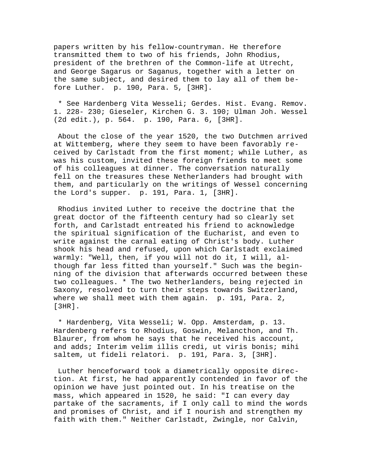papers written by his fellow-countryman. He therefore transmitted them to two of his friends, John Rhodius, president of the brethren of the Common-life at Utrecht, and George Sagarus or Saganus, together with a letter on the same subject, and desired them to lay all of them before Luther. p. 190, Para. 5, [3HR].

 \* See Hardenberg Vita Wesseli; Gerdes. Hist. Evang. Remov. 1. 228- 230; Gieseler, Kirchen G. 3. 190; Ulman Joh. Wessel (2d edit.), p. 564. p. 190, Para. 6, [3HR].

 About the close of the year 1520, the two Dutchmen arrived at Wittemberg, where they seem to have been favorably received by Carlstadt from the first moment; while Luther, as was his custom, invited these foreign friends to meet some of his colleagues at dinner. The conversation naturally fell on the treasures these Netherlanders had brought with them, and particularly on the writings of Wessel concerning the Lord's supper. p. 191, Para. 1, [3HR].

 Rhodius invited Luther to receive the doctrine that the great doctor of the fifteenth century had so clearly set forth, and Carlstadt entreated his friend to acknowledge the spiritual signification of the Eucharist, and even to write against the carnal eating of Christ's body. Luther shook his head and refused, upon which Carlstadt exclaimed warmly: "Well, then, if you will not do it, I will, although far less fitted than yourself." Such was the beginning of the division that afterwards occurred between these two colleagues. \* The two Netherlanders, being rejected in Saxony, resolved to turn their steps towards Switzerland, where we shall meet with them again. p. 191, Para. 2, [3HR].

 \* Hardenberg, Vita Wesseli; W. Opp. Amsterdam, p. 13. Hardenberg refers to Rhodius, Goswin, Melancthon, and Th. Blaurer, from whom he says that he received his account, and adds; Interim velim illis credi, ut viris bonis; mihi saltem, ut fideli relatori. p. 191, Para. 3, [3HR].

 Luther henceforward took a diametrically opposite direction. At first, he had apparently contended in favor of the opinion we have just pointed out. In his treatise on the mass, which appeared in 1520, he said: "I can every day partake of the sacraments, if I only call to mind the words and promises of Christ, and if I nourish and strengthen my faith with them." Neither Carlstadt, Zwingle, nor Calvin,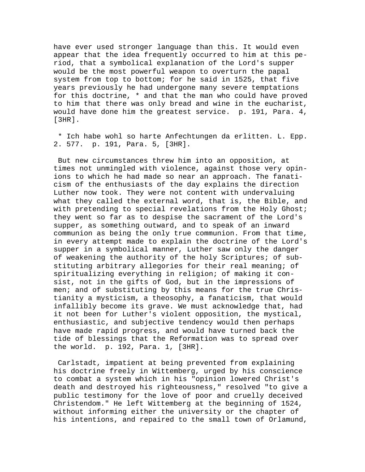have ever used stronger language than this. It would even appear that the idea frequently occurred to him at this period, that a symbolical explanation of the Lord's supper would be the most powerful weapon to overturn the papal system from top to bottom; for he said in 1525, that five years previously he had undergone many severe temptations for this doctrine, \* and that the man who could have proved to him that there was only bread and wine in the eucharist, would have done him the greatest service. p. 191, Para. 4, [3HR].

 \* Ich habe wohl so harte Anfechtungen da erlitten. L. Epp. 2. 577. p. 191, Para. 5, [3HR].

 But new circumstances threw him into an opposition, at times not unmingled with violence, against those very opinions to which he had made so near an approach. The fanaticism of the enthusiasts of the day explains the direction Luther now took. They were not content with undervaluing what they called the external word, that is, the Bible, and with pretending to special revelations from the Holy Ghost; they went so far as to despise the sacrament of the Lord's supper, as something outward, and to speak of an inward communion as being the only true communion. From that time, in every attempt made to explain the doctrine of the Lord's supper in a symbolical manner, Luther saw only the danger of weakening the authority of the holy Scriptures; of substituting arbitrary allegories for their real meaning; of spiritualizing everything in religion; of making it consist, not in the gifts of God, but in the impressions of men; and of substituting by this means for the true Christianity a mysticism, a theosophy, a fanaticism, that would infallibly become its grave. We must acknowledge that, had it not been for Luther's violent opposition, the mystical, enthusiastic, and subjective tendency would then perhaps have made rapid progress, and would have turned back the tide of blessings that the Reformation was to spread over the world. p. 192, Para. 1, [3HR].

 Carlstadt, impatient at being prevented from explaining his doctrine freely in Wittemberg, urged by his conscience to combat a system which in his "opinion lowered Christ's death and destroyed his righteousness," resolved "to give a public testimony for the love of poor and cruelly deceived Christendom." He left Wittemberg at the beginning of 1524, without informing either the university or the chapter of his intentions, and repaired to the small town of Orlamund,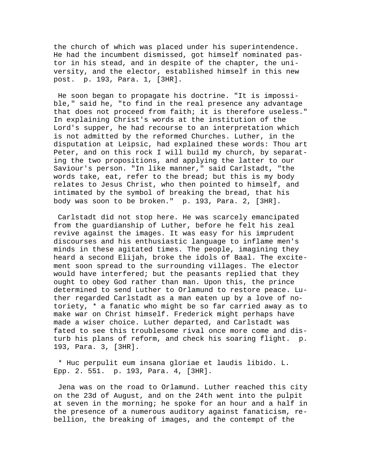the church of which was placed under his superintendence. He had the incumbent dismissed, got himself nominated pastor in his stead, and in despite of the chapter, the university, and the elector, established himself in this new post. p. 193, Para. 1, [3HR].

 He soon began to propagate his doctrine. "It is impossible," said he, "to find in the real presence any advantage that does not proceed from faith; it is therefore useless." In explaining Christ's words at the institution of the Lord's supper, he had recourse to an interpretation which is not admitted by the reformed Churches. Luther, in the disputation at Leipsic, had explained these words: Thou art Peter, and on this rock I will build my church, by separating the two propositions, and applying the latter to our Saviour's person. "In like manner," said Carlstadt, "the words take, eat, refer to the bread; but this is my body relates to Jesus Christ, who then pointed to himself, and intimated by the symbol of breaking the bread, that his body was soon to be broken." p. 193, Para. 2, [3HR].

 Carlstadt did not stop here. He was scarcely emancipated from the guardianship of Luther, before he felt his zeal revive against the images. It was easy for his imprudent discourses and his enthusiastic language to inflame men's minds in these agitated times. The people, imagining they heard a second Elijah, broke the idols of Baal. The excitement soon spread to the surrounding villages. The elector would have interfered; but the peasants replied that they ought to obey God rather than man. Upon this, the prince determined to send Luther to Orlamund to restore peace. Luther regarded Carlstadt as a man eaten up by a love of notoriety, \* a fanatic who might be so far carried away as to make war on Christ himself. Frederick might perhaps have made a wiser choice. Luther departed, and Carlstadt was fated to see this troublesome rival once more come and disturb his plans of reform, and check his soaring flight. p. 193, Para. 3, [3HR].

 \* Huc perpulit eum insana gloriae et laudis libido. L. Epp. 2. 551. p. 193, Para. 4, [3HR].

 Jena was on the road to Orlamund. Luther reached this city on the 23d of August, and on the 24th went into the pulpit at seven in the morning; he spoke for an hour and a half in the presence of a numerous auditory against fanaticism, rebellion, the breaking of images, and the contempt of the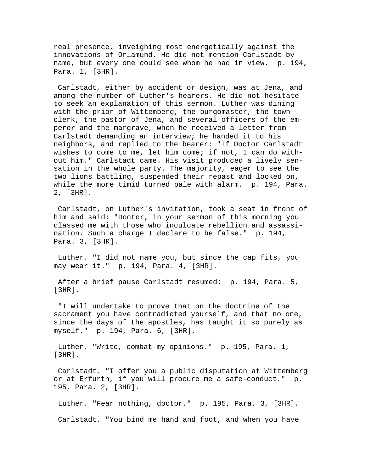real presence, inveighing most energetically against the innovations of Orlamund. He did not mention Carlstadt by name, but every one could see whom he had in view. p. 194, Para. 1, [3HR].

 Carlstadt, either by accident or design, was at Jena, and among the number of Luther's hearers. He did not hesitate to seek an explanation of this sermon. Luther was dining with the prior of Wittemberg, the burgomaster, the townclerk, the pastor of Jena, and several officers of the emperor and the margrave, when he received a letter from Carlstadt demanding an interview; he handed it to his neighbors, and replied to the bearer: "If Doctor Carlstadt wishes to come to me, let him come; if not, I can do without him." Carlstadt came. His visit produced a lively sensation in the whole party. The majority, eager to see the two lions battling, suspended their repast and looked on, while the more timid turned pale with alarm. p. 194, Para. 2, [3HR].

 Carlstadt, on Luther's invitation, took a seat in front of him and said: "Doctor, in your sermon of this morning you classed me with those who inculcate rebellion and assassination. Such a charge I declare to be false." p. 194, Para. 3, [3HR].

 Luther. "I did not name you, but since the cap fits, you may wear it." p. 194, Para. 4, [3HR].

 After a brief pause Carlstadt resumed: p. 194, Para. 5, [3HR].

 "I will undertake to prove that on the doctrine of the sacrament you have contradicted yourself, and that no one, since the days of the apostles, has taught it so purely as myself." p. 194, Para. 6, [3HR].

 Luther. "Write, combat my opinions." p. 195, Para. 1, [3HR].

 Carlstadt. "I offer you a public disputation at Wittemberg or at Erfurth, if you will procure me a safe-conduct." p. 195, Para. 2, [3HR].

 Luther. "Fear nothing, doctor." p. 195, Para. 3, [3HR]. Carlstadt. "You bind me hand and foot, and when you have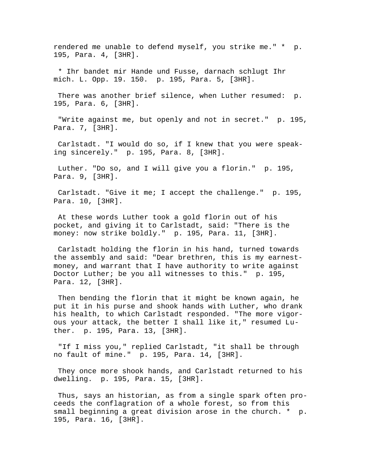rendered me unable to defend myself, you strike me." \* p. 195, Para. 4, [3HR].

 \* Ihr bandet mir Hande und Fusse, darnach schlugt Ihr mich. L. Opp. 19. 150. p. 195, Para. 5, [3HR].

 There was another brief silence, when Luther resumed: p. 195, Para. 6, [3HR].

 "Write against me, but openly and not in secret." p. 195, Para. 7, [3HR].

 Carlstadt. "I would do so, if I knew that you were speaking sincerely." p. 195, Para. 8, [3HR].

 Luther. "Do so, and I will give you a florin." p. 195, Para. 9, [3HR].

 Carlstadt. "Give it me; I accept the challenge." p. 195, Para. 10, [3HR].

 At these words Luther took a gold florin out of his pocket, and giving it to Carlstadt, said: "There is the money: now strike boldly." p. 195, Para. 11, [3HR].

 Carlstadt holding the florin in his hand, turned towards the assembly and said: "Dear brethren, this is my earnestmoney, and warrant that I have authority to write against Doctor Luther; be you all witnesses to this." p. 195, Para. 12, [3HR].

 Then bending the florin that it might be known again, he put it in his purse and shook hands with Luther, who drank his health, to which Carlstadt responded. "The more vigorous your attack, the better I shall like it," resumed Luther. p. 195, Para. 13, [3HR].

 "If I miss you," replied Carlstadt, "it shall be through no fault of mine." p. 195, Para. 14, [3HR].

 They once more shook hands, and Carlstadt returned to his dwelling. p. 195, Para. 15, [3HR].

 Thus, says an historian, as from a single spark often proceeds the conflagration of a whole forest, so from this small beginning a great division arose in the church. \* p. 195, Para. 16, [3HR].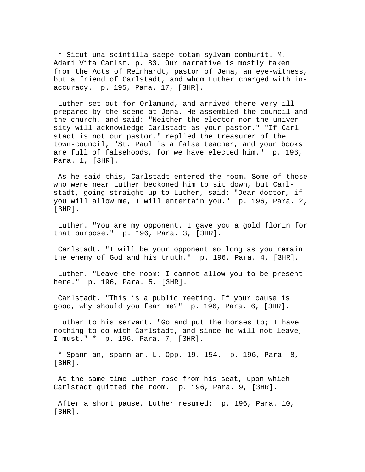\* Sicut una scintilla saepe totam sylvam comburit. M. Adami Vita Carlst. p. 83. Our narrative is mostly taken from the Acts of Reinhardt, pastor of Jena, an eye-witness, but a friend of Carlstadt, and whom Luther charged with inaccuracy. p. 195, Para. 17, [3HR].

 Luther set out for Orlamund, and arrived there very ill prepared by the scene at Jena. He assembled the council and the church, and said: "Neither the elector nor the university will acknowledge Carlstadt as your pastor." "If Carlstadt is not our pastor," replied the treasurer of the town-council, "St. Paul is a false teacher, and your books are full of falsehoods, for we have elected him." p. 196, Para. 1, [3HR].

 As he said this, Carlstadt entered the room. Some of those who were near Luther beckoned him to sit down, but Carlstadt, going straight up to Luther, said: "Dear doctor, if you will allow me, I will entertain you." p. 196, Para. 2, [3HR].

 Luther. "You are my opponent. I gave you a gold florin for that purpose." p. 196, Para. 3, [3HR].

 Carlstadt. "I will be your opponent so long as you remain the enemy of God and his truth." p. 196, Para. 4, [3HR].

 Luther. "Leave the room: I cannot allow you to be present here." p. 196, Para. 5, [3HR].

 Carlstadt. "This is a public meeting. If your cause is good, why should you fear me?" p. 196, Para. 6, [3HR].

 Luther to his servant. "Go and put the horses to; I have nothing to do with Carlstadt, and since he will not leave, I must." \* p. 196, Para. 7, [3HR].

 \* Spann an, spann an. L. Opp. 19. 154. p. 196, Para. 8, [3HR].

 At the same time Luther rose from his seat, upon which Carlstadt quitted the room. p. 196, Para. 9, [3HR].

 After a short pause, Luther resumed: p. 196, Para. 10, [3HR].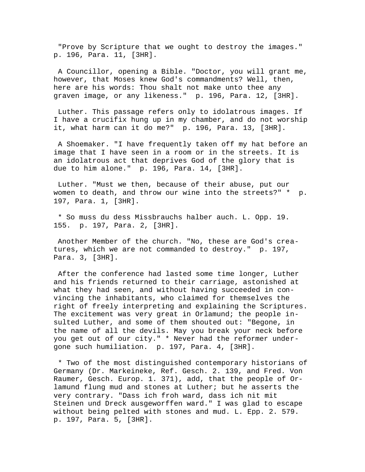"Prove by Scripture that we ought to destroy the images." p. 196, Para. 11, [3HR].

 A Councillor, opening a Bible. "Doctor, you will grant me, however, that Moses knew God's commandments? Well, then, here are his words: Thou shalt not make unto thee any graven image, or any likeness." p. 196, Para. 12, [3HR].

 Luther. This passage refers only to idolatrous images. If I have a crucifix hung up in my chamber, and do not worship it, what harm can it do me?" p. 196, Para. 13, [3HR].

 A Shoemaker. "I have frequently taken off my hat before an image that I have seen in a room or in the streets. It is an idolatrous act that deprives God of the glory that is due to him alone." p. 196, Para. 14, [3HR].

 Luther. "Must we then, because of their abuse, put our women to death, and throw our wine into the streets?" \* p. 197, Para. 1, [3HR].

 \* So muss du dess Missbrauchs halber auch. L. Opp. 19. 155. p. 197, Para. 2, [3HR].

 Another Member of the church. "No, these are God's creatures, which we are not commanded to destroy." p. 197, Para. 3, [3HR].

 After the conference had lasted some time longer, Luther and his friends returned to their carriage, astonished at what they had seen, and without having succeeded in convincing the inhabitants, who claimed for themselves the right of freely interpreting and explaining the Scriptures. The excitement was very great in Orlamund; the people insulted Luther, and some of them shouted out: "Begone, in the name of all the devils. May you break your neck before you get out of our city." \* Never had the reformer undergone such humiliation. p. 197, Para. 4, [3HR].

 \* Two of the most distinguished contemporary historians of Germany (Dr. Markeineke, Ref. Gesch. 2. 139, and Fred. Von Raumer, Gesch. Europ. 1. 371), add, that the people of Orlamund flung mud and stones at Luther; but he asserts the very contrary. "Dass ich froh ward, dass ich nit mit Steinen und Dreck ausgeworffen ward." I was glad to escape without being pelted with stones and mud. L. Epp. 2. 579. p. 197, Para. 5, [3HR].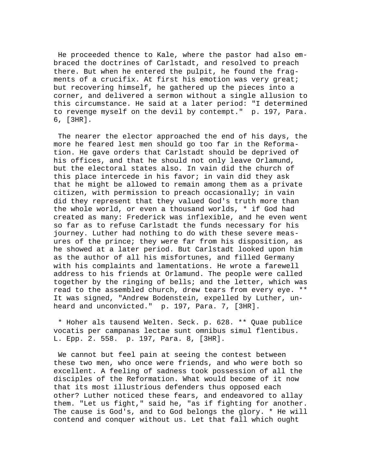He proceeded thence to Kale, where the pastor had also embraced the doctrines of Carlstadt, and resolved to preach there. But when he entered the pulpit, he found the fragments of a crucifix. At first his emotion was very great; but recovering himself, he gathered up the pieces into a corner, and delivered a sermon without a single allusion to this circumstance. He said at a later period: "I determined to revenge myself on the devil by contempt." p. 197, Para. 6, [3HR].

 The nearer the elector approached the end of his days, the more he feared lest men should go too far in the Reformation. He gave orders that Carlstadt should be deprived of his offices, and that he should not only leave Orlamund, but the electoral states also. In vain did the church of this place intercede in his favor; in vain did they ask that he might be allowed to remain among them as a private citizen, with permission to preach occasionally; in vain did they represent that they valued God's truth more than the whole world, or even a thousand worlds, \* if God had created as many: Frederick was inflexible, and he even went so far as to refuse Carlstadt the funds necessary for his journey. Luther had nothing to do with these severe measures of the prince; they were far from his disposition, as he showed at a later period. But Carlstadt looked upon him as the author of all his misfortunes, and filled Germany with his complaints and lamentations. He wrote a farewell address to his friends at Orlamund. The people were called together by the ringing of bells; and the letter, which was read to the assembled church, drew tears from every eye. \*\* It was signed, "Andrew Bodenstein, expelled by Luther, unheard and unconvicted." p. 197, Para. 7, [3HR].

 \* Hoher als tausend Welten. Seck. p. 628. \*\* Quae publice vocatis per campanas lectae sunt omnibus simul flentibus. L. Epp. 2. 558. p. 197, Para. 8, [3HR].

 We cannot but feel pain at seeing the contest between these two men, who once were friends, and who were both so excellent. A feeling of sadness took possession of all the disciples of the Reformation. What would become of it now that its most illustrious defenders thus opposed each other? Luther noticed these fears, and endeavored to allay them. "Let us fight," said he, "as if fighting for another. The cause is God's, and to God belongs the glory. \* He will contend and conquer without us. Let that fall which ought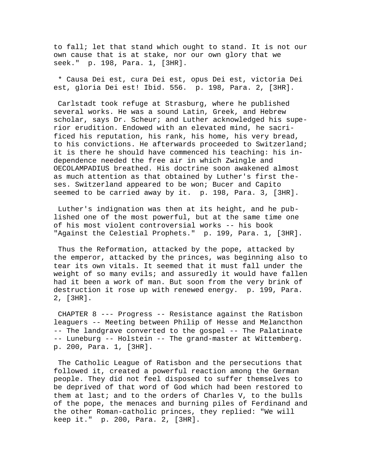to fall; let that stand which ought to stand. It is not our own cause that is at stake, nor our own glory that we seek." p. 198, Para. 1, [3HR].

 \* Causa Dei est, cura Dei est, opus Dei est, victoria Dei est, gloria Dei est! Ibid. 556. p. 198, Para. 2, [3HR].

 Carlstadt took refuge at Strasburg, where he published several works. He was a sound Latin, Greek, and Hebrew scholar, says Dr. Scheur; and Luther acknowledged his superior erudition. Endowed with an elevated mind, he sacrificed his reputation, his rank, his home, his very bread, to his convictions. He afterwards proceeded to Switzerland; it is there he should have commenced his teaching: his independence needed the free air in which Zwingle and OECOLAMPADIUS breathed. His doctrine soon awakened almost as much attention as that obtained by Luther's first theses. Switzerland appeared to be won; Bucer and Capito seemed to be carried away by it. p. 198, Para. 3, [3HR].

 Luther's indignation was then at its height, and he published one of the most powerful, but at the same time one of his most violent controversial works -- his book "Against the Celestial Prophets." p. 199, Para. 1, [3HR].

 Thus the Reformation, attacked by the pope, attacked by the emperor, attacked by the princes, was beginning also to tear its own vitals. It seemed that it must fall under the weight of so many evils; and assuredly it would have fallen had it been a work of man. But soon from the very brink of destruction it rose up with renewed energy. p. 199, Para. 2, [3HR].

 CHAPTER 8 --- Progress -- Resistance against the Ratisbon leaguers -- Meeting between Philip of Hesse and Melancthon -- The landgrave converted to the gospel -- The Palatinate -- Luneburg -- Holstein -- The grand-master at Wittemberg. p. 200, Para. 1, [3HR].

 The Catholic League of Ratisbon and the persecutions that followed it, created a powerful reaction among the German people. They did not feel disposed to suffer themselves to be deprived of that word of God which had been restored to them at last; and to the orders of Charles V, to the bulls of the pope, the menaces and burning piles of Ferdinand and the other Roman-catholic princes, they replied: "We will keep it." p. 200, Para. 2, [3HR].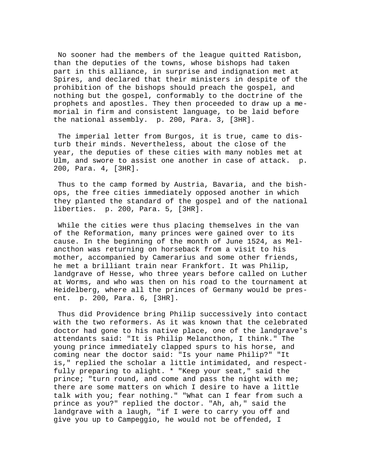No sooner had the members of the league quitted Ratisbon, than the deputies of the towns, whose bishops had taken part in this alliance, in surprise and indignation met at Spires, and declared that their ministers in despite of the prohibition of the bishops should preach the gospel, and nothing but the gospel, conformably to the doctrine of the prophets and apostles. They then proceeded to draw up a memorial in firm and consistent language, to be laid before the national assembly. p. 200, Para. 3, [3HR].

 The imperial letter from Burgos, it is true, came to disturb their minds. Nevertheless, about the close of the year, the deputies of these cities with many nobles met at Ulm, and swore to assist one another in case of attack. p. 200, Para. 4, [3HR].

 Thus to the camp formed by Austria, Bavaria, and the bishops, the free cities immediately opposed another in which they planted the standard of the gospel and of the national liberties. p. 200, Para. 5, [3HR].

 While the cities were thus placing themselves in the van of the Reformation, many princes were gained over to its cause. In the beginning of the month of June 1524, as Melancthon was returning on horseback from a visit to his mother, accompanied by Camerarius and some other friends, he met a brilliant train near Frankfort. It was Philip, landgrave of Hesse, who three years before called on Luther at Worms, and who was then on his road to the tournament at Heidelberg, where all the princes of Germany would be present. p. 200, Para. 6, [3HR].

 Thus did Providence bring Philip successively into contact with the two reformers. As it was known that the celebrated doctor had gone to his native place, one of the landgrave's attendants said: "It is Philip Melancthon, I think." The young prince immediately clapped spurs to his horse, and coming near the doctor said: "Is your name Philip?" "It is," replied the scholar a little intimidated, and respectfully preparing to alight. \* "Keep your seat," said the prince; "turn round, and come and pass the night with me; there are some matters on which I desire to have a little talk with you; fear nothing." "What can I fear from such a prince as you?" replied the doctor. "Ah, ah," said the landgrave with a laugh, "if I were to carry you off and give you up to Campeggio, he would not be offended, I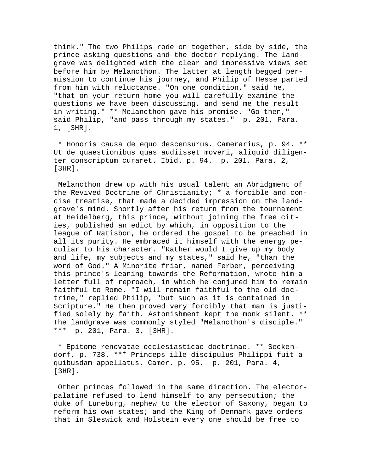think." The two Philips rode on together, side by side, the prince asking questions and the doctor replying. The landgrave was delighted with the clear and impressive views set before him by Melancthon. The latter at length begged permission to continue his journey, and Philip of Hesse parted from him with reluctance. "On one condition," said he, "that on your return home you will carefully examine the questions we have been discussing, and send me the result in writing." \*\* Melancthon gave his promise. "Go then," said Philip, "and pass through my states." p. 201, Para. 1, [3HR].

 \* Honoris causa de equo descensurus. Camerarius, p. 94. \*\* Ut de quaestionibus quas audiisset moveri, aliquid diligenter conscriptum curaret. Ibid. p. 94. p. 201, Para. 2, [3HR].

 Melancthon drew up with his usual talent an Abridgment of the Revived Doctrine of Christianity; \* a forcible and concise treatise, that made a decided impression on the landgrave's mind. Shortly after his return from the tournament at Heidelberg, this prince, without joining the free cities, published an edict by which, in opposition to the league of Ratisbon, he ordered the gospel to be preached in all its purity. He embraced it himself with the energy peculiar to his character. "Rather would I give up my body and life, my subjects and my states," said he, "than the word of God." A Minorite friar, named Ferber, perceiving this prince's leaning towards the Reformation, wrote him a letter full of reproach, in which he conjured him to remain faithful to Rome. "I will remain faithful to the old doctrine," replied Philip, "but such as it is contained in Scripture." He then proved very forcibly that man is justified solely by faith. Astonishment kept the monk silent. \*\* The landgrave was commonly styled "Melancthon's disciple." \*\*\* p. 201, Para. 3, [3HR].

 \* Epitome renovatae ecclesiasticae doctrinae. \*\* Seckendorf, p. 738. \*\*\* Princeps ille discipulus Philippi fuit a quibusdam appellatus. Camer. p. 95. p. 201, Para. 4, [3HR].

 Other princes followed in the same direction. The electorpalatine refused to lend himself to any persecution; the duke of Luneburg, nephew to the elector of Saxony, began to reform his own states; and the King of Denmark gave orders that in Sleswick and Holstein every one should be free to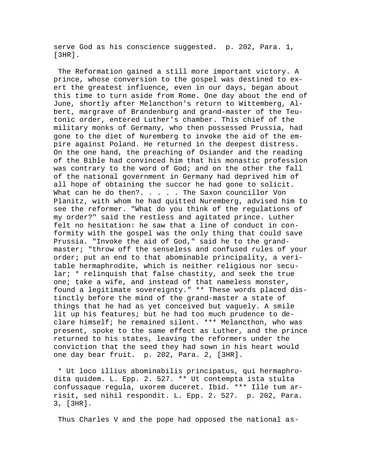serve God as his conscience suggested. p. 202, Para. 1, [3HR].

 The Reformation gained a still more important victory. A prince, whose conversion to the gospel was destined to exert the greatest influence, even in our days, began about this time to turn aside from Rome. One day about the end of June, shortly after Melancthon's return to Wittemberg, Albert, margrave of Brandenburg and grand-master of the Teutonic order, entered Luther's chamber. This chief of the military monks of Germany, who then possessed Prussia, had gone to the diet of Nuremberg to invoke the aid of the empire against Poland. He returned in the deepest distress. On the one hand, the preaching of Osiander and the reading of the Bible had convinced him that his monastic profession was contrary to the word of God; and on the other the fall of the national government in Germany had deprived him of all hope of obtaining the succor he had gone to solicit. What can he do then?. . . . . The Saxon councillor Von Planitz, with whom he had quitted Nuremberg, advised him to see the reformer. "What do you think of the regulations of my order?" said the restless and agitated prince. Luther felt no hesitation: he saw that a line of conduct in conformity with the gospel was the only thing that could save Prussia. "Invoke the aid of God," said he to the grandmaster; "throw off the senseless and confused rules of your order; put an end to that abominable principality, a veritable hermaphrodite, which is neither religious nor secular; \* relinquish that false chastity, and seek the true one; take a wife, and instead of that nameless monster, found a legitimate sovereignty." \*\* These words placed distinctly before the mind of the grand-master a state of things that he had as yet conceived but vaguely. A smile lit up his features; but he had too much prudence to declare himself; he remained silent. \*\*\* Melancthon, who was present, spoke to the same effect as Luther, and the prince returned to his states, leaving the reformers under the conviction that the seed they had sown in his heart would one day bear fruit. p. 202, Para. 2, [3HR].

 \* Ut loco illius abominabilis principatus, qui hermaphrodita quidem. L. Epp. 2. 527. \*\* Ut contempta ista stulta confussaque regula, uxorem duceret. Ibid. \*\*\* Ille tum arrisit, sed nihil respondit. L. Epp. 2. 527. p. 202, Para. 3, [3HR].

Thus Charles V and the pope had opposed the national as-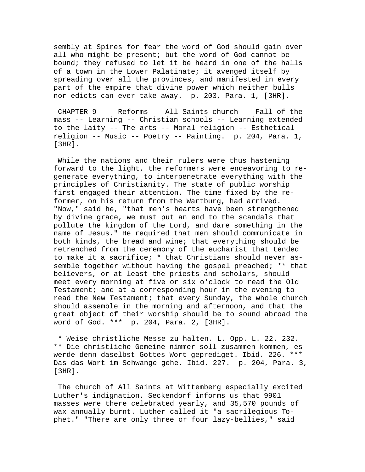sembly at Spires for fear the word of God should gain over all who might be present; but the word of God cannot be bound; they refused to let it be heard in one of the halls of a town in the Lower Palatinate; it avenged itself by spreading over all the provinces, and manifested in every part of the empire that divine power which neither bulls nor edicts can ever take away. p. 203, Para. 1, [3HR].

 CHAPTER 9 --- Reforms -- All Saints church -- Fall of the mass -- Learning -- Christian schools -- Learning extended to the laity -- The arts -- Moral religion -- Esthetical religion -- Music -- Poetry -- Painting. p. 204, Para. 1, [3HR].

 While the nations and their rulers were thus hastening forward to the light, the reformers were endeavoring to regenerate everything, to interpenetrate everything with the principles of Christianity. The state of public worship first engaged their attention. The time fixed by the reformer, on his return from the Wartburg, had arrived. "Now," said he, "that men's hearts have been strengthened by divine grace, we must put an end to the scandals that pollute the kingdom of the Lord, and dare something in the name of Jesus." He required that men should communicate in both kinds, the bread and wine; that everything should be retrenched from the ceremony of the eucharist that tended to make it a sacrifice; \* that Christians should never assemble together without having the gospel preached; \*\* that believers, or at least the priests and scholars, should meet every morning at five or six o'clock to read the Old Testament; and at a corresponding hour in the evening to read the New Testament; that every Sunday, the whole church should assemble in the morning and afternoon, and that the great object of their worship should be to sound abroad the word of God. \*\*\* p. 204, Para. 2, [3HR].

 \* Weise christliche Messe zu halten. L. Opp. L. 22. 232. \*\* Die christliche Gemeine nimmer soll zusammen kommen, es werde denn daselbst Gottes Wort geprediget. Ibid. 226. \*\*\* Das das Wort im Schwange gehe. Ibid. 227. p. 204, Para. 3, [3HR].

 The church of All Saints at Wittemberg especially excited Luther's indignation. Seckendorf informs us that 9901 masses were there celebrated yearly, and 35,570 pounds of wax annually burnt. Luther called it "a sacrilegious Tophet." "There are only three or four lazy-bellies," said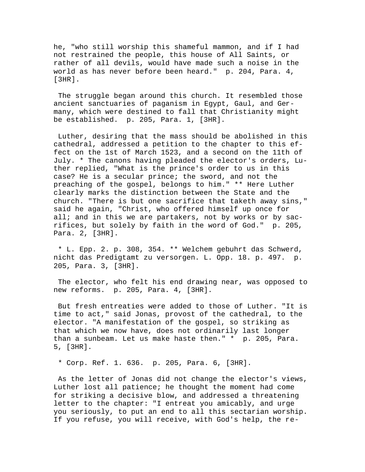he, "who still worship this shameful mammon, and if I had not restrained the people, this house of All Saints, or rather of all devils, would have made such a noise in the world as has never before been heard." p. 204, Para. 4,  $[3HR]$ .

 The struggle began around this church. It resembled those ancient sanctuaries of paganism in Egypt, Gaul, and Germany, which were destined to fall that Christianity might be established. p. 205, Para. 1, [3HR].

 Luther, desiring that the mass should be abolished in this cathedral, addressed a petition to the chapter to this effect on the 1st of March 1523, and a second on the 11th of July. \* The canons having pleaded the elector's orders, Luther replied, "What is the prince's order to us in this case? He is a secular prince; the sword, and not the preaching of the gospel, belongs to him." \*\* Here Luther clearly marks the distinction between the State and the church. "There is but one sacrifice that taketh away sins," said he again, "Christ, who offered himself up once for all; and in this we are partakers, not by works or by sacrifices, but solely by faith in the word of God." p. 205, Para. 2, [3HR].

 \* L. Epp. 2. p. 308, 354. \*\* Welchem gebuhrt das Schwerd, nicht das Predigtamt zu versorgen. L. Opp. 18. p. 497. p. 205, Para. 3, [3HR].

 The elector, who felt his end drawing near, was opposed to new reforms. p. 205, Para. 4, [3HR].

 But fresh entreaties were added to those of Luther. "It is time to act," said Jonas, provost of the cathedral, to the elector. "A manifestation of the gospel, so striking as that which we now have, does not ordinarily last longer than a sunbeam. Let us make haste then." \* p. 205, Para. 5, [3HR].

\* Corp. Ref. 1. 636. p. 205, Para. 6, [3HR].

 As the letter of Jonas did not change the elector's views, Luther lost all patience; he thought the moment had come for striking a decisive blow, and addressed a threatening letter to the chapter: "I entreat you amicably, and urge you seriously, to put an end to all this sectarian worship. If you refuse, you will receive, with God's help, the re-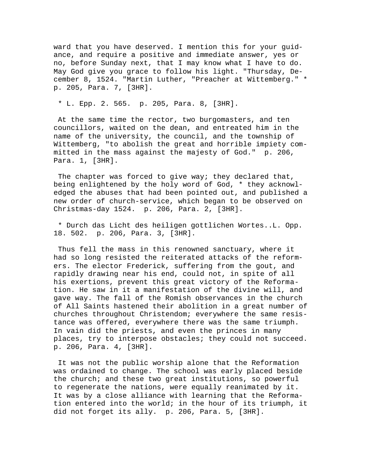ward that you have deserved. I mention this for your guidance, and require a positive and immediate answer, yes or no, before Sunday next, that I may know what I have to do. May God give you grace to follow his light. "Thursday, December 8, 1524. "Martin Luther, "Preacher at Wittemberg." \* p. 205, Para. 7, [3HR].

\* L. Epp. 2. 565. p. 205, Para. 8, [3HR].

 At the same time the rector, two burgomasters, and ten councillors, waited on the dean, and entreated him in the name of the university, the council, and the township of Wittemberg, "to abolish the great and horrible impiety committed in the mass against the majesty of God." p. 206, Para. 1, [3HR].

The chapter was forced to give way; they declared that, being enlightened by the holy word of God, \* they acknowledged the abuses that had been pointed out, and published a new order of church-service, which began to be observed on Christmas-day 1524. p. 206, Para. 2, [3HR].

 \* Durch das Licht des heiligen gottlichen Wortes..L. Opp. 18. 502. p. 206, Para. 3, [3HR].

 Thus fell the mass in this renowned sanctuary, where it had so long resisted the reiterated attacks of the reformers. The elector Frederick, suffering from the gout, and rapidly drawing near his end, could not, in spite of all his exertions, prevent this great victory of the Reformation. He saw in it a manifestation of the divine will, and gave way. The fall of the Romish observances in the church of All Saints hastened their abolition in a great number of churches throughout Christendom; everywhere the same resistance was offered, everywhere there was the same triumph. In vain did the priests, and even the princes in many places, try to interpose obstacles; they could not succeed. p. 206, Para. 4, [3HR].

 It was not the public worship alone that the Reformation was ordained to change. The school was early placed beside the church; and these two great institutions, so powerful to regenerate the nations, were equally reanimated by it. It was by a close alliance with learning that the Reformation entered into the world; in the hour of its triumph, it did not forget its ally. p. 206, Para. 5, [3HR].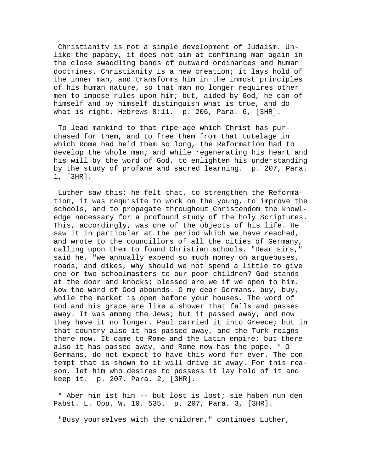Christianity is not a simple development of Judaism. Unlike the papacy, it does not aim at confining man again in the close swaddling bands of outward ordinances and human doctrines. Christianity is a new creation; it lays hold of the inner man, and transforms him in the inmost principles of his human nature, so that man no longer requires other men to impose rules upon him; but, aided by God, he can of himself and by himself distinguish what is true, and do what is right. Hebrews  $8:11.$  p. 206, Para. 6,  $[3HR]$ .

 To lead mankind to that ripe age which Christ has purchased for them, and to free them from that tutelage in which Rome had held them so long, the Reformation had to develop the whole man; and while regenerating his heart and his will by the word of God, to enlighten his understanding by the study of profane and sacred learning. p. 207, Para. 1, [3HR].

 Luther saw this; he felt that, to strengthen the Reformation, it was requisite to work on the young, to improve the schools, and to propagate throughout Christendom the knowledge necessary for a profound study of the holy Scriptures. This, accordingly, was one of the objects of his life. He saw it in particular at the period which we have reached, and wrote to the councillors of all the cities of Germany, calling upon them to found Christian schools. "Dear sirs," said he, "we annually expend so much money on arquebuses, roads, and dikes, why should we not spend a little to give one or two schoolmasters to our poor children? God stands at the door and knocks; blessed are we if we open to him. Now the word of God abounds. O my dear Germans, buy, buy, while the market is open before your houses. The word of God and his grace are like a shower that falls and passes away. It was among the Jews; but it passed away, and now they have it no longer. Paul carried it into Greece; but in that country also it has passed away, and the Turk reigns there now. It came to Rome and the Latin empire; but there also it has passed away, and Rome now has the pope. \* O Germans, do not expect to have this word for ever. The contempt that is shown to it will drive it away. For this reason, let him who desires to possess it lay hold of it and keep it. p. 207, Para. 2, [3HR].

 \* Aber hin ist hin -- but lost is lost; sie haben nun den Pabst. L. Opp. W. 10. 535. p. 207, Para. 3, [3HR].

"Busy yourselves with the children," continues Luther,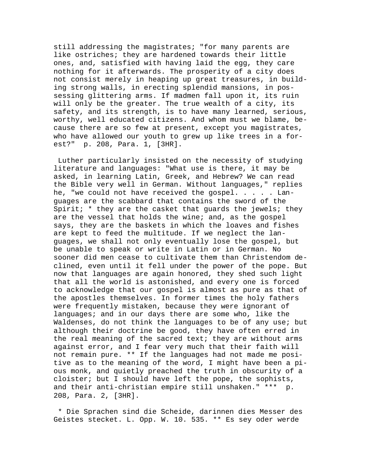still addressing the magistrates; "for many parents are like ostriches; they are hardened towards their little ones, and, satisfied with having laid the egg, they care nothing for it afterwards. The prosperity of a city does not consist merely in heaping up great treasures, in building strong walls, in erecting splendid mansions, in possessing glittering arms. If madmen fall upon it, its ruin will only be the greater. The true wealth of a city, its safety, and its strength, is to have many learned, serious, worthy, well educated citizens. And whom must we blame, because there are so few at present, except you magistrates, who have allowed our youth to grew up like trees in a forest?" p. 208, Para. 1, [3HR].

 Luther particularly insisted on the necessity of studying literature and languages: "What use is there, it may be asked, in learning Latin, Greek, and Hebrew? We can read the Bible very well in German. Without languages," replies he, "we could not have received the gospel. . . . . Languages are the scabbard that contains the sword of the Spirit;  $*$  they are the casket that guards the jewels; they are the vessel that holds the wine; and, as the gospel says, they are the baskets in which the loaves and fishes are kept to feed the multitude. If we neglect the languages, we shall not only eventually lose the gospel, but be unable to speak or write in Latin or in German. No sooner did men cease to cultivate them than Christendom declined, even until it fell under the power of the pope. But now that languages are again honored, they shed such light that all the world is astonished, and every one is forced to acknowledge that our gospel is almost as pure as that of the apostles themselves. In former times the holy fathers were frequently mistaken, because they were ignorant of languages; and in our days there are some who, like the Waldenses, do not think the languages to be of any use; but although their doctrine be good, they have often erred in the real meaning of the sacred text; they are without arms against error, and I fear very much that their faith will not remain pure. \*\* If the languages had not made me positive as to the meaning of the word, I might have been a pious monk, and quietly preached the truth in obscurity of a cloister; but I should have left the pope, the sophists, and their anti-christian empire still unshaken." \*\*\* p. 208, Para. 2, [3HR].

 \* Die Sprachen sind die Scheide, darinnen dies Messer des Geistes stecket. L. Opp. W. 10. 535. \*\* Es sey oder werde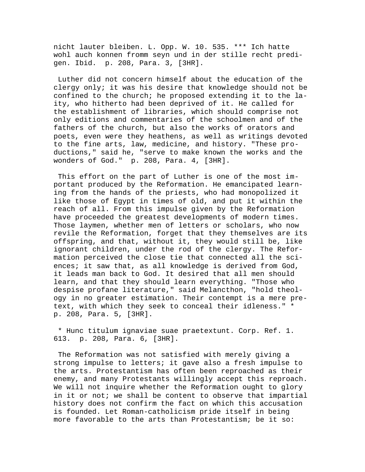nicht lauter bleiben. L. Opp. W. 10. 535. \*\*\* Ich hatte wohl auch konnen fromm seyn und in der stille recht predigen. Ibid. p. 208, Para. 3, [3HR].

 Luther did not concern himself about the education of the clergy only; it was his desire that knowledge should not be confined to the church; he proposed extending it to the laity, who hitherto had been deprived of it. He called for the establishment of libraries, which should comprise not only editions and commentaries of the schoolmen and of the fathers of the church, but also the works of orators and poets, even were they heathens, as well as writings devoted to the fine arts, law, medicine, and history. "These productions," said he, "serve to make known the works and the wonders of God." p. 208, Para. 4, [3HR].

 This effort on the part of Luther is one of the most important produced by the Reformation. He emancipated learning from the hands of the priests, who had monopolized it like those of Egypt in times of old, and put it within the reach of all. From this impulse given by the Reformation have proceeded the greatest developments of modern times. Those laymen, whether men of letters or scholars, who now revile the Reformation, forget that they themselves are its offspring, and that, without it, they would still be, like ignorant children, under the rod of the clergy. The Reformation perceived the close tie that connected all the sciences; it saw that, as all knowledge is derived from God, it leads man back to God. It desired that all men should learn, and that they should learn everything. "Those who despise profane literature," said Melancthon, "hold theology in no greater estimation. Their contempt is a mere pretext, with which they seek to conceal their idleness." \* p. 208, Para. 5, [3HR].

 \* Hunc titulum ignaviae suae praetextunt. Corp. Ref. 1. 613. p. 208, Para. 6, [3HR].

 The Reformation was not satisfied with merely giving a strong impulse to letters; it gave also a fresh impulse to the arts. Protestantism has often been reproached as their enemy, and many Protestants willingly accept this reproach. We will not inquire whether the Reformation ought to glory in it or not; we shall be content to observe that impartial history does not confirm the fact on which this accusation is founded. Let Roman-catholicism pride itself in being more favorable to the arts than Protestantism; be it so: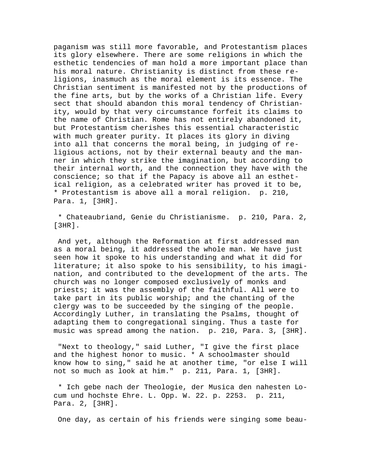paganism was still more favorable, and Protestantism places its glory elsewhere. There are some religions in which the esthetic tendencies of man hold a more important place than his moral nature. Christianity is distinct from these religions, inasmuch as the moral element is its essence. The Christian sentiment is manifested not by the productions of the fine arts, but by the works of a Christian life. Every sect that should abandon this moral tendency of Christianity, would by that very circumstance forfeit its claims to the name of Christian. Rome has not entirely abandoned it, but Protestantism cherishes this essential characteristic with much greater purity. It places its glory in diving into all that concerns the moral being, in judging of religious actions, not by their external beauty and the manner in which they strike the imagination, but according to their internal worth, and the connection they have with the conscience; so that if the Papacy is above all an esthetical religion, as a celebrated writer has proved it to be, \* Protestantism is above all a moral religion. p. 210, Para. 1, [3HR].

 \* Chateaubriand, Genie du Christianisme. p. 210, Para. 2, [3HR].

 And yet, although the Reformation at first addressed man as a moral being, it addressed the whole man. We have just seen how it spoke to his understanding and what it did for literature; it also spoke to his sensibility, to his imagination, and contributed to the development of the arts. The church was no longer composed exclusively of monks and priests; it was the assembly of the faithful. All were to take part in its public worship; and the chanting of the clergy was to be succeeded by the singing of the people. Accordingly Luther, in translating the Psalms, thought of adapting them to congregational singing. Thus a taste for music was spread among the nation. p. 210, Para. 3, [3HR].

 "Next to theology," said Luther, "I give the first place and the highest honor to music. \* A schoolmaster should know how to sing," said he at another time, "or else I will not so much as look at him." p. 211, Para. 1, [3HR].

 \* Ich gebe nach der Theologie, der Musica den nahesten Locum und hochste Ehre. L. Opp. W. 22. p. 2253. p. 211, Para. 2, [3HR].

One day, as certain of his friends were singing some beau-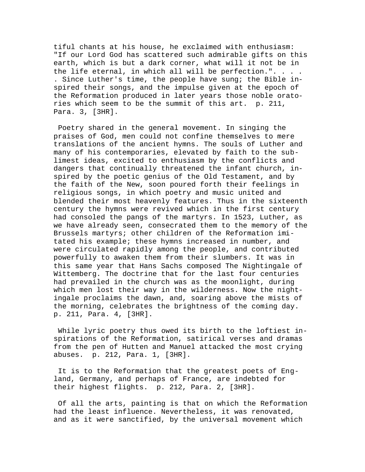tiful chants at his house, he exclaimed with enthusiasm: "If our Lord God has scattered such admirable gifts on this earth, which is but a dark corner, what will it not be in the life eternal, in which all will be perfection.". . . . . Since Luther's time, the people have sung; the Bible inspired their songs, and the impulse given at the epoch of the Reformation produced in later years those noble oratories which seem to be the summit of this art. p. 211, Para. 3, [3HR].

 Poetry shared in the general movement. In singing the praises of God, men could not confine themselves to mere translations of the ancient hymns. The souls of Luther and many of his contemporaries, elevated by faith to the sublimest ideas, excited to enthusiasm by the conflicts and dangers that continually threatened the infant church, inspired by the poetic genius of the Old Testament, and by the faith of the New, soon poured forth their feelings in religious songs, in which poetry and music united and blended their most heavenly features. Thus in the sixteenth century the hymns were revived which in the first century had consoled the pangs of the martyrs. In 1523, Luther, as we have already seen, consecrated them to the memory of the Brussels martyrs; other children of the Reformation imitated his example; these hymns increased in number, and were circulated rapidly among the people, and contributed powerfully to awaken them from their slumbers. It was in this same year that Hans Sachs composed The Nightingale of Wittemberg. The doctrine that for the last four centuries had prevailed in the church was as the moonlight, during which men lost their way in the wilderness. Now the nightingale proclaims the dawn, and, soaring above the mists of the morning, celebrates the brightness of the coming day. p. 211, Para. 4, [3HR].

 While lyric poetry thus owed its birth to the loftiest inspirations of the Reformation, satirical verses and dramas from the pen of Hutten and Manuel attacked the most crying abuses. p. 212, Para. 1, [3HR].

 It is to the Reformation that the greatest poets of England, Germany, and perhaps of France, are indebted for their highest flights. p. 212, Para. 2, [3HR].

 Of all the arts, painting is that on which the Reformation had the least influence. Nevertheless, it was renovated, and as it were sanctified, by the universal movement which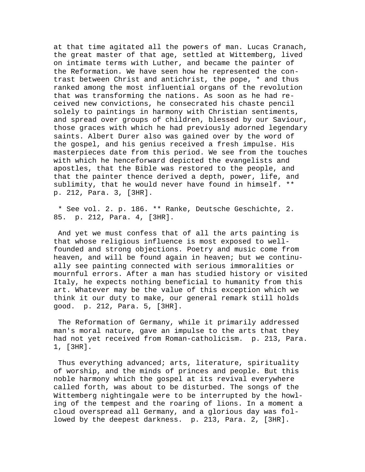at that time agitated all the powers of man. Lucas Cranach, the great master of that age, settled at Wittemberg, lived on intimate terms with Luther, and became the painter of the Reformation. We have seen how he represented the contrast between Christ and antichrist, the pope, \* and thus ranked among the most influential organs of the revolution that was transforming the nations. As soon as he had received new convictions, he consecrated his chaste pencil solely to paintings in harmony with Christian sentiments, and spread over groups of children, blessed by our Saviour, those graces with which he had previously adorned legendary saints. Albert Durer also was gained over by the word of the gospel, and his genius received a fresh impulse. His masterpieces date from this period. We see from the touches with which he henceforward depicted the evangelists and apostles, that the Bible was restored to the people, and that the painter thence derived a depth, power, life, and sublimity, that he would never have found in himself. \*\* p. 212, Para. 3, [3HR].

 \* See vol. 2. p. 186. \*\* Ranke, Deutsche Geschichte, 2. 85. p. 212, Para. 4, [3HR].

 And yet we must confess that of all the arts painting is that whose religious influence is most exposed to wellfounded and strong objections. Poetry and music come from heaven, and will be found again in heaven; but we continually see painting connected with serious immoralities or mournful errors. After a man has studied history or visited Italy, he expects nothing beneficial to humanity from this art. Whatever may be the value of this exception which we think it our duty to make, our general remark still holds good. p. 212, Para. 5, [3HR].

 The Reformation of Germany, while it primarily addressed man's moral nature, gave an impulse to the arts that they had not yet received from Roman-catholicism. p. 213, Para. 1, [3HR].

Thus everything advanced; arts, literature, spirituality of worship, and the minds of princes and people. But this noble harmony which the gospel at its revival everywhere called forth, was about to be disturbed. The songs of the Wittemberg nightingale were to be interrupted by the howling of the tempest and the roaring of lions. In a moment a cloud overspread all Germany, and a glorious day was followed by the deepest darkness. p. 213, Para. 2, [3HR].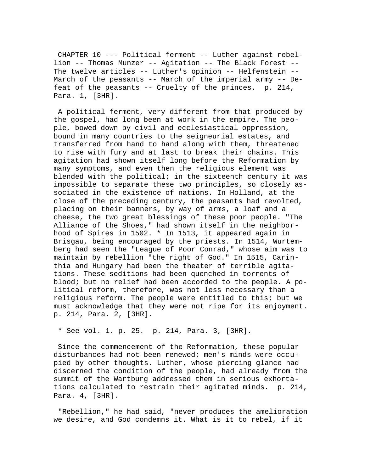CHAPTER 10 --- Political ferment -- Luther against rebellion -- Thomas Munzer -- Agitation -- The Black Forest -- The twelve articles -- Luther's opinion -- Helfenstein -- March of the peasants -- March of the imperial army -- Defeat of the peasants -- Cruelty of the princes. p. 214, Para. 1, [3HR].

 A political ferment, very different from that produced by the gospel, had long been at work in the empire. The people, bowed down by civil and ecclesiastical oppression, bound in many countries to the seigneurial estates, and transferred from hand to hand along with them, threatened to rise with fury and at last to break their chains. This agitation had shown itself long before the Reformation by many symptoms, and even then the religious element was blended with the political; in the sixteenth century it was impossible to separate these two principles, so closely associated in the existence of nations. In Holland, at the close of the preceding century, the peasants had revolted, placing on their banners, by way of arms, a loaf and a cheese, the two great blessings of these poor people. "The Alliance of the Shoes," had shown itself in the neighborhood of Spires in 1502. \* In 1513, it appeared again in Brisgau, being encouraged by the priests. In 1514, Wurtemberg had seen the "League of Poor Conrad," whose aim was to maintain by rebellion "the right of God." In 1515, Carinthia and Hungary had been the theater of terrible agitations. These seditions had been quenched in torrents of blood; but no relief had been accorded to the people. A political reform, therefore, was not less necessary than a religious reform. The people were entitled to this; but we must acknowledge that they were not ripe for its enjoyment. p. 214, Para. 2, [3HR].

\* See vol. 1. p. 25. p. 214, Para. 3, [3HR].

 Since the commencement of the Reformation, these popular disturbances had not been renewed; men's minds were occupied by other thoughts. Luther, whose piercing glance had discerned the condition of the people, had already from the summit of the Wartburg addressed them in serious exhortations calculated to restrain their agitated minds. p. 214, Para. 4, [3HR].

 "Rebellion," he had said, "never produces the amelioration we desire, and God condemns it. What is it to rebel, if it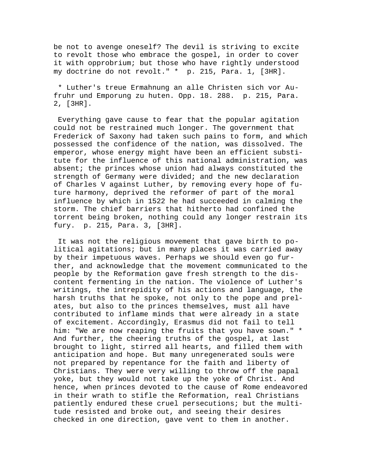be not to avenge oneself? The devil is striving to excite to revolt those who embrace the gospel, in order to cover it with opprobrium; but those who have rightly understood my doctrine do not revolt." \* p. 215, Para. 1, [3HR].

 \* Luther's treue Ermahnung an alle Christen sich vor Aufruhr und Emporung zu huten. Opp. 18. 288. p. 215, Para. 2, [3HR].

 Everything gave cause to fear that the popular agitation could not be restrained much longer. The government that Frederick of Saxony had taken such pains to form, and which possessed the confidence of the nation, was dissolved. The emperor, whose energy might have been an efficient substitute for the influence of this national administration, was absent; the princes whose union had always constituted the strength of Germany were divided; and the new declaration of Charles V against Luther, by removing every hope of future harmony, deprived the reformer of part of the moral influence by which in 1522 he had succeeded in calming the storm. The chief barriers that hitherto had confined the torrent being broken, nothing could any longer restrain its fury. p. 215, Para. 3, [3HR].

 It was not the religious movement that gave birth to political agitations; but in many places it was carried away by their impetuous waves. Perhaps we should even go further, and acknowledge that the movement communicated to the people by the Reformation gave fresh strength to the discontent fermenting in the nation. The violence of Luther's writings, the intrepidity of his actions and language, the harsh truths that he spoke, not only to the pope and prelates, but also to the princes themselves, must all have contributed to inflame minds that were already in a state of excitement. Accordingly, Erasmus did not fail to tell him: "We are now reaping the fruits that you have sown." \* And further, the cheering truths of the gospel, at last brought to light, stirred all hearts, and filled them with anticipation and hope. But many unregenerated souls were not prepared by repentance for the faith and liberty of Christians. They were very willing to throw off the papal yoke, but they would not take up the yoke of Christ. And hence, when princes devoted to the cause of Rome endeavored in their wrath to stifle the Reformation, real Christians patiently endured these cruel persecutions; but the multitude resisted and broke out, and seeing their desires checked in one direction, gave vent to them in another.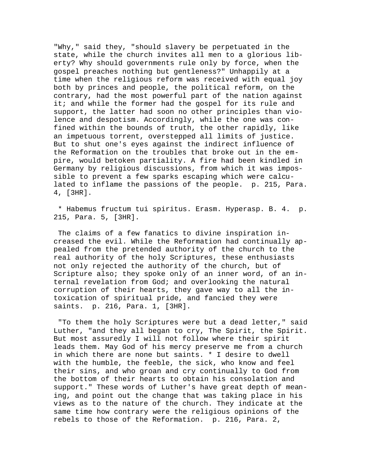"Why," said they, "should slavery be perpetuated in the state, while the church invites all men to a glorious liberty? Why should governments rule only by force, when the gospel preaches nothing but gentleness?" Unhappily at a time when the religious reform was received with equal joy both by princes and people, the political reform, on the contrary, had the most powerful part of the nation against it; and while the former had the gospel for its rule and support, the latter had soon no other principles than violence and despotism. Accordingly, while the one was confined within the bounds of truth, the other rapidly, like an impetuous torrent, overstepped all limits of justice. But to shut one's eyes against the indirect influence of the Reformation on the troubles that broke out in the empire, would betoken partiality. A fire had been kindled in Germany by religious discussions, from which it was impossible to prevent a few sparks escaping which were calculated to inflame the passions of the people. p. 215, Para. 4, [3HR].

 \* Habemus fructum tui spiritus. Erasm. Hyperasp. B. 4. p. 215, Para. 5, [3HR].

 The claims of a few fanatics to divine inspiration increased the evil. While the Reformation had continually appealed from the pretended authority of the church to the real authority of the holy Scriptures, these enthusiasts not only rejected the authority of the church, but of Scripture also; they spoke only of an inner word, of an internal revelation from God; and overlooking the natural corruption of their hearts, they gave way to all the intoxication of spiritual pride, and fancied they were saints. p. 216, Para. 1, [3HR].

 "To them the holy Scriptures were but a dead letter," said Luther, "and they all began to cry, The Spirit, the Spirit. But most assuredly I will not follow where their spirit leads them. May God of his mercy preserve me from a church in which there are none but saints. \* I desire to dwell with the humble, the feeble, the sick, who know and feel their sins, and who groan and cry continually to God from the bottom of their hearts to obtain his consolation and support." These words of Luther's have great depth of meaning, and point out the change that was taking place in his views as to the nature of the church. They indicate at the same time how contrary were the religious opinions of the rebels to those of the Reformation. p. 216, Para. 2,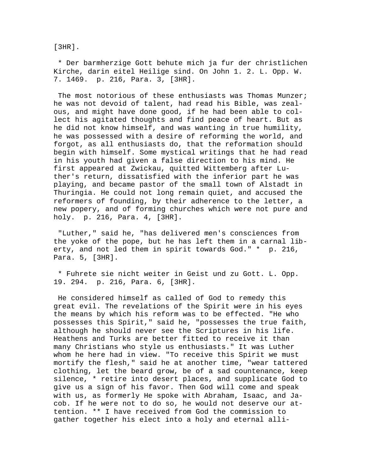[3HR].

 \* Der barmherzige Gott behute mich ja fur der christlichen Kirche, darin eitel Heilige sind. On John 1. 2. L. Opp. W. 7. 1469. p. 216, Para. 3, [3HR].

The most notorious of these enthusiasts was Thomas Munzer; he was not devoid of talent, had read his Bible, was zealous, and might have done good, if he had been able to collect his agitated thoughts and find peace of heart. But as he did not know himself, and was wanting in true humility, he was possessed with a desire of reforming the world, and forgot, as all enthusiasts do, that the reformation should begin with himself. Some mystical writings that he had read in his youth had given a false direction to his mind. He first appeared at Zwickau, quitted Wittemberg after Luther's return, dissatisfied with the inferior part he was playing, and became pastor of the small town of Alstadt in Thuringia. He could not long remain quiet, and accused the reformers of founding, by their adherence to the letter, a new popery, and of forming churches which were not pure and holy. p. 216, Para. 4, [3HR].

 "Luther," said he, "has delivered men's consciences from the yoke of the pope, but he has left them in a carnal liberty, and not led them in spirit towards God." \* p. 216, Para. 5, [3HR].

 \* Fuhrete sie nicht weiter in Geist und zu Gott. L. Opp. 19. 294. p. 216, Para. 6, [3HR].

 He considered himself as called of God to remedy this great evil. The revelations of the Spirit were in his eyes the means by which his reform was to be effected. "He who possesses this Spirit," said he, "possesses the true faith, although he should never see the Scriptures in his life. Heathens and Turks are better fitted to receive it than many Christians who style us enthusiasts." It was Luther whom he here had in view. "To receive this Spirit we must mortify the flesh," said he at another time, "wear tattered clothing, let the beard grow, be of a sad countenance, keep silence, \* retire into desert places, and supplicate God to give us a sign of his favor. Then God will come and speak with us, as formerly He spoke with Abraham, Isaac, and Jacob. If he were not to do so, he would not deserve our attention. \*\* I have received from God the commission to gather together his elect into a holy and eternal alli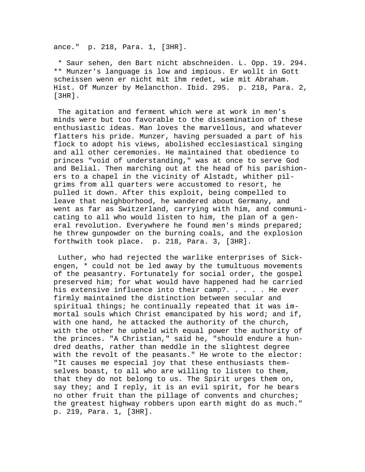ance." p. 218, Para. 1, [3HR].

 \* Saur sehen, den Bart nicht abschneiden. L. Opp. 19. 294. \*\* Munzer's language is low and impious. Er wollt in Gott scheissen wenn er nicht mit ihm redet, wie mit Abraham. Hist. Of Munzer by Melancthon. Ibid. 295. p. 218, Para. 2, [3HR].

 The agitation and ferment which were at work in men's minds were but too favorable to the dissemination of these enthusiastic ideas. Man loves the marvellous, and whatever flatters his pride. Munzer, having persuaded a part of his flock to adopt his views, abolished ecclesiastical singing and all other ceremonies. He maintained that obedience to princes "void of understanding," was at once to serve God and Belial. Then marching out at the head of his parishioners to a chapel in the vicinity of Alstadt, whither pilgrims from all quarters were accustomed to resort, he pulled it down. After this exploit, being compelled to leave that neighborhood, he wandered about Germany, and went as far as Switzerland, carrying with him, and communicating to all who would listen to him, the plan of a general revolution. Everywhere he found men's minds prepared; he threw gunpowder on the burning coals, and the explosion forthwith took place. p. 218, Para. 3, [3HR].

 Luther, who had rejected the warlike enterprises of Sickengen, \* could not be led away by the tumultuous movements of the peasantry. Fortunately for social order, the gospel preserved him; for what would have happened had he carried his extensive influence into their camp?. . . . . He ever firmly maintained the distinction between secular and spiritual things; he continually repeated that it was immortal souls which Christ emancipated by his word; and if, with one hand, he attacked the authority of the church, with the other he upheld with equal power the authority of the princes. "A Christian," said he, "should endure a hundred deaths, rather than meddle in the slightest degree with the revolt of the peasants." He wrote to the elector: "It causes me especial joy that these enthusiasts themselves boast, to all who are willing to listen to them, that they do not belong to us. The Spirit urges them on, say they; and I reply, it is an evil spirit, for he bears no other fruit than the pillage of convents and churches; the greatest highway robbers upon earth might do as much." p. 219, Para. 1, [3HR].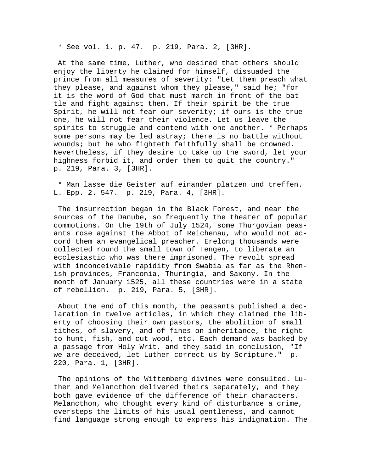\* See vol. 1. p. 47. p. 219, Para. 2, [3HR].

 At the same time, Luther, who desired that others should enjoy the liberty he claimed for himself, dissuaded the prince from all measures of severity: "Let them preach what they please, and against whom they please," said he; "for it is the word of God that must march in front of the battle and fight against them. If their spirit be the true Spirit, he will not fear our severity; if ours is the true one, he will not fear their violence. Let us leave the spirits to struggle and contend with one another. \* Perhaps some persons may be led astray; there is no battle without wounds; but he who fighteth faithfully shall be crowned. Nevertheless, if they desire to take up the sword, let your highness forbid it, and order them to quit the country." p. 219, Para. 3, [3HR].

 \* Man lasse die Geister auf einander platzen und treffen. L. Epp. 2. 547. p. 219, Para. 4, [3HR].

 The insurrection began in the Black Forest, and near the sources of the Danube, so frequently the theater of popular commotions. On the 19th of July 1524, some Thurgovian peasants rose against the Abbot of Reichenau, who would not accord them an evangelical preacher. Erelong thousands were collected round the small town of Tengen, to liberate an ecclesiastic who was there imprisoned. The revolt spread with inconceivable rapidity from Swabia as far as the Rhenish provinces, Franconia, Thuringia, and Saxony. In the month of January 1525, all these countries were in a state of rebellion. p. 219, Para. 5, [3HR].

 About the end of this month, the peasants published a declaration in twelve articles, in which they claimed the liberty of choosing their own pastors, the abolition of small tithes, of slavery, and of fines on inheritance, the right to hunt, fish, and cut wood, etc. Each demand was backed by a passage from Holy Writ, and they said in conclusion, "If we are deceived, let Luther correct us by Scripture." p. 220, Para. 1, [3HR].

 The opinions of the Wittemberg divines were consulted. Luther and Melancthon delivered theirs separately, and they both gave evidence of the difference of their characters. Melancthon, who thought every kind of disturbance a crime, oversteps the limits of his usual gentleness, and cannot find language strong enough to express his indignation. The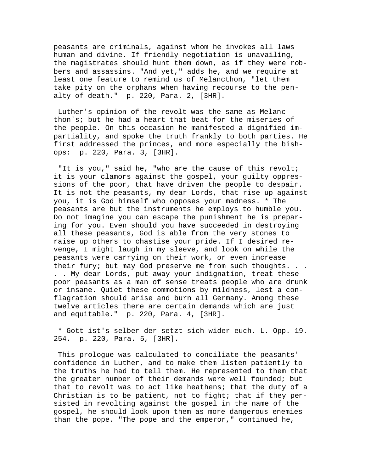peasants are criminals, against whom he invokes all laws human and divine. If friendly negotiation is unavailing, the magistrates should hunt them down, as if they were robbers and assassins. "And yet," adds he, and we require at least one feature to remind us of Melancthon, "let them take pity on the orphans when having recourse to the penalty of death." p. 220, Para. 2, [3HR].

 Luther's opinion of the revolt was the same as Melancthon's; but he had a heart that beat for the miseries of the people. On this occasion he manifested a dignified impartiality, and spoke the truth frankly to both parties. He first addressed the princes, and more especially the bishops: p. 220, Para. 3, [3HR].

 "It is you," said he, "who are the cause of this revolt; it is your clamors against the gospel, your guilty oppressions of the poor, that have driven the people to despair. It is not the peasants, my dear Lords, that rise up against you, it is God himself who opposes your madness. \* The peasants are but the instruments he employs to humble you. Do not imagine you can escape the punishment he is preparing for you. Even should you have succeeded in destroying all these peasants, God is able from the very stones to raise up others to chastise your pride. If I desired revenge, I might laugh in my sleeve, and look on while the peasants were carrying on their work, or even increase their fury; but may God preserve me from such thoughts. . . . . My dear Lords, put away your indignation, treat these poor peasants as a man of sense treats people who are drunk or insane. Quiet these commotions by mildness, lest a conflagration should arise and burn all Germany. Among these twelve articles there are certain demands which are just and equitable." p. 220, Para. 4, [3HR].

 \* Gott ist's selber der setzt sich wider euch. L. Opp. 19. 254. p. 220, Para. 5, [3HR].

 This prologue was calculated to conciliate the peasants' confidence in Luther, and to make them listen patiently to the truths he had to tell them. He represented to them that the greater number of their demands were well founded; but that to revolt was to act like heathens; that the duty of a Christian is to be patient, not to fight; that if they persisted in revolting against the gospel in the name of the gospel, he should look upon them as more dangerous enemies than the pope. "The pope and the emperor," continued he,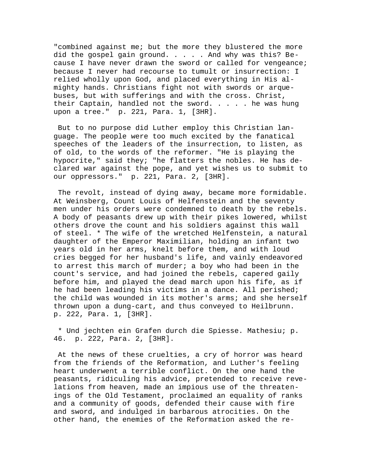"combined against me; but the more they blustered the more did the gospel gain ground. . . . . And why was this? Because I have never drawn the sword or called for vengeance; because I never had recourse to tumult or insurrection: I relied wholly upon God, and placed everything in His almighty hands. Christians fight not with swords or arquebuses, but with sufferings and with the cross. Christ, their Captain, handled not the sword. . . . . he was hung upon a tree." p. 221, Para. 1, [3HR].

 But to no purpose did Luther employ this Christian language. The people were too much excited by the fanatical speeches of the leaders of the insurrection, to listen, as of old, to the words of the reformer. "He is playing the hypocrite," said they; "he flatters the nobles. He has declared war against the pope, and yet wishes us to submit to our oppressors." p. 221, Para. 2, [3HR].

 The revolt, instead of dying away, became more formidable. At Weinsberg, Count Louis of Helfenstein and the seventy men under his orders were condemned to death by the rebels. A body of peasants drew up with their pikes lowered, whilst others drove the count and his soldiers against this wall of steel. \* The wife of the wretched Helfenstein, a natural daughter of the Emperor Maximilian, holding an infant two years old in her arms, knelt before them, and with loud cries begged for her husband's life, and vainly endeavored to arrest this march of murder; a boy who had been in the count's service, and had joined the rebels, capered gaily before him, and played the dead march upon his fife, as if he had been leading his victims in a dance. All perished; the child was wounded in its mother's arms; and she herself thrown upon a dung-cart, and thus conveyed to Heilbrunn. p. 222, Para. 1, [3HR].

 \* Und jechten ein Grafen durch die Spiesse. Mathesiu; p. 46. p. 222, Para. 2, [3HR].

 At the news of these cruelties, a cry of horror was heard from the friends of the Reformation, and Luther's feeling heart underwent a terrible conflict. On the one hand the peasants, ridiculing his advice, pretended to receive revelations from heaven, made an impious use of the threatenings of the Old Testament, proclaimed an equality of ranks and a community of goods, defended their cause with fire and sword, and indulged in barbarous atrocities. On the other hand, the enemies of the Reformation asked the re-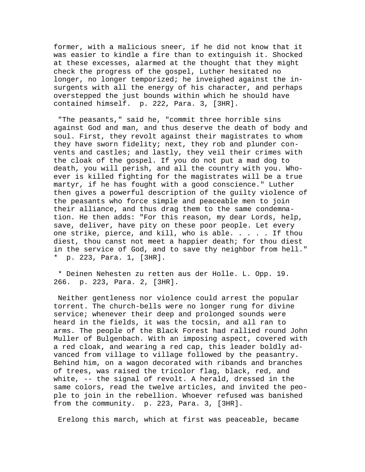former, with a malicious sneer, if he did not know that it was easier to kindle a fire than to extinguish it. Shocked at these excesses, alarmed at the thought that they might check the progress of the gospel, Luther hesitated no longer, no longer temporized; he inveighed against the insurgents with all the energy of his character, and perhaps overstepped the just bounds within which he should have contained himself. p. 222, Para. 3, [3HR].

 "The peasants," said he, "commit three horrible sins against God and man, and thus deserve the death of body and soul. First, they revolt against their magistrates to whom they have sworn fidelity; next, they rob and plunder convents and castles; and lastly, they veil their crimes with the cloak of the gospel. If you do not put a mad dog to death, you will perish, and all the country with you. Whoever is killed fighting for the magistrates will be a true martyr, if he has fought with a good conscience." Luther then gives a powerful description of the guilty violence of the peasants who force simple and peaceable men to join their alliance, and thus drag them to the same condemnation. He then adds: "For this reason, my dear Lords, help, save, deliver, have pity on these poor people. Let every one strike, pierce, and kill, who is able. . . . . If thou diest, thou canst not meet a happier death; for thou diest in the service of God, and to save thy neighbor from hell." \* p. 223, Para. 1, [3HR].

 \* Deinen Nehesten zu retten aus der Holle. L. Opp. 19. 266. p. 223, Para. 2, [3HR].

 Neither gentleness nor violence could arrest the popular torrent. The church-bells were no longer rung for divine service; whenever their deep and prolonged sounds were heard in the fields, it was the tocsin, and all ran to arms. The people of the Black Forest had rallied round John Muller of Bulgenbach. With an imposing aspect, covered with a red cloak, and wearing a red cap, this leader boldly advanced from village to village followed by the peasantry. Behind him, on a wagon decorated with ribands and branches of trees, was raised the tricolor flag, black, red, and white, -- the signal of revolt. A herald, dressed in the same colors, read the twelve articles, and invited the people to join in the rebellion. Whoever refused was banished from the community. p. 223, Para. 3, [3HR].

Erelong this march, which at first was peaceable, became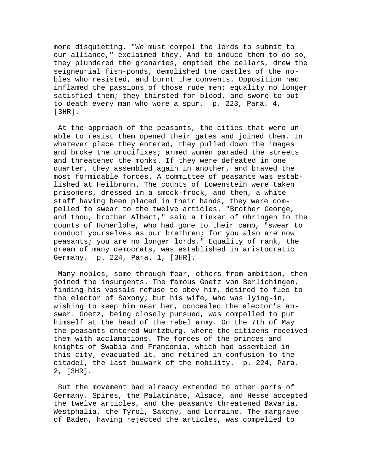more disquieting. "We must compel the lords to submit to our alliance," exclaimed they. And to induce them to do so, they plundered the granaries, emptied the cellars, drew the seigneurial fish-ponds, demolished the castles of the nobles who resisted, and burnt the convents. Opposition had inflamed the passions of those rude men; equality no longer satisfied them; they thirsted for blood, and swore to put to death every man who wore a spur. p. 223, Para. 4, [3HR].

 At the approach of the peasants, the cities that were unable to resist them opened their gates and joined them. In whatever place they entered, they pulled down the images and broke the crucifixes; armed women paraded the streets and threatened the monks. If they were defeated in one quarter, they assembled again in another, and braved the most formidable forces. A committee of peasants was established at Heilbrunn. The counts of Lowenstein were taken prisoners, dressed in a smock-frock, and then, a white staff having been placed in their hands, they were compelled to swear to the twelve articles. "Brother George, and thou, brother Albert," said a tinker of Ohringen to the counts of Hohenlohe, who had gone to their camp, "swear to conduct yourselves as our brethren; for you also are now peasants; you are no longer lords." Equality of rank, the dream of many democrats, was established in aristocratic Germany. p. 224, Para. 1, [3HR].

 Many nobles, some through fear, others from ambition, then joined the insurgents. The famous Goetz von Berlichingen, finding his vassals refuse to obey him, desired to flee to the elector of Saxony; but his wife, who was lying-in, wishing to keep him near her, concealed the elector's answer. Goetz, being closely pursued, was compelled to put himself at the head of the rebel army. On the 7th of May the peasants entered Wurtzburg, where the citizens received them with acclamations. The forces of the princes and knights of Swabia and Franconia, which had assembled in this city, evacuated it, and retired in confusion to the citadel, the last bulwark of the nobility. p. 224, Para. 2, [3HR].

 But the movement had already extended to other parts of Germany. Spires, the Palatinate, Alsace, and Hesse accepted the twelve articles, and the peasants threatened Bavaria, Westphalia, the Tyrol, Saxony, and Lorraine. The margrave of Baden, having rejected the articles, was compelled to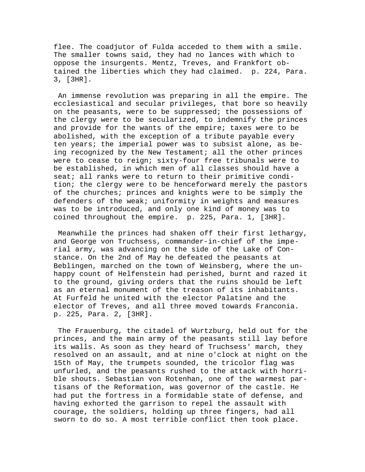flee. The coadjutor of Fulda acceded to them with a smile. The smaller towns said, they had no lances with which to oppose the insurgents. Mentz, Treves, and Frankfort obtained the liberties which they had claimed. p. 224, Para. 3, [3HR].

 An immense revolution was preparing in all the empire. The ecclesiastical and secular privileges, that bore so heavily on the peasants, were to be suppressed; the possessions of the clergy were to be secularized, to indemnify the princes and provide for the wants of the empire; taxes were to be abolished, with the exception of a tribute payable every ten years; the imperial power was to subsist alone, as being recognized by the New Testament; all the other princes were to cease to reign; sixty-four free tribunals were to be established, in which men of all classes should have a seat; all ranks were to return to their primitive condition; the clergy were to be henceforward merely the pastors of the churches; princes and knights were to be simply the defenders of the weak; uniformity in weights and measures was to be introduced, and only one kind of money was to coined throughout the empire. p. 225, Para. 1, [3HR].

 Meanwhile the princes had shaken off their first lethargy, and George von Truchsess, commander-in-chief of the imperial army, was advancing on the side of the Lake of Constance. On the 2nd of May he defeated the peasants at Beblingen, marched on the town of Weinsberg, where the unhappy count of Helfenstein had perished, burnt and razed it to the ground, giving orders that the ruins should be left as an eternal monument of the treason of its inhabitants. At Furfeld he united with the elector Palatine and the elector of Treves, and all three moved towards Franconia. p. 225, Para. 2, [3HR].

 The Frauenburg, the citadel of Wurtzburg, held out for the princes, and the main army of the peasants still lay before its walls. As soon as they heard of Truchsess' march, they resolved on an assault, and at nine o'clock at night on the 15th of May, the trumpets sounded, the tricolor flag was unfurled, and the peasants rushed to the attack with horrible shouts. Sebastian von Rotenhan, one of the warmest partisans of the Reformation, was governor of the castle. He had put the fortress in a formidable state of defense, and having exhorted the garrison to repel the assault with courage, the soldiers, holding up three fingers, had all sworn to do so. A most terrible conflict then took place.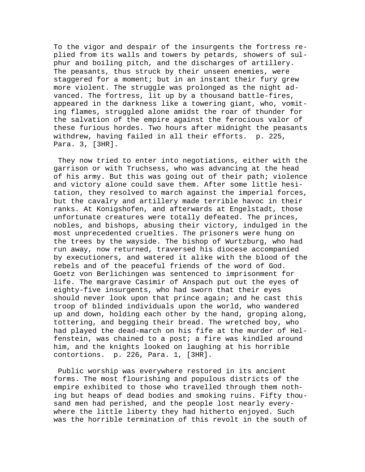To the vigor and despair of the insurgents the fortress replied from its walls and towers by petards, showers of sulphur and boiling pitch, and the discharges of artillery. The peasants, thus struck by their unseen enemies, were staggered for a moment; but in an instant their fury grew more violent. The struggle was prolonged as the night advanced. The fortress, lit up by a thousand battle-fires, appeared in the darkness like a towering giant, who, vomiting flames, struggled alone amidst the roar of thunder for the salvation of the empire against the ferocious valor of these furious hordes. Two hours after midnight the peasants withdrew, having failed in all their efforts. p. 225, Para. 3, [3HR].

 They now tried to enter into negotiations, either with the garrison or with Truchsess, who was advancing at the head of his army. But this was going out of their path; violence and victory alone could save them. After some little hesitation, they resolved to march against the imperial forces, but the cavalry and artillery made terrible havoc in their ranks. At Konigshofen, and afterwards at Engelstadt, those unfortunate creatures were totally defeated. The princes, nobles, and bishops, abusing their victory, indulged in the most unprecedented cruelties. The prisoners were hung on the trees by the wayside. The bishop of Wurtzburg, who had run away, now returned, traversed his diocese accompanied by executioners, and watered it alike with the blood of the rebels and of the peaceful friends of the word of God. Goetz von Berlichingen was sentenced to imprisonment for life. The margrave Casimir of Anspach put out the eyes of eighty-five insurgents, who had sworn that their eyes should never look upon that prince again; and he cast this troop of blinded individuals upon the world, who wandered up and down, holding each other by the hand, groping along, tottering, and begging their bread. The wretched boy, who had played the dead-march on his fife at the murder of Helfenstein, was chained to a post; a fire was kindled around him, and the knights looked on laughing at his horrible contortions. p. 226, Para. 1, [3HR].

 Public worship was everywhere restored in its ancient forms. The most flourishing and populous districts of the empire exhibited to those who travelled through them nothing but heaps of dead bodies and smoking ruins. Fifty thousand men had perished, and the people lost nearly everywhere the little liberty they had hitherto enjoyed. Such was the horrible termination of this revolt in the south of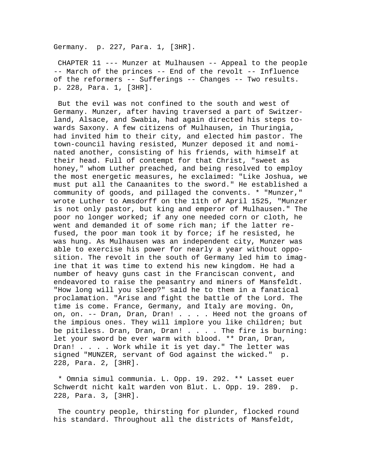Germany. p. 227, Para. 1, [3HR].

 CHAPTER 11 --- Munzer at Mulhausen -- Appeal to the people -- March of the princes -- End of the revolt -- Influence of the reformers -- Sufferings -- Changes -- Two results. p. 228, Para. 1, [3HR].

 But the evil was not confined to the south and west of Germany. Munzer, after having traversed a part of Switzerland, Alsace, and Swabia, had again directed his steps towards Saxony. A few citizens of Mulhausen, in Thuringia, had invited him to their city, and elected him pastor. The town-council having resisted, Munzer deposed it and nominated another, consisting of his friends, with himself at their head. Full of contempt for that Christ, "sweet as honey," whom Luther preached, and being resolved to employ the most energetic measures, he exclaimed: "Like Joshua, we must put all the Canaanites to the sword." He established a community of goods, and pillaged the convents. \* "Munzer," wrote Luther to Amsdorff on the 11th of April 1525, "Munzer is not only pastor, but king and emperor of Mulhausen." The poor no longer worked; if any one needed corn or cloth, he went and demanded it of some rich man; if the latter refused, the poor man took it by force; if he resisted, he was hung. As Mulhausen was an independent city, Munzer was able to exercise his power for nearly a year without opposition. The revolt in the south of Germany led him to imagine that it was time to extend his new kingdom. He had a number of heavy guns cast in the Franciscan convent, and endeavored to raise the peasantry and miners of Mansfeldt. "How long will you sleep?" said he to them in a fanatical proclamation. "Arise and fight the battle of the Lord. The time is come. France, Germany, and Italy are moving. On, on, on. -- Dran, Dran, Dran! . . . . Heed not the groans of the impious ones. They will implore you like children; but be pitiless. Dran, Dran, Dran! . . . . The fire is burning: let your sword be ever warm with blood. \*\* Dran, Dran, Dran! . . . . Work while it is yet day." The letter was signed "MUNZER, servant of God against the wicked." p. 228, Para. 2, [3HR].

 \* Omnia simul communia. L. Opp. 19. 292. \*\* Lasset euer Schwerdt nicht kalt warden von Blut. L. Opp. 19. 289. p. 228, Para. 3, [3HR].

 The country people, thirsting for plunder, flocked round his standard. Throughout all the districts of Mansfeldt,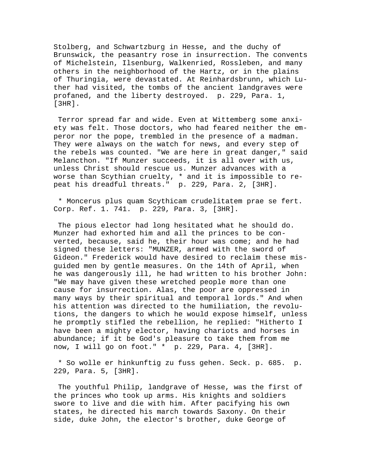Stolberg, and Schwartzburg in Hesse, and the duchy of Brunswick, the peasantry rose in insurrection. The convents of Michelstein, Ilsenburg, Walkenried, Rossleben, and many others in the neighborhood of the Hartz, or in the plains of Thuringia, were devastated. At Reinhardsbrunn, which Luther had visited, the tombs of the ancient landgraves were profaned, and the liberty destroyed. p. 229, Para. 1, [3HR].

 Terror spread far and wide. Even at Wittemberg some anxiety was felt. Those doctors, who had feared neither the emperor nor the pope, trembled in the presence of a madman. They were always on the watch for news, and every step of the rebels was counted. "We are here in great danger," said Melancthon. "If Munzer succeeds, it is all over with us, unless Christ should rescue us. Munzer advances with a worse than Scythian cruelty, \* and it is impossible to repeat his dreadful threats." p. 229, Para. 2, [3HR].

 \* Moncerus plus quam Scythicam crudelitatem prae se fert. Corp. Ref. 1. 741. p. 229, Para. 3, [3HR].

 The pious elector had long hesitated what he should do. Munzer had exhorted him and all the princes to be converted, because, said he, their hour was come; and he had signed these letters: "MUNZER, armed with the sword of Gideon." Frederick would have desired to reclaim these misguided men by gentle measures. On the 14th of April, when he was dangerously ill, he had written to his brother John: "We may have given these wretched people more than one cause for insurrection. Alas, the poor are oppressed in many ways by their spiritual and temporal lords." And when his attention was directed to the humiliation, the revolutions, the dangers to which he would expose himself, unless he promptly stifled the rebellion, he replied: "Hitherto I have been a mighty elector, having chariots and horses in abundance; if it be God's pleasure to take them from me now, I will go on foot." \* p. 229, Para. 4, [3HR].

 \* So wolle er hinkunftig zu fuss gehen. Seck. p. 685. p. 229, Para. 5, [3HR].

 The youthful Philip, landgrave of Hesse, was the first of the princes who took up arms. His knights and soldiers swore to live and die with him. After pacifying his own states, he directed his march towards Saxony. On their side, duke John, the elector's brother, duke George of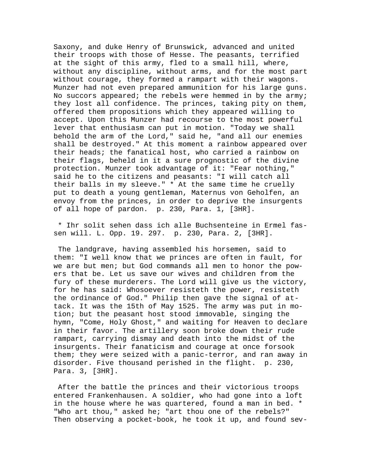Saxony, and duke Henry of Brunswick, advanced and united their troops with those of Hesse. The peasants, terrified at the sight of this army, fled to a small hill, where, without any discipline, without arms, and for the most part without courage, they formed a rampart with their wagons. Munzer had not even prepared ammunition for his large guns. No succors appeared; the rebels were hemmed in by the army; they lost all confidence. The princes, taking pity on them, offered them propositions which they appeared willing to accept. Upon this Munzer had recourse to the most powerful lever that enthusiasm can put in motion. "Today we shall behold the arm of the Lord," said he, "and all our enemies shall be destroyed." At this moment a rainbow appeared over their heads; the fanatical host, who carried a rainbow on their flags, beheld in it a sure prognostic of the divine protection. Munzer took advantage of it: "Fear nothing," said he to the citizens and peasants: "I will catch all their balls in my sleeve." \* At the same time he cruelly put to death a young gentleman, Maternus von Geholfen, an envoy from the princes, in order to deprive the insurgents of all hope of pardon. p. 230, Para. 1, [3HR].

 \* Ihr solit sehen dass ich alle Buchsenteine in Ermel fassen will. L. Opp. 19. 297. p. 230, Para. 2, [3HR].

 The landgrave, having assembled his horsemen, said to them: "I well know that we princes are often in fault, for we are but men; but God commands all men to honor the powers that be. Let us save our wives and children from the fury of these murderers. The Lord will give us the victory, for he has said: Whosoever resisteth the power, resisteth the ordinance of God." Philip then gave the signal of attack. It was the 15th of May 1525. The army was put in motion; but the peasant host stood immovable, singing the hymn, "Come, Holy Ghost," and waiting for Heaven to declare in their favor. The artillery soon broke down their rude rampart, carrying dismay and death into the midst of the insurgents. Their fanaticism and courage at once forsook them; they were seized with a panic-terror, and ran away in disorder. Five thousand perished in the flight. p. 230, Para. 3, [3HR].

 After the battle the princes and their victorious troops entered Frankenhausen. A soldier, who had gone into a loft in the house where he was quartered, found a man in bed. \* "Who art thou," asked he; "art thou one of the rebels?" Then observing a pocket-book, he took it up, and found sev-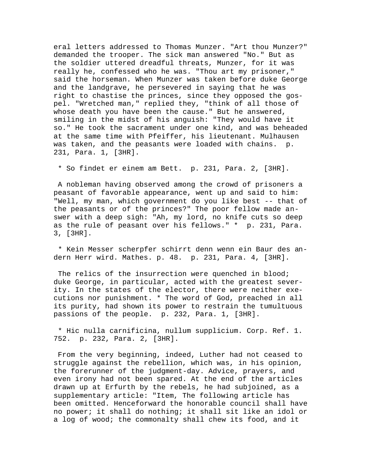eral letters addressed to Thomas Munzer. "Art thou Munzer?" demanded the trooper. The sick man answered "No." But as the soldier uttered dreadful threats, Munzer, for it was really he, confessed who he was. "Thou art my prisoner," said the horseman. When Munzer was taken before duke George and the landgrave, he persevered in saying that he was right to chastise the princes, since they opposed the gospel. "Wretched man," replied they, "think of all those of whose death you have been the cause." But he answered, smiling in the midst of his anguish: "They would have it so." He took the sacrament under one kind, and was beheaded at the same time with Pfeiffer, his lieutenant. Mulhausen was taken, and the peasants were loaded with chains. p. 231, Para. 1, [3HR].

\* So findet er einem am Bett. p. 231, Para. 2, [3HR].

 A nobleman having observed among the crowd of prisoners a peasant of favorable appearance, went up and said to him: "Well, my man, which government do you like best -- that of the peasants or of the princes?" The poor fellow made answer with a deep sigh: "Ah, my lord, no knife cuts so deep as the rule of peasant over his fellows." \* p. 231, Para. 3, [3HR].

 \* Kein Messer scherpfer schirrt denn wenn ein Baur des andern Herr wird. Mathes. p. 48. p. 231, Para. 4, [3HR].

The relics of the insurrection were quenched in blood; duke George, in particular, acted with the greatest severity. In the states of the elector, there were neither executions nor punishment. \* The word of God, preached in all its purity, had shown its power to restrain the tumultuous passions of the people. p. 232, Para. 1, [3HR].

 \* Hic nulla carnificina, nullum supplicium. Corp. Ref. 1. 752. p. 232, Para. 2, [3HR].

 From the very beginning, indeed, Luther had not ceased to struggle against the rebellion, which was, in his opinion, the forerunner of the judgment-day. Advice, prayers, and even irony had not been spared. At the end of the articles drawn up at Erfurth by the rebels, he had subjoined, as a supplementary article: "Item, The following article has been omitted. Henceforward the honorable council shall have no power; it shall do nothing; it shall sit like an idol or a log of wood; the commonalty shall chew its food, and it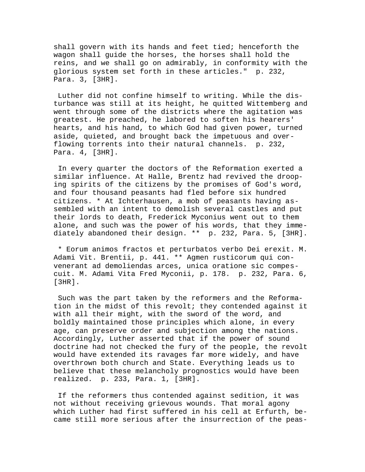shall govern with its hands and feet tied; henceforth the wagon shall guide the horses, the horses shall hold the reins, and we shall go on admirably, in conformity with the glorious system set forth in these articles." p. 232, Para. 3, [3HR].

 Luther did not confine himself to writing. While the disturbance was still at its height, he quitted Wittemberg and went through some of the districts where the agitation was greatest. He preached, he labored to soften his hearers' hearts, and his hand, to which God had given power, turned aside, quieted, and brought back the impetuous and overflowing torrents into their natural channels. p. 232, Para. 4, [3HR].

 In every quarter the doctors of the Reformation exerted a similar influence. At Halle, Brentz had revived the drooping spirits of the citizens by the promises of God's word, and four thousand peasants had fled before six hundred citizens. \* At Ichterhausen, a mob of peasants having assembled with an intent to demolish several castles and put their lords to death, Frederick Myconius went out to them alone, and such was the power of his words, that they immediately abandoned their design. \*\* p. 232, Para. 5, [3HR].

 \* Eorum animos fractos et perturbatos verbo Dei erexit. M. Adami Vit. Brentii, p. 441. \*\* Agmen rusticorum qui convenerant ad demoliendas arces, unica oratione sic compescuit. M. Adami Vita Fred Myconii, p. 178. p. 232, Para. 6, [3HR].

 Such was the part taken by the reformers and the Reformation in the midst of this revolt; they contended against it with all their might, with the sword of the word, and boldly maintained those principles which alone, in every age, can preserve order and subjection among the nations. Accordingly, Luther asserted that if the power of sound doctrine had not checked the fury of the people, the revolt would have extended its ravages far more widely, and have overthrown both church and State. Everything leads us to believe that these melancholy prognostics would have been realized. p. 233, Para. 1, [3HR].

 If the reformers thus contended against sedition, it was not without receiving grievous wounds. That moral agony which Luther had first suffered in his cell at Erfurth, became still more serious after the insurrection of the peas-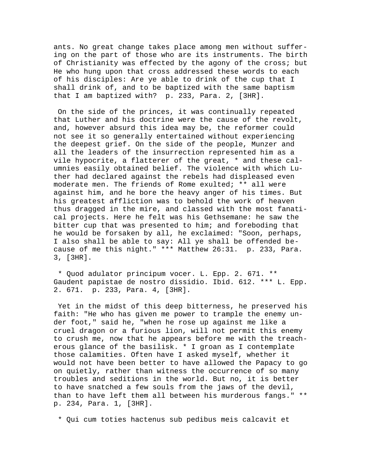ants. No great change takes place among men without suffering on the part of those who are its instruments. The birth of Christianity was effected by the agony of the cross; but He who hung upon that cross addressed these words to each of his disciples: Are ye able to drink of the cup that I shall drink of, and to be baptized with the same baptism that I am baptized with? p. 233, Para. 2, [3HR].

 On the side of the princes, it was continually repeated that Luther and his doctrine were the cause of the revolt, and, however absurd this idea may be, the reformer could not see it so generally entertained without experiencing the deepest grief. On the side of the people, Munzer and all the leaders of the insurrection represented him as a vile hypocrite, a flatterer of the great, \* and these calumnies easily obtained belief. The violence with which Luther had declared against the rebels had displeased even moderate men. The friends of Rome exulted; \*\* all were against him, and he bore the heavy anger of his times. But his greatest affliction was to behold the work of heaven thus dragged in the mire, and classed with the most fanatical projects. Here he felt was his Gethsemane: he saw the bitter cup that was presented to him; and foreboding that he would be forsaken by all, he exclaimed: "Soon, perhaps, I also shall be able to say: All ye shall be offended because of me this night." \*\*\* Matthew 26:31. p. 233, Para. 3, [3HR].

 \* Quod adulator principum vocer. L. Epp. 2. 671. \*\* Gaudent papistae de nostro dissidio. Ibid. 612. \*\*\* L. Epp. 2. 671. p. 233, Para. 4, [3HR].

 Yet in the midst of this deep bitterness, he preserved his faith: "He who has given me power to trample the enemy under foot," said he, "when he rose up against me like a cruel dragon or a furious lion, will not permit this enemy to crush me, now that he appears before me with the treacherous glance of the basilisk. \* I groan as I contemplate those calamities. Often have I asked myself, whether it would not have been better to have allowed the Papacy to go on quietly, rather than witness the occurrence of so many troubles and seditions in the world. But no, it is better to have snatched a few souls from the jaws of the devil, than to have left them all between his murderous fangs." \*\* p. 234, Para. 1, [3HR].

\* Qui cum toties hactenus sub pedibus meis calcavit et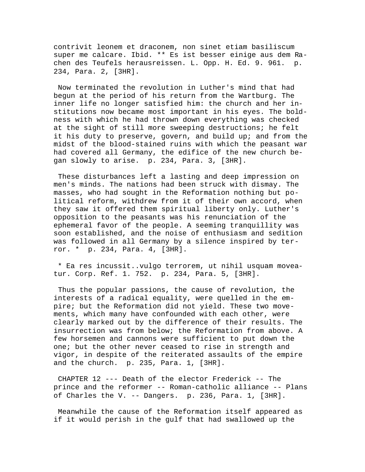contrivit leonem et draconem, non sinet etiam basiliscum super me calcare. Ibid. \*\* Es ist besser einige aus dem Rachen des Teufels herausreissen. L. Opp. H. Ed. 9. 961. p. 234, Para. 2, [3HR].

 Now terminated the revolution in Luther's mind that had begun at the period of his return from the Wartburg. The inner life no longer satisfied him: the church and her institutions now became most important in his eyes. The boldness with which he had thrown down everything was checked at the sight of still more sweeping destructions; he felt it his duty to preserve, govern, and build up; and from the midst of the blood-stained ruins with which the peasant war had covered all Germany, the edifice of the new church began slowly to arise. p. 234, Para. 3, [3HR].

 These disturbances left a lasting and deep impression on men's minds. The nations had been struck with dismay. The masses, who had sought in the Reformation nothing but political reform, withdrew from it of their own accord, when they saw it offered them spiritual liberty only. Luther's opposition to the peasants was his renunciation of the ephemeral favor of the people. A seeming tranquillity was soon established, and the noise of enthusiasm and sedition was followed in all Germany by a silence inspired by terror. \* p. 234, Para. 4, [3HR].

 \* Ea res incussit..vulgo terrorem, ut nihil usquam moveatur. Corp. Ref. 1. 752. p. 234, Para. 5, [3HR].

 Thus the popular passions, the cause of revolution, the interests of a radical equality, were quelled in the empire; but the Reformation did not yield. These two movements, which many have confounded with each other, were clearly marked out by the difference of their results. The insurrection was from below; the Reformation from above. A few horsemen and cannons were sufficient to put down the one; but the other never ceased to rise in strength and vigor, in despite of the reiterated assaults of the empire and the church. p. 235, Para. 1, [3HR].

 CHAPTER 12 --- Death of the elector Frederick -- The prince and the reformer -- Roman-catholic alliance -- Plans of Charles the V. -- Dangers. p. 236, Para. 1, [3HR].

 Meanwhile the cause of the Reformation itself appeared as if it would perish in the gulf that had swallowed up the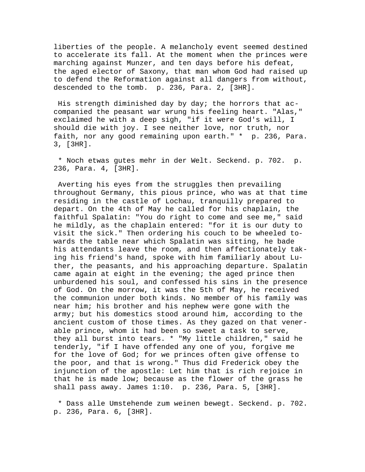liberties of the people. A melancholy event seemed destined to accelerate its fall. At the moment when the princes were marching against Munzer, and ten days before his defeat, the aged elector of Saxony, that man whom God had raised up to defend the Reformation against all dangers from without, descended to the tomb. p. 236, Para. 2, [3HR].

 His strength diminished day by day; the horrors that accompanied the peasant war wrung his feeling heart. "Alas," exclaimed he with a deep sigh, "if it were God's will, I should die with joy. I see neither love, nor truth, nor faith, nor any good remaining upon earth." \* p. 236, Para. 3, [3HR].

 \* Noch etwas gutes mehr in der Welt. Seckend. p. 702. p. 236, Para. 4, [3HR].

 Averting his eyes from the struggles then prevailing throughout Germany, this pious prince, who was at that time residing in the castle of Lochau, tranquilly prepared to depart. On the 4th of May he called for his chaplain, the faithful Spalatin: "You do right to come and see me," said he mildly, as the chaplain entered: "for it is our duty to visit the sick." Then ordering his couch to be wheeled towards the table near which Spalatin was sitting, he bade his attendants leave the room, and then affectionately taking his friend's hand, spoke with him familiarly about Luther, the peasants, and his approaching departure. Spalatin came again at eight in the evening; the aged prince then unburdened his soul, and confessed his sins in the presence of God. On the morrow, it was the 5th of May, he received the communion under both kinds. No member of his family was near him; his brother and his nephew were gone with the army; but his domestics stood around him, according to the ancient custom of those times. As they gazed on that venerable prince, whom it had been so sweet a task to serve, they all burst into tears. \* "My little children," said he tenderly, "if I have offended any one of you, forgive me for the love of God; for we princes often give offense to the poor, and that is wrong." Thus did Frederick obey the injunction of the apostle: Let him that is rich rejoice in that he is made low; because as the flower of the grass he shall pass away. James 1:10. p. 236, Para. 5, [3HR].

 \* Dass alle Umstehende zum weinen bewegt. Seckend. p. 702. p. 236, Para. 6, [3HR].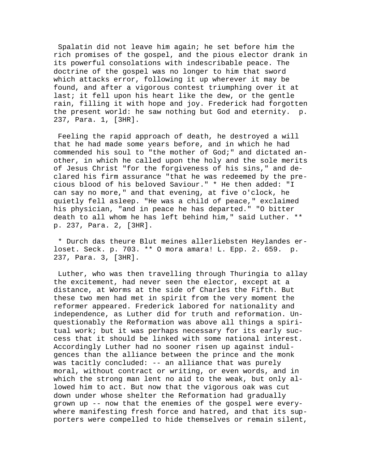Spalatin did not leave him again; he set before him the rich promises of the gospel, and the pious elector drank in its powerful consolations with indescribable peace. The doctrine of the gospel was no longer to him that sword which attacks error, following it up wherever it may be found, and after a vigorous contest triumphing over it at last; it fell upon his heart like the dew, or the gentle rain, filling it with hope and joy. Frederick had forgotten the present world: he saw nothing but God and eternity. p. 237, Para. 1, [3HR].

 Feeling the rapid approach of death, he destroyed a will that he had made some years before, and in which he had commended his soul to "the mother of God;" and dictated another, in which he called upon the holy and the sole merits of Jesus Christ "for the forgiveness of his sins," and declared his firm assurance "that he was redeemed by the precious blood of his beloved Saviour." \* He then added: "I can say no more," and that evening, at five o'clock, he quietly fell asleep. "He was a child of peace," exclaimed his physician, "and in peace he has departed." "O bitter death to all whom he has left behind him," said Luther. \*\* p. 237, Para. 2, [3HR].

 \* Durch das theure Blut meines allerliebsten Heylandes erloset. Seck. p. 703. \*\* O mora amara! L. Epp. 2. 659. p. 237, Para. 3, [3HR].

 Luther, who was then travelling through Thuringia to allay the excitement, had never seen the elector, except at a distance, at Worms at the side of Charles the Fifth. But these two men had met in spirit from the very moment the reformer appeared. Frederick labored for nationality and independence, as Luther did for truth and reformation. Unquestionably the Reformation was above all things a spiritual work; but it was perhaps necessary for its early success that it should be linked with some national interest. Accordingly Luther had no sooner risen up against indulgences than the alliance between the prince and the monk was tacitly concluded: -- an alliance that was purely moral, without contract or writing, or even words, and in which the strong man lent no aid to the weak, but only allowed him to act. But now that the vigorous oak was cut down under whose shelter the Reformation had gradually grown up -- now that the enemies of the gospel were everywhere manifesting fresh force and hatred, and that its supporters were compelled to hide themselves or remain silent,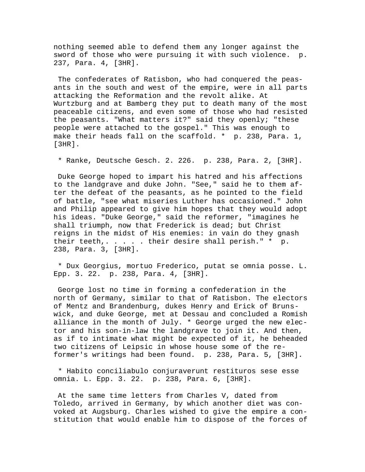nothing seemed able to defend them any longer against the sword of those who were pursuing it with such violence. p. 237, Para. 4, [3HR].

 The confederates of Ratisbon, who had conquered the peasants in the south and west of the empire, were in all parts attacking the Reformation and the revolt alike. At Wurtzburg and at Bamberg they put to death many of the most peaceable citizens, and even some of those who had resisted the peasants. "What matters it?" said they openly; "these people were attached to the gospel." This was enough to make their heads fall on the scaffold. \* p. 238, Para. 1, [3HR].

\* Ranke, Deutsche Gesch. 2. 226. p. 238, Para. 2, [3HR].

 Duke George hoped to impart his hatred and his affections to the landgrave and duke John. "See," said he to them after the defeat of the peasants, as he pointed to the field of battle, "see what miseries Luther has occasioned." John and Philip appeared to give him hopes that they would adopt his ideas. "Duke George," said the reformer, "imagines he shall triumph, now that Frederick is dead; but Christ reigns in the midst of His enemies: in vain do they gnash their teeth,. . . . . their desire shall perish." \* p. 238, Para. 3, [3HR].

 \* Dux Georgius, mortuo Frederico, putat se omnia posse. L. Epp. 3. 22. p. 238, Para. 4, [3HR].

 George lost no time in forming a confederation in the north of Germany, similar to that of Ratisbon. The electors of Mentz and Brandenburg, dukes Henry and Erick of Brunswick, and duke George, met at Dessau and concluded a Romish alliance in the month of July. \* George urged the new elector and his son-in-law the landgrave to join it. And then, as if to intimate what might be expected of it, he beheaded two citizens of Leipsic in whose house some of the reformer's writings had been found. p. 238, Para. 5, [3HR].

 \* Habito conciliabulo conjuraverunt restituros sese esse omnia. L. Epp. 3. 22. p. 238, Para. 6, [3HR].

 At the same time letters from Charles V, dated from Toledo, arrived in Germany, by which another diet was convoked at Augsburg. Charles wished to give the empire a constitution that would enable him to dispose of the forces of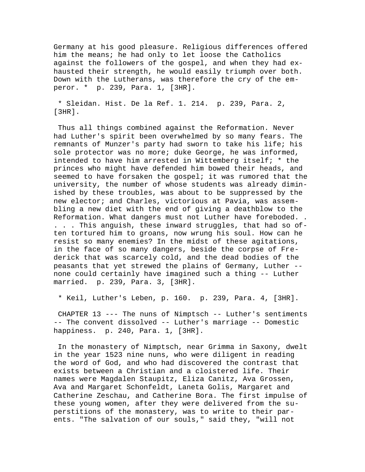Germany at his good pleasure. Religious differences offered him the means; he had only to let loose the Catholics against the followers of the gospel, and when they had exhausted their strength, he would easily triumph over both. Down with the Lutherans, was therefore the cry of the emperor. \* p. 239, Para. 1, [3HR].

 \* Sleidan. Hist. De la Ref. 1. 214. p. 239, Para. 2, [3HR].

 Thus all things combined against the Reformation. Never had Luther's spirit been overwhelmed by so many fears. The remnants of Munzer's party had sworn to take his life; his sole protector was no more; duke George, he was informed, intended to have him arrested in Wittemberg itself; \* the princes who might have defended him bowed their heads, and seemed to have forsaken the gospel; it was rumored that the university, the number of whose students was already diminished by these troubles, was about to be suppressed by the new elector; and Charles, victorious at Pavia, was assembling a new diet with the end of giving a deathblow to the Reformation. What dangers must not Luther have foreboded. . . . . This anguish, these inward struggles, that had so often tortured him to groans, now wrung his soul. How can he resist so many enemies? In the midst of these agitations, in the face of so many dangers, beside the corpse of Frederick that was scarcely cold, and the dead bodies of the peasants that yet strewed the plains of Germany, Luther - none could certainly have imagined such a thing -- Luther married. p. 239, Para. 3, [3HR].

\* Keil, Luther's Leben, p. 160. p. 239, Para. 4, [3HR].

 CHAPTER 13 --- The nuns of Nimptsch -- Luther's sentiments -- The convent dissolved -- Luther's marriage -- Domestic happiness. p. 240, Para. 1, [3HR].

 In the monastery of Nimptsch, near Grimma in Saxony, dwelt in the year 1523 nine nuns, who were diligent in reading the word of God, and who had discovered the contrast that exists between a Christian and a cloistered life. Their names were Magdalen Staupitz, Eliza Canitz, Ava Grossen, Ava and Margaret Schonfeldt, Laneta Golis, Margaret and Catherine Zeschau, and Catherine Bora. The first impulse of these young women, after they were delivered from the superstitions of the monastery, was to write to their parents. "The salvation of our souls," said they, "will not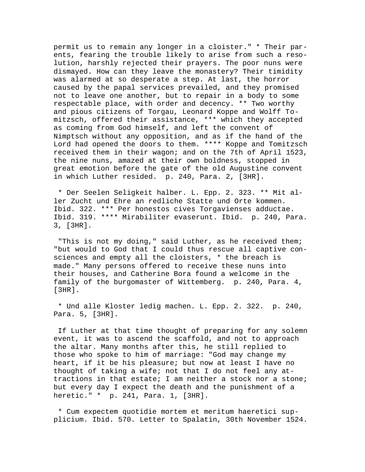permit us to remain any longer in a cloister." \* Their parents, fearing the trouble likely to arise from such a resolution, harshly rejected their prayers. The poor nuns were dismayed. How can they leave the monastery? Their timidity was alarmed at so desperate a step. At last, the horror caused by the papal services prevailed, and they promised not to leave one another, but to repair in a body to some respectable place, with order and decency. \*\* Two worthy and pious citizens of Torgau, Leonard Koppe and Wolff Tomitzsch, offered their assistance, \*\*\* which they accepted as coming from God himself, and left the convent of Nimptsch without any opposition, and as if the hand of the Lord had opened the doors to them. \*\*\*\* Koppe and Tomitzsch received them in their wagon; and on the 7th of April 1523, the nine nuns, amazed at their own boldness, stopped in great emotion before the gate of the old Augustine convent in which Luther resided. p. 240, Para. 2, [3HR].

 \* Der Seelen Seligkeit halber. L. Epp. 2. 323. \*\* Mit aller Zucht und Ehre an redliche Statte und Orte kommen. Ibid. 322. \*\*\* Per honestos cives Torgavienses adductae. Ibid. 319. \*\*\*\* Mirabiliter evaserunt. Ibid. p. 240, Para. 3, [3HR].

 "This is not my doing," said Luther, as he received them; "but would to God that I could thus rescue all captive consciences and empty all the cloisters, \* the breach is made." Many persons offered to receive these nuns into their houses, and Catherine Bora found a welcome in the family of the burgomaster of Wittemberg. p. 240, Para. 4, [3HR].

 \* Und alle Kloster ledig machen. L. Epp. 2. 322. p. 240, Para. 5, [3HR].

 If Luther at that time thought of preparing for any solemn event, it was to ascend the scaffold, and not to approach the altar. Many months after this, he still replied to those who spoke to him of marriage: "God may change my heart, if it be his pleasure; but now at least I have no thought of taking a wife; not that I do not feel any attractions in that estate; I am neither a stock nor a stone; but every day I expect the death and the punishment of a heretic." \* p. 241, Para. 1, [3HR].

 \* Cum expectem quotidie mortem et meritum haeretici supplicium. Ibid. 570. Letter to Spalatin, 30th November 1524.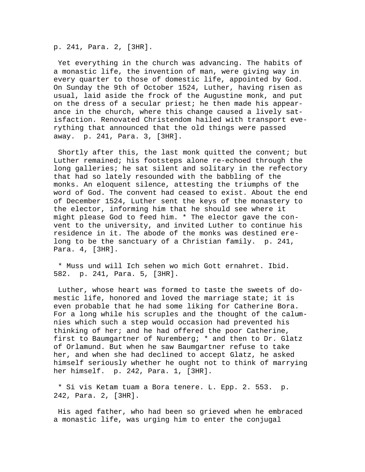p. 241, Para. 2, [3HR].

 Yet everything in the church was advancing. The habits of a monastic life, the invention of man, were giving way in every quarter to those of domestic life, appointed by God. On Sunday the 9th of October 1524, Luther, having risen as usual, laid aside the frock of the Augustine monk, and put on the dress of a secular priest; he then made his appearance in the church, where this change caused a lively satisfaction. Renovated Christendom hailed with transport everything that announced that the old things were passed away. p. 241, Para. 3, [3HR].

 Shortly after this, the last monk quitted the convent; but Luther remained; his footsteps alone re-echoed through the long galleries; he sat silent and solitary in the refectory that had so lately resounded with the babbling of the monks. An eloquent silence, attesting the triumphs of the word of God. The convent had ceased to exist. About the end of December 1524, Luther sent the keys of the monastery to the elector, informing him that he should see where it might please God to feed him. \* The elector gave the convent to the university, and invited Luther to continue his residence in it. The abode of the monks was destined erelong to be the sanctuary of a Christian family. p. 241, Para. 4, [3HR].

 \* Muss und will Ich sehen wo mich Gott ernahret. Ibid. 582. p. 241, Para. 5, [3HR].

 Luther, whose heart was formed to taste the sweets of domestic life, honored and loved the marriage state; it is even probable that he had some liking for Catherine Bora. For a long while his scruples and the thought of the calumnies which such a step would occasion had prevented his thinking of her; and he had offered the poor Catherine, first to Baumgartner of Nuremberg; \* and then to Dr. Glatz of Orlamund. But when he saw Baumgartner refuse to take her, and when she had declined to accept Glatz, he asked himself seriously whether he ought not to think of marrying her himself. p. 242, Para. 1, [3HR].

 \* Si vis Ketam tuam a Bora tenere. L. Epp. 2. 553. p. 242, Para. 2, [3HR].

 His aged father, who had been so grieved when he embraced a monastic life, was urging him to enter the conjugal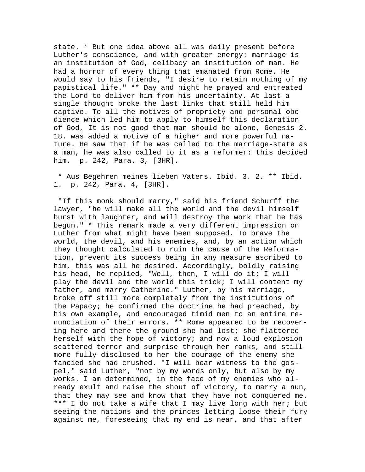state. \* But one idea above all was daily present before Luther's conscience, and with greater energy: marriage is an institution of God, celibacy an institution of man. He had a horror of every thing that emanated from Rome. He would say to his friends, "I desire to retain nothing of my papistical life." \*\* Day and night he prayed and entreated the Lord to deliver him from his uncertainty. At last a single thought broke the last links that still held him captive. To all the motives of propriety and personal obedience which led him to apply to himself this declaration of God, It is not good that man should be alone, Genesis 2. 18. was added a motive of a higher and more powerful nature. He saw that if he was called to the marriage-state as a man, he was also called to it as a reformer: this decided him. p. 242, Para. 3, [3HR].

 \* Aus Begehren meines lieben Vaters. Ibid. 3. 2. \*\* Ibid. 1. p. 242, Para. 4, [3HR].

 "If this monk should marry," said his friend Schurff the lawyer, "he will make all the world and the devil himself burst with laughter, and will destroy the work that he has begun." \* This remark made a very different impression on Luther from what might have been supposed. To brave the world, the devil, and his enemies, and, by an action which they thought calculated to ruin the cause of the Reformation, prevent its success being in any measure ascribed to him, this was all he desired. Accordingly, boldly raising his head, he replied, "Well, then, I will do it; I will play the devil and the world this trick; I will content my father, and marry Catherine." Luther, by his marriage, broke off still more completely from the institutions of the Papacy; he confirmed the doctrine he had preached, by his own example, and encouraged timid men to an entire renunciation of their errors. \*\* Rome appeared to be recovering here and there the ground she had lost; she flattered herself with the hope of victory; and now a loud explosion scattered terror and surprise through her ranks, and still more fully disclosed to her the courage of the enemy she fancied she had crushed. "I will bear witness to the gospel," said Luther, "not by my words only, but also by my works. I am determined, in the face of my enemies who already exult and raise the shout of victory, to marry a nun, that they may see and know that they have not conquered me. \*\*\* I do not take a wife that I may live long with her; but seeing the nations and the princes letting loose their fury against me, foreseeing that my end is near, and that after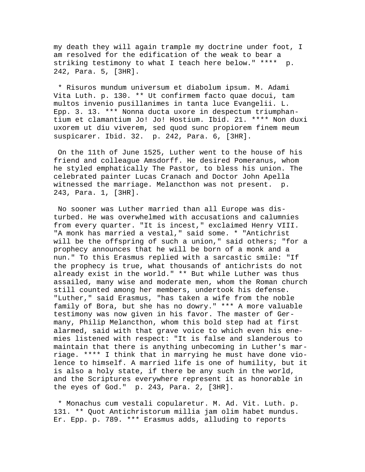my death they will again trample my doctrine under foot, I am resolved for the edification of the weak to bear a striking testimony to what I teach here below." \*\*\*\* p. 242, Para. 5, [3HR].

 \* Risuros mundum universum et diabolum ipsum. M. Adami Vita Luth. p. 130. \*\* Ut confirmem facto quae docui, tam multos invenio pusillanimes in tanta luce Evangelii. L. Epp. 3. 13. \*\*\* Nonna ducta uxore in despectum triumphantium et clamantium Jo! Jo! Hostium. Ibid. 21. \*\*\*\* Non duxi uxorem ut diu viverem, sed quod sunc propiorem finem meum suspicarer. Ibid. 32. p. 242, Para. 6, [3HR].

 On the 11th of June 1525, Luther went to the house of his friend and colleague Amsdorff. He desired Pomeranus, whom he styled emphatically The Pastor, to bless his union. The celebrated painter Lucas Cranach and Doctor John Apella witnessed the marriage. Melancthon was not present. p. 243, Para. 1, [3HR].

 No sooner was Luther married than all Europe was disturbed. He was overwhelmed with accusations and calumnies from every quarter. "It is incest," exclaimed Henry VIII. "A monk has married a vestal," said some. \* "Antichrist will be the offspring of such a union," said others; "for a prophecy announces that he will be born of a monk and a nun." To this Erasmus replied with a sarcastic smile: "If the prophecy is true, what thousands of antichrists do not already exist in the world." \*\* But while Luther was thus assailed, many wise and moderate men, whom the Roman church still counted among her members, undertook his defense. "Luther," said Erasmus, "has taken a wife from the noble family of Bora, but she has no dowry." \*\*\* A more valuable testimony was now given in his favor. The master of Germany, Philip Melancthon, whom this bold step had at first alarmed, said with that grave voice to which even his enemies listened with respect: "It is false and slanderous to maintain that there is anything unbecoming in Luther's marriage. \*\*\*\* I think that in marrying he must have done violence to himself. A married life is one of humility, but it is also a holy state, if there be any such in the world, and the Scriptures everywhere represent it as honorable in the eyes of God." p. 243, Para. 2, [3HR].

 \* Monachus cum vestali copularetur. M. Ad. Vit. Luth. p. 131. \*\* Quot Antichristorum millia jam olim habet mundus. Er. Epp. p. 789. \*\*\* Erasmus adds, alluding to reports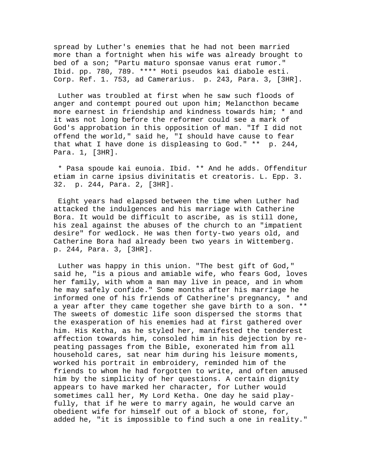spread by Luther's enemies that he had not been married more than a fortnight when his wife was already brought to bed of a son; "Partu maturo sponsae vanus erat rumor." Ibid. pp. 780, 789. \*\*\*\* Hoti pseudos kai diabole esti. Corp. Ref. 1. 753, ad Camerarius. p. 243, Para. 3, [3HR].

 Luther was troubled at first when he saw such floods of anger and contempt poured out upon him; Melancthon became more earnest in friendship and kindness towards him; \* and it was not long before the reformer could see a mark of God's approbation in this opposition of man. "If I did not offend the world," said he, "I should have cause to fear that what I have done is displeasing to God." \*\* p. 244, Para. 1, [3HR].

 \* Pasa spoude kai eunoia. Ibid. \*\* And he adds. Offenditur etiam in carne ipsius divinitatis et creatoris. L. Epp. 3. 32. p. 244, Para. 2, [3HR].

 Eight years had elapsed between the time when Luther had attacked the indulgences and his marriage with Catherine Bora. It would be difficult to ascribe, as is still done, his zeal against the abuses of the church to an "impatient desire" for wedlock. He was then forty-two years old, and Catherine Bora had already been two years in Wittemberg. p. 244, Para. 3, [3HR].

 Luther was happy in this union. "The best gift of God," said he, "is a pious and amiable wife, who fears God, loves her family, with whom a man may live in peace, and in whom he may safely confide." Some months after his marriage he informed one of his friends of Catherine's pregnancy, \* and a year after they came together she gave birth to a son. \*\* The sweets of domestic life soon dispersed the storms that the exasperation of his enemies had at first gathered over him. His Ketha, as he styled her, manifested the tenderest affection towards him, consoled him in his dejection by repeating passages from the Bible, exonerated him from all household cares, sat near him during his leisure moments, worked his portrait in embroidery, reminded him of the friends to whom he had forgotten to write, and often amused him by the simplicity of her questions. A certain dignity appears to have marked her character, for Luther would sometimes call her, My Lord Ketha. One day he said playfully, that if he were to marry again, he would carve an obedient wife for himself out of a block of stone, for, added he, "it is impossible to find such a one in reality."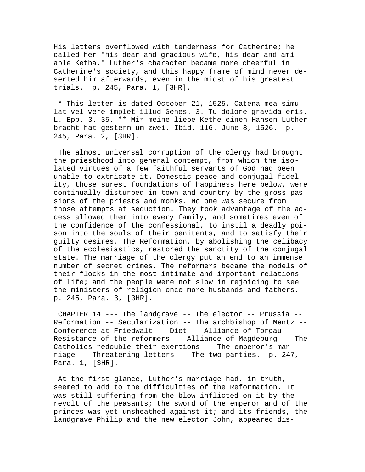His letters overflowed with tenderness for Catherine; he called her "his dear and gracious wife, his dear and amiable Ketha." Luther's character became more cheerful in Catherine's society, and this happy frame of mind never deserted him afterwards, even in the midst of his greatest trials. p. 245, Para. 1, [3HR].

 \* This letter is dated October 21, 1525. Catena mea simulat vel vere implet illud Genes. 3. Tu dolore gravida eris. L. Epp. 3. 35. \*\* Mir meine liebe Kethe einen Hansen Luther bracht hat gestern um zwei. Ibid. 116. June 8, 1526. p. 245, Para. 2, [3HR].

 The almost universal corruption of the clergy had brought the priesthood into general contempt, from which the isolated virtues of a few faithful servants of God had been unable to extricate it. Domestic peace and conjugal fidelity, those surest foundations of happiness here below, were continually disturbed in town and country by the gross passions of the priests and monks. No one was secure from those attempts at seduction. They took advantage of the access allowed them into every family, and sometimes even of the confidence of the confessional, to instil a deadly poison into the souls of their penitents, and to satisfy their guilty desires. The Reformation, by abolishing the celibacy of the ecclesiastics, restored the sanctity of the conjugal state. The marriage of the clergy put an end to an immense number of secret crimes. The reformers became the models of their flocks in the most intimate and important relations of life; and the people were not slow in rejoicing to see the ministers of religion once more husbands and fathers. p. 245, Para. 3, [3HR].

 CHAPTER 14 --- The landgrave -- The elector -- Prussia -- Reformation -- Secularization -- The archbishop of Mentz -- Conference at Friedwalt -- Diet -- Alliance of Torgau -- Resistance of the reformers -- Alliance of Magdeburg -- The Catholics redouble their exertions -- The emperor's marriage -- Threatening letters -- The two parties. p. 247, Para. 1, [3HR].

 At the first glance, Luther's marriage had, in truth, seemed to add to the difficulties of the Reformation. It was still suffering from the blow inflicted on it by the revolt of the peasants; the sword of the emperor and of the princes was yet unsheathed against it; and its friends, the landgrave Philip and the new elector John, appeared dis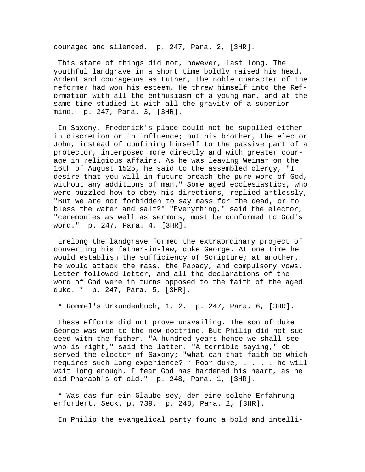couraged and silenced. p. 247, Para. 2, [3HR].

 This state of things did not, however, last long. The youthful landgrave in a short time boldly raised his head. Ardent and courageous as Luther, the noble character of the reformer had won his esteem. He threw himself into the Reformation with all the enthusiasm of a young man, and at the same time studied it with all the gravity of a superior mind. p. 247, Para. 3, [3HR].

 In Saxony, Frederick's place could not be supplied either in discretion or in influence; but his brother, the elector John, instead of confining himself to the passive part of a protector, interposed more directly and with greater courage in religious affairs. As he was leaving Weimar on the 16th of August 1525, he said to the assembled clergy, "I desire that you will in future preach the pure word of God, without any additions of man." Some aged ecclesiastics, who were puzzled how to obey his directions, replied artlessly, "But we are not forbidden to say mass for the dead, or to bless the water and salt?" "Everything," said the elector, "ceremonies as well as sermons, must be conformed to God's word." p. 247, Para. 4, [3HR].

 Erelong the landgrave formed the extraordinary project of converting his father-in-law, duke George. At one time he would establish the sufficiency of Scripture; at another, he would attack the mass, the Papacy, and compulsory vows. Letter followed letter, and all the declarations of the word of God were in turns opposed to the faith of the aged duke. \* p. 247, Para. 5, [3HR].

\* Rommel's Urkundenbuch, 1. 2. p. 247, Para. 6, [3HR].

 These efforts did not prove unavailing. The son of duke George was won to the new doctrine. But Philip did not succeed with the father. "A hundred years hence we shall see who is right," said the latter. "A terrible saying," observed the elector of Saxony; "what can that faith be which requires such long experience? \* Poor duke, . . . . he will wait long enough. I fear God has hardened his heart, as he did Pharaoh's of old." p. 248, Para. 1, [3HR].

 \* Was das fur ein Glaube sey, der eine solche Erfahrung erfordert. Seck. p. 739. p. 248, Para. 2, [3HR].

In Philip the evangelical party found a bold and intelli-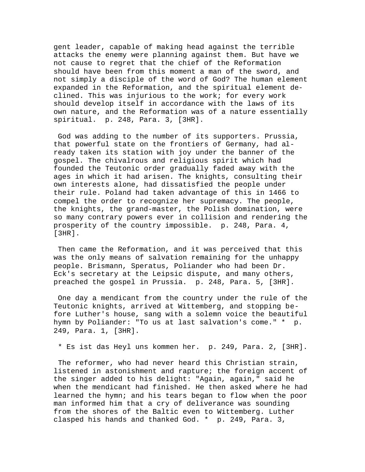gent leader, capable of making head against the terrible attacks the enemy were planning against them. But have we not cause to regret that the chief of the Reformation should have been from this moment a man of the sword, and not simply a disciple of the word of God? The human element expanded in the Reformation, and the spiritual element declined. This was injurious to the work; for every work should develop itself in accordance with the laws of its own nature, and the Reformation was of a nature essentially spiritual. p. 248, Para. 3, [3HR].

 God was adding to the number of its supporters. Prussia, that powerful state on the frontiers of Germany, had already taken its station with joy under the banner of the gospel. The chivalrous and religious spirit which had founded the Teutonic order gradually faded away with the ages in which it had arisen. The knights, consulting their own interests alone, had dissatisfied the people under their rule. Poland had taken advantage of this in 1466 to compel the order to recognize her supremacy. The people, the knights, the grand-master, the Polish domination, were so many contrary powers ever in collision and rendering the prosperity of the country impossible. p. 248, Para. 4, [3HR].

 Then came the Reformation, and it was perceived that this was the only means of salvation remaining for the unhappy people. Brismann, Speratus, Poliander who had been Dr. Eck's secretary at the Leipsic dispute, and many others, preached the gospel in Prussia. p. 248, Para. 5, [3HR].

 One day a mendicant from the country under the rule of the Teutonic knights, arrived at Wittemberg, and stopping before Luther's house, sang with a solemn voice the beautiful hymn by Poliander: "To us at last salvation's come." \* p. 249, Para. 1, [3HR].

\* Es ist das Heyl uns kommen her. p. 249, Para. 2, [3HR].

 The reformer, who had never heard this Christian strain, listened in astonishment and rapture; the foreign accent of the singer added to his delight: "Again, again," said he when the mendicant had finished. He then asked where he had learned the hymn; and his tears began to flow when the poor man informed him that a cry of deliverance was sounding from the shores of the Baltic even to Wittemberg. Luther clasped his hands and thanked God. \* p. 249, Para. 3,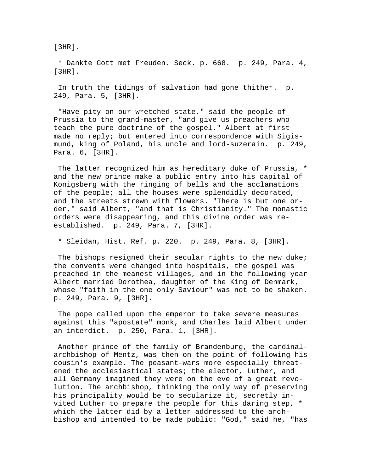[3HR].

 \* Dankte Gott met Freuden. Seck. p. 668. p. 249, Para. 4, [3HR].

 In truth the tidings of salvation had gone thither. p. 249, Para. 5, [3HR].

 "Have pity on our wretched state," said the people of Prussia to the grand-master, "and give us preachers who teach the pure doctrine of the gospel." Albert at first made no reply; but entered into correspondence with Sigismund, king of Poland, his uncle and lord-suzerain. p. 249, Para. 6, [3HR].

 The latter recognized him as hereditary duke of Prussia, \* and the new prince make a public entry into his capital of Konigsberg with the ringing of bells and the acclamations of the people; all the houses were splendidly decorated, and the streets strewn with flowers. "There is but one order," said Albert, "and that is Christianity." The monastic orders were disappearing, and this divine order was reestablished. p. 249, Para. 7, [3HR].

\* Sleidan, Hist. Ref. p. 220. p. 249, Para. 8, [3HR].

 The bishops resigned their secular rights to the new duke; the convents were changed into hospitals, the gospel was preached in the meanest villages, and in the following year Albert married Dorothea, daughter of the King of Denmark, whose "faith in the one only Saviour" was not to be shaken. p. 249, Para. 9, [3HR].

 The pope called upon the emperor to take severe measures against this "apostate" monk, and Charles laid Albert under an interdict. p. 250, Para. 1, [3HR].

 Another prince of the family of Brandenburg, the cardinalarchbishop of Mentz, was then on the point of following his cousin's example. The peasant-wars more especially threatened the ecclesiastical states; the elector, Luther, and all Germany imagined they were on the eve of a great revolution. The archbishop, thinking the only way of preserving his principality would be to secularize it, secretly invited Luther to prepare the people for this daring step, \* which the latter did by a letter addressed to the archbishop and intended to be made public: "God," said he, "has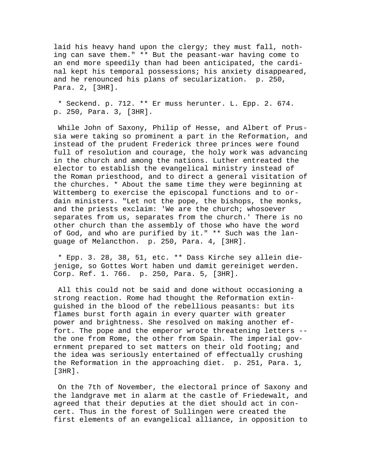laid his heavy hand upon the clergy; they must fall, nothing can save them." \*\* But the peasant-war having come to an end more speedily than had been anticipated, the cardinal kept his temporal possessions; his anxiety disappeared, and he renounced his plans of secularization. p. 250, Para. 2, [3HR].

 \* Seckend. p. 712. \*\* Er muss herunter. L. Epp. 2. 674. p. 250, Para. 3, [3HR].

 While John of Saxony, Philip of Hesse, and Albert of Prussia were taking so prominent a part in the Reformation, and instead of the prudent Frederick three princes were found full of resolution and courage, the holy work was advancing in the church and among the nations. Luther entreated the elector to establish the evangelical ministry instead of the Roman priesthood, and to direct a general visitation of the churches. \* About the same time they were beginning at Wittemberg to exercise the episcopal functions and to ordain ministers. "Let not the pope, the bishops, the monks, and the priests exclaim: 'We are the church; whosoever separates from us, separates from the church.' There is no other church than the assembly of those who have the word of God, and who are purified by it." \*\* Such was the language of Melancthon. p. 250, Para. 4, [3HR].

 \* Epp. 3. 28, 38, 51, etc. \*\* Dass Kirche sey allein diejenige, so Gottes Wort haben und damit gereiniget werden. Corp. Ref. 1. 766. p. 250, Para. 5, [3HR].

 All this could not be said and done without occasioning a strong reaction. Rome had thought the Reformation extinguished in the blood of the rebellious peasants: but its flames burst forth again in every quarter with greater power and brightness. She resolved on making another effort. The pope and the emperor wrote threatening letters - the one from Rome, the other from Spain. The imperial government prepared to set matters on their old footing; and the idea was seriously entertained of effectually crushing the Reformation in the approaching diet. p. 251, Para. 1, [3HR].

 On the 7th of November, the electoral prince of Saxony and the landgrave met in alarm at the castle of Friedewalt, and agreed that their deputies at the diet should act in concert. Thus in the forest of Sullingen were created the first elements of an evangelical alliance, in opposition to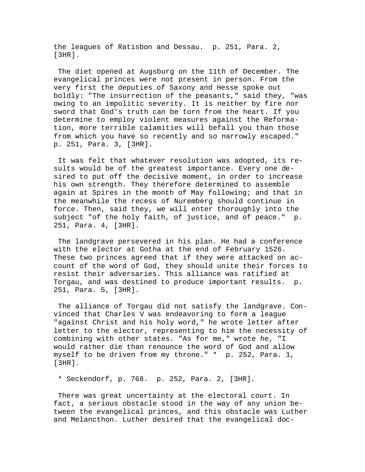the leagues of Ratisbon and Dessau. p. 251, Para. 2, [3HR].

 The diet opened at Augsburg on the 11th of December. The evangelical princes were not present in person. From the very first the deputies of Saxony and Hesse spoke out boldly: "The insurrection of the peasants," said they, "was owing to an impolitic severity. It is neither by fire nor sword that God's truth can be torn from the heart. If you determine to employ violent measures against the Reformation, more terrible calamities will befall you than those from which you have so recently and so narrowly escaped." p. 251, Para. 3, [3HR].

 It was felt that whatever resolution was adopted, its results would be of the greatest importance. Every one desired to put off the decisive moment, in order to increase his own strength. They therefore determined to assemble again at Spires in the month of May following; and that in the meanwhile the recess of Nuremberg should continue in force. Then, said they, we will enter thoroughly into the subject "of the holy faith, of justice, and of peace." p. 251, Para. 4, [3HR].

 The landgrave persevered in his plan. He had a conference with the elector at Gotha at the end of February 1526. These two princes agreed that if they were attacked on account of the word of God, they should unite their forces to resist their adversaries. This alliance was ratified at Torgau, and was destined to produce important results. p. 251, Para. 5, [3HR].

 The alliance of Torgau did not satisfy the landgrave. Convinced that Charles V was endeavoring to form a league "against Christ and his holy word," he wrote letter after letter to the elector, representing to him the necessity of combining with other states. "As for me," wrote he, "I would rather die than renounce the word of God and allow myself to be driven from my throne." \* p. 252, Para. 1, [3HR].

\* Seckendorf, p. 768. p. 252, Para. 2, [3HR].

 There was great uncertainty at the electoral court. In fact, a serious obstacle stood in the way of any union between the evangelical princes, and this obstacle was Luther and Melancthon. Luther desired that the evangelical doc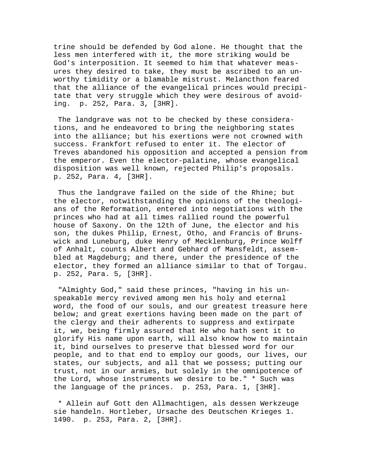trine should be defended by God alone. He thought that the less men interfered with it, the more striking would be God's interposition. It seemed to him that whatever measures they desired to take, they must be ascribed to an unworthy timidity or a blamable mistrust. Melancthon feared that the alliance of the evangelical princes would precipitate that very struggle which they were desirous of avoiding. p. 252, Para. 3, [3HR].

 The landgrave was not to be checked by these considerations, and he endeavored to bring the neighboring states into the alliance; but his exertions were not crowned with success. Frankfort refused to enter it. The elector of Treves abandoned his opposition and accepted a pension from the emperor. Even the elector-palatine, whose evangelical disposition was well known, rejected Philip's proposals. p. 252, Para. 4, [3HR].

 Thus the landgrave failed on the side of the Rhine; but the elector, notwithstanding the opinions of the theologians of the Reformation, entered into negotiations with the princes who had at all times rallied round the powerful house of Saxony. On the 12th of June, the elector and his son, the dukes Philip, Ernest, Otho, and Francis of Brunswick and Luneburg, duke Henry of Mecklenburg, Prince Wolff of Anhalt, counts Albert and Gebhard of Mansfeldt, assembled at Magdeburg; and there, under the presidence of the elector, they formed an alliance similar to that of Torgau. p. 252, Para. 5, [3HR].

 "Almighty God," said these princes, "having in his unspeakable mercy revived among men his holy and eternal word, the food of our souls, and our greatest treasure here below; and great exertions having been made on the part of the clergy and their adherents to suppress and extirpate it, we, being firmly assured that He who hath sent it to glorify His name upon earth, will also know how to maintain it, bind ourselves to preserve that blessed word for our people, and to that end to employ our goods, our lives, our states, our subjects, and all that we possess; putting our trust, not in our armies, but solely in the omnipotence of the Lord, whose instruments we desire to be." \* Such was the language of the princes. p. 253, Para. 1, [3HR].

 \* Allein auf Gott den Allmachtigen, als dessen Werkzeuge sie handeln. Hortleber, Ursache des Deutschen Krieges 1. 1490. p. 253, Para. 2, [3HR].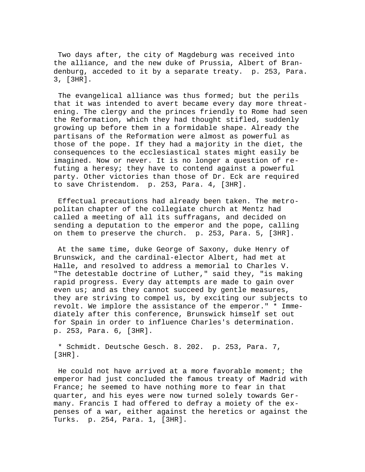Two days after, the city of Magdeburg was received into the alliance, and the new duke of Prussia, Albert of Brandenburg, acceded to it by a separate treaty. p. 253, Para. 3, [3HR].

 The evangelical alliance was thus formed; but the perils that it was intended to avert became every day more threatening. The clergy and the princes friendly to Rome had seen the Reformation, which they had thought stifled, suddenly growing up before them in a formidable shape. Already the partisans of the Reformation were almost as powerful as those of the pope. If they had a majority in the diet, the consequences to the ecclesiastical states might easily be imagined. Now or never. It is no longer a question of refuting a heresy; they have to contend against a powerful party. Other victories than those of Dr. Eck are required to save Christendom. p. 253, Para. 4, [3HR].

 Effectual precautions had already been taken. The metropolitan chapter of the collegiate church at Mentz had called a meeting of all its suffragans, and decided on sending a deputation to the emperor and the pope, calling on them to preserve the church. p. 253, Para. 5, [3HR].

 At the same time, duke George of Saxony, duke Henry of Brunswick, and the cardinal-elector Albert, had met at Halle, and resolved to address a memorial to Charles V. "The detestable doctrine of Luther," said they, "is making rapid progress. Every day attempts are made to gain over even us; and as they cannot succeed by gentle measures, they are striving to compel us, by exciting our subjects to revolt. We implore the assistance of the emperor." \* Immediately after this conference, Brunswick himself set out for Spain in order to influence Charles's determination. p. 253, Para. 6, [3HR].

 \* Schmidt. Deutsche Gesch. 8. 202. p. 253, Para. 7, [3HR].

 He could not have arrived at a more favorable moment; the emperor had just concluded the famous treaty of Madrid with France; he seemed to have nothing more to fear in that quarter, and his eyes were now turned solely towards Germany. Francis I had offered to defray a moiety of the expenses of a war, either against the heretics or against the Turks. p. 254, Para. 1, [3HR].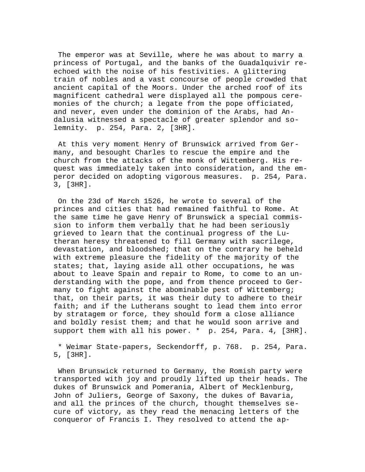The emperor was at Seville, where he was about to marry a princess of Portugal, and the banks of the Guadalquivir reechoed with the noise of his festivities. A glittering train of nobles and a vast concourse of people crowded that ancient capital of the Moors. Under the arched roof of its magnificent cathedral were displayed all the pompous ceremonies of the church; a legate from the pope officiated, and never, even under the dominion of the Arabs, had Andalusia witnessed a spectacle of greater splendor and solemnity. p. 254, Para. 2, [3HR].

 At this very moment Henry of Brunswick arrived from Germany, and besought Charles to rescue the empire and the church from the attacks of the monk of Wittemberg. His request was immediately taken into consideration, and the emperor decided on adopting vigorous measures. p. 254, Para. 3, [3HR].

 On the 23d of March 1526, he wrote to several of the princes and cities that had remained faithful to Rome. At the same time he gave Henry of Brunswick a special commission to inform them verbally that he had been seriously grieved to learn that the continual progress of the Lutheran heresy threatened to fill Germany with sacrilege, devastation, and bloodshed; that on the contrary he beheld with extreme pleasure the fidelity of the majority of the states; that, laying aside all other occupations, he was about to leave Spain and repair to Rome, to come to an understanding with the pope, and from thence proceed to Germany to fight against the abominable pest of Wittemberg; that, on their parts, it was their duty to adhere to their faith; and if the Lutherans sought to lead them into error by stratagem or force, they should form a close alliance and boldly resist them; and that he would soon arrive and support them with all his power. \* p. 254, Para. 4, [3HR].

 \* Weimar State-papers, Seckendorff, p. 768. p. 254, Para. 5, [3HR].

 When Brunswick returned to Germany, the Romish party were transported with joy and proudly lifted up their heads. The dukes of Brunswick and Pomerania, Albert of Mecklenburg, John of Juliers, George of Saxony, the dukes of Bavaria, and all the princes of the church, thought themselves secure of victory, as they read the menacing letters of the conqueror of Francis I. They resolved to attend the ap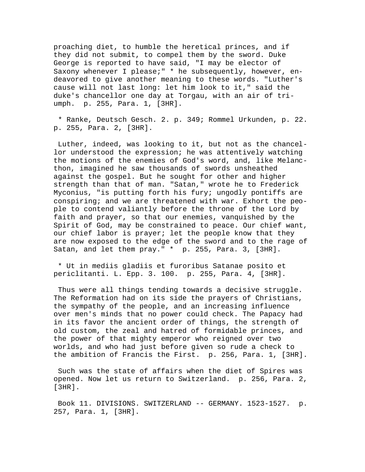proaching diet, to humble the heretical princes, and if they did not submit, to compel them by the sword. Duke George is reported to have said, "I may be elector of Saxony whenever I please;" \* he subsequently, however, endeavored to give another meaning to these words. "Luther's cause will not last long: let him look to it," said the duke's chancellor one day at Torgau, with an air of triumph. p. 255, Para. 1, [3HR].

 \* Ranke, Deutsch Gesch. 2. p. 349; Rommel Urkunden, p. 22. p. 255, Para. 2, [3HR].

 Luther, indeed, was looking to it, but not as the chancellor understood the expression; he was attentively watching the motions of the enemies of God's word, and, like Melancthon, imagined he saw thousands of swords unsheathed against the gospel. But he sought for other and higher strength than that of man. "Satan," wrote he to Frederick Myconius, "is putting forth his fury; ungodly pontiffs are conspiring; and we are threatened with war. Exhort the people to contend valiantly before the throne of the Lord by faith and prayer, so that our enemies, vanquished by the Spirit of God, may be constrained to peace. Our chief want, our chief labor is prayer; let the people know that they are now exposed to the edge of the sword and to the rage of Satan, and let them pray." \* p. 255, Para. 3, [3HR].

 \* Ut in mediis gladiis et furoribus Satanae posito et periclitanti. L. Epp. 3. 100. p. 255, Para. 4, [3HR].

 Thus were all things tending towards a decisive struggle. The Reformation had on its side the prayers of Christians, the sympathy of the people, and an increasing influence over men's minds that no power could check. The Papacy had in its favor the ancient order of things, the strength of old custom, the zeal and hatred of formidable princes, and the power of that mighty emperor who reigned over two worlds, and who had just before given so rude a check to the ambition of Francis the First. p. 256, Para. 1, [3HR].

 Such was the state of affairs when the diet of Spires was opened. Now let us return to Switzerland. p. 256, Para. 2, [3HR].

 Book 11. DIVISIONS. SWITZERLAND -- GERMANY. 1523-1527. p. 257, Para. 1, [3HR].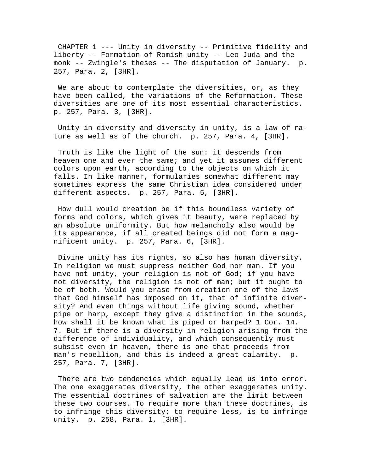CHAPTER 1 --- Unity in diversity -- Primitive fidelity and liberty -- Formation of Romish unity -- Leo Juda and the monk -- Zwingle's theses -- The disputation of January. p. 257, Para. 2, [3HR].

We are about to contemplate the diversities, or, as they have been called, the variations of the Reformation. These diversities are one of its most essential characteristics. p. 257, Para. 3, [3HR].

 Unity in diversity and diversity in unity, is a law of nature as well as of the church. p. 257, Para. 4, [3HR].

 Truth is like the light of the sun: it descends from heaven one and ever the same; and yet it assumes different colors upon earth, according to the objects on which it falls. In like manner, formularies somewhat different may sometimes express the same Christian idea considered under different aspects. p. 257, Para. 5, [3HR].

 How dull would creation be if this boundless variety of forms and colors, which gives it beauty, were replaced by an absolute uniformity. But how melancholy also would be its appearance, if all created beings did not form a magnificent unity. p. 257, Para. 6, [3HR].

 Divine unity has its rights, so also has human diversity. In religion we must suppress neither God nor man. If you have not unity, your religion is not of God; if you have not diversity, the religion is not of man; but it ought to be of both. Would you erase from creation one of the laws that God himself has imposed on it, that of infinite diversity? And even things without life giving sound, whether pipe or harp, except they give a distinction in the sounds, how shall it be known what is piped or harped? 1 Cor. 14. 7. But if there is a diversity in religion arising from the difference of individuality, and which consequently must subsist even in heaven, there is one that proceeds from man's rebellion, and this is indeed a great calamity. p. 257, Para. 7, [3HR].

 There are two tendencies which equally lead us into error. The one exaggerates diversity, the other exaggerates unity. The essential doctrines of salvation are the limit between these two courses. To require more than these doctrines, is to infringe this diversity; to require less, is to infringe unity. p. 258, Para. 1, [3HR].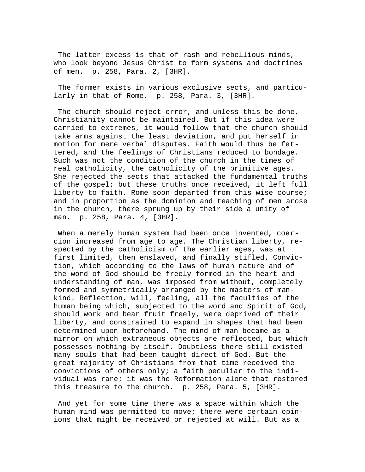The latter excess is that of rash and rebellious minds, who look beyond Jesus Christ to form systems and doctrines of men. p. 258, Para. 2, [3HR].

 The former exists in various exclusive sects, and particularly in that of Rome. p. 258, Para. 3, [3HR].

 The church should reject error, and unless this be done, Christianity cannot be maintained. But if this idea were carried to extremes, it would follow that the church should take arms against the least deviation, and put herself in motion for mere verbal disputes. Faith would thus be fettered, and the feelings of Christians reduced to bondage. Such was not the condition of the church in the times of real catholicity, the catholicity of the primitive ages. She rejected the sects that attacked the fundamental truths of the gospel; but these truths once received, it left full liberty to faith. Rome soon departed from this wise course; and in proportion as the dominion and teaching of men arose in the church, there sprung up by their side a unity of man. p. 258, Para. 4, [3HR].

When a merely human system had been once invented, coercion increased from age to age. The Christian liberty, respected by the catholicism of the earlier ages, was at first limited, then enslaved, and finally stifled. Conviction, which according to the laws of human nature and of the word of God should be freely formed in the heart and understanding of man, was imposed from without, completely formed and symmetrically arranged by the masters of mankind. Reflection, will, feeling, all the faculties of the human being which, subjected to the word and Spirit of God, should work and bear fruit freely, were deprived of their liberty, and constrained to expand in shapes that had been determined upon beforehand. The mind of man became as a mirror on which extraneous objects are reflected, but which possesses nothing by itself. Doubtless there still existed many souls that had been taught direct of God. But the great majority of Christians from that time received the convictions of others only; a faith peculiar to the individual was rare; it was the Reformation alone that restored this treasure to the church. p. 258, Para. 5, [3HR].

 And yet for some time there was a space within which the human mind was permitted to move; there were certain opinions that might be received or rejected at will. But as a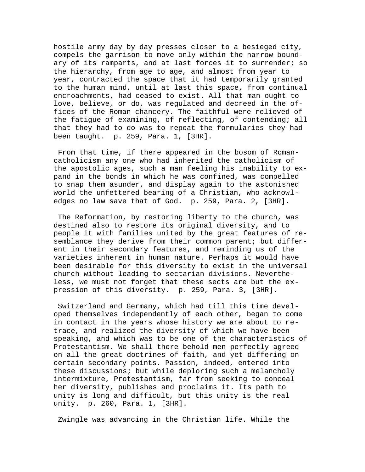hostile army day by day presses closer to a besieged city, compels the garrison to move only within the narrow boundary of its ramparts, and at last forces it to surrender; so the hierarchy, from age to age, and almost from year to year, contracted the space that it had temporarily granted to the human mind, until at last this space, from continual encroachments, had ceased to exist. All that man ought to love, believe, or do, was regulated and decreed in the offices of the Roman chancery. The faithful were relieved of the fatigue of examining, of reflecting, of contending; all that they had to do was to repeat the formularies they had been taught. p. 259, Para. 1, [3HR].

 From that time, if there appeared in the bosom of Romancatholicism any one who had inherited the catholicism of the apostolic ages, such a man feeling his inability to expand in the bonds in which he was confined, was compelled to snap them asunder, and display again to the astonished world the unfettered bearing of a Christian, who acknowledges no law save that of God. p. 259, Para. 2, [3HR].

 The Reformation, by restoring liberty to the church, was destined also to restore its original diversity, and to people it with families united by the great features of resemblance they derive from their common parent; but different in their secondary features, and reminding us of the varieties inherent in human nature. Perhaps it would have been desirable for this diversity to exist in the universal church without leading to sectarian divisions. Nevertheless, we must not forget that these sects are but the expression of this diversity. p. 259, Para. 3, [3HR].

 Switzerland and Germany, which had till this time developed themselves independently of each other, began to come in contact in the years whose history we are about to retrace, and realized the diversity of which we have been speaking, and which was to be one of the characteristics of Protestantism. We shall there behold men perfectly agreed on all the great doctrines of faith, and yet differing on certain secondary points. Passion, indeed, entered into these discussions; but while deploring such a melancholy intermixture, Protestantism, far from seeking to conceal her diversity, publishes and proclaims it. Its path to unity is long and difficult, but this unity is the real unity. p. 260, Para. 1, [3HR].

Zwingle was advancing in the Christian life. While the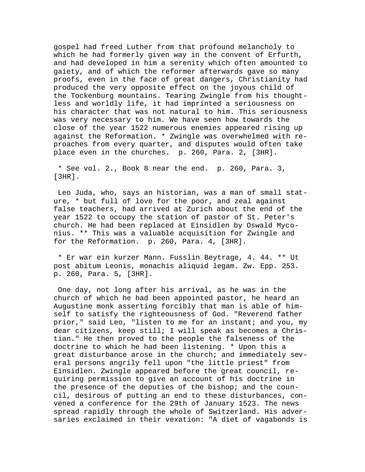gospel had freed Luther from that profound melancholy to which he had formerly given way in the convent of Erfurth, and had developed in him a serenity which often amounted to gaiety, and of which the reformer afterwards gave so many proofs, even in the face of great dangers, Christianity had produced the very opposite effect on the joyous child of the Tockenburg mountains. Tearing Zwingle from his thoughtless and worldly life, it had imprinted a seriousness on his character that was not natural to him. This seriousness was very necessary to him. We have seen how towards the close of the year 1522 numerous enemies appeared rising up against the Reformation. \* Zwingle was overwhelmed with reproaches from every quarter, and disputes would often take place even in the churches. p. 260, Para. 2, [3HR].

 \* See vol. 2., Book 8 near the end. p. 260, Para. 3, [3HR].

 Leo Juda, who, says an historian, was a man of small stature, \* but full of love for the poor, and zeal against false teachers, had arrived at Zurich about the end of the year 1522 to occupy the station of pastor of St. Peter's church. He had been replaced at Einsidlen by Oswald Myconius. \*\* This was a valuable acquisition for Zwingle and for the Reformation. p. 260, Para. 4, [3HR].

 \* Er war ein kurzer Mann. Fusslin Beytrage, 4. 44. \*\* Ut post abitum Leonis, monachis aliquid legam. Zw. Epp. 253. p. 260, Para. 5, [3HR].

 One day, not long after his arrival, as he was in the church of which he had been appointed pastor, he heard an Augustine monk asserting forcibly that man is able of himself to satisfy the righteousness of God. "Reverend father prior," said Leo, "listen to me for an instant; and you, my dear citizens, keep still; I will speak as becomes a Christian." He then proved to the people the falseness of the doctrine to which he had been listening. \* Upon this a great disturbance arose in the church; and immediately several persons angrily fell upon "the little priest" from Einsidlen. Zwingle appeared before the great council, requiring permission to give an account of his doctrine in the presence of the deputies of the bishop; and the council, desirous of putting an end to these disturbances, convened a conference for the 29th of January 1523. The news spread rapidly through the whole of Switzerland. His adversaries exclaimed in their vexation: "A diet of vagabonds is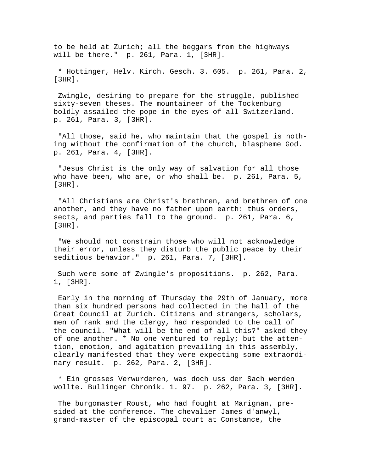to be held at Zurich; all the beggars from the highways will be there." p. 261, Para. 1, [3HR].

 \* Hottinger, Helv. Kirch. Gesch. 3. 605. p. 261, Para. 2, [3HR].

 Zwingle, desiring to prepare for the struggle, published sixty-seven theses. The mountaineer of the Tockenburg boldly assailed the pope in the eyes of all Switzerland. p. 261, Para. 3, [3HR].

 "All those, said he, who maintain that the gospel is nothing without the confirmation of the church, blaspheme God. p. 261, Para. 4, [3HR].

 "Jesus Christ is the only way of salvation for all those who have been, who are, or who shall be. p. 261, Para. 5, [3HR].

 "All Christians are Christ's brethren, and brethren of one another, and they have no father upon earth: thus orders, sects, and parties fall to the ground. p. 261, Para. 6, [3HR].

 "We should not constrain those who will not acknowledge their error, unless they disturb the public peace by their seditious behavior." p. 261, Para. 7, [3HR].

 Such were some of Zwingle's propositions. p. 262, Para. 1, [3HR].

 Early in the morning of Thursday the 29th of January, more than six hundred persons had collected in the hall of the Great Council at Zurich. Citizens and strangers, scholars, men of rank and the clergy, had responded to the call of the council. "What will be the end of all this?" asked they of one another. \* No one ventured to reply; but the attention, emotion, and agitation prevailing in this assembly, clearly manifested that they were expecting some extraordinary result. p. 262, Para. 2, [3HR].

 \* Ein grosses Verwurderen, was doch uss der Sach werden wollte. Bullinger Chronik. 1. 97. p. 262, Para. 3, [3HR].

 The burgomaster Roust, who had fought at Marignan, presided at the conference. The chevalier James d'anwyl, grand-master of the episcopal court at Constance, the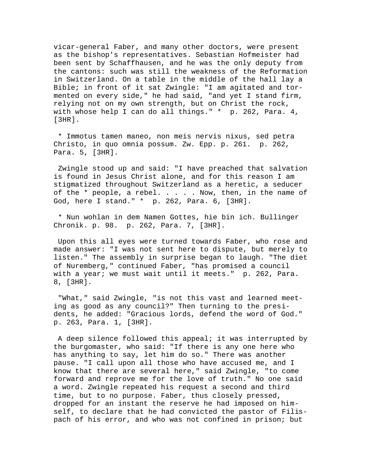vicar-general Faber, and many other doctors, were present as the bishop's representatives. Sebastian Hofmeister had been sent by Schaffhausen, and he was the only deputy from the cantons: such was still the weakness of the Reformation in Switzerland. On a table in the middle of the hall lay a Bible; in front of it sat Zwingle: "I am agitated and tormented on every side," he had said, "and yet I stand firm, relying not on my own strength, but on Christ the rock, with whose help I can do all things." \* p. 262, Para. 4, [3HR].

 \* Immotus tamen maneo, non meis nervis nixus, sed petra Christo, in quo omnia possum. Zw. Epp. p. 261. p. 262, Para. 5, [3HR].

 Zwingle stood up and said: "I have preached that salvation is found in Jesus Christ alone, and for this reason I am stigmatized throughout Switzerland as a heretic, a seducer of the \* people, a rebel. . . . . Now, then, in the name of God, here I stand." \* p. 262, Para. 6, [3HR].

 \* Nun wohlan in dem Namen Gottes, hie bin ich. Bullinger Chronik. p. 98. p. 262, Para. 7, [3HR].

 Upon this all eyes were turned towards Faber, who rose and made answer: "I was not sent here to dispute, but merely to listen." The assembly in surprise began to laugh. "The diet of Nuremberg," continued Faber, "has promised a council with a year; we must wait until it meets." p. 262, Para. 8, [3HR].

 "What," said Zwingle, "is not this vast and learned meeting as good as any council?" Then turning to the presidents, he added: "Gracious lords, defend the word of God." p. 263, Para. 1, [3HR].

 A deep silence followed this appeal; it was interrupted by the burgomaster, who said: "If there is any one here who has anything to say, let him do so." There was another pause. "I call upon all those who have accused me, and I know that there are several here," said Zwingle, "to come forward and reprove me for the love of truth." No one said a word. Zwingle repeated his request a second and third time, but to no purpose. Faber, thus closely pressed, dropped for an instant the reserve he had imposed on himself, to declare that he had convicted the pastor of Filispach of his error, and who was not confined in prison; but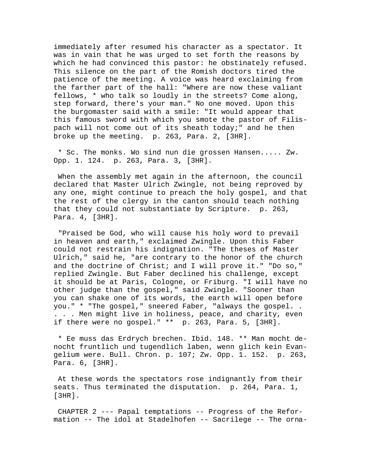immediately after resumed his character as a spectator. It was in vain that he was urged to set forth the reasons by which he had convinced this pastor: he obstinately refused. This silence on the part of the Romish doctors tired the patience of the meeting. A voice was heard exclaiming from the farther part of the hall: "Where are now these valiant fellows, \* who talk so loudly in the streets? Come along, step forward, there's your man." No one moved. Upon this the burgomaster said with a smile: "It would appear that this famous sword with which you smote the pastor of Filispach will not come out of its sheath today;" and he then broke up the meeting. p. 263, Para. 2, [3HR].

 \* Sc. The monks. Wo sind nun die grossen Hansen..... Zw. Opp. 1. 124. p. 263, Para. 3, [3HR].

 When the assembly met again in the afternoon, the council declared that Master Ulrich Zwingle, not being reproved by any one, might continue to preach the holy gospel, and that the rest of the clergy in the canton should teach nothing that they could not substantiate by Scripture. p. 263, Para. 4, [3HR].

 "Praised be God, who will cause his holy word to prevail in heaven and earth," exclaimed Zwingle. Upon this Faber could not restrain his indignation. "The theses of Master Ulrich," said he, "are contrary to the honor of the church and the doctrine of Christ; and I will prove it." "Do so," replied Zwingle. But Faber declined his challenge, except it should be at Paris, Cologne, or Friburg. "I will have no other judge than the gospel," said Zwingle. "Sooner than you can shake one of its words, the earth will open before you." \* "The gospel," sneered Faber, "always the gospel. . . . . Men might live in holiness, peace, and charity, even if there were no gospel." \*\* p. 263, Para. 5, [3HR].

 \* Ee muss das Erdrych brechen. Ibid. 148. \*\* Man mocht denocht fruntlich und tugendlich laben, wenn glich kein Evangelium were. Bull. Chron. p. 107; Zw. Opp. 1. 152. p. 263, Para. 6, [3HR].

 At these words the spectators rose indignantly from their seats. Thus terminated the disputation. p. 264, Para. 1, [3HR].

 CHAPTER 2 --- Papal temptations -- Progress of the Reformation -- The idol at Stadelhofen -- Sacrilege -- The orna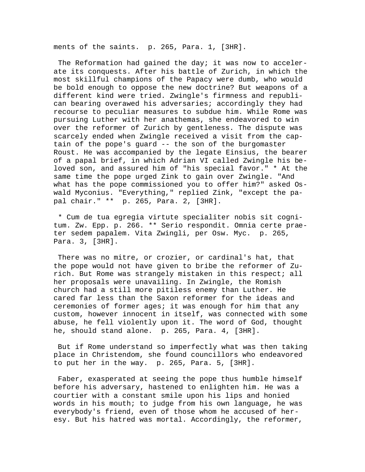ments of the saints. p. 265, Para. 1, [3HR].

 The Reformation had gained the day; it was now to accelerate its conquests. After his battle of Zurich, in which the most skillful champions of the Papacy were dumb, who would be bold enough to oppose the new doctrine? But weapons of a different kind were tried. Zwingle's firmness and republican bearing overawed his adversaries; accordingly they had recourse to peculiar measures to subdue him. While Rome was pursuing Luther with her anathemas, she endeavored to win over the reformer of Zurich by gentleness. The dispute was scarcely ended when Zwingle received a visit from the captain of the pope's guard -- the son of the burgomaster Roust. He was accompanied by the legate Einsius, the bearer of a papal brief, in which Adrian VI called Zwingle his beloved son, and assured him of "his special favor." \* At the same time the pope urged Zink to gain over Zwingle. "And what has the pope commissioned you to offer him?" asked Oswald Myconius. "Everything," replied Zink, "except the papal chair." \*\* p. 265, Para. 2, [3HR].

 \* Cum de tua egregia virtute specialiter nobis sit cognitum. Zw. Epp. p. 266. \*\* Serio respondit. Omnia certe praeter sedem papalem. Vita Zwingli, per Osw. Myc. p. 265, Para. 3, [3HR].

 There was no mitre, or crozier, or cardinal's hat, that the pope would not have given to bribe the reformer of Zurich. But Rome was strangely mistaken in this respect; all her proposals were unavailing. In Zwingle, the Romish church had a still more pitiless enemy than Luther. He cared far less than the Saxon reformer for the ideas and ceremonies of former ages; it was enough for him that any custom, however innocent in itself, was connected with some abuse, he fell violently upon it. The word of God, thought he, should stand alone. p. 265, Para. 4, [3HR].

 But if Rome understand so imperfectly what was then taking place in Christendom, she found councillors who endeavored to put her in the way. p. 265, Para. 5, [3HR].

 Faber, exasperated at seeing the pope thus humble himself before his adversary, hastened to enlighten him. He was a courtier with a constant smile upon his lips and honied words in his mouth; to judge from his own language, he was everybody's friend, even of those whom he accused of heresy. But his hatred was mortal. Accordingly, the reformer,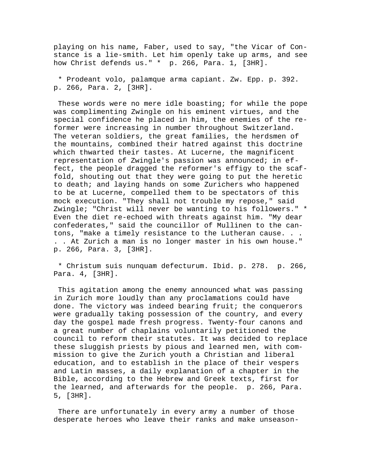playing on his name, Faber, used to say, "the Vicar of Constance is a lie-smith. Let him openly take up arms, and see how Christ defends us." \* p. 266, Para. 1, [3HR].

 \* Prodeant volo, palamque arma capiant. Zw. Epp. p. 392. p. 266, Para. 2, [3HR].

 These words were no mere idle boasting; for while the pope was complimenting Zwingle on his eminent virtues, and the special confidence he placed in him, the enemies of the reformer were increasing in number throughout Switzerland. The veteran soldiers, the great families, the herdsmen of the mountains, combined their hatred against this doctrine which thwarted their tastes. At Lucerne, the magnificent representation of Zwingle's passion was announced; in effect, the people dragged the reformer's effigy to the scaffold, shouting out that they were going to put the heretic to death; and laying hands on some Zurichers who happened to be at Lucerne, compelled them to be spectators of this mock execution. "They shall not trouble my repose," said Zwingle; "Christ will never be wanting to his followers." \* Even the diet re-echoed with threats against him. "My dear confederates," said the councillor of Mullinen to the cantons, "make a timely resistance to the Lutheran cause. . . . . At Zurich a man is no longer master in his own house." p. 266, Para. 3, [3HR].

 \* Christum suis nunquam defecturum. Ibid. p. 278. p. 266, Para. 4, [3HR].

 This agitation among the enemy announced what was passing in Zurich more loudly than any proclamations could have done. The victory was indeed bearing fruit; the conquerors were gradually taking possession of the country, and every day the gospel made fresh progress. Twenty-four canons and a great number of chaplains voluntarily petitioned the council to reform their statutes. It was decided to replace these sluggish priests by pious and learned men, with commission to give the Zurich youth a Christian and liberal education, and to establish in the place of their vespers and Latin masses, a daily explanation of a chapter in the Bible, according to the Hebrew and Greek texts, first for the learned, and afterwards for the people. p. 266, Para. 5, [3HR].

 There are unfortunately in every army a number of those desperate heroes who leave their ranks and make unseason-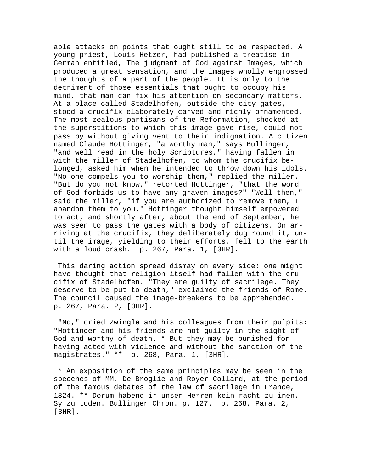able attacks on points that ought still to be respected. A young priest, Louis Hetzer, had published a treatise in German entitled, The judgment of God against Images, which produced a great sensation, and the images wholly engrossed the thoughts of a part of the people. It is only to the detriment of those essentials that ought to occupy his mind, that man can fix his attention on secondary matters. At a place called Stadelhofen, outside the city gates, stood a crucifix elaborately carved and richly ornamented. The most zealous partisans of the Reformation, shocked at the superstitions to which this image gave rise, could not pass by without giving vent to their indignation. A citizen named Claude Hottinger, "a worthy man," says Bullinger, "and well read in the holy Scriptures," having fallen in with the miller of Stadelhofen, to whom the crucifix belonged, asked him when he intended to throw down his idols. "No one compels you to worship them," replied the miller. "But do you not know," retorted Hottinger, "that the word of God forbids us to have any graven images?" "Well then," said the miller, "if you are authorized to remove them, I abandon them to you." Hottinger thought himself empowered to act, and shortly after, about the end of September, he was seen to pass the gates with a body of citizens. On arriving at the crucifix, they deliberately dug round it, until the image, yielding to their efforts, fell to the earth with a loud crash. p. 267, Para. 1, [3HR].

 This daring action spread dismay on every side: one might have thought that religion itself had fallen with the crucifix of Stadelhofen. "They are guilty of sacrilege. They deserve to be put to death," exclaimed the friends of Rome. The council caused the image-breakers to be apprehended. p. 267, Para. 2, [3HR].

 "No," cried Zwingle and his colleagues from their pulpits: "Hottinger and his friends are not guilty in the sight of God and worthy of death. \* But they may be punished for having acted with violence and without the sanction of the magistrates." \*\* p. 268, Para. 1, [3HR].

 \* An exposition of the same principles may be seen in the speeches of MM. De Broglie and Royer-Collard, at the period of the famous debates of the law of sacrilege in France, 1824. \*\* Dorum habend ir unser Herren kein racht zu inen. Sy zu toden. Bullinger Chron. p. 127. p. 268, Para. 2, [3HR].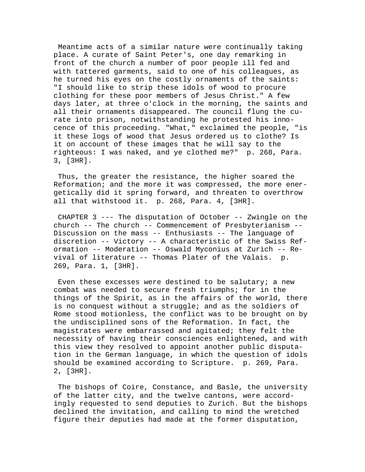Meantime acts of a similar nature were continually taking place. A curate of Saint Peter's, one day remarking in front of the church a number of poor people ill fed and with tattered garments, said to one of his colleagues, as he turned his eyes on the costly ornaments of the saints: "I should like to strip these idols of wood to procure clothing for these poor members of Jesus Christ." A few days later, at three o'clock in the morning, the saints and all their ornaments disappeared. The council flung the curate into prison, notwithstanding he protested his innocence of this proceeding. "What," exclaimed the people, "is it these logs of wood that Jesus ordered us to clothe? Is it on account of these images that he will say to the righteous: I was naked, and ye clothed me?" p. 268, Para. 3, [3HR].

 Thus, the greater the resistance, the higher soared the Reformation; and the more it was compressed, the more energetically did it spring forward, and threaten to overthrow all that withstood it. p. 268, Para. 4, [3HR].

 CHAPTER 3 --- The disputation of October -- Zwingle on the church -- The church -- Commencement of Presbyterianism -- Discussion on the mass -- Enthusiasts -- The language of discretion -- Victory -- A characteristic of the Swiss Reformation -- Moderation -- Oswald Myconius at Zurich -- Revival of literature -- Thomas Plater of the Valais. p. 269, Para. 1, [3HR].

Even these excesses were destined to be salutary; a new combat was needed to secure fresh triumphs; for in the things of the Spirit, as in the affairs of the world, there is no conquest without a struggle; and as the soldiers of Rome stood motionless, the conflict was to be brought on by the undisciplined sons of the Reformation. In fact, the magistrates were embarrassed and agitated; they felt the necessity of having their consciences enlightened, and with this view they resolved to appoint another public disputation in the German language, in which the question of idols should be examined according to Scripture. p. 269, Para. 2, [3HR].

 The bishops of Coire, Constance, and Basle, the university of the latter city, and the twelve cantons, were accordingly requested to send deputies to Zurich. But the bishops declined the invitation, and calling to mind the wretched figure their deputies had made at the former disputation,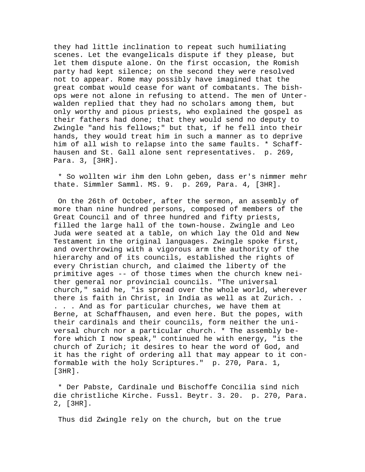they had little inclination to repeat such humiliating scenes. Let the evangelicals dispute if they please, but let them dispute alone. On the first occasion, the Romish party had kept silence; on the second they were resolved not to appear. Rome may possibly have imagined that the great combat would cease for want of combatants. The bishops were not alone in refusing to attend. The men of Unterwalden replied that they had no scholars among them, but only worthy and pious priests, who explained the gospel as their fathers had done; that they would send no deputy to Zwingle "and his fellows;" but that, if he fell into their hands, they would treat him in such a manner as to deprive him of all wish to relapse into the same faults. \* Schaffhausen and St. Gall alone sent representatives. p. 269, Para. 3, [3HR].

 \* So wollten wir ihm den Lohn geben, dass er's nimmer mehr thate. Simmler Samml. MS. 9. p. 269, Para. 4, [3HR].

 On the 26th of October, after the sermon, an assembly of more than nine hundred persons, composed of members of the Great Council and of three hundred and fifty priests, filled the large hall of the town-house. Zwingle and Leo Juda were seated at a table, on which lay the Old and New Testament in the original languages. Zwingle spoke first, and overthrowing with a vigorous arm the authority of the hierarchy and of its councils, established the rights of every Christian church, and claimed the liberty of the primitive ages -- of those times when the church knew neither general nor provincial councils. "The universal church," said he, "is spread over the whole world, wherever there is faith in Christ, in India as well as at Zurich. . . . . And as for particular churches, we have them at Berne, at Schaffhausen, and even here. But the popes, with their cardinals and their councils, form neither the universal church nor a particular church. \* The assembly before which I now speak," continued he with energy, "is the church of Zurich; it desires to hear the word of God, and it has the right of ordering all that may appear to it conformable with the holy Scriptures." p. 270, Para. 1, [3HR].

 \* Der Pabste, Cardinale und Bischoffe Concilia sind nich die christliche Kirche. Fussl. Beytr. 3. 20. p. 270, Para. 2, [3HR].

Thus did Zwingle rely on the church, but on the true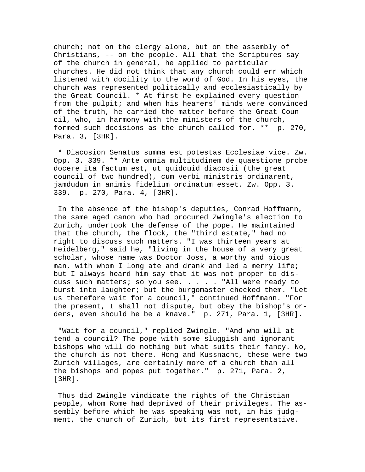church; not on the clergy alone, but on the assembly of Christians, -- on the people. All that the Scriptures say of the church in general, he applied to particular churches. He did not think that any church could err which listened with docility to the word of God. In his eyes, the church was represented politically and ecclesiastically by the Great Council. \* At first he explained every question from the pulpit; and when his hearers' minds were convinced of the truth, he carried the matter before the Great Council, who, in harmony with the ministers of the church, formed such decisions as the church called for. \*\* p. 270, Para. 3, [3HR].

 \* Diacosion Senatus summa est potestas Ecclesiae vice. Zw. Opp. 3. 339. \*\* Ante omnia multitudinem de quaestione probe docere ita factum est, ut quidquid diacosii (the great council of two hundred), cum verbi ministris ordinarent, jamdudum in animis fidelium ordinatum esset. Zw. Opp. 3. 339. p. 270, Para. 4, [3HR].

 In the absence of the bishop's deputies, Conrad Hoffmann, the same aged canon who had procured Zwingle's election to Zurich, undertook the defense of the pope. He maintained that the church, the flock, the "third estate," had no right to discuss such matters. "I was thirteen years at Heidelberg," said he, "living in the house of a very great scholar, whose name was Doctor Joss, a worthy and pious man, with whom I long ate and drank and led a merry life; but I always heard him say that it was not proper to discuss such matters; so you see. . . . . "All were ready to burst into laughter; but the burgomaster checked them. "Let us therefore wait for a council," continued Hoffmann. "For the present, I shall not dispute, but obey the bishop's orders, even should he be a knave." p. 271, Para. 1, [3HR].

 "Wait for a council," replied Zwingle. "And who will attend a council? The pope with some sluggish and ignorant bishops who will do nothing but what suits their fancy. No, the church is not there. Hong and Kussnacht, these were two Zurich villages, are certainly more of a church than all the bishops and popes put together." p. 271, Para. 2, [3HR].

 Thus did Zwingle vindicate the rights of the Christian people, whom Rome had deprived of their privileges. The assembly before which he was speaking was not, in his judgment, the church of Zurich, but its first representative.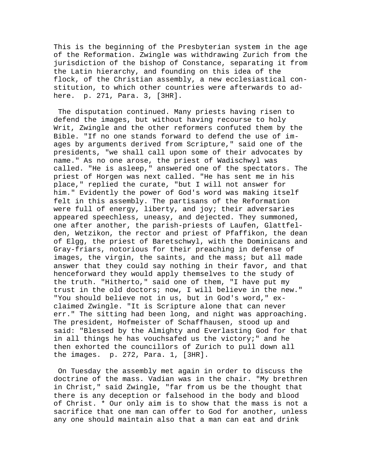This is the beginning of the Presbyterian system in the age of the Reformation. Zwingle was withdrawing Zurich from the jurisdiction of the bishop of Constance, separating it from the Latin hierarchy, and founding on this idea of the flock, of the Christian assembly, a new ecclesiastical constitution, to which other countries were afterwards to adhere. p. 271, Para. 3, [3HR].

 The disputation continued. Many priests having risen to defend the images, but without having recourse to holy Writ, Zwingle and the other reformers confuted them by the Bible. "If no one stands forward to defend the use of images by arguments derived from Scripture," said one of the presidents, "we shall call upon some of their advocates by name." As no one arose, the priest of Wadischwyl was called. "He is asleep," answered one of the spectators. The priest of Horgen was next called. "He has sent me in his place," replied the curate, "but I will not answer for him." Evidently the power of God's word was making itself felt in this assembly. The partisans of the Reformation were full of energy, liberty, and joy; their adversaries appeared speechless, uneasy, and dejected. They summoned, one after another, the parish-priests of Laufen, Glattfelden, Wetzikon, the rector and priest of Pfaffikon, the dean of Elgg, the priest of Baretschwyl, with the Dominicans and Gray-friars, notorious for their preaching in defense of images, the virgin, the saints, and the mass; but all made answer that they could say nothing in their favor, and that henceforward they would apply themselves to the study of the truth. "Hitherto," said one of them, "I have put my trust in the old doctors; now, I will believe in the new." "You should believe not in us, but in God's word," exclaimed Zwingle. "It is Scripture alone that can never err." The sitting had been long, and night was approaching. The president, Hofmeister of Schaffhausen, stood up and said: "Blessed by the Almighty and Everlasting God for that in all things he has vouchsafed us the victory;" and he then exhorted the councillors of Zurich to pull down all the images. p. 272, Para. 1, [3HR].

 On Tuesday the assembly met again in order to discuss the doctrine of the mass. Vadian was in the chair. "My brethren in Christ," said Zwingle, "far from us be the thought that there is any deception or falsehood in the body and blood of Christ. \* Our only aim is to show that the mass is not a sacrifice that one man can offer to God for another, unless any one should maintain also that a man can eat and drink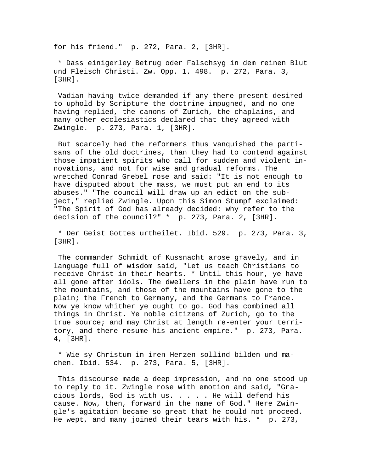for his friend." p. 272, Para. 2, [3HR].

 \* Dass einigerley Betrug oder Falschsyg in dem reinen Blut und Fleisch Christi. Zw. Opp. 1. 498. p. 272, Para. 3, [3HR].

 Vadian having twice demanded if any there present desired to uphold by Scripture the doctrine impugned, and no one having replied, the canons of Zurich, the chaplains, and many other ecclesiastics declared that they agreed with Zwingle. p. 273, Para. 1, [3HR].

 But scarcely had the reformers thus vanquished the partisans of the old doctrines, than they had to contend against those impatient spirits who call for sudden and violent innovations, and not for wise and gradual reforms. The wretched Conrad Grebel rose and said: "It is not enough to have disputed about the mass, we must put an end to its abuses." "The council will draw up an edict on the subject," replied Zwingle. Upon this Simon Stumpf exclaimed: "The Spirit of God has already decided: why refer to the decision of the council?" \* p. 273, Para. 2, [3HR].

 \* Der Geist Gottes urtheilet. Ibid. 529. p. 273, Para. 3, [3HR].

 The commander Schmidt of Kussnacht arose gravely, and in language full of wisdom said, "Let us teach Christians to receive Christ in their hearts. \* Until this hour, ye have all gone after idols. The dwellers in the plain have run to the mountains, and those of the mountains have gone to the plain; the French to Germany, and the Germans to France. Now ye know whither ye ought to go. God has combined all things in Christ. Ye noble citizens of Zurich, go to the true source; and may Christ at length re-enter your territory, and there resume his ancient empire." p. 273, Para. 4, [3HR].

 \* Wie sy Christum in iren Herzen sollind bilden und machen. Ibid. 534. p. 273, Para. 5, [3HR].

 This discourse made a deep impression, and no one stood up to reply to it. Zwingle rose with emotion and said, "Gracious lords, God is with us. . . . . He will defend his cause. Now, then, forward in the name of God." Here Zwingle's agitation became so great that he could not proceed. He wept, and many joined their tears with his. \* p. 273,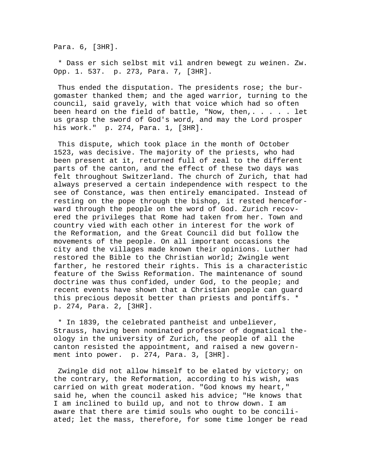Para. 6, [3HR].

 \* Dass er sich selbst mit vil andren bewegt zu weinen. Zw. Opp. 1. 537. p. 273, Para. 7, [3HR].

 Thus ended the disputation. The presidents rose; the burgomaster thanked them; and the aged warrior, turning to the council, said gravely, with that voice which had so often been heard on the field of battle, "Now, then,  $\ldots$  . . let us grasp the sword of God's word, and may the Lord prosper his work." p. 274, Para. 1, [3HR].

 This dispute, which took place in the month of October 1523, was decisive. The majority of the priests, who had been present at it, returned full of zeal to the different parts of the canton, and the effect of these two days was felt throughout Switzerland. The church of Zurich, that had always preserved a certain independence with respect to the see of Constance, was then entirely emancipated. Instead of resting on the pope through the bishop, it rested henceforward through the people on the word of God. Zurich recovered the privileges that Rome had taken from her. Town and country vied with each other in interest for the work of the Reformation, and the Great Council did but follow the movements of the people. On all important occasions the city and the villages made known their opinions. Luther had restored the Bible to the Christian world; Zwingle went farther, he restored their rights. This is a characteristic feature of the Swiss Reformation. The maintenance of sound doctrine was thus confided, under God, to the people; and recent events have shown that a Christian people can guard this precious deposit better than priests and pontiffs. \* p. 274, Para. 2, [3HR].

 \* In 1839, the celebrated pantheist and unbeliever, Strauss, having been nominated professor of dogmatical theology in the university of Zurich, the people of all the canton resisted the appointment, and raised a new government into power. p. 274, Para. 3, [3HR].

 Zwingle did not allow himself to be elated by victory; on the contrary, the Reformation, according to his wish, was carried on with great moderation. "God knows my heart," said he, when the council asked his advice; "He knows that I am inclined to build up, and not to throw down. I am aware that there are timid souls who ought to be conciliated; let the mass, therefore, for some time longer be read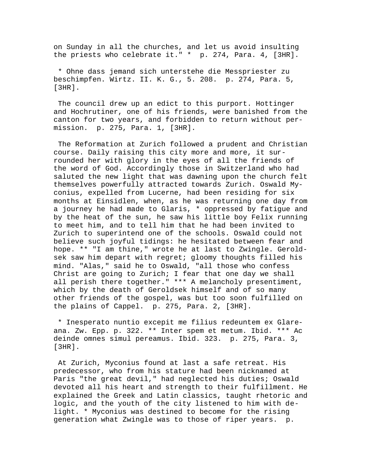on Sunday in all the churches, and let us avoid insulting the priests who celebrate it." \* p. 274, Para. 4, [3HR].

 \* Ohne dass jemand sich unterstehe die Messpriester zu beschimpfen. Wirtz. II. K. G., 5. 208. p. 274, Para. 5, [3HR].

 The council drew up an edict to this purport. Hottinger and Hochrutiner, one of his friends, were banished from the canton for two years, and forbidden to return without permission. p. 275, Para. 1, [3HR].

 The Reformation at Zurich followed a prudent and Christian course. Daily raising this city more and more, it surrounded her with glory in the eyes of all the friends of the word of God. Accordingly those in Switzerland who had saluted the new light that was dawning upon the church felt themselves powerfully attracted towards Zurich. Oswald Myconius, expelled from Lucerne, had been residing for six months at Einsidlen, when, as he was returning one day from a journey he had made to Glaris, \* oppressed by fatigue and by the heat of the sun, he saw his little boy Felix running to meet him, and to tell him that he had been invited to Zurich to superintend one of the schools. Oswald could not believe such joyful tidings: he hesitated between fear and hope. \*\* "I am thine," wrote he at last to Zwingle. Geroldsek saw him depart with regret; gloomy thoughts filled his mind. "Alas," said he to Oswald, "all those who confess Christ are going to Zurich; I fear that one day we shall all perish there together." \*\*\* A melancholy presentiment, which by the death of Geroldsek himself and of so many other friends of the gospel, was but too soon fulfilled on the plains of Cappel. p. 275, Para. 2, [3HR].

 \* Inesperato nuntio excepit me filius redeuntem ex Glareana. Zw. Epp. p. 322. \*\* Inter spem et metum. Ibid. \*\*\* Ac deinde omnes simul pereamus. Ibid. 323. p. 275, Para. 3, [3HR].

 At Zurich, Myconius found at last a safe retreat. His predecessor, who from his stature had been nicknamed at Paris "the great devil," had neglected his duties; Oswald devoted all his heart and strength to their fulfillment. He explained the Greek and Latin classics, taught rhetoric and logic, and the youth of the city listened to him with delight. \* Myconius was destined to become for the rising generation what Zwingle was to those of riper years. p.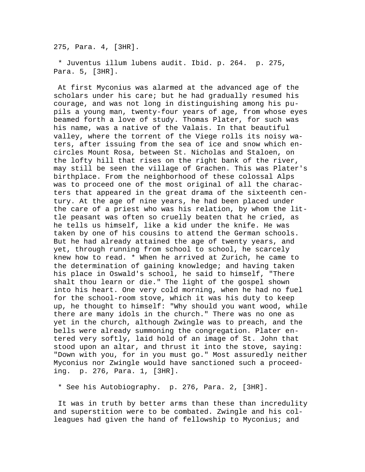275, Para. 4, [3HR].

 \* Juventus illum lubens audit. Ibid. p. 264. p. 275, Para. 5, [3HR].

 At first Myconius was alarmed at the advanced age of the scholars under his care; but he had gradually resumed his courage, and was not long in distinguishing among his pupils a young man, twenty-four years of age, from whose eyes beamed forth a love of study. Thomas Plater, for such was his name, was a native of the Valais. In that beautiful valley, where the torrent of the Viege rolls its noisy waters, after issuing from the sea of ice and snow which encircles Mount Rosa, between St. Nicholas and Staloen, on the lofty hill that rises on the right bank of the river, may still be seen the village of Grachen. This was Plater's birthplace. From the neighborhood of these colossal Alps was to proceed one of the most original of all the characters that appeared in the great drama of the sixteenth century. At the age of nine years, he had been placed under the care of a priest who was his relation, by whom the little peasant was often so cruelly beaten that he cried, as he tells us himself, like a kid under the knife. He was taken by one of his cousins to attend the German schools. But he had already attained the age of twenty years, and yet, through running from school to school, he scarcely knew how to read. \* When he arrived at Zurich, he came to the determination of gaining knowledge; and having taken his place in Oswald's school, he said to himself, "There shalt thou learn or die." The light of the gospel shown into his heart. One very cold morning, when he had no fuel for the school-room stove, which it was his duty to keep up, he thought to himself: "Why should you want wood, while there are many idols in the church." There was no one as yet in the church, although Zwingle was to preach, and the bells were already summoning the congregation. Plater entered very softly, laid hold of an image of St. John that stood upon an altar, and thrust it into the stove, saying: "Down with you, for in you must go." Most assuredly neither Myconius nor Zwingle would have sanctioned such a proceeding. p. 276, Para. 1, [3HR].

\* See his Autobiography. p. 276, Para. 2, [3HR].

 It was in truth by better arms than these than incredulity and superstition were to be combated. Zwingle and his colleagues had given the hand of fellowship to Myconius; and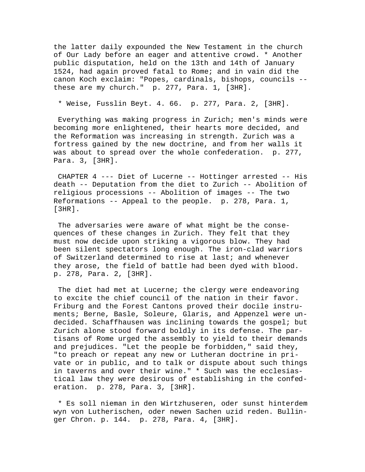the latter daily expounded the New Testament in the church of Our Lady before an eager and attentive crowd. \* Another public disputation, held on the 13th and 14th of January 1524, had again proved fatal to Rome; and in vain did the canon Koch exclaim: "Popes, cardinals, bishops, councils - these are my church." p. 277, Para. 1, [3HR].

\* Weise, Fusslin Beyt. 4. 66. p. 277, Para. 2, [3HR].

 Everything was making progress in Zurich; men's minds were becoming more enlightened, their hearts more decided, and the Reformation was increasing in strength. Zurich was a fortress gained by the new doctrine, and from her walls it was about to spread over the whole confederation. p. 277, Para. 3, [3HR].

 CHAPTER 4 --- Diet of Lucerne -- Hottinger arrested -- His death -- Deputation from the diet to Zurich -- Abolition of religious processions -- Abolition of images -- The two Reformations -- Appeal to the people. p. 278, Para. 1, [3HR].

 The adversaries were aware of what might be the consequences of these changes in Zurich. They felt that they must now decide upon striking a vigorous blow. They had been silent spectators long enough. The iron-clad warriors of Switzerland determined to rise at last; and whenever they arose, the field of battle had been dyed with blood. p. 278, Para. 2, [3HR].

 The diet had met at Lucerne; the clergy were endeavoring to excite the chief council of the nation in their favor. Friburg and the Forest Cantons proved their docile instruments; Berne, Basle, Soleure, Glaris, and Appenzel were undecided. Schaffhausen was inclining towards the gospel; but Zurich alone stood forward boldly in its defense. The partisans of Rome urged the assembly to yield to their demands and prejudices. "Let the people be forbidden," said they, "to preach or repeat any new or Lutheran doctrine in private or in public, and to talk or dispute about such things in taverns and over their wine." \* Such was the ecclesiastical law they were desirous of establishing in the confederation. p. 278, Para. 3, [3HR].

 \* Es soll nieman in den Wirtzhuseren, oder sunst hinterdem wyn von Lutherischen, oder newen Sachen uzid reden. Bullinger Chron. p. 144. p. 278, Para. 4, [3HR].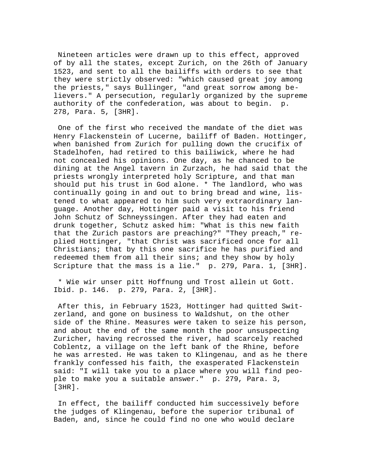Nineteen articles were drawn up to this effect, approved of by all the states, except Zurich, on the 26th of January 1523, and sent to all the bailiffs with orders to see that they were strictly observed: "which caused great joy among the priests," says Bullinger, "and great sorrow among believers." A persecution, regularly organized by the supreme authority of the confederation, was about to begin. p. 278, Para. 5, [3HR].

 One of the first who received the mandate of the diet was Henry Flackenstein of Lucerne, bailiff of Baden. Hottinger, when banished from Zurich for pulling down the crucifix of Stadelhofen, had retired to this bailiwick, where he had not concealed his opinions. One day, as he chanced to be dining at the Angel tavern in Zurzach, he had said that the priests wrongly interpreted holy Scripture, and that man should put his trust in God alone. \* The landlord, who was continually going in and out to bring bread and wine, listened to what appeared to him such very extraordinary language. Another day, Hottinger paid a visit to his friend John Schutz of Schneyssingen. After they had eaten and drunk together, Schutz asked him: "What is this new faith that the Zurich pastors are preaching?" "They preach," replied Hottinger, "that Christ was sacrificed once for all Christians; that by this one sacrifice he has purified and redeemed them from all their sins; and they show by holy Scripture that the mass is a lie." p. 279, Para. 1, [3HR].

 \* Wie wir unser pitt Hoffnung und Trost allein ut Gott. Ibid. p. 146. p. 279, Para. 2, [3HR].

 After this, in February 1523, Hottinger had quitted Switzerland, and gone on business to Waldshut, on the other side of the Rhine. Measures were taken to seize his person, and about the end of the same month the poor unsuspecting Zuricher, having recrossed the river, had scarcely reached Coblentz, a village on the left bank of the Rhine, before he was arrested. He was taken to Klingenau, and as he there frankly confessed his faith, the exasperated Flackenstein said: "I will take you to a place where you will find people to make you a suitable answer." p. 279, Para. 3, [3HR].

 In effect, the bailiff conducted him successively before the judges of Klingenau, before the superior tribunal of Baden, and, since he could find no one who would declare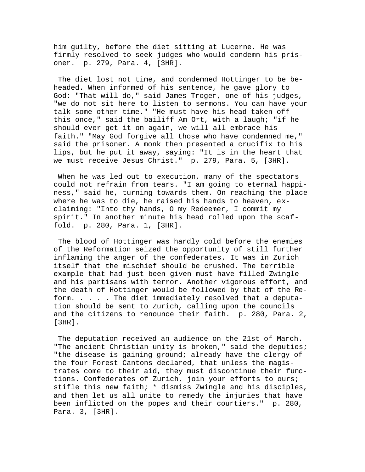him guilty, before the diet sitting at Lucerne. He was firmly resolved to seek judges who would condemn his prisoner. p. 279, Para. 4, [3HR].

 The diet lost not time, and condemned Hottinger to be beheaded. When informed of his sentence, he gave glory to God: "That will do," said James Troger, one of his judges, "we do not sit here to listen to sermons. You can have your talk some other time." "He must have his head taken off this once," said the bailiff Am Ort, with a laugh; "if he should ever get it on again, we will all embrace his faith." "May God forgive all those who have condemned me," said the prisoner. A monk then presented a crucifix to his lips, but he put it away, saying: "It is in the heart that we must receive Jesus Christ." p. 279, Para. 5, [3HR].

 When he was led out to execution, many of the spectators could not refrain from tears. "I am going to eternal happiness," said he, turning towards them. On reaching the place where he was to die, he raised his hands to heaven, exclaiming: "Into thy hands, O my Redeemer, I commit my spirit." In another minute his head rolled upon the scaffold. p. 280, Para. 1, [3HR].

 The blood of Hottinger was hardly cold before the enemies of the Reformation seized the opportunity of still further inflaming the anger of the confederates. It was in Zurich itself that the mischief should be crushed. The terrible example that had just been given must have filled Zwingle and his partisans with terror. Another vigorous effort, and the death of Hottinger would be followed by that of the Reform. . . . . The diet immediately resolved that a deputation should be sent to Zurich, calling upon the councils and the citizens to renounce their faith. p. 280, Para. 2, [3HR].

 The deputation received an audience on the 21st of March. "The ancient Christian unity is broken," said the deputies; "the disease is gaining ground; already have the clergy of the four Forest Cantons declared, that unless the magistrates come to their aid, they must discontinue their functions. Confederates of Zurich, join your efforts to ours; stifle this new faith; \* dismiss Zwingle and his disciples, and then let us all unite to remedy the injuries that have been inflicted on the popes and their courtiers." p. 280, Para. 3, [3HR].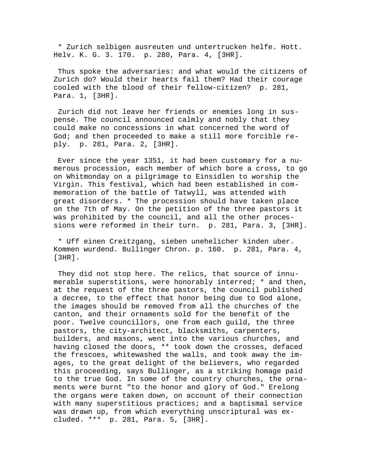\* Zurich selbigen ausreuten und untertrucken helfe. Hott. Helv. K. G. 3. 170. p. 280, Para. 4, [3HR].

 Thus spoke the adversaries: and what would the citizens of Zurich do? Would their hearts fail them? Had their courage cooled with the blood of their fellow-citizen? p. 281, Para. 1, [3HR].

 Zurich did not leave her friends or enemies long in suspense. The council announced calmly and nobly that they could make no concessions in what concerned the word of God; and then proceeded to make a still more forcible reply. p. 281, Para. 2, [3HR].

 Ever since the year 1351, it had been customary for a numerous procession, each member of which bore a cross, to go on Whitmonday on a pilgrimage to Einsidlen to worship the Virgin. This festival, which had been established in commemoration of the battle of Tatwyll, was attended with great disorders. \* The procession should have taken place on the 7th of May. On the petition of the three pastors it was prohibited by the council, and all the other processions were reformed in their turn. p. 281, Para. 3, [3HR].

 \* Uff einen Creitzgang, sieben unehelicher kinden uber. Kommen wurdend. Bullinger Chron. p. 160. p. 281, Para. 4, [3HR].

 They did not stop here. The relics, that source of innumerable superstitions, were honorably interred; \* and then, at the request of the three pastors, the council published a decree, to the effect that honor being due to God alone, the images should be removed from all the churches of the canton, and their ornaments sold for the benefit of the poor. Twelve councillors, one from each guild, the three pastors, the city-architect, blacksmiths, carpenters, builders, and masons, went into the various churches, and having closed the doors, \*\* took down the crosses, defaced the frescoes, whitewashed the walls, and took away the images, to the great delight of the believers, who regarded this proceeding, says Bullinger, as a striking homage paid to the true God. In some of the country churches, the ornaments were burnt "to the honor and glory of God." Erelong the organs were taken down, on account of their connection with many superstitious practices; and a baptismal service was drawn up, from which everything unscriptural was excluded. \*\*\* p. 281, Para. 5, [3HR].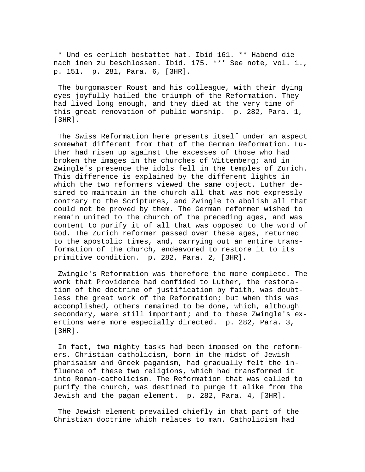\* Und es eerlich bestattet hat. Ibid 161. \*\* Habend die nach inen zu beschlossen. Ibid. 175. \*\*\* See note, vol. 1., p. 151. p. 281, Para. 6, [3HR].

 The burgomaster Roust and his colleague, with their dying eyes joyfully hailed the triumph of the Reformation. They had lived long enough, and they died at the very time of this great renovation of public worship. p. 282, Para. 1, [3HR].

 The Swiss Reformation here presents itself under an aspect somewhat different from that of the German Reformation. Luther had risen up against the excesses of those who had broken the images in the churches of Wittemberg; and in Zwingle's presence the idols fell in the temples of Zurich. This difference is explained by the different lights in which the two reformers viewed the same object. Luther desired to maintain in the church all that was not expressly contrary to the Scriptures, and Zwingle to abolish all that could not be proved by them. The German reformer wished to remain united to the church of the preceding ages, and was content to purify it of all that was opposed to the word of God. The Zurich reformer passed over these ages, returned to the apostolic times, and, carrying out an entire transformation of the church, endeavored to restore it to its primitive condition. p. 282, Para. 2, [3HR].

 Zwingle's Reformation was therefore the more complete. The work that Providence had confided to Luther, the restoration of the doctrine of justification by faith, was doubtless the great work of the Reformation; but when this was accomplished, others remained to be done, which, although secondary, were still important; and to these Zwingle's exertions were more especially directed. p. 282, Para. 3, [3HR].

 In fact, two mighty tasks had been imposed on the reformers. Christian catholicism, born in the midst of Jewish pharisaism and Greek paganism, had gradually felt the influence of these two religions, which had transformed it into Roman-catholicism. The Reformation that was called to purify the church, was destined to purge it alike from the Jewish and the pagan element. p. 282, Para. 4, [3HR].

 The Jewish element prevailed chiefly in that part of the Christian doctrine which relates to man. Catholicism had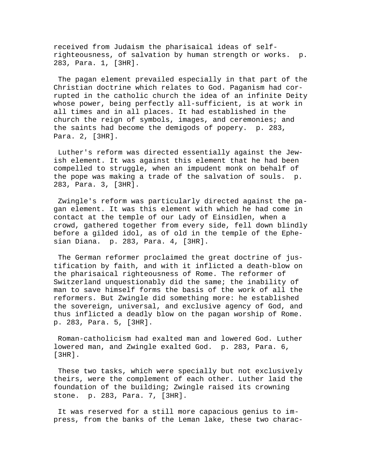received from Judaism the pharisaical ideas of selfrighteousness, of salvation by human strength or works. p. 283, Para. 1, [3HR].

 The pagan element prevailed especially in that part of the Christian doctrine which relates to God. Paganism had corrupted in the catholic church the idea of an infinite Deity whose power, being perfectly all-sufficient, is at work in all times and in all places. It had established in the church the reign of symbols, images, and ceremonies; and the saints had become the demigods of popery. p. 283, Para. 2, [3HR].

 Luther's reform was directed essentially against the Jewish element. It was against this element that he had been compelled to struggle, when an impudent monk on behalf of the pope was making a trade of the salvation of souls. p. 283, Para. 3, [3HR].

 Zwingle's reform was particularly directed against the pagan element. It was this element with which he had come in contact at the temple of our Lady of Einsidlen, when a crowd, gathered together from every side, fell down blindly before a gilded idol, as of old in the temple of the Ephesian Diana. p. 283, Para. 4, [3HR].

 The German reformer proclaimed the great doctrine of justification by faith, and with it inflicted a death-blow on the pharisaical righteousness of Rome. The reformer of Switzerland unquestionably did the same; the inability of man to save himself forms the basis of the work of all the reformers. But Zwingle did something more: he established the sovereign, universal, and exclusive agency of God, and thus inflicted a deadly blow on the pagan worship of Rome. p. 283, Para. 5, [3HR].

 Roman-catholicism had exalted man and lowered God. Luther lowered man, and Zwingle exalted God. p. 283, Para. 6, [3HR].

 These two tasks, which were specially but not exclusively theirs, were the complement of each other. Luther laid the foundation of the building; Zwingle raised its crowning stone. p. 283, Para. 7, [3HR].

 It was reserved for a still more capacious genius to impress, from the banks of the Leman lake, these two charac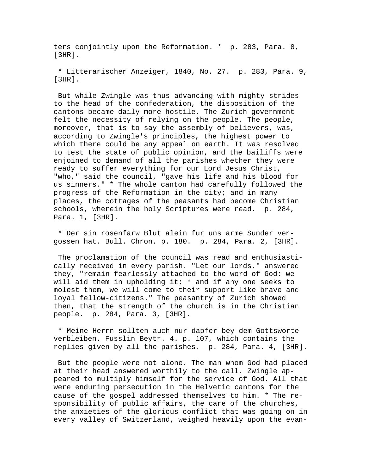ters conjointly upon the Reformation. \* p. 283, Para. 8, [3HR].

 \* Litterarischer Anzeiger, 1840, No. 27. p. 283, Para. 9, [3HR].

 But while Zwingle was thus advancing with mighty strides to the head of the confederation, the disposition of the cantons became daily more hostile. The Zurich government felt the necessity of relying on the people. The people, moreover, that is to say the assembly of believers, was, according to Zwingle's principles, the highest power to which there could be any appeal on earth. It was resolved to test the state of public opinion, and the bailiffs were enjoined to demand of all the parishes whether they were ready to suffer everything for our Lord Jesus Christ, "who," said the council, "gave his life and his blood for us sinners." \* The whole canton had carefully followed the progress of the Reformation in the city; and in many places, the cottages of the peasants had become Christian schools, wherein the holy Scriptures were read. p. 284, Para. 1, [3HR].

 \* Der sin rosenfarw Blut alein fur uns arme Sunder vergossen hat. Bull. Chron. p. 180. p. 284, Para. 2, [3HR].

 The proclamation of the council was read and enthusiastically received in every parish. "Let our lords," answered they, "remain fearlessly attached to the word of God: we will aid them in upholding it; \* and if any one seeks to molest them, we will come to their support like brave and loyal fellow-citizens." The peasantry of Zurich showed then, that the strength of the church is in the Christian people. p. 284, Para. 3, [3HR].

 \* Meine Herrn sollten auch nur dapfer bey dem Gottsworte verbleiben. Fusslin Beytr. 4. p. 107, which contains the replies given by all the parishes. p. 284, Para. 4, [3HR].

 But the people were not alone. The man whom God had placed at their head answered worthily to the call. Zwingle appeared to multiply himself for the service of God. All that were enduring persecution in the Helvetic cantons for the cause of the gospel addressed themselves to him. \* The responsibility of public affairs, the care of the churches, the anxieties of the glorious conflict that was going on in every valley of Switzerland, weighed heavily upon the evan-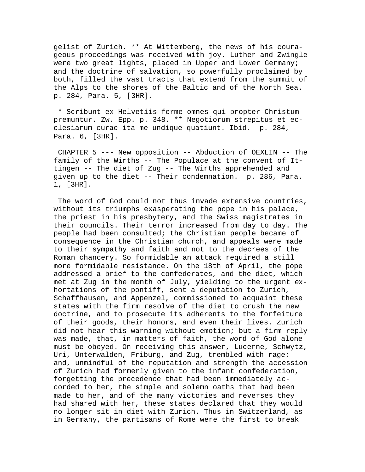gelist of Zurich. \*\* At Wittemberg, the news of his courageous proceedings was received with joy. Luther and Zwingle were two great lights, placed in Upper and Lower Germany; and the doctrine of salvation, so powerfully proclaimed by both, filled the vast tracts that extend from the summit of the Alps to the shores of the Baltic and of the North Sea. p. 284, Para. 5, [3HR].

 \* Scribunt ex Helvetiis ferme omnes qui propter Christum premuntur. Zw. Epp. p. 348. \*\* Negotiorum strepitus et ecclesiarum curae ita me undique quatiunt. Ibid. p. 284, Para. 6, [3HR].

 CHAPTER 5 --- New opposition -- Abduction of OEXLIN -- The family of the Wirths -- The Populace at the convent of Ittingen -- The diet of Zug -- The Wirths apprehended and given up to the diet -- Their condemnation. p. 286, Para. 1, [3HR].

 The word of God could not thus invade extensive countries, without its triumphs exasperating the pope in his palace, the priest in his presbytery, and the Swiss magistrates in their councils. Their terror increased from day to day. The people had been consulted; the Christian people became of consequence in the Christian church, and appeals were made to their sympathy and faith and not to the decrees of the Roman chancery. So formidable an attack required a still more formidable resistance. On the 18th of April, the pope addressed a brief to the confederates, and the diet, which met at Zug in the month of July, yielding to the urgent exhortations of the pontiff, sent a deputation to Zurich, Schaffhausen, and Appenzel, commissioned to acquaint these states with the firm resolve of the diet to crush the new doctrine, and to prosecute its adherents to the forfeiture of their goods, their honors, and even their lives. Zurich did not hear this warning without emotion; but a firm reply was made, that, in matters of faith, the word of God alone must be obeyed. On receiving this answer, Lucerne, Schwytz, Uri, Unterwalden, Friburg, and Zug, trembled with rage; and, unmindful of the reputation and strength the accession of Zurich had formerly given to the infant confederation, forgetting the precedence that had been immediately accorded to her, the simple and solemn oaths that had been made to her, and of the many victories and reverses they had shared with her, these states declared that they would no longer sit in diet with Zurich. Thus in Switzerland, as in Germany, the partisans of Rome were the first to break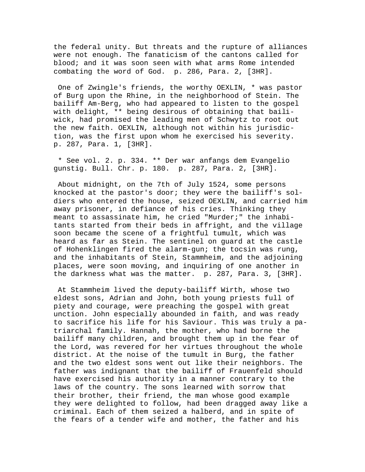the federal unity. But threats and the rupture of alliances were not enough. The fanaticism of the cantons called for blood; and it was soon seen with what arms Rome intended combating the word of God. p. 286, Para. 2, [3HR].

 One of Zwingle's friends, the worthy OEXLIN, \* was pastor of Burg upon the Rhine, in the neighborhood of Stein. The bailiff Am-Berg, who had appeared to listen to the gospel with delight, \*\* being desirous of obtaining that bailiwick, had promised the leading men of Schwytz to root out the new faith. OEXLIN, although not within his jurisdiction, was the first upon whom he exercised his severity. p. 287, Para. 1, [3HR].

 \* See vol. 2. p. 334. \*\* Der war anfangs dem Evangelio gunstig. Bull. Chr. p. 180. p. 287, Para. 2, [3HR].

 About midnight, on the 7th of July 1524, some persons knocked at the pastor's door; they were the bailiff's soldiers who entered the house, seized OEXLIN, and carried him away prisoner, in defiance of his cries. Thinking they meant to assassinate him, he cried "Murder;" the inhabitants started from their beds in affright, and the village soon became the scene of a frightful tumult, which was heard as far as Stein. The sentinel on guard at the castle of Hohenklingen fired the alarm-gun; the tocsin was rung, and the inhabitants of Stein, Stammheim, and the adjoining places, were soon moving, and inquiring of one another in the darkness what was the matter. p. 287, Para. 3, [3HR].

 At Stammheim lived the deputy-bailiff Wirth, whose two eldest sons, Adrian and John, both young priests full of piety and courage, were preaching the gospel with great unction. John especially abounded in faith, and was ready to sacrifice his life for his Saviour. This was truly a patriarchal family. Hannah, the mother, who had borne the bailiff many children, and brought them up in the fear of the Lord, was revered for her virtues throughout the whole district. At the noise of the tumult in Burg, the father and the two eldest sons went out like their neighbors. The father was indignant that the bailiff of Frauenfeld should have exercised his authority in a manner contrary to the laws of the country. The sons learned with sorrow that their brother, their friend, the man whose good example they were delighted to follow, had been dragged away like a criminal. Each of them seized a halberd, and in spite of the fears of a tender wife and mother, the father and his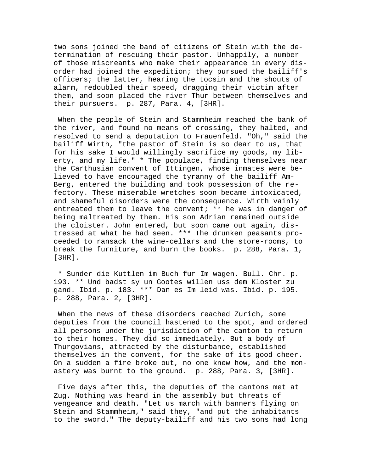two sons joined the band of citizens of Stein with the determination of rescuing their pastor. Unhappily, a number of those miscreants who make their appearance in every disorder had joined the expedition; they pursued the bailiff's officers; the latter, hearing the tocsin and the shouts of alarm, redoubled their speed, dragging their victim after them, and soon placed the river Thur between themselves and their pursuers. p. 287, Para. 4, [3HR].

 When the people of Stein and Stammheim reached the bank of the river, and found no means of crossing, they halted, and resolved to send a deputation to Frauenfeld. "Oh," said the bailiff Wirth, "the pastor of Stein is so dear to us, that for his sake I would willingly sacrifice my goods, my liberty, and my life." \* The populace, finding themselves near the Carthusian convent of Ittingen, whose inmates were believed to have encouraged the tyranny of the bailiff Am-Berg, entered the building and took possession of the refectory. These miserable wretches soon became intoxicated, and shameful disorders were the consequence. Wirth vainly entreated them to leave the convent; \*\* he was in danger of being maltreated by them. His son Adrian remained outside the cloister. John entered, but soon came out again, distressed at what he had seen. \*\*\* The drunken peasants proceeded to ransack the wine-cellars and the store-rooms, to break the furniture, and burn the books. p. 288, Para. 1, [3HR].

 \* Sunder die Kuttlen im Buch fur Im wagen. Bull. Chr. p. 193. \*\* Und badst sy un Gootes willen uss dem Kloster zu gand. Ibid. p. 183. \*\*\* Dan es Im leid was. Ibid. p. 195. p. 288, Para. 2, [3HR].

 When the news of these disorders reached Zurich, some deputies from the council hastened to the spot, and ordered all persons under the jurisdiction of the canton to return to their homes. They did so immediately. But a body of Thurgovians, attracted by the disturbance, established themselves in the convent, for the sake of its good cheer. On a sudden a fire broke out, no one knew how, and the monastery was burnt to the ground. p. 288, Para. 3, [3HR].

 Five days after this, the deputies of the cantons met at Zug. Nothing was heard in the assembly but threats of vengeance and death. "Let us march with banners flying on Stein and Stammheim," said they, "and put the inhabitants to the sword." The deputy-bailiff and his two sons had long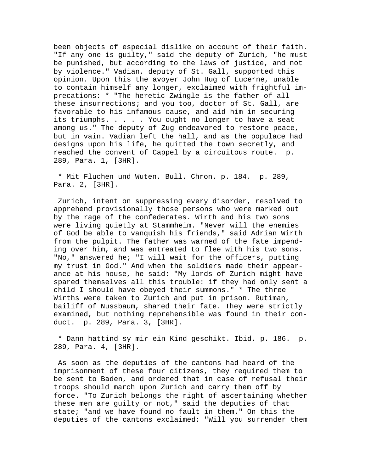been objects of especial dislike on account of their faith. "If any one is guilty," said the deputy of Zurich, "he must be punished, but according to the laws of justice, and not by violence." Vadian, deputy of St. Gall, supported this opinion. Upon this the avoyer John Hug of Lucerne, unable to contain himself any longer, exclaimed with frightful imprecations: \* "The heretic Zwingle is the father of all these insurrections; and you too, doctor of St. Gall, are favorable to his infamous cause, and aid him in securing its triumphs. . . . . You ought no longer to have a seat among us." The deputy of Zug endeavored to restore peace, but in vain. Vadian left the hall, and as the populace had designs upon his life, he quitted the town secretly, and reached the convent of Cappel by a circuitous route. p. 289, Para. 1, [3HR].

 \* Mit Fluchen und Wuten. Bull. Chron. p. 184. p. 289, Para. 2, [3HR].

 Zurich, intent on suppressing every disorder, resolved to apprehend provisionally those persons who were marked out by the rage of the confederates. Wirth and his two sons were living quietly at Stammheim. "Never will the enemies of God be able to vanquish his friends," said Adrian Wirth from the pulpit. The father was warned of the fate impending over him, and was entreated to flee with his two sons. "No," answered he; "I will wait for the officers, putting my trust in God." And when the soldiers made their appearance at his house, he said: "My lords of Zurich might have spared themselves all this trouble: if they had only sent a child I should have obeyed their summons." \* The three Wirths were taken to Zurich and put in prison. Rutiman, bailiff of Nussbaum, shared their fate. They were strictly examined, but nothing reprehensible was found in their conduct. p. 289, Para. 3, [3HR].

 \* Dann hattind sy mir ein Kind geschikt. Ibid. p. 186. p. 289, Para. 4, [3HR].

 As soon as the deputies of the cantons had heard of the imprisonment of these four citizens, they required them to be sent to Baden, and ordered that in case of refusal their troops should march upon Zurich and carry them off by force. "To Zurich belongs the right of ascertaining whether these men are guilty or not," said the deputies of that state; "and we have found no fault in them." On this the deputies of the cantons exclaimed: "Will you surrender them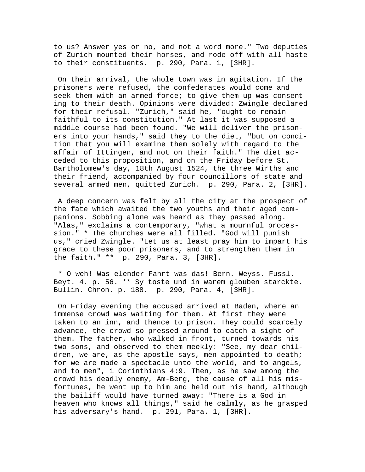to us? Answer yes or no, and not a word more." Two deputies of Zurich mounted their horses, and rode off with all haste to their constituents. p. 290, Para. 1, [3HR].

 On their arrival, the whole town was in agitation. If the prisoners were refused, the confederates would come and seek them with an armed force; to give them up was consenting to their death. Opinions were divided: Zwingle declared for their refusal. "Zurich," said he, "ought to remain faithful to its constitution." At last it was supposed a middle course had been found. "We will deliver the prisoners into your hands," said they to the diet, "but on condition that you will examine them solely with regard to the affair of Ittingen, and not on their faith." The diet acceded to this proposition, and on the Friday before St. Bartholomew's day, 18th August 1524, the three Wirths and their friend, accompanied by four councillors of state and several armed men, quitted Zurich. p. 290, Para. 2, [3HR].

 A deep concern was felt by all the city at the prospect of the fate which awaited the two youths and their aged companions. Sobbing alone was heard as they passed along. "Alas," exclaims a contemporary, "what a mournful procession." \* The churches were all filled. "God will punish us," cried Zwingle. "Let us at least pray him to impart his grace to these poor prisoners, and to strengthen them in the faith." \*\* p. 290, Para. 3, [3HR].

 \* O weh! Was elender Fahrt was das! Bern. Weyss. Fussl. Beyt. 4. p. 56. \*\* Sy toste und in warem glouben starckte. Bullin. Chron. p. 188. p. 290, Para. 4, [3HR].

 On Friday evening the accused arrived at Baden, where an immense crowd was waiting for them. At first they were taken to an inn, and thence to prison. They could scarcely advance, the crowd so pressed around to catch a sight of them. The father, who walked in front, turned towards his two sons, and observed to them meekly: "See, my dear children, we are, as the apostle says, men appointed to death; for we are made a spectacle unto the world, and to angels, and to men", 1 Corinthians 4:9. Then, as he saw among the crowd his deadly enemy, Am-Berg, the cause of all his misfortunes, he went up to him and held out his hand, although the bailiff would have turned away: "There is a God in heaven who knows all things," said he calmly, as he grasped his adversary's hand. p. 291, Para. 1, [3HR].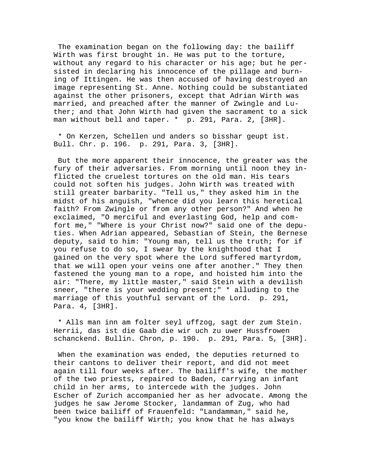The examination began on the following day: the bailiff Wirth was first brought in. He was put to the torture, without any regard to his character or his age; but he persisted in declaring his innocence of the pillage and burning of Ittingen. He was then accused of having destroyed an image representing St. Anne. Nothing could be substantiated against the other prisoners, except that Adrian Wirth was married, and preached after the manner of Zwingle and Luther; and that John Wirth had given the sacrament to a sick man without bell and taper. \* p. 291, Para. 2, [3HR].

 \* On Kerzen, Schellen und anders so bisshar geupt ist. Bull. Chr. p. 196. p. 291, Para. 3, [3HR].

 But the more apparent their innocence, the greater was the fury of their adversaries. From morning until noon they inflicted the cruelest tortures on the old man. His tears could not soften his judges. John Wirth was treated with still greater barbarity. "Tell us," they asked him in the midst of his anguish, "whence did you learn this heretical faith? From Zwingle or from any other person?" And when he exclaimed, "O merciful and everlasting God, help and comfort me," "Where is your Christ now?" said one of the deputies. When Adrian appeared, Sebastian of Stein, the Bernese deputy, said to him: "Young man, tell us the truth; for if you refuse to do so, I swear by the knighthood that I gained on the very spot where the Lord suffered martyrdom, that we will open your veins one after another." They then fastened the young man to a rope, and hoisted him into the air: "There, my little master," said Stein with a devilish sneer, "there is your wedding present;" \* alluding to the marriage of this youthful servant of the Lord. p. 291, Para. 4, [3HR].

 \* Alls man inn am folter seyl uffzog, sagt der zum Stein. Herrii, das ist die Gaab die wir uch zu uwer Hussfrowen schanckend. Bullin. Chron, p. 190. p. 291, Para. 5, [3HR].

 When the examination was ended, the deputies returned to their cantons to deliver their report, and did not meet again till four weeks after. The bailiff's wife, the mother of the two priests, repaired to Baden, carrying an infant child in her arms, to intercede with the judges. John Escher of Zurich accompanied her as her advocate. Among the judges he saw Jerome Stocker, landamman of Zug, who had been twice bailiff of Frauenfeld: "Landamman," said he, "you know the bailiff Wirth; you know that he has always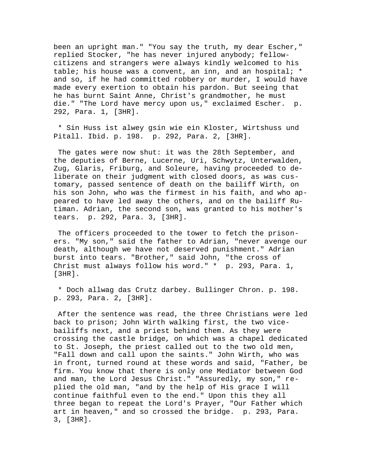been an upright man." "You say the truth, my dear Escher," replied Stocker, "he has never injured anybody; fellowcitizens and strangers were always kindly welcomed to his table; his house was a convent, an inn, and an hospital; \* and so, if he had committed robbery or murder, I would have made every exertion to obtain his pardon. But seeing that he has burnt Saint Anne, Christ's grandmother, he must die." "The Lord have mercy upon us," exclaimed Escher. p. 292, Para. 1, [3HR].

 \* Sin Huss ist alwey gsin wie ein Kloster, Wirtshuss und Pitall. Ibid. p. 198. p. 292, Para. 2, [3HR].

 The gates were now shut: it was the 28th September, and the deputies of Berne, Lucerne, Uri, Schwytz, Unterwalden, Zug, Glaris, Friburg, and Soleure, having proceeded to deliberate on their judgment with closed doors, as was customary, passed sentence of death on the bailiff Wirth, on his son John, who was the firmest in his faith, and who appeared to have led away the others, and on the bailiff Rutiman. Adrian, the second son, was granted to his mother's tears. p. 292, Para. 3, [3HR].

 The officers proceeded to the tower to fetch the prisoners. "My son," said the father to Adrian, "never avenge our death, although we have not deserved punishment." Adrian burst into tears. "Brother," said John, "the cross of Christ must always follow his word." \* p. 293, Para. 1, [3HR].

 \* Doch allwag das Crutz darbey. Bullinger Chron. p. 198. p. 293, Para. 2, [3HR].

 After the sentence was read, the three Christians were led back to prison; John Wirth walking first, the two vicebailiffs next, and a priest behind them. As they were crossing the castle bridge, on which was a chapel dedicated to St. Joseph, the priest called out to the two old men, "Fall down and call upon the saints." John Wirth, who was in front, turned round at these words and said, "Father, be firm. You know that there is only one Mediator between God and man, the Lord Jesus Christ." "Assuredly, my son," replied the old man, "and by the help of His grace I will continue faithful even to the end." Upon this they all three began to repeat the Lord's Prayer, "Our Father which art in heaven," and so crossed the bridge. p. 293, Para. 3, [3HR].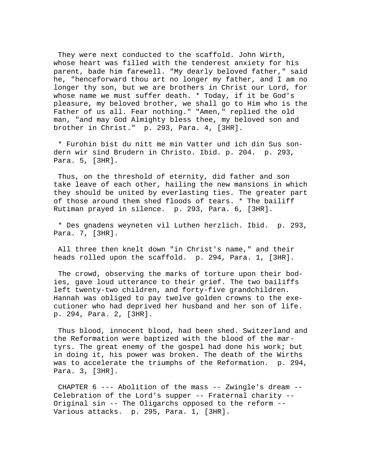They were next conducted to the scaffold. John Wirth, whose heart was filled with the tenderest anxiety for his parent, bade him farewell. "My dearly beloved father," said he, "henceforward thou art no longer my father, and I am no longer thy son, but we are brothers in Christ our Lord, for whose name we must suffer death. \* Today, if it be God's pleasure, my beloved brother, we shall go to Him who is the Father of us all. Fear nothing." "Amen," replied the old man, "and may God Almighty bless thee, my beloved son and brother in Christ." p. 293, Para. 4, [3HR].

 \* Furohin bist du nitt me min Vatter und ich din Sus sondern wir sind Brudern in Christo. Ibid. p. 204. p. 293, Para. 5, [3HR].

 Thus, on the threshold of eternity, did father and son take leave of each other, hailing the new mansions in which they should be united by everlasting ties. The greater part of those around them shed floods of tears. \* The bailiff Rutiman prayed in silence. p. 293, Para. 6, [3HR].

 \* Des gnadens weyneten vil Luthen herzlich. Ibid. p. 293, Para. 7, [3HR].

 All three then knelt down "in Christ's name," and their heads rolled upon the scaffold. p. 294, Para. 1, [3HR].

 The crowd, observing the marks of torture upon their bodies, gave loud utterance to their grief. The two bailiffs left twenty-two children, and forty-five grandchildren. Hannah was obliged to pay twelve golden crowns to the executioner who had deprived her husband and her son of life. p. 294, Para. 2, [3HR].

 Thus blood, innocent blood, had been shed. Switzerland and the Reformation were baptized with the blood of the martyrs. The great enemy of the gospel had done his work; but in doing it, his power was broken. The death of the Wirths was to accelerate the triumphs of the Reformation. p. 294, Para. 3, [3HR].

 CHAPTER 6 --- Abolition of the mass -- Zwingle's dream -- Celebration of the Lord's supper -- Fraternal charity -- Original sin -- The Oligarchs opposed to the reform -- Various attacks. p. 295, Para. 1, [3HR].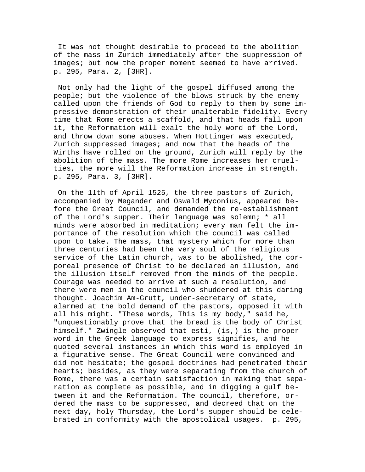It was not thought desirable to proceed to the abolition of the mass in Zurich immediately after the suppression of images; but now the proper moment seemed to have arrived. p. 295, Para. 2, [3HR].

 Not only had the light of the gospel diffused among the people; but the violence of the blows struck by the enemy called upon the friends of God to reply to them by some impressive demonstration of their unalterable fidelity. Every time that Rome erects a scaffold, and that heads fall upon it, the Reformation will exalt the holy word of the Lord, and throw down some abuses. When Hottinger was executed, Zurich suppressed images; and now that the heads of the Wirths have rolled on the ground, Zurich will reply by the abolition of the mass. The more Rome increases her cruelties, the more will the Reformation increase in strength. p. 295, Para. 3, [3HR].

 On the 11th of April 1525, the three pastors of Zurich, accompanied by Megander and Oswald Myconius, appeared before the Great Council, and demanded the re-establishment of the Lord's supper. Their language was solemn; \* all minds were absorbed in meditation; every man felt the importance of the resolution which the council was called upon to take. The mass, that mystery which for more than three centuries had been the very soul of the religious service of the Latin church, was to be abolished, the corporeal presence of Christ to be declared an illusion, and the illusion itself removed from the minds of the people. Courage was needed to arrive at such a resolution, and there were men in the council who shuddered at this daring thought. Joachim Am-Grutt, under-secretary of state, alarmed at the bold demand of the pastors, opposed it with all his might. "These words, This is my body," said he, "unquestionably prove that the bread is the body of Christ himself." Zwingle observed that esti, (is,) is the proper word in the Greek language to express signifies, and he quoted several instances in which this word is employed in a figurative sense. The Great Council were convinced and did not hesitate; the gospel doctrines had penetrated their hearts; besides, as they were separating from the church of Rome, there was a certain satisfaction in making that separation as complete as possible, and in digging a gulf between it and the Reformation. The council, therefore, ordered the mass to be suppressed, and decreed that on the next day, holy Thursday, the Lord's supper should be celebrated in conformity with the apostolical usages. p. 295,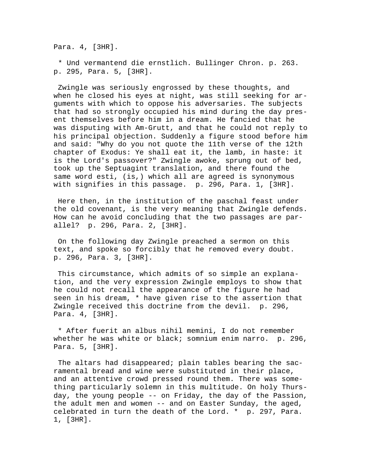Para. 4, [3HR].

 \* Und vermantend die ernstlich. Bullinger Chron. p. 263. p. 295, Para. 5, [3HR].

 Zwingle was seriously engrossed by these thoughts, and when he closed his eyes at night, was still seeking for arguments with which to oppose his adversaries. The subjects that had so strongly occupied his mind during the day present themselves before him in a dream. He fancied that he was disputing with Am-Grutt, and that he could not reply to his principal objection. Suddenly a figure stood before him and said: "Why do you not quote the 11th verse of the 12th chapter of Exodus: Ye shall eat it, the lamb, in haste: it is the Lord's passover?" Zwingle awoke, sprung out of bed, took up the Septuagint translation, and there found the same word esti, (is,) which all are agreed is synonymous with signifies in this passage. p. 296, Para. 1, [3HR].

 Here then, in the institution of the paschal feast under the old covenant, is the very meaning that Zwingle defends. How can he avoid concluding that the two passages are parallel? p. 296, Para. 2, [3HR].

 On the following day Zwingle preached a sermon on this text, and spoke so forcibly that he removed every doubt. p. 296, Para. 3, [3HR].

 This circumstance, which admits of so simple an explanation, and the very expression Zwingle employs to show that he could not recall the appearance of the figure he had seen in his dream, \* have given rise to the assertion that Zwingle received this doctrine from the devil. p. 296, Para. 4, [3HR].

 \* After fuerit an albus nihil memini, I do not remember whether he was white or black; somnium enim narro. p. 296, Para. 5, [3HR].

 The altars had disappeared; plain tables bearing the sacramental bread and wine were substituted in their place, and an attentive crowd pressed round them. There was something particularly solemn in this multitude. On holy Thursday, the young people -- on Friday, the day of the Passion, the adult men and women -- and on Easter Sunday, the aged, celebrated in turn the death of the Lord. \* p. 297, Para. 1, [3HR].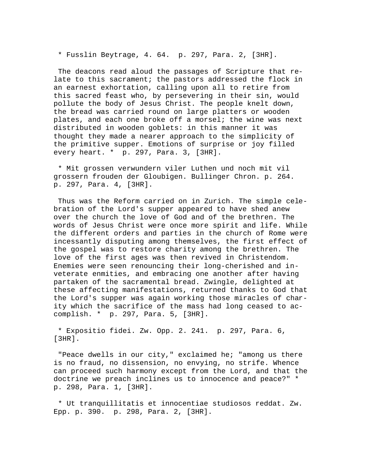\* Fusslin Beytrage, 4. 64. p. 297, Para. 2, [3HR].

 The deacons read aloud the passages of Scripture that relate to this sacrament; the pastors addressed the flock in an earnest exhortation, calling upon all to retire from this sacred feast who, by persevering in their sin, would pollute the body of Jesus Christ. The people knelt down, the bread was carried round on large platters or wooden plates, and each one broke off a morsel; the wine was next distributed in wooden goblets: in this manner it was thought they made a nearer approach to the simplicity of the primitive supper. Emotions of surprise or joy filled every heart. \* p. 297, Para. 3, [3HR].

 \* Mit grossen verwundern viler Luthen und noch mit vil grossern frouden der Gloubigen. Bullinger Chron. p. 264. p. 297, Para. 4, [3HR].

 Thus was the Reform carried on in Zurich. The simple celebration of the Lord's supper appeared to have shed anew over the church the love of God and of the brethren. The words of Jesus Christ were once more spirit and life. While the different orders and parties in the church of Rome were incessantly disputing among themselves, the first effect of the gospel was to restore charity among the brethren. The love of the first ages was then revived in Christendom. Enemies were seen renouncing their long-cherished and inveterate enmities, and embracing one another after having partaken of the sacramental bread. Zwingle, delighted at these affecting manifestations, returned thanks to God that the Lord's supper was again working those miracles of charity which the sacrifice of the mass had long ceased to accomplish. \* p. 297, Para. 5, [3HR].

 \* Expositio fidei. Zw. Opp. 2. 241. p. 297, Para. 6, [3HR].

 "Peace dwells in our city," exclaimed he; "among us there is no fraud, no dissension, no envying, no strife. Whence can proceed such harmony except from the Lord, and that the doctrine we preach inclines us to innocence and peace?" \* p. 298, Para. 1, [3HR].

 \* Ut tranquillitatis et innocentiae studiosos reddat. Zw. Epp. p. 390. p. 298, Para. 2, [3HR].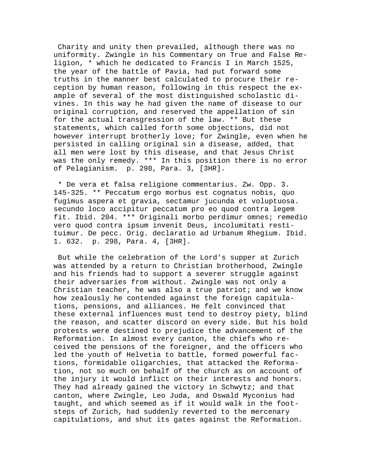Charity and unity then prevailed, although there was no uniformity. Zwingle in his Commentary on True and False Religion, \* which he dedicated to Francis I in March 1525, the year of the battle of Pavia, had put forward some truths in the manner best calculated to procure their reception by human reason, following in this respect the example of several of the most distinguished scholastic divines. In this way he had given the name of disease to our original corruption, and reserved the appellation of sin for the actual transgression of the law. \*\* But these statements, which called forth some objections, did not however interrupt brotherly love; for Zwingle, even when he persisted in calling original sin a disease, added, that all men were lost by this disease, and that Jesus Christ was the only remedy. \*\*\* In this position there is no error of Pelagianism. p. 298, Para. 3, [3HR].

 \* De vera et falsa religione commentarius. Zw. Opp. 3. 145-325. \*\* Peccatum ergo morbus est cognatus nobis, quo fugimus aspera et gravia, sectamur jucunda et voluptuosa. secundo loco accipitur peccatum pro eo quod contra legem fit. Ibid. 204. \*\*\* Originali morbo perdimur omnes; remedio vero quod contra ipsum invenit Deus, incolumitati restituimur. De pecc. Orig. declaratio ad Urbanum Rhegium. Ibid. 1. 632. p. 298, Para. 4, [3HR].

 But while the celebration of the Lord's supper at Zurich was attended by a return to Christian brotherhood, Zwingle and his friends had to support a severer struggle against their adversaries from without. Zwingle was not only a Christian teacher, he was also a true patriot; and we know how zealously he contended against the foreign capitulations, pensions, and alliances. He felt convinced that these external influences must tend to destroy piety, blind the reason, and scatter discord on every side. But his bold protests were destined to prejudice the advancement of the Reformation. In almost every canton, the chiefs who received the pensions of the foreigner, and the officers who led the youth of Helvetia to battle, formed powerful factions, formidable oligarchies, that attacked the Reformation, not so much on behalf of the church as on account of the injury it would inflict on their interests and honors. They had already gained the victory in Schwytz; and that canton, where Zwingle, Leo Juda, and Oswald Myconius had taught, and which seemed as if it would walk in the footsteps of Zurich, had suddenly reverted to the mercenary capitulations, and shut its gates against the Reformation.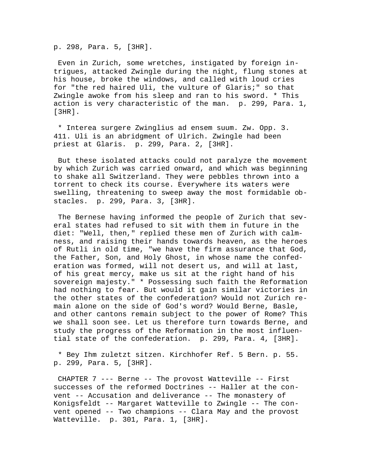p. 298, Para. 5, [3HR].

 Even in Zurich, some wretches, instigated by foreign intrigues, attacked Zwingle during the night, flung stones at his house, broke the windows, and called with loud cries for "the red haired Uli, the vulture of Glaris;" so that Zwingle awoke from his sleep and ran to his sword. \* This action is very characteristic of the man. p. 299, Para. 1, [3HR].

 \* Interea surgere Zwinglius ad ensem suum. Zw. Opp. 3. 411. Uli is an abridgment of Ulrich. Zwingle had been priest at Glaris. p. 299, Para. 2, [3HR].

 But these isolated attacks could not paralyze the movement by which Zurich was carried onward, and which was beginning to shake all Switzerland. They were pebbles thrown into a torrent to check its course. Everywhere its waters were swelling, threatening to sweep away the most formidable obstacles. p. 299, Para. 3, [3HR].

 The Bernese having informed the people of Zurich that several states had refused to sit with them in future in the diet: "Well, then," replied these men of Zurich with calmness, and raising their hands towards heaven, as the heroes of Rutli in old time, "we have the firm assurance that God, the Father, Son, and Holy Ghost, in whose name the confederation was formed, will not desert us, and will at last, of his great mercy, make us sit at the right hand of his sovereign majesty." \* Possessing such faith the Reformation had nothing to fear. But would it gain similar victories in the other states of the confederation? Would not Zurich remain alone on the side of God's word? Would Berne, Basle, and other cantons remain subject to the power of Rome? This we shall soon see. Let us therefore turn towards Berne, and study the progress of the Reformation in the most influential state of the confederation. p. 299, Para. 4, [3HR].

 \* Bey Ihm zuletzt sitzen. Kirchhofer Ref. 5 Bern. p. 55. p. 299, Para. 5, [3HR].

 CHAPTER 7 --- Berne -- The provost Watteville -- First successes of the reformed Doctrines -- Haller at the convent -- Accusation and deliverance -- The monastery of Konigsfeldt -- Margaret Watteville to Zwingle -- The convent opened -- Two champions -- Clara May and the provost Watteville. p. 301, Para. 1, [3HR].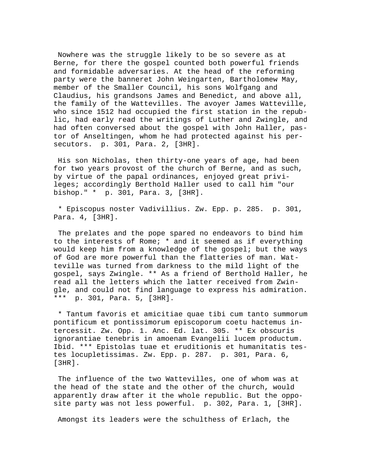Nowhere was the struggle likely to be so severe as at Berne, for there the gospel counted both powerful friends and formidable adversaries. At the head of the reforming party were the banneret John Weingarten, Bartholomew May, member of the Smaller Council, his sons Wolfgang and Claudius, his grandsons James and Benedict, and above all, the family of the Wattevilles. The avoyer James Watteville, who since 1512 had occupied the first station in the republic, had early read the writings of Luther and Zwingle, and had often conversed about the gospel with John Haller, pastor of Anseltingen, whom he had protected against his persecutors. p. 301, Para. 2, [3HR].

 His son Nicholas, then thirty-one years of age, had been for two years provost of the church of Berne, and as such, by virtue of the papal ordinances, enjoyed great privileges; accordingly Berthold Haller used to call him "our bishop." \* p. 301, Para. 3, [3HR].

 \* Episcopus noster Vadivillius. Zw. Epp. p. 285. p. 301, Para. 4, [3HR].

 The prelates and the pope spared no endeavors to bind him to the interests of Rome; \* and it seemed as if everything would keep him from a knowledge of the gospel; but the ways of God are more powerful than the flatteries of man. Watteville was turned from darkness to the mild light of the gospel, says Zwingle. \*\* As a friend of Berthold Haller, he read all the letters which the latter received from Zwingle, and could not find language to express his admiration. \*\*\* p. 301, Para. 5, [3HR].

 \* Tantum favoris et amicitiae quae tibi cum tanto summorum pontificum et pontissimorum episcoporum coetu hactemus intercessit. Zw. Opp. 1. Anc. Ed. lat. 305. \*\* Ex obscuris ignorantiae tenebris in amoenam Evangelii lucem productum. Ibid. \*\*\* Epistolas tuae et eruditionis et humanitatis testes locupletissimas. Zw. Epp. p. 287. p. 301, Para. 6, [3HR].

 The influence of the two Wattevilles, one of whom was at the head of the state and the other of the church, would apparently draw after it the whole republic. But the opposite party was not less powerful. p. 302, Para. 1, [3HR].

Amongst its leaders were the schulthess of Erlach, the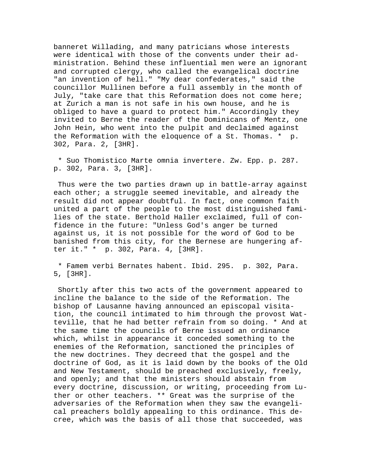banneret Willading, and many patricians whose interests were identical with those of the convents under their administration. Behind these influential men were an ignorant and corrupted clergy, who called the evangelical doctrine "an invention of hell." "My dear confederates," said the councillor Mullinen before a full assembly in the month of July, "take care that this Reformation does not come here; at Zurich a man is not safe in his own house, and he is obliged to have a guard to protect him." Accordingly they invited to Berne the reader of the Dominicans of Mentz, one John Hein, who went into the pulpit and declaimed against the Reformation with the eloquence of a St. Thomas. \* p. 302, Para. 2, [3HR].

 \* Suo Thomistico Marte omnia invertere. Zw. Epp. p. 287. p. 302, Para. 3, [3HR].

 Thus were the two parties drawn up in battle-array against each other; a struggle seemed inevitable, and already the result did not appear doubtful. In fact, one common faith united a part of the people to the most distinguished families of the state. Berthold Haller exclaimed, full of confidence in the future: "Unless God's anger be turned against us, it is not possible for the word of God to be banished from this city, for the Bernese are hungering after it." \* p. 302, Para. 4, [3HR].

 \* Famem verbi Bernates habent. Ibid. 295. p. 302, Para. 5, [3HR].

 Shortly after this two acts of the government appeared to incline the balance to the side of the Reformation. The bishop of Lausanne having announced an episcopal visitation, the council intimated to him through the provost Watteville, that he had better refrain from so doing. \* And at the same time the councils of Berne issued an ordinance which, whilst in appearance it conceded something to the enemies of the Reformation, sanctioned the principles of the new doctrines. They decreed that the gospel and the doctrine of God, as it is laid down by the books of the Old and New Testament, should be preached exclusively, freely, and openly; and that the ministers should abstain from every doctrine, discussion, or writing, proceeding from Luther or other teachers. \*\* Great was the surprise of the adversaries of the Reformation when they saw the evangelical preachers boldly appealing to this ordinance. This decree, which was the basis of all those that succeeded, was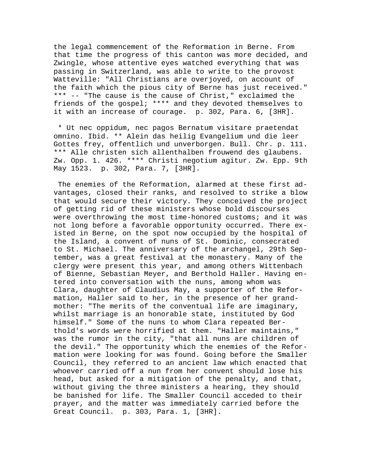the legal commencement of the Reformation in Berne. From that time the progress of this canton was more decided, and Zwingle, whose attentive eyes watched everything that was passing in Switzerland, was able to write to the provost Watteville: "All Christians are overjoyed, on account of the faith which the pious city of Berne has just received." \*\*\* -- "The cause is the cause of Christ," exclaimed the friends of the gospel; \*\*\*\* and they devoted themselves to it with an increase of courage. p. 302, Para. 6, [3HR].

 \* Ut nec oppidum, nec pagos Bernatum visitare praetendat omnino. Ibid. \*\* Alein das heilig Evangelium und die leer Gottes frey, offentlich und unverborgen. Bull. Chr. p. 111. \*\*\* Alle christen sich allenthalben frouwend des glaubens. Zw. Opp. 1. 426. \*\*\*\* Christi negotium agitur. Zw. Epp. 9th May 1523. p. 302, Para. 7, [3HR].

 The enemies of the Reformation, alarmed at these first advantages, closed their ranks, and resolved to strike a blow that would secure their victory. They conceived the project of getting rid of these ministers whose bold discourses were overthrowing the most time-honored customs; and it was not long before a favorable opportunity occurred. There existed in Berne, on the spot now occupied by the hospital of the Island, a convent of nuns of St. Dominic, consecrated to St. Michael. The anniversary of the archangel, 29th September, was a great festival at the monastery. Many of the clergy were present this year, and among others Wittenbach of Bienne, Sebastian Meyer, and Berthold Haller. Having entered into conversation with the nuns, among whom was Clara, daughter of Claudius May, a supporter of the Reformation, Haller said to her, in the presence of her grandmother: "The merits of the conventual life are imaginary, whilst marriage is an honorable state, instituted by God himself." Some of the nuns to whom Clara repeated Berthold's words were horrified at them. "Haller maintains," was the rumor in the city, "that all nuns are children of the devil." The opportunity which the enemies of the Reformation were looking for was found. Going before the Smaller Council, they referred to an ancient law which enacted that whoever carried off a nun from her convent should lose his head, but asked for a mitigation of the penalty, and that, without giving the three ministers a hearing, they should be banished for life. The Smaller Council acceded to their prayer, and the matter was immediately carried before the Great Council. p. 303, Para. 1, [3HR].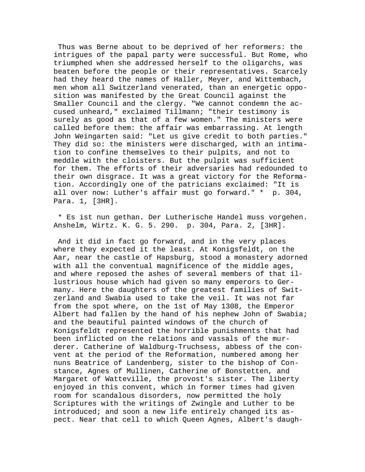Thus was Berne about to be deprived of her reformers: the intrigues of the papal party were successful. But Rome, who triumphed when she addressed herself to the oligarchs, was beaten before the people or their representatives. Scarcely had they heard the names of Haller, Meyer, and Wittembach, men whom all Switzerland venerated, than an energetic opposition was manifested by the Great Council against the Smaller Council and the clergy. "We cannot condemn the accused unheard," exclaimed Tillmann; "their testimony is surely as good as that of a few women." The ministers were called before them: the affair was embarrassing. At length John Weingarten said: "Let us give credit to both parties." They did so: the ministers were discharged, with an intimation to confine themselves to their pulpits, and not to meddle with the cloisters. But the pulpit was sufficient for them. The efforts of their adversaries had redounded to their own disgrace. It was a great victory for the Reformation. Accordingly one of the patricians exclaimed: "It is all over now: Luther's affair must go forward." \* p. 304, Para. 1, [3HR].

 \* Es ist nun gethan. Der Lutherische Handel muss vorgehen. Anshelm, Wirtz. K. G. 5. 290. p. 304, Para. 2, [3HR].

 And it did in fact go forward, and in the very places where they expected it the least. At Konigsfeldt, on the Aar, near the castle of Hapsburg, stood a monastery adorned with all the conventual magnificence of the middle ages, and where reposed the ashes of several members of that illustrious house which had given so many emperors to Germany. Here the daughters of the greatest families of Switzerland and Swabia used to take the veil. It was not far from the spot where, on the 1st of May 1308, the Emperor Albert had fallen by the hand of his nephew John of Swabia; and the beautiful painted windows of the church of Konigsfeldt represented the horrible punishments that had been inflicted on the relations and vassals of the murderer. Catherine of Waldburg-Truchsess, abbess of the convent at the period of the Reformation, numbered among her nuns Beatrice of Landenberg, sister to the bishop of Constance, Agnes of Mullinen, Catherine of Bonstetten, and Margaret of Watteville, the provost's sister. The liberty enjoyed in this convent, which in former times had given room for scandalous disorders, now permitted the holy Scriptures with the writings of Zwingle and Luther to be introduced; and soon a new life entirely changed its aspect. Near that cell to which Queen Agnes, Albert's daugh-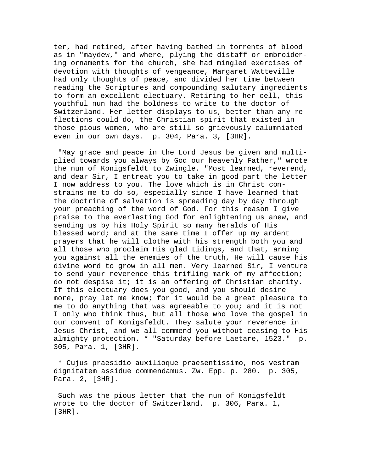ter, had retired, after having bathed in torrents of blood as in "maydew," and where, plying the distaff or embroidering ornaments for the church, she had mingled exercises of devotion with thoughts of vengeance, Margaret Watteville had only thoughts of peace, and divided her time between reading the Scriptures and compounding salutary ingredients to form an excellent electuary. Retiring to her cell, this youthful nun had the boldness to write to the doctor of Switzerland. Her letter displays to us, better than any reflections could do, the Christian spirit that existed in those pious women, who are still so grievously calumniated even in our own days. p. 304, Para. 3, [3HR].

 "May grace and peace in the Lord Jesus be given and multiplied towards you always by God our heavenly Father," wrote the nun of Konigsfeldt to Zwingle. "Most learned, reverend, and dear Sir, I entreat you to take in good part the letter I now address to you. The love which is in Christ constrains me to do so, especially since I have learned that the doctrine of salvation is spreading day by day through your preaching of the word of God. For this reason I give praise to the everlasting God for enlightening us anew, and sending us by his Holy Spirit so many heralds of His blessed word; and at the same time I offer up my ardent prayers that he will clothe with his strength both you and all those who proclaim His glad tidings, and that, arming you against all the enemies of the truth, He will cause his divine word to grow in all men. Very learned Sir, I venture to send your reverence this trifling mark of my affection; do not despise it; it is an offering of Christian charity. If this electuary does you good, and you should desire more, pray let me know; for it would be a great pleasure to me to do anything that was agreeable to you; and it is not I only who think thus, but all those who love the gospel in our convent of Konigsfeldt. They salute your reverence in Jesus Christ, and we all commend you without ceasing to His almighty protection. \* "Saturday before Laetare, 1523." p. 305, Para. 1, [3HR].

 \* Cujus praesidio auxilioque praesentissimo, nos vestram dignitatem assidue commendamus. Zw. Epp. p. 280. p. 305, Para. 2, [3HR].

 Such was the pious letter that the nun of Konigsfeldt wrote to the doctor of Switzerland. p. 306, Para. 1, [3HR].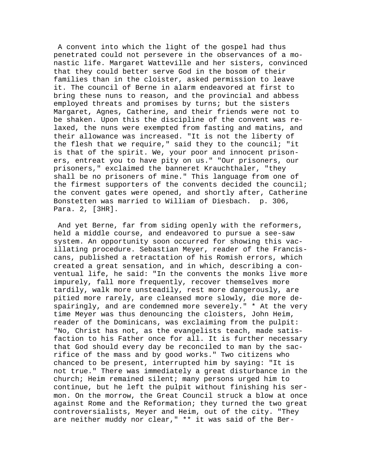A convent into which the light of the gospel had thus penetrated could not persevere in the observances of a monastic life. Margaret Watteville and her sisters, convinced that they could better serve God in the bosom of their families than in the cloister, asked permission to leave it. The council of Berne in alarm endeavored at first to bring these nuns to reason, and the provincial and abbess employed threats and promises by turns; but the sisters Margaret, Agnes, Catherine, and their friends were not to be shaken. Upon this the discipline of the convent was relaxed, the nuns were exempted from fasting and matins, and their allowance was increased. "It is not the liberty of the flesh that we require," said they to the council; "it is that of the spirit. We, your poor and innocent prisoners, entreat you to have pity on us." "Our prisoners, our prisoners," exclaimed the banneret Krauchthaler, "they shall be no prisoners of mine." This language from one of the firmest supporters of the convents decided the council; the convent gates were opened, and shortly after, Catherine Bonstetten was married to William of Diesbach. p. 306, Para. 2, [3HR].

 And yet Berne, far from siding openly with the reformers, held a middle course, and endeavored to pursue a see-saw system. An opportunity soon occurred for showing this vacillating procedure. Sebastian Meyer, reader of the Franciscans, published a retractation of his Romish errors, which created a great sensation, and in which, describing a conventual life, he said: "In the convents the monks live more impurely, fall more frequently, recover themselves more tardily, walk more unsteadily, rest more dangerously, are pitied more rarely, are cleansed more slowly, die more despairingly, and are condemned more severely." \* At the very time Meyer was thus denouncing the cloisters, John Heim, reader of the Dominicans, was exclaiming from the pulpit: "No, Christ has not, as the evangelists teach, made satisfaction to his Father once for all. It is further necessary that God should every day be reconciled to man by the sacrifice of the mass and by good works." Two citizens who chanced to be present, interrupted him by saying: "It is not true." There was immediately a great disturbance in the church; Heim remained silent; many persons urged him to continue, but he left the pulpit without finishing his sermon. On the morrow, the Great Council struck a blow at once against Rome and the Reformation; they turned the two great controversialists, Meyer and Heim, out of the city. "They are neither muddy nor clear," \*\* it was said of the Ber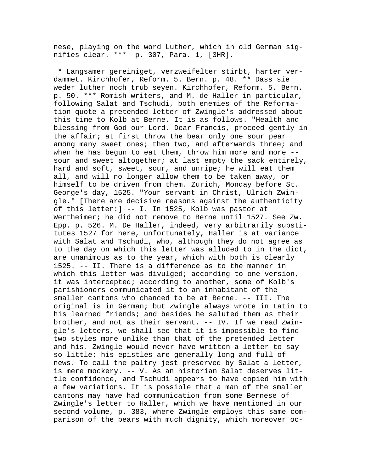nese, playing on the word Luther, which in old German signifies clear. \*\*\* p. 307, Para. 1, [3HR].

 \* Langsamer gereiniget, verzweifelter stirbt, harter verdammet. Kirchhofer, Reform. 5. Bern. p. 48. \*\* Dass sie weder luther noch trub seyen. Kirchhofer, Reform. 5. Bern. p. 50. \*\*\* Romish writers, and M. de Haller in particular, following Salat and Tschudi, both enemies of the Reformation quote a pretended letter of Zwingle's addressed about this time to Kolb at Berne. It is as follows. "Health and blessing from God our Lord. Dear Francis, proceed gently in the affair; at first throw the bear only one sour pear among many sweet ones; then two, and afterwards three; and when he has begun to eat them, throw him more and more - sour and sweet altogether; at last empty the sack entirely, hard and soft, sweet, sour, and unripe; he will eat them all, and will no longer allow them to be taken away, or himself to be driven from them. Zurich, Monday before St. George's day, 1525. "Your servant in Christ, Ulrich Zwingle." [There are decisive reasons against the authenticity of this letter:] -- I. In 1525, Kolb was pastor at Wertheimer; he did not remove to Berne until 1527. See Zw. Epp. p. 526. M. De Haller, indeed, very arbitrarily substitutes 1527 for here, unfortunately, Haller is at variance with Salat and Tschudi, who, although they do not agree as to the day on which this letter was alluded to in the dict, are unanimous as to the year, which with both is clearly 1525. -- II. There is a difference as to the manner in which this letter was divulged; according to one version, it was intercepted; according to another, some of Kolb's parishioners communicated it to an inhabitant of the smaller cantons who chanced to be at Berne. -- III. The original is in German; but Zwingle always wrote in Latin to his learned friends; and besides he saluted them as their brother, and not as their servant. -- IV. If we read Zwingle's letters, we shall see that it is impossible to find two styles more unlike than that of the pretended letter and his. Zwingle would never have written a letter to say so little; his epistles are generally long and full of news. To call the paltry jest preserved by Salat a letter, is mere mockery. -- V. As an historian Salat deserves little confidence, and Tschudi appears to have copied him with a few variations. It is possible that a man of the smaller cantons may have had communication from some Bernese of Zwingle's letter to Haller, which we have mentioned in our second volume, p. 383, where Zwingle employs this same comparison of the bears with much dignity, which moreover oc-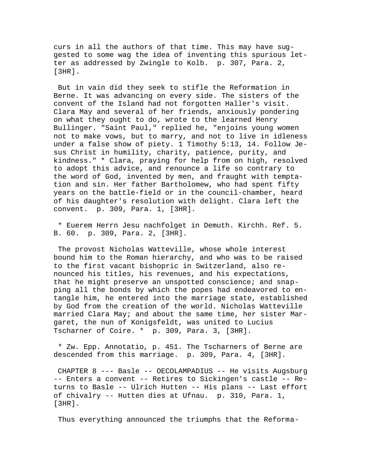curs in all the authors of that time. This may have suggested to some wag the idea of inventing this spurious letter as addressed by Zwingle to Kolb. p. 307, Para. 2, [3HR].

 But in vain did they seek to stifle the Reformation in Berne. It was advancing on every side. The sisters of the convent of the Island had not forgotten Haller's visit. Clara May and several of her friends, anxiously pondering on what they ought to do, wrote to the learned Henry Bullinger. "Saint Paul," replied he, "enjoins young women not to make vows, but to marry, and not to live in idleness under a false show of piety. 1 Timothy 5:13, 14. Follow Jesus Christ in humility, charity, patience, purity, and kindness." \* Clara, praying for help from on high, resolved to adopt this advice, and renounce a life so contrary to the word of God, invented by men, and fraught with temptation and sin. Her father Bartholomew, who had spent fifty years on the battle-field or in the council-chamber, heard of his daughter's resolution with delight. Clara left the convent. p. 309, Para. 1, [3HR].

 \* Euerem Herrn Jesu nachfolget in Demuth. Kirchh. Ref. 5. B. 60. p. 309, Para. 2, [3HR].

 The provost Nicholas Watteville, whose whole interest bound him to the Roman hierarchy, and who was to be raised to the first vacant bishopric in Switzerland, also renounced his titles, his revenues, and his expectations, that he might preserve an unspotted conscience; and snapping all the bonds by which the popes had endeavored to entangle him, he entered into the marriage state, established by God from the creation of the world. Nicholas Watteville married Clara May; and about the same time, her sister Margaret, the nun of Konigsfeldt, was united to Lucius Tscharner of Coire. \* p. 309, Para. 3, [3HR].

 \* Zw. Epp. Annotatio, p. 451. The Tscharners of Berne are descended from this marriage. p. 309, Para. 4, [3HR].

 CHAPTER 8 --- Basle -- OECOLAMPADIUS -- He visits Augsburg -- Enters a convent -- Retires to Sickingen's castle -- Returns to Basle -- Ulrich Hutten -- His plans -- Last effort of chivalry -- Hutten dies at Ufnau. p. 310, Para. 1, [3HR].

Thus everything announced the triumphs that the Reforma-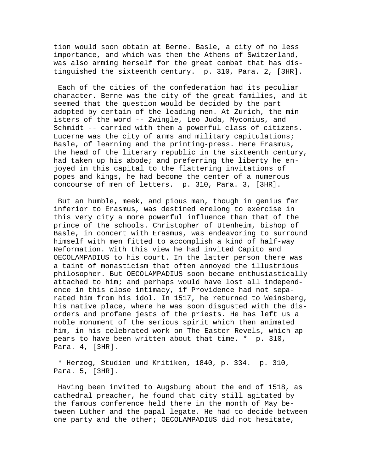tion would soon obtain at Berne. Basle, a city of no less importance, and which was then the Athens of Switzerland, was also arming herself for the great combat that has distinguished the sixteenth century. p. 310, Para. 2, [3HR].

 Each of the cities of the confederation had its peculiar character. Berne was the city of the great families, and it seemed that the question would be decided by the part adopted by certain of the leading men. At Zurich, the ministers of the word -- Zwingle, Leo Juda, Myconius, and Schmidt -- carried with them a powerful class of citizens. Lucerne was the city of arms and military capitulations; Basle, of learning and the printing-press. Here Erasmus, the head of the literary republic in the sixteenth century, had taken up his abode; and preferring the liberty he enjoyed in this capital to the flattering invitations of popes and kings, he had become the center of a numerous concourse of men of letters. p. 310, Para. 3, [3HR].

 But an humble, meek, and pious man, though in genius far inferior to Erasmus, was destined erelong to exercise in this very city a more powerful influence than that of the prince of the schools. Christopher of Utenheim, bishop of Basle, in concert with Erasmus, was endeavoring to surround himself with men fitted to accomplish a kind of half-way Reformation. With this view he had invited Capito and OECOLAMPADIUS to his court. In the latter person there was a taint of monasticism that often annoyed the illustrious philosopher. But OECOLAMPADIUS soon became enthusiastically attached to him; and perhaps would have lost all independence in this close intimacy, if Providence had not separated him from his idol. In 1517, he returned to Weinsberg, his native place, where he was soon disgusted with the disorders and profane jests of the priests. He has left us a noble monument of the serious spirit which then animated him, in his celebrated work on The Easter Revels, which appears to have been written about that time. \* p. 310, Para. 4, [3HR].

 \* Herzog, Studien und Kritiken, 1840, p. 334. p. 310, Para. 5, [3HR].

 Having been invited to Augsburg about the end of 1518, as cathedral preacher, he found that city still agitated by the famous conference held there in the month of May between Luther and the papal legate. He had to decide between one party and the other; OECOLAMPADIUS did not hesitate,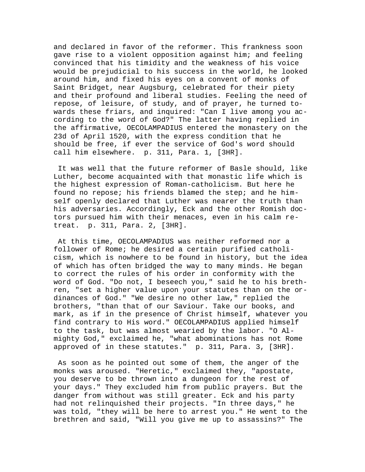and declared in favor of the reformer. This frankness soon gave rise to a violent opposition against him; and feeling convinced that his timidity and the weakness of his voice would be prejudicial to his success in the world, he looked around him, and fixed his eyes on a convent of monks of Saint Bridget, near Augsburg, celebrated for their piety and their profound and liberal studies. Feeling the need of repose, of leisure, of study, and of prayer, he turned towards these friars, and inquired: "Can I live among you according to the word of God?" The latter having replied in the affirmative, OECOLAMPADIUS entered the monastery on the 23d of April 1520, with the express condition that he should be free, if ever the service of God's word should call him elsewhere. p. 311, Para. 1, [3HR].

 It was well that the future reformer of Basle should, like Luther, become acquainted with that monastic life which is the highest expression of Roman-catholicism. But here he found no repose; his friends blamed the step; and he himself openly declared that Luther was nearer the truth than his adversaries. Accordingly, Eck and the other Romish doctors pursued him with their menaces, even in his calm retreat. p. 311, Para. 2, [3HR].

 At this time, OECOLAMPADIUS was neither reformed nor a follower of Rome; he desired a certain purified catholicism, which is nowhere to be found in history, but the idea of which has often bridged the way to many minds. He began to correct the rules of his order in conformity with the word of God. "Do not, I beseech you," said he to his brethren, "set a higher value upon your statutes than on the ordinances of God." "We desire no other law," replied the brothers, "than that of our Saviour. Take our books, and mark, as if in the presence of Christ himself, whatever you find contrary to His word." OECOLAMPADIUS applied himself to the task, but was almost wearied by the labor. "O Almighty God," exclaimed he, "what abominations has not Rome approved of in these statutes." p. 311, Para. 3, [3HR].

 As soon as he pointed out some of them, the anger of the monks was aroused. "Heretic," exclaimed they, "apostate, you deserve to be thrown into a dungeon for the rest of your days." They excluded him from public prayers. But the danger from without was still greater. Eck and his party had not relinquished their projects. "In three days," he was told, "they will be here to arrest you." He went to the brethren and said, "Will you give me up to assassins?" The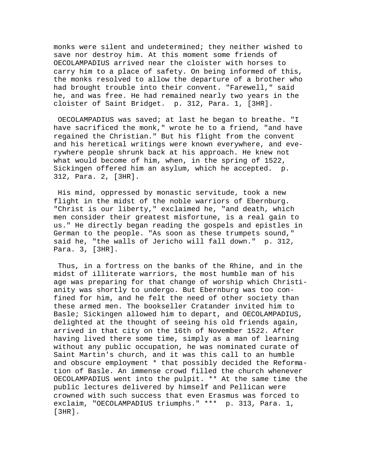monks were silent and undetermined; they neither wished to save nor destroy him. At this moment some friends of OECOLAMPADIUS arrived near the cloister with horses to carry him to a place of safety. On being informed of this, the monks resolved to allow the departure of a brother who had brought trouble into their convent. "Farewell," said he, and was free. He had remained nearly two years in the cloister of Saint Bridget. p. 312, Para. 1, [3HR].

 OECOLAMPADIUS was saved; at last he began to breathe. "I have sacrificed the monk," wrote he to a friend, "and have regained the Christian." But his flight from the convent and his heretical writings were known everywhere, and everywhere people shrunk back at his approach. He knew not what would become of him, when, in the spring of 1522, Sickingen offered him an asylum, which he accepted. p. 312, Para. 2, [3HR].

 His mind, oppressed by monastic servitude, took a new flight in the midst of the noble warriors of Ebernburg. "Christ is our liberty," exclaimed he, "and death, which men consider their greatest misfortune, is a real gain to us." He directly began reading the gospels and epistles in German to the people. "As soon as these trumpets sound," said he, "the walls of Jericho will fall down." p. 312, Para. 3, [3HR].

 Thus, in a fortress on the banks of the Rhine, and in the midst of illiterate warriors, the most humble man of his age was preparing for that change of worship which Christianity was shortly to undergo. But Ebernburg was too confined for him, and he felt the need of other society than these armed men. The bookseller Cratander invited him to Basle; Sickingen allowed him to depart, and OECOLAMPADIUS, delighted at the thought of seeing his old friends again, arrived in that city on the 16th of November 1522. After having lived there some time, simply as a man of learning without any public occupation, he was nominated curate of Saint Martin's church, and it was this call to an humble and obscure employment \* that possibly decided the Reformation of Basle. An immense crowd filled the church whenever OECOLAMPADIUS went into the pulpit. \*\* At the same time the public lectures delivered by himself and Pellican were crowned with such success that even Erasmus was forced to exclaim, "OECOLAMPADIUS triumphs." \*\*\* p. 313, Para. 1, [3HR].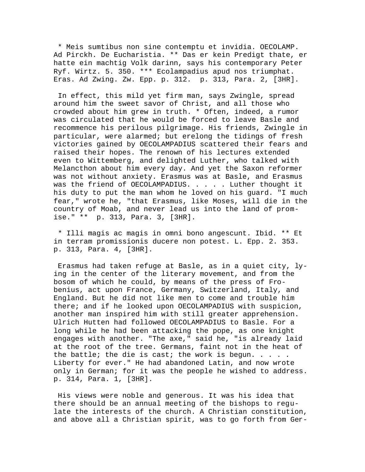\* Meis sumtibus non sine contemptu et invidia. OECOLAMP. Ad Pirckh. De Eucharistia. \*\* Das er kein Predigt thate, er hatte ein machtig Volk darinn, says his contemporary Peter Ryf. Wirtz. 5. 350. \*\*\* Ecolampadius apud nos triumphat. Eras. Ad Zwing. Zw. Epp. p. 312. p. 313, Para. 2, [3HR].

 In effect, this mild yet firm man, says Zwingle, spread around him the sweet savor of Christ, and all those who crowded about him grew in truth. \* Often, indeed, a rumor was circulated that he would be forced to leave Basle and recommence his perilous pilgrimage. His friends, Zwingle in particular, were alarmed; but erelong the tidings of fresh victories gained by OECOLAMPADIUS scattered their fears and raised their hopes. The renown of his lectures extended even to Wittemberg, and delighted Luther, who talked with Melancthon about him every day. And yet the Saxon reformer was not without anxiety. Erasmus was at Basle, and Erasmus was the friend of OECOLAMPADIUS. . . . . Luther thought it his duty to put the man whom he loved on his guard. "I much fear," wrote he, "that Erasmus, like Moses, will die in the country of Moab, and never lead us into the land of promise." \*\* p. 313, Para. 3, [3HR].

 \* Illi magis ac magis in omni bono angescunt. Ibid. \*\* Et in terram promissionis ducere non potest. L. Epp. 2. 353. p. 313, Para. 4, [3HR].

 Erasmus had taken refuge at Basle, as in a quiet city, lying in the center of the literary movement, and from the bosom of which he could, by means of the press of Frobenius, act upon France, Germany, Switzerland, Italy, and England. But he did not like men to come and trouble him there; and if he looked upon OECOLAMPADIUS with suspicion, another man inspired him with still greater apprehension. Ulrich Hutten had followed OECOLAMPADIUS to Basle. For a long while he had been attacking the pope, as one knight engages with another. "The axe," said he, "is already laid at the root of the tree. Germans, faint not in the heat of the battle; the die is cast; the work is begun.  $\ldots$ . Liberty for ever." He had abandoned Latin, and now wrote only in German; for it was the people he wished to address. p. 314, Para. 1, [3HR].

 His views were noble and generous. It was his idea that there should be an annual meeting of the bishops to regulate the interests of the church. A Christian constitution, and above all a Christian spirit, was to go forth from Ger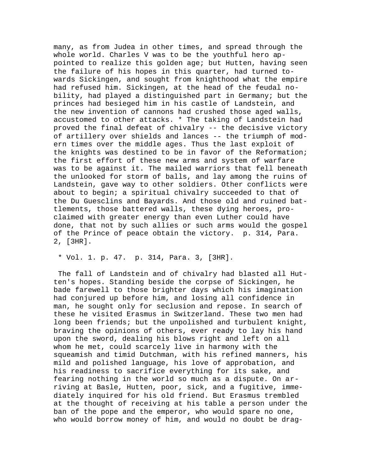many, as from Judea in other times, and spread through the whole world. Charles V was to be the youthful hero appointed to realize this golden age; but Hutten, having seen the failure of his hopes in this quarter, had turned towards Sickingen, and sought from knighthood what the empire had refused him. Sickingen, at the head of the feudal nobility, had played a distinguished part in Germany; but the princes had besieged him in his castle of Landstein, and the new invention of cannons had crushed those aged walls, accustomed to other attacks. \* The taking of Landstein had proved the final defeat of chivalry -- the decisive victory of artillery over shields and lances -- the triumph of modern times over the middle ages. Thus the last exploit of the knights was destined to be in favor of the Reformation; the first effort of these new arms and system of warfare was to be against it. The mailed warriors that fell beneath the unlooked for storm of balls, and lay among the ruins of Landstein, gave way to other soldiers. Other conflicts were about to begin; a spiritual chivalry succeeded to that of the Du Guesclins and Bayards. And those old and ruined battlements, those battered walls, these dying heroes, proclaimed with greater energy than even Luther could have done, that not by such allies or such arms would the gospel of the Prince of peace obtain the victory. p. 314, Para. 2, [3HR].

## \* Vol. 1. p. 47. p. 314, Para. 3, [3HR].

 The fall of Landstein and of chivalry had blasted all Hutten's hopes. Standing beside the corpse of Sickingen, he bade farewell to those brighter days which his imagination had conjured up before him, and losing all confidence in man, he sought only for seclusion and repose. In search of these he visited Erasmus in Switzerland. These two men had long been friends; but the unpolished and turbulent knight, braving the opinions of others, ever ready to lay his hand upon the sword, dealing his blows right and left on all whom he met, could scarcely live in harmony with the squeamish and timid Dutchman, with his refined manners, his mild and polished language, his love of approbation, and his readiness to sacrifice everything for its sake, and fearing nothing in the world so much as a dispute. On arriving at Basle, Hutten, poor, sick, and a fugitive, immediately inquired for his old friend. But Erasmus trembled at the thought of receiving at his table a person under the ban of the pope and the emperor, who would spare no one, who would borrow money of him, and would no doubt be drag-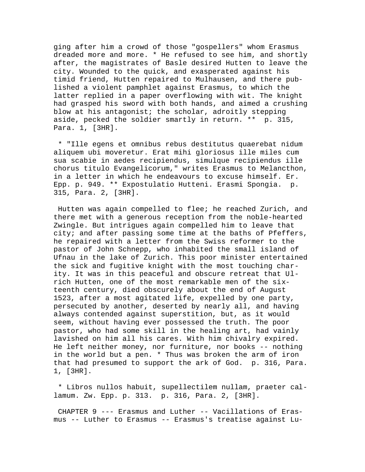ging after him a crowd of those "gospellers" whom Erasmus dreaded more and more. \* He refused to see him, and shortly after, the magistrates of Basle desired Hutten to leave the city. Wounded to the quick, and exasperated against his timid friend, Hutten repaired to Mulhausen, and there published a violent pamphlet against Erasmus, to which the latter replied in a paper overflowing with wit. The knight had grasped his sword with both hands, and aimed a crushing blow at his antagonist; the scholar, adroitly stepping aside, pecked the soldier smartly in return. \*\* p. 315, Para. 1, [3HR].

 \* "Ille egens et omnibus rebus destitutus quaerebat nidum aliquem ubi moveretur. Erat mihi gloriosus ille miles cum sua scabie in aedes recipiendus, simulque recipiendus ille chorus titulo Evangelicorum," writes Erasmus to Melancthon, in a letter in which he endeavours to excuse himself. Er. Epp. p. 949. \*\* Expostulatio Hutteni. Erasmi Spongia. p. 315, Para. 2, [3HR].

 Hutten was again compelled to flee; he reached Zurich, and there met with a generous reception from the noble-hearted Zwingle. But intrigues again compelled him to leave that city; and after passing some time at the baths of Pfeffers, he repaired with a letter from the Swiss reformer to the pastor of John Schnepp, who inhabited the small island of Ufnau in the lake of Zurich. This poor minister entertained the sick and fugitive knight with the most touching charity. It was in this peaceful and obscure retreat that Ulrich Hutten, one of the most remarkable men of the sixteenth century, died obscurely about the end of August 1523, after a most agitated life, expelled by one party, persecuted by another, deserted by nearly all, and having always contended against superstition, but, as it would seem, without having ever possessed the truth. The poor pastor, who had some skill in the healing art, had vainly lavished on him all his cares. With him chivalry expired. He left neither money, nor furniture, nor books -- nothing in the world but a pen. \* Thus was broken the arm of iron that had presumed to support the ark of God. p. 316, Para. 1, [3HR].

 \* Libros nullos habuit, supellectilem nullam, praeter callamum. Zw. Epp. p. 313. p. 316, Para. 2, [3HR].

 CHAPTER 9 --- Erasmus and Luther -- Vacillations of Erasmus -- Luther to Erasmus -- Erasmus's treatise against Lu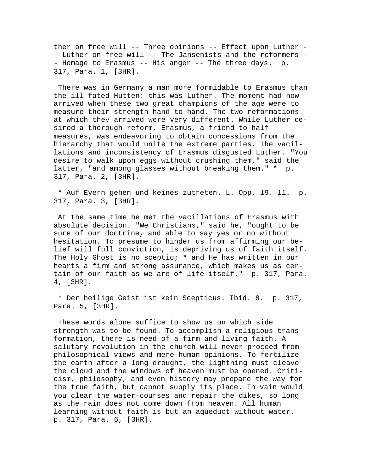ther on free will -- Three opinions -- Effect upon Luther - - Luther on free will -- The Jansenists and the reformers - - Homage to Erasmus -- His anger -- The three days. p. 317, Para. 1, [3HR].

 There was in Germany a man more formidable to Erasmus than the ill-fated Hutten: this was Luther. The moment had now arrived when these two great champions of the age were to measure their strength hand to hand. The two reformations at which they arrived were very different. While Luther desired a thorough reform, Erasmus, a friend to halfmeasures, was endeavoring to obtain concessions from the hierarchy that would unite the extreme parties. The vacillations and inconsistency of Erasmus disgusted Luther. "You desire to walk upon eggs without crushing them," said the latter, "and among glasses without breaking them." \* p. 317, Para. 2, [3HR].

 \* Auf Eyern gehen und keines zutreten. L. Opp. 19. 11. p. 317, Para. 3, [3HR].

 At the same time he met the vacillations of Erasmus with absolute decision. "We Christians," said he, "ought to be sure of our doctrine, and able to say yes or no without hesitation. To presume to hinder us from affirming our belief will full conviction, is depriving us of faith itself. The Holy Ghost is no sceptic; \* and He has written in our hearts a firm and strong assurance, which makes us as certain of our faith as we are of life itself." p. 317, Para. 4, [3HR].

 \* Der heilige Geist ist kein Scepticus. Ibid. 8. p. 317, Para. 5, [3HR].

 These words alone suffice to show us on which side strength was to be found. To accomplish a religious transformation, there is need of a firm and living faith. A salutary revolution in the church will never proceed from philosophical views and mere human opinions. To fertilize the earth after a long drought, the lightning must cleave the cloud and the windows of heaven must be opened. Criticism, philosophy, and even history may prepare the way for the true faith, but cannot supply its place. In vain would you clear the water-courses and repair the dikes, so long as the rain does not come down from heaven. All human learning without faith is but an aqueduct without water. p. 317, Para. 6, [3HR].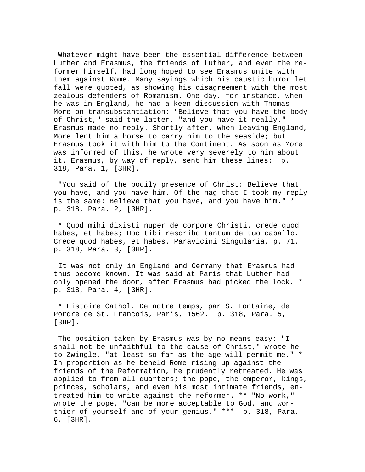Whatever might have been the essential difference between Luther and Erasmus, the friends of Luther, and even the reformer himself, had long hoped to see Erasmus unite with them against Rome. Many sayings which his caustic humor let fall were quoted, as showing his disagreement with the most zealous defenders of Romanism. One day, for instance, when he was in England, he had a keen discussion with Thomas More on transubstantiation: "Believe that you have the body of Christ," said the latter, "and you have it really." Erasmus made no reply. Shortly after, when leaving England, More lent him a horse to carry him to the seaside; but Erasmus took it with him to the Continent. As soon as More was informed of this, he wrote very severely to him about it. Erasmus, by way of reply, sent him these lines: p. 318, Para. 1, [3HR].

 "You said of the bodily presence of Christ: Believe that you have, and you have him. Of the nag that I took my reply is the same: Believe that you have, and you have him." \* p. 318, Para. 2, [3HR].

 \* Quod mihi dixisti nuper de corpore Christi. crede quod habes, et habes; Hoc tibi rescribo tantum de tuo caballo. Crede quod habes, et habes. Paravicini Singularia, p. 71. p. 318, Para. 3, [3HR].

 It was not only in England and Germany that Erasmus had thus become known. It was said at Paris that Luther had only opened the door, after Erasmus had picked the lock. \* p. 318, Para. 4, [3HR].

 \* Histoire Cathol. De notre temps, par S. Fontaine, de Pordre de St. Francois, Paris, 1562. p. 318, Para. 5, [3HR].

 The position taken by Erasmus was by no means easy: "I shall not be unfaithful to the cause of Christ," wrote he to Zwingle, "at least so far as the age will permit me." \* In proportion as he beheld Rome rising up against the friends of the Reformation, he prudently retreated. He was applied to from all quarters; the pope, the emperor, kings, princes, scholars, and even his most intimate friends, entreated him to write against the reformer. \*\* "No work," wrote the pope, "can be more acceptable to God, and worthier of yourself and of your genius." \*\*\* p. 318, Para. 6, [3HR].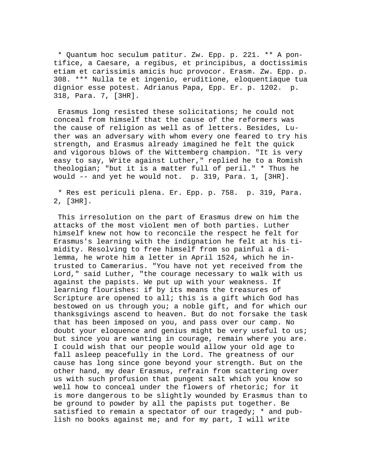\* Quantum hoc seculum patitur. Zw. Epp. p. 221. \*\* A pontifice, a Caesare, a regibus, et principibus, a doctissimis etiam et carissimis amicis huc provocor. Erasm. Zw. Epp. p. 308. \*\*\* Nulla te et ingenio, eruditione, eloquentiaque tua dignior esse potest. Adrianus Papa, Epp. Er. p. 1202. p. 318, Para. 7, [3HR].

 Erasmus long resisted these solicitations; he could not conceal from himself that the cause of the reformers was the cause of religion as well as of letters. Besides, Luther was an adversary with whom every one feared to try his strength, and Erasmus already imagined he felt the quick and vigorous blows of the Wittemberg champion. "It is very easy to say, Write against Luther," replied he to a Romish theologian; "but it is a matter full of peril." \* Thus he would -- and yet he would not. p. 319, Para. 1, [3HR].

 \* Res est periculi plena. Er. Epp. p. 758. p. 319, Para. 2, [3HR].

 This irresolution on the part of Erasmus drew on him the attacks of the most violent men of both parties. Luther himself knew not how to reconcile the respect he felt for Erasmus's learning with the indignation he felt at his timidity. Resolving to free himself from so painful a dilemma, he wrote him a letter in April 1524, which he intrusted to Camerarius. "You have not yet received from the Lord," said Luther, "the courage necessary to walk with us against the papists. We put up with your weakness. If learning flourishes: if by its means the treasures of Scripture are opened to all; this is a gift which God has bestowed on us through you; a noble gift, and for which our thanksgivings ascend to heaven. But do not forsake the task that has been imposed on you, and pass over our camp. No doubt your eloquence and genius might be very useful to us; but since you are wanting in courage, remain where you are. I could wish that our people would allow your old age to fall asleep peacefully in the Lord. The greatness of our cause has long since gone beyond your strength. But on the other hand, my dear Erasmus, refrain from scattering over us with such profusion that pungent salt which you know so well how to conceal under the flowers of rhetoric; for it is more dangerous to be slightly wounded by Erasmus than to be ground to powder by all the papists put together. Be satisfied to remain a spectator of our tragedy; \* and publish no books against me; and for my part, I will write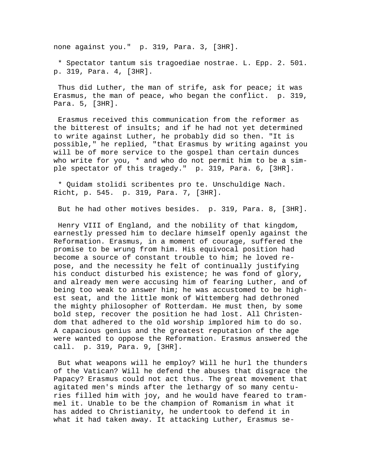none against you." p. 319, Para. 3, [3HR].

 \* Spectator tantum sis tragoediae nostrae. L. Epp. 2. 501. p. 319, Para. 4, [3HR].

 Thus did Luther, the man of strife, ask for peace; it was Erasmus, the man of peace, who began the conflict. p. 319, Para. 5, [3HR].

 Erasmus received this communication from the reformer as the bitterest of insults; and if he had not yet determined to write against Luther, he probably did so then. "It is possible," he replied, "that Erasmus by writing against you will be of more service to the gospel than certain dunces who write for you, \* and who do not permit him to be a simple spectator of this tragedy." p. 319, Para. 6, [3HR].

 \* Quidam stolidi scribentes pro te. Unschuldige Nach. Richt, p. 545. p. 319, Para. 7, [3HR].

But he had other motives besides. p. 319, Para. 8, [3HR].

 Henry VIII of England, and the nobility of that kingdom, earnestly pressed him to declare himself openly against the Reformation. Erasmus, in a moment of courage, suffered the promise to be wrung from him. His equivocal position had become a source of constant trouble to him; he loved repose, and the necessity he felt of continually justifying his conduct disturbed his existence; he was fond of glory, and already men were accusing him of fearing Luther, and of being too weak to answer him; he was accustomed to be highest seat, and the little monk of Wittemberg had dethroned the mighty philosopher of Rotterdam. He must then, by some bold step, recover the position he had lost. All Christendom that adhered to the old worship implored him to do so. A capacious genius and the greatest reputation of the age were wanted to oppose the Reformation. Erasmus answered the call. p. 319, Para. 9, [3HR].

 But what weapons will he employ? Will he hurl the thunders of the Vatican? Will he defend the abuses that disgrace the Papacy? Erasmus could not act thus. The great movement that agitated men's minds after the lethargy of so many centuries filled him with joy, and he would have feared to trammel it. Unable to be the champion of Romanism in what it has added to Christianity, he undertook to defend it in what it had taken away. It attacking Luther, Erasmus se-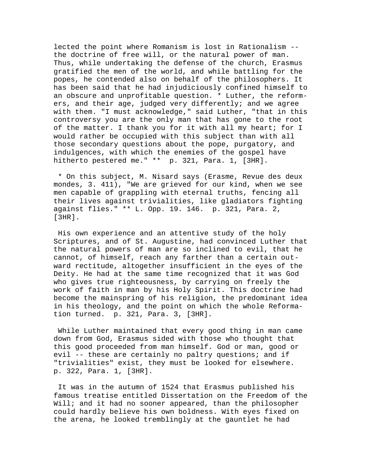lected the point where Romanism is lost in Rationalism - the doctrine of free will, or the natural power of man. Thus, while undertaking the defense of the church, Erasmus gratified the men of the world, and while battling for the popes, he contended also on behalf of the philosophers. It has been said that he had injudiciously confined himself to an obscure and unprofitable question. \* Luther, the reformers, and their age, judged very differently; and we agree with them. "I must acknowledge," said Luther, "that in this controversy you are the only man that has gone to the root of the matter. I thank you for it with all my heart; for I would rather be occupied with this subject than with all those secondary questions about the pope, purgatory, and indulgences, with which the enemies of the gospel have hitherto pestered me." \*\* p. 321, Para. 1, [3HR].

 \* On this subject, M. Nisard says (Erasme, Revue des deux mondes, 3. 411), "We are grieved for our kind, when we see men capable of grappling with eternal truths, fencing all their lives against trivialities, like gladiators fighting against flies." \*\* L. Opp. 19. 146. p. 321, Para. 2, [3HR].

 His own experience and an attentive study of the holy Scriptures, and of St. Augustine, had convinced Luther that the natural powers of man are so inclined to evil, that he cannot, of himself, reach any farther than a certain outward rectitude, altogether insufficient in the eyes of the Deity. He had at the same time recognized that it was God who gives true righteousness, by carrying on freely the work of faith in man by his Holy Spirit. This doctrine had become the mainspring of his religion, the predominant idea in his theology, and the point on which the whole Reformation turned. p. 321, Para. 3, [3HR].

 While Luther maintained that every good thing in man came down from God, Erasmus sided with those who thought that this good proceeded from man himself. God or man, good or evil -- these are certainly no paltry questions; and if "trivialities" exist, they must be looked for elsewhere. p. 322, Para. 1, [3HR].

 It was in the autumn of 1524 that Erasmus published his famous treatise entitled Dissertation on the Freedom of the Will; and it had no sooner appeared, than the philosopher could hardly believe his own boldness. With eyes fixed on the arena, he looked tremblingly at the gauntlet he had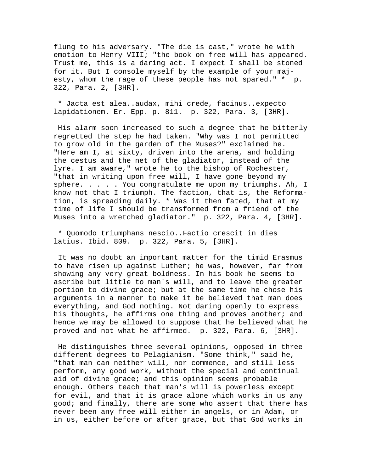flung to his adversary. "The die is cast," wrote he with emotion to Henry VIII; "the book on free will has appeared. Trust me, this is a daring act. I expect I shall be stoned for it. But I console myself by the example of your majesty, whom the rage of these people has not spared." \* p. 322, Para. 2, [3HR].

 \* Jacta est alea..audax, mihi crede, facinus..expecto lapidationem. Er. Epp. p. 811. p. 322, Para. 3, [3HR].

 His alarm soon increased to such a degree that he bitterly regretted the step he had taken. "Why was I not permitted to grow old in the garden of the Muses?" exclaimed he. "Here am I, at sixty, driven into the arena, and holding the cestus and the net of the gladiator, instead of the lyre. I am aware," wrote he to the bishop of Rochester, "that in writing upon free will, I have gone beyond my sphere. . . . . You congratulate me upon my triumphs. Ah, I know not that I triumph. The faction, that is, the Reformation, is spreading daily. \* Was it then fated, that at my time of life I should be transformed from a friend of the Muses into a wretched gladiator." p. 322, Para. 4, [3HR].

 \* Quomodo triumphans nescio..Factio crescit in dies latius. Ibid. 809. p. 322, Para. 5, [3HR].

 It was no doubt an important matter for the timid Erasmus to have risen up against Luther; he was, however, far from showing any very great boldness. In his book he seems to ascribe but little to man's will, and to leave the greater portion to divine grace; but at the same time he chose his arguments in a manner to make it be believed that man does everything, and God nothing. Not daring openly to express his thoughts, he affirms one thing and proves another; and hence we may be allowed to suppose that he believed what he proved and not what he affirmed. p. 322, Para. 6, [3HR].

 He distinguishes three several opinions, opposed in three different degrees to Pelagianism. "Some think," said he, "that man can neither will, nor commence, and still less perform, any good work, without the special and continual aid of divine grace; and this opinion seems probable enough. Others teach that man's will is powerless except for evil, and that it is grace alone which works in us any good; and finally, there are some who assert that there has never been any free will either in angels, or in Adam, or in us, either before or after grace, but that God works in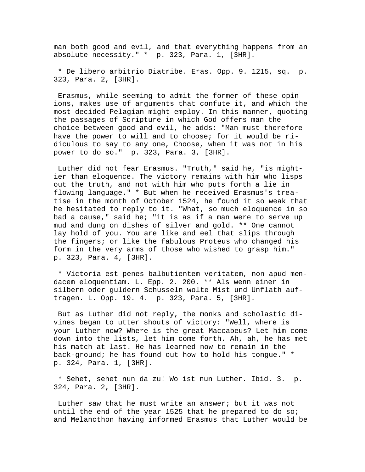man both good and evil, and that everything happens from an absolute necessity." \* p. 323, Para. 1, [3HR].

 \* De libero arbitrio Diatribe. Eras. Opp. 9. 1215, sq. p. 323, Para. 2, [3HR].

 Erasmus, while seeming to admit the former of these opinions, makes use of arguments that confute it, and which the most decided Pelagian might employ. In this manner, quoting the passages of Scripture in which God offers man the choice between good and evil, he adds: "Man must therefore have the power to will and to choose; for it would be ridiculous to say to any one, Choose, when it was not in his power to do so." p. 323, Para. 3, [3HR].

 Luther did not fear Erasmus. "Truth," said he, "is mightier than eloquence. The victory remains with him who lisps out the truth, and not with him who puts forth a lie in flowing language." \* But when he received Erasmus's treatise in the month of October 1524, he found it so weak that he hesitated to reply to it. "What, so much eloquence in so bad a cause," said he; "it is as if a man were to serve up mud and dung on dishes of silver and gold. \*\* One cannot lay hold of you. You are like and eel that slips through the fingers; or like the fabulous Proteus who changed his form in the very arms of those who wished to grasp him." p. 323, Para. 4, [3HR].

 \* Victoria est penes balbutientem veritatem, non apud mendacem eloquentiam. L. Epp. 2. 200. \*\* Als wenn einer in silbern oder guldern Schusseln wolte Mist und Unflath auftragen. L. Opp. 19. 4. p. 323, Para. 5, [3HR].

 But as Luther did not reply, the monks and scholastic divines began to utter shouts of victory: "Well, where is your Luther now? Where is the great Maccabeus? Let him come down into the lists, let him come forth. Ah, ah, he has met his match at last. He has learned now to remain in the back-ground; he has found out how to hold his tongue." \* p. 324, Para. 1, [3HR].

 \* Sehet, sehet nun da zu! Wo ist nun Luther. Ibid. 3. p. 324, Para. 2, [3HR].

 Luther saw that he must write an answer; but it was not until the end of the year 1525 that he prepared to do so; and Melancthon having informed Erasmus that Luther would be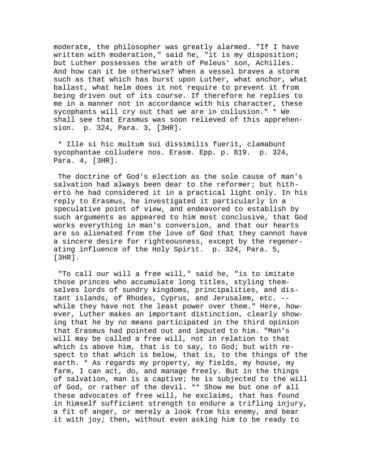moderate, the philosopher was greatly alarmed. "If I have written with moderation," said he, "it is my disposition; but Luther possesses the wrath of Peleus' son, Achilles. And how can it be otherwise? When a vessel braves a storm such as that which has burst upon Luther, what anchor, what ballast, what helm does it not require to prevent it from being driven out of its course. If therefore he replies to me in a manner not in accordance with his character, these sycophants will cry out that we are in collusion." \* We shall see that Erasmus was soon relieved of this apprehension. p. 324, Para. 3, [3HR].

 \* Ille si hic multum sui dissimilis fuerit, clamabunt sycophantae colludere nos. Erasm. Epp. p. 819. p. 324, Para. 4, [3HR].

 The doctrine of God's election as the sole cause of man's salvation had always been dear to the reformer; but hitherto he had considered it in a practical light only. In his reply to Erasmus, he investigated it particularly in a speculative point of view, and endeavored to establish by such arguments as appeared to him most conclusive, that God works everything in man's conversion, and that our hearts are so alienated from the love of God that they cannot have a sincere desire for righteousness, except by the regenerating influence of the Holy Spirit. p. 324, Para. 5, [3HR].

 "To call our will a free will," said he, "is to imitate those princes who accumulate long titles, styling themselves lords of sundry kingdoms, principalities, and distant islands, of Rhodes, Cyprus, and Jerusalem, etc. - while they have not the least power over them." Here, however, Luther makes an important distinction, clearly showing that he by no means participated in the third opinion that Erasmus had pointed out and imputed to him. "Man's will may be called a free will, not in relation to that which is above him, that is to say, to God; but with respect to that which is below, that is, to the things of the earth. \* As regards my property, my fields, my house, my farm, I can act, do, and manage freely. But in the things of salvation, man is a captive; he is subjected to the will of God, or rather of the devil. \*\* Show me but one of all these advocates of free will, he exclaims, that has found in himself sufficient strength to endure a trifling injury, a fit of anger, or merely a look from his enemy, and bear it with joy; then, without even asking him to be ready to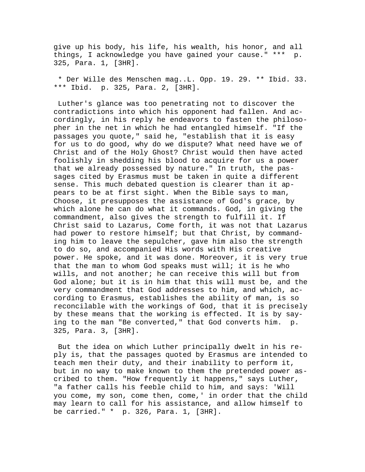give up his body, his life, his wealth, his honor, and all things, I acknowledge you have gained your cause." \*\*\* p. 325, Para. 1, [3HR].

 \* Der Wille des Menschen mag..L. Opp. 19. 29. \*\* Ibid. 33. \*\*\* Ibid. p. 325, Para. 2, [3HR].

 Luther's glance was too penetrating not to discover the contradictions into which his opponent had fallen. And accordingly, in his reply he endeavors to fasten the philosopher in the net in which he had entangled himself. "If the passages you quote," said he, "establish that it is easy for us to do good, why do we dispute? What need have we of Christ and of the Holy Ghost? Christ would then have acted foolishly in shedding his blood to acquire for us a power that we already possessed by nature." In truth, the passages cited by Erasmus must be taken in quite a different sense. This much debated question is clearer than it appears to be at first sight. When the Bible says to man, Choose, it presupposes the assistance of God's grace, by which alone he can do what it commands. God, in giving the commandment, also gives the strength to fulfill it. If Christ said to Lazarus, Come forth, it was not that Lazarus had power to restore himself; but that Christ, by commanding him to leave the sepulcher, gave him also the strength to do so, and accompanied His words with His creative power. He spoke, and it was done. Moreover, it is very true that the man to whom God speaks must will; it is he who wills, and not another; he can receive this will but from God alone; but it is in him that this will must be, and the very commandment that God addresses to him, and which, according to Erasmus, establishes the ability of man, is so reconcilable with the workings of God, that it is precisely by these means that the working is effected. It is by saying to the man "Be converted," that God converts him. p. 325, Para. 3, [3HR].

 But the idea on which Luther principally dwelt in his reply is, that the passages quoted by Erasmus are intended to teach men their duty, and their inability to perform it, but in no way to make known to them the pretended power ascribed to them. "How frequently it happens," says Luther, "a father calls his feeble child to him, and says: 'Will you come, my son, come then, come,' in order that the child may learn to call for his assistance, and allow himself to be carried." \* p. 326, Para. 1, [3HR].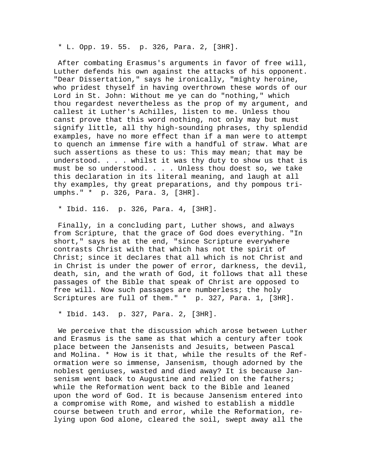\* L. Opp. 19. 55. p. 326, Para. 2, [3HR].

 After combating Erasmus's arguments in favor of free will, Luther defends his own against the attacks of his opponent. "Dear Dissertation," says he ironically, "mighty heroine, who pridest thyself in having overthrown these words of our Lord in St. John: Without me ye can do "nothing," which thou regardest nevertheless as the prop of my argument, and callest it Luther's Achilles, listen to me. Unless thou canst prove that this word nothing, not only may but must signify little, all thy high-sounding phrases, thy splendid examples, have no more effect than if a man were to attempt to quench an immense fire with a handful of straw. What are such assertions as these to us: This may mean; that may be understood. . . . whilst it was thy duty to show us that is must be so understood. . . . Unless thou doest so, we take this declaration in its literal meaning, and laugh at all thy examples, thy great preparations, and thy pompous triumphs." \* p. 326, Para. 3, [3HR].

\* Ibid. 116. p. 326, Para. 4, [3HR].

 Finally, in a concluding part, Luther shows, and always from Scripture, that the grace of God does everything. "In short," says he at the end, "since Scripture everywhere contrasts Christ with that which has not the spirit of Christ; since it declares that all which is not Christ and in Christ is under the power of error, darkness, the devil, death, sin, and the wrath of God, it follows that all these passages of the Bible that speak of Christ are opposed to free will. Now such passages are numberless; the holy Scriptures are full of them." \* p. 327, Para. 1, [3HR].

\* Ibid. 143. p. 327, Para. 2, [3HR].

 We perceive that the discussion which arose between Luther and Erasmus is the same as that which a century after took place between the Jansenists and Jesuits, between Pascal and Molina. \* How is it that, while the results of the Reformation were so immense, Jansenism, though adorned by the noblest geniuses, wasted and died away? It is because Jansenism went back to Augustine and relied on the fathers; while the Reformation went back to the Bible and leaned upon the word of God. It is because Jansenism entered into a compromise with Rome, and wished to establish a middle course between truth and error, while the Reformation, relying upon God alone, cleared the soil, swept away all the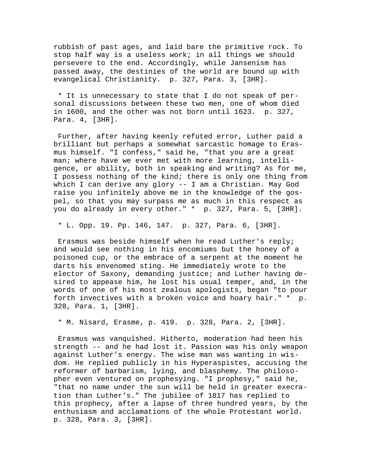rubbish of past ages, and laid bare the primitive rock. To stop half way is a useless work; in all things we should persevere to the end. Accordingly, while Jansenism has passed away, the destinies of the world are bound up with evangelical Christianity. p. 327, Para. 3, [3HR].

 \* It is unnecessary to state that I do not speak of personal discussions between these two men, one of whom died in 1600, and the other was not born until 1623. p. 327, Para. 4, [3HR].

 Further, after having keenly refuted error, Luther paid a brilliant but perhaps a somewhat sarcastic homage to Erasmus himself. "I confess," said he, "that you are a great man; where have we ever met with more learning, intelligence, or ability, both in speaking and writing? As for me, I possess nothing of the kind; there is only one thing from which I can derive any glory -- I am a Christian. May God raise you infinitely above me in the knowledge of the gospel, so that you may surpass me as much in this respect as you do already in every other." \* p. 327, Para. 5, [3HR].

\* L. Opp. 19. Pp. 146, 147. p. 327, Para. 6, [3HR].

 Erasmus was beside himself when he read Luther's reply; and would see nothing in his encomiums but the honey of a poisoned cup, or the embrace of a serpent at the moment he darts his envenomed sting. He immediately wrote to the elector of Saxony, demanding justice; and Luther having desired to appease him, he lost his usual temper, and, in the words of one of his most zealous apologists, began "to pour forth invectives with a broken voice and hoary hair." \* p. 328, Para. 1, [3HR].

\* M. Nisard, Erasme, p. 419. p. 328, Para. 2, [3HR].

 Erasmus was vanquished. Hitherto, moderation had been his strength -- and he had lost it. Passion was his only weapon against Luther's energy. The wise man was wanting in wisdom. He replied publicly in his Hyperaspistes, accusing the reformer of barbarism, lying, and blasphemy. The philosopher even ventured on prophesying. "I prophesy," said he, "that no name under the sun will be held in greater execration than Luther's." The jubilee of 1817 has replied to this prophecy, after a lapse of three hundred years, by the enthusiasm and acclamations of the whole Protestant world. p. 328, Para. 3, [3HR].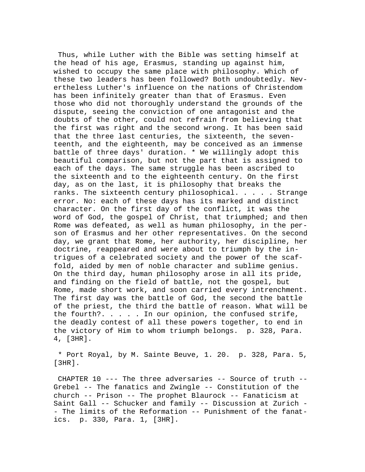Thus, while Luther with the Bible was setting himself at the head of his age, Erasmus, standing up against him, wished to occupy the same place with philosophy. Which of these two leaders has been followed? Both undoubtedly. Nevertheless Luther's influence on the nations of Christendom has been infinitely greater than that of Erasmus. Even those who did not thoroughly understand the grounds of the dispute, seeing the conviction of one antagonist and the doubts of the other, could not refrain from believing that the first was right and the second wrong. It has been said that the three last centuries, the sixteenth, the seventeenth, and the eighteenth, may be conceived as an immense battle of three days' duration. \* We willingly adopt this beautiful comparison, but not the part that is assigned to each of the days. The same struggle has been ascribed to the sixteenth and to the eighteenth century. On the first day, as on the last, it is philosophy that breaks the ranks. The sixteenth century philosophical. . . . . Strange error. No: each of these days has its marked and distinct character. On the first day of the conflict, it was the word of God, the gospel of Christ, that triumphed; and then Rome was defeated, as well as human philosophy, in the person of Erasmus and her other representatives. On the second day, we grant that Rome, her authority, her discipline, her doctrine, reappeared and were about to triumph by the intrigues of a celebrated society and the power of the scaffold, aided by men of noble character and sublime genius. On the third day, human philosophy arose in all its pride, and finding on the field of battle, not the gospel, but Rome, made short work, and soon carried every intrenchment. The first day was the battle of God, the second the battle of the priest, the third the battle of reason. What will be the fourth?.  $\ldots$  . . In our opinion, the confused strife, the deadly contest of all these powers together, to end in the victory of Him to whom triumph belongs. p. 328, Para. 4, [3HR].

 \* Port Royal, by M. Sainte Beuve, 1. 20. p. 328, Para. 5, [3HR].

 CHAPTER 10 --- The three adversaries -- Source of truth -- Grebel -- The fanatics and Zwingle -- Constitution of the church -- Prison -- The prophet Blaurock -- Fanaticism at Saint Gall -- Schucker and family -- Discussion at Zurich - - The limits of the Reformation -- Punishment of the fanatics. p. 330, Para. 1, [3HR].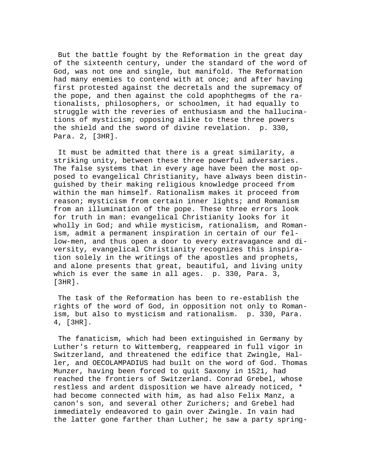But the battle fought by the Reformation in the great day of the sixteenth century, under the standard of the word of God, was not one and single, but manifold. The Reformation had many enemies to contend with at once; and after having first protested against the decretals and the supremacy of the pope, and then against the cold apophthegms of the rationalists, philosophers, or schoolmen, it had equally to struggle with the reveries of enthusiasm and the hallucinations of mysticism; opposing alike to these three powers the shield and the sword of divine revelation. p. 330, Para. 2, [3HR].

 It must be admitted that there is a great similarity, a striking unity, between these three powerful adversaries. The false systems that in every age have been the most opposed to evangelical Christianity, have always been distinguished by their making religious knowledge proceed from within the man himself. Rationalism makes it proceed from reason; mysticism from certain inner lights; and Romanism from an illumination of the pope. These three errors look for truth in man: evangelical Christianity looks for it wholly in God; and while mysticism, rationalism, and Romanism, admit a permanent inspiration in certain of our fellow-men, and thus open a door to every extravagance and diversity, evangelical Christianity recognizes this inspiration solely in the writings of the apostles and prophets, and alone presents that great, beautiful, and living unity which is ever the same in all ages. p. 330, Para. 3, [3HR].

 The task of the Reformation has been to re-establish the rights of the word of God, in opposition not only to Romanism, but also to mysticism and rationalism. p. 330, Para. 4, [3HR].

 The fanaticism, which had been extinguished in Germany by Luther's return to Wittemberg, reappeared in full vigor in Switzerland, and threatened the edifice that Zwingle, Haller, and OECOLAMPADIUS had built on the word of God. Thomas Munzer, having been forced to quit Saxony in 1521, had reached the frontiers of Switzerland. Conrad Grebel, whose restless and ardent disposition we have already noticed, \* had become connected with him, as had also Felix Manz, a canon's son, and several other Zurichers; and Grebel had immediately endeavored to gain over Zwingle. In vain had the latter gone farther than Luther; he saw a party spring-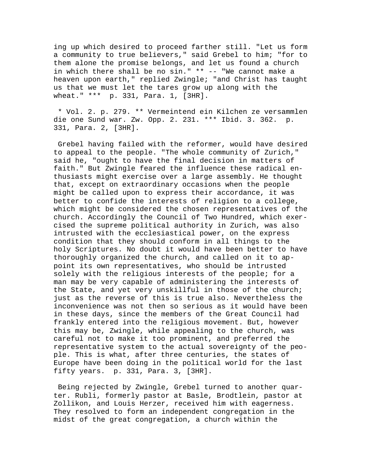ing up which desired to proceed farther still. "Let us form a community to true believers," said Grebel to him; "for to them alone the promise belongs, and let us found a church in which there shall be no sin." \*\* -- "We cannot make a heaven upon earth," replied Zwingle; "and Christ has taught us that we must let the tares grow up along with the wheat." \*\*\* p. 331, Para. 1, [3HR].

 \* Vol. 2. p. 279. \*\* Vermeintend ein Kilchen ze versammlen die one Sund war. Zw. Opp. 2. 231. \*\*\* Ibid. 3. 362. p. 331, Para. 2, [3HR].

 Grebel having failed with the reformer, would have desired to appeal to the people. "The whole community of Zurich," said he, "ought to have the final decision in matters of faith." But Zwingle feared the influence these radical enthusiasts might exercise over a large assembly. He thought that, except on extraordinary occasions when the people might be called upon to express their accordance, it was better to confide the interests of religion to a college, which might be considered the chosen representatives of the church. Accordingly the Council of Two Hundred, which exercised the supreme political authority in Zurich, was also intrusted with the ecclesiastical power, on the express condition that they should conform in all things to the holy Scriptures. No doubt it would have been better to have thoroughly organized the church, and called on it to appoint its own representatives, who should be intrusted solely with the religious interests of the people; for a man may be very capable of administering the interests of the State, and yet very unskillful in those of the church; just as the reverse of this is true also. Nevertheless the inconvenience was not then so serious as it would have been in these days, since the members of the Great Council had frankly entered into the religious movement. But, however this may be, Zwingle, while appealing to the church, was careful not to make it too prominent, and preferred the representative system to the actual sovereignty of the people. This is what, after three centuries, the states of Europe have been doing in the political world for the last fifty years. p. 331, Para. 3, [3HR].

 Being rejected by Zwingle, Grebel turned to another quarter. Rubli, formerly pastor at Basle, Brodtlein, pastor at Zollikon, and Louis Herzer, received him with eagerness. They resolved to form an independent congregation in the midst of the great congregation, a church within the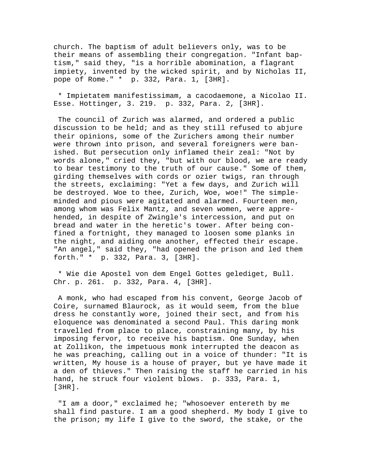church. The baptism of adult believers only, was to be their means of assembling their congregation. "Infant baptism," said they, "is a horrible abomination, a flagrant impiety, invented by the wicked spirit, and by Nicholas II, pope of Rome." \* p. 332, Para. 1, [3HR].

 \* Impietatem manifestissimam, a cacodaemone, a Nicolao II. Esse. Hottinger, 3. 219. p. 332, Para. 2, [3HR].

 The council of Zurich was alarmed, and ordered a public discussion to be held; and as they still refused to abjure their opinions, some of the Zurichers among their number were thrown into prison, and several foreigners were banished. But persecution only inflamed their zeal: "Not by words alone," cried they, "but with our blood, we are ready to bear testimony to the truth of our cause." Some of them, girding themselves with cords or ozier twigs, ran through the streets, exclaiming: "Yet a few days, and Zurich will be destroyed. Woe to thee, Zurich, Woe, woe!" The simpleminded and pious were agitated and alarmed. Fourteen men, among whom was Felix Mantz, and seven women, were apprehended, in despite of Zwingle's intercession, and put on bread and water in the heretic's tower. After being confined a fortnight, they managed to loosen some planks in the night, and aiding one another, effected their escape. "An angel," said they, "had opened the prison and led them forth." \* p. 332, Para. 3, [3HR].

 \* Wie die Apostel von dem Engel Gottes gelediget, Bull. Chr. p. 261. p. 332, Para. 4, [3HR].

 A monk, who had escaped from his convent, George Jacob of Coire, surnamed Blaurock, as it would seem, from the blue dress he constantly wore, joined their sect, and from his eloquence was denominated a second Paul. This daring monk travelled from place to place, constraining many, by his imposing fervor, to receive his baptism. One Sunday, when at Zollikon, the impetuous monk interrupted the deacon as he was preaching, calling out in a voice of thunder: "It is written, My house is a house of prayer, but ye have made it a den of thieves." Then raising the staff he carried in his hand, he struck four violent blows. p. 333, Para. 1, [3HR].

 "I am a door," exclaimed he; "whosoever entereth by me shall find pasture. I am a good shepherd. My body I give to the prison; my life I give to the sword, the stake, or the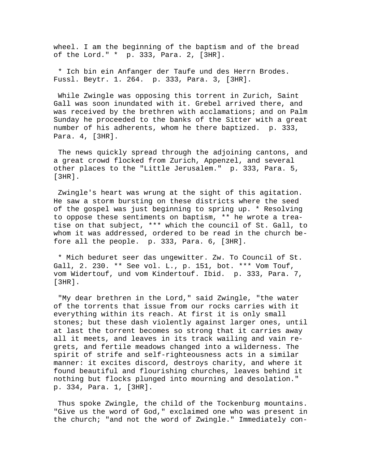wheel. I am the beginning of the baptism and of the bread of the Lord." \* p. 333, Para. 2, [3HR].

 \* Ich bin ein Anfanger der Taufe und des Herrn Brodes. Fussl. Beytr. 1. 264. p. 333, Para. 3, [3HR].

 While Zwingle was opposing this torrent in Zurich, Saint Gall was soon inundated with it. Grebel arrived there, and was received by the brethren with acclamations; and on Palm Sunday he proceeded to the banks of the Sitter with a great number of his adherents, whom he there baptized. p. 333, Para. 4, [3HR].

 The news quickly spread through the adjoining cantons, and a great crowd flocked from Zurich, Appenzel, and several other places to the "Little Jerusalem." p. 333, Para. 5, [3HR].

 Zwingle's heart was wrung at the sight of this agitation. He saw a storm bursting on these districts where the seed of the gospel was just beginning to spring up. \* Resolving to oppose these sentiments on baptism, \*\* he wrote a treatise on that subject, \*\*\* which the council of St. Gall, to whom it was addressed, ordered to be read in the church before all the people. p. 333, Para. 6, [3HR].

 \* Mich beduret seer das ungewitter. Zw. To Council of St. Gall, 2. 230. \*\* See vol. L., p. 151, bot. \*\*\* Vom Touf, vom Widertouf, und vom Kindertouf. Ibid. p. 333, Para. 7, [3HR].

 "My dear brethren in the Lord," said Zwingle, "the water of the torrents that issue from our rocks carries with it everything within its reach. At first it is only small stones; but these dash violently against larger ones, until at last the torrent becomes so strong that it carries away all it meets, and leaves in its track wailing and vain regrets, and fertile meadows changed into a wilderness. The spirit of strife and self-righteousness acts in a similar manner: it excites discord, destroys charity, and where it found beautiful and flourishing churches, leaves behind it nothing but flocks plunged into mourning and desolation." p. 334, Para. 1, [3HR].

 Thus spoke Zwingle, the child of the Tockenburg mountains. "Give us the word of God," exclaimed one who was present in the church; "and not the word of Zwingle." Immediately con-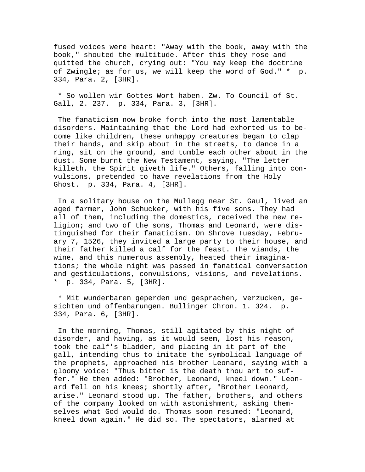fused voices were heart: "Away with the book, away with the book," shouted the multitude. After this they rose and quitted the church, crying out: "You may keep the doctrine of Zwingle; as for us, we will keep the word of God." \* p. 334, Para. 2, [3HR].

 \* So wollen wir Gottes Wort haben. Zw. To Council of St. Gall, 2. 237. p. 334, Para. 3, [3HR].

 The fanaticism now broke forth into the most lamentable disorders. Maintaining that the Lord had exhorted us to become like children, these unhappy creatures began to clap their hands, and skip about in the streets, to dance in a ring, sit on the ground, and tumble each other about in the dust. Some burnt the New Testament, saying, "The letter killeth, the Spirit giveth life." Others, falling into convulsions, pretended to have revelations from the Holy Ghost. p. 334, Para. 4, [3HR].

 In a solitary house on the Mullegg near St. Gaul, lived an aged farmer, John Schucker, with his five sons. They had all of them, including the domestics, received the new religion; and two of the sons, Thomas and Leonard, were distinguished for their fanaticism. On Shrove Tuesday, February 7, 1526, they invited a large party to their house, and their father killed a calf for the feast. The viands, the wine, and this numerous assembly, heated their imaginations; the whole night was passed in fanatical conversation and gesticulations, convulsions, visions, and revelations. \* p. 334, Para. 5, [3HR].

 \* Mit wunderbaren geperden und gesprachen, verzucken, gesichten und offenbarungen. Bullinger Chron. 1. 324. p. 334, Para. 6, [3HR].

 In the morning, Thomas, still agitated by this night of disorder, and having, as it would seem, lost his reason, took the calf's bladder, and placing in it part of the gall, intending thus to imitate the symbolical language of the prophets, approached his brother Leonard, saying with a gloomy voice: "Thus bitter is the death thou art to suffer." He then added: "Brother, Leonard, kneel down." Leonard fell on his knees; shortly after, "Brother Leonard, arise." Leonard stood up. The father, brothers, and others of the company looked on with astonishment, asking themselves what God would do. Thomas soon resumed: "Leonard, kneel down again." He did so. The spectators, alarmed at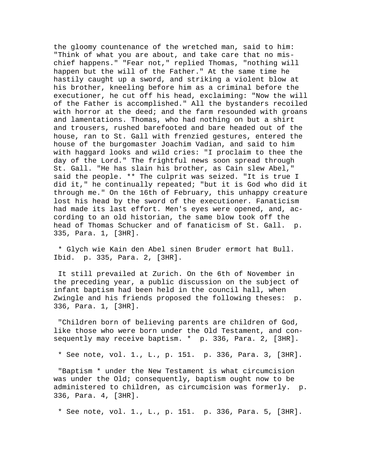the gloomy countenance of the wretched man, said to him: "Think of what you are about, and take care that no mischief happens." "Fear not," replied Thomas, "nothing will happen but the will of the Father." At the same time he hastily caught up a sword, and striking a violent blow at his brother, kneeling before him as a criminal before the executioner, he cut off his head, exclaiming: "Now the will of the Father is accomplished." All the bystanders recoiled with horror at the deed; and the farm resounded with groans and lamentations. Thomas, who had nothing on but a shirt and trousers, rushed barefooted and bare headed out of the house, ran to St. Gall with frenzied gestures, entered the house of the burgomaster Joachim Vadian, and said to him with haggard looks and wild cries: "I proclaim to thee the day of the Lord." The frightful news soon spread through St. Gall. "He has slain his brother, as Cain slew Abel," said the people. \*\* The culprit was seized. "It is true I did it," he continually repeated; "but it is God who did it through me." On the 16th of February, this unhappy creature lost his head by the sword of the executioner. Fanaticism had made its last effort. Men's eyes were opened, and, according to an old historian, the same blow took off the head of Thomas Schucker and of fanaticism of St. Gall. p. 335, Para. 1, [3HR].

 \* Glych wie Kain den Abel sinen Bruder ermort hat Bull. Ibid. p. 335, Para. 2, [3HR].

 It still prevailed at Zurich. On the 6th of November in the preceding year, a public discussion on the subject of infant baptism had been held in the council hall, when Zwingle and his friends proposed the following theses: p. 336, Para. 1, [3HR].

 "Children born of believing parents are children of God, like those who were born under the Old Testament, and consequently may receive baptism. \* p. 336, Para. 2, [3HR].

\* See note, vol. 1., L., p. 151. p. 336, Para. 3, [3HR].

 "Baptism \* under the New Testament is what circumcision was under the Old; consequently, baptism ought now to be administered to children, as circumcision was formerly. p. 336, Para. 4, [3HR].

\* See note, vol. 1., L., p. 151. p. 336, Para. 5, [3HR].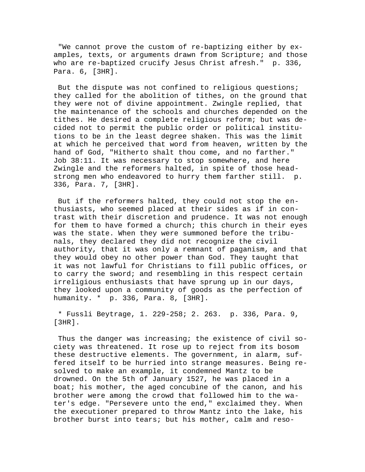"We cannot prove the custom of re-baptizing either by examples, texts, or arguments drawn from Scripture; and those who are re-baptized crucify Jesus Christ afresh." p. 336, Para. 6, [3HR].

 But the dispute was not confined to religious questions; they called for the abolition of tithes, on the ground that they were not of divine appointment. Zwingle replied, that the maintenance of the schools and churches depended on the tithes. He desired a complete religious reform; but was decided not to permit the public order or political institutions to be in the least degree shaken. This was the limit at which he perceived that word from heaven, written by the hand of God, "Hitherto shalt thou come, and no farther." Job 38:11. It was necessary to stop somewhere, and here Zwingle and the reformers halted, in spite of those headstrong men who endeavored to hurry them farther still. p. 336, Para. 7, [3HR].

 But if the reformers halted, they could not stop the enthusiasts, who seemed placed at their sides as if in contrast with their discretion and prudence. It was not enough for them to have formed a church; this church in their eyes was the state. When they were summoned before the tribunals, they declared they did not recognize the civil authority, that it was only a remnant of paganism, and that they would obey no other power than God. They taught that it was not lawful for Christians to fill public offices, or to carry the sword; and resembling in this respect certain irreligious enthusiasts that have sprung up in our days, they looked upon a community of goods as the perfection of humanity. \* p. 336, Para. 8, [3HR].

 \* Fussli Beytrage, 1. 229-258; 2. 263. p. 336, Para. 9, [3HR].

 Thus the danger was increasing; the existence of civil society was threatened. It rose up to reject from its bosom these destructive elements. The government, in alarm, suffered itself to be hurried into strange measures. Being resolved to make an example, it condemned Mantz to be drowned. On the 5th of January 1527, he was placed in a boat; his mother, the aged concubine of the canon, and his brother were among the crowd that followed him to the water's edge. "Persevere unto the end," exclaimed they. When the executioner prepared to throw Mantz into the lake, his brother burst into tears; but his mother, calm and reso-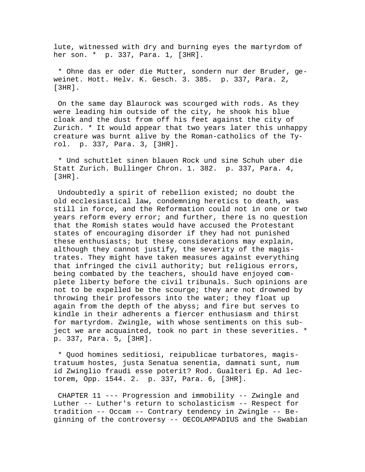lute, witnessed with dry and burning eyes the martyrdom of her son. \* p. 337, Para. 1, [3HR].

 \* Ohne das er oder die Mutter, sondern nur der Bruder, geweinet. Hott. Helv. K. Gesch. 3. 385. p. 337, Para. 2, [3HR].

 On the same day Blaurock was scourged with rods. As they were leading him outside of the city, he shook his blue cloak and the dust from off his feet against the city of Zurich. \* It would appear that two years later this unhappy creature was burnt alive by the Roman-catholics of the Tyrol. p. 337, Para. 3, [3HR].

 \* Und schuttlet sinen blauen Rock und sine Schuh uber die Statt Zurich. Bullinger Chron. 1. 382. p. 337, Para. 4, [3HR].

 Undoubtedly a spirit of rebellion existed; no doubt the old ecclesiastical law, condemning heretics to death, was still in force, and the Reformation could not in one or two years reform every error; and further, there is no question that the Romish states would have accused the Protestant states of encouraging disorder if they had not punished these enthusiasts; but these considerations may explain, although they cannot justify, the severity of the magistrates. They might have taken measures against everything that infringed the civil authority; but religious errors, being combated by the teachers, should have enjoyed complete liberty before the civil tribunals. Such opinions are not to be expelled be the scourge; they are not drowned by throwing their professors into the water; they float up again from the depth of the abyss; and fire but serves to kindle in their adherents a fiercer enthusiasm and thirst for martyrdom. Zwingle, with whose sentiments on this subject we are acquainted, took no part in these severities. \* p. 337, Para. 5, [3HR].

 \* Quod homines seditiosi, reipublicae turbatores, magistratuum hostes, justa Senatua senentia, damnati sunt, num id Zwinglio fraudi esse poterit? Rod. Gualteri Ep. Ad lectorem, Opp. 1544. 2. p. 337, Para. 6, [3HR].

 CHAPTER 11 --- Progression and immobility -- Zwingle and Luther -- Luther's return to scholasticism -- Respect for tradition -- Occam -- Contrary tendency in Zwingle -- Beginning of the controversy -- OECOLAMPADIUS and the Swabian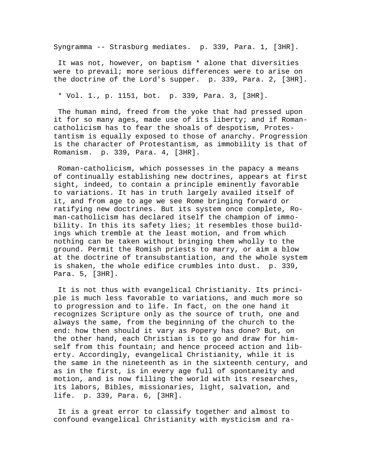Syngramma -- Strasburg mediates. p. 339, Para. 1, [3HR].

 It was not, however, on baptism \* alone that diversities were to prevail; more serious differences were to arise on the doctrine of the Lord's supper. p. 339, Para. 2, [3HR].

\* Vol. 1., p. 1151, bot. p. 339, Para. 3, [3HR].

 The human mind, freed from the yoke that had pressed upon it for so many ages, made use of its liberty; and if Romancatholicism has to fear the shoals of despotism, Protestantism is equally exposed to those of anarchy. Progression is the character of Protestantism, as immobility is that of Romanism. p. 339, Para. 4, [3HR].

 Roman-catholicism, which possesses in the papacy a means of continually establishing new doctrines, appears at first sight, indeed, to contain a principle eminently favorable to variations. It has in truth largely availed itself of it, and from age to age we see Rome bringing forward or ratifying new doctrines. But its system once complete, Roman-catholicism has declared itself the champion of immobility. In this its safety lies; it resembles those buildings which tremble at the least motion, and from which nothing can be taken without bringing them wholly to the ground. Permit the Romish priests to marry, or aim a blow at the doctrine of transubstantiation, and the whole system is shaken, the whole edifice crumbles into dust. p. 339, Para. 5, [3HR].

 It is not thus with evangelical Christianity. Its principle is much less favorable to variations, and much more so to progression and to life. In fact, on the one hand it recognizes Scripture only as the source of truth, one and always the same, from the beginning of the church to the end: how then should it vary as Popery has done? But, on the other hand, each Christian is to go and draw for himself from this fountain; and hence proceed action and liberty. Accordingly, evangelical Christianity, while it is the same in the nineteenth as in the sixteenth century, and as in the first, is in every age full of spontaneity and motion, and is now filling the world with its researches, its labors, Bibles, missionaries, light, salvation, and life. p. 339, Para. 6, [3HR].

 It is a great error to classify together and almost to confound evangelical Christianity with mysticism and ra-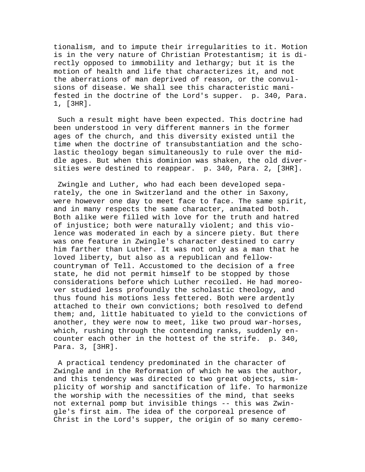tionalism, and to impute their irregularities to it. Motion is in the very nature of Christian Protestantism; it is directly opposed to immobility and lethargy; but it is the motion of health and life that characterizes it, and not the aberrations of man deprived of reason, or the convulsions of disease. We shall see this characteristic manifested in the doctrine of the Lord's supper. p. 340, Para. 1, [3HR].

 Such a result might have been expected. This doctrine had been understood in very different manners in the former ages of the church, and this diversity existed until the time when the doctrine of transubstantiation and the scholastic theology began simultaneously to rule over the middle ages. But when this dominion was shaken, the old diversities were destined to reappear. p. 340, Para. 2, [3HR].

 Zwingle and Luther, who had each been developed separately, the one in Switzerland and the other in Saxony, were however one day to meet face to face. The same spirit, and in many respects the same character, animated both. Both alike were filled with love for the truth and hatred of injustice; both were naturally violent; and this violence was moderated in each by a sincere piety. But there was one feature in Zwingle's character destined to carry him farther than Luther. It was not only as a man that he loved liberty, but also as a republican and fellowcountryman of Tell. Accustomed to the decision of a free state, he did not permit himself to be stopped by those considerations before which Luther recoiled. He had moreover studied less profoundly the scholastic theology, and thus found his motions less fettered. Both were ardently attached to their own convictions; both resolved to defend them; and, little habituated to yield to the convictions of another, they were now to meet, like two proud war-horses, which, rushing through the contending ranks, suddenly encounter each other in the hottest of the strife. p. 340, Para. 3, [3HR].

 A practical tendency predominated in the character of Zwingle and in the Reformation of which he was the author, and this tendency was directed to two great objects, simplicity of worship and sanctification of life. To harmonize the worship with the necessities of the mind, that seeks not external pomp but invisible things -- this was Zwingle's first aim. The idea of the corporeal presence of Christ in the Lord's supper, the origin of so many ceremo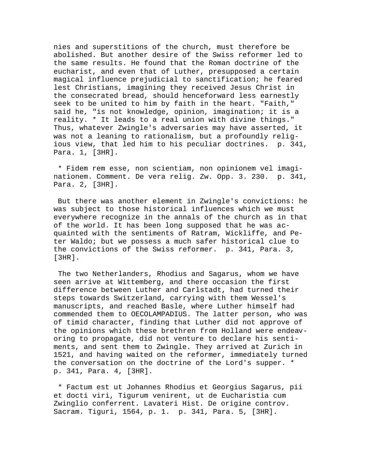nies and superstitions of the church, must therefore be abolished. But another desire of the Swiss reformer led to the same results. He found that the Roman doctrine of the eucharist, and even that of Luther, presupposed a certain magical influence prejudicial to sanctification; he feared lest Christians, imagining they received Jesus Christ in the consecrated bread, should henceforward less earnestly seek to be united to him by faith in the heart. "Faith," said he, "is not knowledge, opinion, imagination; it is a reality. \* It leads to a real union with divine things." Thus, whatever Zwingle's adversaries may have asserted, it was not a leaning to rationalism, but a profoundly religious view, that led him to his peculiar doctrines. p. 341, Para. 1, [3HR].

 \* Fidem rem esse, non scientiam, non opinionem vel imaginationem. Comment. De vera relig. Zw. Opp. 3. 230. p. 341, Para. 2, [3HR].

 But there was another element in Zwingle's convictions: he was subject to those historical influences which we must everywhere recognize in the annals of the church as in that of the world. It has been long supposed that he was acquainted with the sentiments of Ratram, Wickliffe, and Peter Waldo; but we possess a much safer historical clue to the convictions of the Swiss reformer. p. 341, Para. 3, [3HR].

 The two Netherlanders, Rhodius and Sagarus, whom we have seen arrive at Wittemberg, and there occasion the first difference between Luther and Carlstadt, had turned their steps towards Switzerland, carrying with them Wessel's manuscripts, and reached Basle, where Luther himself had commended them to OECOLAMPADIUS. The latter person, who was of timid character, finding that Luther did not approve of the opinions which these brethren from Holland were endeavoring to propagate, did not venture to declare his sentiments, and sent them to Zwingle. They arrived at Zurich in 1521, and having waited on the reformer, immediately turned the conversation on the doctrine of the Lord's supper. \* p. 341, Para. 4, [3HR].

 \* Factum est ut Johannes Rhodius et Georgius Sagarus, pii et docti viri, Tigurum venirent, ut de Eucharistia cum Zwinglio conferrent. Lavateri Hist. De origine controv. Sacram. Tiguri, 1564, p. 1. p. 341, Para. 5, [3HR].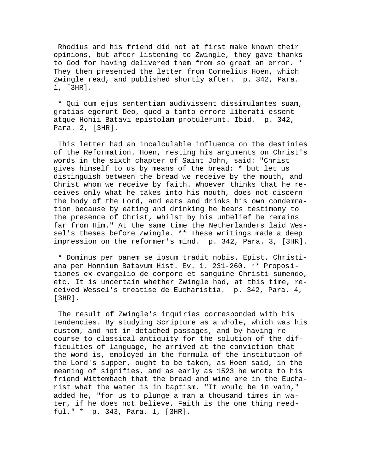Rhodius and his friend did not at first make known their opinions, but after listening to Zwingle, they gave thanks to God for having delivered them from so great an error. \* They then presented the letter from Cornelius Hoen, which Zwingle read, and published shortly after. p. 342, Para. 1, [3HR].

 \* Qui cum ejus sententiam audivissent dissimulantes suam, gratias egerunt Deo, quod a tanto errore liberati essent atque Honii Batavi epistolam protulerunt. Ibid. p. 342, Para. 2, [3HR].

 This letter had an incalculable influence on the destinies of the Reformation. Hoen, resting his arguments on Christ's words in the sixth chapter of Saint John, said: "Christ gives himself to us by means of the bread: \* but let us distinguish between the bread we receive by the mouth, and Christ whom we receive by faith. Whoever thinks that he receives only what he takes into his mouth, does not discern the body of the Lord, and eats and drinks his own condemnation because by eating and drinking he bears testimony to the presence of Christ, whilst by his unbelief he remains far from Him." At the same time the Netherlanders laid Wessel's theses before Zwingle. \*\* These writings made a deep impression on the reformer's mind. p. 342, Para. 3, [3HR].

 \* Dominus per panem se ipsum tradit nobis. Epist. Christiana per Honnium Batavum Hist. Ev. 1. 231-260. \*\* Propositiones ex evangelio de corpore et sanguine Christi sumendo, etc. It is uncertain whether Zwingle had, at this time, received Wessel's treatise de Eucharistia. p. 342, Para. 4, [3HR].

 The result of Zwingle's inquiries corresponded with his tendencies. By studying Scripture as a whole, which was his custom, and not in detached passages, and by having recourse to classical antiquity for the solution of the difficulties of language, he arrived at the conviction that the word is, employed in the formula of the institution of the Lord's supper, ought to be taken, as Hoen said, in the meaning of signifies, and as early as 1523 he wrote to his friend Wittembach that the bread and wine are in the Eucharist what the water is in baptism. "It would be in vain," added he, "for us to plunge a man a thousand times in water, if he does not believe. Faith is the one thing needful." \* p. 343, Para. 1, [3HR].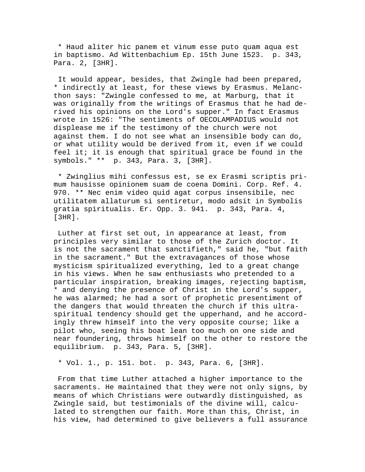\* Haud aliter hic panem et vinum esse puto quam aqua est in baptismo. Ad Wittenbachium Ep. 15th June 1523. p. 343, Para. 2, [3HR].

 It would appear, besides, that Zwingle had been prepared, \* indirectly at least, for these views by Erasmus. Melancthon says: "Zwingle confessed to me, at Marburg, that it was originally from the writings of Erasmus that he had derived his opinions on the Lord's supper." In fact Erasmus wrote in 1526: "The sentiments of OECOLAMPADIUS would not displease me if the testimony of the church were not against them. I do not see what an insensible body can do, or what utility would be derived from it, even if we could feel it; it is enough that spiritual grace be found in the symbols." \*\* p. 343, Para. 3, [3HR].

 \* Zwinglius mihi confessus est, se ex Erasmi scriptis primum hausisse opinionem suam de coena Domini. Corp. Ref. 4. 970. \*\* Nec enim video quid agat corpus insensibile, nec utilitatem allaturum si sentiretur, modo adsit in Symbolis gratia spiritualis. Er. Opp. 3. 941. p. 343, Para. 4, [3HR].

 Luther at first set out, in appearance at least, from principles very similar to those of the Zurich doctor. It is not the sacrament that sanctifieth," said he, "but faith in the sacrament." But the extravagances of those whose mysticism spiritualized everything, led to a great change in his views. When he saw enthusiasts who pretended to a particular inspiration, breaking images, rejecting baptism, \* and denying the presence of Christ in the Lord's supper, he was alarmed; he had a sort of prophetic presentiment of the dangers that would threaten the church if this ultraspiritual tendency should get the upperhand, and he accordingly threw himself into the very opposite course; like a pilot who, seeing his boat lean too much on one side and near foundering, throws himself on the other to restore the equilibrium. p. 343, Para. 5, [3HR].

\* Vol. 1., p. 151. bot. p. 343, Para. 6, [3HR].

 From that time Luther attached a higher importance to the sacraments. He maintained that they were not only signs, by means of which Christians were outwardly distinguished, as Zwingle said, but testimonials of the divine will, calculated to strengthen our faith. More than this, Christ, in his view, had determined to give believers a full assurance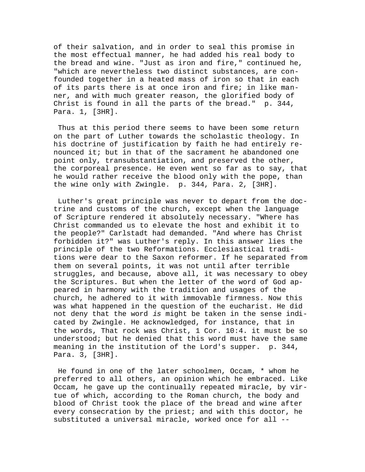of their salvation, and in order to seal this promise in the most effectual manner, he had added his real body to the bread and wine. "Just as iron and fire," continued he, "which are nevertheless two distinct substances, are confounded together in a heated mass of iron so that in each of its parts there is at once iron and fire; in like manner, and with much greater reason, the glorified body of Christ is found in all the parts of the bread." p. 344, Para. 1, [3HR].

 Thus at this period there seems to have been some return on the part of Luther towards the scholastic theology. In his doctrine of justification by faith he had entirely renounced it; but in that of the sacrament he abandoned one point only, transubstantiation, and preserved the other, the corporeal presence. He even went so far as to say, that he would rather receive the blood only with the pope, than the wine only with Zwingle. p. 344, Para. 2, [3HR].

 Luther's great principle was never to depart from the doctrine and customs of the church, except when the language of Scripture rendered it absolutely necessary. "Where has Christ commanded us to elevate the host and exhibit it to the people?" Carlstadt had demanded. "And where has Christ forbidden it?" was Luther's reply. In this answer lies the principle of the two Reformations. Ecclesiastical traditions were dear to the Saxon reformer. If he separated from them on several points, it was not until after terrible struggles, and because, above all, it was necessary to obey the Scriptures. But when the letter of the word of God appeared in harmony with the tradition and usages of the church, he adhered to it with immovable firmness. Now this was what happened in the question of the eucharist. He did not deny that the word *is* might be taken in the sense indicated by Zwingle. He acknowledged, for instance, that in the words, That rock was Christ, 1 Cor. 10:4. it must be so understood; but he denied that this word must have the same meaning in the institution of the Lord's supper. p. 344, Para. 3, [3HR].

 He found in one of the later schoolmen, Occam, \* whom he preferred to all others, an opinion which he embraced. Like Occam, he gave up the continually repeated miracle, by virtue of which, according to the Roman church, the body and blood of Christ took the place of the bread and wine after every consecration by the priest; and with this doctor, he substituted a universal miracle, worked once for all --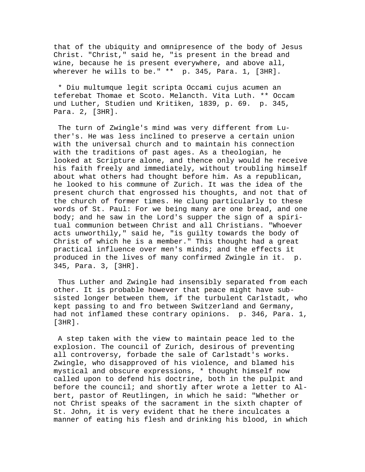that of the ubiquity and omnipresence of the body of Jesus Christ. "Christ," said he, "is present in the bread and wine, because he is present everywhere, and above all, wherever he wills to be." \*\* p. 345, Para. 1, [3HR].

 \* Diu multumque legit scripta Occami cujus acumen an teferebat Thomae et Scoto. Melancth. Vita Luth. \*\* Occam und Luther, Studien und Kritiken, 1839, p. 69. p. 345, Para. 2, [3HR].

 The turn of Zwingle's mind was very different from Luther's. He was less inclined to preserve a certain union with the universal church and to maintain his connection with the traditions of past ages. As a theologian, he looked at Scripture alone, and thence only would he receive his faith freely and immediately, without troubling himself about what others had thought before him. As a republican, he looked to his commune of Zurich. It was the idea of the present church that engrossed his thoughts, and not that of the church of former times. He clung particularly to these words of St. Paul: For we being many are one bread, and one body; and he saw in the Lord's supper the sign of a spiritual communion between Christ and all Christians. "Whoever acts unworthily," said he, "is guilty towards the body of Christ of which he is a member." This thought had a great practical influence over men's minds; and the effects it produced in the lives of many confirmed Zwingle in it. p. 345, Para. 3, [3HR].

 Thus Luther and Zwingle had insensibly separated from each other. It is probable however that peace might have subsisted longer between them, if the turbulent Carlstadt, who kept passing to and fro between Switzerland and Germany, had not inflamed these contrary opinions. p. 346, Para. 1,  $[3HR]$ .

 A step taken with the view to maintain peace led to the explosion. The council of Zurich, desirous of preventing all controversy, forbade the sale of Carlstadt's works. Zwingle, who disapproved of his violence, and blamed his mystical and obscure expressions, \* thought himself now called upon to defend his doctrine, both in the pulpit and before the council; and shortly after wrote a letter to Albert, pastor of Reutlingen, in which he said: "Whether or not Christ speaks of the sacrament in the sixth chapter of St. John, it is very evident that he there inculcates a manner of eating his flesh and drinking his blood, in which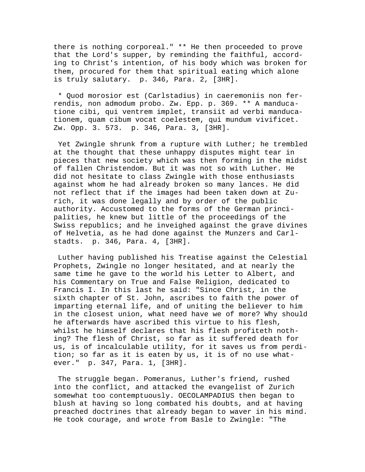there is nothing corporeal." \*\* He then proceeded to prove that the Lord's supper, by reminding the faithful, according to Christ's intention, of his body which was broken for them, procured for them that spiritual eating which alone is truly salutary. p. 346, Para. 2, [3HR].

 \* Quod morosior est (Carlstadius) in caeremoniis non ferrendis, non admodum probo. Zw. Epp. p. 369. \*\* A manducatione cibi, qui ventrem implet, transiit ad verbi manducationem, quam cibum vocat coelestem, qui mundum vivificet. Zw. Opp. 3. 573. p. 346, Para. 3, [3HR].

 Yet Zwingle shrunk from a rupture with Luther; he trembled at the thought that these unhappy disputes might tear in pieces that new society which was then forming in the midst of fallen Christendom. But it was not so with Luther. He did not hesitate to class Zwingle with those enthusiasts against whom he had already broken so many lances. He did not reflect that if the images had been taken down at Zurich, it was done legally and by order of the public authority. Accustomed to the forms of the German principalities, he knew but little of the proceedings of the Swiss republics; and he inveighed against the grave divines of Helvetia, as he had done against the Munzers and Carlstadts. p. 346, Para. 4, [3HR].

 Luther having published his Treatise against the Celestial Prophets, Zwingle no longer hesitated, and at nearly the same time he gave to the world his Letter to Albert, and his Commentary on True and False Religion, dedicated to Francis I. In this last he said: "Since Christ, in the sixth chapter of St. John, ascribes to faith the power of imparting eternal life, and of uniting the believer to him in the closest union, what need have we of more? Why should he afterwards have ascribed this virtue to his flesh, whilst he himself declares that his flesh profiteth nothing? The flesh of Christ, so far as it suffered death for us, is of incalculable utility, for it saves us from perdition; so far as it is eaten by us, it is of no use whatever." p. 347, Para. 1, [3HR].

 The struggle began. Pomeranus, Luther's friend, rushed into the conflict, and attacked the evangelist of Zurich somewhat too contemptuously. OECOLAMPADIUS then began to blush at having so long combated his doubts, and at having preached doctrines that already began to waver in his mind. He took courage, and wrote from Basle to Zwingle: "The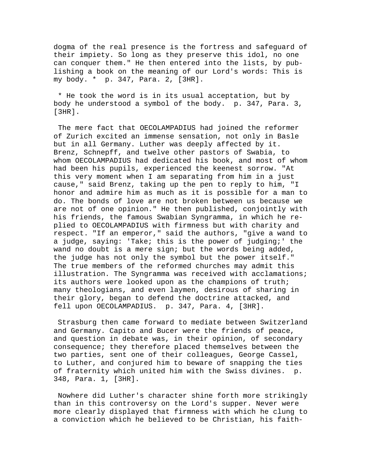dogma of the real presence is the fortress and safeguard of their impiety. So long as they preserve this idol, no one can conquer them." He then entered into the lists, by publishing a book on the meaning of our Lord's words: This is my body. \* p. 347, Para. 2, [3HR].

 \* He took the word is in its usual acceptation, but by body he understood a symbol of the body. p. 347, Para. 3, [3HR].

 The mere fact that OECOLAMPADIUS had joined the reformer of Zurich excited an immense sensation, not only in Basle but in all Germany. Luther was deeply affected by it. Brenz, Schnepff, and twelve other pastors of Swabia, to whom OECOLAMPADIUS had dedicated his book, and most of whom had been his pupils, experienced the keenest sorrow. "At this very moment when I am separating from him in a just cause," said Brenz, taking up the pen to reply to him, "I honor and admire him as much as it is possible for a man to do. The bonds of love are not broken between us because we are not of one opinion." He then published, conjointly with his friends, the famous Swabian Syngramma, in which he replied to OECOLAMPADIUS with firmness but with charity and respect. "If an emperor," said the authors, "give a wand to a judge, saying: 'Take; this is the power of judging;' the wand no doubt is a mere sign; but the words being added, the judge has not only the symbol but the power itself." The true members of the reformed churches may admit this illustration. The Syngramma was received with acclamations; its authors were looked upon as the champions of truth; many theologians, and even laymen, desirous of sharing in their glory, began to defend the doctrine attacked, and fell upon OECOLAMPADIUS. p. 347, Para. 4, [3HR].

 Strasburg then came forward to mediate between Switzerland and Germany. Capito and Bucer were the friends of peace, and question in debate was, in their opinion, of secondary consequence; they therefore placed themselves between the two parties, sent one of their colleagues, George Cassel, to Luther, and conjured him to beware of snapping the ties of fraternity which united him with the Swiss divines. p. 348, Para. 1, [3HR].

 Nowhere did Luther's character shine forth more strikingly than in this controversy on the Lord's supper. Never were more clearly displayed that firmness with which he clung to a conviction which he believed to be Christian, his faith-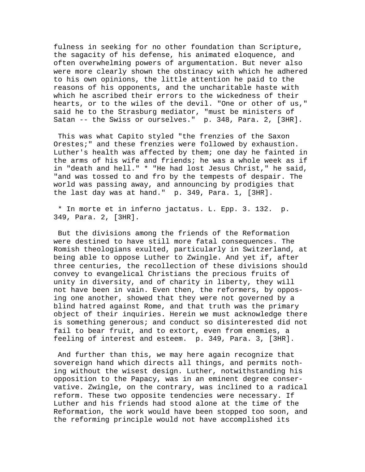fulness in seeking for no other foundation than Scripture, the sagacity of his defense, his animated eloquence, and often overwhelming powers of argumentation. But never also were more clearly shown the obstinacy with which he adhered to his own opinions, the little attention he paid to the reasons of his opponents, and the uncharitable haste with which he ascribed their errors to the wickedness of their hearts, or to the wiles of the devil. "One or other of us," said he to the Strasburg mediator, "must be ministers of Satan -- the Swiss or ourselves." p. 348, Para. 2, [3HR].

 This was what Capito styled "the frenzies of the Saxon Orestes;" and these frenzies were followed by exhaustion. Luther's health was affected by them; one day he fainted in the arms of his wife and friends; he was a whole week as if in "death and hell." \* "He had lost Jesus Christ," he said, "and was tossed to and fro by the tempests of despair. The world was passing away, and announcing by prodigies that the last day was at hand." p. 349, Para. 1, [3HR].

 \* In morte et in inferno jactatus. L. Epp. 3. 132. p. 349, Para. 2, [3HR].

 But the divisions among the friends of the Reformation were destined to have still more fatal consequences. The Romish theologians exulted, particularly in Switzerland, at being able to oppose Luther to Zwingle. And yet if, after three centuries, the recollection of these divisions should convey to evangelical Christians the precious fruits of unity in diversity, and of charity in liberty, they will not have been in vain. Even then, the reformers, by opposing one another, showed that they were not governed by a blind hatred against Rome, and that truth was the primary object of their inquiries. Herein we must acknowledge there is something generous; and conduct so disinterested did not fail to bear fruit, and to extort, even from enemies, a feeling of interest and esteem. p. 349, Para. 3, [3HR].

 And further than this, we may here again recognize that sovereign hand which directs all things, and permits nothing without the wisest design. Luther, notwithstanding his opposition to the Papacy, was in an eminent degree conservative. Zwingle, on the contrary, was inclined to a radical reform. These two opposite tendencies were necessary. If Luther and his friends had stood alone at the time of the Reformation, the work would have been stopped too soon, and the reforming principle would not have accomplished its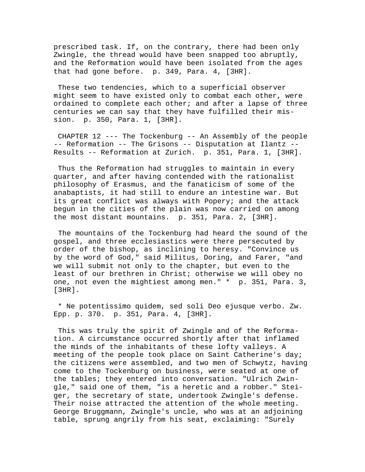prescribed task. If, on the contrary, there had been only Zwingle, the thread would have been snapped too abruptly, and the Reformation would have been isolated from the ages that had gone before. p. 349, Para. 4, [3HR].

 These two tendencies, which to a superficial observer might seem to have existed only to combat each other, were ordained to complete each other; and after a lapse of three centuries we can say that they have fulfilled their mission. p. 350, Para. 1, [3HR].

 CHAPTER 12 --- The Tockenburg -- An Assembly of the people -- Reformation -- The Grisons -- Disputation at Ilantz -- Results -- Reformation at Zurich. p. 351, Para. 1, [3HR].

 Thus the Reformation had struggles to maintain in every quarter, and after having contended with the rationalist philosophy of Erasmus, and the fanaticism of some of the anabaptists, it had still to endure an intestine war. But its great conflict was always with Popery; and the attack begun in the cities of the plain was now carried on among the most distant mountains. p. 351, Para. 2, [3HR].

 The mountains of the Tockenburg had heard the sound of the gospel, and three ecclesiastics were there persecuted by order of the bishop, as inclining to heresy. "Convince us by the word of God," said Militus, Doring, and Farer, "and we will submit not only to the chapter, but even to the least of our brethren in Christ; otherwise we will obey no one, not even the mightiest among men." \* p. 351, Para. 3, [3HR].

 \* Ne potentissimo quidem, sed soli Deo ejusque verbo. Zw. Epp. p. 370. p. 351, Para. 4, [3HR].

 This was truly the spirit of Zwingle and of the Reformation. A circumstance occurred shortly after that inflamed the minds of the inhabitants of these lofty valleys. A meeting of the people took place on Saint Catherine's day; the citizens were assembled, and two men of Schwytz, having come to the Tockenburg on business, were seated at one of the tables; they entered into conversation. "Ulrich Zwingle," said one of them, "is a heretic and a robber." Steiger, the secretary of state, undertook Zwingle's defense. Their noise attracted the attention of the whole meeting. George Bruggmann, Zwingle's uncle, who was at an adjoining table, sprung angrily from his seat, exclaiming: "Surely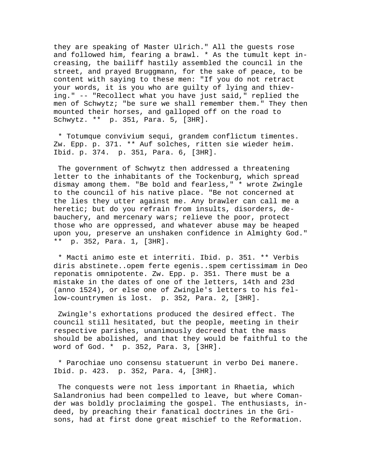they are speaking of Master Ulrich." All the guests rose and followed him, fearing a brawl. \* As the tumult kept increasing, the bailiff hastily assembled the council in the street, and prayed Bruggmann, for the sake of peace, to be content with saying to these men: "If you do not retract your words, it is you who are guilty of lying and thieving." -- "Recollect what you have just said," replied the men of Schwytz; "be sure we shall remember them." They then mounted their horses, and galloped off on the road to Schwytz. \*\* p. 351, Para. 5, [3HR].

 \* Totumque convivium sequi, grandem conflictum timentes. Zw. Epp. p. 371. \*\* Auf solches, ritten sie wieder heim. Ibid. p. 374. p. 351, Para. 6, [3HR].

 The government of Schwytz then addressed a threatening letter to the inhabitants of the Tockenburg, which spread dismay among them. "Be bold and fearless," \* wrote Zwingle to the council of his native place. "Be not concerned at the lies they utter against me. Any brawler can call me a heretic; but do you refrain from insults, disorders, debauchery, and mercenary wars; relieve the poor, protect those who are oppressed, and whatever abuse may be heaped upon you, preserve an unshaken confidence in Almighty God." \*\* p. 352, Para. 1, [3HR].

 \* Macti animo este et interriti. Ibid. p. 351. \*\* Verbis diris abstinete..opem ferte egenis..spem certissimam in Deo reponatis omnipotente. Zw. Epp. p. 351. There must be a mistake in the dates of one of the letters, 14th and 23d (anno 1524), or else one of Zwingle's letters to his fellow-countrymen is lost. p. 352, Para. 2, [3HR].

 Zwingle's exhortations produced the desired effect. The council still hesitated, but the people, meeting in their respective parishes, unanimously decreed that the mass should be abolished, and that they would be faithful to the word of God. \* p. 352, Para. 3, [3HR].

 \* Parochiae uno consensu statuerunt in verbo Dei manere. Ibid. p. 423. p. 352, Para. 4, [3HR].

 The conquests were not less important in Rhaetia, which Salandronius had been compelled to leave, but where Comander was boldly proclaiming the gospel. The enthusiasts, indeed, by preaching their fanatical doctrines in the Grisons, had at first done great mischief to the Reformation.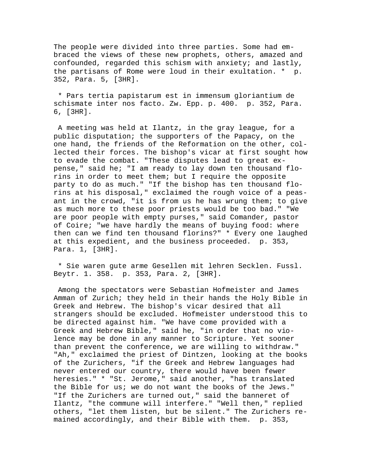The people were divided into three parties. Some had embraced the views of these new prophets, others, amazed and confounded, regarded this schism with anxiety; and lastly, the partisans of Rome were loud in their exultation. \* p. 352, Para. 5, [3HR].

 \* Pars tertia papistarum est in immensum gloriantium de schismate inter nos facto. Zw. Epp. p. 400. p. 352, Para. 6, [3HR].

 A meeting was held at Ilantz, in the gray league, for a public disputation; the supporters of the Papacy, on the one hand, the friends of the Reformation on the other, collected their forces. The bishop's vicar at first sought how to evade the combat. "These disputes lead to great expense," said he; "I am ready to lay down ten thousand florins in order to meet them; but I require the opposite party to do as much." "If the bishop has ten thousand florins at his disposal," exclaimed the rough voice of a peasant in the crowd, "it is from us he has wrung them; to give as much more to these poor priests would be too bad." "We are poor people with empty purses," said Comander, pastor of Coire; "we have hardly the means of buying food: where then can we find ten thousand florins?" \* Every one laughed at this expedient, and the business proceeded. p. 353, Para. 1, [3HR].

 \* Sie waren gute arme Gesellen mit lehren Secklen. Fussl. Beytr. 1. 358. p. 353, Para. 2, [3HR].

 Among the spectators were Sebastian Hofmeister and James Amman of Zurich; they held in their hands the Holy Bible in Greek and Hebrew. The bishop's vicar desired that all strangers should be excluded. Hofmeister understood this to be directed against him. "We have come provided with a Greek and Hebrew Bible," said he, "in order that no violence may be done in any manner to Scripture. Yet sooner than prevent the conference, we are willing to withdraw." "Ah," exclaimed the priest of Dintzen, looking at the books of the Zurichers, "if the Greek and Hebrew languages had never entered our country, there would have been fewer heresies." \* "St. Jerome," said another, "has translated the Bible for us; we do not want the books of the Jews." "If the Zurichers are turned out," said the banneret of Ilantz, "the commune will interfere." "Well then," replied others, "let them listen, but be silent." The Zurichers remained accordingly, and their Bible with them. p. 353,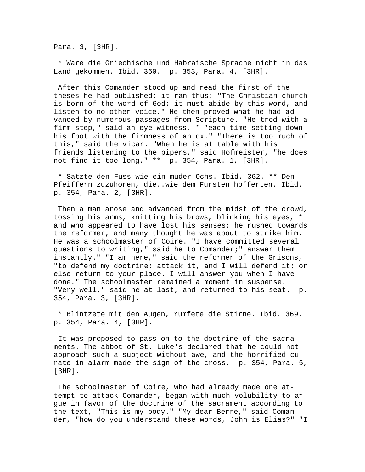Para. 3, [3HR].

 \* Ware die Griechische und Habraische Sprache nicht in das Land gekommen. Ibid. 360. p. 353, Para. 4, [3HR].

 After this Comander stood up and read the first of the theses he had published; it ran thus: "The Christian church is born of the word of God; it must abide by this word, and listen to no other voice." He then proved what he had advanced by numerous passages from Scripture. "He trod with a firm step," said an eye-witness, \* "each time setting down his foot with the firmness of an ox." "There is too much of this," said the vicar. "When he is at table with his friends listening to the pipers," said Hofmeister, "he does not find it too long." \*\* p. 354, Para. 1, [3HR].

 \* Satzte den Fuss wie ein muder Ochs. Ibid. 362. \*\* Den Pfeiffern zuzuhoren, die..wie dem Fursten hofferten. Ibid. p. 354, Para. 2, [3HR].

 Then a man arose and advanced from the midst of the crowd, tossing his arms, knitting his brows, blinking his eyes, \* and who appeared to have lost his senses; he rushed towards the reformer, and many thought he was about to strike him. He was a schoolmaster of Coire. "I have committed several questions to writing," said he to Comander;" answer them instantly." "I am here," said the reformer of the Grisons, "to defend my doctrine: attack it, and I will defend it; or else return to your place. I will answer you when I have done." The schoolmaster remained a moment in suspense. "Very well," said he at last, and returned to his seat. p. 354, Para. 3, [3HR].

 \* Blintzete mit den Augen, rumfete die Stirne. Ibid. 369. p. 354, Para. 4, [3HR].

 It was proposed to pass on to the doctrine of the sacraments. The abbot of St. Luke's declared that he could not approach such a subject without awe, and the horrified curate in alarm made the sign of the cross. p. 354, Para. 5, [3HR].

 The schoolmaster of Coire, who had already made one attempt to attack Comander, began with much volubility to argue in favor of the doctrine of the sacrament according to the text, "This is my body." "My dear Berre," said Comander, "how do you understand these words, John is Elias?" "I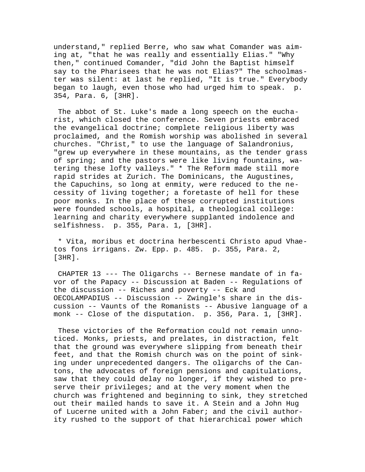understand," replied Berre, who saw what Comander was aiming at, "that he was really and essentially Elias." "Why then," continued Comander, "did John the Baptist himself say to the Pharisees that he was not Elias?" The schoolmaster was silent: at last he replied, "It is true." Everybody began to laugh, even those who had urged him to speak. p. 354, Para. 6, [3HR].

 The abbot of St. Luke's made a long speech on the eucharist, which closed the conference. Seven priests embraced the evangelical doctrine; complete religious liberty was proclaimed, and the Romish worship was abolished in several churches. "Christ," to use the language of Salandronius, "grew up everywhere in these mountains, as the tender grass of spring; and the pastors were like living fountains, watering these lofty valleys." \* The Reform made still more rapid strides at Zurich. The Dominicans, the Augustines, the Capuchins, so long at enmity, were reduced to the necessity of living together; a foretaste of hell for these poor monks. In the place of these corrupted institutions were founded schools, a hospital, a theological college: learning and charity everywhere supplanted indolence and selfishness. p. 355, Para. 1, [3HR].

 \* Vita, moribus et doctrina herbescenti Christo apud Vhaetos fons irrigans. Zw. Epp. p. 485. p. 355, Para. 2, [3HR].

 CHAPTER 13 --- The Oligarchs -- Bernese mandate of in favor of the Papacy -- Discussion at Baden -- Regulations of the discussion -- Riches and poverty -- Eck and OECOLAMPADIUS -- Discussion -- Zwingle's share in the discussion -- Vaunts of the Romanists -- Abusive language of a monk -- Close of the disputation. p. 356, Para. 1, [3HR].

 These victories of the Reformation could not remain unnoticed. Monks, priests, and prelates, in distraction, felt that the ground was everywhere slipping from beneath their feet, and that the Romish church was on the point of sinking under unprecedented dangers. The oligarchs of the Cantons, the advocates of foreign pensions and capitulations, saw that they could delay no longer, if they wished to preserve their privileges; and at the very moment when the church was frightened and beginning to sink, they stretched out their mailed hands to save it. A Stein and a John Hug of Lucerne united with a John Faber; and the civil authority rushed to the support of that hierarchical power which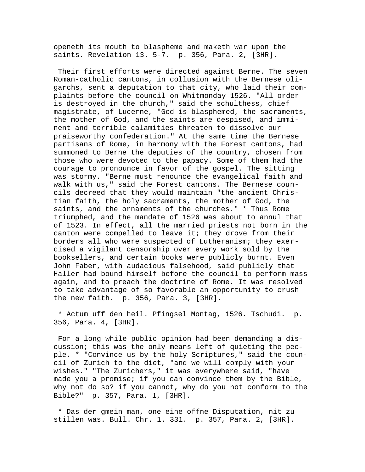openeth its mouth to blaspheme and maketh war upon the saints. Revelation 13. 5-7. p. 356, Para. 2, [3HR].

 Their first efforts were directed against Berne. The seven Roman-catholic cantons, in collusion with the Bernese oligarchs, sent a deputation to that city, who laid their complaints before the council on Whitmonday 1526. "All order is destroyed in the church," said the schulthess, chief magistrate, of Lucerne, "God is blasphemed, the sacraments, the mother of God, and the saints are despised, and imminent and terrible calamities threaten to dissolve our praiseworthy confederation." At the same time the Bernese partisans of Rome, in harmony with the Forest cantons, had summoned to Berne the deputies of the country, chosen from those who were devoted to the papacy. Some of them had the courage to pronounce in favor of the gospel. The sitting was stormy. "Berne must renounce the evangelical faith and walk with us," said the Forest cantons. The Bernese councils decreed that they would maintain "the ancient Christian faith, the holy sacraments, the mother of God, the saints, and the ornaments of the churches." \* Thus Rome triumphed, and the mandate of 1526 was about to annul that of 1523. In effect, all the married priests not born in the canton were compelled to leave it; they drove from their borders all who were suspected of Lutheranism; they exercised a vigilant censorship over every work sold by the booksellers, and certain books were publicly burnt. Even John Faber, with audacious falsehood, said publicly that Haller had bound himself before the council to perform mass again, and to preach the doctrine of Rome. It was resolved to take advantage of so favorable an opportunity to crush the new faith. p. 356, Para. 3, [3HR].

 \* Actum uff den heil. Pfingsel Montag, 1526. Tschudi. p. 356, Para. 4, [3HR].

 For a long while public opinion had been demanding a discussion; this was the only means left of quieting the people. \* "Convince us by the holy Scriptures," said the council of Zurich to the diet, "and we will comply with your wishes." "The Zurichers," it was everywhere said, "have made you a promise; if you can convince them by the Bible, why not do so? if you cannot, why do you not conform to the Bible?" p. 357, Para. 1, [3HR].

 \* Das der gmein man, one eine offne Disputation, nit zu stillen was. Bull. Chr. 1. 331. p. 357, Para. 2, [3HR].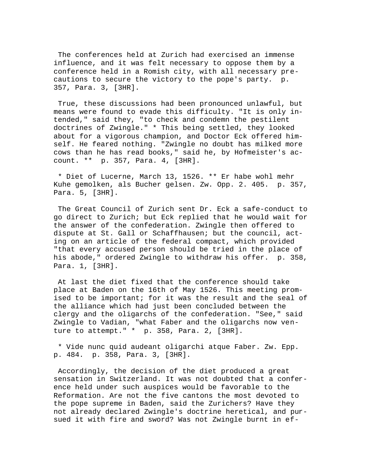The conferences held at Zurich had exercised an immense influence, and it was felt necessary to oppose them by a conference held in a Romish city, with all necessary precautions to secure the victory to the pope's party. p. 357, Para. 3, [3HR].

 True, these discussions had been pronounced unlawful, but means were found to evade this difficulty. "It is only intended," said they, "to check and condemn the pestilent doctrines of Zwingle." \* This being settled, they looked about for a vigorous champion, and Doctor Eck offered himself. He feared nothing. "Zwingle no doubt has milked more cows than he has read books," said he, by Hofmeister's account. \*\* p. 357, Para. 4, [3HR].

 \* Diet of Lucerne, March 13, 1526. \*\* Er habe wohl mehr Kuhe gemolken, als Bucher gelsen. Zw. Opp. 2. 405. p. 357, Para. 5, [3HR].

 The Great Council of Zurich sent Dr. Eck a safe-conduct to go direct to Zurich; but Eck replied that he would wait for the answer of the confederation. Zwingle then offered to dispute at St. Gall or Schaffhausen; but the council, acting on an article of the federal compact, which provided "that every accused person should be tried in the place of his abode," ordered Zwingle to withdraw his offer. p. 358, Para. 1, [3HR].

 At last the diet fixed that the conference should take place at Baden on the 16th of May 1526. This meeting promised to be important; for it was the result and the seal of the alliance which had just been concluded between the clergy and the oligarchs of the confederation. "See," said Zwingle to Vadian, "what Faber and the oligarchs now venture to attempt." \* p. 358, Para. 2, [3HR].

 \* Vide nunc quid audeant oligarchi atque Faber. Zw. Epp. p. 484. p. 358, Para. 3, [3HR].

 Accordingly, the decision of the diet produced a great sensation in Switzerland. It was not doubted that a conference held under such auspices would be favorable to the Reformation. Are not the five cantons the most devoted to the pope supreme in Baden, said the Zurichers? Have they not already declared Zwingle's doctrine heretical, and pursued it with fire and sword? Was not Zwingle burnt in ef-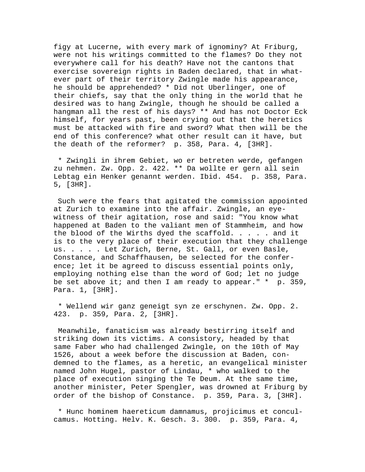figy at Lucerne, with every mark of ignominy? At Friburg, were not his writings committed to the flames? Do they not everywhere call for his death? Have not the cantons that exercise sovereign rights in Baden declared, that in whatever part of their territory Zwingle made his appearance, he should be apprehended? \* Did not Uberlinger, one of their chiefs, say that the only thing in the world that he desired was to hang Zwingle, though he should be called a hangman all the rest of his days? \*\* And has not Doctor Eck himself, for years past, been crying out that the heretics must be attacked with fire and sword? What then will be the end of this conference? what other result can it have, but the death of the reformer? p. 358, Para. 4, [3HR].

 \* Zwingli in ihrem Gebiet, wo er betreten werde, gefangen zu nehmen. Zw. Opp. 2. 422. \*\* Da wollte er gern all sein Lebtag ein Henker genannt werden. Ibid. 454. p. 358, Para. 5, [3HR].

 Such were the fears that agitated the commission appointed at Zurich to examine into the affair. Zwingle, an eyewitness of their agitation, rose and said: "You know what happened at Baden to the valiant men of Stammheim, and how the blood of the Wirths dyed the scaffold. . . . . and it is to the very place of their execution that they challenge us. . . . . Let Zurich, Berne, St. Gall, or even Basle, Constance, and Schaffhausen, be selected for the conference; let it be agreed to discuss essential points only, employing nothing else than the word of God; let no judge be set above it; and then I am ready to appear." \* p. 359, Para. 1, [3HR].

 \* Wellend wir ganz geneigt syn ze erschynen. Zw. Opp. 2. 423. p. 359, Para. 2, [3HR].

 Meanwhile, fanaticism was already bestirring itself and striking down its victims. A consistory, headed by that same Faber who had challenged Zwingle, on the 10th of May 1526, about a week before the discussion at Baden, condemned to the flames, as a heretic, an evangelical minister named John Hugel, pastor of Lindau, \* who walked to the place of execution singing the Te Deum. At the same time, another minister, Peter Spengler, was drowned at Friburg by order of the bishop of Constance. p. 359, Para. 3, [3HR].

 \* Hunc hominem haereticum damnamus, projicimus et conculcamus. Hotting. Helv. K. Gesch. 3. 300. p. 359, Para. 4,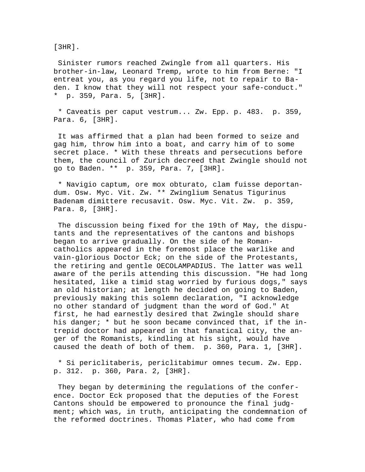[3HR].

 Sinister rumors reached Zwingle from all quarters. His brother-in-law, Leonard Tremp, wrote to him from Berne: "I entreat you, as you regard you life, not to repair to Baden. I know that they will not respect your safe-conduct." \* p. 359, Para. 5, [3HR].

 \* Caveatis per caput vestrum... Zw. Epp. p. 483. p. 359, Para. 6, [3HR].

 It was affirmed that a plan had been formed to seize and gag him, throw him into a boat, and carry him of to some secret place. \* With these threats and persecutions before them, the council of Zurich decreed that Zwingle should not go to Baden. \*\* p. 359, Para. 7, [3HR].

 \* Navigio captum, ore mox obturato, clam fuisse deportandum. Osw. Myc. Vit. Zw. \*\* Zwinglium Senatus Tigurinus Badenam dimittere recusavit. Osw. Myc. Vit. Zw. p. 359, Para. 8, [3HR].

 The discussion being fixed for the 19th of May, the disputants and the representatives of the cantons and bishops began to arrive gradually. On the side of he Romancatholics appeared in the foremost place the warlike and vain-glorious Doctor Eck; on the side of the Protestants, the retiring and gentle OECOLAMPADIUS. The latter was well aware of the perils attending this discussion. "He had long hesitated, like a timid stag worried by furious dogs," says an old historian; at length he decided on going to Baden, previously making this solemn declaration, "I acknowledge no other standard of judgment than the word of God." At first, he had earnestly desired that Zwingle should share his danger; \* but he soon became convinced that, if the intrepid doctor had appeared in that fanatical city, the anger of the Romanists, kindling at his sight, would have caused the death of both of them. p. 360, Para. 1, [3HR].

 \* Si periclitaberis, periclitabimur omnes tecum. Zw. Epp. p. 312. p. 360, Para. 2, [3HR].

 They began by determining the regulations of the conference. Doctor Eck proposed that the deputies of the Forest Cantons should be empowered to pronounce the final judgment; which was, in truth, anticipating the condemnation of the reformed doctrines. Thomas Plater, who had come from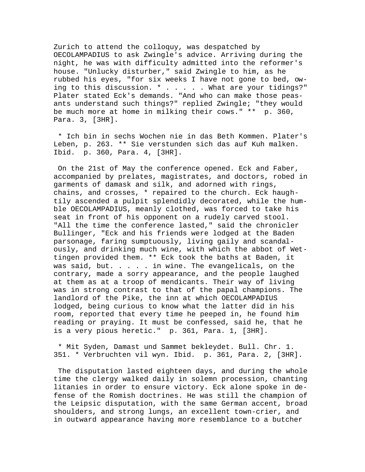Zurich to attend the colloquy, was despatched by OECOLAMPADIUS to ask Zwingle's advice. Arriving during the night, he was with difficulty admitted into the reformer's house. "Unlucky disturber," said Zwingle to him, as he rubbed his eyes, "for six weeks I have not gone to bed, owing to this discussion. \* . . . . . What are your tidings?" Plater stated Eck's demands. "And who can make those peasants understand such things?" replied Zwingle; "they would be much more at home in milking their cows." \*\* p. 360, Para. 3, [3HR].

 \* Ich bin in sechs Wochen nie in das Beth Kommen. Plater's Leben, p. 263. \*\* Sie verstunden sich das auf Kuh malken. Ibid. p. 360, Para. 4, [3HR].

 On the 21st of May the conference opened. Eck and Faber, accompanied by prelates, magistrates, and doctors, robed in garments of damask and silk, and adorned with rings, chains, and crosses, \* repaired to the church. Eck haughtily ascended a pulpit splendidly decorated, while the humble OECOLAMPADIUS, meanly clothed, was forced to take his seat in front of his opponent on a rudely carved stool. "All the time the conference lasted," said the chronicler Bullinger, "Eck and his friends were lodged at the Baden parsonage, faring sumptuously, living gaily and scandalously, and drinking much wine, with which the abbot of Wettingen provided them. \*\* Eck took the baths at Baden, it was said, but. . . . . in wine. The evangelicals, on the contrary, made a sorry appearance, and the people laughed at them as at a troop of mendicants. Their way of living was in strong contrast to that of the papal champions. The landlord of the Pike, the inn at which OECOLAMPADIUS lodged, being curious to know what the latter did in his room, reported that every time he peeped in, he found him reading or praying. It must be confessed, said he, that he is a very pious heretic." p. 361, Para. 1, [3HR].

 \* Mit Syden, Damast und Sammet bekleydet. Bull. Chr. 1. 351. \* Verbruchten vil wyn. Ibid. p. 361, Para. 2, [3HR].

 The disputation lasted eighteen days, and during the whole time the clergy walked daily in solemn procession, chanting litanies in order to ensure victory. Eck alone spoke in defense of the Romish doctrines. He was still the champion of the Leipsic disputation, with the same German accent, broad shoulders, and strong lungs, an excellent town-crier, and in outward appearance having more resemblance to a butcher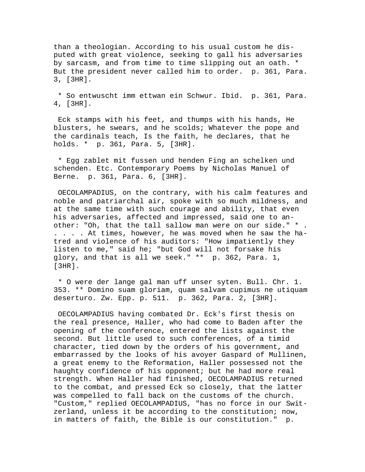than a theologian. According to his usual custom he disputed with great violence, seeking to gall his adversaries by sarcasm, and from time to time slipping out an oath. \* But the president never called him to order. p. 361, Para. 3, [3HR].

 \* So entwuscht imm ettwan ein Schwur. Ibid. p. 361, Para. 4, [3HR].

 Eck stamps with his feet, and thumps with his hands, He blusters, he swears, and he scolds; Whatever the pope and the cardinals teach, Is the faith, he declares, that he holds. \* p. 361, Para. 5, [3HR].

 \* Egg zablet mit fussen und henden Fing an schelken und schenden. Etc. Contemporary Poems by Nicholas Manuel of Berne. p. 361, Para. 6, [3HR].

 OECOLAMPADIUS, on the contrary, with his calm features and noble and patriarchal air, spoke with so much mildness, and at the same time with such courage and ability, that even his adversaries, affected and impressed, said one to another: "Oh, that the tall sallow man were on our side." \* . . . . . At times, however, he was moved when he saw the hatred and violence of his auditors: "How impatiently they listen to me," said he; "but God will not forsake his glory, and that is all we seek." \*\* p. 362, Para. 1, [3HR].

 \* O were der lange gal man uff unser syten. Bull. Chr. 1. 353. \*\* Domino suam gloriam, quam salvam cupimus ne utiquam deserturo. Zw. Epp. p. 511. p. 362, Para. 2, [3HR].

 OECOLAMPADIUS having combated Dr. Eck's first thesis on the real presence, Haller, who had come to Baden after the opening of the conference, entered the lists against the second. But little used to such conferences, of a timid character, tied down by the orders of his government, and embarrassed by the looks of his avoyer Gaspard of Mullinen, a great enemy to the Reformation, Haller possessed not the haughty confidence of his opponent; but he had more real strength. When Haller had finished, OECOLAMPADIUS returned to the combat, and pressed Eck so closely, that the latter was compelled to fall back on the customs of the church. "Custom," replied OECOLAMPADIUS, "has no force in our Switzerland, unless it be according to the constitution; now, in matters of faith, the Bible is our constitution." p.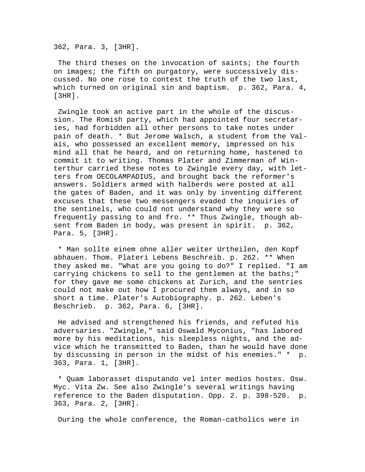362, Para. 3, [3HR].

 The third theses on the invocation of saints; the fourth on images; the fifth on purgatory, were successively discussed. No one rose to contest the truth of the two last, which turned on original sin and baptism. p. 362, Para. 4, [3HR].

 Zwingle took an active part in the whole of the discussion. The Romish party, which had appointed four secretaries, had forbidden all other persons to take notes under pain of death. \* But Jerome Walsch, a student from the Valais, who possessed an excellent memory, impressed on his mind all that he heard, and on returning home, hastened to commit it to writing. Thomas Plater and Zimmerman of Winterthur carried these notes to Zwingle every day, with letters from OECOLAMPADIUS, and brought back the reformer's answers. Soldiers armed with halberds were posted at all the gates of Baden, and it was only by inventing different excuses that these two messengers evaded the inquiries of the sentinels, who could not understand why they were so frequently passing to and fro. \*\* Thus Zwingle, though absent from Baden in body, was present in spirit. p. 362, Para. 5, [3HR].

 \* Man sollte einem ohne aller weiter Urtheilen, den Kopf abhauen. Thom. Plateri Lebens Beschreib. p. 262. \*\* When they asked me. "What are you going to do?" I replied. "I am carrying chickens to sell to the gentlemen at the baths;" for they gave me some chickens at Zurich, and the sentries could not make out how I procured them always, and in so short a time. Plater's Autobiography. p. 262. Leben's Beschrieb. p. 362, Para. 6, [3HR].

 He advised and strengthened his friends, and refuted his adversaries. "Zwingle," said Oswald Myconius, "has labored more by his meditations, his sleepless nights, and the advice which he transmitted to Baden, than he would have done by discussing in person in the midst of his enemies." \* p. 363, Para. 1, [3HR].

 \* Quam laborasset disputando vel inter medios hostes. Osw. Myc. Vita Zw. See also Zwingle's several writings having reference to the Baden disputation. Opp. 2. p. 398-520. p. 363, Para. 2, [3HR].

During the whole conference, the Roman-catholics were in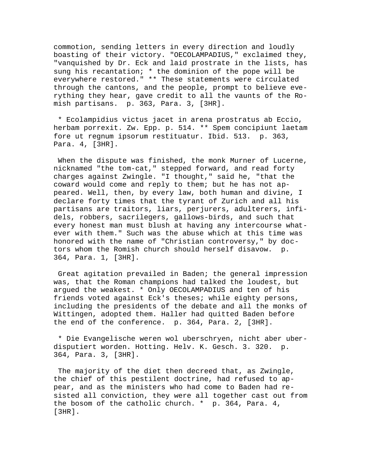commotion, sending letters in every direction and loudly boasting of their victory. "OECOLAMPADIUS," exclaimed they, "vanquished by Dr. Eck and laid prostrate in the lists, has sung his recantation; \* the dominion of the pope will be everywhere restored." \*\* These statements were circulated through the cantons, and the people, prompt to believe everything they hear, gave credit to all the vaunts of the Romish partisans. p. 363, Para. 3, [3HR].

 \* Ecolampidius victus jacet in arena prostratus ab Eccio, herbam porrexit. Zw. Epp. p. 514. \*\* Spem concipiunt laetam fore ut regnum ipsorum restituatur. Ibid. 513. p. 363, Para. 4, [3HR].

 When the dispute was finished, the monk Murner of Lucerne, nicknamed "the tom-cat," stepped forward, and read forty charges against Zwingle. "I thought," said he, "that the coward would come and reply to them; but he has not appeared. Well, then, by every law, both human and divine, I declare forty times that the tyrant of Zurich and all his partisans are traitors, liars, perjurers, adulterers, infidels, robbers, sacrilegers, gallows-birds, and such that every honest man must blush at having any intercourse whatever with them." Such was the abuse which at this time was honored with the name of "Christian controversy," by doctors whom the Romish church should herself disavow. p. 364, Para. 1, [3HR].

 Great agitation prevailed in Baden; the general impression was, that the Roman champions had talked the loudest, but argued the weakest. \* Only OECOLAMPADIUS and ten of his friends voted against Eck's theses; while eighty persons, including the presidents of the debate and all the monks of Wittingen, adopted them. Haller had quitted Baden before the end of the conference. p. 364, Para. 2, [3HR].

 \* Die Evangelische weren wol uberschryen, nicht aber uberdisputiert worden. Hotting. Helv. K. Gesch. 3. 320. p. 364, Para. 3, [3HR].

 The majority of the diet then decreed that, as Zwingle, the chief of this pestilent doctrine, had refused to appear, and as the ministers who had come to Baden had resisted all conviction, they were all together cast out from the bosom of the catholic church.  $*$  p. 364, Para. 4, [3HR].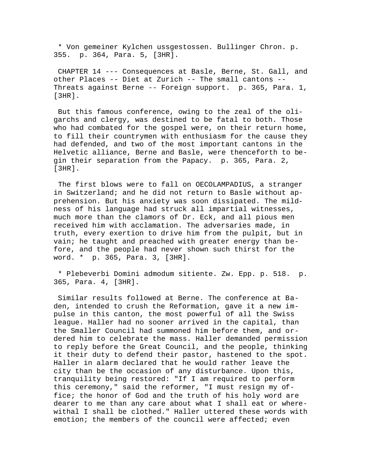\* Von gemeiner Kylchen ussgestossen. Bullinger Chron. p. 355. p. 364, Para. 5, [3HR].

 CHAPTER 14 --- Consequences at Basle, Berne, St. Gall, and other Places -- Diet at Zurich -- The small cantons -- Threats against Berne -- Foreign support. p. 365, Para. 1, [3HR].

 But this famous conference, owing to the zeal of the oligarchs and clergy, was destined to be fatal to both. Those who had combated for the gospel were, on their return home, to fill their countrymen with enthusiasm for the cause they had defended, and two of the most important cantons in the Helvetic alliance, Berne and Basle, were thenceforth to begin their separation from the Papacy. p. 365, Para. 2, [3HR].

 The first blows were to fall on OECOLAMPADIUS, a stranger in Switzerland; and he did not return to Basle without apprehension. But his anxiety was soon dissipated. The mildness of his language had struck all impartial witnesses, much more than the clamors of Dr. Eck, and all pious men received him with acclamation. The adversaries made, in truth, every exertion to drive him from the pulpit, but in vain; he taught and preached with greater energy than before, and the people had never shown such thirst for the word. \* p. 365, Para. 3, [3HR].

 \* Plebeverbi Domini admodum sitiente. Zw. Epp. p. 518. p. 365, Para. 4, [3HR].

 Similar results followed at Berne. The conference at Baden, intended to crush the Reformation, gave it a new impulse in this canton, the most powerful of all the Swiss league. Haller had no sooner arrived in the capital, than the Smaller Council had summoned him before them, and ordered him to celebrate the mass. Haller demanded permission to reply before the Great Council, and the people, thinking it their duty to defend their pastor, hastened to the spot. Haller in alarm declared that he would rather leave the city than be the occasion of any disturbance. Upon this, tranquility being restored: "If I am required to perform this ceremony," said the reformer, "I must resign my office; the honor of God and the truth of his holy word are dearer to me than any care about what I shall eat or wherewithal I shall be clothed." Haller uttered these words with emotion; the members of the council were affected; even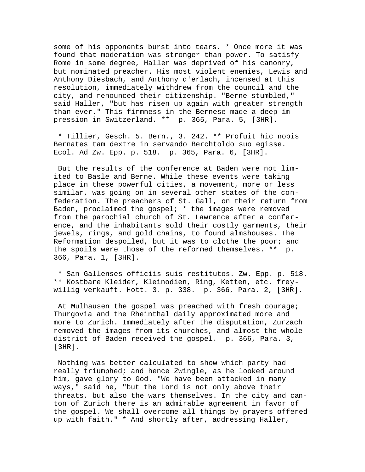some of his opponents burst into tears. \* Once more it was found that moderation was stronger than power. To satisfy Rome in some degree, Haller was deprived of his canonry, but nominated preacher. His most violent enemies, Lewis and Anthony Diesbach, and Anthony d'erlach, incensed at this resolution, immediately withdrew from the council and the city, and renounced their citizenship. "Berne stumbled," said Haller, "but has risen up again with greater strength than ever." This firmness in the Bernese made a deep impression in Switzerland. \*\* p. 365, Para. 5, [3HR].

 \* Tillier, Gesch. 5. Bern., 3. 242. \*\* Profuit hic nobis Bernates tam dextre in servando Berchtoldo suo egisse. Ecol. Ad Zw. Epp. p. 518. p. 365, Para. 6, [3HR].

 But the results of the conference at Baden were not limited to Basle and Berne. While these events were taking place in these powerful cities, a movement, more or less similar, was going on in several other states of the confederation. The preachers of St. Gall, on their return from Baden, proclaimed the gospel; \* the images were removed from the parochial church of St. Lawrence after a conference, and the inhabitants sold their costly garments, their jewels, rings, and gold chains, to found almshouses. The Reformation despoiled, but it was to clothe the poor; and the spoils were those of the reformed themselves. \*\* p. 366, Para. 1, [3HR].

 \* San Gallenses officiis suis restitutos. Zw. Epp. p. 518. \*\* Kostbare Kleider, Kleinodien, Ring, Ketten, etc. freywillig verkauft. Hott. 3. p. 338. p. 366, Para. 2, [3HR].

 At Mulhausen the gospel was preached with fresh courage; Thurgovia and the Rheinthal daily approximated more and more to Zurich. Immediately after the disputation, Zurzach removed the images from its churches, and almost the whole district of Baden received the gospel. p. 366, Para. 3, [3HR].

 Nothing was better calculated to show which party had really triumphed; and hence Zwingle, as he looked around him, gave glory to God. "We have been attacked in many ways," said he, "but the Lord is not only above their threats, but also the wars themselves. In the city and canton of Zurich there is an admirable agreement in favor of the gospel. We shall overcome all things by prayers offered up with faith." \* And shortly after, addressing Haller,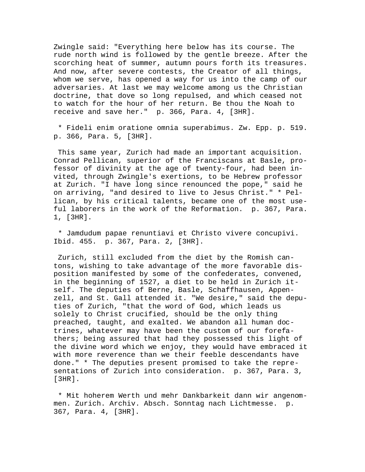Zwingle said: "Everything here below has its course. The rude north wind is followed by the gentle breeze. After the scorching heat of summer, autumn pours forth its treasures. And now, after severe contests, the Creator of all things, whom we serve, has opened a way for us into the camp of our adversaries. At last we may welcome among us the Christian doctrine, that dove so long repulsed, and which ceased not to watch for the hour of her return. Be thou the Noah to receive and save her." p. 366, Para. 4, [3HR].

 \* Fideli enim oratione omnia superabimus. Zw. Epp. p. 519. p. 366, Para. 5, [3HR].

 This same year, Zurich had made an important acquisition. Conrad Pellican, superior of the Franciscans at Basle, professor of divinity at the age of twenty-four, had been invited, through Zwingle's exertions, to be Hebrew professor at Zurich. "I have long since renounced the pope," said he on arriving, "and desired to live to Jesus Christ." \* Pellican, by his critical talents, became one of the most useful laborers in the work of the Reformation. p. 367, Para. 1, [3HR].

 \* Jamdudum papae renuntiavi et Christo vivere concupivi. Ibid. 455. p. 367, Para. 2, [3HR].

 Zurich, still excluded from the diet by the Romish cantons, wishing to take advantage of the more favorable disposition manifested by some of the confederates, convened, in the beginning of 1527, a diet to be held in Zurich itself. The deputies of Berne, Basle, Schaffhausen, Appenzell, and St. Gall attended it. "We desire," said the deputies of Zurich, "that the word of God, which leads us solely to Christ crucified, should be the only thing preached, taught, and exalted. We abandon all human doctrines, whatever may have been the custom of our forefathers; being assured that had they possessed this light of the divine word which we enjoy, they would have embraced it with more reverence than we their feeble descendants have done." \* The deputies present promised to take the representations of Zurich into consideration. p. 367, Para. 3, [3HR].

 \* Mit hoherem Werth und mehr Dankbarkeit dann wir angenommen. Zurich. Archiv. Absch. Sonntag nach Lichtmesse. p. 367, Para. 4, [3HR].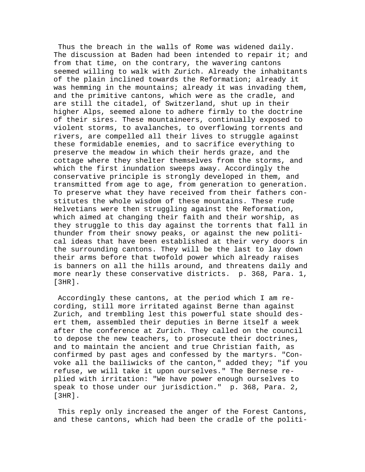Thus the breach in the walls of Rome was widened daily. The discussion at Baden had been intended to repair it; and from that time, on the contrary, the wavering cantons seemed willing to walk with Zurich. Already the inhabitants of the plain inclined towards the Reformation; already it was hemming in the mountains; already it was invading them, and the primitive cantons, which were as the cradle, and are still the citadel, of Switzerland, shut up in their higher Alps, seemed alone to adhere firmly to the doctrine of their sires. These mountaineers, continually exposed to violent storms, to avalanches, to overflowing torrents and rivers, are compelled all their lives to struggle against these formidable enemies, and to sacrifice everything to preserve the meadow in which their herds graze, and the cottage where they shelter themselves from the storms, and which the first inundation sweeps away. Accordingly the conservative principle is strongly developed in them, and transmitted from age to age, from generation to generation. To preserve what they have received from their fathers constitutes the whole wisdom of these mountains. These rude Helvetians were then struggling against the Reformation, which aimed at changing their faith and their worship, as they struggle to this day against the torrents that fall in thunder from their snowy peaks, or against the new political ideas that have been established at their very doors in the surrounding cantons. They will be the last to lay down their arms before that twofold power which already raises is banners on all the hills around, and threatens daily and more nearly these conservative districts. p. 368, Para. 1, [3HR].

 Accordingly these cantons, at the period which I am recording, still more irritated against Berne than against Zurich, and trembling lest this powerful state should desert them, assembled their deputies in Berne itself a week after the conference at Zurich. They called on the council to depose the new teachers, to prosecute their doctrines, and to maintain the ancient and true Christian faith, as confirmed by past ages and confessed by the martyrs. "Convoke all the bailiwicks of the canton," added they; "if you refuse, we will take it upon ourselves." The Bernese replied with irritation: "We have power enough ourselves to speak to those under our jurisdiction." p. 368, Para. 2, [3HR].

 This reply only increased the anger of the Forest Cantons, and these cantons, which had been the cradle of the politi-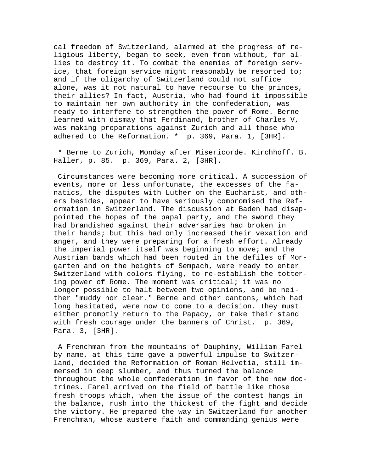cal freedom of Switzerland, alarmed at the progress of religious liberty, began to seek, even from without, for allies to destroy it. To combat the enemies of foreign service, that foreign service might reasonably be resorted to; and if the oligarchy of Switzerland could not suffice alone, was it not natural to have recourse to the princes, their allies? In fact, Austria, who had found it impossible to maintain her own authority in the confederation, was ready to interfere to strengthen the power of Rome. Berne learned with dismay that Ferdinand, brother of Charles V, was making preparations against Zurich and all those who adhered to the Reformation. \* p. 369, Para. 1, [3HR].

 \* Berne to Zurich, Monday after Misericorde. Kirchhoff. B. Haller, p. 85. p. 369, Para. 2, [3HR].

 Circumstances were becoming more critical. A succession of events, more or less unfortunate, the excesses of the fanatics, the disputes with Luther on the Eucharist, and others besides, appear to have seriously compromised the Reformation in Switzerland. The discussion at Baden had disappointed the hopes of the papal party, and the sword they had brandished against their adversaries had broken in their hands; but this had only increased their vexation and anger, and they were preparing for a fresh effort. Already the imperial power itself was beginning to move; and the Austrian bands which had been routed in the defiles of Morgarten and on the heights of Sempach, were ready to enter Switzerland with colors flying, to re-establish the tottering power of Rome. The moment was critical; it was no longer possible to halt between two opinions, and be neither "muddy nor clear." Berne and other cantons, which had long hesitated, were now to come to a decision. They must either promptly return to the Papacy, or take their stand with fresh courage under the banners of Christ. p. 369, Para. 3, [3HR].

 A Frenchman from the mountains of Dauphiny, William Farel by name, at this time gave a powerful impulse to Switzerland, decided the Reformation of Roman Helvetia, still immersed in deep slumber, and thus turned the balance throughout the whole confederation in favor of the new doctrines. Farel arrived on the field of battle like those fresh troops which, when the issue of the contest hangs in the balance, rush into the thickest of the fight and decide the victory. He prepared the way in Switzerland for another Frenchman, whose austere faith and commanding genius were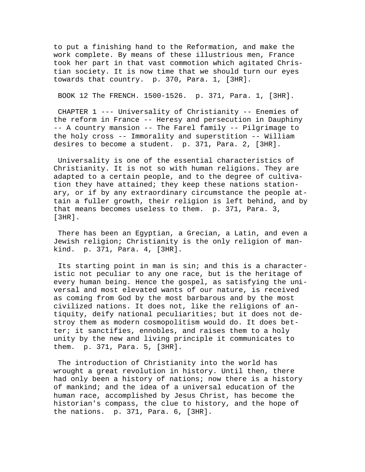to put a finishing hand to the Reformation, and make the work complete. By means of these illustrious men, France took her part in that vast commotion which agitated Christian society. It is now time that we should turn our eyes towards that country. p. 370, Para. 1, [3HR].

BOOK 12 The FRENCH. 1500-1526. p. 371, Para. 1, [3HR].

 CHAPTER 1 --- Universality of Christianity -- Enemies of the reform in France -- Heresy and persecution in Dauphiny -- A country mansion -- The Farel family -- Pilgrimage to the holy cross -- Immorality and superstition -- William desires to become a student. p. 371, Para. 2, [3HR].

 Universality is one of the essential characteristics of Christianity. It is not so with human religions. They are adapted to a certain people, and to the degree of cultivation they have attained; they keep these nations stationary, or if by any extraordinary circumstance the people attain a fuller growth, their religion is left behind, and by that means becomes useless to them. p. 371, Para. 3, [3HR].

 There has been an Egyptian, a Grecian, a Latin, and even a Jewish religion; Christianity is the only religion of mankind. p. 371, Para. 4, [3HR].

 Its starting point in man is sin; and this is a characteristic not peculiar to any one race, but is the heritage of every human being. Hence the gospel, as satisfying the universal and most elevated wants of our nature, is received as coming from God by the most barbarous and by the most civilized nations. It does not, like the religions of antiquity, deify national peculiarities; but it does not destroy them as modern cosmopolitism would do. It does better; it sanctifies, ennobles, and raises them to a holy unity by the new and living principle it communicates to them. p. 371, Para. 5, [3HR].

 The introduction of Christianity into the world has wrought a great revolution in history. Until then, there had only been a history of nations; now there is a history of mankind; and the idea of a universal education of the human race, accomplished by Jesus Christ, has become the historian's compass, the clue to history, and the hope of the nations. p. 371, Para. 6, [3HR].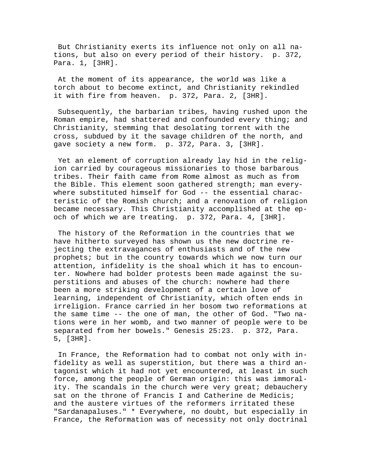But Christianity exerts its influence not only on all nations, but also on every period of their history. p. 372, Para. 1, [3HR].

 At the moment of its appearance, the world was like a torch about to become extinct, and Christianity rekindled it with fire from heaven. p. 372, Para. 2, [3HR].

 Subsequently, the barbarian tribes, having rushed upon the Roman empire, had shattered and confounded every thing; and Christianity, stemming that desolating torrent with the cross, subdued by it the savage children of the north, and gave society a new form. p. 372, Para. 3, [3HR].

 Yet an element of corruption already lay hid in the religion carried by courageous missionaries to those barbarous tribes. Their faith came from Rome almost as much as from the Bible. This element soon gathered strength; man everywhere substituted himself for God -- the essential characteristic of the Romish church; and a renovation of religion became necessary. This Christianity accomplished at the epoch of which we are treating. p. 372, Para. 4, [3HR].

 The history of the Reformation in the countries that we have hitherto surveyed has shown us the new doctrine rejecting the extravagances of enthusiasts and of the new prophets; but in the country towards which we now turn our attention, infidelity is the shoal which it has to encounter. Nowhere had bolder protests been made against the superstitions and abuses of the church: nowhere had there been a more striking development of a certain love of learning, independent of Christianity, which often ends in irreligion. France carried in her bosom two reformations at the same time -- the one of man, the other of God. "Two nations were in her womb, and two manner of people were to be separated from her bowels." Genesis 25:23. p. 372, Para. 5, [3HR].

 In France, the Reformation had to combat not only with infidelity as well as superstition, but there was a third antagonist which it had not yet encountered, at least in such force, among the people of German origin: this was immorality. The scandals in the church were very great; debauchery sat on the throne of Francis I and Catherine de Medicis; and the austere virtues of the reformers irritated these "Sardanapaluses." \* Everywhere, no doubt, but especially in France, the Reformation was of necessity not only doctrinal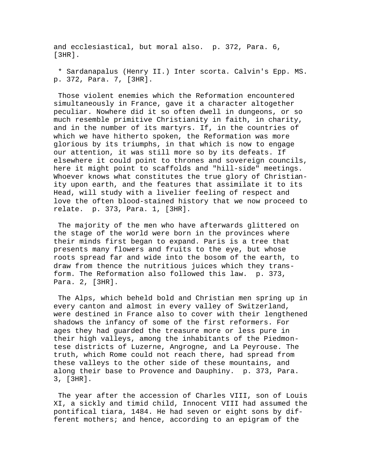and ecclesiastical, but moral also. p. 372, Para. 6, [3HR].

 \* Sardanapalus (Henry II.) Inter scorta. Calvin's Epp. MS. p. 372, Para. 7, [3HR].

 Those violent enemies which the Reformation encountered simultaneously in France, gave it a character altogether peculiar. Nowhere did it so often dwell in dungeons, or so much resemble primitive Christianity in faith, in charity, and in the number of its martyrs. If, in the countries of which we have hitherto spoken, the Reformation was more glorious by its triumphs, in that which is now to engage our attention, it was still more so by its defeats. If elsewhere it could point to thrones and sovereign councils, here it might point to scaffolds and "hill-side" meetings. Whoever knows what constitutes the true glory of Christianity upon earth, and the features that assimilate it to its Head, will study with a livelier feeling of respect and love the often blood-stained history that we now proceed to relate. p. 373, Para. 1, [3HR].

 The majority of the men who have afterwards glittered on the stage of the world were born in the provinces where their minds first began to expand. Paris is a tree that presents many flowers and fruits to the eye, but whose roots spread far and wide into the bosom of the earth, to draw from thence the nutritious juices which they transform. The Reformation also followed this law. p. 373, Para. 2, [3HR].

 The Alps, which beheld bold and Christian men spring up in every canton and almost in every valley of Switzerland, were destined in France also to cover with their lengthened shadows the infancy of some of the first reformers. For ages they had guarded the treasure more or less pure in their high valleys, among the inhabitants of the Piedmontese districts of Luzerne, Angrogne, and La Peyrouse. The truth, which Rome could not reach there, had spread from these valleys to the other side of these mountains, and along their base to Provence and Dauphiny. p. 373, Para. 3, [3HR].

 The year after the accession of Charles VIII, son of Louis XI, a sickly and timid child, Innocent VIII had assumed the pontifical tiara, 1484. He had seven or eight sons by different mothers; and hence, according to an epigram of the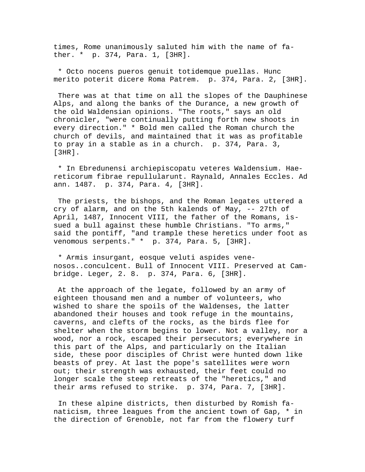times, Rome unanimously saluted him with the name of father. \* p. 374, Para. 1, [3HR].

 \* Octo nocens pueros genuit totidemque puellas. Hunc merito poterit dicere Roma Patrem. p. 374, Para. 2, [3HR].

 There was at that time on all the slopes of the Dauphinese Alps, and along the banks of the Durance, a new growth of the old Waldensian opinions. "The roots," says an old chronicler, "were continually putting forth new shoots in every direction." \* Bold men called the Roman church the church of devils, and maintained that it was as profitable to pray in a stable as in a church. p. 374, Para. 3, [3HR].

 \* In Ebredunensi archiepiscopatu veteres Waldensium. Haereticorum fibrae repullularunt. Raynald, Annales Eccles. Ad ann. 1487. p. 374, Para. 4, [3HR].

 The priests, the bishops, and the Roman legates uttered a cry of alarm, and on the 5th kalends of May, -- 27th of April, 1487, Innocent VIII, the father of the Romans, issued a bull against these humble Christians. "To arms," said the pontiff, "and trample these heretics under foot as venomous serpents." \* p. 374, Para. 5, [3HR].

 \* Armis insurgant, eosque veluti aspides venenosos..conculcent. Bull of Innocent VIII. Preserved at Cambridge. Leger, 2. 8. p. 374, Para. 6, [3HR].

 At the approach of the legate, followed by an army of eighteen thousand men and a number of volunteers, who wished to share the spoils of the Waldenses, the latter abandoned their houses and took refuge in the mountains, caverns, and clefts of the rocks, as the birds flee for shelter when the storm begins to lower. Not a valley, nor a wood, nor a rock, escaped their persecutors; everywhere in this part of the Alps, and particularly on the Italian side, these poor disciples of Christ were hunted down like beasts of prey. At last the pope's satellites were worn out; their strength was exhausted, their feet could no longer scale the steep retreats of the "heretics," and their arms refused to strike. p. 374, Para. 7, [3HR].

 In these alpine districts, then disturbed by Romish fanaticism, three leagues from the ancient town of Gap, \* in the direction of Grenoble, not far from the flowery turf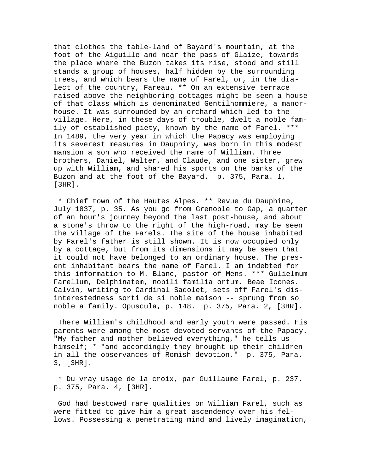that clothes the table-land of Bayard's mountain, at the foot of the Aiguille and near the pass of Glaize, towards the place where the Buzon takes its rise, stood and still stands a group of houses, half hidden by the surrounding trees, and which bears the name of Farel, or, in the dialect of the country, Fareau. \*\* On an extensive terrace raised above the neighboring cottages might be seen a house of that class which is denominated Gentilhommiere, a manorhouse. It was surrounded by an orchard which led to the village. Here, in these days of trouble, dwelt a noble family of established piety, known by the name of Farel. \*\*\* In 1489, the very year in which the Papacy was employing its severest measures in Dauphiny, was born in this modest mansion a son who received the name of William. Three brothers, Daniel, Walter, and Claude, and one sister, grew up with William, and shared his sports on the banks of the Buzon and at the foot of the Bayard. p. 375, Para. 1, [3HR].

 \* Chief town of the Hautes Alpes. \*\* Revue du Dauphine, July 1837, p. 35. As you go from Grenoble to Gap, a quarter of an hour's journey beyond the last post-house, and about a stone's throw to the right of the high-road, may be seen the village of the Farels. The site of the house inhabited by Farel's father is still shown. It is now occupied only by a cottage, but from its dimensions it may be seen that it could not have belonged to an ordinary house. The present inhabitant bears the name of Farel. I am indebted for this information to M. Blanc, pastor of Mens. \*\*\* Gulielmum Farellum, Delphinatem, nobili familia ortum. Beae Icones. Calvin, writing to Cardinal Sadolet, sets off Farel's disinterestedness sorti de si noble maison -- sprung from so noble a family. Opuscula, p. 148. p. 375, Para. 2, [3HR].

 There William's childhood and early youth were passed. His parents were among the most devoted servants of the Papacy. "My father and mother believed everything," he tells us himself; \* "and accordingly they brought up their children in all the observances of Romish devotion." p. 375, Para. 3, [3HR].

 \* Du vray usage de la croix, par Guillaume Farel, p. 237. p. 375, Para. 4, [3HR].

 God had bestowed rare qualities on William Farel, such as were fitted to give him a great ascendency over his fellows. Possessing a penetrating mind and lively imagination,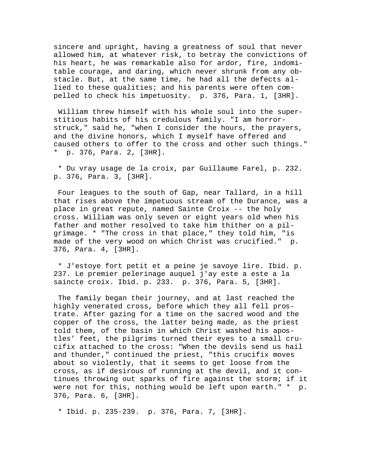sincere and upright, having a greatness of soul that never allowed him, at whatever risk, to betray the convictions of his heart, he was remarkable also for ardor, fire, indomitable courage, and daring, which never shrunk from any obstacle. But, at the same time, he had all the defects allied to these qualities; and his parents were often compelled to check his impetuosity. p. 376, Para. 1, [3HR].

 William threw himself with his whole soul into the superstitious habits of his credulous family. "I am horrorstruck," said he, "when I consider the hours, the prayers, and the divine honors, which I myself have offered and caused others to offer to the cross and other such things." \* p. 376, Para. 2, [3HR].

 \* Du vray usage de la croix, par Guillaume Farel, p. 232. p. 376, Para. 3, [3HR].

 Four leagues to the south of Gap, near Tallard, in a hill that rises above the impetuous stream of the Durance, was a place in great repute, named Sainte Croix -- the holy cross. William was only seven or eight years old when his father and mother resolved to take him thither on a pilgrimage. \* "The cross in that place," they told him, "is made of the very wood on which Christ was crucified." p. 376, Para. 4, [3HR].

 \* J'estoye fort petit et a peine je savoye lire. Ibid. p. 237. Le premier pelerinage auquel j'ay este a este a la saincte croix. Ibid. p. 233. p. 376, Para. 5, [3HR].

 The family began their journey, and at last reached the highly venerated cross, before which they all fell prostrate. After gazing for a time on the sacred wood and the copper of the cross, the latter being made, as the priest told them, of the basin in which Christ washed his apostles' feet, the pilgrims turned their eyes to a small crucifix attached to the cross: "When the devils send us hail and thunder," continued the priest, "this crucifix moves about so violently, that it seems to get loose from the cross, as if desirous of running at the devil, and it continues throwing out sparks of fire against the storm; if it were not for this, nothing would be left upon earth." \* p. 376, Para. 6, [3HR].

\* Ibid. p. 235-239. p. 376, Para. 7, [3HR].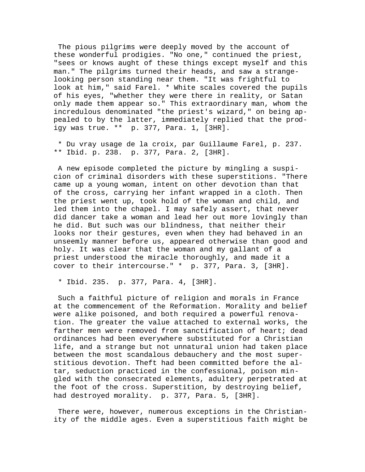The pious pilgrims were deeply moved by the account of these wonderful prodigies. "No one," continued the priest, "sees or knows aught of these things except myself and this man." The pilgrims turned their heads, and saw a strangelooking person standing near them. "It was frightful to look at him," said Farel. \* White scales covered the pupils of his eyes, "whether they were there in reality, or Satan only made them appear so." This extraordinary man, whom the incredulous denominated "the priest's wizard," on being appealed to by the latter, immediately replied that the prodigy was true. \*\* p. 377, Para. 1, [3HR].

 \* Du vray usage de la croix, par Guillaume Farel, p. 237. \*\* Ibid. p. 238. p. 377, Para. 2, [3HR].

 A new episode completed the picture by mingling a suspicion of criminal disorders with these superstitions. "There came up a young woman, intent on other devotion than that of the cross, carrying her infant wrapped in a cloth. Then the priest went up, took hold of the woman and child, and led them into the chapel. I may safely assert, that never did dancer take a woman and lead her out more lovingly than he did. But such was our blindness, that neither their looks nor their gestures, even when they had behaved in an unseemly manner before us, appeared otherwise than good and holy. It was clear that the woman and my gallant of a priest understood the miracle thoroughly, and made it a cover to their intercourse." \* p. 377, Para. 3, [3HR].

\* Ibid. 235. p. 377, Para. 4, [3HR].

 Such a faithful picture of religion and morals in France at the commencement of the Reformation. Morality and belief were alike poisoned, and both required a powerful renovation. The greater the value attached to external works, the farther men were removed from sanctification of heart; dead ordinances had been everywhere substituted for a Christian life, and a strange but not unnatural union had taken place between the most scandalous debauchery and the most superstitious devotion. Theft had been committed before the altar, seduction practiced in the confessional, poison mingled with the consecrated elements, adultery perpetrated at the foot of the cross. Superstition, by destroying belief, had destroyed morality. p. 377, Para. 5, [3HR].

 There were, however, numerous exceptions in the Christianity of the middle ages. Even a superstitious faith might be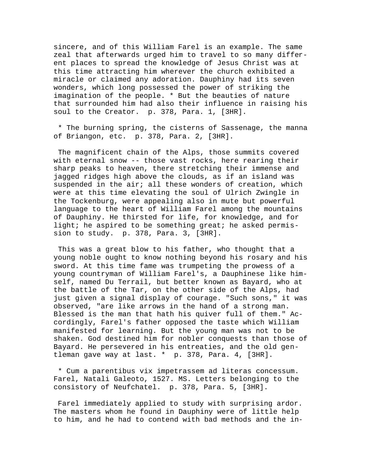sincere, and of this William Farel is an example. The same zeal that afterwards urged him to travel to so many different places to spread the knowledge of Jesus Christ was at this time attracting him wherever the church exhibited a miracle or claimed any adoration. Dauphiny had its seven wonders, which long possessed the power of striking the imagination of the people. \* But the beauties of nature that surrounded him had also their influence in raising his soul to the Creator. p. 378, Para. 1, [3HR].

 \* The burning spring, the cisterns of Sassenage, the manna of Briangon, etc. p. 378, Para. 2, [3HR].

 The magnificent chain of the Alps, those summits covered with eternal snow -- those vast rocks, here rearing their sharp peaks to heaven, there stretching their immense and jagged ridges high above the clouds, as if an island was suspended in the air; all these wonders of creation, which were at this time elevating the soul of Ulrich Zwingle in the Tockenburg, were appealing also in mute but powerful language to the heart of William Farel among the mountains of Dauphiny. He thirsted for life, for knowledge, and for light; he aspired to be something great; he asked permission to study. p. 378, Para. 3, [3HR].

 This was a great blow to his father, who thought that a young noble ought to know nothing beyond his rosary and his sword. At this time fame was trumpeting the prowess of a young countryman of William Farel's, a Dauphinese like himself, named Du Terrail, but better known as Bayard, who at the battle of the Tar, on the other side of the Alps, had just given a signal display of courage. "Such sons," it was observed, "are like arrows in the hand of a strong man. Blessed is the man that hath his quiver full of them." Accordingly, Farel's father opposed the taste which William manifested for learning. But the young man was not to be shaken. God destined him for nobler conquests than those of Bayard. He persevered in his entreaties, and the old gentleman gave way at last. \* p. 378, Para. 4, [3HR].

 \* Cum a parentibus vix impetrassem ad literas concessum. Farel, Natali Galeoto, 1527. MS. Letters belonging to the consistory of Neufchatel. p. 378, Para. 5, [3HR].

 Farel immediately applied to study with surprising ardor. The masters whom he found in Dauphiny were of little help to him, and he had to contend with bad methods and the in-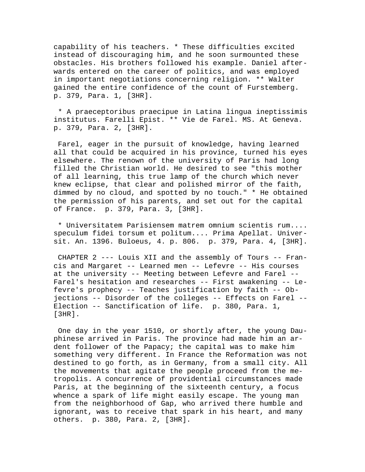capability of his teachers. \* These difficulties excited instead of discouraging him, and he soon surmounted these obstacles. His brothers followed his example. Daniel afterwards entered on the career of politics, and was employed in important negotiations concerning religion. \*\* Walter gained the entire confidence of the count of Furstemberg. p. 379, Para. 1, [3HR].

 \* A praeceptoribus praecipue in Latina lingua ineptissimis institutus. Farelli Epist. \*\* Vie de Farel. MS. At Geneva. p. 379, Para. 2, [3HR].

 Farel, eager in the pursuit of knowledge, having learned all that could be acquired in his province, turned his eyes elsewhere. The renown of the university of Paris had long filled the Christian world. He desired to see "this mother of all learning, this true lamp of the church which never knew eclipse, that clear and polished mirror of the faith, dimmed by no cloud, and spotted by no touch." \* He obtained the permission of his parents, and set out for the capital of France. p. 379, Para. 3, [3HR].

 \* Universitatem Parisiensem matrem omnium scientis rum.... speculum fidei torsum et politum.... Prima Apellat. Universit. An. 1396. Buloeus, 4. p. 806. p. 379, Para. 4, [3HR].

 CHAPTER 2 --- Louis XII and the assembly of Tours -- Francis and Margaret -- Learned men -- Lefevre -- His courses at the university -- Meeting between Lefevre and Farel -- Farel's hesitation and researches -- First awakening -- Lefevre's prophecy -- Teaches justification by faith -- Objections -- Disorder of the colleges -- Effects on Farel -- Election -- Sanctification of life. p. 380, Para. 1, [3HR].

 One day in the year 1510, or shortly after, the young Dauphinese arrived in Paris. The province had made him an ardent follower of the Papacy; the capital was to make him something very different. In France the Reformation was not destined to go forth, as in Germany, from a small city. All the movements that agitate the people proceed from the metropolis. A concurrence of providential circumstances made Paris, at the beginning of the sixteenth century, a focus whence a spark of life might easily escape. The young man from the neighborhood of Gap, who arrived there humble and ignorant, was to receive that spark in his heart, and many others. p. 380, Para. 2, [3HR].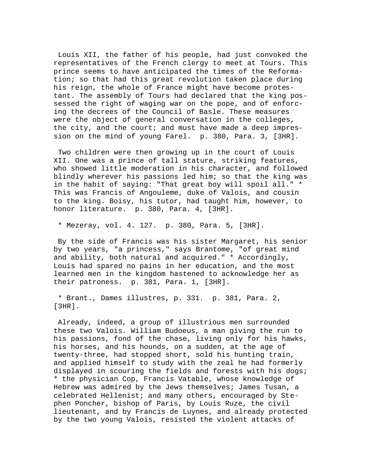Louis XII, the father of his people, had just convoked the representatives of the French clergy to meet at Tours. This prince seems to have anticipated the times of the Reformation; so that had this great revolution taken place during his reign, the whole of France might have become protestant. The assembly of Tours had declared that the king possessed the right of waging war on the pope, and of enforcing the decrees of the Council of Basle. These measures were the object of general conversation in the colleges, the city, and the court; and must have made a deep impression on the mind of young Farel. p. 380, Para. 3, [3HR].

 Two children were then growing up in the court of Louis XII. One was a prince of tall stature, striking features, who showed little moderation in his character, and followed blindly wherever his passions led him; so that the king was in the habit of saying: "That great boy will spoil all." \* This was Francis of Angouleme, duke of Valois, and cousin to the king. Boisy, his tutor, had taught him, however, to honor literature. p. 380, Para. 4, [3HR].

\* Mezeray, vol. 4. 127. p. 380, Para. 5, [3HR].

 By the side of Francis was his sister Margaret, his senior by two years, "a princess," says Brantome, "of great mind and ability, both natural and acquired." \* Accordingly, Louis had spared no pains in her education, and the most learned men in the kingdom hastened to acknowledge her as their patroness. p. 381, Para. 1, [3HR].

 \* Brant., Dames illustres, p. 331. p. 381, Para. 2, [3HR].

 Already, indeed, a group of illustrious men surrounded these two Valois. William Budoeus, a man giving the run to his passions, fond of the chase, living only for his hawks, his horses, and his hounds, on a sudden, at the age of twenty-three, had stopped short, sold his hunting train, and applied himself to study with the zeal he had formerly displayed in scouring the fields and forests with his dogs; \* the physician Cop, Francis Vatable, whose knowledge of Hebrew was admired by the Jews themselves; James Tusan, a celebrated Hellenist; and many others, encouraged by Stephen Poncher, bishop of Paris, by Louis Ruze, the civil lieutenant, and by Francis de Luynes, and already protected by the two young Valois, resisted the violent attacks of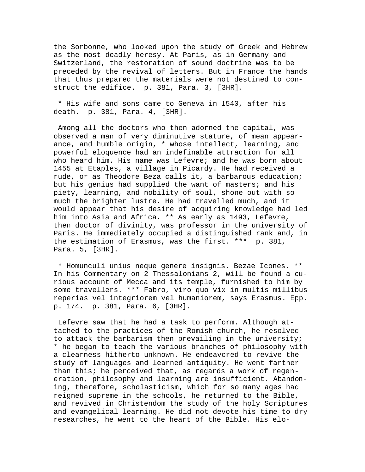the Sorbonne, who looked upon the study of Greek and Hebrew as the most deadly heresy. At Paris, as in Germany and Switzerland, the restoration of sound doctrine was to be preceded by the revival of letters. But in France the hands that thus prepared the materials were not destined to construct the edifice. p. 381, Para. 3, [3HR].

 \* His wife and sons came to Geneva in 1540, after his death. p. 381, Para. 4, [3HR].

 Among all the doctors who then adorned the capital, was observed a man of very diminutive stature, of mean appearance, and humble origin, \* whose intellect, learning, and powerful eloquence had an indefinable attraction for all who heard him. His name was Lefevre; and he was born about 1455 at Etaples, a village in Picardy. He had received a rude, or as Theodore Beza calls it, a barbarous education; but his genius had supplied the want of masters; and his piety, learning, and nobility of soul, shone out with so much the brighter lustre. He had travelled much, and it would appear that his desire of acquiring knowledge had led him into Asia and Africa. \*\* As early as 1493, Lefevre, then doctor of divinity, was professor in the university of Paris. He immediately occupied a distinguished rank and, in the estimation of Erasmus, was the first. \*\*\* p. 381, Para. 5, [3HR].

 \* Homunculi unius neque genere insignis. Bezae Icones. \*\* In his Commentary on 2 Thessalonians 2, will be found a curious account of Mecca and its temple, furnished to him by some travellers. \*\*\* Fabro, viro quo vix in multis millibus reperias vel integriorem vel humaniorem, says Erasmus. Epp. p. 174. p. 381, Para. 6, [3HR].

 Lefevre saw that he had a task to perform. Although attached to the practices of the Romish church, he resolved to attack the barbarism then prevailing in the university; \* he began to teach the various branches of philosophy with a clearness hitherto unknown. He endeavored to revive the study of languages and learned antiquity. He went farther than this; he perceived that, as regards a work of regeneration, philosophy and learning are insufficient. Abandoning, therefore, scholasticism, which for so many ages had reigned supreme in the schools, he returned to the Bible, and revived in Christendom the study of the holy Scriptures and evangelical learning. He did not devote his time to dry researches, he went to the heart of the Bible. His elo-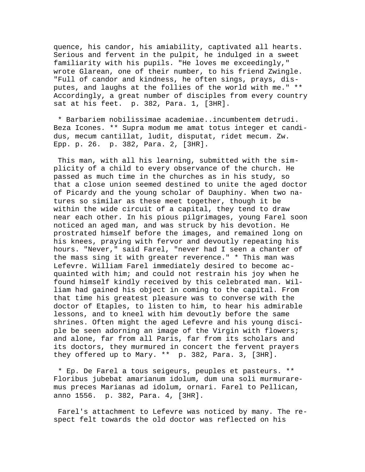quence, his candor, his amiability, captivated all hearts. Serious and fervent in the pulpit, he indulged in a sweet familiarity with his pupils. "He loves me exceedingly," wrote Glarean, one of their number, to his friend Zwingle. "Full of candor and kindness, he often sings, prays, disputes, and laughs at the follies of the world with me." \*\* Accordingly, a great number of disciples from every country sat at his feet. p. 382, Para. 1, [3HR].

 \* Barbariem nobilissimae academiae..incumbentem detrudi. Beza Icones. \*\* Supra modum me amat totus integer et candidus, mecum cantillat, ludit, disputat, ridet mecum. Zw. Epp. p. 26. p. 382, Para. 2, [3HR].

 This man, with all his learning, submitted with the simplicity of a child to every observance of the church. He passed as much time in the churches as in his study, so that a close union seemed destined to unite the aged doctor of Picardy and the young scholar of Dauphiny. When two natures so similar as these meet together, though it be within the wide circuit of a capital, they tend to draw near each other. In his pious pilgrimages, young Farel soon noticed an aged man, and was struck by his devotion. He prostrated himself before the images, and remained long on his knees, praying with fervor and devoutly repeating his hours. "Never," said Farel, "never had I seen a chanter of the mass sing it with greater reverence." \* This man was Lefevre. William Farel immediately desired to become acquainted with him; and could not restrain his joy when he found himself kindly received by this celebrated man. William had gained his object in coming to the capital. From that time his greatest pleasure was to converse with the doctor of Etaples, to listen to him, to hear his admirable lessons, and to kneel with him devoutly before the same shrines. Often might the aged Lefevre and his young disciple be seen adorning an image of the Virgin with flowers; and alone, far from all Paris, far from its scholars and its doctors, they murmured in concert the fervent prayers they offered up to Mary. \*\* p. 382, Para. 3, [3HR].

 \* Ep. De Farel a tous seigeurs, peuples et pasteurs. \*\* Floribus jubebat amarianum idolum, dum una soli murmuraremus preces Marianas ad idolum, ornari. Farel to Pellican, anno 1556. p. 382, Para. 4, [3HR].

 Farel's attachment to Lefevre was noticed by many. The respect felt towards the old doctor was reflected on his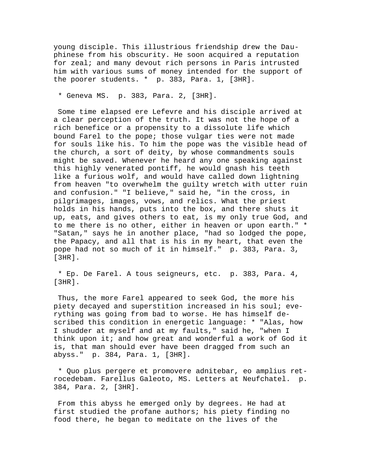young disciple. This illustrious friendship drew the Dauphinese from his obscurity. He soon acquired a reputation for zeal; and many devout rich persons in Paris intrusted him with various sums of money intended for the support of the poorer students. \* p. 383, Para. 1, [3HR].

\* Geneva MS. p. 383, Para. 2, [3HR].

 Some time elapsed ere Lefevre and his disciple arrived at a clear perception of the truth. It was not the hope of a rich benefice or a propensity to a dissolute life which bound Farel to the pope; those vulgar ties were not made for souls like his. To him the pope was the visible head of the church, a sort of deity, by whose commandments souls might be saved. Whenever he heard any one speaking against this highly venerated pontiff, he would gnash his teeth like a furious wolf, and would have called down lightning from heaven "to overwhelm the guilty wretch with utter ruin and confusion." "I believe," said he, "in the cross, in pilgrimages, images, vows, and relics. What the priest holds in his hands, puts into the box, and there shuts it up, eats, and gives others to eat, is my only true God, and to me there is no other, either in heaven or upon earth." \* "Satan," says he in another place, "had so lodged the pope, the Papacy, and all that is his in my heart, that even the pope had not so much of it in himself." p. 383, Para. 3, [3HR].

 \* Ep. De Farel. A tous seigneurs, etc. p. 383, Para. 4, [3HR].

 Thus, the more Farel appeared to seek God, the more his piety decayed and superstition increased in his soul; everything was going from bad to worse. He has himself described this condition in energetic language: \* "Alas, how I shudder at myself and at my faults," said he, "when I think upon it; and how great and wonderful a work of God it is, that man should ever have been dragged from such an abyss." p. 384, Para. 1, [3HR].

 \* Quo plus pergere et promovere adnitebar, eo amplius retrocedebam. Farellus Galeoto, MS. Letters at Neufchatel. p. 384, Para. 2, [3HR].

 From this abyss he emerged only by degrees. He had at first studied the profane authors; his piety finding no food there, he began to meditate on the lives of the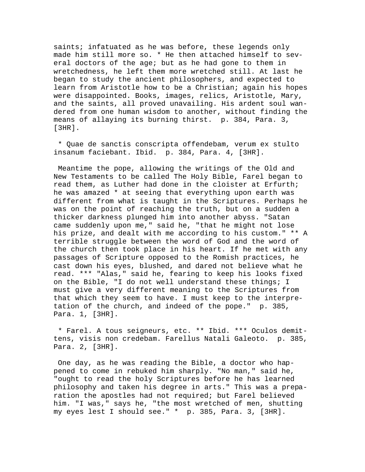saints; infatuated as he was before, these legends only made him still more so. \* He then attached himself to several doctors of the age; but as he had gone to them in wretchedness, he left them more wretched still. At last he began to study the ancient philosophers, and expected to learn from Aristotle how to be a Christian; again his hopes were disappointed. Books, images, relics, Aristotle, Mary, and the saints, all proved unavailing. His ardent soul wandered from one human wisdom to another, without finding the means of allaying its burning thirst. p. 384, Para. 3, [3HR].

 \* Quae de sanctis conscripta offendebam, verum ex stulto insanum faciebant. Ibid. p. 384, Para. 4, [3HR].

 Meantime the pope, allowing the writings of the Old and New Testaments to be called The Holy Bible, Farel began to read them, as Luther had done in the cloister at Erfurth; he was amazed \* at seeing that everything upon earth was different from what is taught in the Scriptures. Perhaps he was on the point of reaching the truth, but on a sudden a thicker darkness plunged him into another abyss. "Satan came suddenly upon me," said he, "that he might not lose his prize, and dealt with me according to his custom." \*\* A terrible struggle between the word of God and the word of the church then took place in his heart. If he met with any passages of Scripture opposed to the Romish practices, he cast down his eyes, blushed, and dared not believe what he read. \*\*\* "Alas," said he, fearing to keep his looks fixed on the Bible, "I do not well understand these things; I must give a very different meaning to the Scriptures from that which they seem to have. I must keep to the interpretation of the church, and indeed of the pope." p. 385, Para. 1, [3HR].

 \* Farel. A tous seigneurs, etc. \*\* Ibid. \*\*\* Oculos demittens, visis non credebam. Farellus Natali Galeoto. p. 385, Para. 2, [3HR].

 One day, as he was reading the Bible, a doctor who happened to come in rebuked him sharply. "No man," said he, "ought to read the holy Scriptures before he has learned philosophy and taken his degree in arts." This was a preparation the apostles had not required; but Farel believed him. "I was," says he, "the most wretched of men, shutting my eyes lest I should see." \* p. 385, Para. 3, [3HR].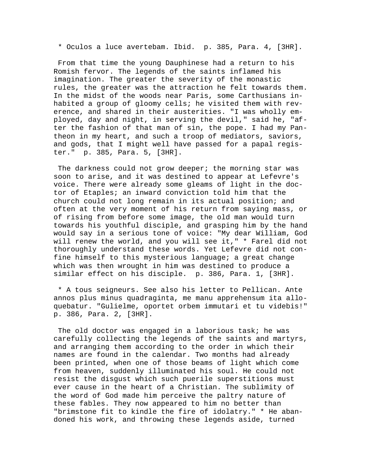\* Oculos a luce avertebam. Ibid. p. 385, Para. 4, [3HR].

 From that time the young Dauphinese had a return to his Romish fervor. The legends of the saints inflamed his imagination. The greater the severity of the monastic rules, the greater was the attraction he felt towards them. In the midst of the woods near Paris, some Carthusians inhabited a group of gloomy cells; he visited them with reverence, and shared in their austerities. "I was wholly employed, day and night, in serving the devil," said he, "after the fashion of that man of sin, the pope. I had my Pantheon in my heart, and such a troop of mediators, saviors, and gods, that I might well have passed for a papal register." p. 385, Para. 5, [3HR].

 The darkness could not grow deeper; the morning star was soon to arise, and it was destined to appear at Lefevre's voice. There were already some gleams of light in the doctor of Etaples; an inward conviction told him that the church could not long remain in its actual position; and often at the very moment of his return from saying mass, or of rising from before some image, the old man would turn towards his youthful disciple, and grasping him by the hand would say in a serious tone of voice: "My dear William, God will renew the world, and you will see it," \* Farel did not thoroughly understand these words. Yet Lefevre did not confine himself to this mysterious language; a great change which was then wrought in him was destined to produce a similar effect on his disciple. p. 386, Para. 1, [3HR].

 \* A tous seigneurs. See also his letter to Pellican. Ante annos plus minus quadraginta, me manu apprehensum ita alloquebatur. "Gulielme, oportet orbem immutari et tu videbis!" p. 386, Para. 2, [3HR].

The old doctor was engaged in a laborious task; he was carefully collecting the legends of the saints and martyrs, and arranging them according to the order in which their names are found in the calendar. Two months had already been printed, when one of those beams of light which come from heaven, suddenly illuminated his soul. He could not resist the disgust which such puerile superstitions must ever cause in the heart of a Christian. The sublimity of the word of God made him perceive the paltry nature of these fables. They now appeared to him no better than "brimstone fit to kindle the fire of idolatry." \* He abandoned his work, and throwing these legends aside, turned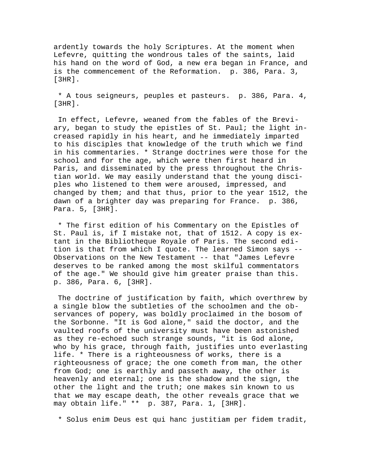ardently towards the holy Scriptures. At the moment when Lefevre, quitting the wondrous tales of the saints, laid his hand on the word of God, a new era began in France, and is the commencement of the Reformation. p. 386, Para. 3, [3HR].

 \* A tous seigneurs, peuples et pasteurs. p. 386, Para. 4, [3HR].

 In effect, Lefevre, weaned from the fables of the Breviary, began to study the epistles of St. Paul; the light increased rapidly in his heart, and he immediately imparted to his disciples that knowledge of the truth which we find in his commentaries. \* Strange doctrines were those for the school and for the age, which were then first heard in Paris, and disseminated by the press throughout the Christian world. We may easily understand that the young disciples who listened to them were aroused, impressed, and changed by them; and that thus, prior to the year 1512, the dawn of a brighter day was preparing for France. p. 386, Para. 5, [3HR].

 \* The first edition of his Commentary on the Epistles of St. Paul is, if I mistake not, that of 1512. A copy is extant in the Bibliotheque Royale of Paris. The second edition is that from which I quote. The learned Simon says -- Observations on the New Testament -- that "James Lefevre deserves to be ranked among the most skilful commentators of the age." We should give him greater praise than this. p. 386, Para. 6, [3HR].

 The doctrine of justification by faith, which overthrew by a single blow the subtleties of the schoolmen and the observances of popery, was boldly proclaimed in the bosom of the Sorbonne. "It is God alone," said the doctor, and the vaulted roofs of the university must have been astonished as they re-echoed such strange sounds, "it is God alone, who by his grace, through faith, justifies unto everlasting life. \* There is a righteousness of works, there is a righteousness of grace; the one cometh from man, the other from God; one is earthly and passeth away, the other is heavenly and eternal; one is the shadow and the sign, the other the light and the truth; one makes sin known to us that we may escape death, the other reveals grace that we may obtain life." \*\* p. 387, Para. 1, [3HR].

\* Solus enim Deus est qui hanc justitiam per fidem tradit,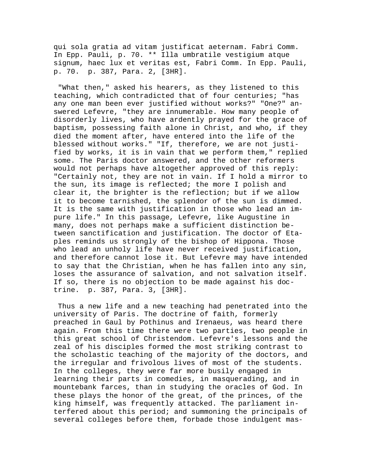qui sola gratia ad vitam justificat aeternam. Fabri Comm. In Epp. Pauli, p. 70. \*\* Illa umbratile vestigium atque signum, haec lux et veritas est, Fabri Comm. In Epp. Pauli, p. 70. p. 387, Para. 2, [3HR].

 "What then," asked his hearers, as they listened to this teaching, which contradicted that of four centuries; "has any one man been ever justified without works?" "One?" answered Lefevre, "they are innumerable. How many people of disorderly lives, who have ardently prayed for the grace of baptism, possessing faith alone in Christ, and who, if they died the moment after, have entered into the life of the blessed without works." "If, therefore, we are not justified by works, it is in vain that we perform them," replied some. The Paris doctor answered, and the other reformers would not perhaps have altogether approved of this reply: "Certainly not, they are not in vain. If I hold a mirror to the sun, its image is reflected; the more I polish and clear it, the brighter is the reflection; but if we allow it to become tarnished, the splendor of the sun is dimmed. It is the same with justification in those who lead an impure life." In this passage, Lefevre, like Augustine in many, does not perhaps make a sufficient distinction between sanctification and justification. The doctor of Etaples reminds us strongly of the bishop of Hippona. Those who lead an unholy life have never received justification, and therefore cannot lose it. But Lefevre may have intended to say that the Christian, when he has fallen into any sin, loses the assurance of salvation, and not salvation itself. If so, there is no objection to be made against his doctrine. p. 387, Para. 3, [3HR].

 Thus a new life and a new teaching had penetrated into the university of Paris. The doctrine of faith, formerly preached in Gaul by Pothinus and Irenaeus, was heard there again. From this time there were two parties, two people in this great school of Christendom. Lefevre's lessons and the zeal of his disciples formed the most striking contrast to the scholastic teaching of the majority of the doctors, and the irregular and frivolous lives of most of the students. In the colleges, they were far more busily engaged in learning their parts in comedies, in masquerading, and in mountebank farces, than in studying the oracles of God. In these plays the honor of the great, of the princes, of the king himself, was frequently attacked. The parliament interfered about this period; and summoning the principals of several colleges before them, forbade those indulgent mas-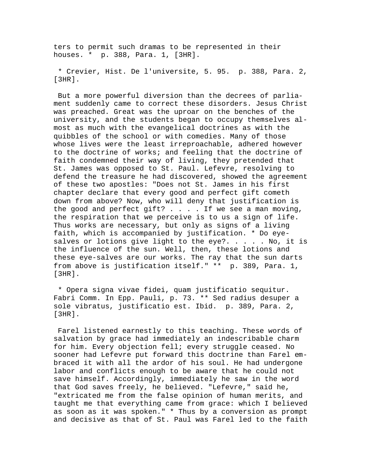ters to permit such dramas to be represented in their houses. \* p. 388, Para. 1, [3HR].

 \* Crevier, Hist. De l'universite, 5. 95. p. 388, Para. 2, [3HR].

 But a more powerful diversion than the decrees of parliament suddenly came to correct these disorders. Jesus Christ was preached. Great was the uproar on the benches of the university, and the students began to occupy themselves almost as much with the evangelical doctrines as with the quibbles of the school or with comedies. Many of those whose lives were the least irreproachable, adhered however to the doctrine of works; and feeling that the doctrine of faith condemned their way of living, they pretended that St. James was opposed to St. Paul. Lefevre, resolving to defend the treasure he had discovered, showed the agreement of these two apostles: "Does not St. James in his first chapter declare that every good and perfect gift cometh down from above? Now, who will deny that justification is the good and perfect gift?  $\ldots$  . . If we see a man moving, the respiration that we perceive is to us a sign of life. Thus works are necessary, but only as signs of a living faith, which is accompanied by justification. \* Do eyesalves or lotions give light to the eye?. . . . . No, it is the influence of the sun. Well, then, these lotions and these eye-salves are our works. The ray that the sun darts from above is justification itself." \*\* p. 389, Para. 1, [3HR].

 \* Opera signa vivae fidei, quam justificatio sequitur. Fabri Comm. In Epp. Pauli, p. 73. \*\* Sed radius desuper a sole vibratus, justificatio est. Ibid. p. 389, Para. 2, [3HR].

 Farel listened earnestly to this teaching. These words of salvation by grace had immediately an indescribable charm for him. Every objection fell; every struggle ceased. No sooner had Lefevre put forward this doctrine than Farel embraced it with all the ardor of his soul. He had undergone labor and conflicts enough to be aware that he could not save himself. Accordingly, immediately he saw in the word that God saves freely, he believed. "Lefevre," said he, "extricated me from the false opinion of human merits, and taught me that everything came from grace: which I believed as soon as it was spoken." \* Thus by a conversion as prompt and decisive as that of St. Paul was Farel led to the faith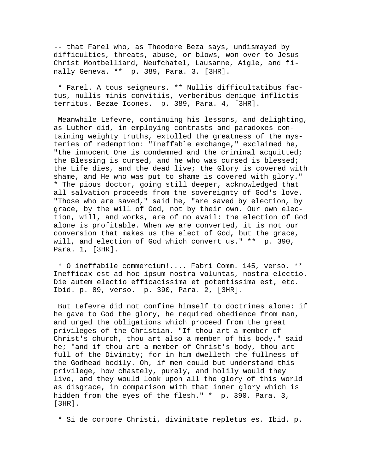-- that Farel who, as Theodore Beza says, undismayed by difficulties, threats, abuse, or blows, won over to Jesus Christ Montbelliard, Neufchatel, Lausanne, Aigle, and finally Geneva. \*\* p. 389, Para. 3, [3HR].

 \* Farel. A tous seigneurs. \*\* Nullis difficultatibus factus, nullis minis convitiis, verberibus denique inflictis territus. Bezae Icones. p. 389, Para. 4, [3HR].

 Meanwhile Lefevre, continuing his lessons, and delighting, as Luther did, in employing contrasts and paradoxes containing weighty truths, extolled the greatness of the mysteries of redemption: "Ineffable exchange," exclaimed he, "the innocent One is condemned and the criminal acquitted; the Blessing is cursed, and he who was cursed is blessed; the Life dies, and the dead live; the Glory is covered with shame, and He who was put to shame is covered with glory." \* The pious doctor, going still deeper, acknowledged that all salvation proceeds from the sovereignty of God's love. "Those who are saved," said he, "are saved by election, by grace, by the will of God, not by their own. Our own election, will, and works, are of no avail: the election of God alone is profitable. When we are converted, it is not our conversion that makes us the elect of God, but the grace, will, and election of God which convert us." \*\* p. 390, Para. 1, [3HR].

 \* O ineffabile commercium!.... Fabri Comm. 145, verso. \*\* Inefficax est ad hoc ipsum nostra voluntas, nostra electio. Die autem electio efficacissima et potentissima est, etc. Ibid. p. 89, verso. p. 390, Para. 2, [3HR].

 But Lefevre did not confine himself to doctrines alone: if he gave to God the glory, he required obedience from man, and urged the obligations which proceed from the great privileges of the Christian. "If thou art a member of Christ's church, thou art also a member of his body." said he; "and if thou art a member of Christ's body, thou art full of the Divinity; for in him dwelleth the fullness of the Godhead bodily. Oh, if men could but understand this privilege, how chastely, purely, and holily would they live, and they would look upon all the glory of this world as disgrace, in comparison with that inner glory which is hidden from the eyes of the flesh." \* p. 390, Para. 3, [3HR].

\* Si de corpore Christi, divinitate repletus es. Ibid. p.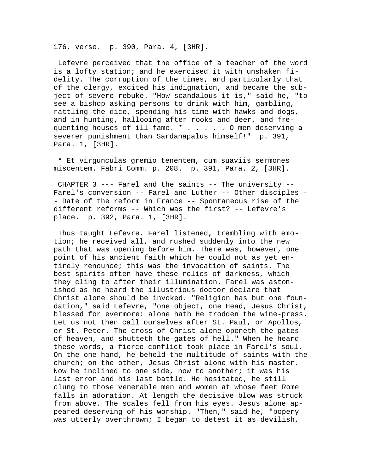176, verso. p. 390, Para. 4, [3HR].

 Lefevre perceived that the office of a teacher of the word is a lofty station; and he exercised it with unshaken fidelity. The corruption of the times, and particularly that of the clergy, excited his indignation, and became the subject of severe rebuke. "How scandalous it is," said he, "to see a bishop asking persons to drink with him, gambling, rattling the dice, spending his time with hawks and dogs, and in hunting, hallooing after rooks and deer, and frequenting houses of ill-fame. \* . . . . . O men deserving a severer punishment than Sardanapalus himself!" p. 391, Para. 1, [3HR].

 \* Et virgunculas gremio tenentem, cum suaviis sermones miscentem. Fabri Comm. p. 208. p. 391, Para. 2, [3HR].

 CHAPTER 3 --- Farel and the saints -- The university -- Farel's conversion -- Farel and Luther -- Other disciples - - Date of the reform in France -- Spontaneous rise of the different reforms -- Which was the first? -- Lefevre's place. p. 392, Para. 1, [3HR].

 Thus taught Lefevre. Farel listened, trembling with emotion; he received all, and rushed suddenly into the new path that was opening before him. There was, however, one point of his ancient faith which he could not as yet entirely renounce; this was the invocation of saints. The best spirits often have these relics of darkness, which they cling to after their illumination. Farel was astonished as he heard the illustrious doctor declare that Christ alone should be invoked. "Religion has but one foundation," said Lefevre, "one object, one Head, Jesus Christ, blessed for evermore: alone hath He trodden the wine-press. Let us not then call ourselves after St. Paul, or Apollos, or St. Peter. The cross of Christ alone openeth the gates of heaven, and shutteth the gates of hell." When he heard these words, a fierce conflict took place in Farel's soul. On the one hand, he beheld the multitude of saints with the church; on the other, Jesus Christ alone with his master. Now he inclined to one side, now to another; it was his last error and his last battle. He hesitated, he still clung to those venerable men and women at whose feet Rome falls in adoration. At length the decisive blow was struck from above. The scales fell from his eyes. Jesus alone appeared deserving of his worship. "Then," said he, "popery was utterly overthrown; I began to detest it as devilish,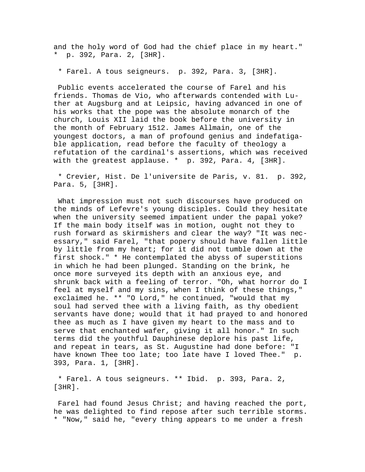and the holy word of God had the chief place in my heart." \* p. 392, Para. 2, [3HR].

\* Farel. A tous seigneurs. p. 392, Para. 3, [3HR].

 Public events accelerated the course of Farel and his friends. Thomas de Vio, who afterwards contended with Luther at Augsburg and at Leipsic, having advanced in one of his works that the pope was the absolute monarch of the church, Louis XII laid the book before the university in the month of February 1512. James Allmain, one of the youngest doctors, a man of profound genius and indefatigable application, read before the faculty of theology a refutation of the cardinal's assertions, which was received with the greatest applause. \* p. 392, Para. 4, [3HR].

 \* Crevier, Hist. De l'universite de Paris, v. 81. p. 392, Para. 5, [3HR].

 What impression must not such discourses have produced on the minds of Lefevre's young disciples. Could they hesitate when the university seemed impatient under the papal yoke? If the main body itself was in motion, ought not they to rush forward as skirmishers and clear the way? "It was necessary," said Farel, "that popery should have fallen little by little from my heart; for it did not tumble down at the first shock." \* He contemplated the abyss of superstitions in which he had been plunged. Standing on the brink, he once more surveyed its depth with an anxious eye, and shrunk back with a feeling of terror. "Oh, what horror do I feel at myself and my sins, when I think of these things," exclaimed he. \*\* "O Lord," he continued, "would that my soul had served thee with a living faith, as thy obedient servants have done; would that it had prayed to and honored thee as much as I have given my heart to the mass and to serve that enchanted wafer, giving it all honor." In such terms did the youthful Dauphinese deplore his past life, and repeat in tears, as St. Augustine had done before: "I have known Thee too late; too late have I loved Thee." p. 393, Para. 1, [3HR].

 \* Farel. A tous seigneurs. \*\* Ibid. p. 393, Para. 2, [3HR].

 Farel had found Jesus Christ; and having reached the port, he was delighted to find repose after such terrible storms. \* "Now," said he, "every thing appears to me under a fresh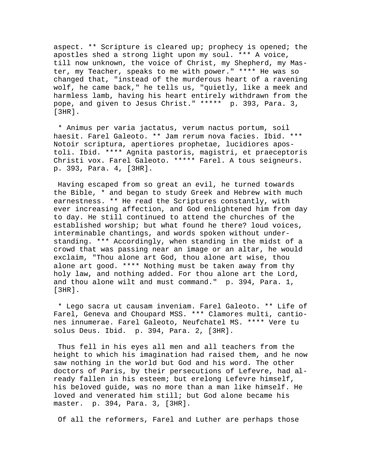aspect. \*\* Scripture is cleared up; prophecy is opened; the apostles shed a strong light upon my soul. \*\*\* A voice, till now unknown, the voice of Christ, my Shepherd, my Master, my Teacher, speaks to me with power." \*\*\*\* He was so changed that, "instead of the murderous heart of a ravening wolf, he came back," he tells us, "quietly, like a meek and harmless lamb, having his heart entirely withdrawn from the pope, and given to Jesus Christ." \*\*\*\*\* p. 393, Para. 3, [3HR].

 \* Animus per varia jactatus, verum nactus portum, soil haesit. Farel Galeoto. \*\* Jam rerum nova facies. Ibid. \*\*\* Notoir scriptura, apertiores prophetae, lucidiores apostoli. Ibid. \*\*\*\* Agnita pastoris, magistri, et praeceptoris Christi vox. Farel Galeoto. \*\*\*\*\* Farel. A tous seigneurs. p. 393, Para. 4, [3HR].

 Having escaped from so great an evil, he turned towards the Bible, \* and began to study Greek and Hebrew with much earnestness. \*\* He read the Scriptures constantly, with ever increasing affection, and God enlightened him from day to day. He still continued to attend the churches of the established worship; but what found he there? loud voices, interminable chantings, and words spoken without understanding. \*\*\* Accordingly, when standing in the midst of a crowd that was passing near an image or an altar, he would exclaim, "Thou alone art God, thou alone art wise, thou alone art good. \*\*\*\* Nothing must be taken away from thy holy law, and nothing added. For thou alone art the Lord, and thou alone wilt and must command." p. 394, Para. 1, [3HR].

 \* Lego sacra ut causam inveniam. Farel Galeoto. \*\* Life of Farel, Geneva and Choupard MSS. \*\*\* Clamores multi, cantiones innumerae. Farel Galeoto, Neufchatel MS. \*\*\*\* Vere tu solus Deus. Ibid. p. 394, Para. 2, [3HR].

 Thus fell in his eyes all men and all teachers from the height to which his imagination had raised them, and he now saw nothing in the world but God and his word. The other doctors of Paris, by their persecutions of Lefevre, had already fallen in his esteem; but erelong Lefevre himself, his beloved guide, was no more than a man like himself. He loved and venerated him still; but God alone became his master. p. 394, Para. 3, [3HR].

Of all the reformers, Farel and Luther are perhaps those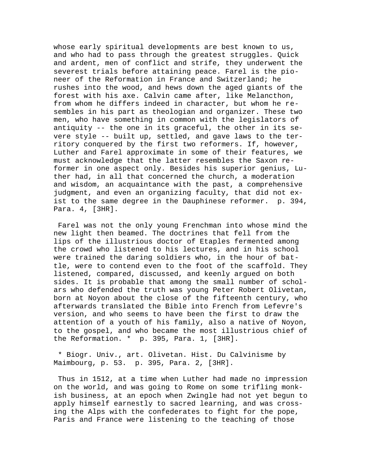whose early spiritual developments are best known to us, and who had to pass through the greatest struggles. Quick and ardent, men of conflict and strife, they underwent the severest trials before attaining peace. Farel is the pioneer of the Reformation in France and Switzerland; he rushes into the wood, and hews down the aged giants of the forest with his axe. Calvin came after, like Melancthon, from whom he differs indeed in character, but whom he resembles in his part as theologian and organizer. These two men, who have something in common with the legislators of antiquity -- the one in its graceful, the other in its severe style -- built up, settled, and gave laws to the territory conquered by the first two reformers. If, however, Luther and Farel approximate in some of their features, we must acknowledge that the latter resembles the Saxon reformer in one aspect only. Besides his superior genius, Luther had, in all that concerned the church, a moderation and wisdom, an acquaintance with the past, a comprehensive judgment, and even an organizing faculty, that did not exist to the same degree in the Dauphinese reformer. p. 394, Para. 4, [3HR].

 Farel was not the only young Frenchman into whose mind the new light then beamed. The doctrines that fell from the lips of the illustrious doctor of Etaples fermented among the crowd who listened to his lectures, and in his school were trained the daring soldiers who, in the hour of battle, were to contend even to the foot of the scaffold. They listened, compared, discussed, and keenly argued on both sides. It is probable that among the small number of scholars who defended the truth was young Peter Robert Olivetan, born at Noyon about the close of the fifteenth century, who afterwards translated the Bible into French from Lefevre's version, and who seems to have been the first to draw the attention of a youth of his family, also a native of Noyon, to the gospel, and who became the most illustrious chief of the Reformation. \* p. 395, Para. 1, [3HR].

 \* Biogr. Univ., art. Olivetan. Hist. Du Calvinisme by Maimbourg, p. 53. p. 395, Para. 2, [3HR].

 Thus in 1512, at a time when Luther had made no impression on the world, and was going to Rome on some trifling monkish business, at an epoch when Zwingle had not yet begun to apply himself earnestly to sacred learning, and was crossing the Alps with the confederates to fight for the pope, Paris and France were listening to the teaching of those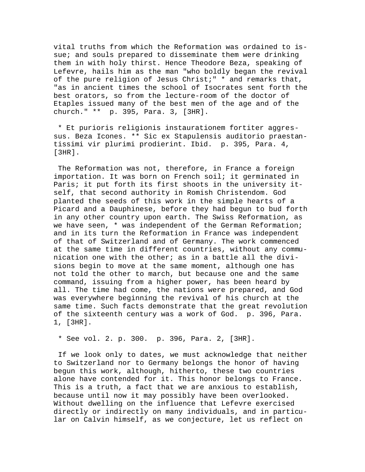vital truths from which the Reformation was ordained to issue; and souls prepared to disseminate them were drinking them in with holy thirst. Hence Theodore Beza, speaking of Lefevre, hails him as the man "who boldly began the revival of the pure religion of Jesus Christ;" \* and remarks that, "as in ancient times the school of Isocrates sent forth the best orators, so from the lecture-room of the doctor of Etaples issued many of the best men of the age and of the church." \*\* p. 395, Para. 3, [3HR].

 \* Et purioris religionis instaurationem fortiter aggressus. Beza Icones. \*\* Sic ex Stapulensis auditorio praestantissimi vir plurimi prodierint. Ibid. p. 395, Para. 4, [3HR].

 The Reformation was not, therefore, in France a foreign importation. It was born on French soil; it germinated in Paris; it put forth its first shoots in the university itself, that second authority in Romish Christendom. God planted the seeds of this work in the simple hearts of a Picard and a Dauphinese, before they had begun to bud forth in any other country upon earth. The Swiss Reformation, as we have seen, \* was independent of the German Reformation; and in its turn the Reformation in France was independent of that of Switzerland and of Germany. The work commenced at the same time in different countries, without any communication one with the other; as in a battle all the divisions begin to move at the same moment, although one has not told the other to march, but because one and the same command, issuing from a higher power, has been heard by all. The time had come, the nations were prepared, and God was everywhere beginning the revival of his church at the same time. Such facts demonstrate that the great revolution of the sixteenth century was a work of God. p. 396, Para. 1, [3HR].

\* See vol. 2. p. 300. p. 396, Para. 2, [3HR].

 If we look only to dates, we must acknowledge that neither to Switzerland nor to Germany belongs the honor of having begun this work, although, hitherto, these two countries alone have contended for it. This honor belongs to France. This is a truth, a fact that we are anxious to establish, because until now it may possibly have been overlooked. Without dwelling on the influence that Lefevre exercised directly or indirectly on many individuals, and in particular on Calvin himself, as we conjecture, let us reflect on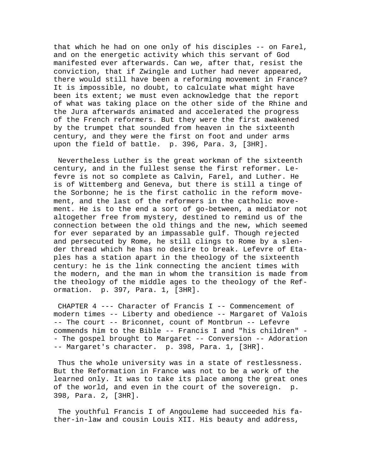that which he had on one only of his disciples -- on Farel, and on the energetic activity which this servant of God manifested ever afterwards. Can we, after that, resist the conviction, that if Zwingle and Luther had never appeared, there would still have been a reforming movement in France? It is impossible, no doubt, to calculate what might have been its extent; we must even acknowledge that the report of what was taking place on the other side of the Rhine and the Jura afterwards animated and accelerated the progress of the French reformers. But they were the first awakened by the trumpet that sounded from heaven in the sixteenth century, and they were the first on foot and under arms upon the field of battle. p. 396, Para. 3, [3HR].

 Nevertheless Luther is the great workman of the sixteenth century, and in the fullest sense the first reformer. Lefevre is not so complete as Calvin, Farel, and Luther. He is of Wittemberg and Geneva, but there is still a tinge of the Sorbonne; he is the first catholic in the reform movement, and the last of the reformers in the catholic movement. He is to the end a sort of go-between, a mediator not altogether free from mystery, destined to remind us of the connection between the old things and the new, which seemed for ever separated by an impassable gulf. Though rejected and persecuted by Rome, he still clings to Rome by a slender thread which he has no desire to break. Lefevre of Etaples has a station apart in the theology of the sixteenth century: he is the link connecting the ancient times with the modern, and the man in whom the transition is made from the theology of the middle ages to the theology of the Reformation. p. 397, Para. 1, [3HR].

 CHAPTER 4 --- Character of Francis I -- Commencement of modern times -- Liberty and obedience -- Margaret of Valois -- The court -- Briconnet, count of Montbrun -- Lefevre commends him to the Bible -- Francis I and "his children" - - The gospel brought to Margaret -- Conversion -- Adoration -- Margaret's character. p. 398, Para. 1, [3HR].

 Thus the whole university was in a state of restlessness. But the Reformation in France was not to be a work of the learned only. It was to take its place among the great ones of the world, and even in the court of the sovereign. p. 398, Para. 2, [3HR].

 The youthful Francis I of Angouleme had succeeded his father-in-law and cousin Louis XII. His beauty and address,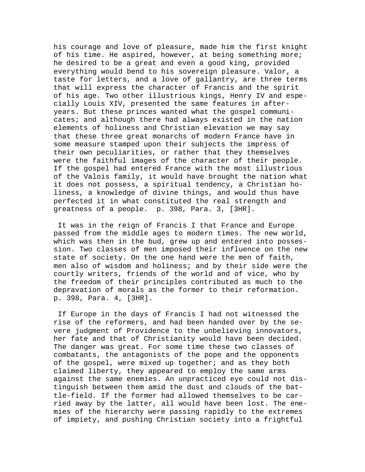his courage and love of pleasure, made him the first knight of his time. He aspired, however, at being something more; he desired to be a great and even a good king, provided everything would bend to his sovereign pleasure. Valor, a taste for letters, and a love of gallantry, are three terms that will express the character of Francis and the spirit of his age. Two other illustrious kings, Henry IV and especially Louis XIV, presented the same features in afteryears. But these princes wanted what the gospel communicates; and although there had always existed in the nation elements of holiness and Christian elevation we may say that these three great monarchs of modern France have in some measure stamped upon their subjects the impress of their own peculiarities, or rather that they themselves were the faithful images of the character of their people. If the gospel had entered France with the most illustrious of the Valois family, it would have brought the nation what it does not possess, a spiritual tendency, a Christian holiness, a knowledge of divine things, and would thus have perfected it in what constituted the real strength and greatness of a people. p. 398, Para. 3, [3HR].

 It was in the reign of Francis I that France and Europe passed from the middle ages to modern times. The new world, which was then in the bud, grew up and entered into possession. Two classes of men imposed their influence on the new state of society. On the one hand were the men of faith, men also of wisdom and holiness; and by their side were the courtly writers, friends of the world and of vice, who by the freedom of their principles contributed as much to the depravation of morals as the former to their reformation. p. 398, Para. 4, [3HR].

 If Europe in the days of Francis I had not witnessed the rise of the reformers, and had been handed over by the severe judgment of Providence to the unbelieving innovators, her fate and that of Christianity would have been decided. The danger was great. For some time these two classes of combatants, the antagonists of the pope and the opponents of the gospel, were mixed up together; and as they both claimed liberty, they appeared to employ the same arms against the same enemies. An unpracticed eye could not distinguish between them amid the dust and clouds of the battle-field. If the former had allowed themselves to be carried away by the latter, all would have been lost. The enemies of the hierarchy were passing rapidly to the extremes of impiety, and pushing Christian society into a frightful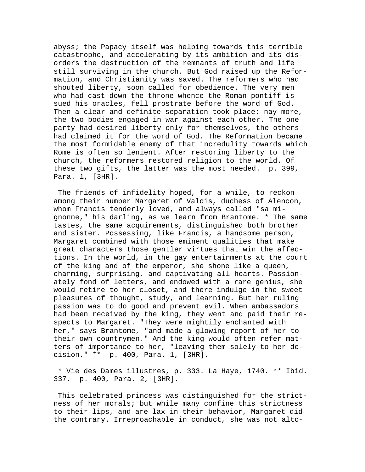abyss; the Papacy itself was helping towards this terrible catastrophe, and accelerating by its ambition and its disorders the destruction of the remnants of truth and life still surviving in the church. But God raised up the Reformation, and Christianity was saved. The reformers who had shouted liberty, soon called for obedience. The very men who had cast down the throne whence the Roman pontiff issued his oracles, fell prostrate before the word of God. Then a clear and definite separation took place; nay more, the two bodies engaged in war against each other. The one party had desired liberty only for themselves, the others had claimed it for the word of God. The Reformation became the most formidable enemy of that incredulity towards which Rome is often so lenient. After restoring liberty to the church, the reformers restored religion to the world. Of these two gifts, the latter was the most needed. p. 399, Para. 1, [3HR].

 The friends of infidelity hoped, for a while, to reckon among their number Margaret of Valois, duchess of Alencon, whom Francis tenderly loved, and always called "sa mignonne," his darling, as we learn from Brantome. \* The same tastes, the same acquirements, distinguished both brother and sister. Possessing, like Francis, a handsome person, Margaret combined with those eminent qualities that make great characters those gentler virtues that win the affections. In the world, in the gay entertainments at the court of the king and of the emperor, she shone like a queen, charming, surprising, and captivating all hearts. Passionately fond of letters, and endowed with a rare genius, she would retire to her closet, and there indulge in the sweet pleasures of thought, study, and learning. But her ruling passion was to do good and prevent evil. When ambassadors had been received by the king, they went and paid their respects to Margaret. "They were mightily enchanted with her," says Brantome, "and made a glowing report of her to their own countrymen." And the king would often refer matters of importance to her, "leaving them solely to her decision." \*\* p. 400, Para. 1, [3HR].

 \* Vie des Dames illustres, p. 333. La Haye, 1740. \*\* Ibid. 337. p. 400, Para. 2, [3HR].

 This celebrated princess was distinguished for the strictness of her morals; but while many confine this strictness to their lips, and are lax in their behavior, Margaret did the contrary. Irreproachable in conduct, she was not alto-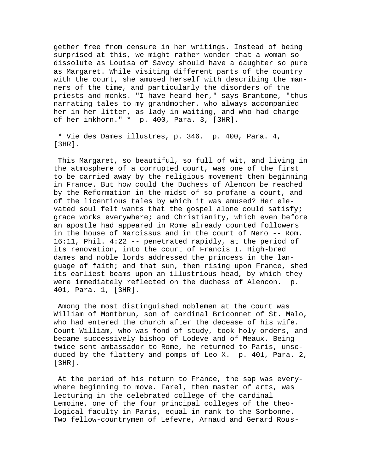gether free from censure in her writings. Instead of being surprised at this, we might rather wonder that a woman so dissolute as Louisa of Savoy should have a daughter so pure as Margaret. While visiting different parts of the country with the court, she amused herself with describing the manners of the time, and particularly the disorders of the priests and monks. "I have heard her," says Brantome, "thus narrating tales to my grandmother, who always accompanied her in her litter, as lady-in-waiting, and who had charge of her inkhorn." \* p. 400, Para. 3, [3HR].

 \* Vie des Dames illustres, p. 346. p. 400, Para. 4, [3HR].

 This Margaret, so beautiful, so full of wit, and living in the atmosphere of a corrupted court, was one of the first to be carried away by the religious movement then beginning in France. But how could the Duchess of Alencon be reached by the Reformation in the midst of so profane a court, and of the licentious tales by which it was amused? Her elevated soul felt wants that the gospel alone could satisfy; grace works everywhere; and Christianity, which even before an apostle had appeared in Rome already counted followers in the house of Narcissus and in the court of Nero -- Rom. 16:11, Phil. 4:22 -- penetrated rapidly, at the period of its renovation, into the court of Francis I. High-bred dames and noble lords addressed the princess in the language of faith; and that sun, then rising upon France, shed its earliest beams upon an illustrious head, by which they were immediately reflected on the duchess of Alencon. p. 401, Para. 1, [3HR].

 Among the most distinguished noblemen at the court was William of Montbrun, son of cardinal Briconnet of St. Malo, who had entered the church after the decease of his wife. Count William, who was fond of study, took holy orders, and became successively bishop of Lodeve and of Meaux. Being twice sent ambassador to Rome, he returned to Paris, unseduced by the flattery and pomps of Leo X. p. 401, Para. 2, [3HR].

 At the period of his return to France, the sap was everywhere beginning to move. Farel, then master of arts, was lecturing in the celebrated college of the cardinal Lemoine, one of the four principal colleges of the theological faculty in Paris, equal in rank to the Sorbonne. Two fellow-countrymen of Lefevre, Arnaud and Gerard Rous-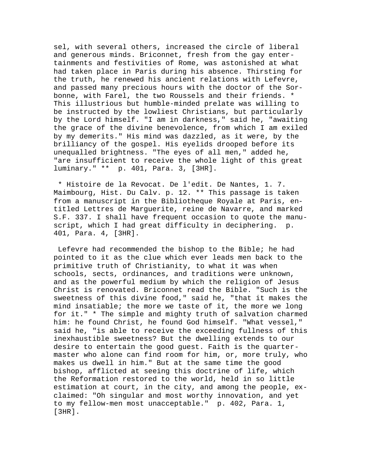sel, with several others, increased the circle of liberal and generous minds. Briconnet, fresh from the gay entertainments and festivities of Rome, was astonished at what had taken place in Paris during his absence. Thirsting for the truth, he renewed his ancient relations with Lefevre, and passed many precious hours with the doctor of the Sorbonne, with Farel, the two Roussels and their friends. \* This illustrious but humble-minded prelate was willing to be instructed by the lowliest Christians, but particularly by the Lord himself. "I am in darkness," said he, "awaiting the grace of the divine benevolence, from which I am exiled by my demerits." His mind was dazzled, as it were, by the brilliancy of the gospel. His eyelids drooped before its unequalled brightness. "The eyes of all men," added he, "are insufficient to receive the whole light of this great luminary." \*\* p. 401, Para. 3, [3HR].

 \* Histoire de la Revocat. De l'edit. De Nantes, 1. 7. Maimbourg, Hist. Du Calv. p. 12. \*\* This passage is taken from a manuscript in the Bibliotheque Royale at Paris, entitled Lettres de Marguerite, reine de Navarre, and marked S.F. 337. I shall have frequent occasion to quote the manuscript, which I had great difficulty in deciphering. p. 401, Para. 4, [3HR].

 Lefevre had recommended the bishop to the Bible; he had pointed to it as the clue which ever leads men back to the primitive truth of Christianity, to what it was when schools, sects, ordinances, and traditions were unknown, and as the powerful medium by which the religion of Jesus Christ is renovated. Briconnet read the Bible. "Such is the sweetness of this divine food," said he, "that it makes the mind insatiable; the more we taste of it, the more we long for it." \* The simple and mighty truth of salvation charmed him: he found Christ, he found God himself. "What vessel," said he, "is able to receive the exceeding fullness of this inexhaustible sweetness? But the dwelling extends to our desire to entertain the good guest. Faith is the quartermaster who alone can find room for him, or, more truly, who makes us dwell in him." But at the same time the good bishop, afflicted at seeing this doctrine of life, which the Reformation restored to the world, held in so little estimation at court, in the city, and among the people, exclaimed: "Oh singular and most worthy innovation, and yet to my fellow-men most unacceptable." p. 402, Para. 1, [3HR].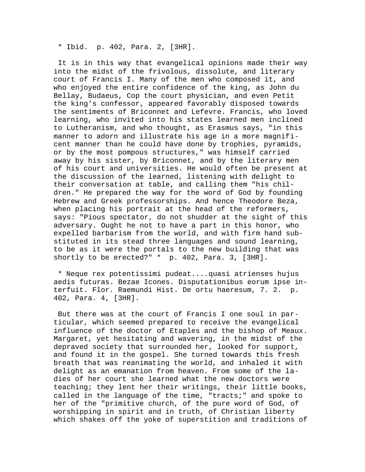\* Ibid. p. 402, Para. 2, [3HR].

 It is in this way that evangelical opinions made their way into the midst of the frivolous, dissolute, and literary court of Francis I. Many of the men who composed it, and who enjoyed the entire confidence of the king, as John du Bellay, Budaeus, Cop the court physician, and even Petit the king's confessor, appeared favorably disposed towards the sentiments of Briconnet and Lefevre. Francis, who loved learning, who invited into his states learned men inclined to Lutheranism, and who thought, as Erasmus says, "in this manner to adorn and illustrate his age in a more magnificent manner than he could have done by trophies, pyramids, or by the most pompous structures," was himself carried away by his sister, by Briconnet, and by the literary men of his court and universities. He would often be present at the discussion of the learned, listening with delight to their conversation at table, and calling them "his children." He prepared the way for the word of God by founding Hebrew and Greek professorships. And hence Theodore Beza, when placing his portrait at the head of the reformers, says: "Pious spectator, do not shudder at the sight of this adversary. Ought he not to have a part in this honor, who expelled barbarism from the world, and with firm hand substituted in its stead three languages and sound learning, to be as it were the portals to the new building that was shortly to be erected?" \* p. 402, Para. 3, [3HR].

 \* Neque rex potentissimi pudeat....quasi atrienses hujus aedis futuras. Bezae Icones. Disputationibus eorum ipse interfuit. Flor. Raemundi Hist. De ortu haeresum, 7. 2. p. 402, Para. 4, [3HR].

 But there was at the court of Francis I one soul in particular, which seemed prepared to receive the evangelical influence of the doctor of Etaples and the bishop of Meaux. Margaret, yet hesitating and wavering, in the midst of the depraved society that surrounded her, looked for support, and found it in the gospel. She turned towards this fresh breath that was reanimating the world, and inhaled it with delight as an emanation from heaven. From some of the ladies of her court she learned what the new doctors were teaching; they lent her their writings, their little books, called in the language of the time, "tracts;" and spoke to her of the "primitive church, of the pure word of God, of worshipping in spirit and in truth, of Christian liberty which shakes off the yoke of superstition and traditions of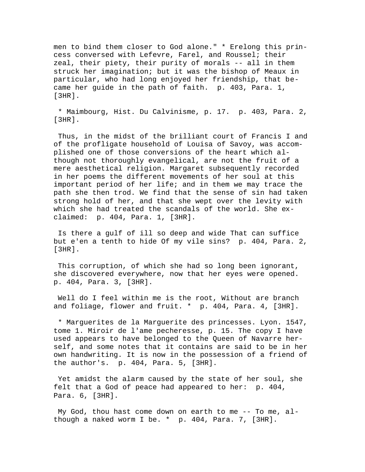men to bind them closer to God alone." \* Erelong this princess conversed with Lefevre, Farel, and Roussel; their zeal, their piety, their purity of morals -- all in them struck her imagination; but it was the bishop of Meaux in particular, who had long enjoyed her friendship, that became her guide in the path of faith. p. 403, Para. 1, [3HR].

 \* Maimbourg, Hist. Du Calvinisme, p. 17. p. 403, Para. 2,  $[3HR]$ .

 Thus, in the midst of the brilliant court of Francis I and of the profligate household of Louisa of Savoy, was accomplished one of those conversions of the heart which although not thoroughly evangelical, are not the fruit of a mere aesthetical religion. Margaret subsequently recorded in her poems the different movements of her soul at this important period of her life; and in them we may trace the path she then trod. We find that the sense of sin had taken strong hold of her, and that she wept over the levity with which she had treated the scandals of the world. She exclaimed: p. 404, Para. 1, [3HR].

 Is there a gulf of ill so deep and wide That can suffice but e'en a tenth to hide Of my vile sins? p. 404, Para. 2, [3HR].

 This corruption, of which she had so long been ignorant, she discovered everywhere, now that her eyes were opened. p. 404, Para. 3, [3HR].

Well do I feel within me is the root, Without are branch and foliage, flower and fruit. \* p. 404, Para. 4, [3HR].

 \* Marguerites de la Marguerite des princesses. Lyon. 1547, tome 1. Miroir de l'ame pecheresse, p. 15. The copy I have used appears to have belonged to the Queen of Navarre herself, and some notes that it contains are said to be in her own handwriting. It is now in the possession of a friend of the author's. p. 404, Para. 5, [3HR].

 Yet amidst the alarm caused by the state of her soul, she felt that a God of peace had appeared to her: p. 404, Para. 6, [3HR].

 My God, thou hast come down on earth to me -- To me, although a naked worm I be. \* p. 404, Para. 7, [3HR].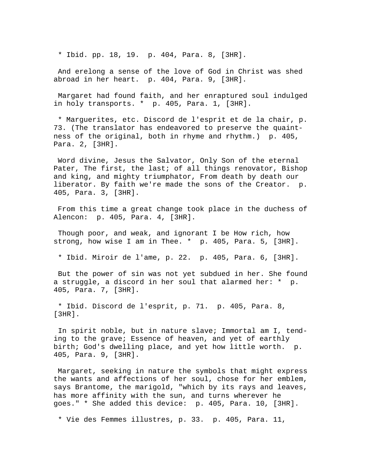\* Ibid. pp. 18, 19. p. 404, Para. 8, [3HR].

 And erelong a sense of the love of God in Christ was shed abroad in her heart. p. 404, Para. 9, [3HR].

 Margaret had found faith, and her enraptured soul indulged in holy transports. \* p. 405, Para. 1, [3HR].

 \* Marguerites, etc. Discord de l'esprit et de la chair, p. 73. (The translator has endeavored to preserve the quaintness of the original, both in rhyme and rhythm.) p. 405, Para. 2, [3HR].

 Word divine, Jesus the Salvator, Only Son of the eternal Pater, The first, the last; of all things renovator, Bishop and king, and mighty triumphator, From death by death our liberator. By faith we're made the sons of the Creator. p. 405, Para. 3, [3HR].

 From this time a great change took place in the duchess of Alencon: p. 405, Para. 4, [3HR].

 Though poor, and weak, and ignorant I be How rich, how strong, how wise I am in Thee. \* p. 405, Para. 5, [3HR].

\* Ibid. Miroir de l'ame, p. 22. p. 405, Para. 6, [3HR].

 But the power of sin was not yet subdued in her. She found a struggle, a discord in her soul that alarmed her: \* p. 405, Para. 7, [3HR].

 \* Ibid. Discord de l'esprit, p. 71. p. 405, Para. 8, [3HR].

 In spirit noble, but in nature slave; Immortal am I, tending to the grave; Essence of heaven, and yet of earthly birth; God's dwelling place, and yet how little worth. p. 405, Para. 9, [3HR].

 Margaret, seeking in nature the symbols that might express the wants and affections of her soul, chose for her emblem, says Brantome, the marigold, "which by its rays and leaves, has more affinity with the sun, and turns wherever he goes." \* She added this device: p. 405, Para. 10, [3HR].

\* Vie des Femmes illustres, p. 33. p. 405, Para. 11,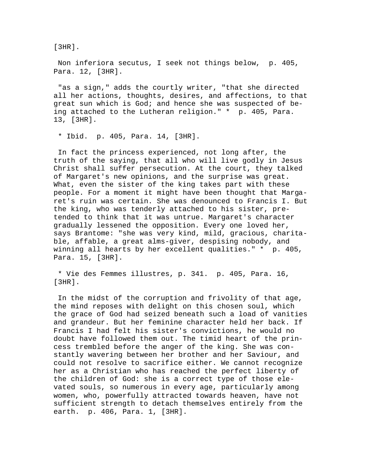[3HR].

 Non inferiora secutus, I seek not things below, p. 405, Para. 12, [3HR].

 "as a sign," adds the courtly writer, "that she directed all her actions, thoughts, desires, and affections, to that great sun which is God; and hence she was suspected of being attached to the Lutheran religion." \* p. 405, Para. 13, [3HR].

\* Ibid. p. 405, Para. 14, [3HR].

 In fact the princess experienced, not long after, the truth of the saying, that all who will live godly in Jesus Christ shall suffer persecution. At the court, they talked of Margaret's new opinions, and the surprise was great. What, even the sister of the king takes part with these people. For a moment it might have been thought that Margaret's ruin was certain. She was denounced to Francis I. But the king, who was tenderly attached to his sister, pretended to think that it was untrue. Margaret's character gradually lessened the opposition. Every one loved her, says Brantome: "she was very kind, mild, gracious, charitable, affable, a great alms-giver, despising nobody, and winning all hearts by her excellent qualities." \* p. 405, Para. 15, [3HR].

 \* Vie des Femmes illustres, p. 341. p. 405, Para. 16, [3HR].

 In the midst of the corruption and frivolity of that age, the mind reposes with delight on this chosen soul, which the grace of God had seized beneath such a load of vanities and grandeur. But her feminine character held her back. If Francis I had felt his sister's convictions, he would no doubt have followed them out. The timid heart of the princess trembled before the anger of the king. She was constantly wavering between her brother and her Saviour, and could not resolve to sacrifice either. We cannot recognize her as a Christian who has reached the perfect liberty of the children of God: she is a correct type of those elevated souls, so numerous in every age, particularly among women, who, powerfully attracted towards heaven, have not sufficient strength to detach themselves entirely from the earth. p. 406, Para. 1, [3HR].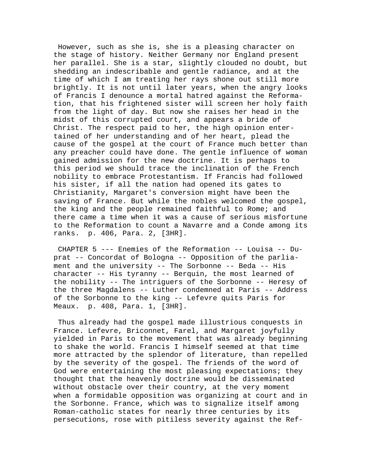However, such as she is, she is a pleasing character on the stage of history. Neither Germany nor England present her parallel. She is a star, slightly clouded no doubt, but shedding an indescribable and gentle radiance, and at the time of which I am treating her rays shone out still more brightly. It is not until later years, when the angry looks of Francis I denounce a mortal hatred against the Reformation, that his frightened sister will screen her holy faith from the light of day. But now she raises her head in the midst of this corrupted court, and appears a bride of Christ. The respect paid to her, the high opinion entertained of her understanding and of her heart, plead the cause of the gospel at the court of France much better than any preacher could have done. The gentle influence of woman gained admission for the new doctrine. It is perhaps to this period we should trace the inclination of the French nobility to embrace Protestantism. If Francis had followed his sister, if all the nation had opened its gates to Christianity, Margaret's conversion might have been the saving of France. But while the nobles welcomed the gospel, the king and the people remained faithful to Rome; and there came a time when it was a cause of serious misfortune to the Reformation to count a Navarre and a Conde among its ranks. p. 406, Para. 2, [3HR].

 CHAPTER 5 --- Enemies of the Reformation -- Louisa -- Duprat -- Concordat of Bologna -- Opposition of the parliament and the university -- The Sorbonne -- Beda -- His character -- His tyranny -- Berquin, the most learned of the nobility -- The intriguers of the Sorbonne -- Heresy of the three Magdalens -- Luther condemned at Paris -- Address of the Sorbonne to the king -- Lefevre quits Paris for Meaux. p. 408, Para. 1, [3HR].

 Thus already had the gospel made illustrious conquests in France. Lefevre, Briconnet, Farel, and Margaret joyfully yielded in Paris to the movement that was already beginning to shake the world. Francis I himself seemed at that time more attracted by the splendor of literature, than repelled by the severity of the gospel. The friends of the word of God were entertaining the most pleasing expectations; they thought that the heavenly doctrine would be disseminated without obstacle over their country, at the very moment when a formidable opposition was organizing at court and in the Sorbonne. France, which was to signalize itself among Roman-catholic states for nearly three centuries by its persecutions, rose with pitiless severity against the Ref-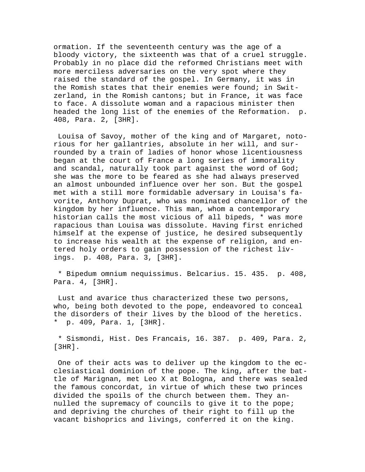ormation. If the seventeenth century was the age of a bloody victory, the sixteenth was that of a cruel struggle. Probably in no place did the reformed Christians meet with more merciless adversaries on the very spot where they raised the standard of the gospel. In Germany, it was in the Romish states that their enemies were found; in Switzerland, in the Romish cantons; but in France, it was face to face. A dissolute woman and a rapacious minister then headed the long list of the enemies of the Reformation. p. 408, Para. 2, [3HR].

 Louisa of Savoy, mother of the king and of Margaret, notorious for her gallantries, absolute in her will, and surrounded by a train of ladies of honor whose licentiousness began at the court of France a long series of immorality and scandal, naturally took part against the word of God; she was the more to be feared as she had always preserved an almost unbounded influence over her son. But the gospel met with a still more formidable adversary in Louisa's favorite, Anthony Duprat, who was nominated chancellor of the kingdom by her influence. This man, whom a contemporary historian calls the most vicious of all bipeds, \* was more rapacious than Louisa was dissolute. Having first enriched himself at the expense of justice, he desired subsequently to increase his wealth at the expense of religion, and entered holy orders to gain possession of the richest livings. p. 408, Para. 3, [3HR].

 \* Bipedum omnium nequissimus. Belcarius. 15. 435. p. 408, Para. 4, [3HR].

 Lust and avarice thus characterized these two persons, who, being both devoted to the pope, endeavored to conceal the disorders of their lives by the blood of the heretics. \* p. 409, Para. 1, [3HR].

 \* Sismondi, Hist. Des Francais, 16. 387. p. 409, Para. 2, [3HR].

 One of their acts was to deliver up the kingdom to the ecclesiastical dominion of the pope. The king, after the battle of Marignan, met Leo X at Bologna, and there was sealed the famous concordat, in virtue of which these two princes divided the spoils of the church between them. They annulled the supremacy of councils to give it to the pope; and depriving the churches of their right to fill up the vacant bishoprics and livings, conferred it on the king.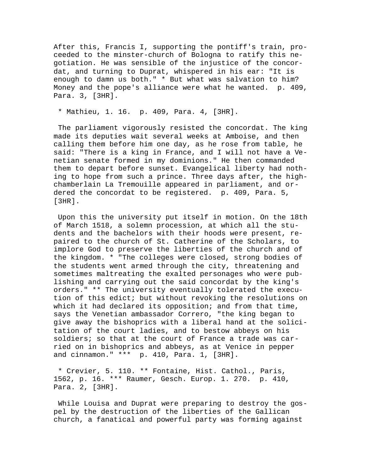After this, Francis I, supporting the pontiff's train, proceeded to the minster-church of Bologna to ratify this negotiation. He was sensible of the injustice of the concordat, and turning to Duprat, whispered in his ear: "It is enough to damn us both." \* But what was salvation to him? Money and the pope's alliance were what he wanted. p. 409, Para. 3, [3HR].

\* Mathieu, 1. 16. p. 409, Para. 4, [3HR].

 The parliament vigorously resisted the concordat. The king made its deputies wait several weeks at Amboise, and then calling them before him one day, as he rose from table, he said: "There is a king in France, and I will not have a Venetian senate formed in my dominions." He then commanded them to depart before sunset. Evangelical liberty had nothing to hope from such a prince. Three days after, the highchamberlain La Tremouille appeared in parliament, and ordered the concordat to be registered. p. 409, Para. 5, [3HR].

 Upon this the university put itself in motion. On the 18th of March 1518, a solemn procession, at which all the students and the bachelors with their hoods were present, repaired to the church of St. Catherine of the Scholars, to implore God to preserve the liberties of the church and of the kingdom. \* "The colleges were closed, strong bodies of the students went armed through the city, threatening and sometimes maltreating the exalted personages who were publishing and carrying out the said concordat by the king's orders." \*\* The university eventually tolerated the execution of this edict; but without revoking the resolutions on which it had declared its opposition; and from that time, says the Venetian ambassador Correro, "the king began to give away the bishoprics with a liberal hand at the solicitation of the court ladies, and to bestow abbeys on his soldiers; so that at the court of France a trade was carried on in bishoprics and abbeys, as at Venice in pepper and cinnamon." \*\*\* p. 410, Para. 1, [3HR].

 \* Crevier, 5. 110. \*\* Fontaine, Hist. Cathol., Paris, 1562, p. 16. \*\*\* Raumer, Gesch. Europ. 1. 270. p. 410, Para. 2, [3HR].

While Louisa and Duprat were preparing to destroy the gospel by the destruction of the liberties of the Gallican church, a fanatical and powerful party was forming against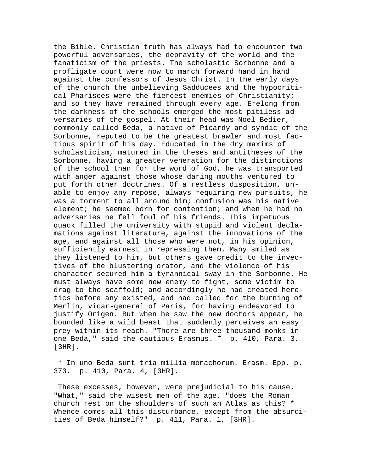the Bible. Christian truth has always had to encounter two powerful adversaries, the depravity of the world and the fanaticism of the priests. The scholastic Sorbonne and a profligate court were now to march forward hand in hand against the confessors of Jesus Christ. In the early days of the church the unbelieving Sadducees and the hypocritical Pharisees were the fiercest enemies of Christianity; and so they have remained through every age. Erelong from the darkness of the schools emerged the most pitiless adversaries of the gospel. At their head was Noel Bedier, commonly called Beda, a native of Picardy and syndic of the Sorbonne, reputed to be the greatest brawler and most factious spirit of his day. Educated in the dry maxims of scholasticism, matured in the theses and antitheses of the Sorbonne, having a greater veneration for the distinctions of the school than for the word of God, he was transported with anger against those whose daring mouths ventured to put forth other doctrines. Of a restless disposition, unable to enjoy any repose, always requiring new pursuits, he was a torment to all around him; confusion was his native element; he seemed born for contention; and when he had no adversaries he fell foul of his friends. This impetuous quack filled the university with stupid and violent declamations against literature, against the innovations of the age, and against all those who were not, in his opinion, sufficiently earnest in repressing them. Many smiled as they listened to him, but others gave credit to the invectives of the blustering orator, and the violence of his character secured him a tyrannical sway in the Sorbonne. He must always have some new enemy to fight, some victim to drag to the scaffold; and accordingly he had created heretics before any existed, and had called for the burning of Merlin, vicar-general of Paris, for having endeavored to justify Origen. But when he saw the new doctors appear, he bounded like a wild beast that suddenly perceives an easy prey within its reach. "There are three thousand monks in one Beda," said the cautious Erasmus. \* p. 410, Para. 3, [3HR].

 \* In uno Beda sunt tria millia monachorum. Erasm. Epp. p. 373. p. 410, Para. 4, [3HR].

 These excesses, however, were prejudicial to his cause. "What," said the wisest men of the age, "does the Roman church rest on the shoulders of such an Atlas as this? \* Whence comes all this disturbance, except from the absurdities of Beda himself?" p. 411, Para. 1, [3HR].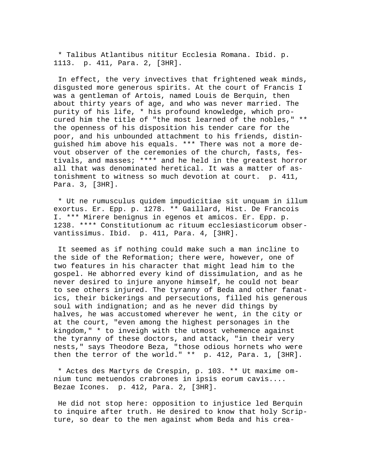\* Talibus Atlantibus nititur Ecclesia Romana. Ibid. p. 1113. p. 411, Para. 2, [3HR].

 In effect, the very invectives that frightened weak minds, disgusted more generous spirits. At the court of Francis I was a gentleman of Artois, named Louis de Berquin, then about thirty years of age, and who was never married. The purity of his life, \* his profound knowledge, which procured him the title of "the most learned of the nobles," \*\* the openness of his disposition his tender care for the poor, and his unbounded attachment to his friends, distinguished him above his equals. \*\*\* There was not a more devout observer of the ceremonies of the church, fasts, festivals, and masses; \*\*\*\* and he held in the greatest horror all that was denominated heretical. It was a matter of astonishment to witness so much devotion at court. p. 411, Para. 3, [3HR].

 \* Ut ne rumusculus quidem impudicitiae sit unquam in illum exortus. Er. Epp. p. 1278. \*\* Gaillard, Hist. De Francois I. \*\*\* Mirere benignus in egenos et amicos. Er. Epp. p. 1238. \*\*\*\* Constitutionum ac rituum ecclesiasticorum observantissimus. Ibid. p. 411, Para. 4, [3HR].

 It seemed as if nothing could make such a man incline to the side of the Reformation; there were, however, one of two features in his character that might lead him to the gospel. He abhorred every kind of dissimulation, and as he never desired to injure anyone himself, he could not bear to see others injured. The tyranny of Beda and other fanatics, their bickerings and persecutions, filled his generous soul with indignation; and as he never did things by halves, he was accustomed wherever he went, in the city or at the court, "even among the highest personages in the kingdom," \* to inveigh with the utmost vehemence against the tyranny of these doctors, and attack, "in their very nests," says Theodore Beza, "those odious hornets who were then the terror of the world." \*\* p. 412, Para. 1, [3HR].

 \* Actes des Martyrs de Crespin, p. 103. \*\* Ut maxime omnium tunc metuendos crabrones in ipsis eorum cavis.... Bezae Icones. p. 412, Para. 2, [3HR].

 He did not stop here: opposition to injustice led Berquin to inquire after truth. He desired to know that holy Scripture, so dear to the men against whom Beda and his crea-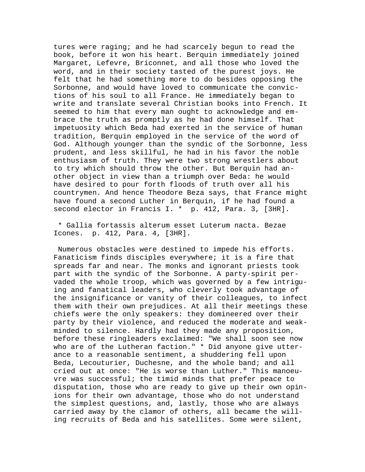tures were raging; and he had scarcely begun to read the book, before it won his heart. Berquin immediately joined Margaret, Lefevre, Briconnet, and all those who loved the word, and in their society tasted of the purest joys. He felt that he had something more to do besides opposing the Sorbonne, and would have loved to communicate the convictions of his soul to all France. He immediately began to write and translate several Christian books into French. It seemed to him that every man ought to acknowledge and embrace the truth as promptly as he had done himself. That impetuosity which Beda had exerted in the service of human tradition, Berquin employed in the service of the word of God. Although younger than the syndic of the Sorbonne, less prudent, and less skillful, he had in his favor the noble enthusiasm of truth. They were two strong wrestlers about to try which should throw the other. But Berquin had another object in view than a triumph over Beda: he would have desired to pour forth floods of truth over all his countrymen. And hence Theodore Beza says, that France might have found a second Luther in Berquin, if he had found a second elector in Francis I. \* p. 412, Para. 3, [3HR].

 \* Gallia fortassis alterum esset Luterum nacta. Bezae Icones. p. 412, Para. 4, [3HR].

 Numerous obstacles were destined to impede his efforts. Fanaticism finds disciples everywhere; it is a fire that spreads far and near. The monks and ignorant priests took part with the syndic of the Sorbonne. A party-spirit pervaded the whole troop, which was governed by a few intriguing and fanatical leaders, who cleverly took advantage of the insignificance or vanity of their colleagues, to infect them with their own prejudices. At all their meetings these chiefs were the only speakers: they domineered over their party by their violence, and reduced the moderate and weakminded to silence. Hardly had they made any proposition, before these ringleaders exclaimed: "We shall soon see now who are of the Lutheran faction." \* Did anyone give utterance to a reasonable sentiment, a shuddering fell upon Beda, Lecouturier, Duchesne, and the whole band; and all cried out at once: "He is worse than Luther." This manoeuvre was successful; the timid minds that prefer peace to disputation, those who are ready to give up their own opinions for their own advantage, those who do not understand the simplest questions, and, lastly, those who are always carried away by the clamor of others, all became the willing recruits of Beda and his satellites. Some were silent,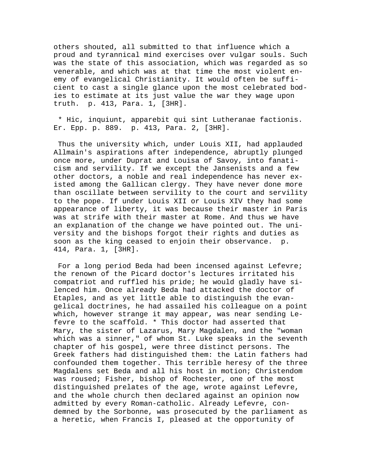others shouted, all submitted to that influence which a proud and tyrannical mind exercises over vulgar souls. Such was the state of this association, which was regarded as so venerable, and which was at that time the most violent enemy of evangelical Christianity. It would often be sufficient to cast a single glance upon the most celebrated bodies to estimate at its just value the war they wage upon truth. p. 413, Para. 1, [3HR].

 \* Hic, inquiunt, apparebit qui sint Lutheranae factionis. Er. Epp. p. 889. p. 413, Para. 2, [3HR].

 Thus the university which, under Louis XII, had applauded Allmain's aspirations after independence, abruptly plunged once more, under Duprat and Louisa of Savoy, into fanaticism and servility. If we except the Jansenists and a few other doctors, a noble and real independence has never existed among the Gallican clergy. They have never done more than oscillate between servility to the court and servility to the pope. If under Louis XII or Louis XIV they had some appearance of liberty, it was because their master in Paris was at strife with their master at Rome. And thus we have an explanation of the change we have pointed out. The university and the bishops forgot their rights and duties as soon as the king ceased to enjoin their observance. p. 414, Para. 1, [3HR].

 For a long period Beda had been incensed against Lefevre; the renown of the Picard doctor's lectures irritated his compatriot and ruffled his pride; he would gladly have silenced him. Once already Beda had attacked the doctor of Etaples, and as yet little able to distinguish the evangelical doctrines, he had assailed his colleague on a point which, however strange it may appear, was near sending Lefevre to the scaffold. \* This doctor had asserted that Mary, the sister of Lazarus, Mary Magdalen, and the "woman which was a sinner," of whom St. Luke speaks in the seventh chapter of his gospel, were three distinct persons. The Greek fathers had distinguished them: the Latin fathers had confounded them together. This terrible heresy of the three Magdalens set Beda and all his host in motion; Christendom was roused; Fisher, bishop of Rochester, one of the most distinguished prelates of the age, wrote against Lefevre, and the whole church then declared against an opinion now admitted by every Roman-catholic. Already Lefevre, condemned by the Sorbonne, was prosecuted by the parliament as a heretic, when Francis I, pleased at the opportunity of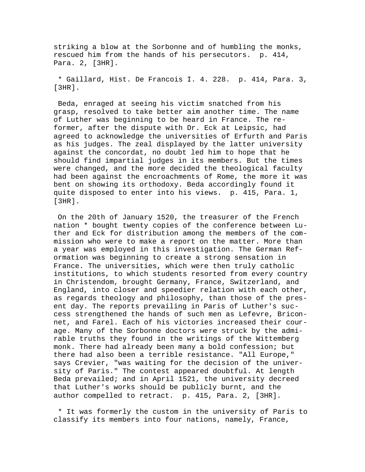striking a blow at the Sorbonne and of humbling the monks, rescued him from the hands of his persecutors. p. 414, Para. 2, [3HR].

 \* Gaillard, Hist. De Francois I. 4. 228. p. 414, Para. 3, [3HR].

 Beda, enraged at seeing his victim snatched from his grasp, resolved to take better aim another time. The name of Luther was beginning to be heard in France. The reformer, after the dispute with Dr. Eck at Leipsic, had agreed to acknowledge the universities of Erfurth and Paris as his judges. The zeal displayed by the latter university against the concordat, no doubt led him to hope that he should find impartial judges in its members. But the times were changed, and the more decided the theological faculty had been against the encroachments of Rome, the more it was bent on showing its orthodoxy. Beda accordingly found it quite disposed to enter into his views. p. 415, Para. 1, [3HR].

 On the 20th of January 1520, the treasurer of the French nation \* bought twenty copies of the conference between Luther and Eck for distribution among the members of the commission who were to make a report on the matter. More than a year was employed in this investigation. The German Reformation was beginning to create a strong sensation in France. The universities, which were then truly catholic institutions, to which students resorted from every country in Christendom, brought Germany, France, Switzerland, and England, into closer and speedier relation with each other, as regards theology and philosophy, than those of the present day. The reports prevailing in Paris of Luther's success strengthened the hands of such men as Lefevre, Briconnet, and Farel. Each of his victories increased their courage. Many of the Sorbonne doctors were struck by the admirable truths they found in the writings of the Wittemberg monk. There had already been many a bold confession; but there had also been a terrible resistance. "All Europe," says Crevier, "was waiting for the decision of the university of Paris." The contest appeared doubtful. At length Beda prevailed; and in April 1521, the university decreed that Luther's works should be publicly burnt, and the author compelled to retract. p. 415, Para. 2, [3HR].

 \* It was formerly the custom in the university of Paris to classify its members into four nations, namely, France,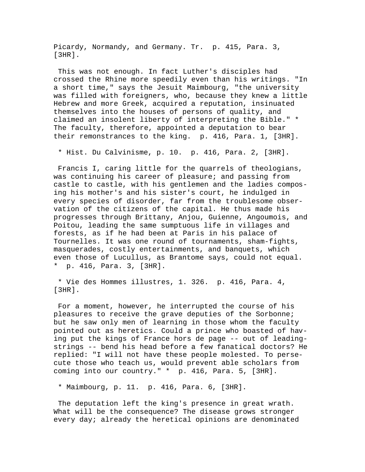Picardy, Normandy, and Germany. Tr. p. 415, Para. 3, [3HR].

 This was not enough. In fact Luther's disciples had crossed the Rhine more speedily even than his writings. "In a short time," says the Jesuit Maimbourg, "the university was filled with foreigners, who, because they knew a little Hebrew and more Greek, acquired a reputation, insinuated themselves into the houses of persons of quality, and claimed an insolent liberty of interpreting the Bible." \* The faculty, therefore, appointed a deputation to bear their remonstrances to the king. p. 416, Para. 1, [3HR].

\* Hist. Du Calvinisme, p. 10. p. 416, Para. 2, [3HR].

 Francis I, caring little for the quarrels of theologians, was continuing his career of pleasure; and passing from castle to castle, with his gentlemen and the ladies composing his mother's and his sister's court, he indulged in every species of disorder, far from the troublesome observation of the citizens of the capital. He thus made his progresses through Brittany, Anjou, Guienne, Angoumois, and Poitou, leading the same sumptuous life in villages and forests, as if he had been at Paris in his palace of Tournelles. It was one round of tournaments, sham-fights, masquerades, costly entertainments, and banquets, which even those of Lucullus, as Brantome says, could not equal. \* p. 416, Para. 3, [3HR].

 \* Vie des Hommes illustres, 1. 326. p. 416, Para. 4, [3HR].

 For a moment, however, he interrupted the course of his pleasures to receive the grave deputies of the Sorbonne; but he saw only men of learning in those whom the faculty pointed out as heretics. Could a prince who boasted of having put the kings of France hors de page -- out of leadingstrings -- bend his head before a few fanatical doctors? He replied: "I will not have these people molested. To persecute those who teach us, would prevent able scholars from coming into our country." \* p. 416, Para. 5, [3HR].

\* Maimbourg, p. 11. p. 416, Para. 6, [3HR].

 The deputation left the king's presence in great wrath. What will be the consequence? The disease grows stronger every day; already the heretical opinions are denominated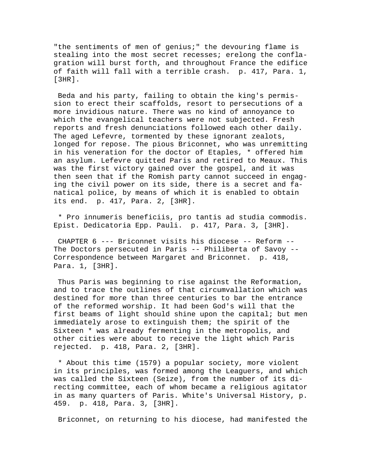"the sentiments of men of genius;" the devouring flame is stealing into the most secret recesses; erelong the conflagration will burst forth, and throughout France the edifice of faith will fall with a terrible crash. p. 417, Para. 1, [3HR].

 Beda and his party, failing to obtain the king's permission to erect their scaffolds, resort to persecutions of a more invidious nature. There was no kind of annoyance to which the evangelical teachers were not subjected. Fresh reports and fresh denunciations followed each other daily. The aged Lefevre, tormented by these ignorant zealots, longed for repose. The pious Briconnet, who was unremitting in his veneration for the doctor of Etaples, \* offered him an asylum. Lefevre quitted Paris and retired to Meaux. This was the first victory gained over the gospel, and it was then seen that if the Romish party cannot succeed in engaging the civil power on its side, there is a secret and fanatical police, by means of which it is enabled to obtain its end. p. 417, Para. 2, [3HR].

 \* Pro innumeris beneficiis, pro tantis ad studia commodis. Epist. Dedicatoria Epp. Pauli. p. 417, Para. 3, [3HR].

 CHAPTER 6 --- Briconnet visits his diocese -- Reform -- The Doctors persecuted in Paris -- Philiberta of Savoy -- Correspondence between Margaret and Briconnet. p. 418, Para. 1, [3HR].

 Thus Paris was beginning to rise against the Reformation, and to trace the outlines of that circumvallation which was destined for more than three centuries to bar the entrance of the reformed worship. It had been God's will that the first beams of light should shine upon the capital; but men immediately arose to extinguish them; the spirit of the Sixteen \* was already fermenting in the metropolis, and other cities were about to receive the light which Paris rejected. p. 418, Para. 2, [3HR].

 \* About this time (1579) a popular society, more violent in its principles, was formed among the Leaguers, and which was called the Sixteen (Seize), from the number of its directing committee, each of whom became a religious agitator in as many quarters of Paris. White's Universal History, p. 459. p. 418, Para. 3, [3HR].

Briconnet, on returning to his diocese, had manifested the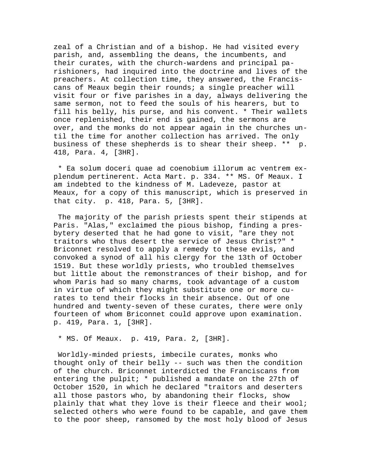zeal of a Christian and of a bishop. He had visited every parish, and, assembling the deans, the incumbents, and their curates, with the church-wardens and principal parishioners, had inquired into the doctrine and lives of the preachers. At collection time, they answered, the Franciscans of Meaux begin their rounds; a single preacher will visit four or five parishes in a day, always delivering the same sermon, not to feed the souls of his hearers, but to fill his belly, his purse, and his convent. \* Their wallets once replenished, their end is gained, the sermons are over, and the monks do not appear again in the churches until the time for another collection has arrived. The only business of these shepherds is to shear their sheep. \*\* p. 418, Para. 4, [3HR].

 \* Ea solum doceri quae ad coenobium illorum ac ventrem explendum pertinerent. Acta Mart. p. 334. \*\* MS. Of Meaux. I am indebted to the kindness of M. Ladeveze, pastor at Meaux, for a copy of this manuscript, which is preserved in that city. p. 418, Para. 5, [3HR].

 The majority of the parish priests spent their stipends at Paris. "Alas," exclaimed the pious bishop, finding a presbytery deserted that he had gone to visit, "are they not traitors who thus desert the service of Jesus Christ?" \* Briconnet resolved to apply a remedy to these evils, and convoked a synod of all his clergy for the 13th of October 1519. But these worldly priests, who troubled themselves but little about the remonstrances of their bishop, and for whom Paris had so many charms, took advantage of a custom in virtue of which they might substitute one or more curates to tend their flocks in their absence. Out of one hundred and twenty-seven of these curates, there were only fourteen of whom Briconnet could approve upon examination. p. 419, Para. 1, [3HR].

\* MS. Of Meaux. p. 419, Para. 2, [3HR].

 Worldly-minded priests, imbecile curates, monks who thought only of their belly -- such was then the condition of the church. Briconnet interdicted the Franciscans from entering the pulpit;  $*$  published a mandate on the 27th of October 1520, in which he declared "traitors and deserters all those pastors who, by abandoning their flocks, show plainly that what they love is their fleece and their wool; selected others who were found to be capable, and gave them to the poor sheep, ransomed by the most holy blood of Jesus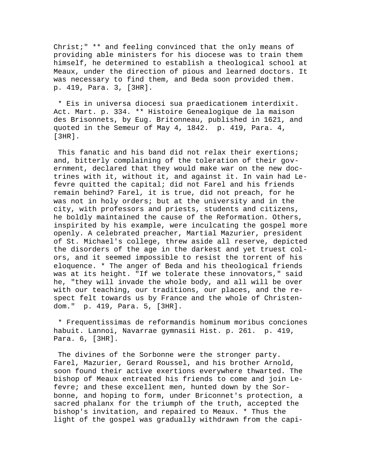Christ;" \*\* and feeling convinced that the only means of providing able ministers for his diocese was to train them himself, he determined to establish a theological school at Meaux, under the direction of pious and learned doctors. It was necessary to find them, and Beda soon provided them. p. 419, Para. 3, [3HR].

 \* Eis in universa diocesi sua praedicationem interdixit. Act. Mart. p. 334. \*\* Histoire Genealogique de la maison des Brisonnets, by Eug. Britonneau, published in 1621, and quoted in the Semeur of May 4, 1842. p. 419, Para. 4, [3HR].

 This fanatic and his band did not relax their exertions; and, bitterly complaining of the toleration of their government, declared that they would make war on the new doctrines with it, without it, and against it. In vain had Lefevre quitted the capital; did not Farel and his friends remain behind? Farel, it is true, did not preach, for he was not in holy orders; but at the university and in the city, with professors and priests, students and citizens, he boldly maintained the cause of the Reformation. Others, inspirited by his example, were inculcating the gospel more openly. A celebrated preacher, Martial Mazurier, president of St. Michael's college, threw aside all reserve, depicted the disorders of the age in the darkest and yet truest colors, and it seemed impossible to resist the torrent of his eloquence. \* The anger of Beda and his theological friends was at its height. "If we tolerate these innovators," said he, "they will invade the whole body, and all will be over with our teaching, our traditions, our places, and the respect felt towards us by France and the whole of Christendom." p. 419, Para. 5, [3HR].

 \* Frequentissimas de reformandis hominum moribus conciones habuit. Lannoi, Navarrae gymnasii Hist. p. 261. p. 419, Para. 6, [3HR].

 The divines of the Sorbonne were the stronger party. Farel, Mazurier, Gerard Roussel, and his brother Arnold, soon found their active exertions everywhere thwarted. The bishop of Meaux entreated his friends to come and join Lefevre; and these excellent men, hunted down by the Sorbonne, and hoping to form, under Briconnet's protection, a sacred phalanx for the triumph of the truth, accepted the bishop's invitation, and repaired to Meaux. \* Thus the light of the gospel was gradually withdrawn from the capi-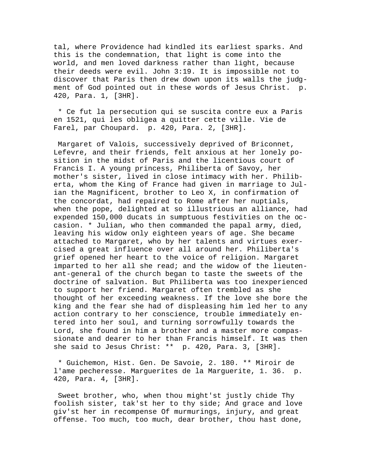tal, where Providence had kindled its earliest sparks. And this is the condemnation, that light is come into the world, and men loved darkness rather than light, because their deeds were evil. John 3:19. It is impossible not to discover that Paris then drew down upon its walls the judgment of God pointed out in these words of Jesus Christ. p. 420, Para. 1, [3HR].

 \* Ce fut la persecution qui se suscita contre eux a Paris en 1521, qui les obligea a quitter cette ville. Vie de Farel, par Choupard. p. 420, Para. 2, [3HR].

 Margaret of Valois, successively deprived of Briconnet, Lefevre, and their friends, felt anxious at her lonely position in the midst of Paris and the licentious court of Francis I. A young princess, Philiberta of Savoy, her mother's sister, lived in close intimacy with her. Philiberta, whom the King of France had given in marriage to Julian the Magnificent, brother to Leo X, in confirmation of the concordat, had repaired to Rome after her nuptials, when the pope, delighted at so illustrious an alliance, had expended 150,000 ducats in sumptuous festivities on the occasion. \* Julian, who then commanded the papal army, died, leaving his widow only eighteen years of age. She became attached to Margaret, who by her talents and virtues exercised a great influence over all around her. Philiberta's grief opened her heart to the voice of religion. Margaret imparted to her all she read; and the widow of the lieutenant-general of the church began to taste the sweets of the doctrine of salvation. But Philiberta was too inexperienced to support her friend. Margaret often trembled as she thought of her exceeding weakness. If the love she bore the king and the fear she had of displeasing him led her to any action contrary to her conscience, trouble immediately entered into her soul, and turning sorrowfully towards the Lord, she found in him a brother and a master more compassionate and dearer to her than Francis himself. It was then she said to Jesus Christ: \*\* p. 420, Para. 3, [3HR].

 \* Guichemon, Hist. Gen. De Savoie, 2. 180. \*\* Miroir de l'ame pecheresse. Marguerites de la Marguerite, 1. 36. p. 420, Para. 4, [3HR].

 Sweet brother, who, when thou might'st justly chide Thy foolish sister, tak'st her to thy side; And grace and love giv'st her in recompense Of murmurings, injury, and great offense. Too much, too much, dear brother, thou hast done,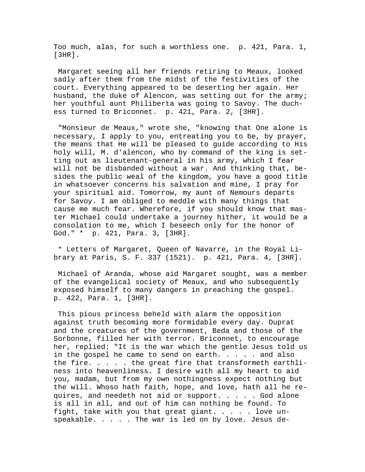Too much, alas, for such a worthless one. p. 421, Para. 1, [3HR].

 Margaret seeing all her friends retiring to Meaux, looked sadly after them from the midst of the festivities of the court. Everything appeared to be deserting her again. Her husband, the duke of Alencon, was setting out for the army; her youthful aunt Philiberta was going to Savoy. The duchess turned to Briconnet. p. 421, Para. 2, [3HR].

 "Monsieur de Meaux," wrote she, "knowing that One alone is necessary, I apply to you, entreating you to be, by prayer, the means that He will be pleased to guide according to His holy will, M. d'alencon, who by command of the king is setting out as lieutenant-general in his army, which I fear will not be disbanded without a war. And thinking that, besides the public weal of the kingdom, you have a good title in whatsoever concerns his salvation and mine, I pray for your spiritual aid. Tomorrow, my aunt of Nemours departs for Savoy. I am obliged to meddle with many things that cause me much fear. Wherefore, if you should know that master Michael could undertake a journey hither, it would be a consolation to me, which I beseech only for the honor of God." \* p. 421, Para. 3, [3HR].

 \* Letters of Margaret, Queen of Navarre, in the Royal Library at Paris, S. F. 337 (1521). p. 421, Para. 4, [3HR].

 Michael of Aranda, whose aid Margaret sought, was a member of the evangelical society of Meaux, and who subsequently exposed himself to many dangers in preaching the gospel. p. 422, Para. 1, [3HR].

 This pious princess beheld with alarm the opposition against truth becoming more formidable every day. Duprat and the creatures of the government, Beda and those of the Sorbonne, filled her with terror. Briconnet, to encourage her, replied: "It is the war which the gentle Jesus told us in the gospel he came to send on earth.  $\ldots$  . . . and also the fire. . . . . the great fire that transformeth earthliness into heavenliness. I desire with all my heart to aid you, madam, but from my own nothingness expect nothing but the will. Whoso hath faith, hope, and love, hath all he requires, and needeth not aid or support. . . . . God alone is all in all, and out of him can nothing be found. To fight, take with you that great giant. . . . . love unspeakable. . . . . The war is led on by love. Jesus de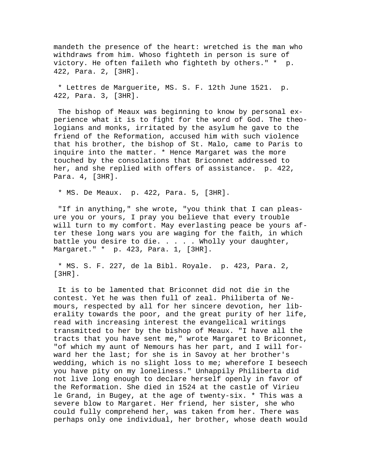mandeth the presence of the heart: wretched is the man who withdraws from him. Whoso fighteth in person is sure of victory. He often faileth who fighteth by others." \* p. 422, Para. 2, [3HR].

 \* Lettres de Marguerite, MS. S. F. 12th June 1521. p. 422, Para. 3, [3HR].

 The bishop of Meaux was beginning to know by personal experience what it is to fight for the word of God. The theologians and monks, irritated by the asylum he gave to the friend of the Reformation, accused him with such violence that his brother, the bishop of St. Malo, came to Paris to inquire into the matter. \* Hence Margaret was the more touched by the consolations that Briconnet addressed to her, and she replied with offers of assistance. p. 422, Para. 4, [3HR].

\* MS. De Meaux. p. 422, Para. 5, [3HR].

 "If in anything," she wrote, "you think that I can pleasure you or yours, I pray you believe that every trouble will turn to my comfort. May everlasting peace be yours after these long wars you are waging for the faith, in which battle you desire to die. . . . . Wholly your daughter, Margaret." \* p. 423, Para. 1, [3HR].

 \* MS. S. F. 227, de la Bibl. Royale. p. 423, Para. 2, [3HR].

 It is to be lamented that Briconnet did not die in the contest. Yet he was then full of zeal. Philiberta of Nemours, respected by all for her sincere devotion, her liberality towards the poor, and the great purity of her life, read with increasing interest the evangelical writings transmitted to her by the bishop of Meaux. "I have all the tracts that you have sent me," wrote Margaret to Briconnet, "of which my aunt of Nemours has her part, and I will forward her the last; for she is in Savoy at her brother's wedding, which is no slight loss to me; wherefore I beseech you have pity on my loneliness." Unhappily Philiberta did not live long enough to declare herself openly in favor of the Reformation. She died in 1524 at the castle of Virieu le Grand, in Bugey, at the age of twenty-six. \* This was a severe blow to Margaret. Her friend, her sister, she who could fully comprehend her, was taken from her. There was perhaps only one individual, her brother, whose death would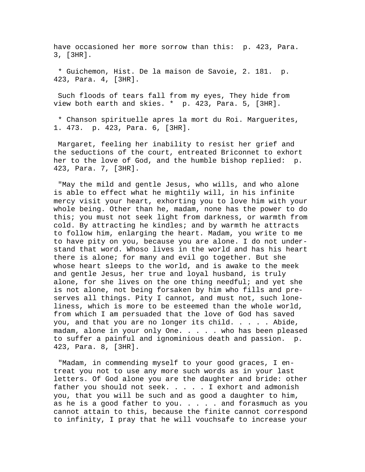have occasioned her more sorrow than this: p. 423, Para. 3, [3HR].

 \* Guichemon, Hist. De la maison de Savoie, 2. 181. p. 423, Para. 4, [3HR].

 Such floods of tears fall from my eyes, They hide from view both earth and skies. \* p. 423, Para. 5, [3HR].

 \* Chanson spirituelle apres la mort du Roi. Marguerites, 1. 473. p. 423, Para. 6, [3HR].

 Margaret, feeling her inability to resist her grief and the seductions of the court, entreated Briconnet to exhort her to the love of God, and the humble bishop replied: p. 423, Para. 7, [3HR].

 "May the mild and gentle Jesus, who wills, and who alone is able to effect what he mightily will, in his infinite mercy visit your heart, exhorting you to love him with your whole being. Other than he, madam, none has the power to do this; you must not seek light from darkness, or warmth from cold. By attracting he kindles; and by warmth he attracts to follow him, enlarging the heart. Madam, you write to me to have pity on you, because you are alone. I do not understand that word. Whoso lives in the world and has his heart there is alone; for many and evil go together. But she whose heart sleeps to the world, and is awake to the meek and gentle Jesus, her true and loyal husband, is truly alone, for she lives on the one thing needful; and yet she is not alone, not being forsaken by him who fills and preserves all things. Pity I cannot, and must not, such loneliness, which is more to be esteemed than the whole world, from which I am persuaded that the love of God has saved you, and that you are no longer its child. . . . . Abide, madam, alone in your only One. . . . . who has been pleased to suffer a painful and ignominious death and passion. p. 423, Para. 8, [3HR].

 "Madam, in commending myself to your good graces, I entreat you not to use any more such words as in your last letters. Of God alone you are the daughter and bride: other father you should not seek. . . . . I exhort and admonish you, that you will be such and as good a daughter to him, as he is a good father to you.  $\ldots$  . . and forasmuch as you cannot attain to this, because the finite cannot correspond to infinity, I pray that he will vouchsafe to increase your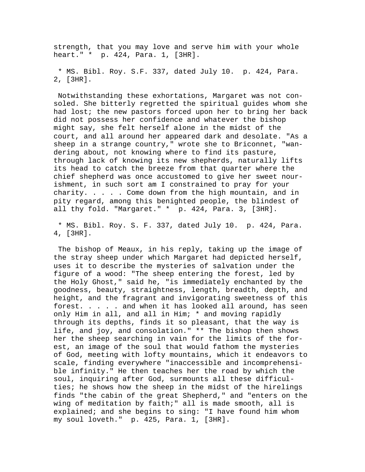strength, that you may love and serve him with your whole heart." \* p. 424, Para. 1, [3HR].

 \* MS. Bibl. Roy. S.F. 337, dated July 10. p. 424, Para. 2, [3HR].

 Notwithstanding these exhortations, Margaret was not consoled. She bitterly regretted the spiritual guides whom she had lost; the new pastors forced upon her to bring her back did not possess her confidence and whatever the bishop might say, she felt herself alone in the midst of the court, and all around her appeared dark and desolate. "As a sheep in a strange country," wrote she to Briconnet, "wandering about, not knowing where to find its pasture, through lack of knowing its new shepherds, naturally lifts its head to catch the breeze from that quarter where the chief shepherd was once accustomed to give her sweet nourishment, in such sort am I constrained to pray for your charity. . . . . Come down from the high mountain, and in pity regard, among this benighted people, the blindest of all thy fold. "Margaret." \* p. 424, Para. 3, [3HR].

 \* MS. Bibl. Roy. S. F. 337, dated July 10. p. 424, Para. 4, [3HR].

 The bishop of Meaux, in his reply, taking up the image of the stray sheep under which Margaret had depicted herself, uses it to describe the mysteries of salvation under the figure of a wood: "The sheep entering the forest, led by the Holy Ghost," said he, "is immediately enchanted by the goodness, beauty, straightness, length, breadth, depth, and height, and the fragrant and invigorating sweetness of this forest. . . . . and when it has looked all around, has seen only Him in all, and all in Him; \* and moving rapidly through its depths, finds it so pleasant, that the way is life, and joy, and consolation." \*\* The bishop then shows her the sheep searching in vain for the limits of the forest, an image of the soul that would fathom the mysteries of God, meeting with lofty mountains, which it endeavors to scale, finding everywhere "inaccessible and incomprehensible infinity." He then teaches her the road by which the soul, inquiring after God, surmounts all these difficulties; he shows how the sheep in the midst of the hirelings finds "the cabin of the great Shepherd," and "enters on the wing of meditation by faith;" all is made smooth, all is explained; and she begins to sing: "I have found him whom my soul loveth." p. 425, Para. 1, [3HR].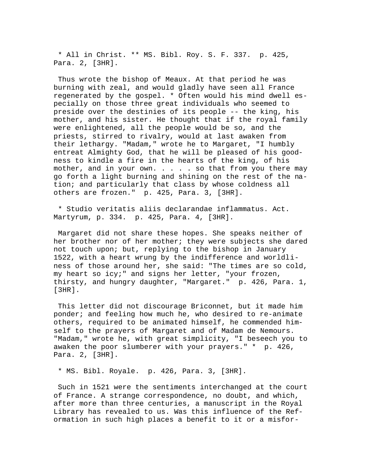\* All in Christ. \*\* MS. Bibl. Roy. S. F. 337. p. 425, Para. 2, [3HR].

 Thus wrote the bishop of Meaux. At that period he was burning with zeal, and would gladly have seen all France regenerated by the gospel. \* Often would his mind dwell especially on those three great individuals who seemed to preside over the destinies of its people -- the king, his mother, and his sister. He thought that if the royal family were enlightened, all the people would be so, and the priests, stirred to rivalry, would at last awaken from their lethargy. "Madam," wrote he to Margaret, "I humbly entreat Almighty God, that he will be pleased of his goodness to kindle a fire in the hearts of the king, of his mother, and in your own. . . . so that from you there may go forth a light burning and shining on the rest of the nation; and particularly that class by whose coldness all others are frozen." p. 425, Para. 3, [3HR].

 \* Studio veritatis aliis declarandae inflammatus. Act. Martyrum, p. 334. p. 425, Para. 4, [3HR].

 Margaret did not share these hopes. She speaks neither of her brother nor of her mother; they were subjects she dared not touch upon; but, replying to the bishop in January 1522, with a heart wrung by the indifference and worldliness of those around her, she said: "The times are so cold, my heart so icy;" and signs her letter, "your frozen, thirsty, and hungry daughter, "Margaret." p. 426, Para. 1, [3HR].

 This letter did not discourage Briconnet, but it made him ponder; and feeling how much he, who desired to re-animate others, required to be animated himself, he commended himself to the prayers of Margaret and of Madam de Nemours. "Madam," wrote he, with great simplicity, "I beseech you to awaken the poor slumberer with your prayers." \* p. 426, Para. 2, [3HR].

\* MS. Bibl. Royale. p. 426, Para. 3, [3HR].

 Such in 1521 were the sentiments interchanged at the court of France. A strange correspondence, no doubt, and which, after more than three centuries, a manuscript in the Royal Library has revealed to us. Was this influence of the Reformation in such high places a benefit to it or a misfor-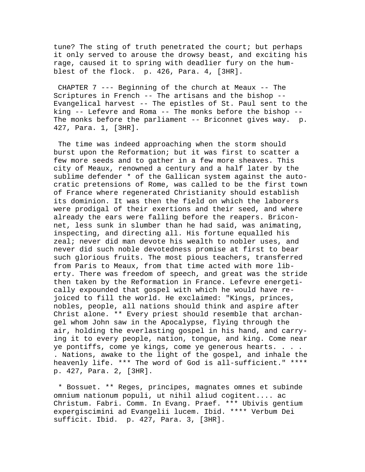tune? The sting of truth penetrated the court; but perhaps it only served to arouse the drowsy beast, and exciting his rage, caused it to spring with deadlier fury on the humblest of the flock. p. 426, Para. 4, [3HR].

 CHAPTER 7 --- Beginning of the church at Meaux -- The Scriptures in French -- The artisans and the bishop -- Evangelical harvest -- The epistles of St. Paul sent to the king -- Lefevre and Roma -- The monks before the bishop -- The monks before the parliament -- Briconnet gives way. p. 427, Para. 1, [3HR].

 The time was indeed approaching when the storm should burst upon the Reformation; but it was first to scatter a few more seeds and to gather in a few more sheaves. This city of Meaux, renowned a century and a half later by the sublime defender \* of the Gallican system against the autocratic pretensions of Rome, was called to be the first town of France where regenerated Christianity should establish its dominion. It was then the field on which the laborers were prodigal of their exertions and their seed, and where already the ears were falling before the reapers. Briconnet, less sunk in slumber than he had said, was animating, inspecting, and directing all. His fortune equalled his zeal; never did man devote his wealth to nobler uses, and never did such noble devotedness promise at first to bear such glorious fruits. The most pious teachers, transferred from Paris to Meaux, from that time acted with more liberty. There was freedom of speech, and great was the stride then taken by the Reformation in France. Lefevre energetically expounded that gospel with which he would have rejoiced to fill the world. He exclaimed: "Kings, princes, nobles, people, all nations should think and aspire after Christ alone. \*\* Every priest should resemble that archangel whom John saw in the Apocalypse, flying through the air, holding the everlasting gospel in his hand, and carrying it to every people, nation, tongue, and king. Come near ye pontiffs, come ye kings, come ye generous hearts. . . . . Nations, awake to the light of the gospel, and inhale the heavenly life. \*\*\* The word of God is all-sufficient." \*\*\*\* p. 427, Para. 2, [3HR].

 \* Bossuet. \*\* Reges, principes, magnates omnes et subinde omnium nationum populi, ut nihil aliud cogitent.... ac Christum. Fabri. Comm. In Evang. Praef. \*\*\* Ubivis gentium expergiscimini ad Evangelii lucem. Ibid. \*\*\*\* Verbum Dei sufficit. Ibid. p. 427, Para. 3, [3HR].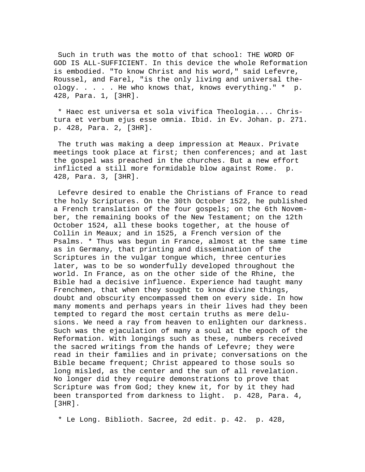Such in truth was the motto of that school: THE WORD OF GOD IS ALL-SUFFICIENT. In this device the whole Reformation is embodied. "To know Christ and his word," said Lefevre, Roussel, and Farel, "is the only living and universal theology. . . . . He who knows that, knows everything." \* p. 428, Para. 1, [3HR].

 \* Haec est universa et sola vivifica Theologia.... Christura et verbum ejus esse omnia. Ibid. in Ev. Johan. p. 271. p. 428, Para. 2, [3HR].

 The truth was making a deep impression at Meaux. Private meetings took place at first; then conferences; and at last the gospel was preached in the churches. But a new effort inflicted a still more formidable blow against Rome. p. 428, Para. 3, [3HR].

 Lefevre desired to enable the Christians of France to read the holy Scriptures. On the 30th October 1522, he published a French translation of the four gospels; on the 6th November, the remaining books of the New Testament; on the 12th October 1524, all these books together, at the house of Collin in Meaux; and in 1525, a French version of the Psalms. \* Thus was begun in France, almost at the same time as in Germany, that printing and dissemination of the Scriptures in the vulgar tongue which, three centuries later, was to be so wonderfully developed throughout the world. In France, as on the other side of the Rhine, the Bible had a decisive influence. Experience had taught many Frenchmen, that when they sought to know divine things, doubt and obscurity encompassed them on every side. In how many moments and perhaps years in their lives had they been tempted to regard the most certain truths as mere delusions. We need a ray from heaven to enlighten our darkness. Such was the ejaculation of many a soul at the epoch of the Reformation. With longings such as these, numbers received the sacred writings from the hands of Lefevre; they were read in their families and in private; conversations on the Bible became frequent; Christ appeared to those souls so long misled, as the center and the sun of all revelation. No longer did they require demonstrations to prove that Scripture was from God; they knew it, for by it they had been transported from darkness to light. p. 428, Para. 4, [3HR].

\* Le Long. Biblioth. Sacree, 2d edit. p. 42. p. 428,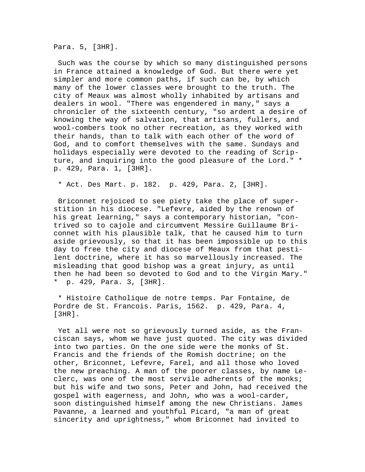Para. 5, [3HR].

 Such was the course by which so many distinguished persons in France attained a knowledge of God. But there were yet simpler and more common paths, if such can be, by which many of the lower classes were brought to the truth. The city of Meaux was almost wholly inhabited by artisans and dealers in wool. "There was engendered in many," says a chronicler of the sixteenth century, "so ardent a desire of knowing the way of salvation, that artisans, fullers, and wool-combers took no other recreation, as they worked with their hands, than to talk with each other of the word of God, and to comfort themselves with the same. Sundays and holidays especially were devoted to the reading of Scripture, and inquiring into the good pleasure of the Lord." \* p. 429, Para. 1, [3HR].

\* Act. Des Mart. p. 182. p. 429, Para. 2, [3HR].

 Briconnet rejoiced to see piety take the place of superstition in his diocese. "Lefevre, aided by the renown of his great learning," says a contemporary historian, "contrived so to cajole and circumvent Messire Guillaume Briconnet with his plausible talk, that he caused him to turn aside grievously, so that it has been impossible up to this day to free the city and diocese of Meaux from that pestilent doctrine, where it has so marvellously increased. The misleading that good bishop was a great injury, as until then he had been so devoted to God and to the Virgin Mary." \* p. 429, Para. 3, [3HR].

 \* Histoire Catholique de notre temps. Par Fontaine, de Pordre de St. Francois. Paris, 1562. p. 429, Para. 4, [3HR].

 Yet all were not so grievously turned aside, as the Franciscan says, whom we have just quoted. The city was divided into two parties. On the one side were the monks of St. Francis and the friends of the Romish doctrine; on the other, Briconnet, Lefevre, Farel, and all those who loved the new preaching. A man of the poorer classes, by name Leclerc, was one of the most servile adherents of the monks; but his wife and two sons, Peter and John, had received the gospel with eagerness, and John, who was a wool-carder, soon distinguished himself among the new Christians. James Pavanne, a learned and youthful Picard, "a man of great sincerity and uprightness," whom Briconnet had invited to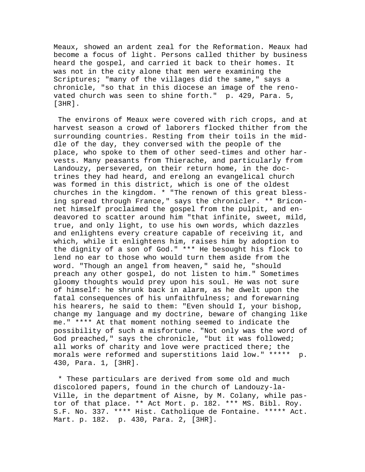Meaux, showed an ardent zeal for the Reformation. Meaux had become a focus of light. Persons called thither by business heard the gospel, and carried it back to their homes. It was not in the city alone that men were examining the Scriptures; "many of the villages did the same," says a chronicle, "so that in this diocese an image of the renovated church was seen to shine forth." p. 429, Para. 5,  $[3HR]$ .

 The environs of Meaux were covered with rich crops, and at harvest season a crowd of laborers flocked thither from the surrounding countries. Resting from their toils in the middle of the day, they conversed with the people of the place, who spoke to them of other seed-times and other harvests. Many peasants from Thierache, and particularly from Landouzy, persevered, on their return home, in the doctrines they had heard, and erelong an evangelical church was formed in this district, which is one of the oldest churches in the kingdom. \* "The renown of this great blessing spread through France," says the chronicler. \*\* Briconnet himself proclaimed the gospel from the pulpit, and endeavored to scatter around him "that infinite, sweet, mild, true, and only light, to use his own words, which dazzles and enlightens every creature capable of receiving it, and which, while it enlightens him, raises him by adoption to the dignity of a son of God." \*\*\* He besought his flock to lend no ear to those who would turn them aside from the word. "Though an angel from heaven," said he, "should preach any other gospel, do not listen to him." Sometimes gloomy thoughts would prey upon his soul. He was not sure of himself: he shrunk back in alarm, as he dwelt upon the fatal consequences of his unfaithfulness; and forewarning his hearers, he said to them: "Even should I, your bishop, change my language and my doctrine, beware of changing like me." \*\*\*\* At that moment nothing seemed to indicate the possibility of such a misfortune. "Not only was the word of God preached," says the chronicle, "but it was followed; all works of charity and love were practiced there; the morals were reformed and superstitions laid low." \*\*\*\*\* p. 430, Para. 1, [3HR].

 \* These particulars are derived from some old and much discolored papers, found in the church of Landouzy-la-Ville, in the department of Aisne, by M. Colany, while pastor of that place. \*\* Act Mort. p. 182. \*\*\* MS. Bibl. Roy. S.F. No. 337. \*\*\*\* Hist. Catholique de Fontaine. \*\*\*\*\* Act. Mart. p. 182. p. 430, Para. 2, [3HR].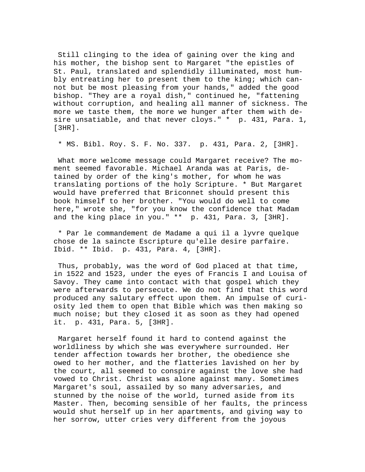Still clinging to the idea of gaining over the king and his mother, the bishop sent to Margaret "the epistles of St. Paul, translated and splendidly illuminated, most humbly entreating her to present them to the king; which cannot but be most pleasing from your hands," added the good bishop. "They are a royal dish," continued he, "fattening without corruption, and healing all manner of sickness. The more we taste them, the more we hunger after them with desire unsatiable, and that never cloys." \* p. 431, Para. 1, [3HR].

\* MS. Bibl. Roy. S. F. No. 337. p. 431, Para. 2, [3HR].

 What more welcome message could Margaret receive? The moment seemed favorable. Michael Aranda was at Paris, detained by order of the king's mother, for whom he was translating portions of the holy Scripture. \* But Margaret would have preferred that Briconnet should present this book himself to her brother. "You would do well to come here," wrote she, "for you know the confidence that Madam and the king place in you." \*\* p. 431, Para. 3, [3HR].

 \* Par le commandement de Madame a qui il a lyvre quelque chose de la saincte Escripture qu'elle desire parfaire. Ibid. \*\* Ibid. p. 431, Para. 4, [3HR].

 Thus, probably, was the word of God placed at that time, in 1522 and 1523, under the eyes of Francis I and Louisa of Savoy. They came into contact with that gospel which they were afterwards to persecute. We do not find that this word produced any salutary effect upon them. An impulse of curiosity led them to open that Bible which was then making so much noise; but they closed it as soon as they had opened it. p. 431, Para. 5, [3HR].

 Margaret herself found it hard to contend against the worldliness by which she was everywhere surrounded. Her tender affection towards her brother, the obedience she owed to her mother, and the flatteries lavished on her by the court, all seemed to conspire against the love she had vowed to Christ. Christ was alone against many. Sometimes Margaret's soul, assailed by so many adversaries, and stunned by the noise of the world, turned aside from its Master. Then, becoming sensible of her faults, the princess would shut herself up in her apartments, and giving way to her sorrow, utter cries very different from the joyous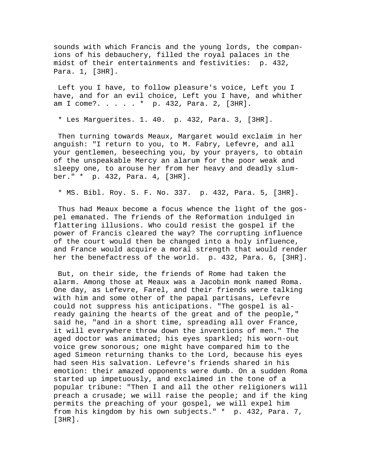sounds with which Francis and the young lords, the companions of his debauchery, filled the royal palaces in the midst of their entertainments and festivities: p. 432, Para. 1, [3HR].

 Left you I have, to follow pleasure's voice, Left you I have, and for an evil choice, Left you I have, and whither am I come?. . . . . \* p. 432, Para. 2, [3HR].

\* Les Marguerites. 1. 40. p. 432, Para. 3, [3HR].

 Then turning towards Meaux, Margaret would exclaim in her anguish: "I return to you, to M. Fabry, Lefevre, and all your gentlemen, beseeching you, by your prayers, to obtain of the unspeakable Mercy an alarum for the poor weak and sleepy one, to arouse her from her heavy and deadly slumber." \* p. 432, Para. 4, [3HR].

\* MS. Bibl. Roy. S. F. No. 337. p. 432, Para. 5, [3HR].

 Thus had Meaux become a focus whence the light of the gospel emanated. The friends of the Reformation indulged in flattering illusions. Who could resist the gospel if the power of Francis cleared the way? The corrupting influence of the court would then be changed into a holy influence, and France would acquire a moral strength that would render her the benefactress of the world. p. 432, Para. 6, [3HR].

 But, on their side, the friends of Rome had taken the alarm. Among those at Meaux was a Jacobin monk named Roma. One day, as Lefevre, Farel, and their friends were talking with him and some other of the papal partisans, Lefevre could not suppress his anticipations. "The gospel is already gaining the hearts of the great and of the people," said he, "and in a short time, spreading all over France, it will everywhere throw down the inventions of men." The aged doctor was animated; his eyes sparkled; his worn-out voice grew sonorous; one might have compared him to the aged Simeon returning thanks to the Lord, because his eyes had seen His salvation. Lefevre's friends shared in his emotion: their amazed opponents were dumb. On a sudden Roma started up impetuously, and exclaimed in the tone of a popular tribune: "Then I and all the other religioners will preach a crusade; we will raise the people; and if the king permits the preaching of your gospel, we will expel him from his kingdom by his own subjects." \* p. 432, Para. 7, [3HR].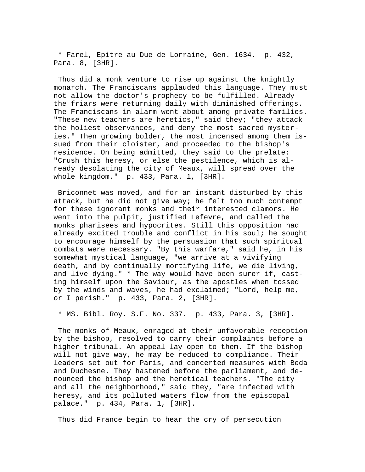\* Farel, Epitre au Due de Lorraine, Gen. 1634. p. 432, Para. 8, [3HR].

 Thus did a monk venture to rise up against the knightly monarch. The Franciscans applauded this language. They must not allow the doctor's prophecy to be fulfilled. Already the friars were returning daily with diminished offerings. The Franciscans in alarm went about among private families. "These new teachers are heretics," said they; "they attack the holiest observances, and deny the most sacred mysteries." Then growing bolder, the most incensed among them issued from their cloister, and proceeded to the bishop's residence. On being admitted, they said to the prelate: "Crush this heresy, or else the pestilence, which is already desolating the city of Meaux, will spread over the whole kingdom." p. 433, Para. 1, [3HR].

 Briconnet was moved, and for an instant disturbed by this attack, but he did not give way; he felt too much contempt for these ignorant monks and their interested clamors. He went into the pulpit, justified Lefevre, and called the monks pharisees and hypocrites. Still this opposition had already excited trouble and conflict in his soul; he sought to encourage himself by the persuasion that such spiritual combats were necessary. "By this warfare," said he, in his somewhat mystical language, "we arrive at a vivifying death, and by continually mortifying life, we die living, and live dying." \* The way would have been surer if, casting himself upon the Saviour, as the apostles when tossed by the winds and waves, he had exclaimed; "Lord, help me, or I perish." p. 433, Para. 2, [3HR].

\* MS. Bibl. Roy. S.F. No. 337. p. 433, Para. 3, [3HR].

 The monks of Meaux, enraged at their unfavorable reception by the bishop, resolved to carry their complaints before a higher tribunal. An appeal lay open to them. If the bishop will not give way, he may be reduced to compliance. Their leaders set out for Paris, and concerted measures with Beda and Duchesne. They hastened before the parliament, and denounced the bishop and the heretical teachers. "The city and all the neighborhood," said they, "are infected with heresy, and its polluted waters flow from the episcopal palace." p. 434, Para. 1, [3HR].

Thus did France begin to hear the cry of persecution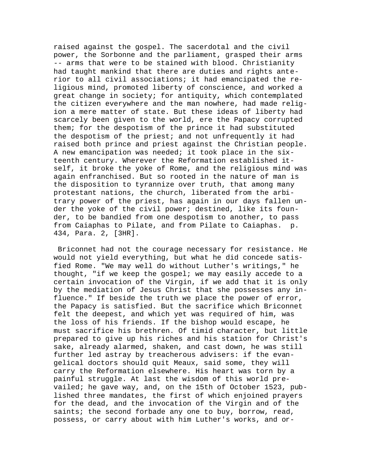raised against the gospel. The sacerdotal and the civil power, the Sorbonne and the parliament, grasped their arms -- arms that were to be stained with blood. Christianity had taught mankind that there are duties and rights anterior to all civil associations; it had emancipated the religious mind, promoted liberty of conscience, and worked a great change in society; for antiquity, which contemplated the citizen everywhere and the man nowhere, had made religion a mere matter of state. But these ideas of liberty had scarcely been given to the world, ere the Papacy corrupted them; for the despotism of the prince it had substituted the despotism of the priest; and not unfrequently it had raised both prince and priest against the Christian people. A new emancipation was needed; it took place in the sixteenth century. Wherever the Reformation established itself, it broke the yoke of Rome, and the religious mind was again enfranchised. But so rooted in the nature of man is the disposition to tyrannize over truth, that among many protestant nations, the church, liberated from the arbitrary power of the priest, has again in our days fallen under the yoke of the civil power; destined, like its founder, to be bandied from one despotism to another, to pass from Caiaphas to Pilate, and from Pilate to Caiaphas. p. 434, Para. 2, [3HR].

 Briconnet had not the courage necessary for resistance. He would not yield everything, but what he did concede satisfied Rome. "We may well do without Luther's writings," he thought, "if we keep the gospel; we may easily accede to a certain invocation of the Virgin, if we add that it is only by the mediation of Jesus Christ that she possesses any influence." If beside the truth we place the power of error, the Papacy is satisfied. But the sacrifice which Briconnet felt the deepest, and which yet was required of him, was the loss of his friends. If the bishop would escape, he must sacrifice his brethren. Of timid character, but little prepared to give up his riches and his station for Christ's sake, already alarmed, shaken, and cast down, he was still further led astray by treacherous advisers: if the evangelical doctors should quit Meaux, said some, they will carry the Reformation elsewhere. His heart was torn by a painful struggle. At last the wisdom of this world prevailed; he gave way, and, on the 15th of October 1523, published three mandates, the first of which enjoined prayers for the dead, and the invocation of the Virgin and of the saints; the second forbade any one to buy, borrow, read, possess, or carry about with him Luther's works, and or-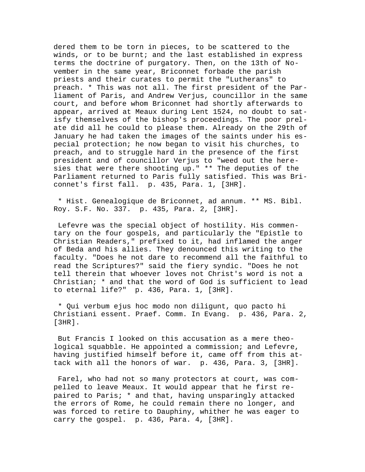dered them to be torn in pieces, to be scattered to the winds, or to be burnt; and the last established in express terms the doctrine of purgatory. Then, on the 13th of November in the same year, Briconnet forbade the parish priests and their curates to permit the "Lutherans" to preach. \* This was not all. The first president of the Parliament of Paris, and Andrew Verjus, councillor in the same court, and before whom Briconnet had shortly afterwards to appear, arrived at Meaux during Lent 1524, no doubt to satisfy themselves of the bishop's proceedings. The poor prelate did all he could to please them. Already on the 29th of January he had taken the images of the saints under his especial protection; he now began to visit his churches, to preach, and to struggle hard in the presence of the first president and of councillor Verjus to "weed out the heresies that were there shooting up." \*\* The deputies of the Parliament returned to Paris fully satisfied. This was Briconnet's first fall. p. 435, Para. 1, [3HR].

 \* Hist. Genealogique de Briconnet, ad annum. \*\* MS. Bibl. Roy. S.F. No. 337. p. 435, Para. 2, [3HR].

 Lefevre was the special object of hostility. His commentary on the four gospels, and particularly the "Epistle to Christian Readers," prefixed to it, had inflamed the anger of Beda and his allies. They denounced this writing to the faculty. "Does he not dare to recommend all the faithful to read the Scriptures?" said the fiery syndic. "Does he not tell therein that whoever loves not Christ's word is not a Christian; \* and that the word of God is sufficient to lead to eternal life?" p. 436, Para. 1, [3HR].

 \* Qui verbum ejus hoc modo non diligunt, quo pacto hi Christiani essent. Praef. Comm. In Evang. p. 436, Para. 2,  $[3HR]$ .

 But Francis I looked on this accusation as a mere theological squabble. He appointed a commission; and Lefevre, having justified himself before it, came off from this attack with all the honors of war. p. 436, Para. 3, [3HR].

 Farel, who had not so many protectors at court, was compelled to leave Meaux. It would appear that he first repaired to Paris; \* and that, having unsparingly attacked the errors of Rome, he could remain there no longer, and was forced to retire to Dauphiny, whither he was eager to carry the gospel. p. 436, Para. 4, [3HR].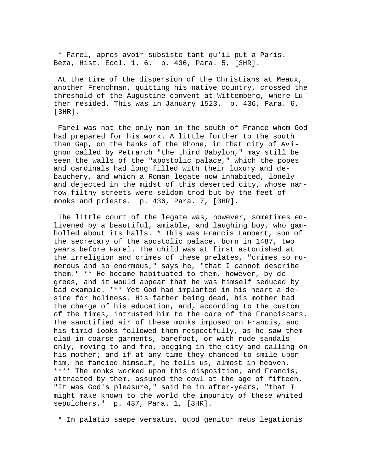\* Farel, apres avoir subsiste tant qu'il put a Paris. Beza, Hist. Eccl. 1. 6. p. 436, Para. 5, [3HR].

 At the time of the dispersion of the Christians at Meaux, another Frenchman, quitting his native country, crossed the threshold of the Augustine convent at Wittemberg, where Luther resided. This was in January 1523. p. 436, Para. 6, [3HR].

 Farel was not the only man in the south of France whom God had prepared for his work. A little further to the south than Gap, on the banks of the Rhone, in that city of Avignon called by Petrarch "the third Babylon," may still be seen the walls of the "apostolic palace," which the popes and cardinals had long filled with their luxury and debauchery, and which a Roman legate now inhabited, lonely and dejected in the midst of this deserted city, whose narrow filthy streets were seldom trod but by the feet of monks and priests. p. 436, Para. 7, [3HR].

 The little court of the legate was, however, sometimes enlivened by a beautiful, amiable, and laughing boy, who gambolled about its halls. \* This was Francis Lambert, son of the secretary of the apostolic palace, born in 1487, two years before Farel. The child was at first astonished at the irreligion and crimes of these prelates, "crimes so numerous and so enormous," says he, "that I cannot describe them." \*\* He became habituated to them, however, by degrees, and it would appear that he was himself seduced by bad example. \*\*\* Yet God had implanted in his heart a desire for holiness. His father being dead, his mother had the charge of his education, and, according to the custom of the times, intrusted him to the care of the Franciscans. The sanctified air of these monks imposed on Francis, and his timid looks followed them respectfully, as he saw them clad in coarse garments, barefoot, or with rude sandals only, moving to and fro, begging in the city and calling on his mother; and if at any time they chanced to smile upon him, he fancied himself, he tells us, almost in heaven. \*\*\*\* The monks worked upon this disposition, and Francis, attracted by them, assumed the cowl at the age of fifteen. "It was God's pleasure," said he in after-years, "that I might make known to the world the impurity of these whited sepulchers." p. 437, Para. 1, [3HR].

\* In palatio saepe versatus, quod genitor meus legationis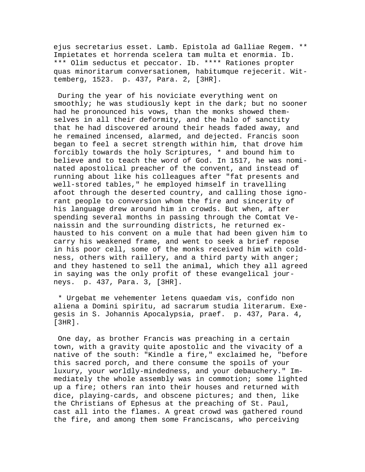ejus secretarius esset. Lamb. Epistola ad Galliae Regem. \*\* Impietates et horrenda scelera tam multa et enormia. Ib. \*\*\* Olim seductus et peccator. Ib. \*\*\*\* Rationes propter quas minoritarum conversationem, habitumque rejecerit. Wittemberg, 1523. p. 437, Para. 2, [3HR].

 During the year of his noviciate everything went on smoothly; he was studiously kept in the dark; but no sooner had he pronounced his vows, than the monks showed themselves in all their deformity, and the halo of sanctity that he had discovered around their heads faded away, and he remained incensed, alarmed, and dejected. Francis soon began to feel a secret strength within him, that drove him forcibly towards the holy Scriptures, \* and bound him to believe and to teach the word of God. In 1517, he was nominated apostolical preacher of the convent, and instead of running about like his colleagues after "fat presents and well-stored tables," he employed himself in travelling afoot through the deserted country, and calling those ignorant people to conversion whom the fire and sincerity of his language drew around him in crowds. But when, after spending several months in passing through the Comtat Venaissin and the surrounding districts, he returned exhausted to his convent on a mule that had been given him to carry his weakened frame, and went to seek a brief repose in his poor cell, some of the monks received him with coldness, others with raillery, and a third party with anger; and they hastened to sell the animal, which they all agreed in saying was the only profit of these evangelical journeys. p. 437, Para. 3, [3HR].

 \* Urgebat me vehementer letens quaedam vis, confido non aliena a Domini spiritu, ad sacrarum studia literarum. Exegesis in S. Johannis Apocalypsia, praef. p. 437, Para. 4, [3HR].

 One day, as brother Francis was preaching in a certain town, with a gravity quite apostolic and the vivacity of a native of the south: "Kindle a fire," exclaimed he, "before this sacred porch, and there consume the spoils of your luxury, your worldly-mindedness, and your debauchery." Immediately the whole assembly was in commotion; some lighted up a fire; others ran into their houses and returned with dice, playing-cards, and obscene pictures; and then, like the Christians of Ephesus at the preaching of St. Paul, cast all into the flames. A great crowd was gathered round the fire, and among them some Franciscans, who perceiving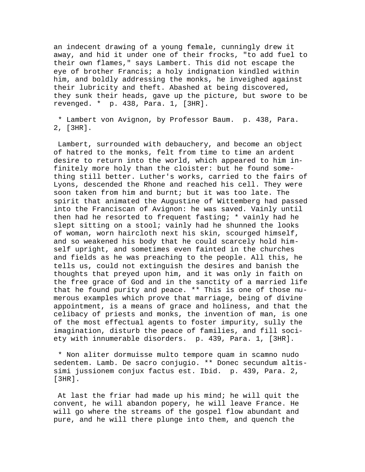an indecent drawing of a young female, cunningly drew it away, and hid it under one of their frocks, "to add fuel to their own flames," says Lambert. This did not escape the eye of brother Francis; a holy indignation kindled within him, and boldly addressing the monks, he inveighed against their lubricity and theft. Abashed at being discovered, they sunk their heads, gave up the picture, but swore to be revenged. \* p. 438, Para. 1, [3HR].

 \* Lambert von Avignon, by Professor Baum. p. 438, Para. 2, [3HR].

 Lambert, surrounded with debauchery, and become an object of hatred to the monks, felt from time to time an ardent desire to return into the world, which appeared to him infinitely more holy than the cloister: but he found something still better. Luther's works, carried to the fairs of Lyons, descended the Rhone and reached his cell. They were soon taken from him and burnt; but it was too late. The spirit that animated the Augustine of Wittemberg had passed into the Franciscan of Avignon: he was saved. Vainly until then had he resorted to frequent fasting; \* vainly had he slept sitting on a stool; vainly had he shunned the looks of woman, worn haircloth next his skin, scourged himself, and so weakened his body that he could scarcely hold himself upright, and sometimes even fainted in the churches and fields as he was preaching to the people. All this, he tells us, could not extinguish the desires and banish the thoughts that preyed upon him, and it was only in faith on the free grace of God and in the sanctity of a married life that he found purity and peace. \*\* This is one of those numerous examples which prove that marriage, being of divine appointment, is a means of grace and holiness, and that the celibacy of priests and monks, the invention of man, is one of the most effectual agents to foster impurity, sully the imagination, disturb the peace of families, and fill society with innumerable disorders. p. 439, Para. 1, [3HR].

 \* Non aliter dormuisse multo tempore quam in scamno nudo sedentem. Lamb. De sacro conjugio. \*\* Donec secundum altissimi jussionem conjux factus est. Ibid. p. 439, Para. 2, [3HR].

 At last the friar had made up his mind; he will quit the convent, he will abandon popery, he will leave France. He will go where the streams of the gospel flow abundant and pure, and he will there plunge into them, and quench the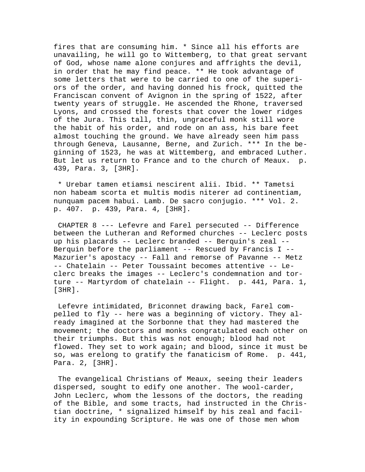fires that are consuming him. \* Since all his efforts are unavailing, he will go to Wittemberg, to that great servant of God, whose name alone conjures and affrights the devil, in order that he may find peace. \*\* He took advantage of some letters that were to be carried to one of the superiors of the order, and having donned his frock, quitted the Franciscan convent of Avignon in the spring of 1522, after twenty years of struggle. He ascended the Rhone, traversed Lyons, and crossed the forests that cover the lower ridges of the Jura. This tall, thin, ungraceful monk still wore the habit of his order, and rode on an ass, his bare feet almost touching the ground. We have already seen him pass through Geneva, Lausanne, Berne, and Zurich. \*\*\* In the beginning of 1523, he was at Wittemberg, and embraced Luther. But let us return to France and to the church of Meaux. p. 439, Para. 3, [3HR].

 \* Urebar tamen etiamsi nescirent alii. Ibid. \*\* Tametsi non habeam scorta et multis modis niterer ad continentiam, nunquam pacem habui. Lamb. De sacro conjugio. \*\*\* Vol. 2. p. 407. p. 439, Para. 4, [3HR].

 CHAPTER 8 --- Lefevre and Farel persecuted -- Difference between the Lutheran and Reformed churches -- Leclerc posts up his placards -- Leclerc branded -- Berquin's zeal -- Berquin before the parliament  $-$ - Rescued by Francis I  $-$ -Mazurier's apostacy -- Fall and remorse of Pavanne -- Metz -- Chatelain -- Peter Toussaint becomes attentive -- Leclerc breaks the images -- Leclerc's condemnation and torture -- Martyrdom of chatelain -- Flight. p. 441, Para. 1, [3HR].

 Lefevre intimidated, Briconnet drawing back, Farel compelled to fly -- here was a beginning of victory. They already imagined at the Sorbonne that they had mastered the movement; the doctors and monks congratulated each other on their triumphs. But this was not enough; blood had not flowed. They set to work again; and blood, since it must be so, was erelong to gratify the fanaticism of Rome. p. 441, Para. 2, [3HR].

 The evangelical Christians of Meaux, seeing their leaders dispersed, sought to edify one another. The wool-carder, John Leclerc, whom the lessons of the doctors, the reading of the Bible, and some tracts, had instructed in the Christian doctrine, \* signalized himself by his zeal and facility in expounding Scripture. He was one of those men whom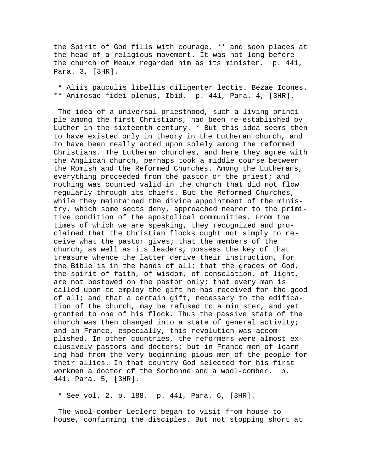the Spirit of God fills with courage, \*\* and soon places at the head of a religious movement. It was not long before the church of Meaux regarded him as its minister. p. 441, Para. 3, [3HR].

 \* Aliis pauculis libellis diligenter lectis. Bezae Icones. \*\* Animosae fidei plenus, Ibid. p. 441, Para. 4, [3HR].

 The idea of a universal priesthood, such a living principle among the first Christians, had been re-established by Luther in the sixteenth century. \* But this idea seems then to have existed only in theory in the Lutheran church, and to have been really acted upon solely among the reformed Christians. The Lutheran churches, and here they agree with the Anglican church, perhaps took a middle course between the Romish and the Reformed Churches. Among the Lutherans, everything proceeded from the pastor or the priest; and nothing was counted valid in the church that did not flow regularly through its chiefs. But the Reformed Churches, while they maintained the divine appointment of the ministry, which some sects deny, approached nearer to the primitive condition of the apostolical communities. From the times of which we are speaking, they recognized and proclaimed that the Christian flocks ought not simply to receive what the pastor gives; that the members of the church, as well as its leaders, possess the key of that treasure whence the latter derive their instruction, for the Bible is in the hands of all; that the graces of God, the spirit of faith, of wisdom, of consolation, of light, are not bestowed on the pastor only; that every man is called upon to employ the gift he has received for the good of all; and that a certain gift, necessary to the edification of the church, may be refused to a minister, and yet granted to one of his flock. Thus the passive state of the church was then changed into a state of general activity; and in France, especially, this revolution was accomplished. In other countries, the reformers were almost exclusively pastors and doctors; but in France men of learning had from the very beginning pious men of the people for their allies. In that country God selected for his first workmen a doctor of the Sorbonne and a wool-comber. p. 441, Para. 5, [3HR].

\* See vol. 2. p. 188. p. 441, Para. 6, [3HR].

 The wool-comber Leclerc began to visit from house to house, confirming the disciples. But not stopping short at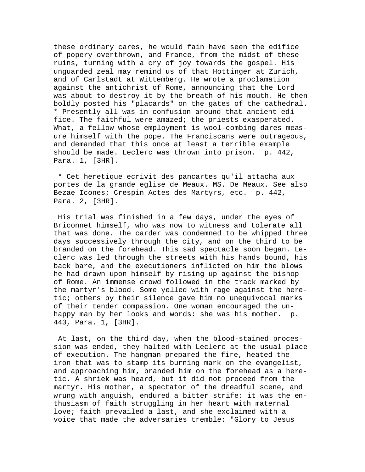these ordinary cares, he would fain have seen the edifice of popery overthrown, and France, from the midst of these ruins, turning with a cry of joy towards the gospel. His unguarded zeal may remind us of that Hottinger at Zurich, and of Carlstadt at Wittemberg. He wrote a proclamation against the antichrist of Rome, announcing that the Lord was about to destroy it by the breath of his mouth. He then boldly posted his "placards" on the gates of the cathedral. \* Presently all was in confusion around that ancient edifice. The faithful were amazed; the priests exasperated. What, a fellow whose employment is wool-combing dares measure himself with the pope. The Franciscans were outrageous, and demanded that this once at least a terrible example should be made. Leclerc was thrown into prison. p. 442, Para. 1, [3HR].

 \* Cet heretique ecrivit des pancartes qu'il attacha aux portes de la grande eglise de Meaux. MS. De Meaux. See also Bezae Icones; Crespin Actes des Martyrs, etc. p. 442, Para. 2, [3HR].

 His trial was finished in a few days, under the eyes of Briconnet himself, who was now to witness and tolerate all that was done. The carder was condemned to be whipped three days successively through the city, and on the third to be branded on the forehead. This sad spectacle soon began. Leclerc was led through the streets with his hands bound, his back bare, and the executioners inflicted on him the blows he had drawn upon himself by rising up against the bishop of Rome. An immense crowd followed in the track marked by the martyr's blood. Some yelled with rage against the heretic; others by their silence gave him no unequivocal marks of their tender compassion. One woman encouraged the unhappy man by her looks and words: she was his mother. p. 443, Para. 1, [3HR].

 At last, on the third day, when the blood-stained procession was ended, they halted with Leclerc at the usual place of execution. The hangman prepared the fire, heated the iron that was to stamp its burning mark on the evangelist, and approaching him, branded him on the forehead as a heretic. A shriek was heard, but it did not proceed from the martyr. His mother, a spectator of the dreadful scene, and wrung with anguish, endured a bitter strife: it was the enthusiasm of faith struggling in her heart with maternal love; faith prevailed a last, and she exclaimed with a voice that made the adversaries tremble: "Glory to Jesus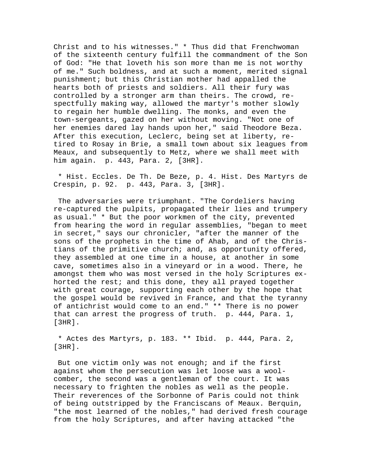Christ and to his witnesses." \* Thus did that Frenchwoman of the sixteenth century fulfill the commandment of the Son of God: "He that loveth his son more than me is not worthy of me." Such boldness, and at such a moment, merited signal punishment; but this Christian mother had appalled the hearts both of priests and soldiers. All their fury was controlled by a stronger arm than theirs. The crowd, respectfully making way, allowed the martyr's mother slowly to regain her humble dwelling. The monks, and even the town-sergeants, gazed on her without moving. "Not one of her enemies dared lay hands upon her," said Theodore Beza. After this execution, Leclerc, being set at liberty, retired to Rosay in Brie, a small town about six leagues from Meaux, and subsequently to Metz, where we shall meet with him again. p. 443, Para. 2, [3HR].

 \* Hist. Eccles. De Th. De Beze, p. 4. Hist. Des Martyrs de Crespin, p. 92. p. 443, Para. 3, [3HR].

 The adversaries were triumphant. "The Cordeliers having re-captured the pulpits, propagated their lies and trumpery as usual." \* But the poor workmen of the city, prevented from hearing the word in regular assemblies, "began to meet in secret," says our chronicler, "after the manner of the sons of the prophets in the time of Ahab, and of the Christians of the primitive church; and, as opportunity offered, they assembled at one time in a house, at another in some cave, sometimes also in a vineyard or in a wood. There, he amongst them who was most versed in the holy Scriptures exhorted the rest; and this done, they all prayed together with great courage, supporting each other by the hope that the gospel would be revived in France, and that the tyranny of antichrist would come to an end." \*\* There is no power that can arrest the progress of truth. p. 444, Para. 1, [3HR].

 \* Actes des Martyrs, p. 183. \*\* Ibid. p. 444, Para. 2, [3HR].

 But one victim only was not enough; and if the first against whom the persecution was let loose was a woolcomber, the second was a gentleman of the court. It was necessary to frighten the nobles as well as the people. Their reverences of the Sorbonne of Paris could not think of being outstripped by the Franciscans of Meaux. Berquin, "the most learned of the nobles," had derived fresh courage from the holy Scriptures, and after having attacked "the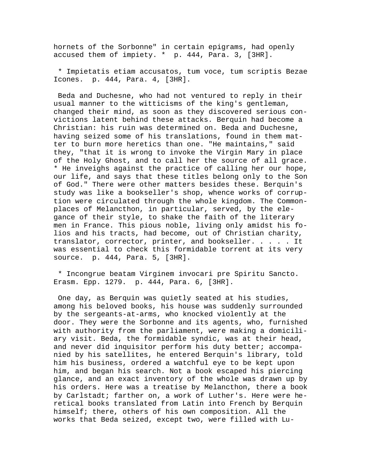hornets of the Sorbonne" in certain epigrams, had openly accused them of impiety. \* p. 444, Para. 3, [3HR].

 \* Impietatis etiam accusatos, tum voce, tum scriptis Bezae Icones. p. 444, Para. 4, [3HR].

 Beda and Duchesne, who had not ventured to reply in their usual manner to the witticisms of the king's gentleman, changed their mind, as soon as they discovered serious convictions latent behind these attacks. Berquin had become a Christian: his ruin was determined on. Beda and Duchesne, having seized some of his translations, found in them matter to burn more heretics than one. "He maintains," said they, "that it is wrong to invoke the Virgin Mary in place of the Holy Ghost, and to call her the source of all grace. \* He inveighs against the practice of calling her our hope, our life, and says that these titles belong only to the Son of God." There were other matters besides these. Berquin's study was like a bookseller's shop, whence works of corruption were circulated through the whole kingdom. The Commonplaces of Melancthon, in particular, served, by the elegance of their style, to shake the faith of the literary men in France. This pious noble, living only amidst his folios and his tracts, had become, out of Christian charity, translator, corrector, printer, and bookseller. . . . . It was essential to check this formidable torrent at its very source. p. 444, Para. 5, [3HR].

 \* Incongrue beatam Virginem invocari pre Spiritu Sancto. Erasm. Epp. 1279. p. 444, Para. 6, [3HR].

 One day, as Berquin was quietly seated at his studies, among his beloved books, his house was suddenly surrounded by the sergeants-at-arms, who knocked violently at the door. They were the Sorbonne and its agents, who, furnished with authority from the parliament, were making a domiciliary visit. Beda, the formidable syndic, was at their head, and never did inquisitor perform his duty better; accompanied by his satellites, he entered Berquin's library, told him his business, ordered a watchful eye to be kept upon him, and began his search. Not a book escaped his piercing glance, and an exact inventory of the whole was drawn up by his orders. Here was a treatise by Melancthon, there a book by Carlstadt; farther on, a work of Luther's. Here were heretical books translated from Latin into French by Berquin himself; there, others of his own composition. All the works that Beda seized, except two, were filled with Lu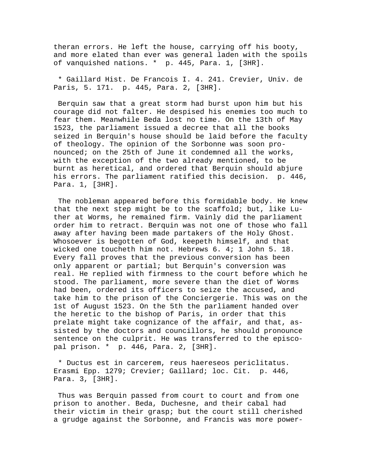theran errors. He left the house, carrying off his booty, and more elated than ever was general laden with the spoils of vanquished nations. \* p. 445, Para. 1, [3HR].

 \* Gaillard Hist. De Francois I. 4. 241. Crevier, Univ. de Paris, 5. 171. p. 445, Para. 2, [3HR].

 Berquin saw that a great storm had burst upon him but his courage did not falter. He despised his enemies too much to fear them. Meanwhile Beda lost no time. On the 13th of May 1523, the parliament issued a decree that all the books seized in Berquin's house should be laid before the faculty of theology. The opinion of the Sorbonne was soon pronounced; on the 25th of June it condemned all the works, with the exception of the two already mentioned, to be burnt as heretical, and ordered that Berquin should abjure his errors. The parliament ratified this decision. p. 446, Para. 1, [3HR].

 The nobleman appeared before this formidable body. He knew that the next step might be to the scaffold; but, like Luther at Worms, he remained firm. Vainly did the parliament order him to retract. Berquin was not one of those who fall away after having been made partakers of the Holy Ghost. Whosoever is begotten of God, keepeth himself, and that wicked one toucheth him not. Hebrews 6. 4; 1 John 5. 18. Every fall proves that the previous conversion has been only apparent or partial; but Berquin's conversion was real. He replied with firmness to the court before which he stood. The parliament, more severe than the diet of Worms had been, ordered its officers to seize the accused, and take him to the prison of the Conciergerie. This was on the 1st of August 1523. On the 5th the parliament handed over the heretic to the bishop of Paris, in order that this prelate might take cognizance of the affair, and that, assisted by the doctors and councillors, he should pronounce sentence on the culprit. He was transferred to the episcopal prison. \* p. 446, Para. 2, [3HR].

 \* Ductus est in carcerem, reus haereseos periclitatus. Erasmi Epp. 1279; Crevier; Gaillard; loc. Cit. p. 446, Para. 3, [3HR].

 Thus was Berquin passed from court to court and from one prison to another. Beda, Duchesne, and their cabal had their victim in their grasp; but the court still cherished a grudge against the Sorbonne, and Francis was more power-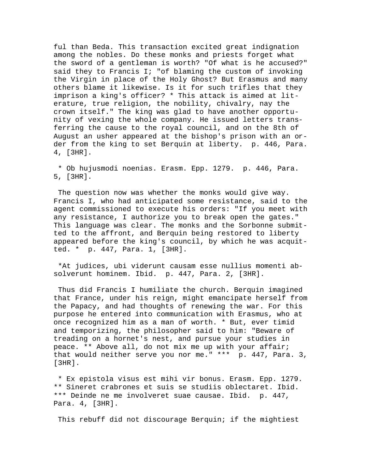ful than Beda. This transaction excited great indignation among the nobles. Do these monks and priests forget what the sword of a gentleman is worth? "Of what is he accused?" said they to Francis I; "of blaming the custom of invoking the Virgin in place of the Holy Ghost? But Erasmus and many others blame it likewise. Is it for such trifles that they imprison a king's officer? \* This attack is aimed at literature, true religion, the nobility, chivalry, nay the crown itself." The king was glad to have another opportunity of vexing the whole company. He issued letters transferring the cause to the royal council, and on the 8th of August an usher appeared at the bishop's prison with an order from the king to set Berquin at liberty. p. 446, Para. 4, [3HR].

 \* Ob hujusmodi noenias. Erasm. Epp. 1279. p. 446, Para. 5, [3HR].

 The question now was whether the monks would give way. Francis I, who had anticipated some resistance, said to the agent commissioned to execute his orders: "If you meet with any resistance, I authorize you to break open the gates." This language was clear. The monks and the Sorbonne submitted to the affront, and Berquin being restored to liberty appeared before the king's council, by which he was acquitted. \* p. 447, Para. 1, [3HR].

 \*At judices, ubi viderunt causam esse nullius momenti absolverunt hominem. Ibid. p. 447, Para. 2, [3HR].

 Thus did Francis I humiliate the church. Berquin imagined that France, under his reign, might emancipate herself from the Papacy, and had thoughts of renewing the war. For this purpose he entered into communication with Erasmus, who at once recognized him as a man of worth. \* But, ever timid and temporizing, the philosopher said to him: "Beware of treading on a hornet's nest, and pursue your studies in peace. \*\* Above all, do not mix me up with your affair; that would neither serve you nor me." \*\*\* p. 447, Para. 3, [3HR].

 \* Ex epistola visus est mihi vir bonus. Erasm. Epp. 1279. \*\* Sineret crabrones et suis se studiis oblectaret. Ibid. \*\*\* Deinde ne me involveret suae causae. Ibid. p. 447, Para. 4, [3HR].

This rebuff did not discourage Berquin; if the mightiest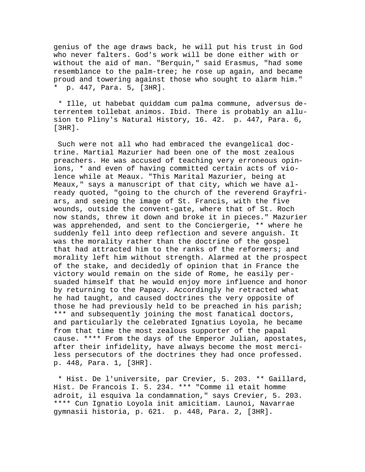genius of the age draws back, he will put his trust in God who never falters. God's work will be done either with or without the aid of man. "Berquin," said Erasmus, "had some resemblance to the palm-tree; he rose up again, and became proud and towering against those who sought to alarm him." \* p. 447, Para. 5, [3HR].

 \* Ille, ut habebat quiddam cum palma commune, adversus deterrentem tollebat animos. Ibid. There is probably an allusion to Pliny's Natural History, 16. 42. p. 447, Para. 6, [3HR].

 Such were not all who had embraced the evangelical doctrine. Martial Mazurier had been one of the most zealous preachers. He was accused of teaching very erroneous opinions, \* and even of having committed certain acts of violence while at Meaux. "This Marital Mazurier, being at Meaux," says a manuscript of that city, which we have already quoted, "going to the church of the reverend Grayfriars, and seeing the image of St. Francis, with the five wounds, outside the convent-gate, where that of St. Roch now stands, threw it down and broke it in pieces." Mazurier was apprehended, and sent to the Conciergerie, \*\* where he suddenly fell into deep reflection and severe anguish. It was the morality rather than the doctrine of the gospel that had attracted him to the ranks of the reformers; and morality left him without strength. Alarmed at the prospect of the stake, and decidedly of opinion that in France the victory would remain on the side of Rome, he easily persuaded himself that he would enjoy more influence and honor by returning to the Papacy. Accordingly he retracted what he had taught, and caused doctrines the very opposite of those he had previously held to be preached in his parish; \*\*\* and subsequently joining the most fanatical doctors, and particularly the celebrated Ignatius Loyola, he became from that time the most zealous supporter of the papal cause. \*\*\*\* From the days of the Emperor Julian, apostates, after their infidelity, have always become the most merciless persecutors of the doctrines they had once professed. p. 448, Para. 1, [3HR].

 \* Hist. De l'universite, par Crevier, 5. 203. \*\* Gaillard, Hist. De Francois I. 5. 234. \*\*\* "Comme il etait homme adroit, il esquiva la condamnation," says Crevier, 5. 203. \*\*\*\* Cun Ignatio Loyola init amicitiam. Launoi, Navarrae gymnasii historia, p. 621. p. 448, Para. 2, [3HR].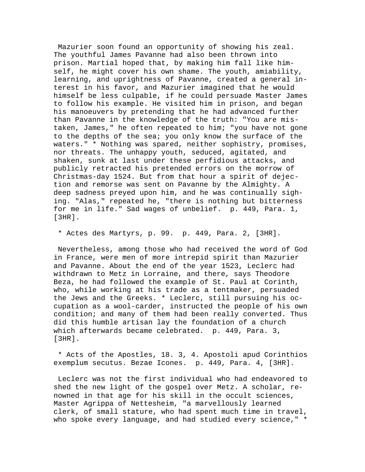Mazurier soon found an opportunity of showing his zeal. The youthful James Pavanne had also been thrown into prison. Martial hoped that, by making him fall like himself, he might cover his own shame. The youth, amiability, learning, and uprightness of Pavanne, created a general interest in his favor, and Mazurier imagined that he would himself be less culpable, if he could persuade Master James to follow his example. He visited him in prison, and began his manoeuvers by pretending that he had advanced further than Pavanne in the knowledge of the truth: "You are mistaken, James," he often repeated to him; "you have not gone to the depths of the sea; you only know the surface of the waters." \* Nothing was spared, neither sophistry, promises, nor threats. The unhappy youth, seduced, agitated, and shaken, sunk at last under these perfidious attacks, and publicly retracted his pretended errors on the morrow of Christmas-day 1524. But from that hour a spirit of dejection and remorse was sent on Pavanne by the Almighty. A deep sadness preyed upon him, and he was continually sighing. "Alas," repeated he, "there is nothing but bitterness for me in life." Sad wages of unbelief. p. 449, Para. 1, [3HR].

## \* Actes des Martyrs, p. 99. p. 449, Para. 2, [3HR].

 Nevertheless, among those who had received the word of God in France, were men of more intrepid spirit than Mazurier and Pavanne. About the end of the year 1523, Leclerc had withdrawn to Metz in Lorraine, and there, says Theodore Beza, he had followed the example of St. Paul at Corinth, who, while working at his trade as a tentmaker, persuaded the Jews and the Greeks. \* Leclerc, still pursuing his occupation as a wool-carder, instructed the people of his own condition; and many of them had been really converted. Thus did this humble artisan lay the foundation of a church which afterwards became celebrated. p. 449, Para. 3, [3HR].

 \* Acts of the Apostles, 18. 3, 4. Apostoli apud Corinthios exemplum secutus. Bezae Icones. p. 449, Para. 4, [3HR].

 Leclerc was not the first individual who had endeavored to shed the new light of the gospel over Metz. A scholar, renowned in that age for his skill in the occult sciences, Master Agrippa of Nettesheim, "a marvellously learned clerk, of small stature, who had spent much time in travel, who spoke every language, and had studied every science," \*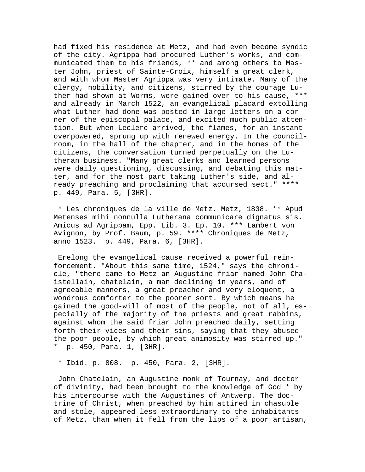had fixed his residence at Metz, and had even become syndic of the city. Agrippa had procured Luther's works, and communicated them to his friends, \*\* and among others to Master John, priest of Sainte-Croix, himself a great clerk, and with whom Master Agrippa was very intimate. Many of the clergy, nobility, and citizens, stirred by the courage Luther had shown at Worms, were gained over to his cause, \*\*\* and already in March 1522, an evangelical placard extolling what Luther had done was posted in large letters on a corner of the episcopal palace, and excited much public attention. But when Leclerc arrived, the flames, for an instant overpowered, sprung up with renewed energy. In the councilroom, in the hall of the chapter, and in the homes of the citizens, the conversation turned perpetually on the Lutheran business. "Many great clerks and learned persons were daily questioning, discussing, and debating this matter, and for the most part taking Luther's side, and already preaching and proclaiming that accursed sect." \*\*\*\* p. 449, Para. 5, [3HR].

 \* Les chroniques de la ville de Metz. Metz, 1838. \*\* Apud Metenses mihi nonnulla Lutherana communicare dignatus sis. Amicus ad Agrippam, Epp. Lib. 3. Ep. 10. \*\*\* Lambert von Avignon, by Prof. Baum, p. 59. \*\*\*\* Chroniques de Metz, anno 1523. p. 449, Para. 6, [3HR].

 Erelong the evangelical cause received a powerful reinforcement. "About this same time, 1524," says the chronicle, "there came to Metz an Augustine friar named John Chaistellain, chatelain, a man declining in years, and of agreeable manners, a great preacher and very eloquent, a wondrous comforter to the poorer sort. By which means he gained the good-will of most of the people, not of all, especially of the majority of the priests and great rabbins, against whom the said friar John preached daily, setting forth their vices and their sins, saying that they abused the poor people, by which great animosity was stirred up." \* p. 450, Para. 1, [3HR].

\* Ibid. p. 808. p. 450, Para. 2, [3HR].

 John Chatelain, an Augustine monk of Tournay, and doctor of divinity, had been brought to the knowledge of God \* by his intercourse with the Augustines of Antwerp. The doctrine of Christ, when preached by him attired in chasuble and stole, appeared less extraordinary to the inhabitants of Metz, than when it fell from the lips of a poor artisan,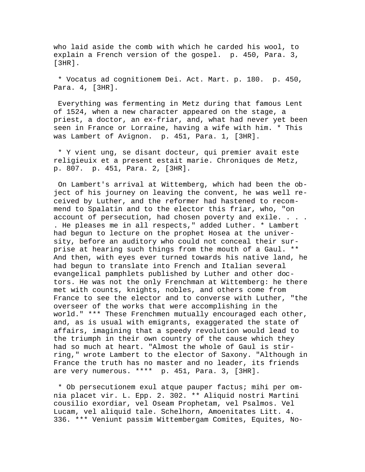who laid aside the comb with which he carded his wool, to explain a French version of the gospel. p. 450, Para. 3, [3HR].

 \* Vocatus ad cognitionem Dei. Act. Mart. p. 180. p. 450, Para. 4, [3HR].

 Everything was fermenting in Metz during that famous Lent of 1524, when a new character appeared on the stage, a priest, a doctor, an ex-friar, and, what had never yet been seen in France or Lorraine, having a wife with him. \* This was Lambert of Avignon. p. 451, Para. 1, [3HR].

 \* Y vient ung, se disant docteur, qui premier avait este religieuix et a present estait marie. Chroniques de Metz, p. 807. p. 451, Para. 2, [3HR].

 On Lambert's arrival at Wittemberg, which had been the object of his journey on leaving the convent, he was well received by Luther, and the reformer had hastened to recommend to Spalatin and to the elector this friar, who, "on account of persecution, had chosen poverty and exile. . . . . He pleases me in all respects," added Luther. \* Lambert had begun to lecture on the prophet Hosea at the university, before an auditory who could not conceal their surprise at hearing such things from the mouth of a Gaul. \*\* And then, with eyes ever turned towards his native land, he had begun to translate into French and Italian several evangelical pamphlets published by Luther and other doctors. He was not the only Frenchman at Wittemberg: he there met with counts, knights, nobles, and others come from France to see the elector and to converse with Luther, "the overseer of the works that were accomplishing in the world." \*\*\* These Frenchmen mutually encouraged each other, and, as is usual with emigrants, exaggerated the state of affairs, imagining that a speedy revolution would lead to the triumph in their own country of the cause which they had so much at heart. "Almost the whole of Gaul is stirring," wrote Lambert to the elector of Saxony. "Although in France the truth has no master and no leader, its friends are very numerous. \*\*\*\* p. 451, Para. 3, [3HR].

 \* Ob persecutionem exul atque pauper factus; mihi per omnia placet vir. L. Epp. 2. 302. \*\* Aliquid nostri Martini cousilio exordiar, vel Oseam Prophetam, vel Psalmos. Vel Lucam, vel aliquid tale. Schelhorn, Amoenitates Litt. 4. 336. \*\*\* Veniunt passim Wittembergam Comites, Equites, No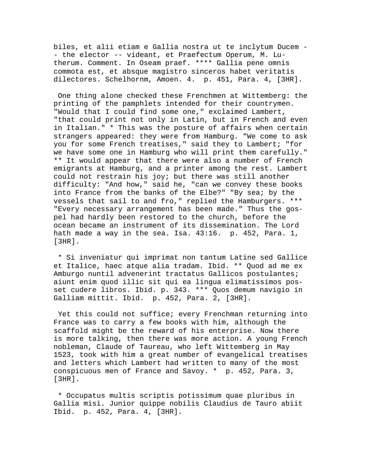biles, et alii etiam e Gallia nostra ut te inclytum Ducem - - the elector -- videant, et Praefectum Operum, M. Lutherum. Comment. In Oseam praef. \*\*\*\* Gallia pene omnis commota est, et absque magistro sinceros habet veritatis dilectores. Schelhornm, Amoen. 4. p. 451, Para. 4, [3HR].

 One thing alone checked these Frenchmen at Wittemberg: the printing of the pamphlets intended for their countrymen. "Would that I could find some one," exclaimed Lambert, "that could print not only in Latin, but in French and even in Italian." \* This was the posture of affairs when certain strangers appeared: they were from Hamburg. "We come to ask you for some French treatises," said they to Lambert; "for we have some one in Hamburg who will print them carefully." \*\* It would appear that there were also a number of French emigrants at Hamburg, and a printer among the rest. Lambert could not restrain his joy; but there was still another difficulty: "And how," said he, "can we convey these books into France from the banks of the Elbe?" "By sea; by the vessels that sail to and fro," replied the Hamburgers. \*\*\* "Every necessary arrangement has been made." Thus the gospel had hardly been restored to the church, before the ocean became an instrument of its dissemination. The Lord hath made a way in the sea. Isa. 43:16. p. 452, Para. 1, [3HR].

 \* Si inveniatur qui imprimat non tantum Latine sed Gallice et Italice, haec atque alia tradam. Ibid. \*\* Quod ad me ex Amburgo nuntil advenerint tractatus Gallicos postulantes; aiunt enim quod illic sit qui ea lingua elimatissimos posset cudere libros. Ibid. p. 343. \*\*\* Quos demum navigio in Galliam mittit. Ibid. p. 452, Para. 2, [3HR].

 Yet this could not suffice; every Frenchman returning into France was to carry a few books with him, although the scaffold might be the reward of his enterprise. Now there is more talking, then there was more action. A young French nobleman, Claude of Taureau, who left Wittemberg in May 1523, took with him a great number of evangelical treatises and letters which Lambert had written to many of the most conspicuous men of France and Savoy. \* p. 452, Para. 3, [3HR].

 \* Occupatus multis scriptis potissimum quae pluribus in Gallia misi. Junior quippe nobilis Claudius de Tauro abiit Ibid. p. 452, Para. 4, [3HR].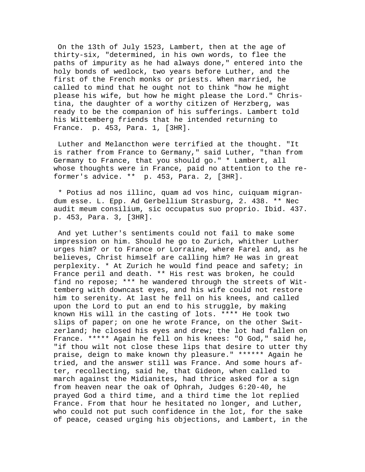On the 13th of July 1523, Lambert, then at the age of thirty-six, "determined, in his own words, to flee the paths of impurity as he had always done," entered into the holy bonds of wedlock, two years before Luther, and the first of the French monks or priests. When married, he called to mind that he ought not to think "how he might please his wife, but how he might please the Lord." Christina, the daughter of a worthy citizen of Herzberg, was ready to be the companion of his sufferings. Lambert told his Wittemberg friends that he intended returning to France. p. 453, Para. 1, [3HR].

 Luther and Melancthon were terrified at the thought. "It is rather from France to Germany," said Luther, "than from Germany to France, that you should go." \* Lambert, all whose thoughts were in France, paid no attention to the reformer's advice. \*\* p. 453, Para. 2, [3HR].

 \* Potius ad nos illinc, quam ad vos hinc, cuiquam migrandum esse. L. Epp. Ad Gerbellium Strasburg, 2. 438. \*\* Nec audit meum consilium, sic occupatus suo proprio. Ibid. 437. p. 453, Para. 3, [3HR].

 And yet Luther's sentiments could not fail to make some impression on him. Should he go to Zurich, whither Luther urges him? or to France or Lorraine, where Farel and, as he believes, Christ himself are calling him? He was in great perplexity. \* At Zurich he would find peace and safety; in France peril and death. \*\* His rest was broken, he could find no repose; \*\*\* he wandered through the streets of Wittemberg with downcast eyes, and his wife could not restore him to serenity. At last he fell on his knees, and called upon the Lord to put an end to his struggle, by making known His will in the casting of lots. \*\*\*\* He took two slips of paper; on one he wrote France, on the other Switzerland; he closed his eyes and drew; the lot had fallen on France. \*\*\*\*\* Again he fell on his knees: "O God," said he, "if thou wilt not close these lips that desire to utter thy praise, deign to make known thy pleasure." \*\*\*\*\*\* Again he tried, and the answer still was France. And some hours after, recollecting, said he, that Gideon, when called to march against the Midianites, had thrice asked for a sign from heaven near the oak of Ophrah, Judges 6:20-40, he prayed God a third time, and a third time the lot replied France. From that hour he hesitated no longer, and Luther, who could not put such confidence in the lot, for the sake of peace, ceased urging his objections, and Lambert, in the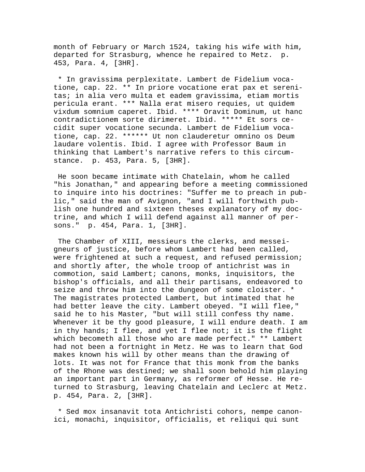month of February or March 1524, taking his wife with him, departed for Strasburg, whence he repaired to Metz. p. 453, Para. 4, [3HR].

 \* In gravissima perplexitate. Lambert de Fidelium vocatione, cap. 22. \*\* In priore vocatione erat pax et serenitas; in alia vero multa et eadem gravissima, etiam mortis pericula erant. \*\*\* Nalla erat misero requies, ut quidem vixdum somnium caperet. Ibid. \*\*\*\* Oravit Dominum, ut hanc contradictionem sorte dirimeret. Ibid. \*\*\*\*\* Et sors cecidit super vocatione secunda. Lambert de Fidelium vocatione, cap. 22. \*\*\*\*\*\* Ut non clauderetur omnino os Deum laudare volentis. Ibid. I agree with Professor Baum in thinking that Lambert's narrative refers to this circumstance. p. 453, Para. 5, [3HR].

 He soon became intimate with Chatelain, whom he called "his Jonathan," and appearing before a meeting commissioned to inquire into his doctrines: "Suffer me to preach in public," said the man of Avignon, "and I will forthwith publish one hundred and sixteen theses explanatory of my doctrine, and which I will defend against all manner of persons." p. 454, Para. 1, [3HR].

 The Chamber of XIII, messieurs the clerks, and messeigneurs of justice, before whom Lambert had been called, were frightened at such a request, and refused permission; and shortly after, the whole troop of antichrist was in commotion, said Lambert; canons, monks, inquisitors, the bishop's officials, and all their partisans, endeavored to seize and throw him into the dungeon of some cloister. \* The magistrates protected Lambert, but intimated that he had better leave the city. Lambert obeyed. "I will flee," said he to his Master, "but will still confess thy name. Whenever it be thy good pleasure, I will endure death. I am in thy hands; I flee, and yet I flee not; it is the flight which becometh all those who are made perfect." \*\* Lambert had not been a fortnight in Metz. He was to learn that God makes known his will by other means than the drawing of lots. It was not for France that this monk from the banks of the Rhone was destined; we shall soon behold him playing an important part in Germany, as reformer of Hesse. He returned to Strasburg, leaving Chatelain and Leclerc at Metz. p. 454, Para. 2, [3HR].

 \* Sed mox insanavit tota Antichristi cohors, nempe canonici, monachi, inquisitor, officialis, et reliqui qui sunt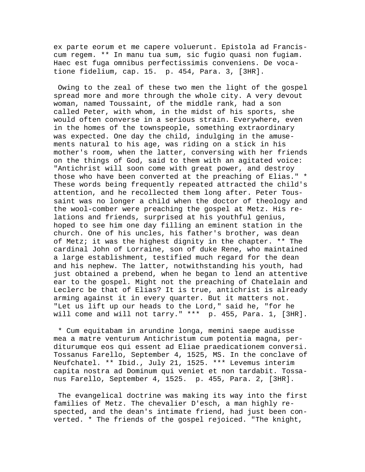ex parte eorum et me capere voluerunt. Epistola ad Franciscum regem. \*\* In manu tua sum, sic fugio quasi non fugiam. Haec est fuga omnibus perfectissimis conveniens. De vocatione fidelium, cap. 15. p. 454, Para. 3, [3HR].

 Owing to the zeal of these two men the light of the gospel spread more and more through the whole city. A very devout woman, named Toussaint, of the middle rank, had a son called Peter, with whom, in the midst of his sports, she would often converse in a serious strain. Everywhere, even in the homes of the townspeople, something extraordinary was expected. One day the child, indulging in the amusements natural to his age, was riding on a stick in his mother's room, when the latter, conversing with her friends on the things of God, said to them with an agitated voice: "Antichrist will soon come with great power, and destroy those who have been converted at the preaching of Elias." \* These words being frequently repeated attracted the child's attention, and he recollected them long after. Peter Toussaint was no longer a child when the doctor of theology and the wool-comber were preaching the gospel at Metz. His relations and friends, surprised at his youthful genius, hoped to see him one day filling an eminent station in the church. One of his uncles, his father's brother, was dean of Metz; it was the highest dignity in the chapter. \*\* The cardinal John of Lorraine, son of duke Rene, who maintained a large establishment, testified much regard for the dean and his nephew. The latter, notwithstanding his youth, had just obtained a prebend, when he began to lend an attentive ear to the gospel. Might not the preaching of Chatelain and Leclerc be that of Elias? It is true, antichrist is already arming against it in every quarter. But it matters not. "Let us lift up our heads to the Lord," said he, "for he will come and will not tarry." \*\*\* p. 455, Para. 1, [3HR].

 \* Cum equitabam in arundine longa, memini saepe audisse mea a matre venturum Antichristum cum potentia magna, perditurumque eos qui essent ad Eliae praedicationem conversi. Tossanus Farello, September 4, 1525, MS. In the conclave of Neufchatel. \*\* Ibid., July 21, 1525. \*\*\* Levemus interim capita nostra ad Dominum qui veniet et non tardabit. Tossanus Farello, September 4, 1525. p. 455, Para. 2, [3HR].

 The evangelical doctrine was making its way into the first families of Metz. The chevalier D'esch, a man highly respected, and the dean's intimate friend, had just been converted. \* The friends of the gospel rejoiced. "The knight,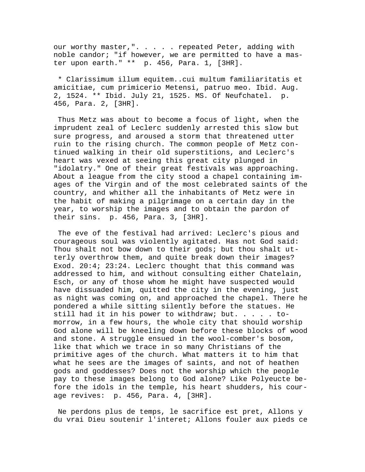our worthy master,". . . . repeated Peter, adding with noble candor; "if however, we are permitted to have a master upon earth." \*\* p. 456, Para. 1, [3HR].

 \* Clarissimum illum equitem..cui multum familiaritatis et amicitiae, cum primicerio Metensi, patruo meo. Ibid. Aug. 2, 1524. \*\* Ibid. July 21, 1525. MS. Of Neufchatel. p. 456, Para. 2, [3HR].

 Thus Metz was about to become a focus of light, when the imprudent zeal of Leclerc suddenly arrested this slow but sure progress, and aroused a storm that threatened utter ruin to the rising church. The common people of Metz continued walking in their old superstitions, and Leclerc's heart was vexed at seeing this great city plunged in "idolatry." One of their great festivals was approaching. About a league from the city stood a chapel containing images of the Virgin and of the most celebrated saints of the country, and whither all the inhabitants of Metz were in the habit of making a pilgrimage on a certain day in the year, to worship the images and to obtain the pardon of their sins. p. 456, Para. 3, [3HR].

 The eve of the festival had arrived: Leclerc's pious and courageous soul was violently agitated. Has not God said: Thou shalt not bow down to their gods; but thou shalt utterly overthrow them, and quite break down their images? Exod. 20:4; 23:24. Leclerc thought that this command was addressed to him, and without consulting either Chatelain, Esch, or any of those whom he might have suspected would have dissuaded him, quitted the city in the evening, just as night was coming on, and approached the chapel. There he pondered a while sitting silently before the statues. He still had it in his power to withdraw; but. . . . . tomorrow, in a few hours, the whole city that should worship God alone will be kneeling down before these blocks of wood and stone. A struggle ensued in the wool-comber's bosom, like that which we trace in so many Christians of the primitive ages of the church. What matters it to him that what he sees are the images of saints, and not of heathen gods and goddesses? Does not the worship which the people pay to these images belong to God alone? Like Polyeucte before the idols in the temple, his heart shudders, his courage revives: p. 456, Para. 4, [3HR].

 Ne perdons plus de temps, le sacrifice est pret, Allons y du vrai Dieu soutenir l'interet; Allons fouler aux pieds ce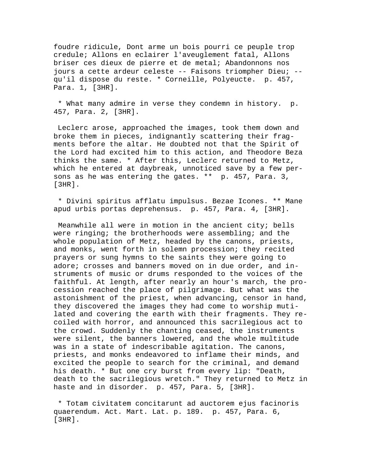foudre ridicule, Dont arme un bois pourri ce peuple trop credule; Allons en eclairer l'aveuglement fatal, Allons briser ces dieux de pierre et de metal; Abandonnons nos jours a cette ardeur celeste -- Faisons triompher Dieu; - qu'il dispose du reste. \* Corneille, Polyeucte. p. 457, Para. 1, [3HR].

 \* What many admire in verse they condemn in history. p. 457, Para. 2, [3HR].

 Leclerc arose, approached the images, took them down and broke them in pieces, indignantly scattering their fragments before the altar. He doubted not that the Spirit of the Lord had excited him to this action, and Theodore Beza thinks the same. \* After this, Leclerc returned to Metz, which he entered at daybreak, unnoticed save by a few persons as he was entering the gates. \*\* p. 457, Para. 3, [3HR].

 \* Divini spiritus afflatu impulsus. Bezae Icones. \*\* Mane apud urbis portas deprehensus. p. 457, Para. 4, [3HR].

 Meanwhile all were in motion in the ancient city; bells were ringing; the brotherhoods were assembling; and the whole population of Metz, headed by the canons, priests, and monks, went forth in solemn procession; they recited prayers or sung hymns to the saints they were going to adore; crosses and banners moved on in due order, and instruments of music or drums responded to the voices of the faithful. At length, after nearly an hour's march, the procession reached the place of pilgrimage. But what was the astonishment of the priest, when advancing, censor in hand, they discovered the images they had come to worship mutilated and covering the earth with their fragments. They recoiled with horror, and announced this sacrilegious act to the crowd. Suddenly the chanting ceased, the instruments were silent, the banners lowered, and the whole multitude was in a state of indescribable agitation. The canons, priests, and monks endeavored to inflame their minds, and excited the people to search for the criminal, and demand his death. \* But one cry burst from every lip: "Death, death to the sacrilegious wretch." They returned to Metz in haste and in disorder. p. 457, Para. 5, [3HR].

 \* Totam civitatem concitarunt ad auctorem ejus facinoris quaerendum. Act. Mart. Lat. p. 189. p. 457, Para. 6, [3HR].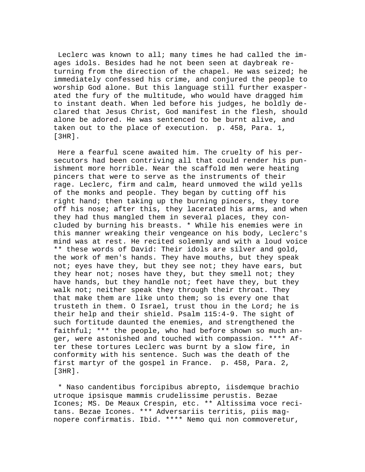Leclerc was known to all; many times he had called the images idols. Besides had he not been seen at daybreak returning from the direction of the chapel. He was seized; he immediately confessed his crime, and conjured the people to worship God alone. But this language still further exasperated the fury of the multitude, who would have dragged him to instant death. When led before his judges, he boldly declared that Jesus Christ, God manifest in the flesh, should alone be adored. He was sentenced to be burnt alive, and taken out to the place of execution. p. 458, Para. 1, [3HR].

 Here a fearful scene awaited him. The cruelty of his persecutors had been contriving all that could render his punishment more horrible. Near the scaffold men were heating pincers that were to serve as the instruments of their rage. Leclerc, firm and calm, heard unmoved the wild yells of the monks and people. They began by cutting off his right hand; then taking up the burning pincers, they tore off his nose; after this, they lacerated his arms, and when they had thus mangled them in several places, they concluded by burning his breasts. \* While his enemies were in this manner wreaking their vengeance on his body, Leclerc's mind was at rest. He recited solemnly and with a loud voice \*\* these words of David: Their idols are silver and gold, the work of men's hands. They have mouths, but they speak not; eyes have they, but they see not; they have ears, but they hear not; noses have they, but they smell not; they have hands, but they handle not; feet have they, but they walk not; neither speak they through their throat. They that make them are like unto them; so is every one that trusteth in them. O Israel, trust thou in the Lord; he is their help and their shield. Psalm 115:4-9. The sight of such fortitude daunted the enemies, and strengthened the faithful; \*\*\* the people, who had before shown so much anger, were astonished and touched with compassion. \*\*\*\* After these tortures Leclerc was burnt by a slow fire, in conformity with his sentence. Such was the death of the first martyr of the gospel in France. p. 458, Para. 2, [3HR].

 \* Naso candentibus forcipibus abrepto, iisdemque brachio utroque ipsisque mammis crudelissime perustis. Bezae Icones; MS. De Meaux Crespin, etc. \*\* Altissima voce recitans. Bezae Icones. \*\*\* Adversariis territis, piis magnopere confirmatis. Ibid. \*\*\*\* Nemo qui non commoveretur,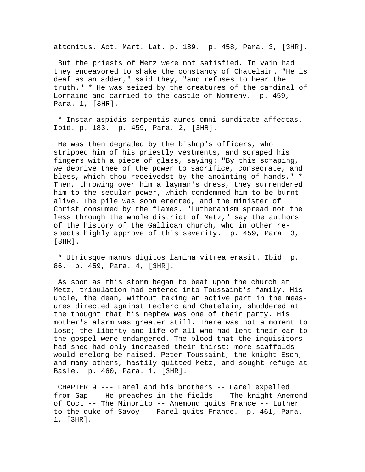attonitus. Act. Mart. Lat. p. 189. p. 458, Para. 3, [3HR].

 But the priests of Metz were not satisfied. In vain had they endeavored to shake the constancy of Chatelain. "He is deaf as an adder," said they, "and refuses to hear the truth." \* He was seized by the creatures of the cardinal of Lorraine and carried to the castle of Nommeny. p. 459, Para. 1, [3HR].

 \* Instar aspidis serpentis aures omni surditate affectas. Ibid. p. 183. p. 459, Para. 2, [3HR].

 He was then degraded by the bishop's officers, who stripped him of his priestly vestments, and scraped his fingers with a piece of glass, saying: "By this scraping, we deprive thee of the power to sacrifice, consecrate, and bless, which thou receivedst by the anointing of hands." \* Then, throwing over him a layman's dress, they surrendered him to the secular power, which condemned him to be burnt alive. The pile was soon erected, and the minister of Christ consumed by the flames. "Lutheranism spread not the less through the whole district of Metz," say the authors of the history of the Gallican church, who in other respects highly approve of this severity. p. 459, Para. 3, [3HR].

 \* Utriusque manus digitos lamina vitrea erasit. Ibid. p. 86. p. 459, Para. 4, [3HR].

 As soon as this storm began to beat upon the church at Metz, tribulation had entered into Toussaint's family. His uncle, the dean, without taking an active part in the measures directed against Leclerc and Chatelain, shuddered at the thought that his nephew was one of their party. His mother's alarm was greater still. There was not a moment to lose; the liberty and life of all who had lent their ear to the gospel were endangered. The blood that the inquisitors had shed had only increased their thirst: more scaffolds would erelong be raised. Peter Toussaint, the knight Esch, and many others, hastily quitted Metz, and sought refuge at Basle. p. 460, Para. 1, [3HR].

 CHAPTER 9 --- Farel and his brothers -- Farel expelled from Gap -- He preaches in the fields -- The knight Anemond of Coct -- The Minorito -- Anemond quits France -- Luther to the duke of Savoy -- Farel quits France. p. 461, Para. 1, [3HR].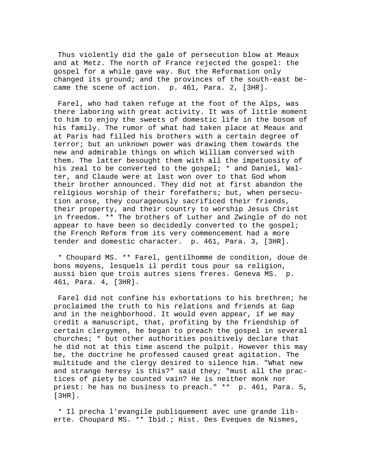Thus violently did the gale of persecution blow at Meaux and at Metz. The north of France rejected the gospel: the gospel for a while gave way. But the Reformation only changed its ground; and the provinces of the south-east became the scene of action. p. 461, Para. 2, [3HR].

 Farel, who had taken refuge at the foot of the Alps, was there laboring with great activity. It was of little moment to him to enjoy the sweets of domestic life in the bosom of his family. The rumor of what had taken place at Meaux and at Paris had filled his brothers with a certain degree of terror; but an unknown power was drawing them towards the new and admirable things on which William conversed with them. The latter besought them with all the impetuosity of his zeal to be converted to the gospel; \* and Daniel, Walter, and Claude were at last won over to that God whom their brother announced. They did not at first abandon the religious worship of their forefathers; but, when persecution arose, they courageously sacrificed their friends, their property, and their country to worship Jesus Christ in freedom. \*\* The brothers of Luther and Zwingle of do not appear to have been so decidedly converted to the gospel; the French Reform from its very commencement had a more tender and domestic character. p. 461, Para. 3, [3HR].

 \* Choupard MS. \*\* Farel, gentilhomme de condition, doue de bons moyens, lesquels il perdit tous pour sa religion, aussi bien que trois autres siens freres. Geneva MS. p. 461, Para. 4, [3HR].

 Farel did not confine his exhortations to his brethren; he proclaimed the truth to his relations and friends at Gap and in the neighborhood. It would even appear, if we may credit a manuscript, that, profiting by the friendship of certain clergymen, he began to preach the gospel in several churches; \* but other authorities positively declare that he did not at this time ascend the pulpit. However this may be, the doctrine he professed caused great agitation. The multitude and the clergy desired to silence him. "What new and strange heresy is this?" said they; "must all the practices of piety be counted vain? He is neither monk nor priest: he has no business to preach." \*\* p. 461, Para. 5, [3HR].

 \* Il precha l'evangile publiquement avec une grande liberte. Choupard MS. \*\* Ibid.; Hist. Des Eveques de Nismes,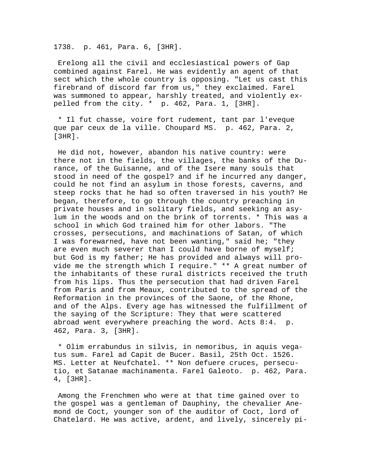1738. p. 461, Para. 6, [3HR].

 Erelong all the civil and ecclesiastical powers of Gap combined against Farel. He was evidently an agent of that sect which the whole country is opposing. "Let us cast this firebrand of discord far from us," they exclaimed. Farel was summoned to appear, harshly treated, and violently expelled from the city. \* p. 462, Para. 1, [3HR].

 \* Il fut chasse, voire fort rudement, tant par l'eveque que par ceux de la ville. Choupard MS. p. 462, Para. 2, [3HR].

 He did not, however, abandon his native country: were there not in the fields, the villages, the banks of the Durance, of the Guisanne, and of the Isere many souls that stood in need of the gospel? and if he incurred any danger, could he not find an asylum in those forests, caverns, and steep rocks that he had so often traversed in his youth? He began, therefore, to go through the country preaching in private houses and in solitary fields, and seeking an asylum in the woods and on the brink of torrents. \* This was a school in which God trained him for other labors. "The crosses, persecutions, and machinations of Satan, of which I was forewarned, have not been wanting," said he; "they are even much severer than I could have borne of myself; but God is my father; He has provided and always will provide me the strength which I require." \*\* A great number of the inhabitants of these rural districts received the truth from his lips. Thus the persecution that had driven Farel from Paris and from Meaux, contributed to the spread of the Reformation in the provinces of the Saone, of the Rhone, and of the Alps. Every age has witnessed the fulfillment of the saying of the Scripture: They that were scattered abroad went everywhere preaching the word. Acts 8:4. p. 462, Para. 3, [3HR].

 \* Olim errabundus in silvis, in nemoribus, in aquis vegatus sum. Farel ad Capit de Bucer. Basil, 25th Oct. 1526. MS. Letter at Neufchatel. \*\* Non defuere cruces, persecutio, et Satanae machinamenta. Farel Galeoto. p. 462, Para. 4, [3HR].

 Among the Frenchmen who were at that time gained over to the gospel was a gentleman of Dauphiny, the chevalier Anemond de Coct, younger son of the auditor of Coct, lord of Chatelard. He was active, ardent, and lively, sincerely pi-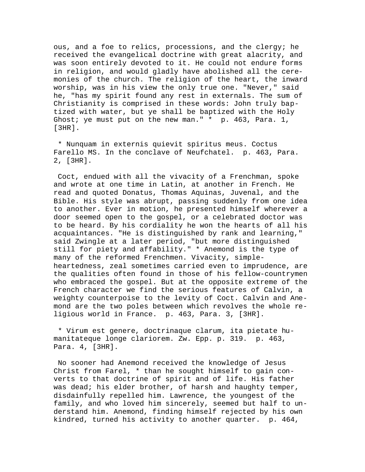ous, and a foe to relics, processions, and the clergy; he received the evangelical doctrine with great alacrity, and was soon entirely devoted to it. He could not endure forms in religion, and would gladly have abolished all the ceremonies of the church. The religion of the heart, the inward worship, was in his view the only true one. "Never," said he, "has my spirit found any rest in externals. The sum of Christianity is comprised in these words: John truly baptized with water, but ye shall be baptized with the Holy Ghost; ye must put on the new man." \* p. 463, Para. 1, [3HR].

 \* Nunquam in externis quievit spiritus meus. Coctus Farello MS. In the conclave of Neufchatel. p. 463, Para. 2, [3HR].

 Coct, endued with all the vivacity of a Frenchman, spoke and wrote at one time in Latin, at another in French. He read and quoted Donatus, Thomas Aquinas, Juvenal, and the Bible. His style was abrupt, passing suddenly from one idea to another. Ever in motion, he presented himself wherever a door seemed open to the gospel, or a celebrated doctor was to be heard. By his cordiality he won the hearts of all his acquaintances. "He is distinguished by rank and learning," said Zwingle at a later period, "but more distinguished still for piety and affability." \* Anemond is the type of many of the reformed Frenchmen. Vivacity, simpleheartedness, zeal sometimes carried even to imprudence, are the qualities often found in those of his fellow-countrymen who embraced the gospel. But at the opposite extreme of the French character we find the serious features of Calvin, a weighty counterpoise to the levity of Coct. Calvin and Anemond are the two poles between which revolves the whole religious world in France. p. 463, Para. 3, [3HR].

 \* Virum est genere, doctrinaque clarum, ita pietate humanitateque longe clariorem. Zw. Epp. p. 319. p. 463, Para. 4, [3HR].

 No sooner had Anemond received the knowledge of Jesus Christ from Farel, \* than he sought himself to gain converts to that doctrine of spirit and of life. His father was dead; his elder brother, of harsh and haughty temper, disdainfully repelled him. Lawrence, the youngest of the family, and who loved him sincerely, seemed but half to understand him. Anemond, finding himself rejected by his own kindred, turned his activity to another quarter. p. 464,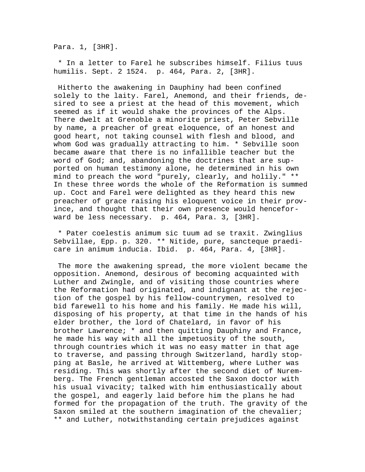Para. 1, [3HR].

 \* In a letter to Farel he subscribes himself. Filius tuus humilis. Sept. 2 1524. p. 464, Para. 2, [3HR].

 Hitherto the awakening in Dauphiny had been confined solely to the laity. Farel, Anemond, and their friends, desired to see a priest at the head of this movement, which seemed as if it would shake the provinces of the Alps. There dwelt at Grenoble a minorite priest, Peter Sebville by name, a preacher of great eloquence, of an honest and good heart, not taking counsel with flesh and blood, and whom God was gradually attracting to him. \* Sebville soon became aware that there is no infallible teacher but the word of God; and, abandoning the doctrines that are supported on human testimony alone, he determined in his own mind to preach the word "purely, clearly, and holily." \*\* In these three words the whole of the Reformation is summed up. Coct and Farel were delighted as they heard this new preacher of grace raising his eloquent voice in their province, and thought that their own presence would henceforward be less necessary. p. 464, Para. 3, [3HR].

 \* Pater coelestis animum sic tuum ad se traxit. Zwinglius Sebvillae, Epp. p. 320. \*\* Nitide, pure, sancteque praedicare in animum inducia. Ibid. p. 464, Para. 4, [3HR].

 The more the awakening spread, the more violent became the opposition. Anemond, desirous of becoming acquainted with Luther and Zwingle, and of visiting those countries where the Reformation had originated, and indignant at the rejection of the gospel by his fellow-countrymen, resolved to bid farewell to his home and his family. He made his will, disposing of his property, at that time in the hands of his elder brother, the lord of Chatelard, in favor of his brother Lawrence; \* and then quitting Dauphiny and France, he made his way with all the impetuosity of the south, through countries which it was no easy matter in that age to traverse, and passing through Switzerland, hardly stopping at Basle, he arrived at Wittemberg, where Luther was residing. This was shortly after the second diet of Nuremberg. The French gentleman accosted the Saxon doctor with his usual vivacity; talked with him enthusiastically about the gospel, and eagerly laid before him the plans he had formed for the propagation of the truth. The gravity of the Saxon smiled at the southern imagination of the chevalier; \*\* and Luther, notwithstanding certain prejudices against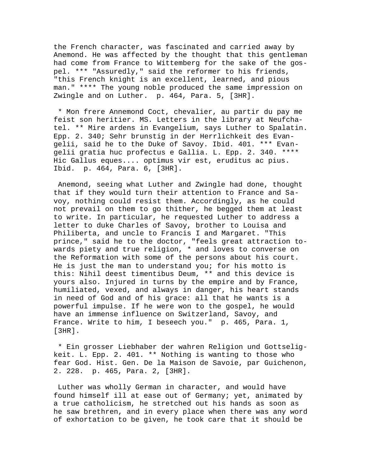the French character, was fascinated and carried away by Anemond. He was affected by the thought that this gentleman had come from France to Wittemberg for the sake of the gospel. \*\*\* "Assuredly," said the reformer to his friends, "this French knight is an excellent, learned, and pious man." \*\*\*\* The young noble produced the same impression on Zwingle and on Luther. p. 464, Para. 5, [3HR].

 \* Mon frere Annemond Coct, chevalier, au partir du pay me feist son heritier. MS. Letters in the library at Neufchatel. \*\* Mire ardens in Evangelium, says Luther to Spalatin. Epp. 2. 340; Sehr brunstig in der Herrlichkeit des Evangelii, said he to the Duke of Savoy. Ibid. 401. \*\*\* Evangelii gratia huc profectus e Gallia. L. Epp. 2. 340. \*\*\*\* Hic Gallus eques.... optimus vir est, eruditus ac pius. Ibid. p. 464, Para. 6, [3HR].

 Anemond, seeing what Luther and Zwingle had done, thought that if they would turn their attention to France and Savoy, nothing could resist them. Accordingly, as he could not prevail on them to go thither, he begged them at least to write. In particular, he requested Luther to address a letter to duke Charles of Savoy, brother to Louisa and Philiberta, and uncle to Francis I and Margaret. "This prince," said he to the doctor, "feels great attraction towards piety and true religion, \* and loves to converse on the Reformation with some of the persons about his court. He is just the man to understand you; for his motto is this: Nihil deest timentibus Deum, \*\* and this device is yours also. Injured in turns by the empire and by France, humiliated, vexed, and always in danger, his heart stands in need of God and of his grace: all that he wants is a powerful impulse. If he were won to the gospel, he would have an immense influence on Switzerland, Savoy, and France. Write to him, I beseech you." p. 465, Para. 1, [3HR].

 \* Ein grosser Liebhaber der wahren Religion und Gottseligkeit. L. Epp. 2. 401. \*\* Nothing is wanting to those who fear God. Hist. Gen. De la Maison de Savoie, par Guichenon, 2. 228. p. 465, Para. 2, [3HR].

 Luther was wholly German in character, and would have found himself ill at ease out of Germany; yet, animated by a true catholicism, he stretched out his hands as soon as he saw brethren, and in every place when there was any word of exhortation to be given, he took care that it should be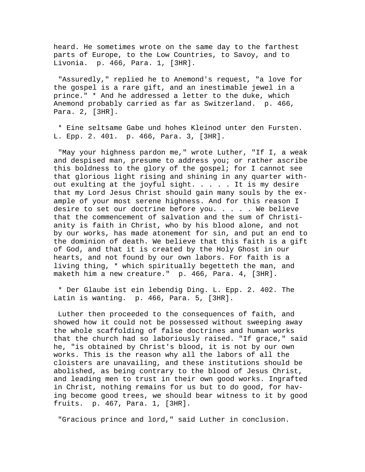heard. He sometimes wrote on the same day to the farthest parts of Europe, to the Low Countries, to Savoy, and to Livonia. p. 466, Para. 1, [3HR].

 "Assuredly," replied he to Anemond's request, "a love for the gospel is a rare gift, and an inestimable jewel in a prince." \* And he addressed a letter to the duke, which Anemond probably carried as far as Switzerland. p. 466, Para. 2, [3HR].

 \* Eine seltsame Gabe und hohes Kleinod unter den Fursten. L. Epp. 2. 401. p. 466, Para. 3, [3HR].

 "May your highness pardon me," wrote Luther, "If I, a weak and despised man, presume to address you; or rather ascribe this boldness to the glory of the gospel; for I cannot see that glorious light rising and shining in any quarter without exulting at the joyful sight. . . . . It is my desire that my Lord Jesus Christ should gain many souls by the example of your most serene highness. And for this reason I desire to set our doctrine before you. . . . . We believe that the commencement of salvation and the sum of Christianity is faith in Christ, who by his blood alone, and not by our works, has made atonement for sin, and put an end to the dominion of death. We believe that this faith is a gift of God, and that it is created by the Holy Ghost in our hearts, and not found by our own labors. For faith is a living thing, \* which spiritually begetteth the man, and maketh him a new creature." p. 466, Para. 4, [3HR].

 \* Der Glaube ist ein lebendig Ding. L. Epp. 2. 402. The Latin is wanting. p. 466, Para. 5, [3HR].

 Luther then proceeded to the consequences of faith, and showed how it could not be possessed without sweeping away the whole scaffolding of false doctrines and human works that the church had so laboriously raised. "If grace," said he, "is obtained by Christ's blood, it is not by our own works. This is the reason why all the labors of all the cloisters are unavailing, and these institutions should be abolished, as being contrary to the blood of Jesus Christ, and leading men to trust in their own good works. Ingrafted in Christ, nothing remains for us but to do good, for having become good trees, we should bear witness to it by good fruits. p. 467, Para. 1, [3HR].

"Gracious prince and lord," said Luther in conclusion.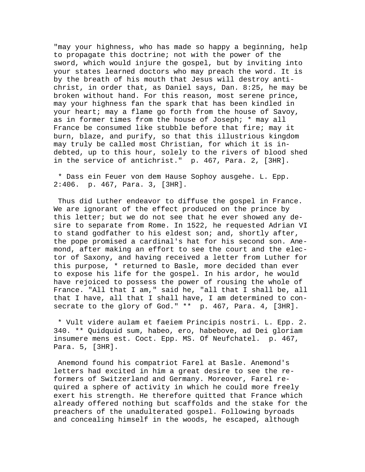"may your highness, who has made so happy a beginning, help to propagate this doctrine; not with the power of the sword, which would injure the gospel, but by inviting into your states learned doctors who may preach the word. It is by the breath of his mouth that Jesus will destroy antichrist, in order that, as Daniel says, Dan. 8:25, he may be broken without hand. For this reason, most serene prince, may your highness fan the spark that has been kindled in your heart; may a flame go forth from the house of Savoy, as in former times from the house of Joseph; \* may all France be consumed like stubble before that fire; may it burn, blaze, and purify, so that this illustrious kingdom may truly be called most Christian, for which it is indebted, up to this hour, solely to the rivers of blood shed in the service of antichrist." p. 467, Para. 2, [3HR].

 \* Dass ein Feuer von dem Hause Sophoy ausgehe. L. Epp. 2:406. p. 467, Para. 3, [3HR].

 Thus did Luther endeavor to diffuse the gospel in France. We are ignorant of the effect produced on the prince by this letter; but we do not see that he ever showed any desire to separate from Rome. In 1522, he requested Adrian VI to stand godfather to his eldest son; and, shortly after, the pope promised a cardinal's hat for his second son. Anemond, after making an effort to see the court and the elector of Saxony, and having received a letter from Luther for this purpose, \* returned to Basle, more decided than ever to expose his life for the gospel. In his ardor, he would have rejoiced to possess the power of rousing the whole of France. "All that I am," said he, "all that I shall be, all that I have, all that I shall have, I am determined to consecrate to the glory of God." \*\* p. 467, Para. 4, [3HR].

 \* Vult videre aulam et faeiem Principis nostri. L. Epp. 2. 340. \*\* Quidquid sum, habeo, ero, habebove, ad Dei gloriam insumere mens est. Coct. Epp. MS. Of Neufchatel. p. 467, Para. 5, [3HR].

 Anemond found his compatriot Farel at Basle. Anemond's letters had excited in him a great desire to see the reformers of Switzerland and Germany. Moreover, Farel required a sphere of activity in which he could more freely exert his strength. He therefore quitted that France which already offered nothing but scaffolds and the stake for the preachers of the unadulterated gospel. Following byroads and concealing himself in the woods, he escaped, although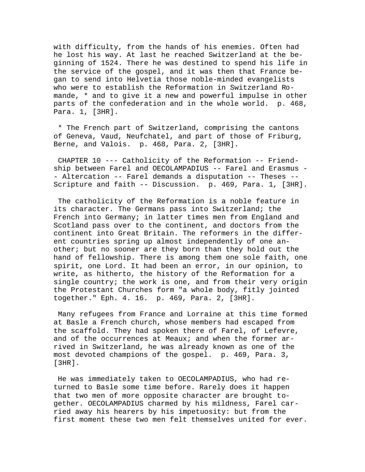with difficulty, from the hands of his enemies. Often had he lost his way. At last he reached Switzerland at the beginning of 1524. There he was destined to spend his life in the service of the gospel, and it was then that France began to send into Helvetia those noble-minded evangelists who were to establish the Reformation in Switzerland Romande, \* and to give it a new and powerful impulse in other parts of the confederation and in the whole world. p. 468, Para. 1, [3HR].

 \* The French part of Switzerland, comprising the cantons of Geneva, Vaud, Neufchatel, and part of those of Friburg, Berne, and Valois. p. 468, Para. 2, [3HR].

 CHAPTER 10 --- Catholicity of the Reformation -- Friendship between Farel and OECOLAMPADIUS -- Farel and Erasmus - - Altercation -- Farel demands a disputation -- Theses -- Scripture and faith -- Discussion. p. 469, Para. 1, [3HR].

 The catholicity of the Reformation is a noble feature in its character. The Germans pass into Switzerland; the French into Germany; in latter times men from England and Scotland pass over to the continent, and doctors from the continent into Great Britain. The reformers in the different countries spring up almost independently of one another; but no sooner are they born than they hold out the hand of fellowship. There is among them one sole faith, one spirit, one Lord. It had been an error, in our opinion, to write, as hitherto, the history of the Reformation for a single country; the work is one, and from their very origin the Protestant Churches form "a whole body, fitly jointed together." Eph. 4. 16. p. 469, Para. 2, [3HR].

 Many refugees from France and Lorraine at this time formed at Basle a French church, whose members had escaped from the scaffold. They had spoken there of Farel, of Lefevre, and of the occurrences at Meaux; and when the former arrived in Switzerland, he was already known as one of the most devoted champions of the gospel. p. 469, Para. 3, [3HR].

 He was immediately taken to OECOLAMPADIUS, who had returned to Basle some time before. Rarely does it happen that two men of more opposite character are brought together. OECOLAMPADIUS charmed by his mildness, Farel carried away his hearers by his impetuosity: but from the first moment these two men felt themselves united for ever.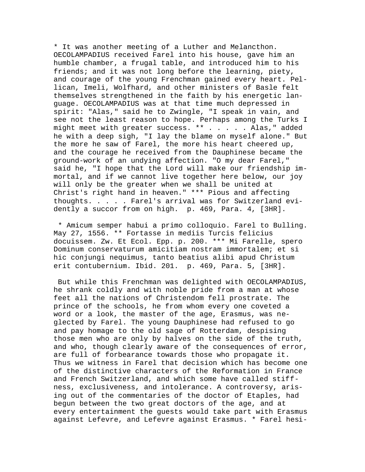\* It was another meeting of a Luther and Melancthon. OECOLAMPADIUS received Farel into his house, gave him an humble chamber, a frugal table, and introduced him to his friends; and it was not long before the learning, piety, and courage of the young Frenchman gained every heart. Pellican, Imeli, Wolfhard, and other ministers of Basle felt themselves strengthened in the faith by his energetic language. OECOLAMPADIUS was at that time much depressed in spirit: "Alas," said he to Zwingle, "I speak in vain, and see not the least reason to hope. Perhaps among the Turks I might meet with greater success. \*\* . . . . . Alas," added he with a deep sigh, "I lay the blame on myself alone." But the more he saw of Farel, the more his heart cheered up, and the courage he received from the Dauphinese became the ground-work of an undying affection. "O my dear Farel," said he, "I hope that the Lord will make our friendship immortal, and if we cannot live together here below, our joy will only be the greater when we shall be united at Christ's right hand in heaven." \*\*\* Pious and affecting thoughts. . . . . Farel's arrival was for Switzerland evidently a succor from on high. p. 469, Para. 4, [3HR].

 \* Amicum semper habui a primo colloquio. Farel to Bulling. May 27, 1556. \*\* Fortasse in mediis Turcis felicius docuissem. Zw. Et Ecol. Epp. p. 200. \*\*\* Mi Farelle, spero Dominum conservaturum amicitiam nostram immortalem; et si hic conjungi nequimus, tanto beatius alibi apud Christum erit contubernium. Ibid. 201. p. 469, Para. 5, [3HR].

 But while this Frenchman was delighted with OECOLAMPADIUS, he shrank coldly and with noble pride from a man at whose feet all the nations of Christendom fell prostrate. The prince of the schools, he from whom every one coveted a word or a look, the master of the age, Erasmus, was neglected by Farel. The young Dauphinese had refused to go and pay homage to the old sage of Rotterdam, despising those men who are only by halves on the side of the truth, and who, though clearly aware of the consequences of error, are full of forbearance towards those who propagate it. Thus we witness in Farel that decision which has become one of the distinctive characters of the Reformation in France and French Switzerland, and which some have called stiffness, exclusiveness, and intolerance. A controversy, arising out of the commentaries of the doctor of Etaples, had begun between the two great doctors of the age, and at every entertainment the guests would take part with Erasmus against Lefevre, and Lefevre against Erasmus. \* Farel hesi-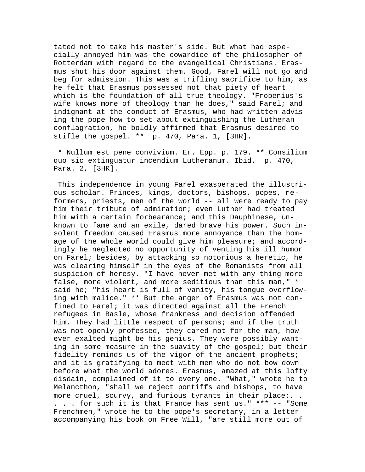tated not to take his master's side. But what had especially annoyed him was the cowardice of the philosopher of Rotterdam with regard to the evangelical Christians. Erasmus shut his door against them. Good, Farel will not go and beg for admission. This was a trifling sacrifice to him, as he felt that Erasmus possessed not that piety of heart which is the foundation of all true theology. "Frobenius's wife knows more of theology than he does," said Farel; and indignant at the conduct of Erasmus, who had written advising the pope how to set about extinguishing the Lutheran conflagration, he boldly affirmed that Erasmus desired to stifle the gospel. \*\* p. 470, Para. 1, [3HR].

 \* Nullum est pene convivium. Er. Epp. p. 179. \*\* Consilium quo sic extinguatur incendium Lutheranum. Ibid. p. 470, Para. 2, [3HR].

 This independence in young Farel exasperated the illustrious scholar. Princes, kings, doctors, bishops, popes, reformers, priests, men of the world -- all were ready to pay him their tribute of admiration; even Luther had treated him with a certain forbearance; and this Dauphinese, unknown to fame and an exile, dared brave his power. Such insolent freedom caused Erasmus more annoyance than the homage of the whole world could give him pleasure; and accordingly he neglected no opportunity of venting his ill humor on Farel; besides, by attacking so notorious a heretic, he was clearing himself in the eyes of the Romanists from all suspicion of heresy. "I have never met with any thing more false, more violent, and more seditious than this man," \* said he; "his heart is full of vanity, his tongue overflowing with malice." \*\* But the anger of Erasmus was not confined to Farel; it was directed against all the French refugees in Basle, whose frankness and decision offended him. They had little respect of persons; and if the truth was not openly professed, they cared not for the man, however exalted might be his genius. They were possibly wanting in some measure in the suavity of the gospel; but their fidelity reminds us of the vigor of the ancient prophets; and it is gratifying to meet with men who do not bow down before what the world adores. Erasmus, amazed at this lofty disdain, complained of it to every one. "What," wrote he to Melancthon, "shall we reject pontiffs and bishops, to have more cruel, scurvy, and furious tyrants in their place;.. . . . for such it is that France has sent us." \*\*\* -- "Some Frenchmen," wrote he to the pope's secretary, in a letter accompanying his book on Free Will, "are still more out of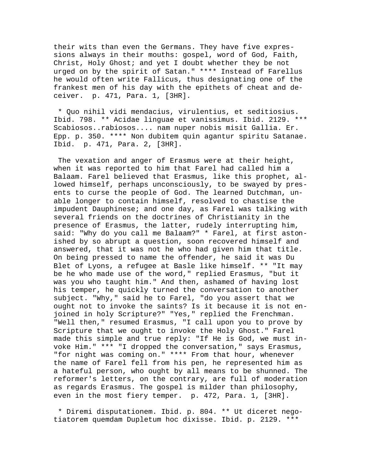their wits than even the Germans. They have five expressions always in their mouths: gospel, word of God, Faith, Christ, Holy Ghost; and yet I doubt whether they be not urged on by the spirit of Satan." \*\*\*\* Instead of Farellus he would often write Fallicus, thus designating one of the frankest men of his day with the epithets of cheat and deceiver. p. 471, Para. 1, [3HR].

 \* Quo nihil vidi mendacius, virulentius, et seditiosius. Ibid. 798. \*\* Acidae linguae et vanissimus. Ibid. 2129. \*\*\* Scabiosos..rabiosos.... nam nuper nobis misit Gallia. Er. Epp. p. 350. \*\*\*\* Non dubitem quin agantur spiritu Satanae. Ibid. p. 471, Para. 2, [3HR].

 The vexation and anger of Erasmus were at their height, when it was reported to him that Farel had called him a Balaam. Farel believed that Erasmus, like this prophet, allowed himself, perhaps unconsciously, to be swayed by presents to curse the people of God. The learned Dutchman, unable longer to contain himself, resolved to chastise the impudent Dauphinese; and one day, as Farel was talking with several friends on the doctrines of Christianity in the presence of Erasmus, the latter, rudely interrupting him, said: "Why do you call me Balaam?" \* Farel, at first astonished by so abrupt a question, soon recovered himself and answered, that it was not he who had given him that title. On being pressed to name the offender, he said it was Du Blet of Lyons, a refugee at Basle like himself. \*\* "It may be he who made use of the word," replied Erasmus, "but it was you who taught him." And then, ashamed of having lost his temper, he quickly turned the conversation to another subject. "Why," said he to Farel, "do you assert that we ought not to invoke the saints? Is it because it is not enjoined in holy Scripture?" "Yes," replied the Frenchman. "Well then," resumed Erasmus, "I call upon you to prove by Scripture that we ought to invoke the Holy Ghost." Farel made this simple and true reply: "If He is God, we must invoke Him." \*\*\* "I dropped the conversation," says Erasmus, "for night was coming on." \*\*\*\* From that hour, whenever the name of Farel fell from his pen, he represented him as a hateful person, who ought by all means to be shunned. The reformer's letters, on the contrary, are full of moderation as regards Erasmus. The gospel is milder than philosophy, even in the most fiery temper. p. 472, Para. 1, [3HR].

 \* Diremi disputationem. Ibid. p. 804. \*\* Ut diceret negotiatorem quemdam Dupletum hoc dixisse. Ibid. p. 2129. \*\*\*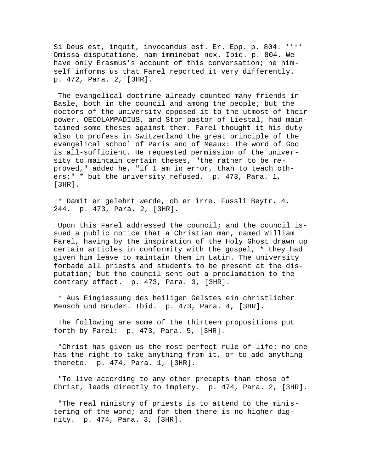Si Deus est, inquit, invocandus est. Er. Epp. p. 804. \*\*\*\* Omissa disputatione, nam imminebat nox. Ibid. p. 804. We have only Erasmus's account of this conversation; he himself informs us that Farel reported it very differently. p. 472, Para. 2, [3HR].

 The evangelical doctrine already counted many friends in Basle, both in the council and among the people; but the doctors of the university opposed it to the utmost of their power. OECOLAMPADIUS, and Stor pastor of Liestal, had maintained some theses against them. Farel thought it his duty also to profess in Switzerland the great principle of the evangelical school of Paris and of Meaux: The word of God is all-sufficient. He requested permission of the university to maintain certain theses, "the rather to be reproved," added he, "if I am in error, than to teach others;" \* but the university refused. p. 473, Para. 1, [3HR].

 \* Damit er gelehrt werde, ob er irre. Fussli Beytr. 4. 244. p. 473, Para. 2, [3HR].

 Upon this Farel addressed the council; and the council issued a public notice that a Christian man, named William Farel, having by the inspiration of the Holy Ghost drawn up certain articles in conformity with the gospel, \* they had given him leave to maintain them in Latin. The university forbade all priests and students to be present at the disputation; but the council sent out a proclamation to the contrary effect. p. 473, Para. 3, [3HR].

 \* Aus Eingiessung des heiligen Gelstes ein christlicher Mensch und Bruder. Ibid. p. 473, Para. 4, [3HR].

 The following are some of the thirteen propositions put forth by Farel: p. 473, Para. 5, [3HR].

 "Christ has given us the most perfect rule of life: no one has the right to take anything from it, or to add anything thereto. p. 474, Para. 1, [3HR].

 "To live according to any other precepts than those of Christ, leads directly to impiety. p. 474, Para. 2, [3HR].

 "The real ministry of priests is to attend to the ministering of the word; and for them there is no higher dignity. p. 474, Para. 3, [3HR].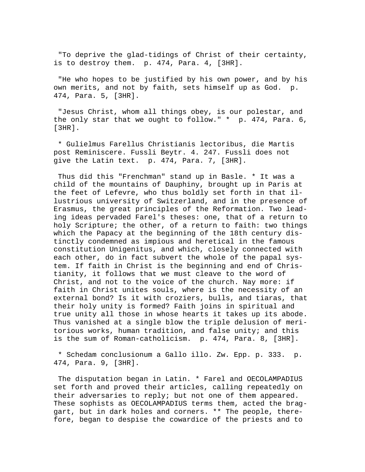"To deprive the glad-tidings of Christ of their certainty, is to destroy them. p. 474, Para. 4, [3HR].

 "He who hopes to be justified by his own power, and by his own merits, and not by faith, sets himself up as God. p. 474, Para. 5, [3HR].

 "Jesus Christ, whom all things obey, is our polestar, and the only star that we ought to follow." \* p. 474, Para. 6, [3HR].

 \* Gulielmus Farellus Christianis lectoribus, die Martis post Reminiscere. Fussli Beytr. 4. 247. Fussli does not give the Latin text. p. 474, Para. 7, [3HR].

 Thus did this "Frenchman" stand up in Basle. \* It was a child of the mountains of Dauphiny, brought up in Paris at the feet of Lefevre, who thus boldly set forth in that illustrious university of Switzerland, and in the presence of Erasmus, the great principles of the Reformation. Two leading ideas pervaded Farel's theses: one, that of a return to holy Scripture; the other, of a return to faith: two things which the Papacy at the beginning of the 18th century distinctly condemned as impious and heretical in the famous constitution Unigenitus, and which, closely connected with each other, do in fact subvert the whole of the papal system. If faith in Christ is the beginning and end of Christianity, it follows that we must cleave to the word of Christ, and not to the voice of the church. Nay more: if faith in Christ unites souls, where is the necessity of an external bond? Is it with croziers, bulls, and tiaras, that their holy unity is formed? Faith joins in spiritual and true unity all those in whose hearts it takes up its abode. Thus vanished at a single blow the triple delusion of meritorious works, human tradition, and false unity; and this is the sum of Roman-catholicism. p. 474, Para. 8, [3HR].

 \* Schedam conclusionum a Gallo illo. Zw. Epp. p. 333. p. 474, Para. 9, [3HR].

 The disputation began in Latin. \* Farel and OECOLAMPADIUS set forth and proved their articles, calling repeatedly on their adversaries to reply; but not one of them appeared. These sophists as OECOLAMPADIUS terms them, acted the braggart, but in dark holes and corners. \*\* The people, therefore, began to despise the cowardice of the priests and to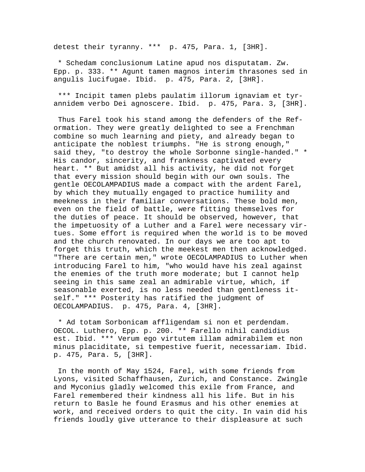detest their tyranny. \*\*\* p. 475, Para. 1, [3HR].

 \* Schedam conclusionum Latine apud nos disputatam. Zw. Epp. p. 333. \*\* Agunt tamen magnos interim thrasones sed in angulis lucifugae. Ibid. p. 475, Para. 2, [3HR].

 \*\*\* Incipit tamen plebs paulatim illorum ignaviam et tyrannidem verbo Dei agnoscere. Ibid. p. 475, Para. 3, [3HR].

 Thus Farel took his stand among the defenders of the Reformation. They were greatly delighted to see a Frenchman combine so much learning and piety, and already began to anticipate the noblest triumphs. "He is strong enough," said they, "to destroy the whole Sorbonne single-handed." \* His candor, sincerity, and frankness captivated every heart. \*\* But amidst all his activity, he did not forget that every mission should begin with our own souls. The gentle OECOLAMPADIUS made a compact with the ardent Farel, by which they mutually engaged to practice humility and meekness in their familiar conversations. These bold men, even on the field of battle, were fitting themselves for the duties of peace. It should be observed, however, that the impetuosity of a Luther and a Farel were necessary virtues. Some effort is required when the world is to be moved and the church renovated. In our days we are too apt to forget this truth, which the meekest men then acknowledged. "There are certain men," wrote OECOLAMPADIUS to Luther when introducing Farel to him, "who would have his zeal against the enemies of the truth more moderate; but I cannot help seeing in this same zeal an admirable virtue, which, if seasonable exerted, is no less needed than gentleness itself." \*\*\* Posterity has ratified the judgment of OECOLAMPADIUS. p. 475, Para. 4, [3HR].

 \* Ad totam Sorbonicam affligendam si non et perdendam. OECOL. Luthero, Epp. p. 200. \*\* Farello nihil candidius est. Ibid. \*\*\* Verum ego virtutem illam admirabilem et non minus placiditate, si tempestive fuerit, necessariam. Ibid. p. 475, Para. 5, [3HR].

 In the month of May 1524, Farel, with some friends from Lyons, visited Schaffhausen, Zurich, and Constance. Zwingle and Myconius gladly welcomed this exile from France, and Farel remembered their kindness all his life. But in his return to Basle he found Erasmus and his other enemies at work, and received orders to quit the city. In vain did his friends loudly give utterance to their displeasure at such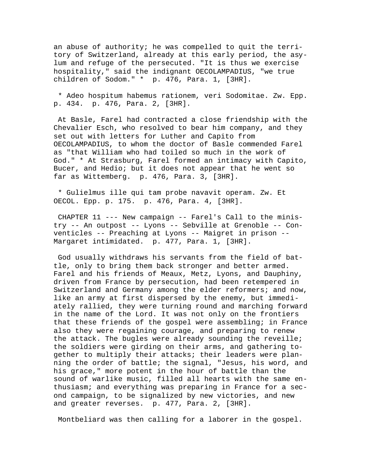an abuse of authority; he was compelled to quit the territory of Switzerland, already at this early period, the asylum and refuge of the persecuted. "It is thus we exercise hospitality," said the indignant OECOLAMPADIUS, "we true children of Sodom." \* p. 476, Para. 1, [3HR].

 \* Adeo hospitum habemus rationem, veri Sodomitae. Zw. Epp. p. 434. p. 476, Para. 2, [3HR].

 At Basle, Farel had contracted a close friendship with the Chevalier Esch, who resolved to bear him company, and they set out with letters for Luther and Capito from OECOLAMPADIUS, to whom the doctor of Basle commended Farel as "that William who had toiled so much in the work of God." \* At Strasburg, Farel formed an intimacy with Capito, Bucer, and Hedio; but it does not appear that he went so far as Wittemberg. p. 476, Para. 3, [3HR].

 \* Gulielmus ille qui tam probe navavit operam. Zw. Et OECOL. Epp. p. 175. p. 476, Para. 4, [3HR].

 CHAPTER 11 --- New campaign -- Farel's Call to the ministry -- An outpost -- Lyons -- Sebville at Grenoble -- Conventicles -- Preaching at Lyons -- Maigret in prison -- Margaret intimidated. p. 477, Para. 1, [3HR].

 God usually withdraws his servants from the field of battle, only to bring them back stronger and better armed. Farel and his friends of Meaux, Metz, Lyons, and Dauphiny, driven from France by persecution, had been retempered in Switzerland and Germany among the elder reformers; and now, like an army at first dispersed by the enemy, but immediately rallied, they were turning round and marching forward in the name of the Lord. It was not only on the frontiers that these friends of the gospel were assembling; in France also they were regaining courage, and preparing to renew the attack. The bugles were already sounding the reveille; the soldiers were girding on their arms, and gathering together to multiply their attacks; their leaders were planning the order of battle; the signal, "Jesus, his word, and his grace," more potent in the hour of battle than the sound of warlike music, filled all hearts with the same enthusiasm; and everything was preparing in France for a second campaign, to be signalized by new victories, and new and greater reverses. p. 477, Para. 2, [3HR].

Montbeliard was then calling for a laborer in the gospel.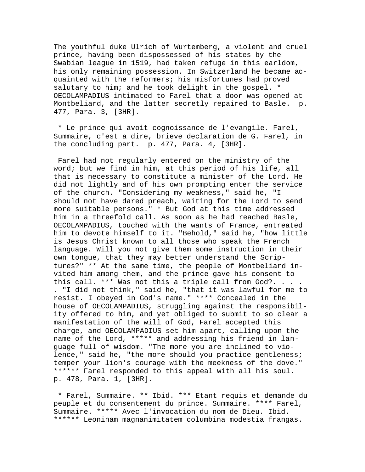The youthful duke Ulrich of Wurtemberg, a violent and cruel prince, having been dispossessed of his states by the Swabian league in 1519, had taken refuge in this earldom, his only remaining possession. In Switzerland he became acquainted with the reformers; his misfortunes had proved salutary to him; and he took delight in the gospel. \* OECOLAMPADIUS intimated to Farel that a door was opened at Montbeliard, and the latter secretly repaired to Basle. p. 477, Para. 3, [3HR].

 \* Le prince qui avoit cognoissance de l'evangile. Farel, Summaire, c'est a dire, brieve declaration de G. Farel, in the concluding part. p. 477, Para. 4, [3HR].

 Farel had not regularly entered on the ministry of the word; but we find in him, at this period of his life, all that is necessary to constitute a minister of the Lord. He did not lightly and of his own prompting enter the service of the church. "Considering my weakness," said he, "I should not have dared preach, waiting for the Lord to send more suitable persons." \* But God at this time addressed him in a threefold call. As soon as he had reached Basle, OECOLAMPADIUS, touched with the wants of France, entreated him to devote himself to it. "Behold," said he, "how little is Jesus Christ known to all those who speak the French language. Will you not give them some instruction in their own tongue, that they may better understand the Scriptures?" \*\* At the same time, the people of Montbeliard invited him among them, and the prince gave his consent to this call. \*\*\* Was not this a triple call from God?. . . . . "I did not think," said he, "that it was lawful for me to resist. I obeyed in God's name." \*\*\*\* Concealed in the house of OECOLAMPADIUS, struggling against the responsibility offered to him, and yet obliged to submit to so clear a manifestation of the will of God, Farel accepted this charge, and OECOLAMPADIUS set him apart, calling upon the name of the Lord, \*\*\*\*\* and addressing his friend in language full of wisdom. "The more you are inclined to violence," said he, "the more should you practice gentleness; temper your lion's courage with the meekness of the dove." \*\*\*\*\*\* Farel responded to this appeal with all his soul. p. 478, Para. 1, [3HR].

 \* Farel, Summaire. \*\* Ibid. \*\*\* Etant requis et demande du peuple et du consentement du prince. Summaire. \*\*\*\* Farel, Summaire. \*\*\*\*\* Avec l'invocation du nom de Dieu. Ibid. \*\*\*\*\*\* Leoninam magnanimitatem columbina modestia frangas.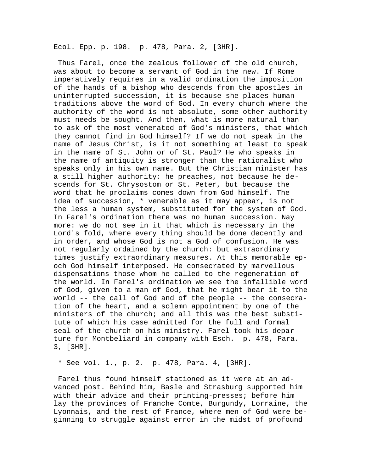Ecol. Epp. p. 198. p. 478, Para. 2, [3HR].

 Thus Farel, once the zealous follower of the old church, was about to become a servant of God in the new. If Rome imperatively requires in a valid ordination the imposition of the hands of a bishop who descends from the apostles in uninterrupted succession, it is because she places human traditions above the word of God. In every church where the authority of the word is not absolute, some other authority must needs be sought. And then, what is more natural than to ask of the most venerated of God's ministers, that which they cannot find in God himself? If we do not speak in the name of Jesus Christ, is it not something at least to speak in the name of St. John or of St. Paul? He who speaks in the name of antiquity is stronger than the rationalist who speaks only in his own name. But the Christian minister has a still higher authority: he preaches, not because he descends for St. Chrysostom or St. Peter, but because the word that he proclaims comes down from God himself. The idea of succession, \* venerable as it may appear, is not the less a human system, substituted for the system of God. In Farel's ordination there was no human succession. Nay more: we do not see in it that which is necessary in the Lord's fold, where every thing should be done decently and in order, and whose God is not a God of confusion. He was not regularly ordained by the church: but extraordinary times justify extraordinary measures. At this memorable epoch God himself interposed. He consecrated by marvellous dispensations those whom he called to the regeneration of the world. In Farel's ordination we see the infallible word of God, given to a man of God, that he might bear it to the world -- the call of God and of the people -- the consecration of the heart, and a solemn appointment by one of the ministers of the church; and all this was the best substitute of which his case admitted for the full and formal seal of the church on his ministry. Farel took his departure for Montbeliard in company with Esch. p. 478, Para. 3, [3HR].

\* See vol. 1., p. 2. p. 478, Para. 4, [3HR].

 Farel thus found himself stationed as it were at an advanced post. Behind him, Basle and Strasburg supported him with their advice and their printing-presses; before him lay the provinces of Franche Comte, Burgundy, Lorraine, the Lyonnais, and the rest of France, where men of God were beginning to struggle against error in the midst of profound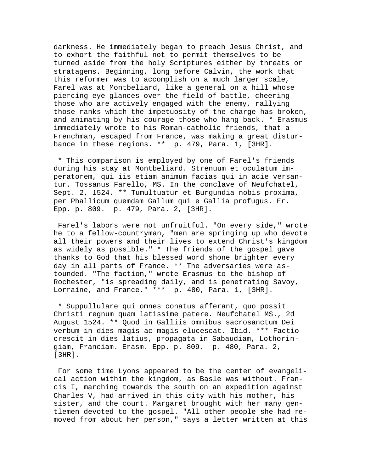darkness. He immediately began to preach Jesus Christ, and to exhort the faithful not to permit themselves to be turned aside from the holy Scriptures either by threats or stratagems. Beginning, long before Calvin, the work that this reformer was to accomplish on a much larger scale, Farel was at Montbeliard, like a general on a hill whose piercing eye glances over the field of battle, cheering those who are actively engaged with the enemy, rallying those ranks which the impetuosity of the charge has broken, and animating by his courage those who hang back. \* Erasmus immediately wrote to his Roman-catholic friends, that a Frenchman, escaped from France, was making a great disturbance in these regions. \*\* p. 479, Para. 1, [3HR].

 \* This comparison is employed by one of Farel's friends during his stay at Montbeliard. Strenuum et oculatum imperatorem, qui iis etiam animum facias qui in acie versantur. Tossanus Farello, MS. In the conclave of Neufchatel, Sept. 2, 1524. \*\* Tumultuatur et Burgundia nobis proxima, per Phallicum quemdam Gallum qui e Gallia profugus. Er. Epp. p. 809. p. 479, Para. 2, [3HR].

 Farel's labors were not unfruitful. "On every side," wrote he to a fellow-countryman, "men are springing up who devote all their powers and their lives to extend Christ's kingdom as widely as possible." \* The friends of the gospel gave thanks to God that his blessed word shone brighter every day in all parts of France. \*\* The adversaries were astounded. "The faction," wrote Erasmus to the bishop of Rochester, "is spreading daily, and is penetrating Savoy, Lorraine, and France." \*\*\* p. 480, Para. 1, [3HR].

 \* Suppullulare qui omnes conatus afferant, quo possit Christi regnum quam latissime patere. Neufchatel MS., 2d August 1524. \*\* Quod in Galliis omnibus sacrosanctum Dei verbum in dies magis ac magis elucescat. Ibid. \*\*\* Factio crescit in dies latius, propagata in Sabaudiam, Lothoringiam, Franciam. Erasm. Epp. p. 809. p. 480, Para. 2, [3HR].

 For some time Lyons appeared to be the center of evangelical action within the kingdom, as Basle was without. Francis I, marching towards the south on an expedition against Charles V, had arrived in this city with his mother, his sister, and the court. Margaret brought with her many gentlemen devoted to the gospel. "All other people she had removed from about her person," says a letter written at this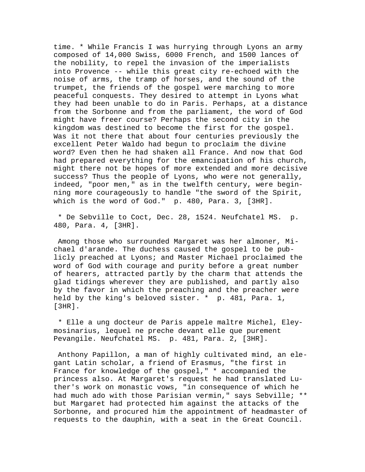time. \* While Francis I was hurrying through Lyons an army composed of 14,000 Swiss, 6000 French, and 1500 lances of the nobility, to repel the invasion of the imperialists into Provence -- while this great city re-echoed with the noise of arms, the tramp of horses, and the sound of the trumpet, the friends of the gospel were marching to more peaceful conquests. They desired to attempt in Lyons what they had been unable to do in Paris. Perhaps, at a distance from the Sorbonne and from the parliament, the word of God might have freer course? Perhaps the second city in the kingdom was destined to become the first for the gospel. Was it not there that about four centuries previously the excellent Peter Waldo had begun to proclaim the divine word? Even then he had shaken all France. And now that God had prepared everything for the emancipation of his church, might there not be hopes of more extended and more decisive success? Thus the people of Lyons, who were not generally, indeed, "poor men," as in the twelfth century, were beginning more courageously to handle "the sword of the Spirit, which is the word of God." p. 480, Para. 3, [3HR].

 \* De Sebville to Coct, Dec. 28, 1524. Neufchatel MS. p. 480, Para. 4, [3HR].

 Among those who surrounded Margaret was her almoner, Michael d'arande. The duchess caused the gospel to be publicly preached at Lyons; and Master Michael proclaimed the word of God with courage and purity before a great number of hearers, attracted partly by the charm that attends the glad tidings wherever they are published, and partly also by the favor in which the preaching and the preacher were held by the king's beloved sister. \* p. 481, Para. 1, [3HR].

 \* Elle a ung docteur de Paris appele maltre Michel, Eleymosinarius, lequel ne preche devant elle que purement Pevangile. Neufchatel MS. p. 481, Para. 2, [3HR].

 Anthony Papillon, a man of highly cultivated mind, an elegant Latin scholar, a friend of Erasmus, "the first in France for knowledge of the gospel," \* accompanied the princess also. At Margaret's request he had translated Luther's work on monastic vows, "in consequence of which he had much ado with those Parisian vermin," says Sebville; \*\* but Margaret had protected him against the attacks of the Sorbonne, and procured him the appointment of headmaster of requests to the dauphin, with a seat in the Great Council.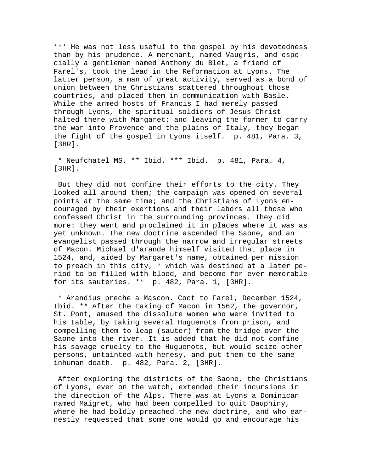\*\*\* He was not less useful to the gospel by his devotedness than by his prudence. A merchant, named Vaugris, and especially a gentleman named Anthony du Blet, a friend of Farel's, took the lead in the Reformation at Lyons. The latter person, a man of great activity, served as a bond of union between the Christians scattered throughout those countries, and placed them in communication with Basle. While the armed hosts of Francis I had merely passed through Lyons, the spiritual soldiers of Jesus Christ halted there with Margaret; and leaving the former to carry the war into Provence and the plains of Italy, they began the fight of the gospel in Lyons itself. p. 481, Para. 3, [3HR].

 \* Neufchatel MS. \*\* Ibid. \*\*\* Ibid. p. 481, Para. 4, [3HR].

 But they did not confine their efforts to the city. They looked all around them; the campaign was opened on several points at the same time; and the Christians of Lyons encouraged by their exertions and their labors all those who confessed Christ in the surrounding provinces. They did more: they went and proclaimed it in places where it was as yet unknown. The new doctrine ascended the Saone, and an evangelist passed through the narrow and irregular streets of Macon. Michael d'arande himself visited that place in 1524, and, aided by Margaret's name, obtained per mission to preach in this city, \* which was destined at a later period to be filled with blood, and become for ever memorable for its sauteries. \*\* p. 482, Para. 1, [3HR].

 \* Arandius preche a Mascon. Coct to Farel, December 1524, Ibid. \*\* After the taking of Macon in 1562, the governor, St. Pont, amused the dissolute women who were invited to his table, by taking several Huguenots from prison, and compelling them to leap (sauter) from the bridge over the Saone into the river. It is added that he did not confine his savage cruelty to the Huguenots, but would seize other persons, untainted with heresy, and put them to the same inhuman death. p. 482, Para. 2, [3HR].

 After exploring the districts of the Saone, the Christians of Lyons, ever on the watch, extended their incursions in the direction of the Alps. There was at Lyons a Dominican named Maigret, who had been compelled to quit Dauphiny, where he had boldly preached the new doctrine, and who earnestly requested that some one would go and encourage his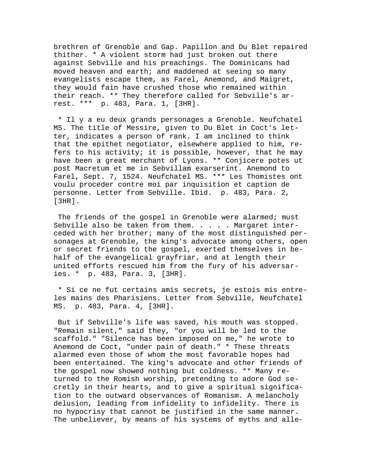brethren of Grenoble and Gap. Papillon and Du Blet repaired thither. \* A violent storm had just broken out there against Sebville and his preachings. The Dominicans had moved heaven and earth; and maddened at seeing so many evangelists escape them, as Farel, Anemond, and Maigret, they would fain have crushed those who remained within their reach. \*\* They therefore called for Sebville's arrest. \*\*\* p. 483, Para. 1, [3HR].

 \* Il y a eu deux grands personages a Grenoble. Neufchatel MS. The title of Messire, given to Du Blet in Coct's letter, indicates a person of rank. I am inclined to think that the epithet negotiator, elsewhere applied to him, refers to his activity; it is possible, however, that he may have been a great merchant of Lyons. \*\* Conjicere potes ut post Macretum et me in Sebvillam exarserint. Anemond to Farel, Sept. 7, 1524. Neufchatel MS. \*\*\* Les Thomistes ont voulu proceder contre moi par inquisition et caption de personne. Letter from Sebville. Ibid. p. 483, Para. 2, [3HR].

The friends of the gospel in Grenoble were alarmed; must Sebville also be taken from them. . . . . Margaret interceded with her brother; many of the most distinguished personages at Grenoble, the king's advocate among others, open or secret friends to the gospel, exerted themselves in behalf of the evangelical grayfriar, and at length their united efforts rescued him from the fury of his adversaries. \* p. 483, Para. 3, [3HR].

 \* Si ce ne fut certains amis secrets, je estois mis entreles mains des Pharisiens. Letter from Sebville, Neufchatel MS. p. 483, Para. 4, [3HR].

 But if Sebville's life was saved, his mouth was stopped. "Remain silent," said they, "or you will be led to the scaffold." "Silence has been imposed on me," he wrote to Anemond de Coct, "under pain of death." \* These threats alarmed even those of whom the most favorable hopes had been entertained. The king's advocate and other friends of the gospel now showed nothing but coldness. \*\* Many returned to the Romish worship, pretending to adore God secretly in their hearts, and to give a spiritual signification to the outward observances of Romanism. A melancholy delusion, leading from infidelity to infidelity. There is no hypocrisy that cannot be justified in the same manner. The unbeliever, by means of his systems of myths and alle-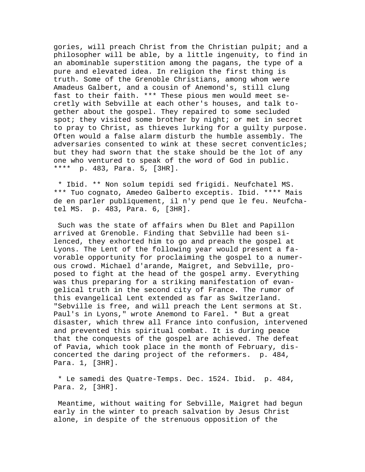gories, will preach Christ from the Christian pulpit; and a philosopher will be able, by a little ingenuity, to find in an abominable superstition among the pagans, the type of a pure and elevated idea. In religion the first thing is truth. Some of the Grenoble Christians, among whom were Amadeus Galbert, and a cousin of Anemond's, still clung fast to their faith. \*\*\* These pious men would meet secretly with Sebville at each other's houses, and talk together about the gospel. They repaired to some secluded spot; they visited some brother by night; or met in secret to pray to Christ, as thieves lurking for a guilty purpose. Often would a false alarm disturb the humble assembly. The adversaries consented to wink at these secret conventicles; but they had sworn that the stake should be the lot of any one who ventured to speak of the word of God in public. \*\*\*\* p. 483, Para. 5, [3HR].

 \* Ibid. \*\* Non solum tepidi sed frigidi. Neufchatel MS. \*\*\* Tuo cognato, Amedeo Galberto exceptis. Ibid. \*\*\*\* Mais de en parler publiquement, il n'y pend que le feu. Neufchatel MS. p. 483, Para. 6, [3HR].

 Such was the state of affairs when Du Blet and Papillon arrived at Grenoble. Finding that Sebville had been silenced, they exhorted him to go and preach the gospel at Lyons. The Lent of the following year would present a favorable opportunity for proclaiming the gospel to a numerous crowd. Michael d'arande, Maigret, and Sebville, proposed to fight at the head of the gospel army. Everything was thus preparing for a striking manifestation of evangelical truth in the second city of France. The rumor of this evangelical Lent extended as far as Switzerland. "Sebville is free, and will preach the Lent sermons at St. Paul's in Lyons," wrote Anemond to Farel. \* But a great disaster, which threw all France into confusion, intervened and prevented this spiritual combat. It is during peace that the conquests of the gospel are achieved. The defeat of Pavia, which took place in the month of February, disconcerted the daring project of the reformers. p. 484, Para. 1, [3HR].

 \* Le samedi des Quatre-Temps. Dec. 1524. Ibid. p. 484, Para. 2, [3HR].

 Meantime, without waiting for Sebville, Maigret had begun early in the winter to preach salvation by Jesus Christ alone, in despite of the strenuous opposition of the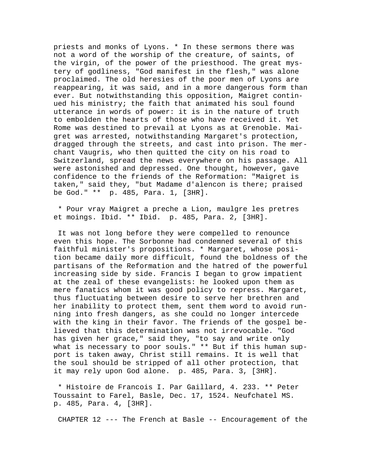priests and monks of Lyons. \* In these sermons there was not a word of the worship of the creature, of saints, of the virgin, of the power of the priesthood. The great mystery of godliness, "God manifest in the flesh," was alone proclaimed. The old heresies of the poor men of Lyons are reappearing, it was said, and in a more dangerous form than ever. But notwithstanding this opposition, Maigret continued his ministry; the faith that animated his soul found utterance in words of power: it is in the nature of truth to embolden the hearts of those who have received it. Yet Rome was destined to prevail at Lyons as at Grenoble. Maigret was arrested, notwithstanding Margaret's protection, dragged through the streets, and cast into prison. The merchant Vaugris, who then quitted the city on his road to Switzerland, spread the news everywhere on his passage. All were astonished and depressed. One thought, however, gave confidence to the friends of the Reformation: "Maigret is taken," said they, "but Madame d'alencon is there; praised be God." \*\* p. 485, Para. 1, [3HR].

 \* Pour vray Maigret a preche a Lion, maulgre les pretres et moings. Ibid. \*\* Ibid. p. 485, Para. 2, [3HR].

 It was not long before they were compelled to renounce even this hope. The Sorbonne had condemned several of this faithful minister's propositions. \* Margaret, whose position became daily more difficult, found the boldness of the partisans of the Reformation and the hatred of the powerful increasing side by side. Francis I began to grow impatient at the zeal of these evangelists: he looked upon them as mere fanatics whom it was good policy to repress. Margaret, thus fluctuating between desire to serve her brethren and her inability to protect them, sent them word to avoid running into fresh dangers, as she could no longer intercede with the king in their favor. The friends of the gospel believed that this determination was not irrevocable. "God has given her grace," said they, "to say and write only what is necessary to poor souls." \*\* But if this human support is taken away, Christ still remains. It is well that the soul should be stripped of all other protection, that it may rely upon God alone. p. 485, Para. 3, [3HR].

 \* Histoire de Francois I. Par Gaillard, 4. 233. \*\* Peter Toussaint to Farel, Basle, Dec. 17, 1524. Neufchatel MS. p. 485, Para. 4, [3HR].

CHAPTER 12 --- The French at Basle -- Encouragement of the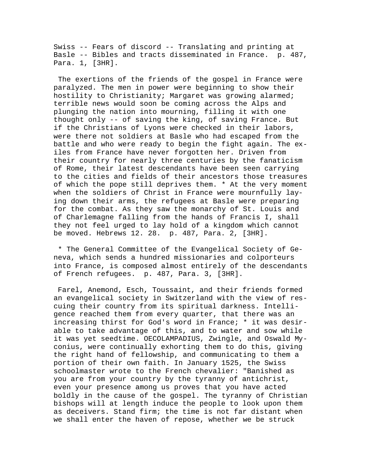Swiss -- Fears of discord -- Translating and printing at Basle -- Bibles and tracts disseminated in France. p. 487, Para. 1, [3HR].

 The exertions of the friends of the gospel in France were paralyzed. The men in power were beginning to show their hostility to Christianity; Margaret was growing alarmed; terrible news would soon be coming across the Alps and plunging the nation into mourning, filling it with one thought only -- of saving the king, of saving France. But if the Christians of Lyons were checked in their labors, were there not soldiers at Basle who had escaped from the battle and who were ready to begin the fight again. The exiles from France have never forgotten her. Driven from their country for nearly three centuries by the fanaticism of Rome, their latest descendants have been seen carrying to the cities and fields of their ancestors those treasures of which the pope still deprives them. \* At the very moment when the soldiers of Christ in France were mournfully laying down their arms, the refugees at Basle were preparing for the combat. As they saw the monarchy of St. Louis and of Charlemagne falling from the hands of Francis I, shall they not feel urged to lay hold of a kingdom which cannot be moved. Hebrews 12. 28. p. 487, Para. 2, [3HR].

 \* The General Committee of the Evangelical Society of Geneva, which sends a hundred missionaries and colporteurs into France, is composed almost entirely of the descendants of French refugees. p. 487, Para. 3, [3HR].

 Farel, Anemond, Esch, Toussaint, and their friends formed an evangelical society in Switzerland with the view of rescuing their country from its spiritual darkness. Intelligence reached them from every quarter, that there was an increasing thirst for God's word in France; \* it was desirable to take advantage of this, and to water and sow while it was yet seedtime. OECOLAMPADIUS, Zwingle, and Oswald Myconius, were continually exhorting them to do this, giving the right hand of fellowship, and communicating to them a portion of their own faith. In January 1525, the Swiss schoolmaster wrote to the French chevalier: "Banished as you are from your country by the tyranny of antichrist, even your presence among us proves that you have acted boldly in the cause of the gospel. The tyranny of Christian bishops will at length induce the people to look upon them as deceivers. Stand firm; the time is not far distant when we shall enter the haven of repose, whether we be struck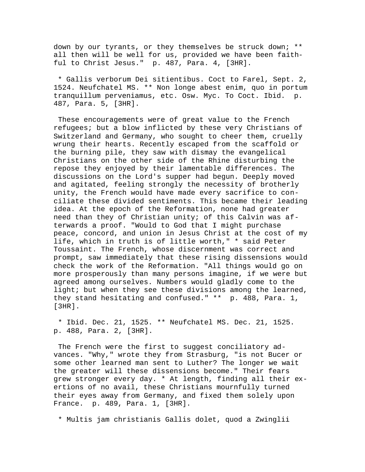down by our tyrants, or they themselves be struck down; \*\* all then will be well for us, provided we have been faithful to Christ Jesus." p. 487, Para. 4, [3HR].

 \* Gallis verborum Dei sitientibus. Coct to Farel, Sept. 2, 1524. Neufchatel MS. \*\* Non longe abest enim, quo in portum tranquillum perveniamus, etc. Osw. Myc. To Coct. Ibid. p. 487, Para. 5, [3HR].

 These encouragements were of great value to the French refugees; but a blow inflicted by these very Christians of Switzerland and Germany, who sought to cheer them, cruelly wrung their hearts. Recently escaped from the scaffold or the burning pile, they saw with dismay the evangelical Christians on the other side of the Rhine disturbing the repose they enjoyed by their lamentable differences. The discussions on the Lord's supper had begun. Deeply moved and agitated, feeling strongly the necessity of brotherly unity, the French would have made every sacrifice to conciliate these divided sentiments. This became their leading idea. At the epoch of the Reformation, none had greater need than they of Christian unity; of this Calvin was afterwards a proof. "Would to God that I might purchase peace, concord, and union in Jesus Christ at the cost of my life, which in truth is of little worth," \* said Peter Toussaint. The French, whose discernment was correct and prompt, saw immediately that these rising dissensions would check the work of the Reformation. "All things would go on more prosperously than many persons imagine, if we were but agreed among ourselves. Numbers would gladly come to the light; but when they see these divisions among the learned, they stand hesitating and confused." \*\* p. 488, Para. 1, [3HR].

 \* Ibid. Dec. 21, 1525. \*\* Neufchatel MS. Dec. 21, 1525. p. 488, Para. 2, [3HR].

 The French were the first to suggest conciliatory advances. "Why," wrote they from Strasburg, "is not Bucer or some other learned man sent to Luther? The longer we wait the greater will these dissensions become." Their fears grew stronger every day. \* At length, finding all their exertions of no avail, these Christians mournfully turned their eyes away from Germany, and fixed them solely upon France. p. 489, Para. 1, [3HR].

\* Multis jam christianis Gallis dolet, quod a Zwinglii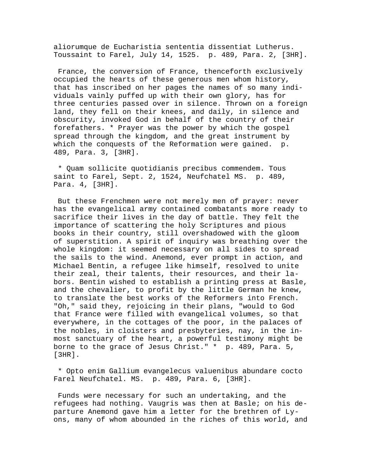aliorumque de Eucharistia sententia dissentiat Lutherus. Toussaint to Farel, July 14, 1525. p. 489, Para. 2, [3HR].

 France, the conversion of France, thenceforth exclusively occupied the hearts of these generous men whom history, that has inscribed on her pages the names of so many individuals vainly puffed up with their own glory, has for three centuries passed over in silence. Thrown on a foreign land, they fell on their knees, and daily, in silence and obscurity, invoked God in behalf of the country of their forefathers. \* Prayer was the power by which the gospel spread through the kingdom, and the great instrument by which the conquests of the Reformation were gained. p. 489, Para. 3, [3HR].

 \* Quam sollicite quotidianis precibus commendem. Tous saint to Farel, Sept. 2, 1524, Neufchatel MS. p. 489, Para. 4, [3HR].

 But these Frenchmen were not merely men of prayer: never has the evangelical army contained combatants more ready to sacrifice their lives in the day of battle. They felt the importance of scattering the holy Scriptures and pious books in their country, still overshadowed with the gloom of superstition. A spirit of inquiry was breathing over the whole kingdom: it seemed necessary on all sides to spread the sails to the wind. Anemond, ever prompt in action, and Michael Bentin, a refugee like himself, resolved to unite their zeal, their talents, their resources, and their labors. Bentin wished to establish a printing press at Basle, and the chevalier, to profit by the little German he knew, to translate the best works of the Reformers into French. "Oh," said they, rejoicing in their plans, "would to God that France were filled with evangelical volumes, so that everywhere, in the cottages of the poor, in the palaces of the nobles, in cloisters and presbyteries, nay, in the inmost sanctuary of the heart, a powerful testimony might be borne to the grace of Jesus Christ." \* p. 489, Para. 5, [3HR].

 \* Opto enim Gallium evangelecus valuenibus abundare cocto Farel Neufchatel. MS. p. 489, Para. 6, [3HR].

 Funds were necessary for such an undertaking, and the refugees had nothing. Vaugris was then at Basle; on his departure Anemond gave him a letter for the brethren of Lyons, many of whom abounded in the riches of this world, and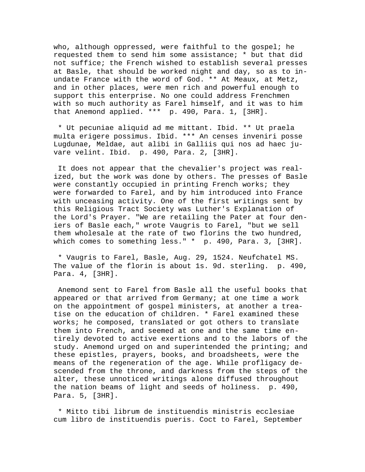who, although oppressed, were faithful to the gospel; he requested them to send him some assistance; \* but that did not suffice; the French wished to establish several presses at Basle, that should be worked night and day, so as to inundate France with the word of God. \*\* At Meaux, at Metz, and in other places, were men rich and powerful enough to support this enterprise. No one could address Frenchmen with so much authority as Farel himself, and it was to him that Anemond applied. \*\*\* p. 490, Para. 1, [3HR].

 \* Ut pecuniae aliquid ad me mittant. Ibid. \*\* Ut praela multa erigere possimus. Ibid. \*\*\* An censes inveniri posse Lugdunae, Meldae, aut alibi in Galliis qui nos ad haec juvare velint. Ibid. p. 490, Para. 2, [3HR].

 It does not appear that the chevalier's project was realized, but the work was done by others. The presses of Basle were constantly occupied in printing French works; they were forwarded to Farel, and by him introduced into France with unceasing activity. One of the first writings sent by this Religious Tract Society was Luther's Explanation of the Lord's Prayer. "We are retailing the Pater at four deniers of Basle each," wrote Vaugris to Farel, "but we sell them wholesale at the rate of two florins the two hundred, which comes to something less." \* p. 490, Para. 3, [3HR].

 \* Vaugris to Farel, Basle, Aug. 29, 1524. Neufchatel MS. The value of the florin is about 1s. 9d. sterling. p. 490, Para. 4, [3HR].

 Anemond sent to Farel from Basle all the useful books that appeared or that arrived from Germany; at one time a work on the appointment of gospel ministers, at another a treatise on the education of children. \* Farel examined these works; he composed, translated or got others to translate them into French, and seemed at one and the same time entirely devoted to active exertions and to the labors of the study. Anemond urged on and superintended the printing; and these epistles, prayers, books, and broadsheets, were the means of the regeneration of the age. While profligacy descended from the throne, and darkness from the steps of the alter, these unnoticed writings alone diffused throughout the nation beams of light and seeds of holiness. p. 490, Para. 5, [3HR].

 \* Mitto tibi librum de instituendis ministris ecclesiae cum libro de instituendis pueris. Coct to Farel, September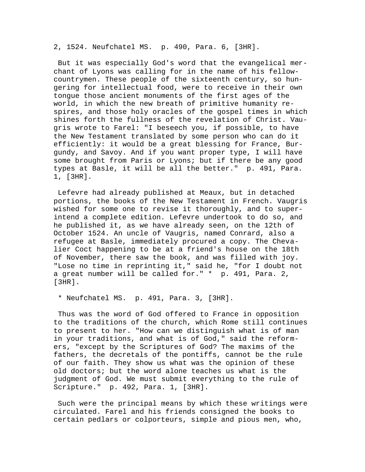2, 1524. Neufchatel MS. p. 490, Para. 6, [3HR].

 But it was especially God's word that the evangelical merchant of Lyons was calling for in the name of his fellowcountrymen. These people of the sixteenth century, so hungering for intellectual food, were to receive in their own tongue those ancient monuments of the first ages of the world, in which the new breath of primitive humanity respires, and those holy oracles of the gospel times in which shines forth the fullness of the revelation of Christ. Vaugris wrote to Farel: "I beseech you, if possible, to have the New Testament translated by some person who can do it efficiently: it would be a great blessing for France, Burgundy, and Savoy. And if you want proper type, I will have some brought from Paris or Lyons; but if there be any good types at Basle, it will be all the better." p. 491, Para. 1, [3HR].

 Lefevre had already published at Meaux, but in detached portions, the books of the New Testament in French. Vaugris wished for some one to revise it thoroughly, and to superintend a complete edition. Lefevre undertook to do so, and he published it, as we have already seen, on the 12th of October 1524. An uncle of Vaugris, named Conrard, also a refugee at Basle, immediately procured a copy. The Chevalier Coct happening to be at a friend's house on the 18th of November, there saw the book, and was filled with joy. "Lose no time in reprinting it," said he, "for I doubt not a great number will be called for." \* p. 491, Para. 2, [3HR].

\* Neufchatel MS. p. 491, Para. 3, [3HR].

 Thus was the word of God offered to France in opposition to the traditions of the church, which Rome still continues to present to her. "How can we distinguish what is of man in your traditions, and what is of God," said the reformers, "except by the Scriptures of God? The maxims of the fathers, the decretals of the pontiffs, cannot be the rule of our faith. They show us what was the opinion of these old doctors; but the word alone teaches us what is the judgment of God. We must submit everything to the rule of Scripture." p. 492, Para. 1, [3HR].

 Such were the principal means by which these writings were circulated. Farel and his friends consigned the books to certain pedlars or colporteurs, simple and pious men, who,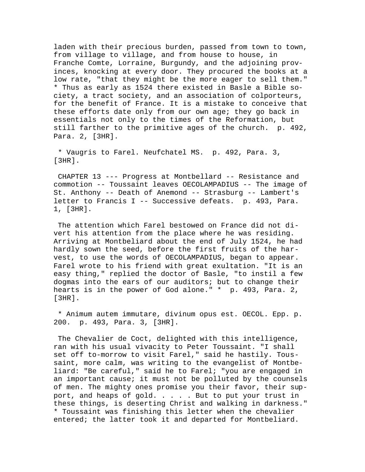laden with their precious burden, passed from town to town, from village to village, and from house to house, in Franche Comte, Lorraine, Burgundy, and the adjoining provinces, knocking at every door. They procured the books at a low rate, "that they might be the more eager to sell them." \* Thus as early as 1524 there existed in Basle a Bible society, a tract society, and an association of colporteurs, for the benefit of France. It is a mistake to conceive that these efforts date only from our own age; they go back in essentials not only to the times of the Reformation, but still farther to the primitive ages of the church. p. 492, Para. 2, [3HR].

 \* Vaugris to Farel. Neufchatel MS. p. 492, Para. 3, [3HR].

 CHAPTER 13 --- Progress at Montbellard -- Resistance and commotion -- Toussaint leaves OECOLAMPADIUS -- The image of St. Anthony -- Death of Anemond -- Strasburg -- Lambert's letter to Francis I -- Successive defeats. p. 493, Para. 1, [3HR].

 The attention which Farel bestowed on France did not divert his attention from the place where he was residing. Arriving at Montbeliard about the end of July 1524, he had hardly sown the seed, before the first fruits of the harvest, to use the words of OECOLAMPADIUS, began to appear. Farel wrote to his friend with great exultation. "It is an easy thing," replied the doctor of Basle, "to instil a few dogmas into the ears of our auditors; but to change their hearts is in the power of God alone." \* p. 493, Para. 2, [3HR].

 \* Animum autem immutare, divinum opus est. OECOL. Epp. p. 200. p. 493, Para. 3, [3HR].

 The Chevalier de Coct, delighted with this intelligence, ran with his usual vivacity to Peter Toussaint. "I shall set off to-morrow to visit Farel," said he hastily. Toussaint, more calm, was writing to the evangelist of Montbeliard: "Be careful," said he to Farel; "you are engaged in an important cause; it must not be polluted by the counsels of men. The mighty ones promise you their favor, their support, and heaps of gold. . . . . But to put your trust in these things, is deserting Christ and walking in darkness." \* Toussaint was finishing this letter when the chevalier entered; the latter took it and departed for Montbeliard.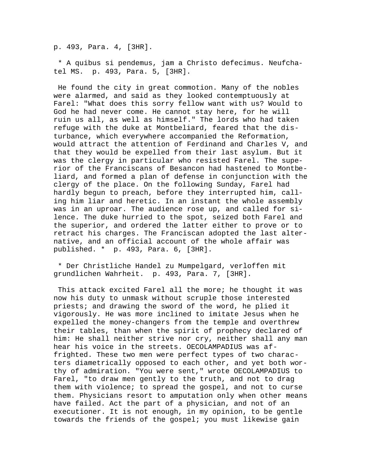p. 493, Para. 4, [3HR].

 \* A quibus si pendemus, jam a Christo defecimus. Neufchatel MS. p. 493, Para. 5, [3HR].

 He found the city in great commotion. Many of the nobles were alarmed, and said as they looked contemptuously at Farel: "What does this sorry fellow want with us? Would to God he had never come. He cannot stay here, for he will ruin us all, as well as himself." The lords who had taken refuge with the duke at Montbeliard, feared that the disturbance, which everywhere accompanied the Reformation, would attract the attention of Ferdinand and Charles V, and that they would be expelled from their last asylum. But it was the clergy in particular who resisted Farel. The superior of the Franciscans of Besancon had hastened to Montbeliard, and formed a plan of defense in conjunction with the clergy of the place. On the following Sunday, Farel had hardly begun to preach, before they interrupted him, calling him liar and heretic. In an instant the whole assembly was in an uproar. The audience rose up, and called for silence. The duke hurried to the spot, seized both Farel and the superior, and ordered the latter either to prove or to retract his charges. The Franciscan adopted the last alternative, and an official account of the whole affair was published. \* p. 493, Para. 6, [3HR].

 \* Der Christliche Handel zu Mumpelgard, verloffen mit grundlichen Wahrheit. p. 493, Para. 7, [3HR].

 This attack excited Farel all the more; he thought it was now his duty to unmask without scruple those interested priests; and drawing the sword of the word, he plied it vigorously. He was more inclined to imitate Jesus when he expelled the money-changers from the temple and overthrew their tables, than when the spirit of prophecy declared of him: He shall neither strive nor cry, neither shall any man hear his voice in the streets. OECOLAMPADIUS was affrighted. These two men were perfect types of two characters diametrically opposed to each other, and yet both worthy of admiration. "You were sent," wrote OECOLAMPADIUS to Farel, "to draw men gently to the truth, and not to drag them with violence; to spread the gospel, and not to curse them. Physicians resort to amputation only when other means have failed. Act the part of a physician, and not of an executioner. It is not enough, in my opinion, to be gentle towards the friends of the gospel; you must likewise gain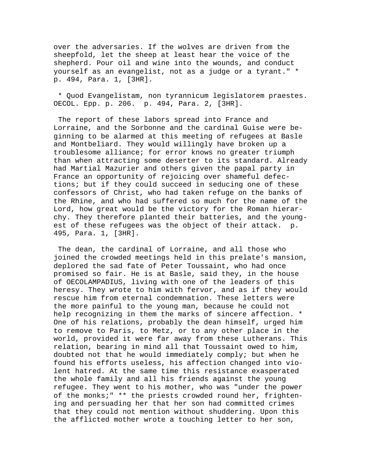over the adversaries. If the wolves are driven from the sheepfold, let the sheep at least hear the voice of the shepherd. Pour oil and wine into the wounds, and conduct yourself as an evangelist, not as a judge or a tyrant." \* p. 494, Para. 1, [3HR].

 \* Quod Evangelistam, non tyrannicum legislatorem praestes. OECOL. Epp. p. 206. p. 494, Para. 2, [3HR].

 The report of these labors spread into France and Lorraine, and the Sorbonne and the cardinal Guise were beginning to be alarmed at this meeting of refugees at Basle and Montbeliard. They would willingly have broken up a troublesome alliance; for error knows no greater triumph than when attracting some deserter to its standard. Already had Martial Mazurier and others given the papal party in France an opportunity of rejoicing over shameful defections; but if they could succeed in seducing one of these confessors of Christ, who had taken refuge on the banks of the Rhine, and who had suffered so much for the name of the Lord, how great would be the victory for the Roman hierarchy. They therefore planted their batteries, and the youngest of these refugees was the object of their attack. p. 495, Para. 1, [3HR].

 The dean, the cardinal of Lorraine, and all those who joined the crowded meetings held in this prelate's mansion, deplored the sad fate of Peter Toussaint, who had once promised so fair. He is at Basle, said they, in the house of OECOLAMPADIUS, living with one of the leaders of this heresy. They wrote to him with fervor, and as if they would rescue him from eternal condemnation. These letters were the more painful to the young man, because he could not help recognizing in them the marks of sincere affection. \* One of his relations, probably the dean himself, urged him to remove to Paris, to Metz, or to any other place in the world, provided it were far away from these Lutherans. This relation, bearing in mind all that Toussaint owed to him, doubted not that he would immediately comply; but when he found his efforts useless, his affection changed into violent hatred. At the same time this resistance exasperated the whole family and all his friends against the young refugee. They went to his mother, who was "under the power of the monks;" \*\* the priests crowded round her, frightening and persuading her that her son had committed crimes that they could not mention without shuddering. Upon this the afflicted mother wrote a touching letter to her son,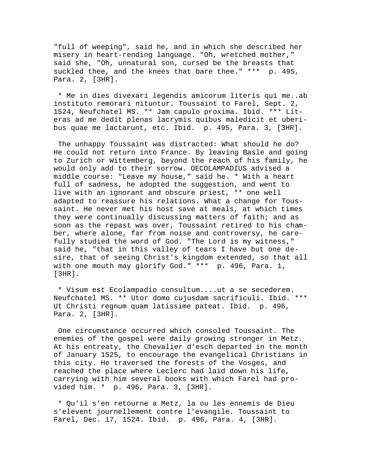"full of weeping", said he, and in which she described her misery in heart-rending language. "Oh, wretched mother," said she, "Oh, unnatural son, cursed be the breasts that suckled thee, and the knees that bare thee." \*\*\* p. 495, Para. 2, [3HR].

 \* Me in dies divexari legendis amicorum literis qui me..ab instituto remorari nituntur. Toussaint to Farel, Sept. 2, 1524, Neufchatel MS. \*\* Jam capulo proxima. Ibid. \*\*\* Literas ad me dedit plenas lacrymis quibus maledicit et uberibus quae me lactarunt, etc. Ibid. p. 495, Para. 3, [3HR].

 The unhappy Toussaint was distracted: What should he do? He could not return into France. By leaving Basle and going to Zurich or Wittemberg, beyond the reach of his family, he would only add to their sorrow. OECOLAMPADIUS advised a middle course: "Leave my house," said he. \* With a heart full of sadness, he adopted the suggestion, and went to live with an ignorant and obscure priest, \*\* one well adapted to reassure his relations. What a change for Toussaint. He never met his host save at meals, at which times they were continually discussing matters of faith; and as soon as the repast was over, Toussaint retired to his chamber, where alone, far from noise and controversy, he carefully studied the word of God. "The Lord is my witness," said he, "that in this valley of tears I have but one desire, that of seeing Christ's kingdom extended, so that all with one mouth may glorify God." \*\*\* p. 496, Para. 1, [3HR].

 \* Visum est Ecolampadio consultum....ut a se secederem. Neufchatel MS. \*\* Utor domo cujusdam sacrificuli. Ibid. \*\*\* Ut Christi regnum quam latissime pateat. Ibid. p. 496, Para. 2, [3HR].

 One circumstance occurred which consoled Toussaint. The enemies of the gospel were daily growing stronger in Metz. At his entreaty, the Chevalier d'esch departed in the month of January 1525, to encourage the evangelical Christians in this city. He traversed the forests of the Vosges, and reached the place where Leclerc had laid down his life, carrying with him several books with which Farel had provided him. \* p. 496, Para. 3, [3HR].

 \* Qu'il s'en retourne a Metz, la ou les ennemis de Dieu s'elevent journellement contre l'evangile. Toussaint to Farel, Dec. 17, 1524. Ibid. p. 496, Para. 4, [3HR].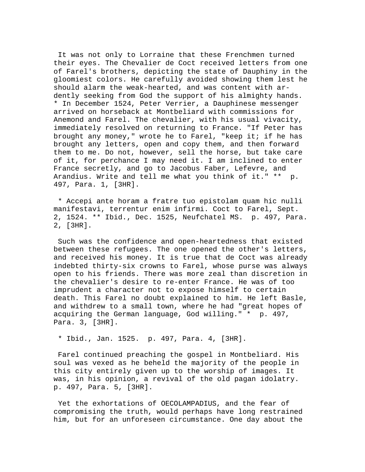It was not only to Lorraine that these Frenchmen turned their eyes. The Chevalier de Coct received letters from one of Farel's brothers, depicting the state of Dauphiny in the gloomiest colors. He carefully avoided showing them lest he should alarm the weak-hearted, and was content with ardently seeking from God the support of his almighty hands. \* In December 1524, Peter Verrier, a Dauphinese messenger arrived on horseback at Montbeliard with commissions for Anemond and Farel. The chevalier, with his usual vivacity, immediately resolved on returning to France. "If Peter has brought any money," wrote he to Farel, "keep it; if he has brought any letters, open and copy them, and then forward them to me. Do not, however, sell the horse, but take care of it, for perchance I may need it. I am inclined to enter France secretly, and go to Jacobus Faber, Lefevre, and Arandius. Write and tell me what you think of it." \*\* p. 497, Para. 1, [3HR].

 \* Accepi ante horam a fratre tuo epistolam quam hic nulli manifestavi, terrentur enim infirmi. Coct to Farel, Sept. 2, 1524. \*\* Ibid., Dec. 1525, Neufchatel MS. p. 497, Para. 2, [3HR].

 Such was the confidence and open-heartedness that existed between these refugees. The one opened the other's letters, and received his money. It is true that de Coct was already indebted thirty-six crowns to Farel, whose purse was always open to his friends. There was more zeal than discretion in the chevalier's desire to re-enter France. He was of too imprudent a character not to expose himself to certain death. This Farel no doubt explained to him. He left Basle, and withdrew to a small town, where he had "great hopes of acquiring the German language, God willing." \* p. 497, Para. 3, [3HR].

\* Ibid., Jan. 1525. p. 497, Para. 4, [3HR].

 Farel continued preaching the gospel in Montbeliard. His soul was vexed as he beheld the majority of the people in this city entirely given up to the worship of images. It was, in his opinion, a revival of the old pagan idolatry. p. 497, Para. 5, [3HR].

 Yet the exhortations of OECOLAMPADIUS, and the fear of compromising the truth, would perhaps have long restrained him, but for an unforeseen circumstance. One day about the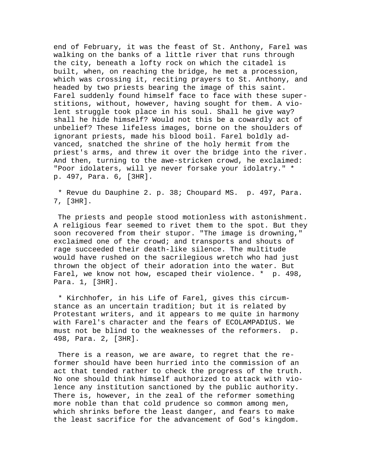end of February, it was the feast of St. Anthony, Farel was walking on the banks of a little river that runs through the city, beneath a lofty rock on which the citadel is built, when, on reaching the bridge, he met a procession, which was crossing it, reciting prayers to St. Anthony, and headed by two priests bearing the image of this saint. Farel suddenly found himself face to face with these superstitions, without, however, having sought for them. A violent struggle took place in his soul. Shall he give way? shall he hide himself? Would not this be a cowardly act of unbelief? These lifeless images, borne on the shoulders of ignorant priests, made his blood boil. Farel boldly advanced, snatched the shrine of the holy hermit from the priest's arms, and threw it over the bridge into the river. And then, turning to the awe-stricken crowd, he exclaimed: "Poor idolaters, will ye never forsake your idolatry." \* p. 497, Para. 6, [3HR].

 \* Revue du Dauphine 2. p. 38; Choupard MS. p. 497, Para. 7, [3HR].

 The priests and people stood motionless with astonishment. A religious fear seemed to rivet them to the spot. But they soon recovered from their stupor. "The image is drowning," exclaimed one of the crowd; and transports and shouts of rage succeeded their death-like silence. The multitude would have rushed on the sacrilegious wretch who had just thrown the object of their adoration into the water. But Farel, we know not how, escaped their violence. \* p. 498, Para. 1, [3HR].

 \* Kirchhofer, in his Life of Farel, gives this circumstance as an uncertain tradition; but it is related by Protestant writers, and it appears to me quite in harmony with Farel's character and the fears of ECOLAMPADIUS. We must not be blind to the weaknesses of the reformers. p. 498, Para. 2, [3HR].

 There is a reason, we are aware, to regret that the reformer should have been hurried into the commission of an act that tended rather to check the progress of the truth. No one should think himself authorized to attack with violence any institution sanctioned by the public authority. There is, however, in the zeal of the reformer something more noble than that cold prudence so common among men, which shrinks before the least danger, and fears to make the least sacrifice for the advancement of God's kingdom.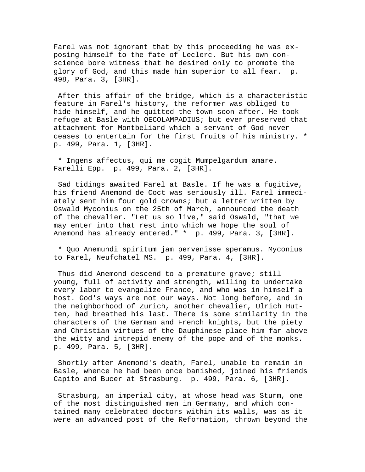Farel was not ignorant that by this proceeding he was exposing himself to the fate of Leclerc. But his own conscience bore witness that he desired only to promote the glory of God, and this made him superior to all fear. p. 498, Para. 3, [3HR].

 After this affair of the bridge, which is a characteristic feature in Farel's history, the reformer was obliged to hide himself, and he quitted the town soon after. He took refuge at Basle with OECOLAMPADIUS; but ever preserved that attachment for Montbeliard which a servant of God never ceases to entertain for the first fruits of his ministry. \* p. 499, Para. 1, [3HR].

 \* Ingens affectus, qui me cogit Mumpelgardum amare. Farelli Epp. p. 499, Para. 2, [3HR].

 Sad tidings awaited Farel at Basle. If he was a fugitive, his friend Anemond de Coct was seriously ill. Farel immediately sent him four gold crowns; but a letter written by Oswald Myconius on the 25th of March, announced the death of the chevalier. "Let us so live," said Oswald, "that we may enter into that rest into which we hope the soul of Anemond has already entered." \* p. 499, Para. 3, [3HR].

 \* Quo Anemundi spiritum jam pervenisse speramus. Myconius to Farel, Neufchatel MS. p. 499, Para. 4, [3HR].

Thus did Anemond descend to a premature grave; still young, full of activity and strength, willing to undertake every labor to evangelize France, and who was in himself a host. God's ways are not our ways. Not long before, and in the neighborhood of Zurich, another chevalier, Ulrich Hutten, had breathed his last. There is some similarity in the characters of the German and French knights, but the piety and Christian virtues of the Dauphinese place him far above the witty and intrepid enemy of the pope and of the monks. p. 499, Para. 5, [3HR].

 Shortly after Anemond's death, Farel, unable to remain in Basle, whence he had been once banished, joined his friends Capito and Bucer at Strasburg. p. 499, Para. 6, [3HR].

 Strasburg, an imperial city, at whose head was Sturm, one of the most distinguished men in Germany, and which contained many celebrated doctors within its walls, was as it were an advanced post of the Reformation, thrown beyond the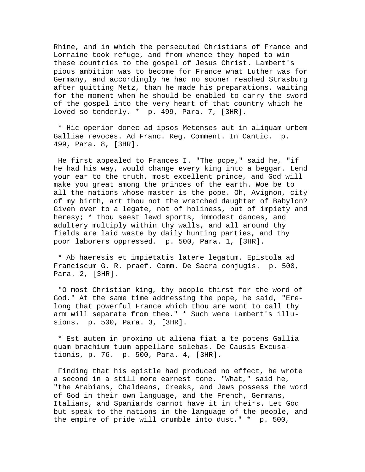Rhine, and in which the persecuted Christians of France and Lorraine took refuge, and from whence they hoped to win these countries to the gospel of Jesus Christ. Lambert's pious ambition was to become for France what Luther was for Germany, and accordingly he had no sooner reached Strasburg after quitting Metz, than he made his preparations, waiting for the moment when he should be enabled to carry the sword of the gospel into the very heart of that country which he loved so tenderly. \* p. 499, Para. 7, [3HR].

 \* Hic operior donec ad ipsos Metenses aut in aliquam urbem Galliae revoces. Ad Franc. Reg. Comment. In Cantic. p. 499, Para. 8, [3HR].

 He first appealed to Frances I. "The pope," said he, "if he had his way, would change every king into a beggar. Lend your ear to the truth, most excellent prince, and God will make you great among the princes of the earth. Woe be to all the nations whose master is the pope. Oh, Avignon, city of my birth, art thou not the wretched daughter of Babylon? Given over to a legate, not of holiness, but of impiety and heresy; \* thou seest lewd sports, immodest dances, and adultery multiply within thy walls, and all around thy fields are laid waste by daily hunting parties, and thy poor laborers oppressed. p. 500, Para. 1, [3HR].

 \* Ab haeresis et impietatis latere legatum. Epistola ad Franciscum G. R. praef. Comm. De Sacra conjugis. p. 500, Para. 2, [3HR].

 "O most Christian king, thy people thirst for the word of God." At the same time addressing the pope, he said, "Erelong that powerful France which thou are wont to call thy arm will separate from thee." \* Such were Lambert's illusions. p. 500, Para. 3, [3HR].

 \* Est autem in proximo ut aliena fiat a te potens Gallia quam brachium tuum appellare solebas. De Causis Excusationis, p. 76. p. 500, Para. 4, [3HR].

 Finding that his epistle had produced no effect, he wrote a second in a still more earnest tone. "What," said he, "the Arabians, Chaldeans, Greeks, and Jews possess the word of God in their own language, and the French, Germans, Italians, and Spaniards cannot have it in theirs. Let God but speak to the nations in the language of the people, and the empire of pride will crumble into dust." \* p. 500,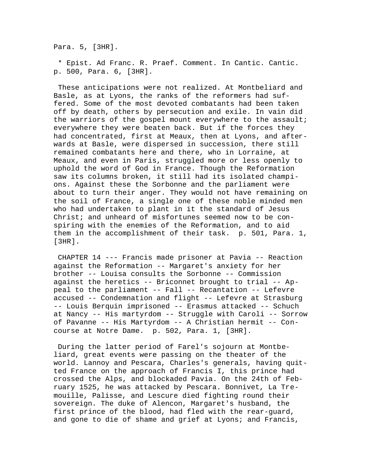Para. 5, [3HR].

 \* Epist. Ad Franc. R. Praef. Comment. In Cantic. Cantic. p. 500, Para. 6, [3HR].

 These anticipations were not realized. At Montbeliard and Basle, as at Lyons, the ranks of the reformers had suffered. Some of the most devoted combatants had been taken off by death, others by persecution and exile. In vain did the warriors of the gospel mount everywhere to the assault; everywhere they were beaten back. But if the forces they had concentrated, first at Meaux, then at Lyons, and afterwards at Basle, were dispersed in succession, there still remained combatants here and there, who in Lorraine, at Meaux, and even in Paris, struggled more or less openly to uphold the word of God in France. Though the Reformation saw its columns broken, it still had its isolated champions. Against these the Sorbonne and the parliament were about to turn their anger. They would not have remaining on the soil of France, a single one of these noble minded men who had undertaken to plant in it the standard of Jesus Christ; and unheard of misfortunes seemed now to be conspiring with the enemies of the Reformation, and to aid them in the accomplishment of their task. p. 501, Para. 1, [3HR].

 CHAPTER 14 --- Francis made prisoner at Pavia -- Reaction against the Reformation -- Margaret's anxiety for her brother -- Louisa consults the Sorbonne -- Commission against the heretics -- Briconnet brought to trial -- Appeal to the parliament -- Fall -- Recantation -- Lefevre accused -- Condemnation and flight -- Lefevre at Strasburg -- Louis Berquin imprisoned -- Erasmus attacked -- Schuch at Nancy -- His martyrdom -- Struggle with Caroli -- Sorrow of Pavanne -- His Martyrdom -- A Christian hermit -- Concourse at Notre Dame. p. 502, Para. 1, [3HR].

 During the latter period of Farel's sojourn at Montbeliard, great events were passing on the theater of the world. Lannoy and Pescara, Charles's generals, having quitted France on the approach of Francis I, this prince had crossed the Alps, and blockaded Pavia. On the 24th of February 1525, he was attacked by Pescara. Bonnivet, La Tremouille, Palisse, and Lescure died fighting round their sovereign. The duke of Alencon, Margaret's husband, the first prince of the blood, had fled with the rear-guard, and gone to die of shame and grief at Lyons; and Francis,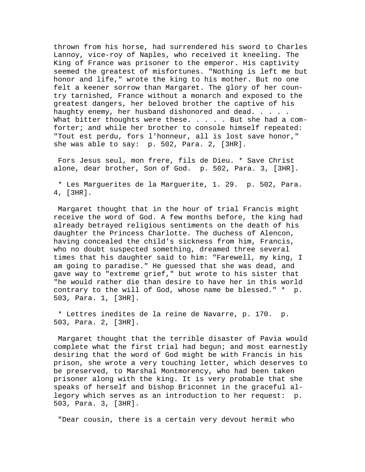thrown from his horse, had surrendered his sword to Charles Lannoy, vice-roy of Naples, who received it kneeling. The King of France was prisoner to the emperor. His captivity seemed the greatest of misfortunes. "Nothing is left me but honor and life," wrote the king to his mother. But no one felt a keener sorrow than Margaret. The glory of her country tarnished, France without a monarch and exposed to the greatest dangers, her beloved brother the captive of his haughty enemy, her husband dishonored and dead. . . . . What bitter thoughts were these. . . . . But she had a comforter; and while her brother to console himself repeated: "Tout est perdu, fors l'honneur, all is lost save honor," she was able to say: p. 502, Para. 2, [3HR].

 Fors Jesus seul, mon frere, fils de Dieu. \* Save Christ alone, dear brother, Son of God. p. 502, Para. 3, [3HR].

 \* Les Marguerites de la Marguerite, 1. 29. p. 502, Para. 4, [3HR].

 Margaret thought that in the hour of trial Francis might receive the word of God. A few months before, the king had already betrayed religious sentiments on the death of his daughter the Princess Charlotte. The duchess of Alencon, having concealed the child's sickness from him, Francis, who no doubt suspected something, dreamed three several times that his daughter said to him: "Farewell, my king, I am going to paradise." He guessed that she was dead, and gave way to "extreme grief," but wrote to his sister that "he would rather die than desire to have her in this world contrary to the will of God, whose name be blessed." \* p. 503, Para. 1, [3HR].

 \* Lettres inedites de la reine de Navarre, p. 170. p. 503, Para. 2, [3HR].

 Margaret thought that the terrible disaster of Pavia would complete what the first trial had begun; and most earnestly desiring that the word of God might be with Francis in his prison, she wrote a very touching letter, which deserves to be preserved, to Marshal Montmorency, who had been taken prisoner along with the king. It is very probable that she speaks of herself and bishop Briconnet in the graceful allegory which serves as an introduction to her request: p. 503, Para. 3, [3HR].

"Dear cousin, there is a certain very devout hermit who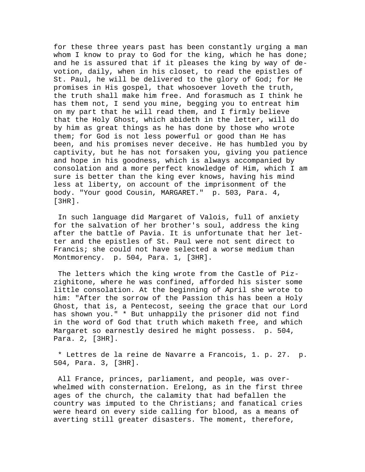for these three years past has been constantly urging a man whom I know to pray to God for the king, which he has done; and he is assured that if it pleases the king by way of devotion, daily, when in his closet, to read the epistles of St. Paul, he will be delivered to the glory of God; for He promises in His gospel, that whosoever loveth the truth, the truth shall make him free. And forasmuch as I think he has them not, I send you mine, begging you to entreat him on my part that he will read them, and I firmly believe that the Holy Ghost, which abideth in the letter, will do by him as great things as he has done by those who wrote them; for God is not less powerful or good than He has been, and his promises never deceive. He has humbled you by captivity, but he has not forsaken you, giving you patience and hope in his goodness, which is always accompanied by consolation and a more perfect knowledge of Him, which I am sure is better than the king ever knows, having his mind less at liberty, on account of the imprisonment of the body. "Your good Cousin, MARGARET." p. 503, Para. 4, [3HR].

 In such language did Margaret of Valois, full of anxiety for the salvation of her brother's soul, address the king after the battle of Pavia. It is unfortunate that her letter and the epistles of St. Paul were not sent direct to Francis; she could not have selected a worse medium than Montmorency. p. 504, Para. 1, [3HR].

 The letters which the king wrote from the Castle of Pizzighitone, where he was confined, afforded his sister some little consolation. At the beginning of April she wrote to him: "After the sorrow of the Passion this has been a Holy Ghost, that is, a Pentecost, seeing the grace that our Lord has shown you." \* But unhappily the prisoner did not find in the word of God that truth which maketh free, and which Margaret so earnestly desired he might possess. p. 504, Para. 2, [3HR].

 \* Lettres de la reine de Navarre a Francois, 1. p. 27. p. 504, Para. 3, [3HR].

 All France, princes, parliament, and people, was overwhelmed with consternation. Erelong, as in the first three ages of the church, the calamity that had befallen the country was imputed to the Christians; and fanatical cries were heard on every side calling for blood, as a means of averting still greater disasters. The moment, therefore,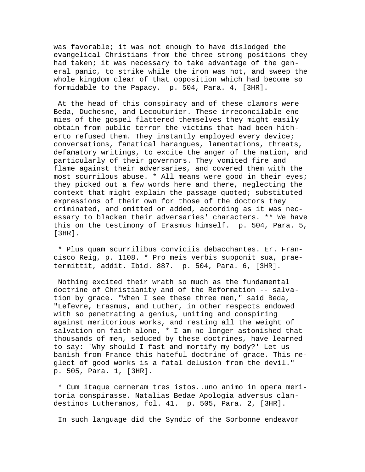was favorable; it was not enough to have dislodged the evangelical Christians from the three strong positions they had taken; it was necessary to take advantage of the general panic, to strike while the iron was hot, and sweep the whole kingdom clear of that opposition which had become so formidable to the Papacy. p. 504, Para. 4, [3HR].

 At the head of this conspiracy and of these clamors were Beda, Duchesne, and Lecouturier. These irreconcilable enemies of the gospel flattered themselves they might easily obtain from public terror the victims that had been hitherto refused them. They instantly employed every device; conversations, fanatical harangues, lamentations, threats, defamatory writings, to excite the anger of the nation, and particularly of their governors. They vomited fire and flame against their adversaries, and covered them with the most scurrilous abuse. \* All means were good in their eyes; they picked out a few words here and there, neglecting the context that might explain the passage quoted; substituted expressions of their own for those of the doctors they criminated, and omitted or added, according as it was necessary to blacken their adversaries' characters. \*\* We have this on the testimony of Erasmus himself. p. 504, Para. 5, [3HR].

 \* Plus quam scurrilibus conviciis debacchantes. Er. Francisco Reig, p. 1108. \* Pro meis verbis supponit sua, praetermittit, addit. Ibid. 887. p. 504, Para. 6, [3HR].

 Nothing excited their wrath so much as the fundamental doctrine of Christianity and of the Reformation -- salvation by grace. "When I see these three men," said Beda, "Lefevre, Erasmus, and Luther, in other respects endowed with so penetrating a genius, uniting and conspiring against meritorious works, and resting all the weight of salvation on faith alone, \* I am no longer astonished that thousands of men, seduced by these doctrines, have learned to say: 'Why should I fast and mortify my body?' Let us banish from France this hateful doctrine of grace. This neglect of good works is a fatal delusion from the devil." p. 505, Para. 1, [3HR].

 \* Cum itaque cerneram tres istos..uno animo in opera meritoria conspirasse. Natalias Bedae Apologia adversus clandestinos Lutheranos, fol. 41. p. 505, Para. 2, [3HR].

In such language did the Syndic of the Sorbonne endeavor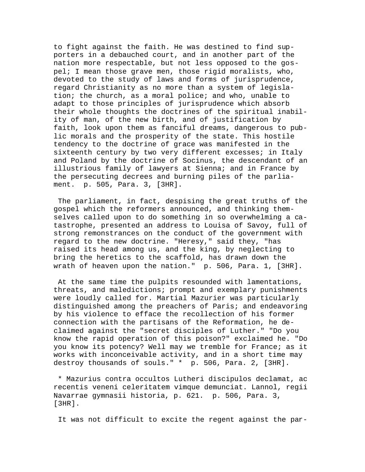to fight against the faith. He was destined to find supporters in a debauched court, and in another part of the nation more respectable, but not less opposed to the gospel; I mean those grave men, those rigid moralists, who, devoted to the study of laws and forms of jurisprudence, regard Christianity as no more than a system of legislation; the church, as a moral police; and who, unable to adapt to those principles of jurisprudence which absorb their whole thoughts the doctrines of the spiritual inability of man, of the new birth, and of justification by faith, look upon them as fanciful dreams, dangerous to public morals and the prosperity of the state. This hostile tendency to the doctrine of grace was manifested in the sixteenth century by two very different excesses; in Italy and Poland by the doctrine of Socinus, the descendant of an illustrious family of lawyers at Sienna; and in France by the persecuting decrees and burning piles of the parliament. p. 505, Para. 3, [3HR].

 The parliament, in fact, despising the great truths of the gospel which the reformers announced, and thinking themselves called upon to do something in so overwhelming a catastrophe, presented an address to Louisa of Savoy, full of strong remonstrances on the conduct of the government with regard to the new doctrine. "Heresy," said they, "has raised its head among us, and the king, by neglecting to bring the heretics to the scaffold, has drawn down the wrath of heaven upon the nation." p. 506, Para. 1, [3HR].

 At the same time the pulpits resounded with lamentations, threats, and maledictions; prompt and exemplary punishments were loudly called for. Martial Mazurier was particularly distinguished among the preachers of Paris; and endeavoring by his violence to efface the recollection of his former connection with the partisans of the Reformation, he declaimed against the "secret disciples of Luther." "Do you know the rapid operation of this poison?" exclaimed he. "Do you know its potency? Well may we tremble for France; as it works with inconceivable activity, and in a short time may destroy thousands of souls." \* p. 506, Para. 2, [3HR].

 \* Mazurius contra occultos Lutheri discipulos declamat, ac recentis veneni celeritatem vimque demunciat. Lannol, regii Navarrae gymnasii historia, p. 621. p. 506, Para. 3, [3HR].

It was not difficult to excite the regent against the par-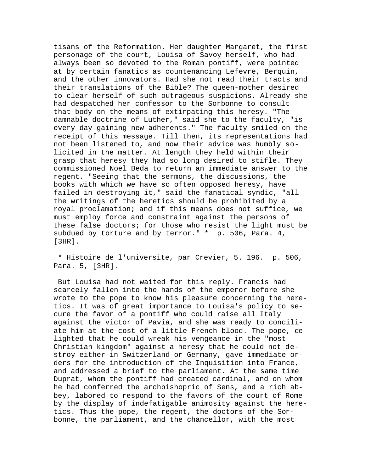tisans of the Reformation. Her daughter Margaret, the first personage of the court, Louisa of Savoy herself, who had always been so devoted to the Roman pontiff, were pointed at by certain fanatics as countenancing Lefevre, Berquin, and the other innovators. Had she not read their tracts and their translations of the Bible? The queen-mother desired to clear herself of such outrageous suspicions. Already she had despatched her confessor to the Sorbonne to consult that body on the means of extirpating this heresy. "The damnable doctrine of Luther," said she to the faculty, "is every day gaining new adherents." The faculty smiled on the receipt of this message. Till then, its representations had not been listened to, and now their advice was humbly solicited in the matter. At length they held within their grasp that heresy they had so long desired to stifle. They commissioned Noel Beda to return an immediate answer to the regent. "Seeing that the sermons, the discussions, the books with which we have so often opposed heresy, have failed in destroying it," said the fanatical syndic, "all the writings of the heretics should be prohibited by a royal proclamation; and if this means does not suffice, we must employ force and constraint against the persons of these false doctors; for those who resist the light must be subdued by torture and by terror." \* p. 506, Para. 4, [3HR].

 \* Histoire de l'universite, par Crevier, 5. 196. p. 506, Para. 5, [3HR].

 But Louisa had not waited for this reply. Francis had scarcely fallen into the hands of the emperor before she wrote to the pope to know his pleasure concerning the heretics. It was of great importance to Louisa's policy to secure the favor of a pontiff who could raise all Italy against the victor of Pavia, and she was ready to conciliate him at the cost of a little French blood. The pope, delighted that he could wreak his vengeance in the "most Christian kingdom" against a heresy that he could not destroy either in Switzerland or Germany, gave immediate orders for the introduction of the Inquisition into France, and addressed a brief to the parliament. At the same time Duprat, whom the pontiff had created cardinal, and on whom he had conferred the archbishopric of Sens, and a rich abbey, labored to respond to the favors of the court of Rome by the display of indefatigable animosity against the heretics. Thus the pope, the regent, the doctors of the Sorbonne, the parliament, and the chancellor, with the most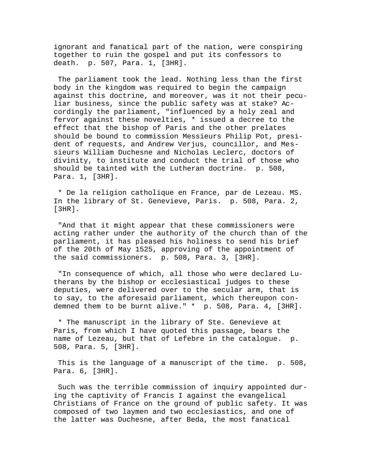ignorant and fanatical part of the nation, were conspiring together to ruin the gospel and put its confessors to death. p. 507, Para. 1, [3HR].

 The parliament took the lead. Nothing less than the first body in the kingdom was required to begin the campaign against this doctrine, and moreover, was it not their peculiar business, since the public safety was at stake? Accordingly the parliament, "influenced by a holy zeal and fervor against these novelties, \* issued a decree to the effect that the bishop of Paris and the other prelates should be bound to commission Messieurs Philip Pot, president of requests, and Andrew Verjus, councillor, and Messieurs William Duchesne and Nicholas Leclerc, doctors of divinity, to institute and conduct the trial of those who should be tainted with the Lutheran doctrine. p. 508, Para. 1, [3HR].

 \* De la religion catholique en France, par de Lezeau. MS. In the library of St. Genevieve, Paris. p. 508, Para. 2, [3HR].

 "And that it might appear that these commissioners were acting rather under the authority of the church than of the parliament, it has pleased his holiness to send his brief of the 20th of May 1525, approving of the appointment of the said commissioners. p. 508, Para. 3, [3HR].

 "In consequence of which, all those who were declared Lutherans by the bishop or ecclesiastical judges to these deputies, were delivered over to the secular arm, that is to say, to the aforesaid parliament, which thereupon condemned them to be burnt alive." \* p. 508, Para. 4, [3HR].

 \* The manuscript in the library of Ste. Genevieve at Paris, from which I have quoted this passage, bears the name of Lezeau, but that of Lefebre in the catalogue. p. 508, Para. 5, [3HR].

 This is the language of a manuscript of the time. p. 508, Para. 6, [3HR].

 Such was the terrible commission of inquiry appointed during the captivity of Francis I against the evangelical Christians of France on the ground of public safety. It was composed of two laymen and two ecclesiastics, and one of the latter was Duchesne, after Beda, the most fanatical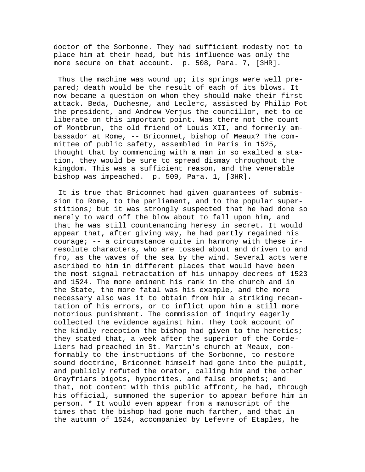doctor of the Sorbonne. They had sufficient modesty not to place him at their head, but his influence was only the more secure on that account. p. 508, Para. 7, [3HR].

 Thus the machine was wound up; its springs were well prepared; death would be the result of each of its blows. It now became a question on whom they should make their first attack. Beda, Duchesne, and Leclerc, assisted by Philip Pot the president, and Andrew Verjus the councillor, met to deliberate on this important point. Was there not the count of Montbrun, the old friend of Louis XII, and formerly ambassador at Rome, -- Briconnet, bishop of Meaux? The committee of public safety, assembled in Paris in 1525, thought that by commencing with a man in so exalted a station, they would be sure to spread dismay throughout the kingdom. This was a sufficient reason, and the venerable bishop was impeached. p. 509, Para. 1, [3HR].

 It is true that Briconnet had given guarantees of submission to Rome, to the parliament, and to the popular superstitions; but it was strongly suspected that he had done so merely to ward off the blow about to fall upon him, and that he was still countenancing heresy in secret. It would appear that, after giving way, he had partly regained his courage; -- a circumstance quite in harmony with these irresolute characters, who are tossed about and driven to and fro, as the waves of the sea by the wind. Several acts were ascribed to him in different places that would have been the most signal retractation of his unhappy decrees of 1523 and 1524. The more eminent his rank in the church and in the State, the more fatal was his example, and the more necessary also was it to obtain from him a striking recantation of his errors, or to inflict upon him a still more notorious punishment. The commission of inquiry eagerly collected the evidence against him. They took account of the kindly reception the bishop had given to the heretics; they stated that, a week after the superior of the Cordeliers had preached in St. Martin's church at Meaux, conformably to the instructions of the Sorbonne, to restore sound doctrine, Briconnet himself had gone into the pulpit, and publicly refuted the orator, calling him and the other Grayfriars bigots, hypocrites, and false prophets; and that, not content with this public affront, he had, through his official, summoned the superior to appear before him in person. \* It would even appear from a manuscript of the times that the bishop had gone much farther, and that in the autumn of 1524, accompanied by Lefevre of Etaples, he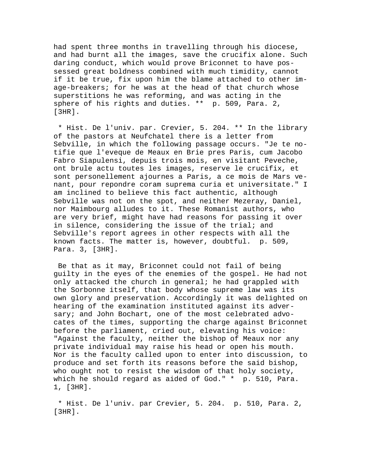had spent three months in travelling through his diocese, and had burnt all the images, save the crucifix alone. Such daring conduct, which would prove Briconnet to have possessed great boldness combined with much timidity, cannot if it be true, fix upon him the blame attached to other image-breakers; for he was at the head of that church whose superstitions he was reforming, and was acting in the sphere of his rights and duties. \*\* p. 509, Para. 2, [3HR].

 \* Hist. De l'univ. par. Crevier, 5. 204. \*\* In the library of the pastors at Neufchatel there is a letter from Sebville, in which the following passage occurs. "Je te notifie que l'eveque de Meaux en Brie pres Paris, cum Jacobo Fabro Siapulensi, depuis trois mois, en visitant Peveche, ont brule actu toutes les images, reserve le crucifix, et sont personellement ajournes a Paris, a ce mois de Mars venant, pour repondre coram suprema curia et universitate." I am inclined to believe this fact authentic, although Sebville was not on the spot, and neither Mezeray, Daniel, nor Maimbourg alludes to it. These Romanist authors, who are very brief, might have had reasons for passing it over in silence, considering the issue of the trial; and Sebville's report agrees in other respects with all the known facts. The matter is, however, doubtful. p. 509, Para. 3, [3HR].

 Be that as it may, Briconnet could not fail of being guilty in the eyes of the enemies of the gospel. He had not only attacked the church in general; he had grappled with the Sorbonne itself, that body whose supreme law was its own glory and preservation. Accordingly it was delighted on hearing of the examination instituted against its adversary; and John Bochart, one of the most celebrated advocates of the times, supporting the charge against Briconnet before the parliament, cried out, elevating his voice: "Against the faculty, neither the bishop of Meaux nor any private individual may raise his head or open his mouth. Nor is the faculty called upon to enter into discussion, to produce and set forth its reasons before the said bishop, who ought not to resist the wisdom of that holy society, which he should regard as aided of God." \* p. 510, Para. 1, [3HR].

 \* Hist. De l'univ. par Crevier, 5. 204. p. 510, Para. 2, [3HR].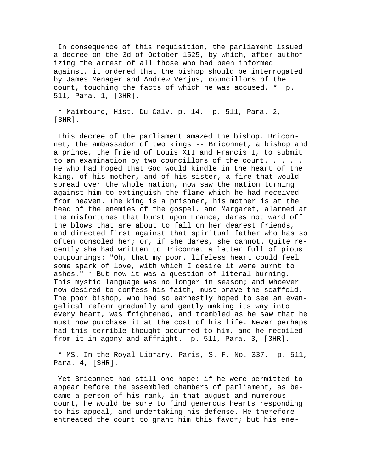In consequence of this requisition, the parliament issued a decree on the 3d of October 1525, by which, after authorizing the arrest of all those who had been informed against, it ordered that the bishop should be interrogated by James Menager and Andrew Verjus, councillors of the court, touching the facts of which he was accused. \* p. 511, Para. 1, [3HR].

 \* Maimbourg, Hist. Du Calv. p. 14. p. 511, Para. 2, [3HR].

 This decree of the parliament amazed the bishop. Briconnet, the ambassador of two kings -- Briconnet, a bishop and a prince, the friend of Louis XII and Francis I, to submit to an examination by two councillors of the court. . . . . He who had hoped that God would kindle in the heart of the king, of his mother, and of his sister, a fire that would spread over the whole nation, now saw the nation turning against him to extinguish the flame which he had received from heaven. The king is a prisoner, his mother is at the head of the enemies of the gospel, and Margaret, alarmed at the misfortunes that burst upon France, dares not ward off the blows that are about to fall on her dearest friends, and directed first against that spiritual father who has so often consoled her; or, if she dares, she cannot. Quite recently she had written to Briconnet a letter full of pious outpourings: "Oh, that my poor, lifeless heart could feel some spark of love, with which I desire it were burnt to ashes." \* But now it was a question of literal burning. This mystic language was no longer in season; and whoever now desired to confess his faith, must brave the scaffold. The poor bishop, who had so earnestly hoped to see an evangelical reform gradually and gently making its way into every heart, was frightened, and trembled as he saw that he must now purchase it at the cost of his life. Never perhaps had this terrible thought occurred to him, and he recoiled from it in agony and affright. p. 511, Para. 3, [3HR].

 \* MS. In the Royal Library, Paris, S. F. No. 337. p. 511, Para. 4, [3HR].

 Yet Briconnet had still one hope: if he were permitted to appear before the assembled chambers of parliament, as became a person of his rank, in that august and numerous court, he would be sure to find generous hearts responding to his appeal, and undertaking his defense. He therefore entreated the court to grant him this favor; but his ene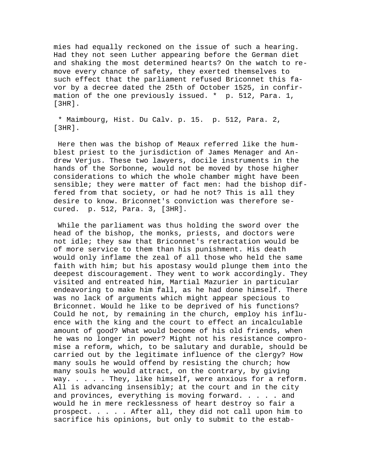mies had equally reckoned on the issue of such a hearing. Had they not seen Luther appearing before the German diet and shaking the most determined hearts? On the watch to remove every chance of safety, they exerted themselves to such effect that the parliament refused Briconnet this favor by a decree dated the 25th of October 1525, in confirmation of the one previously issued. \* p. 512, Para. 1, [3HR].

 \* Maimbourg, Hist. Du Calv. p. 15. p. 512, Para. 2, [3HR].

 Here then was the bishop of Meaux referred like the humblest priest to the jurisdiction of James Menager and Andrew Verjus. These two lawyers, docile instruments in the hands of the Sorbonne, would not be moved by those higher considerations to which the whole chamber might have been sensible; they were matter of fact men: had the bishop differed from that society, or had he not? This is all they desire to know. Briconnet's conviction was therefore secured. p. 512, Para. 3, [3HR].

 While the parliament was thus holding the sword over the head of the bishop, the monks, priests, and doctors were not idle; they saw that Briconnet's retractation would be of more service to them than his punishment. His death would only inflame the zeal of all those who held the same faith with him; but his apostasy would plunge them into the deepest discouragement. They went to work accordingly. They visited and entreated him, Martial Mazurier in particular endeavoring to make him fall, as he had done himself. There was no lack of arguments which might appear specious to Briconnet. Would he like to be deprived of his functions? Could he not, by remaining in the church, employ his influence with the king and the court to effect an incalculable amount of good? What would become of his old friends, when he was no longer in power? Might not his resistance compromise a reform, which, to be salutary and durable, should be carried out by the legitimate influence of the clergy? How many souls he would offend by resisting the church; how many souls he would attract, on the contrary, by giving way. . . . . They, like himself, were anxious for a reform. All is advancing insensibly; at the court and in the city and provinces, everything is moving forward. . . . . and would he in mere recklessness of heart destroy so fair a prospect. . . . . After all, they did not call upon him to sacrifice his opinions, but only to submit to the estab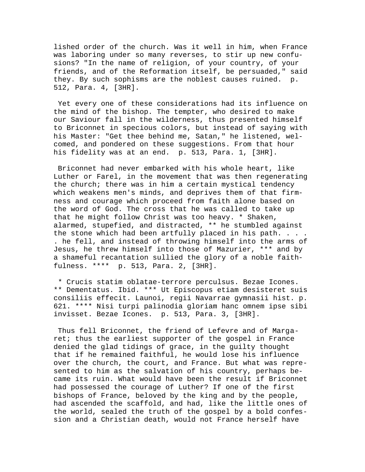lished order of the church. Was it well in him, when France was laboring under so many reverses, to stir up new confusions? "In the name of religion, of your country, of your friends, and of the Reformation itself, be persuaded," said they. By such sophisms are the noblest causes ruined. p. 512, Para. 4, [3HR].

 Yet every one of these considerations had its influence on the mind of the bishop. The tempter, who desired to make our Saviour fall in the wilderness, thus presented himself to Briconnet in specious colors, but instead of saying with his Master: "Get thee behind me, Satan," he listened, welcomed, and pondered on these suggestions. From that hour his fidelity was at an end. p. 513, Para. 1, [3HR].

 Briconnet had never embarked with his whole heart, like Luther or Farel, in the movement that was then regenerating the church; there was in him a certain mystical tendency which weakens men's minds, and deprives them of that firmness and courage which proceed from faith alone based on the word of God. The cross that he was called to take up that he might follow Christ was too heavy. \* Shaken, alarmed, stupefied, and distracted, \*\* he stumbled against the stone which had been artfully placed in his path. . . . . he fell, and instead of throwing himself into the arms of Jesus, he threw himself into those of Mazurier, \*\*\* and by a shameful recantation sullied the glory of a noble faithfulness. \*\*\*\* p. 513, Para. 2, [3HR].

 \* Crucis statim oblatae-terrore perculsus. Bezae Icones. \*\* Dementatus. Ibid. \*\*\* Ut Episcopus etiam desisteret suis consiliis effecit. Launoi, regii Navarrae gymnasii hist. p. 621. \*\*\*\* Nisi turpi palinodia gloriam hanc omnem ipse sibi invisset. Bezae Icones. p. 513, Para. 3, [3HR].

 Thus fell Briconnet, the friend of Lefevre and of Margaret; thus the earliest supporter of the gospel in France denied the glad tidings of grace, in the guilty thought that if he remained faithful, he would lose his influence over the church, the court, and France. But what was represented to him as the salvation of his country, perhaps became its ruin. What would have been the result if Briconnet had possessed the courage of Luther? If one of the first bishops of France, beloved by the king and by the people, had ascended the scaffold, and had, like the little ones of the world, sealed the truth of the gospel by a bold confession and a Christian death, would not France herself have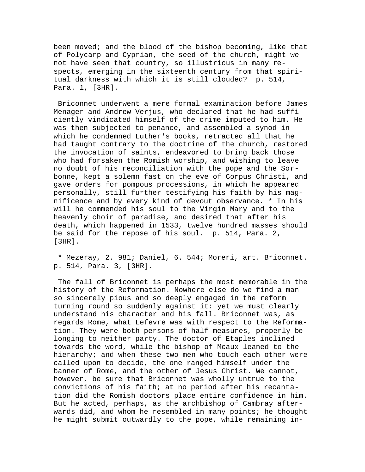been moved; and the blood of the bishop becoming, like that of Polycarp and Cyprian, the seed of the church, might we not have seen that country, so illustrious in many respects, emerging in the sixteenth century from that spiritual darkness with which it is still clouded? p. 514, Para. 1, [3HR].

 Briconnet underwent a mere formal examination before James Menager and Andrew Verjus, who declared that he had sufficiently vindicated himself of the crime imputed to him. He was then subjected to penance, and assembled a synod in which he condemned Luther's books, retracted all that he had taught contrary to the doctrine of the church, restored the invocation of saints, endeavored to bring back those who had forsaken the Romish worship, and wishing to leave no doubt of his reconciliation with the pope and the Sorbonne, kept a solemn fast on the eve of Corpus Christi, and gave orders for pompous processions, in which he appeared personally, still further testifying his faith by his magnificence and by every kind of devout observance. \* In his will he commended his soul to the Virgin Mary and to the heavenly choir of paradise, and desired that after his death, which happened in 1533, twelve hundred masses should be said for the repose of his soul. p. 514, Para. 2, [3HR].

 \* Mezeray, 2. 981; Daniel, 6. 544; Moreri, art. Briconnet. p. 514, Para. 3, [3HR].

 The fall of Briconnet is perhaps the most memorable in the history of the Reformation. Nowhere else do we find a man so sincerely pious and so deeply engaged in the reform turning round so suddenly against it: yet we must clearly understand his character and his fall. Briconnet was, as regards Rome, what Lefevre was with respect to the Reformation. They were both persons of half-measures, properly belonging to neither party. The doctor of Etaples inclined towards the word, while the bishop of Meaux leaned to the hierarchy; and when these two men who touch each other were called upon to decide, the one ranged himself under the banner of Rome, and the other of Jesus Christ. We cannot, however, be sure that Briconnet was wholly untrue to the convictions of his faith; at no period after his recantation did the Romish doctors place entire confidence in him. But he acted, perhaps, as the archbishop of Cambray afterwards did, and whom he resembled in many points; he thought he might submit outwardly to the pope, while remaining in-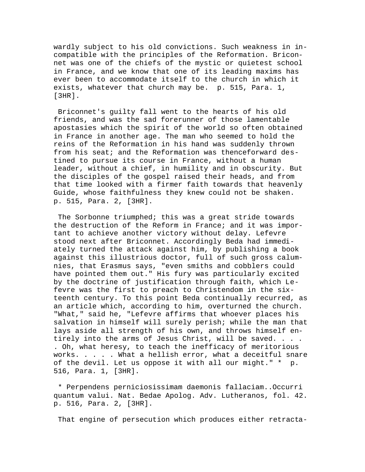wardly subject to his old convictions. Such weakness in incompatible with the principles of the Reformation. Briconnet was one of the chiefs of the mystic or quietest school in France, and we know that one of its leading maxims has ever been to accommodate itself to the church in which it exists, whatever that church may be. p. 515, Para. 1, [3HR].

 Briconnet's guilty fall went to the hearts of his old friends, and was the sad forerunner of those lamentable apostasies which the spirit of the world so often obtained in France in another age. The man who seemed to hold the reins of the Reformation in his hand was suddenly thrown from his seat; and the Reformation was thenceforward destined to pursue its course in France, without a human leader, without a chief, in humility and in obscurity. But the disciples of the gospel raised their heads, and from that time looked with a firmer faith towards that heavenly Guide, whose faithfulness they knew could not be shaken. p. 515, Para. 2, [3HR].

The Sorbonne triumphed; this was a great stride towards the destruction of the Reform in France; and it was important to achieve another victory without delay. Lefevre stood next after Briconnet. Accordingly Beda had immediately turned the attack against him, by publishing a book against this illustrious doctor, full of such gross calumnies, that Erasmus says, "even smiths and cobblers could have pointed them out." His fury was particularly excited by the doctrine of justification through faith, which Lefevre was the first to preach to Christendom in the sixteenth century. To this point Beda continually recurred, as an article which, according to him, overturned the church. "What," said he, "Lefevre affirms that whoever places his salvation in himself will surely perish; while the man that lays aside all strength of his own, and throws himself entirely into the arms of Jesus Christ, will be saved. . . . . Oh, what heresy, to teach the inefficacy of meritorious works. . . . . What a hellish error, what a deceitful snare of the devil. Let us oppose it with all our might." \* p. 516, Para. 1, [3HR].

 \* Perpendens perniciosissimam daemonis fallaciam..Occurri quantum valui. Nat. Bedae Apolog. Adv. Lutheranos, fol. 42. p. 516, Para. 2, [3HR].

That engine of persecution which produces either retracta-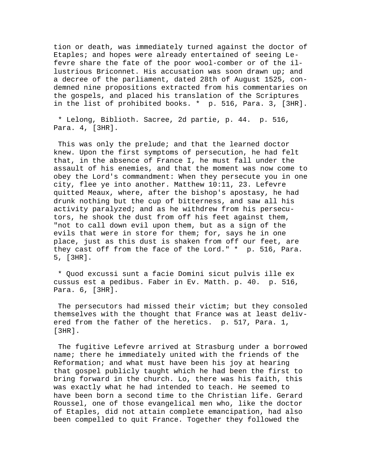tion or death, was immediately turned against the doctor of Etaples; and hopes were already entertained of seeing Lefevre share the fate of the poor wool-comber or of the illustrious Briconnet. His accusation was soon drawn up; and a decree of the parliament, dated 28th of August 1525, condemned nine propositions extracted from his commentaries on the gospels, and placed his translation of the Scriptures in the list of prohibited books. \* p. 516, Para. 3, [3HR].

 \* Lelong, Biblioth. Sacree, 2d partie, p. 44. p. 516, Para. 4, [3HR].

 This was only the prelude; and that the learned doctor knew. Upon the first symptoms of persecution, he had felt that, in the absence of France I, he must fall under the assault of his enemies, and that the moment was now come to obey the Lord's commandment: When they persecute you in one city, flee ye into another. Matthew 10:11, 23. Lefevre quitted Meaux, where, after the bishop's apostasy, he had drunk nothing but the cup of bitterness, and saw all his activity paralyzed; and as he withdrew from his persecutors, he shook the dust from off his feet against them, "not to call down evil upon them, but as a sign of the evils that were in store for them; for, says he in one place, just as this dust is shaken from off our feet, are they cast off from the face of the Lord." \* p. 516, Para. 5, [3HR].

 \* Quod excussi sunt a facie Domini sicut pulvis ille ex cussus est a pedibus. Faber in Ev. Matth. p. 40. p. 516, Para. 6, [3HR].

 The persecutors had missed their victim; but they consoled themselves with the thought that France was at least delivered from the father of the heretics. p. 517, Para. 1, [3HR].

 The fugitive Lefevre arrived at Strasburg under a borrowed name; there he immediately united with the friends of the Reformation; and what must have been his joy at hearing that gospel publicly taught which he had been the first to bring forward in the church. Lo, there was his faith, this was exactly what he had intended to teach. He seemed to have been born a second time to the Christian life. Gerard Roussel, one of those evangelical men who, like the doctor of Etaples, did not attain complete emancipation, had also been compelled to quit France. Together they followed the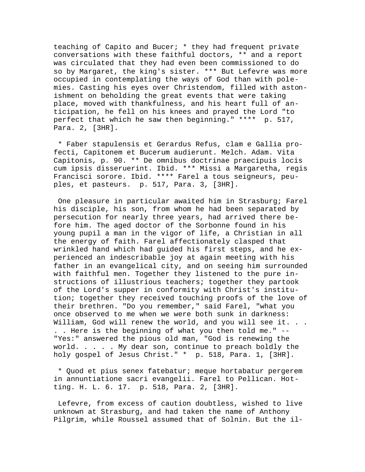teaching of Capito and Bucer; \* they had frequent private conversations with these faithful doctors, \*\* and a report was circulated that they had even been commissioned to do so by Margaret, the king's sister. \*\*\* But Lefevre was more occupied in contemplating the ways of God than with polemies. Casting his eyes over Christendom, filled with astonishment on beholding the great events that were taking place, moved with thankfulness, and his heart full of anticipation, he fell on his knees and prayed the Lord "to perfect that which he saw then beginning." \*\*\*\* p. 517, Para. 2, [3HR].

 \* Faber stapulensis et Gerardus Refus, clam e Gallia profecti, Capitonem et Bucerum audierunt. Melch. Adam. Vita Capitonis, p. 90. \*\* De omnibus doctrinae praecipuis locis cum ipsis disseruerint. Ibid. \*\*\* Missi a Margaretha, regis Francisci sorore. Ibid. \*\*\*\* Farel a tous seigneurs, peuples, et pasteurs. p. 517, Para. 3, [3HR].

 One pleasure in particular awaited him in Strasburg; Farel his disciple, his son, from whom he had been separated by persecution for nearly three years, had arrived there before him. The aged doctor of the Sorbonne found in his young pupil a man in the vigor of life, a Christian in all the energy of faith. Farel affectionately clasped that wrinkled hand which had guided his first steps, and he experienced an indescribable joy at again meeting with his father in an evangelical city, and on seeing him surrounded with faithful men. Together they listened to the pure instructions of illustrious teachers; together they partook of the Lord's supper in conformity with Christ's institution; together they received touching proofs of the love of their brethren. "Do you remember," said Farel, "what you once observed to me when we were both sunk in darkness: William, God will renew the world, and you will see it. . . . . Here is the beginning of what you then told me." -- "Yes:" answered the pious old man, "God is renewing the world. . . . . My dear son, continue to preach boldly the holy gospel of Jesus Christ." \* p. 518, Para. 1, [3HR].

 \* Quod et pius senex fatebatur; meque hortabatur pergerem in annuntiatione sacri evangelii. Farel to Pellican. Hotting. H. L. 6. 17. p. 518, Para. 2, [3HR].

 Lefevre, from excess of caution doubtless, wished to live unknown at Strasburg, and had taken the name of Anthony Pilgrim, while Roussel assumed that of Solnin. But the il-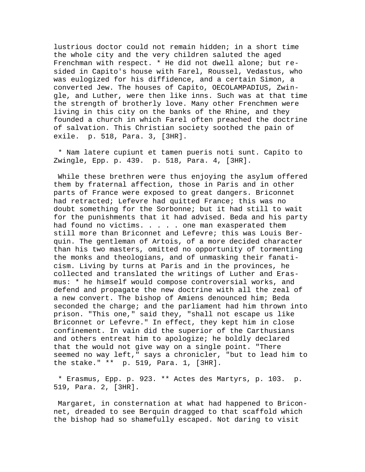lustrious doctor could not remain hidden; in a short time the whole city and the very children saluted the aged Frenchman with respect. \* He did not dwell alone; but resided in Capito's house with Farel, Roussel, Vedastus, who was eulogized for his diffidence, and a certain Simon, a converted Jew. The houses of Capito, OECOLAMPADIUS, Zwingle, and Luther, were then like inns. Such was at that time the strength of brotherly love. Many other Frenchmen were living in this city on the banks of the Rhine, and they founded a church in which Farel often preached the doctrine of salvation. This Christian society soothed the pain of exile. p. 518, Para. 3, [3HR].

 \* Nam latere cupiunt et tamen pueris noti sunt. Capito to Zwingle, Epp. p. 439. p. 518, Para. 4, [3HR].

 While these brethren were thus enjoying the asylum offered them by fraternal affection, those in Paris and in other parts of France were exposed to great dangers. Briconnet had retracted; Lefevre had quitted France; this was no doubt something for the Sorbonne; but it had still to wait for the punishments that it had advised. Beda and his party had found no victims. . . . . one man exasperated them still more than Briconnet and Lefevre; this was Louis Berquin. The gentleman of Artois, of a more decided character than his two masters, omitted no opportunity of tormenting the monks and theologians, and of unmasking their fanaticism. Living by turns at Paris and in the provinces, he collected and translated the writings of Luther and Erasmus: \* he himself would compose controversial works, and defend and propagate the new doctrine with all the zeal of a new convert. The bishop of Amiens denounced him; Beda seconded the charge; and the parliament had him thrown into prison. "This one," said they, "shall not escape us like Briconnet or Lefevre." In effect, they kept him in close confinement. In vain did the superior of the Carthusians and others entreat him to apologize; he boldly declared that the would not give way on a single point. "There seemed no way left," says a chronicler, "but to lead him to the stake." \*\* p. 519, Para. 1, [3HR].

 \* Erasmus, Epp. p. 923. \*\* Actes des Martyrs, p. 103. p. 519, Para. 2, [3HR].

 Margaret, in consternation at what had happened to Briconnet, dreaded to see Berquin dragged to that scaffold which the bishop had so shamefully escaped. Not daring to visit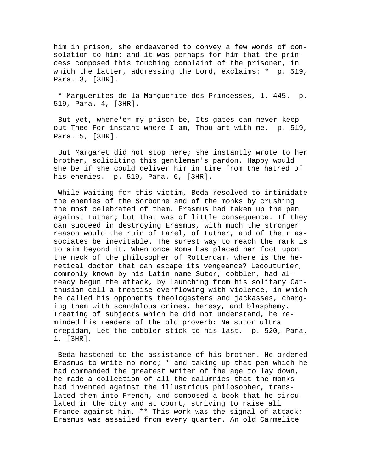him in prison, she endeavored to convey a few words of consolation to him; and it was perhaps for him that the princess composed this touching complaint of the prisoner, in which the latter, addressing the Lord, exclaims: \* p. 519, Para. 3, [3HR].

 \* Marguerites de la Marguerite des Princesses, 1. 445. p. 519, Para. 4, [3HR].

 But yet, where'er my prison be, Its gates can never keep out Thee For instant where I am, Thou art with me. p. 519, Para. 5, [3HR].

 But Margaret did not stop here; she instantly wrote to her brother, soliciting this gentleman's pardon. Happy would she be if she could deliver him in time from the hatred of his enemies. p. 519, Para. 6, [3HR].

 While waiting for this victim, Beda resolved to intimidate the enemies of the Sorbonne and of the monks by crushing the most celebrated of them. Erasmus had taken up the pen against Luther; but that was of little consequence. If they can succeed in destroying Erasmus, with much the stronger reason would the ruin of Farel, of Luther, and of their associates be inevitable. The surest way to reach the mark is to aim beyond it. When once Rome has placed her foot upon the neck of the philosopher of Rotterdam, where is the heretical doctor that can escape its vengeance? Lecouturier, commonly known by his Latin name Sutor, cobbler, had already begun the attack, by launching from his solitary Carthusian cell a treatise overflowing with violence, in which he called his opponents theologasters and jackasses, charging them with scandalous crimes, heresy, and blasphemy. Treating of subjects which he did not understand, he reminded his readers of the old proverb: Ne sutor ultra crepidam, Let the cobbler stick to his last. p. 520, Para. 1, [3HR].

 Beda hastened to the assistance of his brother. He ordered Erasmus to write no more; \* and taking up that pen which he had commanded the greatest writer of the age to lay down, he made a collection of all the calumnies that the monks had invented against the illustrious philosopher, translated them into French, and composed a book that he circulated in the city and at court, striving to raise all France against him. \*\* This work was the signal of attack; Erasmus was assailed from every quarter. An old Carmelite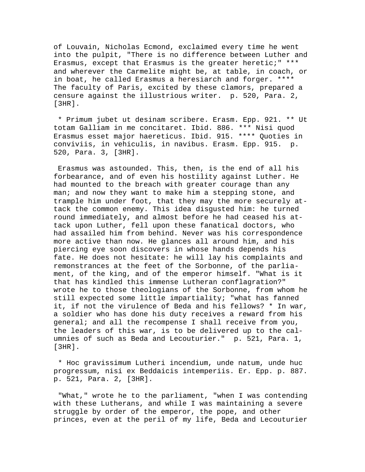of Louvain, Nicholas Ecmond, exclaimed every time he went into the pulpit, "There is no difference between Luther and Erasmus, except that Erasmus is the greater heretic;" \*\*\* and wherever the Carmelite might be, at table, in coach, or in boat, he called Erasmus a heresiarch and forger. \*\*\*\* The faculty of Paris, excited by these clamors, prepared a censure against the illustrious writer. p. 520, Para. 2, [3HR].

 \* Primum jubet ut desinam scribere. Erasm. Epp. 921. \*\* Ut totam Galliam in me concitaret. Ibid. 886. \*\*\* Nisi quod Erasmus esset major haereticus. Ibid. 915. \*\*\*\* Quoties in conviviis, in vehiculis, in navibus. Erasm. Epp. 915. p. 520, Para. 3, [3HR].

 Erasmus was astounded. This, then, is the end of all his forbearance, and of even his hostility against Luther. He had mounted to the breach with greater courage than any man; and now they want to make him a stepping stone, and trample him under foot, that they may the more securely attack the common enemy. This idea disgusted him: he turned round immediately, and almost before he had ceased his attack upon Luther, fell upon these fanatical doctors, who had assailed him from behind. Never was his correspondence more active than now. He glances all around him, and his piercing eye soon discovers in whose hands depends his fate. He does not hesitate: he will lay his complaints and remonstrances at the feet of the Sorbonne, of the parliament, of the king, and of the emperor himself. "What is it that has kindled this immense Lutheran conflagration?" wrote he to those theologians of the Sorbonne, from whom he still expected some little impartiality; "what has fanned it, if not the virulence of Beda and his fellows? \* In war, a soldier who has done his duty receives a reward from his general; and all the recompense I shall receive from you, the leaders of this war, is to be delivered up to the calumnies of such as Beda and Lecouturier." p. 521, Para. 1, [3HR].

 \* Hoc gravissimum Lutheri incendium, unde natum, unde huc progressum, nisi ex Beddaicis intemperiis. Er. Epp. p. 887. p. 521, Para. 2, [3HR].

 "What," wrote he to the parliament, "when I was contending with these Lutherans, and while I was maintaining a severe struggle by order of the emperor, the pope, and other princes, even at the peril of my life, Beda and Lecouturier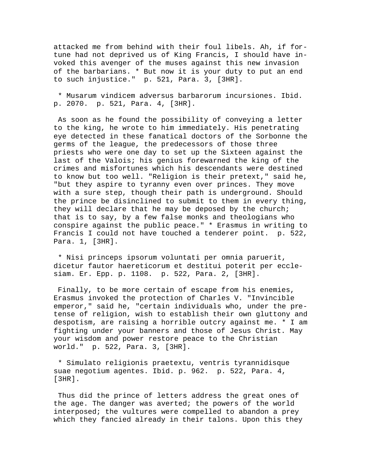attacked me from behind with their foul libels. Ah, if fortune had not deprived us of King Francis, I should have invoked this avenger of the muses against this new invasion of the barbarians. \* But now it is your duty to put an end to such injustice." p. 521, Para. 3, [3HR].

 \* Musarum vindicem adversus barbarorum incursiones. Ibid. p. 2070. p. 521, Para. 4, [3HR].

 As soon as he found the possibility of conveying a letter to the king, he wrote to him immediately. His penetrating eye detected in these fanatical doctors of the Sorbonne the germs of the league, the predecessors of those three priests who were one day to set up the Sixteen against the last of the Valois; his genius forewarned the king of the crimes and misfortunes which his descendants were destined to know but too well. "Religion is their pretext," said he, "but they aspire to tyranny even over princes. They move with a sure step, though their path is underground. Should the prince be disinclined to submit to them in every thing, they will declare that he may be deposed by the church; that is to say, by a few false monks and theologians who conspire against the public peace." \* Erasmus in writing to Francis I could not have touched a tenderer point. p. 522, Para. 1, [3HR].

 \* Nisi princeps ipsorum voluntati per omnia paruerit, dicetur fautor haereticorum et destitui poterit per ecclesiam. Er. Epp. p. 1108. p. 522, Para. 2, [3HR].

 Finally, to be more certain of escape from his enemies, Erasmus invoked the protection of Charles V. "Invincible emperor," said he, "certain individuals who, under the pretense of religion, wish to establish their own gluttony and despotism, are raising a horrible outcry against me. \* I am fighting under your banners and those of Jesus Christ. May your wisdom and power restore peace to the Christian world." p. 522, Para. 3, [3HR].

 \* Simulato religionis praetextu, ventris tyrannidisque suae negotium agentes. Ibid. p. 962. p. 522, Para. 4, [3HR].

 Thus did the prince of letters address the great ones of the age. The danger was averted; the powers of the world interposed; the vultures were compelled to abandon a prey which they fancied already in their talons. Upon this they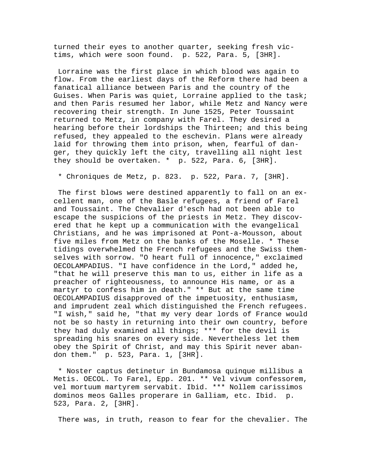turned their eyes to another quarter, seeking fresh victims, which were soon found. p. 522, Para. 5, [3HR].

 Lorraine was the first place in which blood was again to flow. From the earliest days of the Reform there had been a fanatical alliance between Paris and the country of the Guises. When Paris was quiet, Lorraine applied to the task; and then Paris resumed her labor, while Metz and Nancy were recovering their strength. In June 1525, Peter Toussaint returned to Metz, in company with Farel. They desired a hearing before their lordships the Thirteen; and this being refused, they appealed to the eschevin. Plans were already laid for throwing them into prison, when, fearful of danger, they quickly left the city, travelling all night lest they should be overtaken. \* p. 522, Para. 6, [3HR].

\* Chroniques de Metz, p. 823. p. 522, Para. 7, [3HR].

 The first blows were destined apparently to fall on an excellent man, one of the Basle refugees, a friend of Farel and Toussaint. The Chevalier d'esch had not been able to escape the suspicions of the priests in Metz. They discovered that he kept up a communication with the evangelical Christians, and he was imprisoned at Pont-a-Mousson, about five miles from Metz on the banks of the Moselle. \* These tidings overwhelmed the French refugees and the Swiss themselves with sorrow. "O heart full of innocence," exclaimed OECOLAMPADIUS. "I have confidence in the Lord," added he, "that he will preserve this man to us, either in life as a preacher of righteousness, to announce His name, or as a martyr to confess him in death." \*\* But at the same time OECOLAMPADIUS disapproved of the impetuosity, enthusiasm, and imprudent zeal which distinguished the French refugees. "I wish," said he, "that my very dear lords of France would not be so hasty in returning into their own country, before they had duly examined all things; \*\*\* for the devil is spreading his snares on every side. Nevertheless let them obey the Spirit of Christ, and may this Spirit never abandon them." p. 523, Para. 1, [3HR].

 \* Noster captus detinetur in Bundamosa quinque millibus a Metis. OECOL. To Farel, Epp. 201. \*\* Vel vivum confessorem, vel mortuum martyrem servabit. Ibid. \*\*\* Nollem carissimos dominos meos Galles properare in Galliam, etc. Ibid. p. 523, Para. 2, [3HR].

There was, in truth, reason to fear for the chevalier. The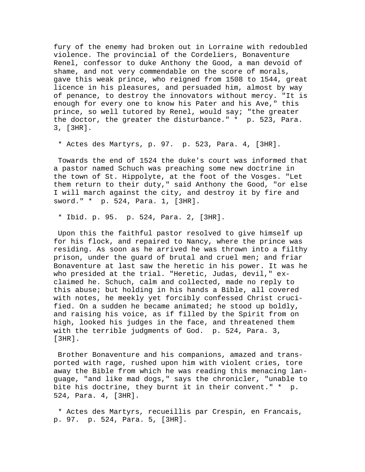fury of the enemy had broken out in Lorraine with redoubled violence. The provincial of the Cordeliers, Bonaventure Renel, confessor to duke Anthony the Good, a man devoid of shame, and not very commendable on the score of morals, gave this weak prince, who reigned from 1508 to 1544, great licence in his pleasures, and persuaded him, almost by way of penance, to destroy the innovators without mercy. "It is enough for every one to know his Pater and his Ave," this prince, so well tutored by Renel, would say; "the greater the doctor, the greater the disturbance." \* p. 523, Para. 3, [3HR].

\* Actes des Martyrs, p. 97. p. 523, Para. 4, [3HR].

 Towards the end of 1524 the duke's court was informed that a pastor named Schuch was preaching some new doctrine in the town of St. Hippolyte, at the foot of the Vosges. "Let them return to their duty," said Anthony the Good, "or else I will march against the city, and destroy it by fire and sword." \* p. 524, Para. 1, [3HR].

\* Ibid. p. 95. p. 524, Para. 2, [3HR].

 Upon this the faithful pastor resolved to give himself up for his flock, and repaired to Nancy, where the prince was residing. As soon as he arrived he was thrown into a filthy prison, under the guard of brutal and cruel men; and friar Bonaventure at last saw the heretic in his power. It was he who presided at the trial. "Heretic, Judas, devil," exclaimed he. Schuch, calm and collected, made no reply to this abuse; but holding in his hands a Bible, all covered with notes, he meekly yet forcibly confessed Christ crucified. On a sudden he became animated; he stood up boldly, and raising his voice, as if filled by the Spirit from on high, looked his judges in the face, and threatened them with the terrible judgments of God. p. 524, Para. 3, [3HR].

 Brother Bonaventure and his companions, amazed and transported with rage, rushed upon him with violent cries, tore away the Bible from which he was reading this menacing language, "and like mad dogs," says the chronicler, "unable to bite his doctrine, they burnt it in their convent." \* p. 524, Para. 4, [3HR].

 \* Actes des Martyrs, recueillis par Crespin, en Francais, p. 97. p. 524, Para. 5, [3HR].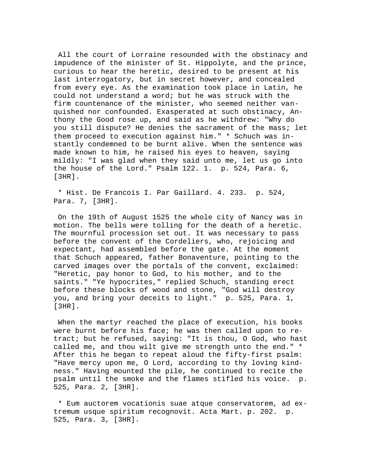All the court of Lorraine resounded with the obstinacy and impudence of the minister of St. Hippolyte, and the prince, curious to hear the heretic, desired to be present at his last interrogatory, but in secret however, and concealed from every eye. As the examination took place in Latin, he could not understand a word; but he was struck with the firm countenance of the minister, who seemed neither vanquished nor confounded. Exasperated at such obstinacy, Anthony the Good rose up, and said as he withdrew: "Why do you still dispute? He denies the sacrament of the mass; let them proceed to execution against him." \* Schuch was instantly condemned to be burnt alive. When the sentence was made known to him, he raised his eyes to heaven, saying mildly: "I was glad when they said unto me, let us go into the house of the Lord." Psalm 122. 1. p. 524, Para. 6, [3HR].

 \* Hist. De Francois I. Par Gaillard. 4. 233. p. 524, Para. 7, [3HR].

 On the 19th of August 1525 the whole city of Nancy was in motion. The bells were tolling for the death of a heretic. The mournful procession set out. It was necessary to pass before the convent of the Cordeliers, who, rejoicing and expectant, had assembled before the gate. At the moment that Schuch appeared, father Bonaventure, pointing to the carved images over the portals of the convent, exclaimed: "Heretic, pay honor to God, to his mother, and to the saints." "Ye hypocrites," replied Schuch, standing erect before these blocks of wood and stone, "God will destroy you, and bring your deceits to light." p. 525, Para. 1, [3HR].

When the martyr reached the place of execution, his books were burnt before his face; he was then called upon to retract; but he refused, saying: "It is thou, O God, who hast called me, and thou wilt give me strength unto the end." \* After this he began to repeat aloud the fifty-first psalm: "Have mercy upon me, O Lord, according to thy loving kindness." Having mounted the pile, he continued to recite the psalm until the smoke and the flames stifled his voice. p. 525, Para. 2, [3HR].

 \* Eum auctorem vocationis suae atque conservatorem, ad extremum usque spiritum recognovit. Acta Mart. p. 202. p. 525, Para. 3, [3HR].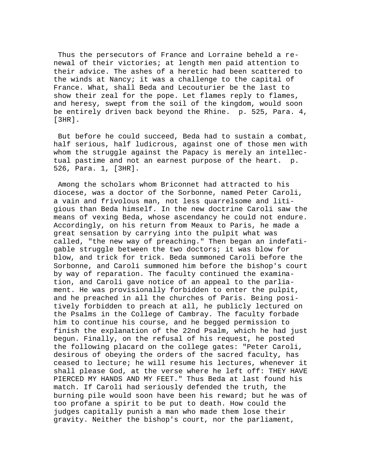Thus the persecutors of France and Lorraine beheld a renewal of their victories; at length men paid attention to their advice. The ashes of a heretic had been scattered to the winds at Nancy; it was a challenge to the capital of France. What, shall Beda and Lecouturier be the last to show their zeal for the pope. Let flames reply to flames, and heresy, swept from the soil of the kingdom, would soon be entirely driven back beyond the Rhine. p. 525, Para. 4, [3HR].

 But before he could succeed, Beda had to sustain a combat, half serious, half ludicrous, against one of those men with whom the struggle against the Papacy is merely an intellectual pastime and not an earnest purpose of the heart. p. 526, Para. 1, [3HR].

 Among the scholars whom Briconnet had attracted to his diocese, was a doctor of the Sorbonne, named Peter Caroli, a vain and frivolous man, not less quarrelsome and litigious than Beda himself. In the new doctrine Caroli saw the means of vexing Beda, whose ascendancy he could not endure. Accordingly, on his return from Meaux to Paris, he made a great sensation by carrying into the pulpit what was called, "the new way of preaching." Then began an indefatigable struggle between the two doctors; it was blow for blow, and trick for trick. Beda summoned Caroli before the Sorbonne, and Caroli summoned him before the bishop's court by way of reparation. The faculty continued the examination, and Caroli gave notice of an appeal to the parliament. He was provisionally forbidden to enter the pulpit, and he preached in all the churches of Paris. Being positively forbidden to preach at all, he publicly lectured on the Psalms in the College of Cambray. The faculty forbade him to continue his course, and he begged permission to finish the explanation of the 22nd Psalm, which he had just begun. Finally, on the refusal of his request, he posted the following placard on the college gates: "Peter Caroli, desirous of obeying the orders of the sacred faculty, has ceased to lecture; he will resume his lectures, whenever it shall please God, at the verse where he left off: THEY HAVE PIERCED MY HANDS AND MY FEET." Thus Beda at last found his match. If Caroli had seriously defended the truth, the burning pile would soon have been his reward; but he was of too profane a spirit to be put to death. How could the judges capitally punish a man who made them lose their gravity. Neither the bishop's court, nor the parliament,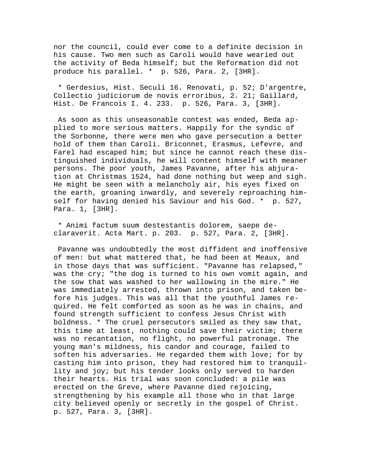nor the council, could ever come to a definite decision in his cause. Two men such as Caroli would have wearied out the activity of Beda himself; but the Reformation did not produce his parallel. \* p. 526, Para. 2, [3HR].

 \* Gerdesius, Hist. Seculi 16. Renovati, p. 52; D'argentre, Collectio judiciorum de novis erroribus, 2. 21; Gaillard, Hist. De Francois I. 4. 233. p. 526, Para. 3, [3HR].

 As soon as this unseasonable contest was ended, Beda applied to more serious matters. Happily for the syndic of the Sorbonne, there were men who gave persecution a better hold of them than Caroli. Briconnet, Erasmus, Lefevre, and Farel had escaped him; but since he cannot reach these distinguished individuals, he will content himself with meaner persons. The poor youth, James Pavanne, after his abjuration at Christmas 1524, had done nothing but weep and sigh. He might be seen with a melancholy air, his eyes fixed on the earth, groaning inwardly, and severely reproaching himself for having denied his Saviour and his God. \* p. 527, Para. 1, [3HR].

 \* Animi factum suum destestantis dolorem, saepe declaraverit. Acta Mart. p. 203. p. 527, Para. 2, [3HR].

 Pavanne was undoubtedly the most diffident and inoffensive of men: but what mattered that, he had been at Meaux, and in those days that was sufficient. "Pavanne has relapsed," was the cry; "the dog is turned to his own vomit again, and the sow that was washed to her wallowing in the mire." He was immediately arrested, thrown into prison, and taken before his judges. This was all that the youthful James required. He felt comforted as soon as he was in chains, and found strength sufficient to confess Jesus Christ with boldness. \* The cruel persecutors smiled as they saw that, this time at least, nothing could save their victim; there was no recantation, no flight, no powerful patronage. The young man's mildness, his candor and courage, failed to soften his adversaries. He regarded them with love; for by casting him into prison, they had restored him to tranquillity and joy; but his tender looks only served to harden their hearts. His trial was soon concluded: a pile was erected on the Greve, where Pavanne died rejoicing, strengthening by his example all those who in that large city believed openly or secretly in the gospel of Christ. p. 527, Para. 3, [3HR].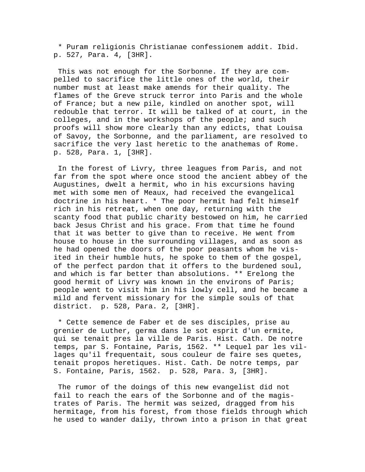\* Puram religionis Christianae confessionem addit. Ibid. p. 527, Para. 4, [3HR].

 This was not enough for the Sorbonne. If they are compelled to sacrifice the little ones of the world, their number must at least make amends for their quality. The flames of the Greve struck terror into Paris and the whole of France; but a new pile, kindled on another spot, will redouble that terror. It will be talked of at court, in the colleges, and in the workshops of the people; and such proofs will show more clearly than any edicts, that Louisa of Savoy, the Sorbonne, and the parliament, are resolved to sacrifice the very last heretic to the anathemas of Rome. p. 528, Para. 1, [3HR].

 In the forest of Livry, three leagues from Paris, and not far from the spot where once stood the ancient abbey of the Augustines, dwelt a hermit, who in his excursions having met with some men of Meaux, had received the evangelical doctrine in his heart. \* The poor hermit had felt himself rich in his retreat, when one day, returning with the scanty food that public charity bestowed on him, he carried back Jesus Christ and his grace. From that time he found that it was better to give than to receive. He went from house to house in the surrounding villages, and as soon as he had opened the doors of the poor peasants whom he visited in their humble huts, he spoke to them of the gospel, of the perfect pardon that it offers to the burdened soul, and which is far better than absolutions. \*\* Erelong the good hermit of Livry was known in the environs of Paris; people went to visit him in his lowly cell, and he became a mild and fervent missionary for the simple souls of that district. p. 528, Para. 2, [3HR].

 \* Cette semence de Faber et de ses disciples, prise au grenier de Luther, germa dans le sot esprit d'un ermite, qui se tenait pres la ville de Paris. Hist. Cath. De notre temps, par S. Fontaine, Paris, 1562. \*\* Lequel par les villages qu'il frequentait, sous couleur de faire ses quetes, tenait propos heretiques. Hist. Cath. De notre temps, par S. Fontaine, Paris, 1562. p. 528, Para. 3, [3HR].

 The rumor of the doings of this new evangelist did not fail to reach the ears of the Sorbonne and of the magistrates of Paris. The hermit was seized, dragged from his hermitage, from his forest, from those fields through which he used to wander daily, thrown into a prison in that great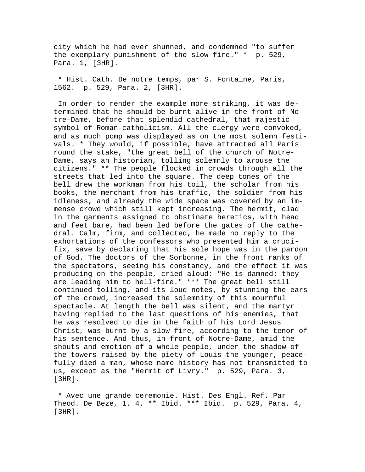city which he had ever shunned, and condemned "to suffer the exemplary punishment of the slow fire." \* p. 529, Para. 1, [3HR].

 \* Hist. Cath. De notre temps, par S. Fontaine, Paris, 1562. p. 529, Para. 2, [3HR].

 In order to render the example more striking, it was determined that he should be burnt alive in the front of Notre-Dame, before that splendid cathedral, that majestic symbol of Roman-catholicism. All the clergy were convoked, and as much pomp was displayed as on the most solemn festivals. \* They would, if possible, have attracted all Paris round the stake, "the great bell of the church of Notre-Dame, says an historian, tolling solemnly to arouse the citizens." \*\* The people flocked in crowds through all the streets that led into the square. The deep tones of the bell drew the workman from his toil, the scholar from his books, the merchant from his traffic, the soldier from his idleness, and already the wide space was covered by an immense crowd which still kept increasing. The hermit, clad in the garments assigned to obstinate heretics, with head and feet bare, had been led before the gates of the cathedral. Calm, firm, and collected, he made no reply to the exhortations of the confessors who presented him a crucifix, save by declaring that his sole hope was in the pardon of God. The doctors of the Sorbonne, in the front ranks of the spectators, seeing his constancy, and the effect it was producing on the people, cried aloud: "He is damned: they are leading him to hell-fire." \*\*\* The great bell still continued tolling, and its loud notes, by stunning the ears of the crowd, increased the solemnity of this mournful spectacle. At length the bell was silent, and the martyr having replied to the last questions of his enemies, that he was resolved to die in the faith of his Lord Jesus Christ, was burnt by a slow fire, according to the tenor of his sentence. And thus, in front of Notre-Dame, amid the shouts and emotion of a whole people, under the shadow of the towers raised by the piety of Louis the younger, peacefully died a man, whose name history has not transmitted to us, except as the "Hermit of Livry." p. 529, Para. 3, [3HR].

 \* Avec une grande ceremonie. Hist. Des Engl. Ref. Par Theod. De Beze, 1. 4. \*\* Ibid. \*\*\* Ibid. p. 529, Para. 4, [3HR].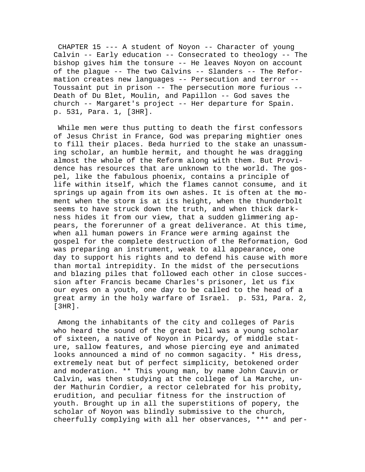CHAPTER 15 --- A student of Noyon -- Character of young Calvin -- Early education -- Consecrated to theology -- The bishop gives him the tonsure -- He leaves Noyon on account of the plague -- The two Calvins -- Slanders -- The Reformation creates new languages -- Persecution and terror -- Toussaint put in prison -- The persecution more furious -- Death of Du Blet, Moulin, and Papillon -- God saves the church -- Margaret's project -- Her departure for Spain. p. 531, Para. 1, [3HR].

 While men were thus putting to death the first confessors of Jesus Christ in France, God was preparing mightier ones to fill their places. Beda hurried to the stake an unassuming scholar, an humble hermit, and thought he was dragging almost the whole of the Reform along with them. But Providence has resources that are unknown to the world. The gospel, like the fabulous phoenix, contains a principle of life within itself, which the flames cannot consume, and it springs up again from its own ashes. It is often at the moment when the storm is at its height, when the thunderbolt seems to have struck down the truth, and when thick darkness hides it from our view, that a sudden glimmering appears, the forerunner of a great deliverance. At this time, when all human powers in France were arming against the gospel for the complete destruction of the Reformation, God was preparing an instrument, weak to all appearance, one day to support his rights and to defend his cause with more than mortal intrepidity. In the midst of the persecutions and blazing piles that followed each other in close succession after Francis became Charles's prisoner, let us fix our eyes on a youth, one day to be called to the head of a great army in the holy warfare of Israel. p. 531, Para. 2, [3HR].

 Among the inhabitants of the city and colleges of Paris who heard the sound of the great bell was a young scholar of sixteen, a native of Noyon in Picardy, of middle stature, sallow features, and whose piercing eye and animated looks announced a mind of no common sagacity. \* His dress, extremely neat but of perfect simplicity, betokened order and moderation. \*\* This young man, by name John Cauvin or Calvin, was then studying at the college of La Marche, under Mathurin Cordier, a rector celebrated for his probity, erudition, and peculiar fitness for the instruction of youth. Brought up in all the superstitions of popery, the scholar of Noyon was blindly submissive to the church, cheerfully complying with all her observances, \*\*\* and per-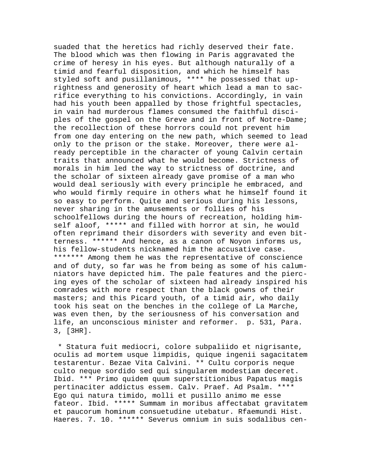suaded that the heretics had richly deserved their fate. The blood which was then flowing in Paris aggravated the crime of heresy in his eyes. But although naturally of a timid and fearful disposition, and which he himself has styled soft and pusillanimous, \*\*\*\* he possessed that uprightness and generosity of heart which lead a man to sacrifice everything to his convictions. Accordingly, in vain had his youth been appalled by those frightful spectacles, in vain had murderous flames consumed the faithful disciples of the gospel on the Greve and in front of Notre-Dame; the recollection of these horrors could not prevent him from one day entering on the new path, which seemed to lead only to the prison or the stake. Moreover, there were already perceptible in the character of young Calvin certain traits that announced what he would become. Strictness of morals in him led the way to strictness of doctrine, and the scholar of sixteen already gave promise of a man who would deal seriously with every principle he embraced, and who would firmly require in others what he himself found it so easy to perform. Quite and serious during his lessons, never sharing in the amusements or follies of his schoolfellows during the hours of recreation, holding himself aloof, \*\*\*\*\* and filled with horror at sin, he would often reprimand their disorders with severity and even bitterness. \*\*\*\*\*\* And hence, as a canon of Noyon informs us, his fellow-students nicknamed him the accusative case. \*\*\*\*\*\*\* Among them he was the representative of conscience and of duty, so far was he from being as some of his calumniators have depicted him. The pale features and the piercing eyes of the scholar of sixteen had already inspired his comrades with more respect than the black gowns of their masters; and this Picard youth, of a timid air, who daily took his seat on the benches in the college of La Marche, was even then, by the seriousness of his conversation and life, an unconscious minister and reformer. p. 531, Para. 3, [3HR].

 \* Statura fuit mediocri, colore subpaliido et nigrisante, oculis ad mortem usque limpidis, quique ingenii sagacitatem testarentur. Bezae Vita Calvini. \*\* Cultu corporis neque culto neque sordido sed qui singularem modestiam deceret. Ibid. \*\*\* Primo quidem quum superstitionibus Papatus magis pertinaciter addictus essem. Calv. Praef. Ad Psalm. \*\*\*\* Ego qui natura timido, molli et pusillo animo me esse fateor. Ibid. \*\*\*\*\* Summam in moribus affectabat gravitatem et paucorum hominum consuetudine utebatur. Rfaemundi Hist. Haeres. 7. 10. \*\*\*\*\*\* Severus omnium in suis sodalibus cen-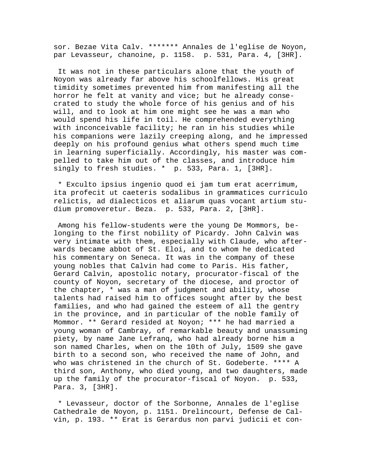sor. Bezae Vita Calv. \*\*\*\*\*\*\* Annales de l'eglise de Noyon, par Levasseur, chanoine, p. 1158. p. 531, Para. 4, [3HR].

 It was not in these particulars alone that the youth of Noyon was already far above his schoolfellows. His great timidity sometimes prevented him from manifesting all the horror he felt at vanity and vice; but he already consecrated to study the whole force of his genius and of his will, and to look at him one might see he was a man who would spend his life in toil. He comprehended everything with inconceivable facility; he ran in his studies while his companions were lazily creeping along, and he impressed deeply on his profound genius what others spend much time in learning superficially. Accordingly, his master was compelled to take him out of the classes, and introduce him singly to fresh studies. \* p. 533, Para. 1, [3HR].

 \* Exculto ipsius ingenio quod ei jam tum erat acerrimum, ita profecit ut caeteris sodalibus in grammatices curriculo relictis, ad dialecticos et aliarum quas vocant artium studium promoveretur. Beza. p. 533, Para. 2, [3HR].

 Among his fellow-students were the young De Mommors, belonging to the first nobility of Picardy. John Calvin was very intimate with them, especially with Claude, who afterwards became abbot of St. Eloi, and to whom he dedicated his commentary on Seneca. It was in the company of these young nobles that Calvin had come to Paris. His father, Gerard Calvin, apostolic notary, procurator-fiscal of the county of Noyon, secretary of the diocese, and proctor of the chapter, \* was a man of judgment and ability, whose talents had raised him to offices sought after by the best families, and who had gained the esteem of all the gentry in the province, and in particular of the noble family of Mommor. \*\* Gerard resided at Noyon; \*\*\* he had married a young woman of Cambray, of remarkable beauty and unassuming piety, by name Jane Lefranq, who had already borne him a son named Charles, when on the 10th of July, 1509 she gave birth to a second son, who received the name of John, and who was christened in the church of St. Godeberte. \*\*\*\* A third son, Anthony, who died young, and two daughters, made up the family of the procurator-fiscal of Noyon. p. 533, Para. 3, [3HR].

 \* Levasseur, doctor of the Sorbonne, Annales de l'eglise Cathedrale de Noyon, p. 1151. Drelincourt, Defense de Calvin, p. 193. \*\* Erat is Gerardus non parvi judicii et con-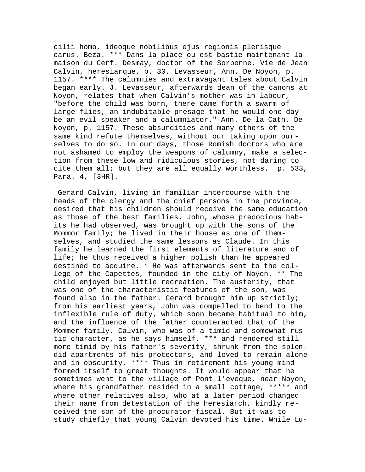cilii homo, ideoque nobilibus ejus regionis plerisque carus. Beza. \*\*\* Dans la place ou est bastie maintenant la maison du Cerf. Desmay, doctor of the Sorbonne, Vie de Jean Calvin, heresiarque, p. 30. Levasseur, Ann. De Noyon, p. 1157. \*\*\*\* The calumnies and extravagant tales about Calvin began early. J. Levasseur, afterwards dean of the canons at Noyon, relates that when Calvin's mother was in labour, "before the child was born, there came forth a swarm of large flies, an indubitable presage that he would one day be an evil speaker and a calumniator." Ann. De la Cath. De Noyon, p. 1157. These absurdities and many others of the same kind refute themselves, without our taking upon ourselves to do so. In our days, those Romish doctors who are not ashamed to employ the weapons of calumny, make a selection from these low and ridiculous stories, not daring to cite them all; but they are all equally worthless. p. 533, Para. 4, [3HR].

 Gerard Calvin, living in familiar intercourse with the heads of the clergy and the chief persons in the province, desired that his children should receive the same education as those of the best families. John, whose precocious habits he had observed, was brought up with the sons of the Mommor family; he lived in their house as one of themselves, and studied the same lessons as Claude. In this family he learned the first elements of literature and of life; he thus received a higher polish than he appeared destined to acquire. \* He was afterwards sent to the college of the Capettes, founded in the city of Noyon. \*\* The child enjoyed but little recreation. The austerity, that was one of the characteristic features of the son, was found also in the father. Gerard brought him up strictly; from his earliest years, John was compelled to bend to the inflexible rule of duty, which soon became habitual to him, and the influence of the father counteracted that of the Mommer family. Calvin, who was of a timid and somewhat rustic character, as he says himself, \*\*\* and rendered still more timid by his father's severity, shrunk from the splendid apartments of his protectors, and loved to remain alone and in obscurity. \*\*\*\* Thus in retirement his young mind formed itself to great thoughts. It would appear that he sometimes went to the village of Pont l'eveque, near Noyon, where his grandfather resided in a small cottage, \*\*\*\*\* and where other relatives also, who at a later period changed their name from detestation of the heresiarch, kindly received the son of the procurator-fiscal. But it was to study chiefly that young Calvin devoted his time. While Lu-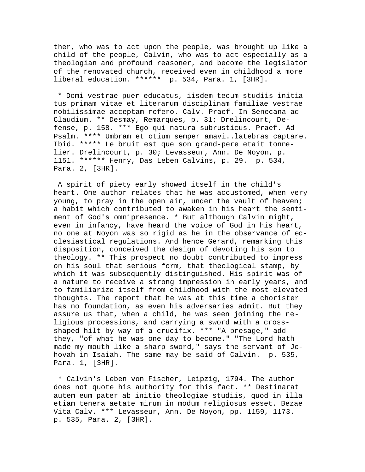ther, who was to act upon the people, was brought up like a child of the people, Calvin, who was to act especially as a theologian and profound reasoner, and become the legislator of the renovated church, received even in childhood a more liberal education. \*\*\*\*\*\* p. 534, Para. 1, [3HR].

 \* Domi vestrae puer educatus, iisdem tecum studiis initiatus primam vitae et literarum disciplinam familiae vestrae nobilissimae acceptam refero. Calv. Praef. In Senecana ad Claudium. \*\* Desmay, Remarques, p. 31; Drelincourt, Defense, p. 158. \*\*\* Ego qui natura subrusticus. Praef. Ad Psalm. \*\*\*\* Umbram et otium semper amavi..latebras captare. Ibid. \*\*\*\*\* Le bruit est que son grand-pere etait tonnelier. Drelincourt, p. 30; Levasseur, Ann. De Noyon, p. 1151. \*\*\*\*\*\* Henry, Das Leben Calvins, p. 29. p. 534, Para. 2, [3HR].

 A spirit of piety early showed itself in the child's heart. One author relates that he was accustomed, when very young, to pray in the open air, under the vault of heaven; a habit which contributed to awaken in his heart the sentiment of God's omnipresence. \* But although Calvin might, even in infancy, have heard the voice of God in his heart, no one at Noyon was so rigid as he in the observance of ecclesiastical regulations. And hence Gerard, remarking this disposition, conceived the design of devoting his son to theology. \*\* This prospect no doubt contributed to impress on his soul that serious form, that theological stamp, by which it was subsequently distinguished. His spirit was of a nature to receive a strong impression in early years, and to familiarize itself from childhood with the most elevated thoughts. The report that he was at this time a chorister has no foundation, as even his adversaries admit. But they assure us that, when a child, he was seen joining the religious processions, and carrying a sword with a crossshaped hilt by way of a crucifix. \*\*\* "A presage," add they, "of what he was one day to become." "The Lord hath made my mouth like a sharp sword," says the servant of Jehovah in Isaiah. The same may be said of Calvin. p. 535, Para. 1, [3HR].

 \* Calvin's Leben von Fischer, Leipzig, 1794. The author does not quote his authority for this fact. \*\* Destinarat autem eum pater ab initio theologiae studiis, quod in illa etiam tenera aetate mirum in modum religiosus esset. Bezae Vita Calv. \*\*\* Levasseur, Ann. De Noyon, pp. 1159, 1173. p. 535, Para. 2, [3HR].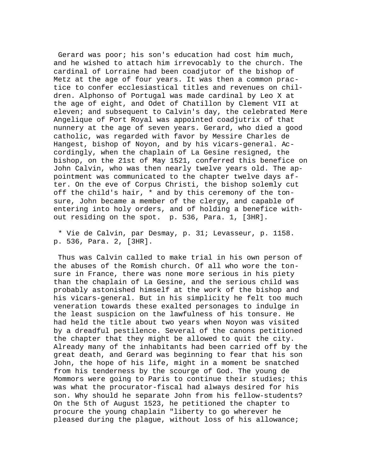Gerard was poor; his son's education had cost him much, and he wished to attach him irrevocably to the church. The cardinal of Lorraine had been coadjutor of the bishop of Metz at the age of four years. It was then a common practice to confer ecclesiastical titles and revenues on children. Alphonso of Portugal was made cardinal by Leo X at the age of eight, and Odet of Chatillon by Clement VII at eleven; and subsequent to Calvin's day, the celebrated Mere Angelique of Port Royal was appointed coadjutrix of that nunnery at the age of seven years. Gerard, who died a good catholic, was regarded with favor by Messire Charles de Hangest, bishop of Noyon, and by his vicars-general. Accordingly, when the chaplain of La Gesine resigned, the bishop, on the 21st of May 1521, conferred this benefice on John Calvin, who was then nearly twelve years old. The appointment was communicated to the chapter twelve days after. On the eve of Corpus Christi, the bishop solemly cut off the child's hair, \* and by this ceremony of the tonsure, John became a member of the clergy, and capable of entering into holy orders, and of holding a benefice without residing on the spot. p. 536, Para. 1, [3HR].

 \* Vie de Calvin, par Desmay, p. 31; Levasseur, p. 1158. p. 536, Para. 2, [3HR].

 Thus was Calvin called to make trial in his own person of the abuses of the Romish church. Of all who wore the tonsure in France, there was none more serious in his piety than the chaplain of La Gesine, and the serious child was probably astonished himself at the work of the bishop and his vicars-general. But in his simplicity he felt too much veneration towards these exalted personages to indulge in the least suspicion on the lawfulness of his tonsure. He had held the title about two years when Noyon was visited by a dreadful pestilence. Several of the canons petitioned the chapter that they might be allowed to quit the city. Already many of the inhabitants had been carried off by the great death, and Gerard was beginning to fear that his son John, the hope of his life, might in a moment be snatched from his tenderness by the scourge of God. The young de Mommors were going to Paris to continue their studies; this was what the procurator-fiscal had always desired for his son. Why should he separate John from his fellow-students? On the 5th of August 1523, he petitioned the chapter to procure the young chaplain "liberty to go wherever he pleased during the plague, without loss of his allowance;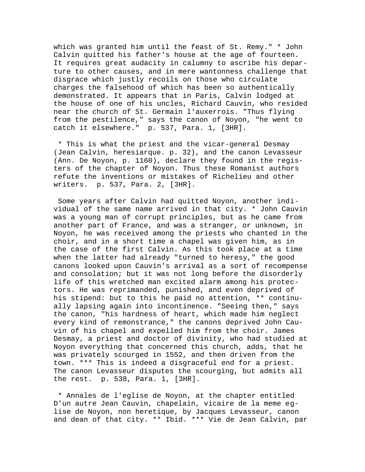which was granted him until the feast of St. Remy." \* John Calvin quitted his father's house at the age of fourteen. It requires great audacity in calumny to ascribe his departure to other causes, and in mere wantonness challenge that disgrace which justly recoils on those who circulate charges the falsehood of which has been so authentically demonstrated. It appears that in Paris, Calvin lodged at the house of one of his uncles, Richard Cauvin, who resided near the church of St. Germain l'auxerrois. "Thus flying from the pestilence," says the canon of Noyon, "he went to catch it elsewhere." p. 537, Para. 1, [3HR].

 \* This is what the priest and the vicar-general Desmay (Jean Calvin, heresiarque. p. 32), and the canon Levasseur (Ann. De Noyon, p. 1160), declare they found in the registers of the chapter of Noyon. Thus these Romanist authors refute the inventions or mistakes of Richelieu and other writers. p. 537, Para. 2, [3HR].

 Some years after Calvin had quitted Noyon, another individual of the same name arrived in that city. \* John Cauvin was a young man of corrupt principles, but as he came from another part of France, and was a stranger, or unknown, in Noyon, he was received among the priests who chanted in the choir, and in a short time a chapel was given him, as in the case of the first Calvin. As this took place at a time when the latter had already "turned to heresy," the good canons looked upon Cauvin's arrival as a sort of recompense and consolation; but it was not long before the disorderly life of this wretched man excited alarm among his protectors. He was reprimanded, punished, and even deprived of his stipend: but to this he paid no attention, \*\* continually lapsing again into incontinence. "Seeing then," says the canon, "his hardness of heart, which made him neglect every kind of remonstrance," the canons deprived John Cauvin of his chapel and expelled him from the choir. James Desmay, a priest and doctor of divinity, who had studied at Noyon everything that concerned this church, adds, that he was privately scourged in 1552, and then driven from the town. \*\*\* This is indeed a disgraceful end for a priest. The canon Levasseur disputes the scourging, but admits all the rest. p. 538, Para. 1, [3HR].

 \* Annales de l'eglise de Noyon, at the chapter entitled D'un autre Jean Cauvin, chapelain, vicaire de la meme eglise de Noyon, non heretique, by Jacques Levasseur, canon and dean of that city. \*\* Ibid. \*\*\* Vie de Jean Calvin, par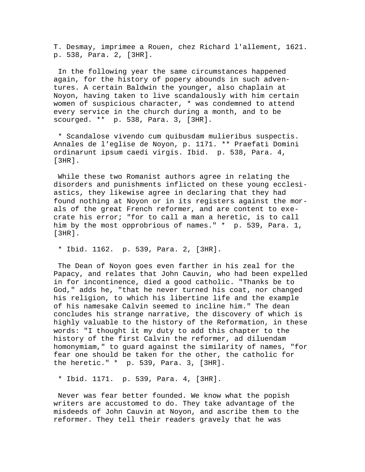T. Desmay, imprimee a Rouen, chez Richard l'allement, 1621. p. 538, Para. 2, [3HR].

 In the following year the same circumstances happened again, for the history of popery abounds in such adventures. A certain Baldwin the younger, also chaplain at Noyon, having taken to live scandalously with him certain women of suspicious character, \* was condemned to attend every service in the church during a month, and to be scourged. \*\* p. 538, Para. 3, [3HR].

 \* Scandalose vivendo cum quibusdam mulieribus suspectis. Annales de l'eglise de Noyon, p. 1171. \*\* Praefati Domini ordinarunt ipsum caedi virgis. Ibid. p. 538, Para. 4, [3HR].

 While these two Romanist authors agree in relating the disorders and punishments inflicted on these young ecclesiastics, they likewise agree in declaring that they had found nothing at Noyon or in its registers against the morals of the great French reformer, and are content to execrate his error; "for to call a man a heretic, is to call him by the most opprobrious of names." \* p. 539, Para. 1, [3HR].

\* Ibid. 1162. p. 539, Para. 2, [3HR].

 The Dean of Noyon goes even farther in his zeal for the Papacy, and relates that John Cauvin, who had been expelled in for incontinence, died a good catholic. "Thanks be to God," adds he, "that he never turned his coat, nor changed his religion, to which his libertine life and the example of his namesake Calvin seemed to incline him." The dean concludes his strange narrative, the discovery of which is highly valuable to the history of the Reformation, in these words: "I thought it my duty to add this chapter to the history of the first Calvin the reformer, ad diluendam homonymiam," to guard against the similarity of names, "for fear one should be taken for the other, the catholic for the heretic." \* p. 539, Para. 3, [3HR].

\* Ibid. 1171. p. 539, Para. 4, [3HR].

 Never was fear better founded. We know what the popish writers are accustomed to do. They take advantage of the misdeeds of John Cauvin at Noyon, and ascribe them to the reformer. They tell their readers gravely that he was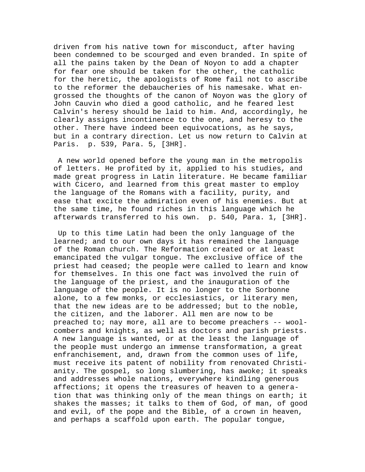driven from his native town for misconduct, after having been condemned to be scourged and even branded. In spite of all the pains taken by the Dean of Noyon to add a chapter for fear one should be taken for the other, the catholic for the heretic, the apologists of Rome fail not to ascribe to the reformer the debaucheries of his namesake. What engrossed the thoughts of the canon of Noyon was the glory of John Cauvin who died a good catholic, and he feared lest Calvin's heresy should be laid to him. And, accordingly, he clearly assigns incontinence to the one, and heresy to the other. There have indeed been equivocations, as he says, but in a contrary direction. Let us now return to Calvin at Paris. p. 539, Para. 5, [3HR].

 A new world opened before the young man in the metropolis of letters. He profited by it, applied to his studies, and made great progress in Latin literature. He became familiar with Cicero, and learned from this great master to employ the language of the Romans with a facility, purity, and ease that excite the admiration even of his enemies. But at the same time, he found riches in this language which he afterwards transferred to his own. p. 540, Para. 1, [3HR].

 Up to this time Latin had been the only language of the learned; and to our own days it has remained the language of the Roman church. The Reformation created or at least emancipated the vulgar tongue. The exclusive office of the priest had ceased; the people were called to learn and know for themselves. In this one fact was involved the ruin of the language of the priest, and the inauguration of the language of the people. It is no longer to the Sorbonne alone, to a few monks, or ecclesiastics, or literary men, that the new ideas are to be addressed; but to the noble, the citizen, and the laborer. All men are now to be preached to; nay more, all are to become preachers -- woolcombers and knights, as well as doctors and parish priests. A new language is wanted, or at the least the language of the people must undergo an immense transformation, a great enfranchisement, and, drawn from the common uses of life, must receive its patent of nobility from renovated Christianity. The gospel, so long slumbering, has awoke; it speaks and addresses whole nations, everywhere kindling generous affections; it opens the treasures of heaven to a generation that was thinking only of the mean things on earth; it shakes the masses; it talks to them of God, of man, of good and evil, of the pope and the Bible, of a crown in heaven, and perhaps a scaffold upon earth. The popular tongue,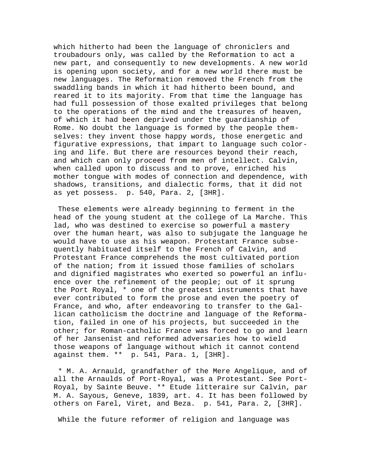which hitherto had been the language of chroniclers and troubadours only, was called by the Reformation to act a new part, and consequently to new developments. A new world is opening upon society, and for a new world there must be new languages. The Reformation removed the French from the swaddling bands in which it had hitherto been bound, and reared it to its majority. From that time the language has had full possession of those exalted privileges that belong to the operations of the mind and the treasures of heaven, of which it had been deprived under the guardianship of Rome. No doubt the language is formed by the people themselves: they invent those happy words, those energetic and figurative expressions, that impart to language such coloring and life. But there are resources beyond their reach, and which can only proceed from men of intellect. Calvin, when called upon to discuss and to prove, enriched his mother tongue with modes of connection and dependence, with shadows, transitions, and dialectic forms, that it did not as yet possess. p. 540, Para. 2, [3HR].

 These elements were already beginning to ferment in the head of the young student at the college of La Marche. This lad, who was destined to exercise so powerful a mastery over the human heart, was also to subjugate the language he would have to use as his weapon. Protestant France subsequently habituated itself to the French of Calvin, and Protestant France comprehends the most cultivated portion of the nation; from it issued those families of scholars and dignified magistrates who exerted so powerful an influence over the refinement of the people; out of it sprung the Port Royal, \* one of the greatest instruments that have ever contributed to form the prose and even the poetry of France, and who, after endeavoring to transfer to the Gallican catholicism the doctrine and language of the Reformation, failed in one of his projects, but succeeded in the other; for Roman-catholic France was forced to go and learn of her Jansenist and reformed adversaries how to wield those weapons of language without which it cannot contend against them. \*\* p. 541, Para. 1, [3HR].

 \* M. A. Arnauld, grandfather of the Mere Angelique, and of all the Arnaulds of Port-Royal, was a Protestant. See Port-Royal, by Sainte Beuve. \*\* Etude litteraire sur Calvin, par M. A. Sayous, Geneve, 1839, art. 4. It has been followed by others on Farel, Viret, and Beza. p. 541, Para. 2, [3HR].

While the future reformer of religion and language was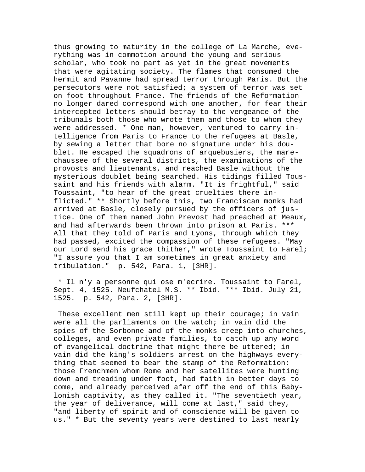thus growing to maturity in the college of La Marche, everything was in commotion around the young and serious scholar, who took no part as yet in the great movements that were agitating society. The flames that consumed the hermit and Pavanne had spread terror through Paris. But the persecutors were not satisfied; a system of terror was set on foot throughout France. The friends of the Reformation no longer dared correspond with one another, for fear their intercepted letters should betray to the vengeance of the tribunals both those who wrote them and those to whom they were addressed. \* One man, however, ventured to carry intelligence from Paris to France to the refugees at Basle, by sewing a letter that bore no signature under his doublet. He escaped the squadrons of arquebusiers, the marechaussee of the several districts, the examinations of the provosts and lieutenants, and reached Basle without the mysterious doublet being searched. His tidings filled Toussaint and his friends with alarm. "It is frightful," said Toussaint, "to hear of the great cruelties there inflicted." \*\* Shortly before this, two Franciscan monks had arrived at Basle, closely pursued by the officers of justice. One of them named John Prevost had preached at Meaux, and had afterwards been thrown into prison at Paris. \*\*\* All that they told of Paris and Lyons, through which they had passed, excited the compassion of these refugees. "May our Lord send his grace thither," wrote Toussaint to Farel; "I assure you that I am sometimes in great anxiety and tribulation." p. 542, Para. 1, [3HR].

 \* Il n'y a personne qui ose m'ecrire. Toussaint to Farel, Sept. 4, 1525. Neufchatel M.S. \*\* Ibid. \*\*\* Ibid. July 21, 1525. p. 542, Para. 2, [3HR].

These excellent men still kept up their courage; in vain were all the parliaments on the watch; in vain did the spies of the Sorbonne and of the monks creep into churches, colleges, and even private families, to catch up any word of evangelical doctrine that might there be uttered; in vain did the king's soldiers arrest on the highways everything that seemed to bear the stamp of the Reformation: those Frenchmen whom Rome and her satellites were hunting down and treading under foot, had faith in better days to come, and already perceived afar off the end of this Babylonish captivity, as they called it. "The seventieth year, the year of deliverance, will come at last," said they, "and liberty of spirit and of conscience will be given to us." \* But the seventy years were destined to last nearly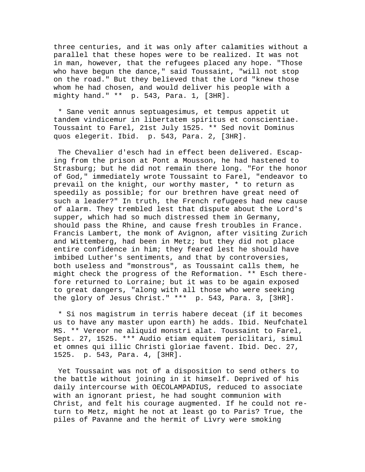three centuries, and it was only after calamities without a parallel that these hopes were to be realized. It was not in man, however, that the refugees placed any hope. "Those who have begun the dance," said Toussaint, "will not stop on the road." But they believed that the Lord "knew those whom he had chosen, and would deliver his people with a mighty hand." \*\* p. 543, Para. 1, [3HR].

 \* Sane venit annus septuagesimus, et tempus appetit ut tandem vindicemur in libertatem spiritus et conscientiae. Toussaint to Farel, 21st July 1525. \*\* Sed novit Dominus quos elegerit. Ibid. p. 543, Para. 2, [3HR].

 The Chevalier d'esch had in effect been delivered. Escaping from the prison at Pont a Mousson, he had hastened to Strasburg; but he did not remain there long. "For the honor of God," immediately wrote Toussaint to Farel, "endeavor to prevail on the knight, our worthy master, \* to return as speedily as possible; for our brethren have great need of such a leader?" In truth, the French refugees had new cause of alarm. They trembled lest that dispute about the Lord's supper, which had so much distressed them in Germany, should pass the Rhine, and cause fresh troubles in France. Francis Lambert, the monk of Avignon, after visiting Zurich and Wittemberg, had been in Metz; but they did not place entire confidence in him; they feared lest he should have imbibed Luther's sentiments, and that by controversies, both useless and "monstrous", as Toussaint calls them, he might check the progress of the Reformation. \*\* Esch therefore returned to Lorraine; but it was to be again exposed to great dangers, "along with all those who were seeking the glory of Jesus Christ." \*\*\* p. 543, Para. 3, [3HR].

 \* Si nos magistrum in terris habere deceat (if it becomes us to have any master upon earth) he adds. Ibid. Neufchatel MS. \*\* Vereor ne aliquid monstri alat. Toussaint to Farel, Sept. 27, 1525. \*\*\* Audio etiam equitem periclitari, simul et omnes qui illic Christi gloriae favent. Ibid. Dec. 27, 1525. p. 543, Para. 4, [3HR].

 Yet Toussaint was not of a disposition to send others to the battle without joining in it himself. Deprived of his daily intercourse with OECOLAMPADIUS, reduced to associate with an ignorant priest, he had sought communion with Christ, and felt his courage augmented. If he could not return to Metz, might he not at least go to Paris? True, the piles of Pavanne and the hermit of Livry were smoking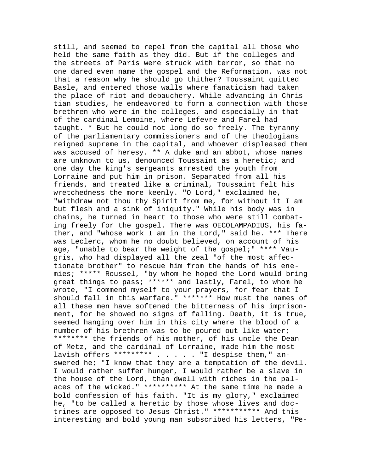still, and seemed to repel from the capital all those who held the same faith as they did. But if the colleges and the streets of Paris were struck with terror, so that no one dared even name the gospel and the Reformation, was not that a reason why he should go thither? Toussaint quitted Basle, and entered those walls where fanaticism had taken the place of riot and debauchery. While advancing in Christian studies, he endeavored to form a connection with those brethren who were in the colleges, and especially in that of the cardinal Lemoine, where Lefevre and Farel had taught. \* But he could not long do so freely. The tyranny of the parliamentary commissioners and of the theologians reigned supreme in the capital, and whoever displeased them was accused of heresy. \*\* A duke and an abbot, whose names are unknown to us, denounced Toussaint as a heretic; and one day the king's sergeants arrested the youth from Lorraine and put him in prison. Separated from all his friends, and treated like a criminal, Toussaint felt his wretchedness the more keenly. "O Lord," exclaimed he, "withdraw not thou thy Spirit from me, for without it I am but flesh and a sink of iniquity." While his body was in chains, he turned in heart to those who were still combating freely for the gospel. There was OECOLAMPADIUS, his father, and "whose work I am in the Lord," said he. \*\*\* There was Leclerc, whom he no doubt believed, on account of his age, "unable to bear the weight of the gospel;" \*\*\*\* Vaugris, who had displayed all the zeal "of the most affectionate brother" to rescue him from the hands of his enemies; \*\*\*\*\* Roussel, "by whom he hoped the Lord would bring great things to pass; \*\*\*\*\*\* and lastly, Farel, to whom he wrote, "I commend myself to your prayers, for fear that I should fall in this warfare." \*\*\*\*\*\*\* How must the names of all these men have softened the bitterness of his imprisonment, for he showed no signs of falling. Death, it is true, seemed hanging over him in this city where the blood of a number of his brethren was to be poured out like water; \*\*\*\*\*\*\*\* the friends of his mother, of his uncle the Dean of Metz, and the cardinal of Lorraine, made him the most lavish offers \*\*\*\*\*\*\*\*\* . . . . . "I despise them," answered he; "I know that they are a temptation of the devil. I would rather suffer hunger, I would rather be a slave in the house of the Lord, than dwell with riches in the palaces of the wicked." \*\*\*\*\*\*\*\*\*\* At the same time he made a bold confession of his faith. "It is my glory," exclaimed he, "to be called a heretic by those whose lives and doctrines are opposed to Jesus Christ." \*\*\*\*\*\*\*\*\*\*\* And this interesting and bold young man subscribed his letters, "Pe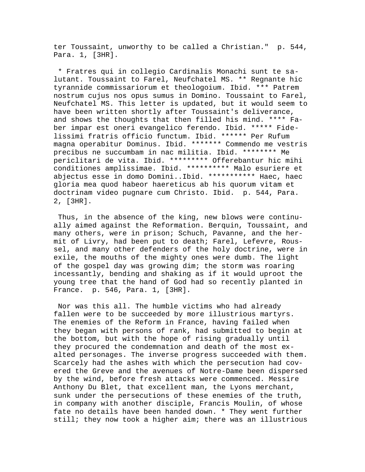ter Toussaint, unworthy to be called a Christian." p. 544, Para. 1, [3HR].

 \* Fratres qui in collegio Cardinalis Monachi sunt te salutant. Toussaint to Farel, Neufchatel MS. \*\* Regnante hic tyrannide commissariorum et theologoium. Ibid. \*\*\* Patrem nostrum cujus nos opus sumus in Domino. Toussaint to Farel, Neufchatel MS. This letter is updated, but it would seem to have been written shortly after Toussaint's deliverance, and shows the thoughts that then filled his mind. \*\*\*\* Faber impar est oneri evangelico ferendo. Ibid. \*\*\*\*\* Fidelissimi fratris officio functum. Ibid. \*\*\*\*\*\* Per Rufum magna operabitur Dominus. Ibid. \*\*\*\*\*\*\* Commendo me vestris precibus ne succumbam in nac militia. Ibid. \*\*\*\*\*\*\*\* Me periclitari de vita. Ibid. \*\*\*\*\*\*\*\*\* Offerebantur hic mihi conditiones amplissimae. Ibid. \*\*\*\*\*\*\*\*\*\* Malo esuriere et abjectus esse in domo Domini..Ibid. \*\*\*\*\*\*\*\*\*\*\* Haec, haec gloria mea quod habeor haereticus ab his quorum vitam et doctrinam video pugnare cum Christo. Ibid. p. 544, Para. 2, [3HR].

 Thus, in the absence of the king, new blows were continually aimed against the Reformation. Berquin, Toussaint, and many others, were in prison; Schuch, Pavanne, and the hermit of Livry, had been put to death; Farel, Lefevre, Roussel, and many other defenders of the holy doctrine, were in exile, the mouths of the mighty ones were dumb. The light of the gospel day was growing dim; the storm was roaring incessantly, bending and shaking as if it would uproot the young tree that the hand of God had so recently planted in France. p. 546, Para. 1, [3HR].

 Nor was this all. The humble victims who had already fallen were to be succeeded by more illustrious martyrs. The enemies of the Reform in France, having failed when they began with persons of rank, had submitted to begin at the bottom, but with the hope of rising gradually until they procured the condemnation and death of the most exalted personages. The inverse progress succeeded with them. Scarcely had the ashes with which the persecution had covered the Greve and the avenues of Notre-Dame been dispersed by the wind, before fresh attacks were commenced. Messire Anthony Du Blet, that excellent man, the Lyons merchant, sunk under the persecutions of these enemies of the truth, in company with another disciple, Francis Moulin, of whose fate no details have been handed down. \* They went further still; they now took a higher aim; there was an illustrious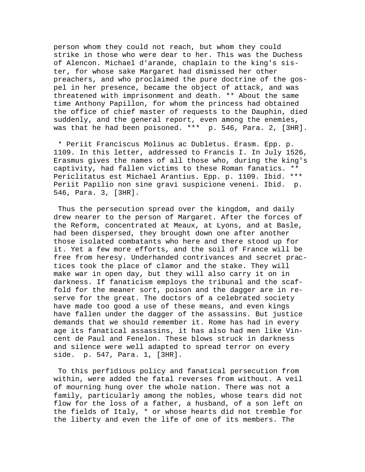person whom they could not reach, but whom they could strike in those who were dear to her. This was the Duchess of Alencon. Michael d'arande, chaplain to the king's sister, for whose sake Margaret had dismissed her other preachers, and who proclaimed the pure doctrine of the gospel in her presence, became the object of attack, and was threatened with imprisonment and death. \*\* About the same time Anthony Papillon, for whom the princess had obtained the office of chief master of requests to the Dauphin, died suddenly, and the general report, even among the enemies, was that he had been poisoned. \*\*\* p. 546, Para. 2, [3HR].

 \* Periit Franciscus Molinus ac Dubletus. Erasm. Epp. p. 1109. In this letter, addressed to Francis I. In July 1526, Erasmus gives the names of all those who, during the king's captivity, had fallen victims to these Roman fanatics. \*\* Periclitatus est Michael Arantius. Epp. p. 1109. Ibid. \*\*\* Periit Papilio non sine gravi suspicione veneni. Ibid. p. 546, Para. 3, [3HR].

 Thus the persecution spread over the kingdom, and daily drew nearer to the person of Margaret. After the forces of the Reform, concentrated at Meaux, at Lyons, and at Basle, had been dispersed, they brought down one after another those isolated combatants who here and there stood up for it. Yet a few more efforts, and the soil of France will be free from heresy. Underhanded contrivances and secret practices took the place of clamor and the stake. They will make war in open day, but they will also carry it on in darkness. If fanaticism employs the tribunal and the scaffold for the meaner sort, poison and the dagger are in reserve for the great. The doctors of a celebrated society have made too good a use of these means, and even kings have fallen under the dagger of the assassins. But justice demands that we should remember it. Rome has had in every age its fanatical assassins, it has also had men like Vincent de Paul and Fenelon. These blows struck in darkness and silence were well adapted to spread terror on every side. p. 547, Para. 1, [3HR].

 To this perfidious policy and fanatical persecution from within, were added the fatal reverses from without. A veil of mourning hung over the whole nation. There was not a family, particularly among the nobles, whose tears did not flow for the loss of a father, a husband, of a son left on the fields of Italy, \* or whose hearts did not tremble for the liberty and even the life of one of its members. The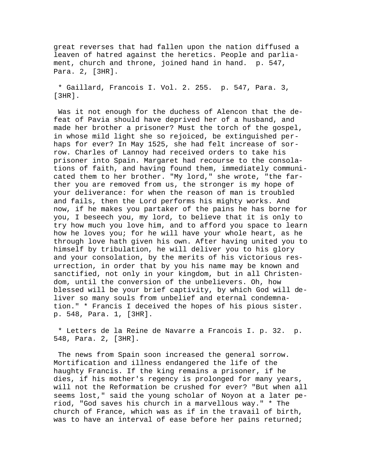great reverses that had fallen upon the nation diffused a leaven of hatred against the heretics. People and parliament, church and throne, joined hand in hand. p. 547, Para. 2, [3HR].

 \* Gaillard, Francois I. Vol. 2. 255. p. 547, Para. 3, [3HR].

 Was it not enough for the duchess of Alencon that the defeat of Pavia should have deprived her of a husband, and made her brother a prisoner? Must the torch of the gospel, in whose mild light she so rejoiced, be extinguished perhaps for ever? In May 1525, she had felt increase of sorrow. Charles of Lannoy had received orders to take his prisoner into Spain. Margaret had recourse to the consolations of faith, and having found them, immediately communicated them to her brother. "My lord," she wrote, "the farther you are removed from us, the stronger is my hope of your deliverance: for when the reason of man is troubled and fails, then the Lord performs his mighty works. And now, if he makes you partaker of the pains he has borne for you, I beseech you, my lord, to believe that it is only to try how much you love him, and to afford you space to learn how he loves you; for he will have your whole heart, as he through love hath given his own. After having united you to himself by tribulation, he will deliver you to his glory and your consolation, by the merits of his victorious resurrection, in order that by you his name may be known and sanctified, not only in your kingdom, but in all Christendom, until the conversion of the unbelievers. Oh, how blessed will be your brief captivity, by which God will deliver so many souls from unbelief and eternal condemnation." \* Francis I deceived the hopes of his pious sister. p. 548, Para. 1, [3HR].

 \* Letters de la Reine de Navarre a Francois I. p. 32. p. 548, Para. 2, [3HR].

 The news from Spain soon increased the general sorrow. Mortification and illness endangered the life of the haughty Francis. If the king remains a prisoner, if he dies, if his mother's regency is prolonged for many years, will not the Reformation be crushed for ever? "But when all seems lost," said the young scholar of Noyon at a later period, "God saves his church in a marvellous way." \* The church of France, which was as if in the travail of birth, was to have an interval of ease before her pains returned;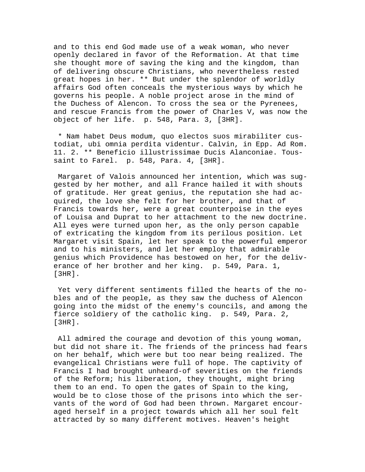and to this end God made use of a weak woman, who never openly declared in favor of the Reformation. At that time she thought more of saving the king and the kingdom, than of delivering obscure Christians, who nevertheless rested great hopes in her. \*\* But under the splendor of worldly affairs God often conceals the mysterious ways by which he governs his people. A noble project arose in the mind of the Duchess of Alencon. To cross the sea or the Pyrenees, and rescue Francis from the power of Charles V, was now the object of her life. p. 548, Para. 3, [3HR].

 \* Nam habet Deus modum, quo electos suos mirabiliter custodiat, ubi omnia perdita videntur. Calvin, in Epp. Ad Rom. 11. 2. \*\* Beneficio illustrissimae Ducis Alanconiae. Toussaint to Farel. p. 548, Para. 4, [3HR].

 Margaret of Valois announced her intention, which was suggested by her mother, and all France hailed it with shouts of gratitude. Her great genius, the reputation she had acquired, the love she felt for her brother, and that of Francis towards her, were a great counterpoise in the eyes of Louisa and Duprat to her attachment to the new doctrine. All eyes were turned upon her, as the only person capable of extricating the kingdom from its perilous position. Let Margaret visit Spain, let her speak to the powerful emperor and to his ministers, and let her employ that admirable genius which Providence has bestowed on her, for the deliverance of her brother and her king. p. 549, Para. 1, [3HR].

 Yet very different sentiments filled the hearts of the nobles and of the people, as they saw the duchess of Alencon going into the midst of the enemy's councils, and among the fierce soldiery of the catholic king. p. 549, Para. 2,  $[3HR]$ .

 All admired the courage and devotion of this young woman, but did not share it. The friends of the princess had fears on her behalf, which were but too near being realized. The evangelical Christians were full of hope. The captivity of Francis I had brought unheard-of severities on the friends of the Reform; his liberation, they thought, might bring them to an end. To open the gates of Spain to the king, would be to close those of the prisons into which the servants of the word of God had been thrown. Margaret encouraged herself in a project towards which all her soul felt attracted by so many different motives. Heaven's height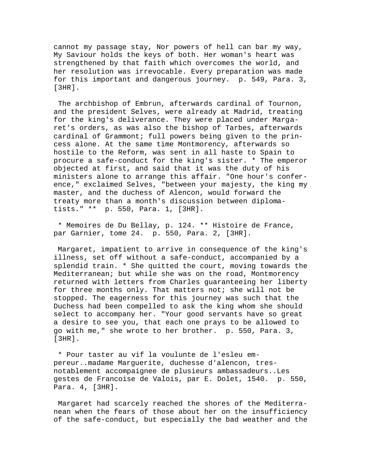cannot my passage stay, Nor powers of hell can bar my way, My Saviour holds the keys of both. Her woman's heart was strengthened by that faith which overcomes the world, and her resolution was irrevocable. Every preparation was made for this important and dangerous journey. p. 549, Para. 3, [3HR].

 The archbishop of Embrun, afterwards cardinal of Tournon, and the president Selves, were already at Madrid, treating for the king's deliverance. They were placed under Margaret's orders, as was also the bishop of Tarbes, afterwards cardinal of Grammont; full powers being given to the princess alone. At the same time Montmorency, afterwards so hostile to the Reform, was sent in all haste to Spain to procure a safe-conduct for the king's sister. \* The emperor objected at first, and said that it was the duty of his ministers alone to arrange this affair. "One hour's conference," exclaimed Selves, "between your majesty, the king my master, and the duchess of Alencon, would forward the treaty more than a month's discussion between diplomatists." \*\* p. 550, Para. 1, [3HR].

 \* Memoires de Du Bellay, p. 124. \*\* Histoire de France, par Garnier, tome 24. p. 550, Para. 2, [3HR].

 Margaret, impatient to arrive in consequence of the king's illness, set off without a safe-conduct, accompanied by a splendid train. \* She quitted the court, moving towards the Mediterranean; but while she was on the road, Montmorency returned with letters from Charles guaranteeing her liberty for three months only. That matters not; she will not be stopped. The eagerness for this journey was such that the Duchess had been compelled to ask the king whom she should select to accompany her. "Your good servants have so great a desire to see you, that each one prays to be allowed to go with me," she wrote to her brother. p. 550, Para. 3, [3HR].

 \* Pour taster au vif la voulunte de l'esleu empereur..madame Marguerite, duchesse d'alencon, tresnotablement accompaignee de plusieurs ambassadeurs..Les gestes de Francoise de Valois, par E. Dolet, 1540. p. 550, Para. 4, [3HR].

 Margaret had scarcely reached the shores of the Mediterranean when the fears of those about her on the insufficiency of the safe-conduct, but especially the bad weather and the